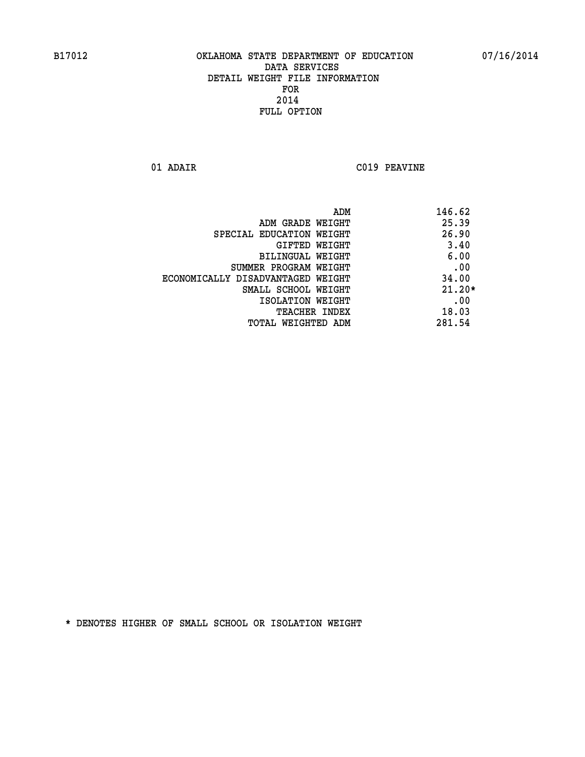**01 ADAIR C019 PEAVINE** 

|                                   | ADM | 146.62   |
|-----------------------------------|-----|----------|
| ADM GRADE WEIGHT                  |     | 25.39    |
| SPECIAL EDUCATION WEIGHT          |     | 26.90    |
| GIFTED WEIGHT                     |     | 3.40     |
| BILINGUAL WEIGHT                  |     | 6.00     |
| SUMMER PROGRAM WEIGHT             |     | .00      |
| ECONOMICALLY DISADVANTAGED WEIGHT |     | 34.00    |
| SMALL SCHOOL WEIGHT               |     | $21.20*$ |
| ISOLATION WEIGHT                  |     | .00      |
| TEACHER INDEX                     |     | 18.03    |
| TOTAL WEIGHTED ADM                |     | 281.54   |
|                                   |     |          |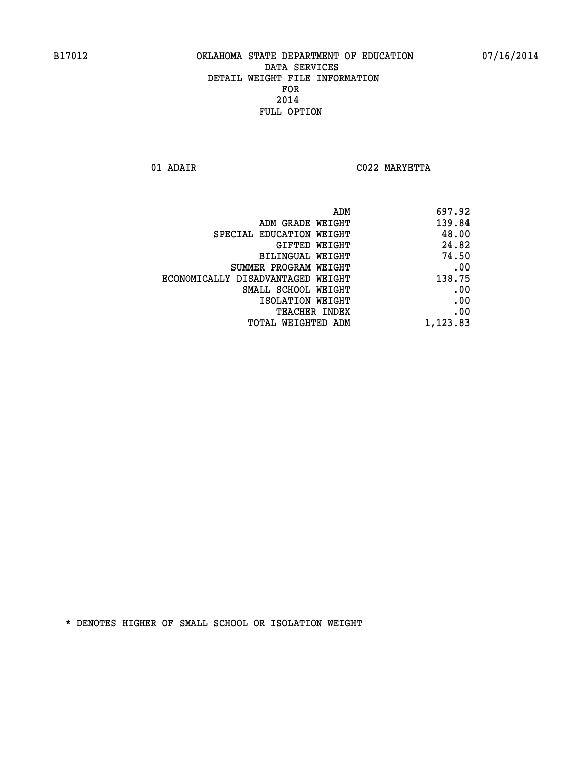**01 ADAIR C022 MARYETTA** 

| 697.92   |
|----------|
| 139.84   |
| 48.00    |
| 24.82    |
| 74.50    |
| .00      |
| 138.75   |
| .00      |
| .00      |
| .00      |
| 1,123.83 |
|          |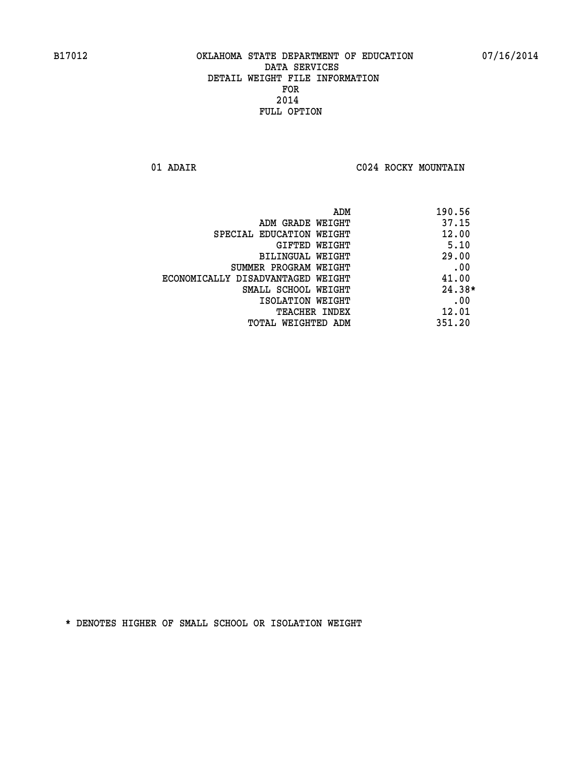**01 ADAIR C024 ROCKY MOUNTAIN** 

|                                   | 190.56<br>ADM |
|-----------------------------------|---------------|
| ADM GRADE WEIGHT                  | 37.15         |
| SPECIAL EDUCATION WEIGHT          | 12.00         |
| GIFTED WEIGHT                     | 5.10          |
| BILINGUAL WEIGHT                  | 29.00         |
| SUMMER PROGRAM WEIGHT             | .00           |
| ECONOMICALLY DISADVANTAGED WEIGHT | 41.00         |
| SMALL SCHOOL WEIGHT               | $24.38*$      |
| ISOLATION WEIGHT                  | .00           |
| TEACHER INDEX                     | 12.01         |
| TOTAL WEIGHTED ADM                | 351.20        |
|                                   |               |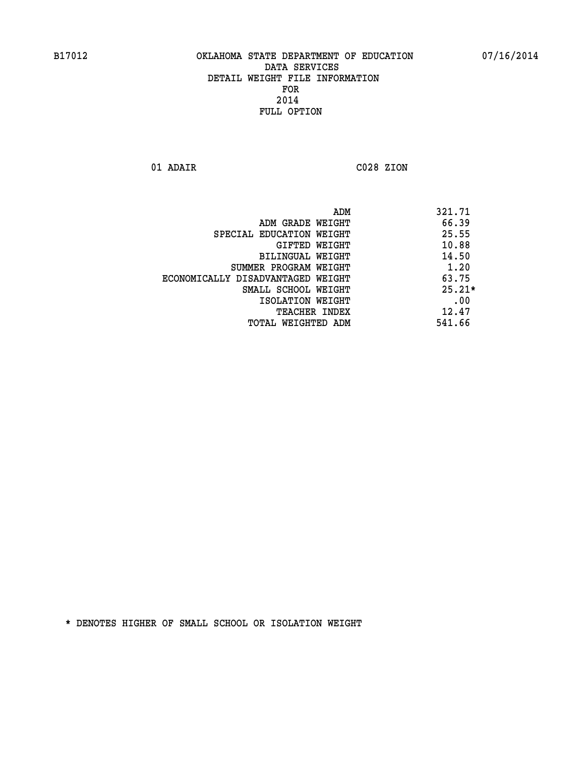**01 ADAIR C028 ZION** 

| ADM                               | 321.71   |
|-----------------------------------|----------|
| ADM GRADE WEIGHT                  | 66.39    |
| SPECIAL EDUCATION WEIGHT          | 25.55    |
| GIFTED WEIGHT                     | 10.88    |
| BILINGUAL WEIGHT                  | 14.50    |
| SUMMER PROGRAM WEIGHT             | 1.20     |
| ECONOMICALLY DISADVANTAGED WEIGHT | 63.75    |
| SMALL SCHOOL WEIGHT               | $25.21*$ |
| ISOLATION WEIGHT                  | .00      |
| <b>TEACHER INDEX</b>              | 12.47    |
| TOTAL WEIGHTED ADM                | 541.66   |
|                                   |          |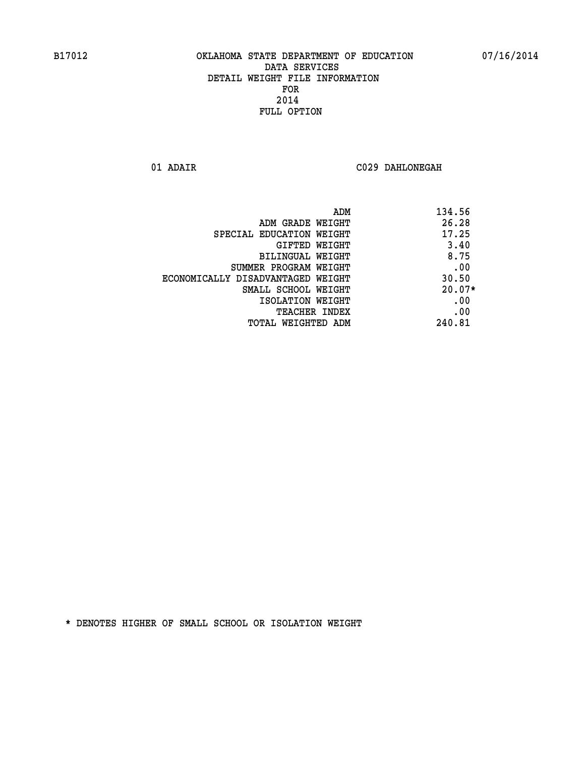**01 ADAIR C029 DAHLONEGAH** 

|                                   | 134.56<br>ADM |
|-----------------------------------|---------------|
| ADM GRADE WEIGHT                  | 26.28         |
| SPECIAL EDUCATION WEIGHT          | 17.25         |
| GIFTED WEIGHT                     | 3.40          |
| BILINGUAL WEIGHT                  | 8.75          |
| SUMMER PROGRAM WEIGHT             | .00           |
| ECONOMICALLY DISADVANTAGED WEIGHT | 30.50         |
| SMALL SCHOOL WEIGHT               | $20.07*$      |
| ISOLATION WEIGHT                  | .00           |
| <b>TEACHER INDEX</b>              | .00           |
| TOTAL WEIGHTED ADM                | 240.81        |
|                                   |               |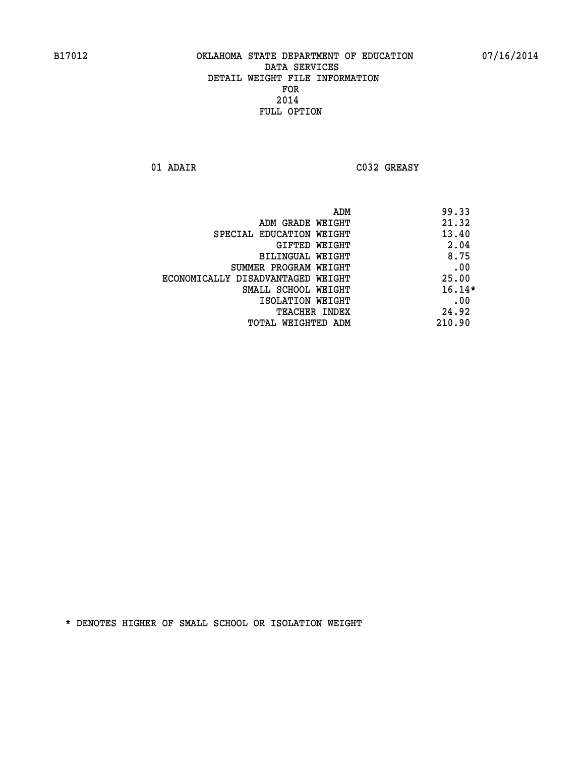**01 ADAIR C032 GREASY** 

|                                   | ADM | 99.33    |
|-----------------------------------|-----|----------|
| ADM GRADE WEIGHT                  |     | 21.32    |
| SPECIAL EDUCATION WEIGHT          |     | 13.40    |
| <b>GIFTED WEIGHT</b>              |     | 2.04     |
| BILINGUAL WEIGHT                  |     | 8.75     |
| SUMMER PROGRAM WEIGHT             |     | .00      |
| ECONOMICALLY DISADVANTAGED WEIGHT |     | 25.00    |
| SMALL SCHOOL WEIGHT               |     | $16.14*$ |
| ISOLATION WEIGHT                  |     | .00      |
| TEACHER INDEX                     |     | 24.92    |
| TOTAL WEIGHTED ADM                |     | 210.90   |
|                                   |     |          |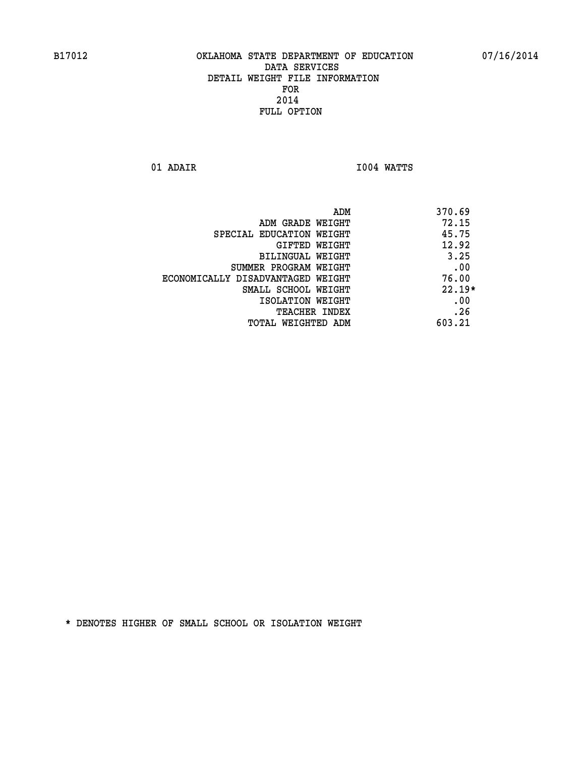**01 ADAIR I004 WATTS** 

| ADM                               | 370.69   |
|-----------------------------------|----------|
| ADM GRADE WEIGHT                  | 72.15    |
| SPECIAL EDUCATION WEIGHT          | 45.75    |
| GIFTED WEIGHT                     | 12.92    |
| BILINGUAL WEIGHT                  | 3.25     |
| SUMMER PROGRAM WEIGHT             | .00      |
| ECONOMICALLY DISADVANTAGED WEIGHT | 76.00    |
| SMALL SCHOOL WEIGHT               | $22.19*$ |
| ISOLATION WEIGHT                  | .00      |
| TEACHER INDEX                     | .26      |
| TOTAL WEIGHTED ADM                | 603.21   |
|                                   |          |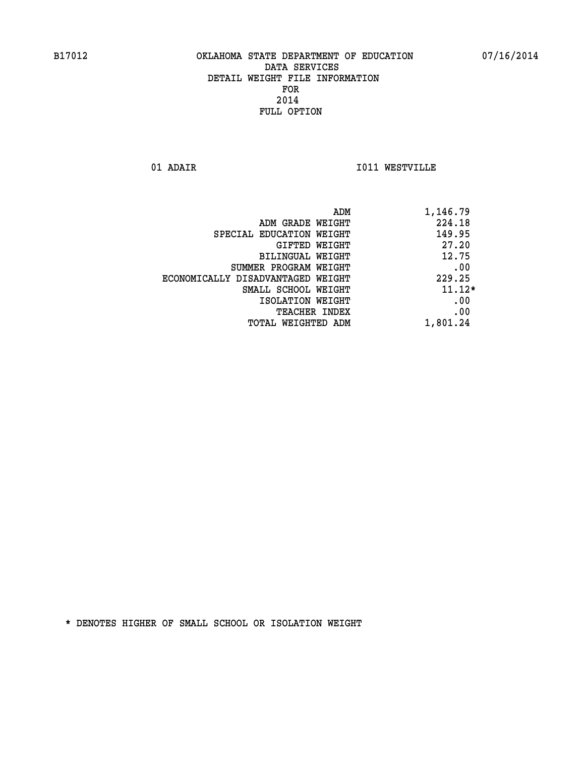**01 ADAIR I011 WESTVILLE** 

| ADM<br>1,146.79 |                                   |
|-----------------|-----------------------------------|
| 224.18          | ADM GRADE WEIGHT                  |
| 149.95          | SPECIAL EDUCATION WEIGHT          |
| 27.20           | GIFTED WEIGHT                     |
| 12.75           | BILINGUAL WEIGHT                  |
| .00             | SUMMER PROGRAM WEIGHT             |
| 229.25          | ECONOMICALLY DISADVANTAGED WEIGHT |
| $11.12*$        | SMALL SCHOOL WEIGHT               |
| .00             | ISOLATION WEIGHT                  |
| .00             | <b>TEACHER INDEX</b>              |
| 1,801.24        | TOTAL WEIGHTED ADM                |
|                 |                                   |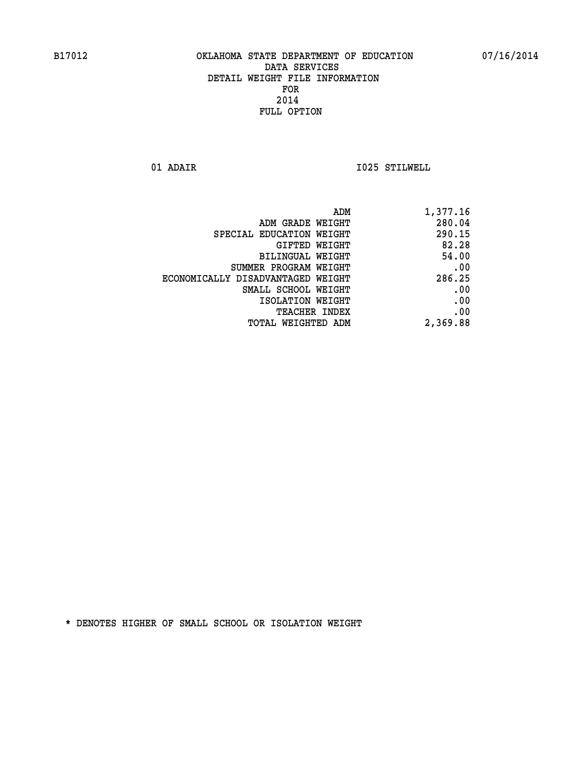**01 ADAIR I025 STILWELL** 

| 1,377.16 |
|----------|
| 280.04   |
| 290.15   |
| 82.28    |
| 54.00    |
| .00      |
| 286.25   |
| .00      |
| .00      |
| .00      |
| 2,369.88 |
|          |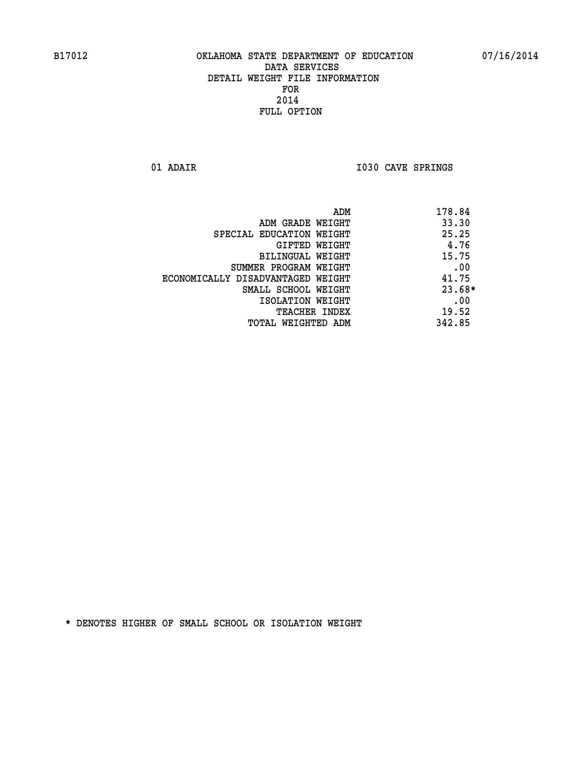**01 ADAIR I030 CAVE SPRINGS** 

|                                   | ADM<br>178.84 |     |
|-----------------------------------|---------------|-----|
| ADM GRADE WEIGHT                  | 33.30         |     |
| SPECIAL EDUCATION WEIGHT          | 25.25         |     |
| GIFTED WEIGHT                     | 4.76          |     |
| BILINGUAL WEIGHT                  | 15.75         |     |
| SUMMER PROGRAM WEIGHT             |               | .00 |
| ECONOMICALLY DISADVANTAGED WEIGHT | 41.75         |     |
| SMALL SCHOOL WEIGHT               | $23.68*$      |     |
| ISOLATION WEIGHT                  |               | .00 |
| <b>TEACHER INDEX</b>              | 19.52         |     |
| TOTAL WEIGHTED ADM                | 342.85        |     |
|                                   |               |     |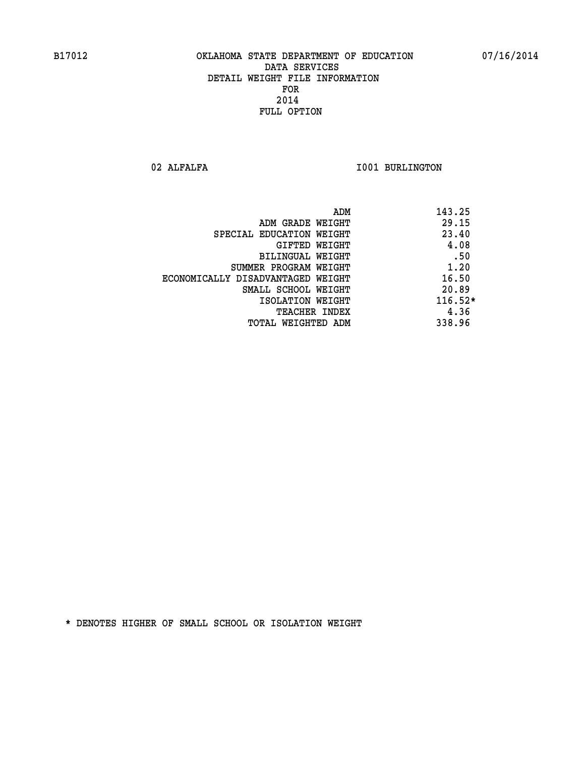02 ALFALFA **I001 BURLINGTON** 

|                                   | ADM | 143.25    |
|-----------------------------------|-----|-----------|
| ADM GRADE WEIGHT                  |     | 29.15     |
| SPECIAL EDUCATION WEIGHT          |     | 23.40     |
| GIFTED WEIGHT                     |     | 4.08      |
| BILINGUAL WEIGHT                  |     | .50       |
| SUMMER PROGRAM WEIGHT             |     | 1.20      |
| ECONOMICALLY DISADVANTAGED WEIGHT |     | 16.50     |
| SMALL SCHOOL WEIGHT               |     | 20.89     |
| ISOLATION WEIGHT                  |     | $116.52*$ |
| TEACHER INDEX                     |     | 4.36      |
| TOTAL WEIGHTED ADM                |     | 338.96    |
|                                   |     |           |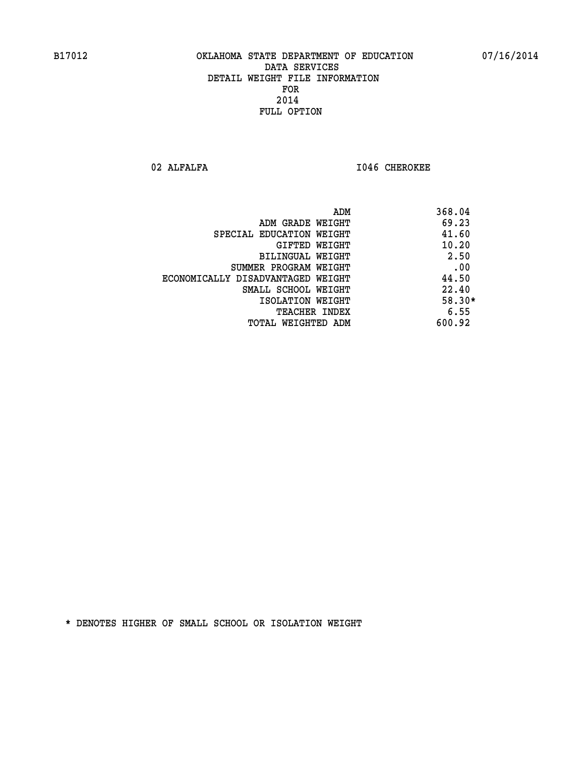02 ALFALFA **I046 CHEROKEE** 

|                                   | 368.04<br>ADM |
|-----------------------------------|---------------|
| ADM GRADE WEIGHT                  | 69.23         |
| SPECIAL EDUCATION WEIGHT          | 41.60         |
| GIFTED WEIGHT                     | 10.20         |
| <b>BILINGUAL WEIGHT</b>           | 2.50          |
| SUMMER PROGRAM WEIGHT             | .00           |
| ECONOMICALLY DISADVANTAGED WEIGHT | 44.50         |
| SMALL SCHOOL WEIGHT               | 22.40         |
| ISOLATION WEIGHT                  | $58.30*$      |
| <b>TEACHER INDEX</b>              | 6.55          |
| TOTAL WEIGHTED ADM                | 600.92        |
|                                   |               |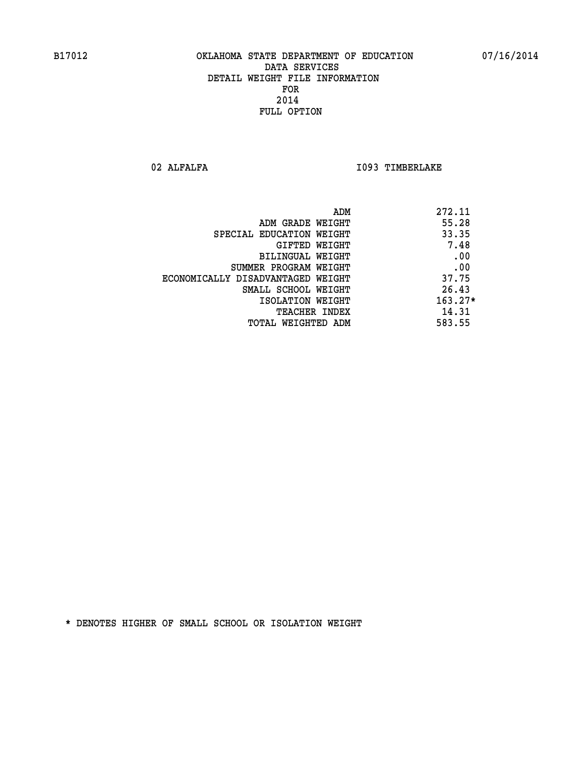02 ALFALFA **I093 TIMBERLAKE** 

| 272.11<br>ADM |                                   |
|---------------|-----------------------------------|
| 55.28         | ADM GRADE WEIGHT                  |
| 33.35         | SPECIAL EDUCATION WEIGHT          |
| 7.48          | GIFTED WEIGHT                     |
| .00           | <b>BILINGUAL WEIGHT</b>           |
| .00           | SUMMER PROGRAM WEIGHT             |
| 37.75         | ECONOMICALLY DISADVANTAGED WEIGHT |
| 26.43         | SMALL SCHOOL WEIGHT               |
| $163.27*$     | ISOLATION WEIGHT                  |
| 14.31         | <b>TEACHER INDEX</b>              |
| 583.55        | TOTAL WEIGHTED ADM                |
|               |                                   |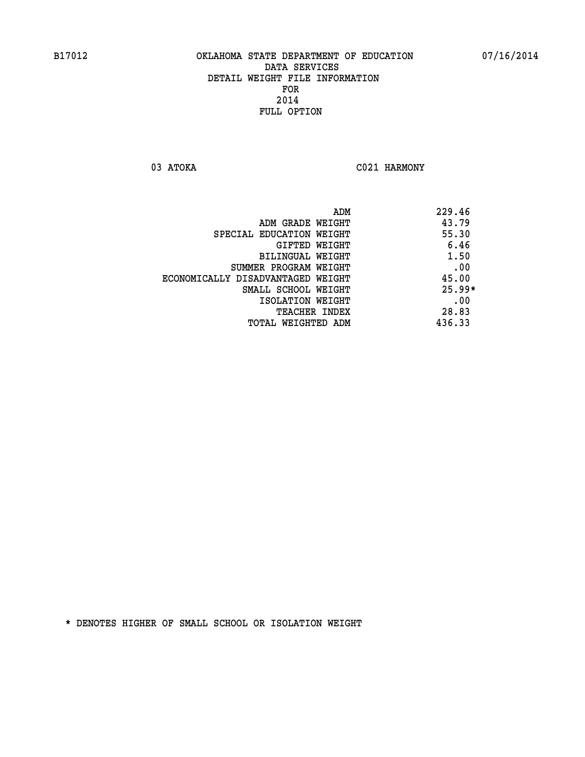03 ATOKA C021 HARMONY

|                                   | ADM | 229.46   |
|-----------------------------------|-----|----------|
| ADM GRADE WEIGHT                  |     | 43.79    |
| SPECIAL EDUCATION WEIGHT          |     | 55.30    |
| GIFTED WEIGHT                     |     | 6.46     |
| BILINGUAL WEIGHT                  |     | 1.50     |
| SUMMER PROGRAM WEIGHT             |     | .00      |
| ECONOMICALLY DISADVANTAGED WEIGHT |     | 45.00    |
| SMALL SCHOOL WEIGHT               |     | $25.99*$ |
| ISOLATION WEIGHT                  |     | .00      |
| TEACHER INDEX                     |     | 28.83    |
| TOTAL WEIGHTED ADM                |     | 436.33   |
|                                   |     |          |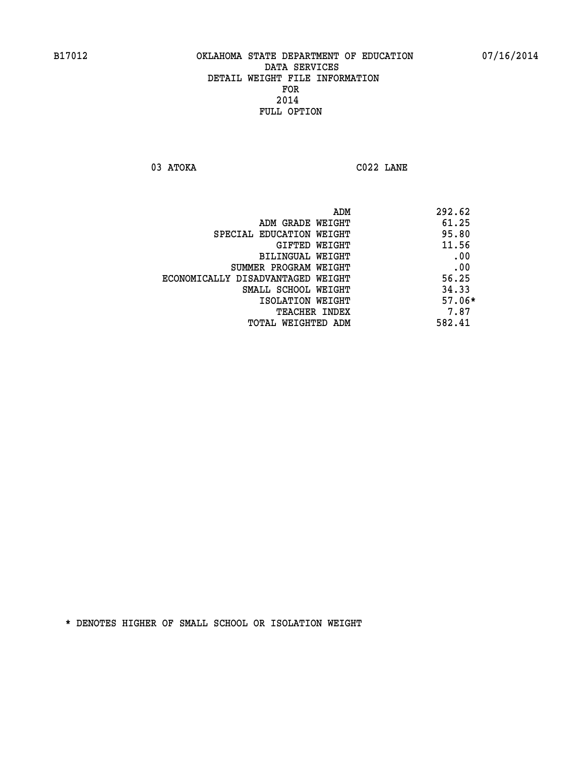**03 ATOKA C022 LANE** 

| ADM<br>292.62                 |                                   |
|-------------------------------|-----------------------------------|
| 61.25                         | ADM GRADE WEIGHT                  |
| 95.80                         | SPECIAL EDUCATION WEIGHT          |
| 11.56<br><b>GIFTED WEIGHT</b> |                                   |
| .00                           | BILINGUAL WEIGHT                  |
| .00                           | SUMMER PROGRAM WEIGHT             |
| 56.25                         | ECONOMICALLY DISADVANTAGED WEIGHT |
| 34.33                         | SMALL SCHOOL WEIGHT               |
| $57.06*$                      | ISOLATION WEIGHT                  |
| 7.87<br><b>TEACHER INDEX</b>  |                                   |
| 582.41                        | TOTAL WEIGHTED ADM                |
|                               |                                   |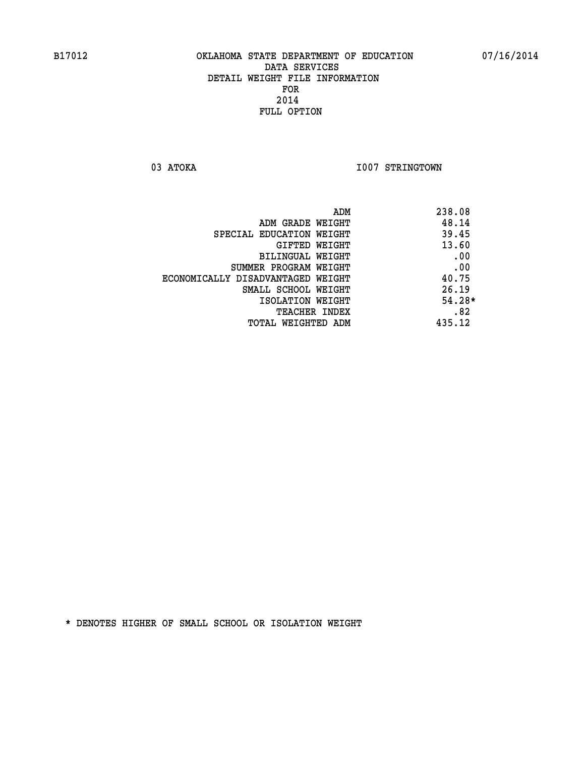03 ATOKA **I007 STRINGTOWN** 

|                                   | ADM | 238.08   |
|-----------------------------------|-----|----------|
| ADM GRADE WEIGHT                  |     | 48.14    |
| SPECIAL EDUCATION WEIGHT          |     | 39.45    |
| GIFTED WEIGHT                     |     | 13.60    |
| BILINGUAL WEIGHT                  |     | .00      |
| SUMMER PROGRAM WEIGHT             |     | .00      |
| ECONOMICALLY DISADVANTAGED WEIGHT |     | 40.75    |
| SMALL SCHOOL WEIGHT               |     | 26.19    |
| ISOLATION WEIGHT                  |     | $54.28*$ |
| TEACHER INDEX                     |     | .82      |
| TOTAL WEIGHTED ADM                |     | 435.12   |
|                                   |     |          |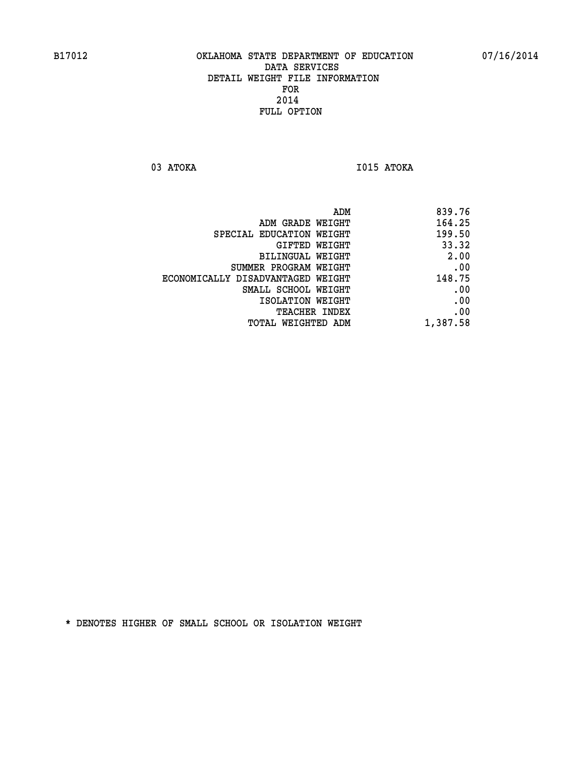**03 ATOKA I015 ATOKA** 

| ADM                               | 839.76   |
|-----------------------------------|----------|
| ADM GRADE WEIGHT                  | 164.25   |
| SPECIAL EDUCATION WEIGHT          | 199.50   |
| GIFTED WEIGHT                     | 33.32    |
| BILINGUAL WEIGHT                  | 2.00     |
| SUMMER PROGRAM WEIGHT             | .00      |
| ECONOMICALLY DISADVANTAGED WEIGHT | 148.75   |
| SMALL SCHOOL WEIGHT               | .00      |
| ISOLATION WEIGHT                  | .00      |
| TEACHER INDEX                     | .00      |
| TOTAL WEIGHTED ADM                | 1,387.58 |
|                                   |          |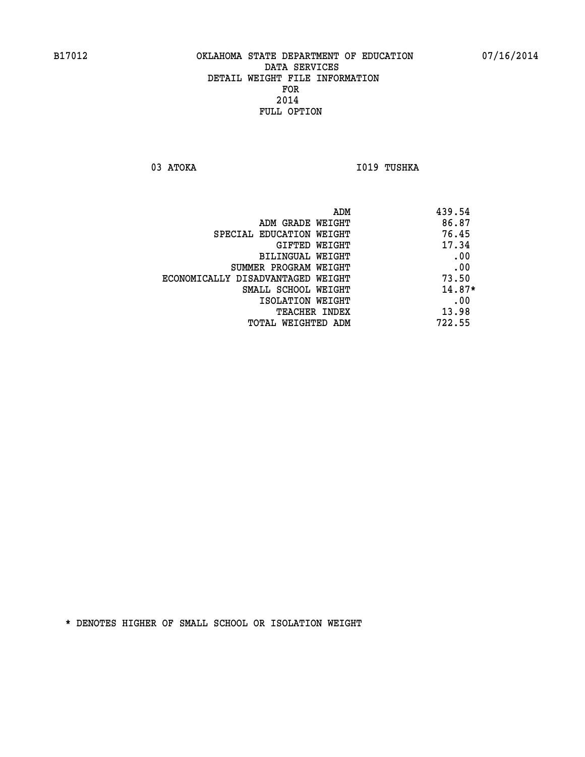03 ATOKA **I019 TUSHKA** 

|                                   | ADM | 439.54   |
|-----------------------------------|-----|----------|
| ADM GRADE WEIGHT                  |     | 86.87    |
| SPECIAL EDUCATION WEIGHT          |     | 76.45    |
| GIFTED WEIGHT                     |     | 17.34    |
| BILINGUAL WEIGHT                  |     | .00      |
| SUMMER PROGRAM WEIGHT             |     | .00      |
| ECONOMICALLY DISADVANTAGED WEIGHT |     | 73.50    |
| SMALL SCHOOL WEIGHT               |     | $14.87*$ |
| ISOLATION WEIGHT                  |     | .00      |
| TEACHER INDEX                     |     | 13.98    |
| TOTAL WEIGHTED ADM                |     | 722.55   |
|                                   |     |          |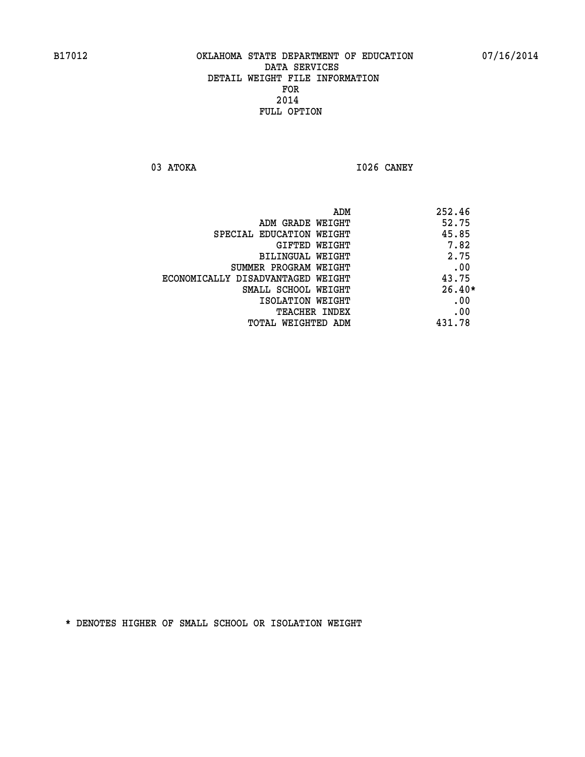**03 ATOKA I026 CANEY** 

|                                   | ADM | 252.46   |
|-----------------------------------|-----|----------|
| ADM GRADE WEIGHT                  |     | 52.75    |
| SPECIAL EDUCATION WEIGHT          |     | 45.85    |
| GIFTED WEIGHT                     |     | 7.82     |
| BILINGUAL WEIGHT                  |     | 2.75     |
| SUMMER PROGRAM WEIGHT             |     | .00      |
| ECONOMICALLY DISADVANTAGED WEIGHT |     | 43.75    |
| SMALL SCHOOL WEIGHT               |     | $26.40*$ |
| ISOLATION WEIGHT                  |     | .00      |
| <b>TEACHER INDEX</b>              |     | .00      |
| TOTAL WEIGHTED ADM                |     | 431.78   |
|                                   |     |          |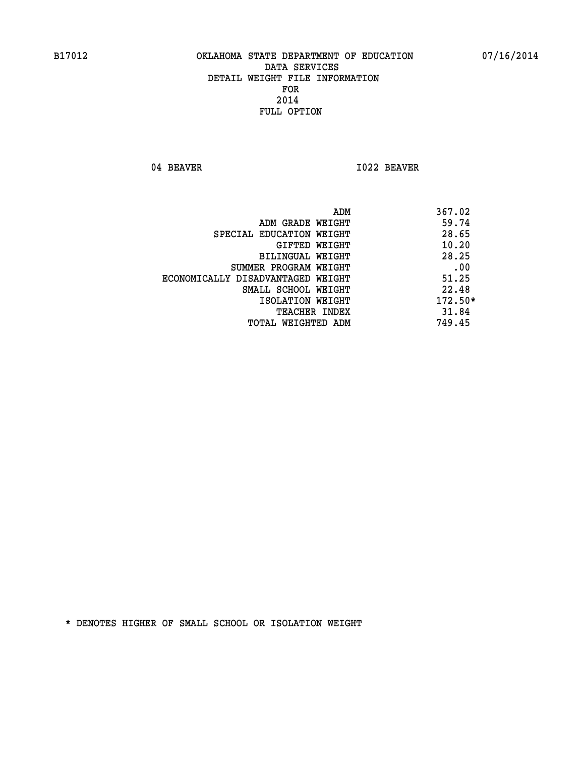04 BEAVER 1022 BEAVER

| ADM<br>367.02                              |  |
|--------------------------------------------|--|
| 59.74<br>ADM GRADE WEIGHT                  |  |
| 28.65<br>SPECIAL EDUCATION WEIGHT          |  |
| 10.20<br>GIFTED WEIGHT                     |  |
| 28.25<br><b>BILINGUAL WEIGHT</b>           |  |
| .00<br>SUMMER PROGRAM WEIGHT               |  |
| 51.25<br>ECONOMICALLY DISADVANTAGED WEIGHT |  |
| 22.48<br>SMALL SCHOOL WEIGHT               |  |
| $172.50*$<br>ISOLATION WEIGHT              |  |
| 31.84<br><b>TEACHER INDEX</b>              |  |
| 749.45<br>TOTAL WEIGHTED ADM               |  |
|                                            |  |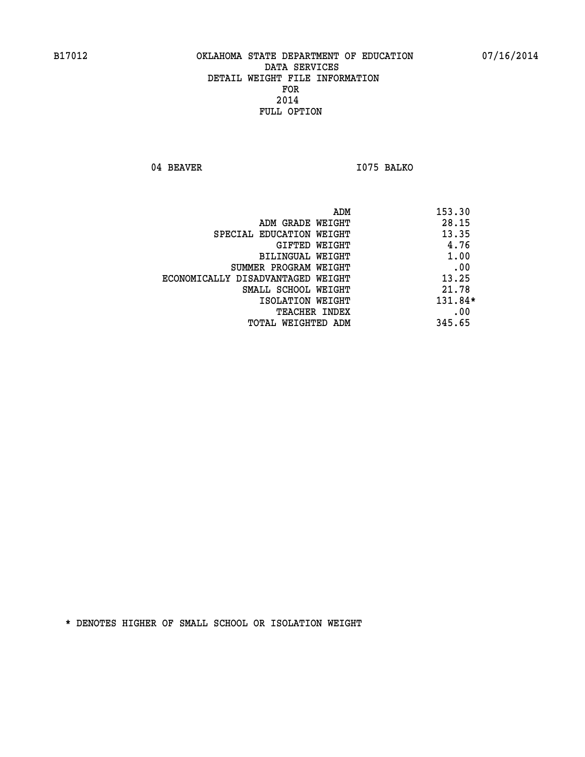04 BEAVER 1075 BALKO

|                                   | ADM<br>153.30 |
|-----------------------------------|---------------|
| ADM GRADE WEIGHT                  | 28.15         |
| SPECIAL EDUCATION WEIGHT          | 13.35         |
| GIFTED WEIGHT                     | 4.76          |
| BILINGUAL WEIGHT                  | 1.00          |
| SUMMER PROGRAM WEIGHT             | .00           |
| ECONOMICALLY DISADVANTAGED WEIGHT | 13.25         |
| SMALL SCHOOL WEIGHT               | 21.78         |
| ISOLATION WEIGHT                  | $131.84*$     |
| <b>TEACHER INDEX</b>              | .00           |
| TOTAL WEIGHTED ADM                | 345.65        |
|                                   |               |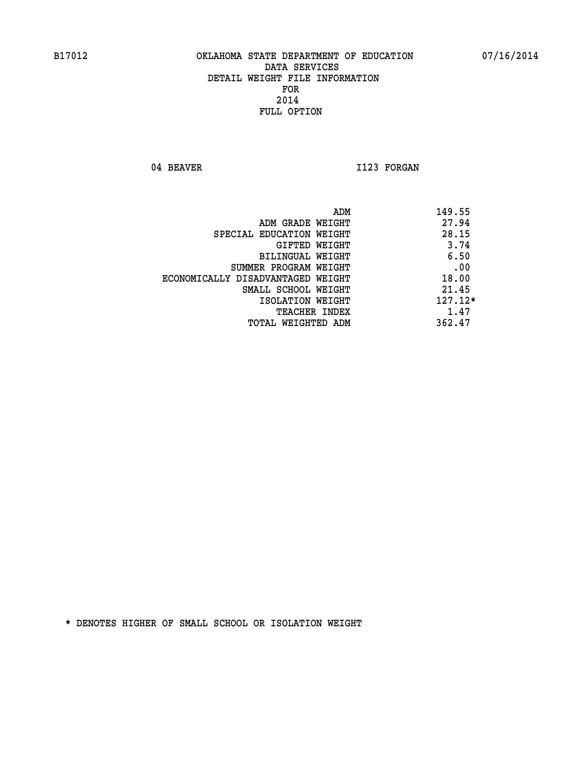04 BEAVER 1123 FORGAN

|                                   | ADM<br>149.55 |
|-----------------------------------|---------------|
| ADM GRADE WEIGHT                  | 27.94         |
| SPECIAL EDUCATION WEIGHT          | 28.15         |
| GIFTED WEIGHT                     | 3.74          |
| BILINGUAL WEIGHT                  | 6.50          |
| SUMMER PROGRAM WEIGHT             | .00           |
| ECONOMICALLY DISADVANTAGED WEIGHT | 18.00         |
| SMALL SCHOOL WEIGHT               | 21.45         |
| ISOLATION WEIGHT                  | $127.12*$     |
| TEACHER INDEX                     | 1.47          |
| TOTAL WEIGHTED ADM                | 362.47        |
|                                   |               |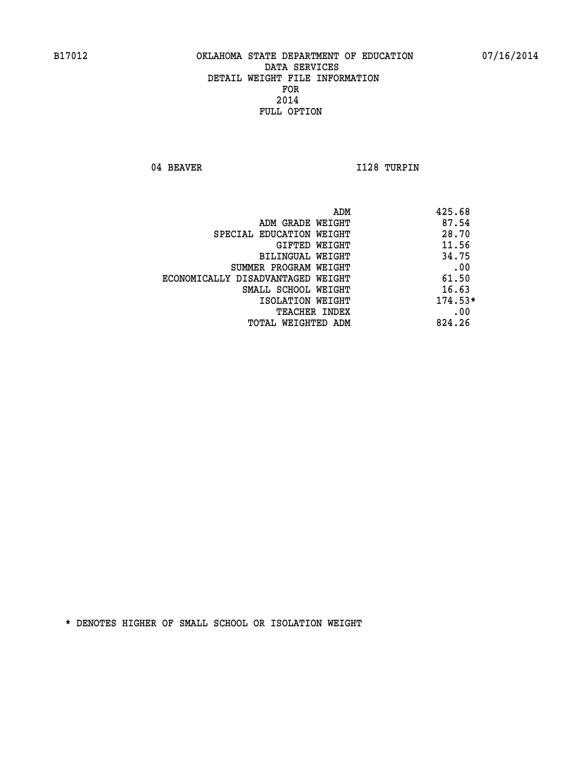04 BEAVER 1128 TURPIN

| 425.68<br>ADM                              |  |
|--------------------------------------------|--|
| 87.54<br>ADM GRADE WEIGHT                  |  |
| 28.70<br>SPECIAL EDUCATION WEIGHT          |  |
| 11.56<br>GIFTED WEIGHT                     |  |
| 34.75<br>BILINGUAL WEIGHT                  |  |
| .00<br>SUMMER PROGRAM WEIGHT               |  |
| 61.50<br>ECONOMICALLY DISADVANTAGED WEIGHT |  |
| 16.63<br>SMALL SCHOOL WEIGHT               |  |
| $174.53*$<br>ISOLATION WEIGHT              |  |
| .00<br>TEACHER INDEX                       |  |
| 824.26<br>TOTAL WEIGHTED ADM               |  |
|                                            |  |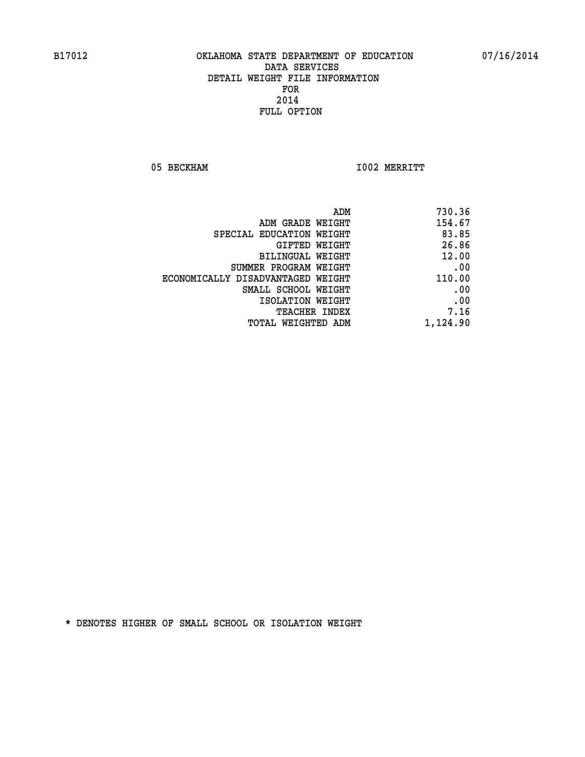05 BECKHAM 1002 MERRITT

| 730.36   |
|----------|
| 154.67   |
| 83.85    |
| 26.86    |
| 12.00    |
| .00      |
| 110.00   |
| .00      |
| .00      |
| 7.16     |
| 1,124.90 |
|          |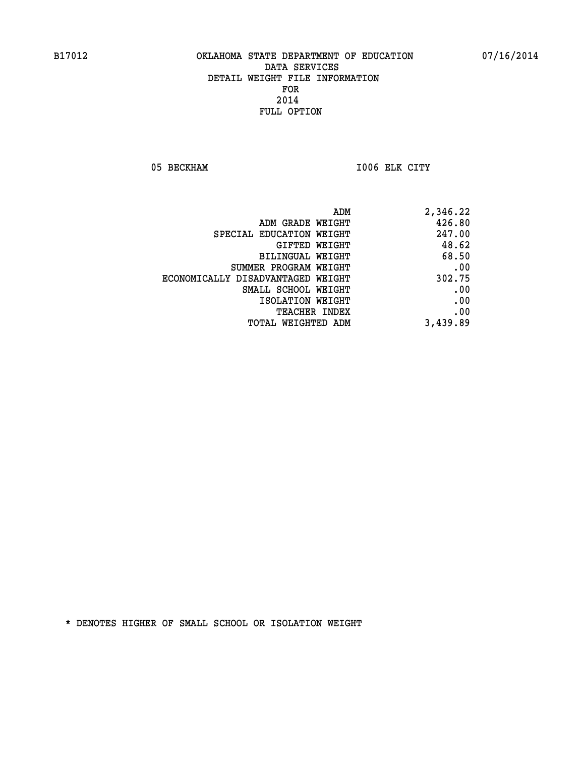05 BECKHAM 1006 ELK CITY

|                                   | ADM<br>2,346.22 |
|-----------------------------------|-----------------|
| ADM GRADE WEIGHT                  | 426.80          |
| SPECIAL EDUCATION WEIGHT          | 247.00          |
| GIFTED WEIGHT                     | 48.62           |
| BILINGUAL WEIGHT                  | 68.50           |
| SUMMER PROGRAM WEIGHT             | .00             |
| ECONOMICALLY DISADVANTAGED WEIGHT | 302.75          |
| SMALL SCHOOL WEIGHT               | .00             |
| ISOLATION WEIGHT                  | .00             |
| TEACHER INDEX                     | .00             |
| TOTAL WEIGHTED ADM                | 3,439.89        |
|                                   |                 |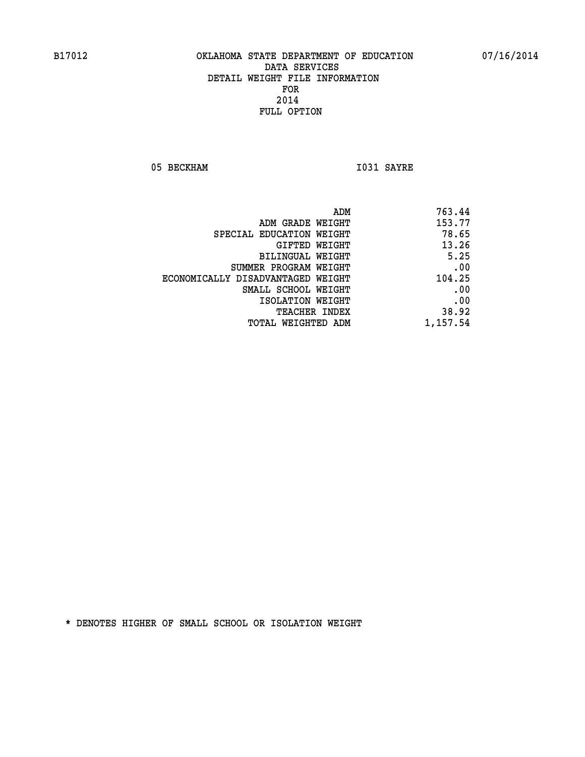05 BECKHAM 1031 SAYRE

| 763.44   |
|----------|
| 153.77   |
| 78.65    |
| 13.26    |
| 5.25     |
| .00      |
| 104.25   |
| .00      |
| .00      |
| 38.92    |
| 1,157.54 |
|          |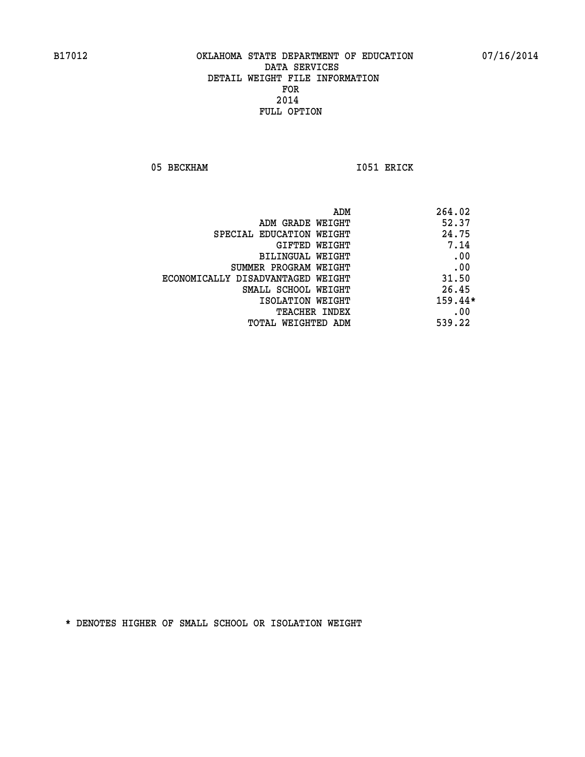05 BECKHAM 1051 ERICK

|                                   | ADM<br>264.02 |
|-----------------------------------|---------------|
| ADM GRADE WEIGHT                  | 52.37         |
| SPECIAL EDUCATION WEIGHT          | 24.75         |
| GIFTED WEIGHT                     | 7.14          |
| BILINGUAL WEIGHT                  | .00           |
| SUMMER PROGRAM WEIGHT             | .00           |
| ECONOMICALLY DISADVANTAGED WEIGHT | 31.50         |
| SMALL SCHOOL WEIGHT               | 26.45         |
| ISOLATION WEIGHT                  | $159.44*$     |
| TEACHER INDEX                     | .00           |
| TOTAL WEIGHTED ADM                | 539.22        |
|                                   |               |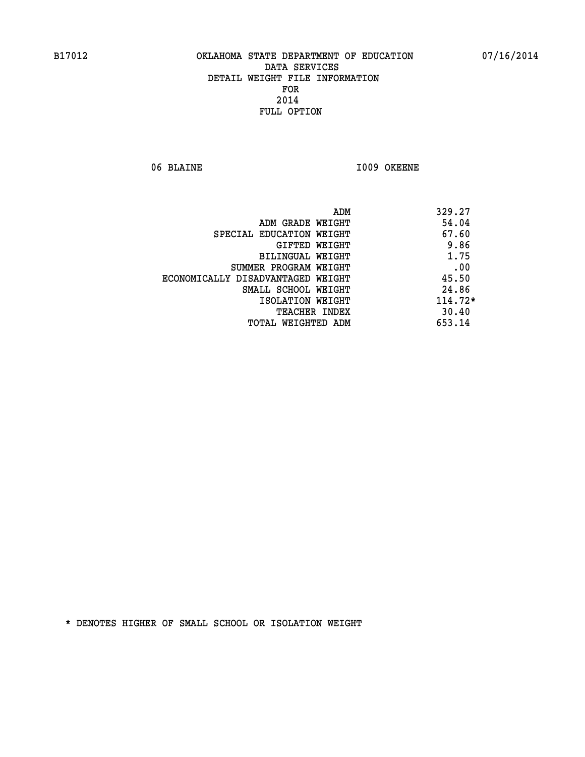06 BLAINE 1009 OKEENE

|                                   | ADM<br>329.27 |
|-----------------------------------|---------------|
| ADM GRADE WEIGHT                  | 54.04         |
| SPECIAL EDUCATION WEIGHT          | 67.60         |
| GIFTED WEIGHT                     | 9.86          |
| BILINGUAL WEIGHT                  | 1.75          |
| SUMMER PROGRAM WEIGHT             | .00           |
| ECONOMICALLY DISADVANTAGED WEIGHT | 45.50         |
| SMALL SCHOOL WEIGHT               | 24.86         |
| ISOLATION WEIGHT                  | $114.72*$     |
| <b>TEACHER INDEX</b>              | 30.40         |
| TOTAL WEIGHTED ADM                | 653.14        |
|                                   |               |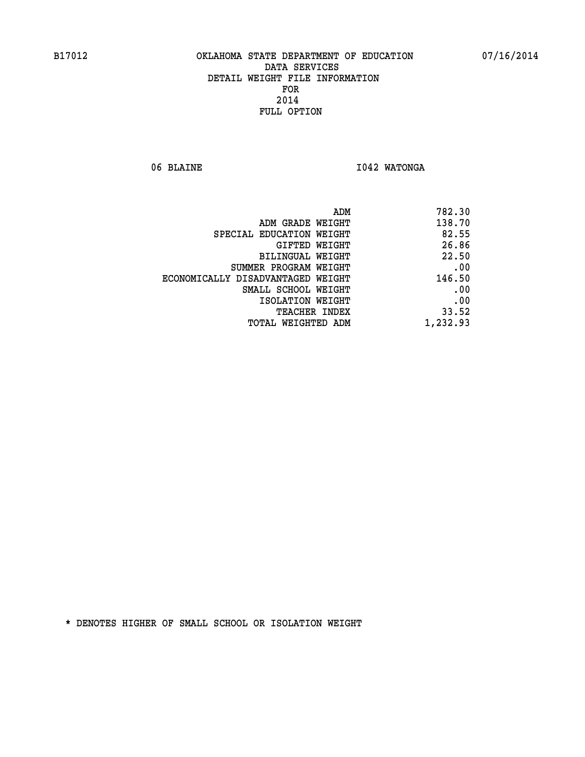06 BLAINE **I042 WATONGA** 

| 782.30   |
|----------|
| 138.70   |
| 82.55    |
| 26.86    |
| 22.50    |
| .00      |
| 146.50   |
| .00      |
| .00      |
| 33.52    |
| 1,232.93 |
|          |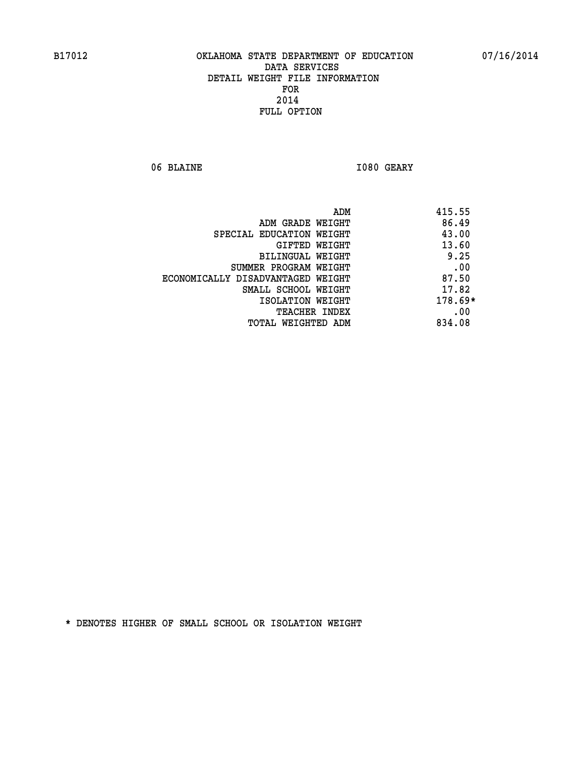06 BLAINE **I080 GEARY** 

|                                   | ADM | 415.55    |
|-----------------------------------|-----|-----------|
| ADM GRADE WEIGHT                  |     | 86.49     |
| SPECIAL EDUCATION WEIGHT          |     | 43.00     |
| GIFTED WEIGHT                     |     | 13.60     |
| BILINGUAL WEIGHT                  |     | 9.25      |
| SUMMER PROGRAM WEIGHT             |     | .00       |
| ECONOMICALLY DISADVANTAGED WEIGHT |     | 87.50     |
| SMALL SCHOOL WEIGHT               |     | 17.82     |
| ISOLATION WEIGHT                  |     | $178.69*$ |
| TEACHER INDEX                     |     | .00       |
| TOTAL WEIGHTED ADM                |     | 834.08    |
|                                   |     |           |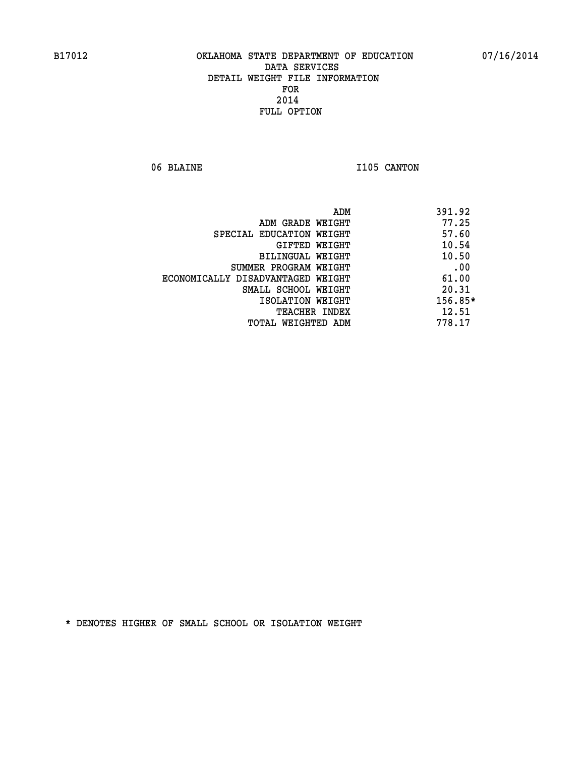06 BLAINE 1105 CANTON

|                                   | ADM | 391.92  |
|-----------------------------------|-----|---------|
| ADM GRADE WEIGHT                  |     | 77.25   |
| SPECIAL EDUCATION WEIGHT          |     | 57.60   |
| GIFTED WEIGHT                     |     | 10.54   |
| BILINGUAL WEIGHT                  |     | 10.50   |
| SUMMER PROGRAM WEIGHT             |     | .00     |
| ECONOMICALLY DISADVANTAGED WEIGHT |     | 61.00   |
| SMALL SCHOOL WEIGHT               |     | 20.31   |
| ISOLATION WEIGHT                  |     | 156.85* |
| TEACHER INDEX                     |     | 12.51   |
| TOTAL WEIGHTED ADM                |     | 778.17  |
|                                   |     |         |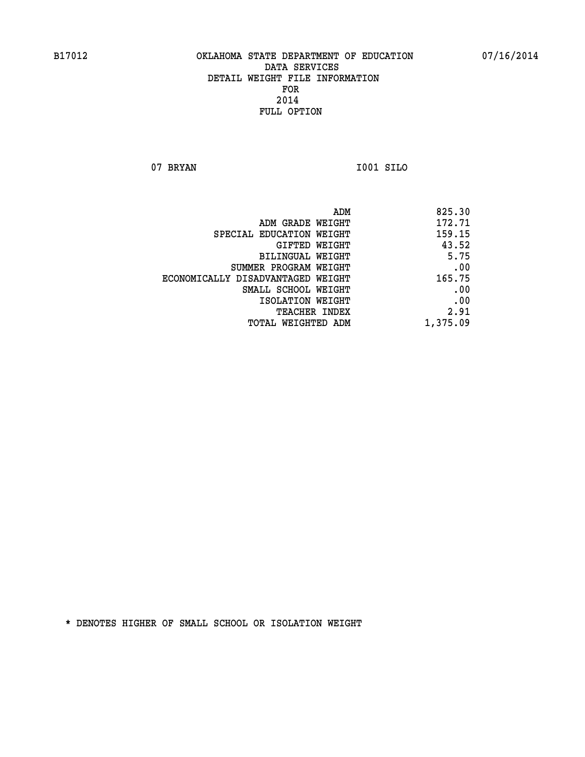**07 BRYAN I001 SILO** 

| 825.30   |
|----------|
| 172.71   |
| 159.15   |
| 43.52    |
| 5.75     |
| .00      |
| 165.75   |
| .00      |
| .00      |
| 2.91     |
| 1,375.09 |
|          |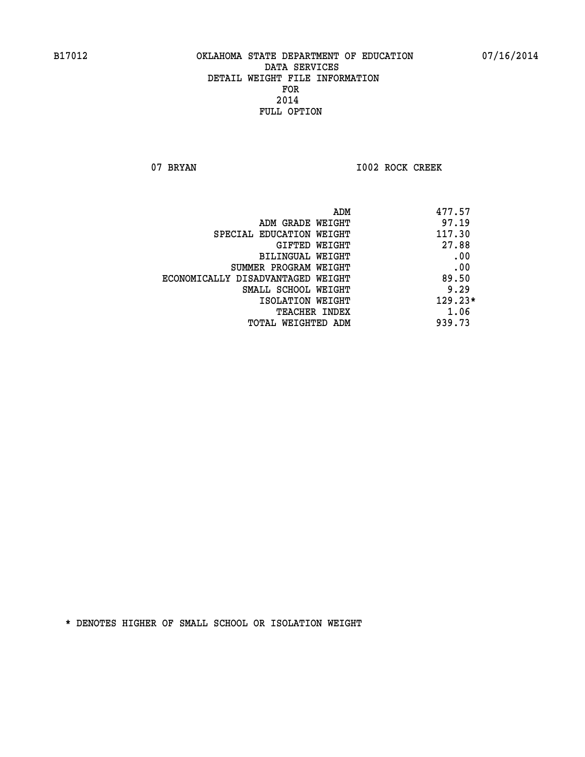07 BRYAN 1002 ROCK CREEK

| 477.57<br>ADM                              |     |
|--------------------------------------------|-----|
| 97.19<br>ADM GRADE WEIGHT                  |     |
| 117.30<br>SPECIAL EDUCATION WEIGHT         |     |
| 27.88<br>GIFTED WEIGHT                     |     |
| BILINGUAL WEIGHT                           | .00 |
| SUMMER PROGRAM WEIGHT                      | .00 |
| 89.50<br>ECONOMICALLY DISADVANTAGED WEIGHT |     |
| 9.29<br>SMALL SCHOOL WEIGHT                |     |
| $129.23*$<br>ISOLATION WEIGHT              |     |
| 1.06<br><b>TEACHER INDEX</b>               |     |
| 939.73<br>TOTAL WEIGHTED ADM               |     |
|                                            |     |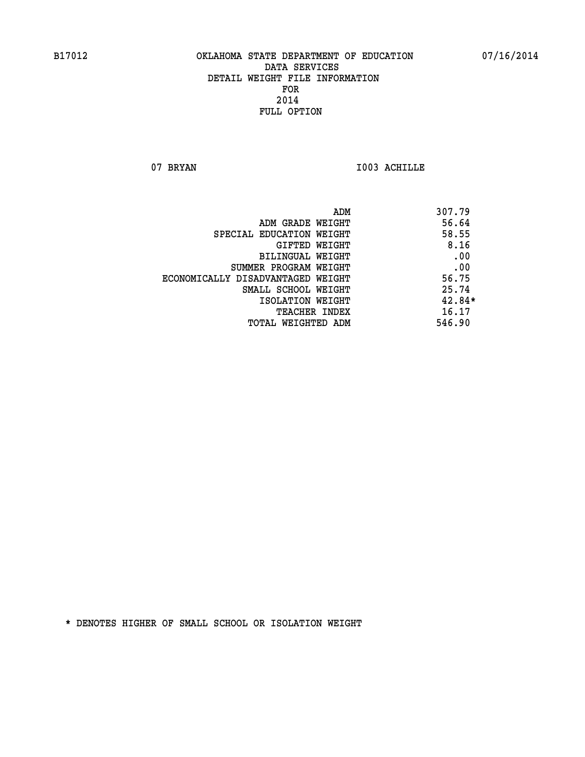07 BRYAN 1003 ACHILLE

|                                   | ADM<br>307.79 |
|-----------------------------------|---------------|
| ADM GRADE WEIGHT                  | 56.64         |
| SPECIAL EDUCATION WEIGHT          | 58.55         |
| GIFTED WEIGHT                     | 8.16          |
| BILINGUAL WEIGHT                  | .00           |
| SUMMER PROGRAM WEIGHT             | .00           |
| ECONOMICALLY DISADVANTAGED WEIGHT | 56.75         |
| SMALL SCHOOL WEIGHT               | 25.74         |
| ISOLATION WEIGHT                  | $42.84*$      |
| TEACHER INDEX                     | 16.17         |
| TOTAL WEIGHTED ADM                | 546.90        |
|                                   |               |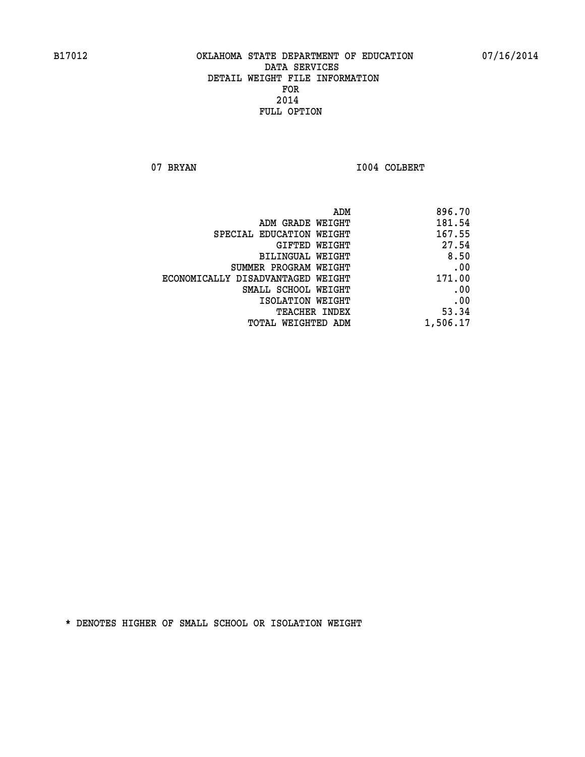07 BRYAN 1004 COLBERT

|                                   | ADM | 896.70   |
|-----------------------------------|-----|----------|
| ADM GRADE WEIGHT                  |     | 181.54   |
| SPECIAL EDUCATION WEIGHT          |     | 167.55   |
| GIFTED WEIGHT                     |     | 27.54    |
| BILINGUAL WEIGHT                  |     | 8.50     |
| SUMMER PROGRAM WEIGHT             |     | .00      |
| ECONOMICALLY DISADVANTAGED WEIGHT |     | 171.00   |
| SMALL SCHOOL WEIGHT               |     | .00      |
| ISOLATION WEIGHT                  |     | .00      |
| TEACHER INDEX                     |     | 53.34    |
| TOTAL WEIGHTED ADM                |     | 1,506.17 |
|                                   |     |          |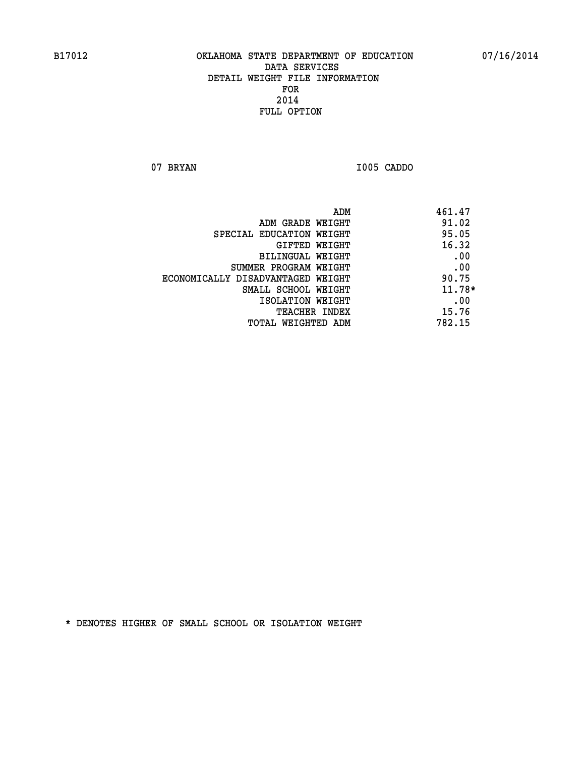**07 BRYAN I005 CADDO** 

|                                   | ADM | 461.47   |
|-----------------------------------|-----|----------|
| ADM GRADE WEIGHT                  |     | 91.02    |
| SPECIAL EDUCATION WEIGHT          |     | 95.05    |
| GIFTED WEIGHT                     |     | 16.32    |
| BILINGUAL WEIGHT                  |     | .00      |
| SUMMER PROGRAM WEIGHT             |     | .00      |
| ECONOMICALLY DISADVANTAGED WEIGHT |     | 90.75    |
| SMALL SCHOOL WEIGHT               |     | $11.78*$ |
| ISOLATION WEIGHT                  |     | .00      |
| TEACHER INDEX                     |     | 15.76    |
| TOTAL WEIGHTED ADM                |     | 782.15   |
|                                   |     |          |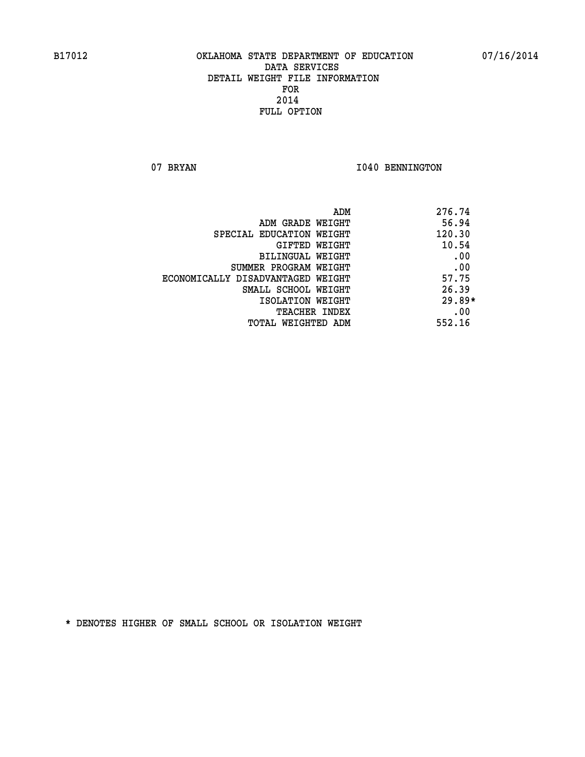07 BRYAN 1040 BENNINGTON

| ADM                               | 276.74   |
|-----------------------------------|----------|
| ADM GRADE WEIGHT                  | 56.94    |
| SPECIAL EDUCATION WEIGHT          | 120.30   |
| GIFTED WEIGHT                     | 10.54    |
| BILINGUAL WEIGHT                  | .00      |
| SUMMER PROGRAM WEIGHT             | .00      |
| ECONOMICALLY DISADVANTAGED WEIGHT | 57.75    |
| SMALL SCHOOL WEIGHT               | 26.39    |
| ISOLATION WEIGHT                  | $29.89*$ |
| <b>TEACHER INDEX</b>              | .00      |
| TOTAL WEIGHTED ADM                | 552.16   |
|                                   |          |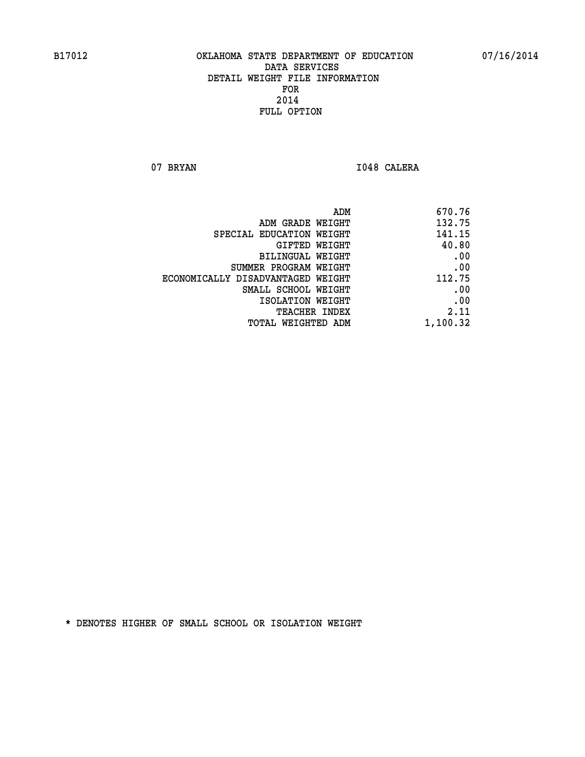07 BRYAN 1048 CALERA

| ADM<br>670.76                               |  |
|---------------------------------------------|--|
| 132.75<br>ADM GRADE WEIGHT                  |  |
| 141.15<br>SPECIAL EDUCATION WEIGHT          |  |
| 40.80<br>GIFTED WEIGHT                      |  |
| .00<br>BILINGUAL WEIGHT                     |  |
| .00<br>SUMMER PROGRAM WEIGHT                |  |
| 112.75<br>ECONOMICALLY DISADVANTAGED WEIGHT |  |
| .00<br>SMALL SCHOOL WEIGHT                  |  |
| .00<br>ISOLATION WEIGHT                     |  |
| 2.11<br>TEACHER INDEX                       |  |
| 1,100.32<br>TOTAL WEIGHTED ADM              |  |
|                                             |  |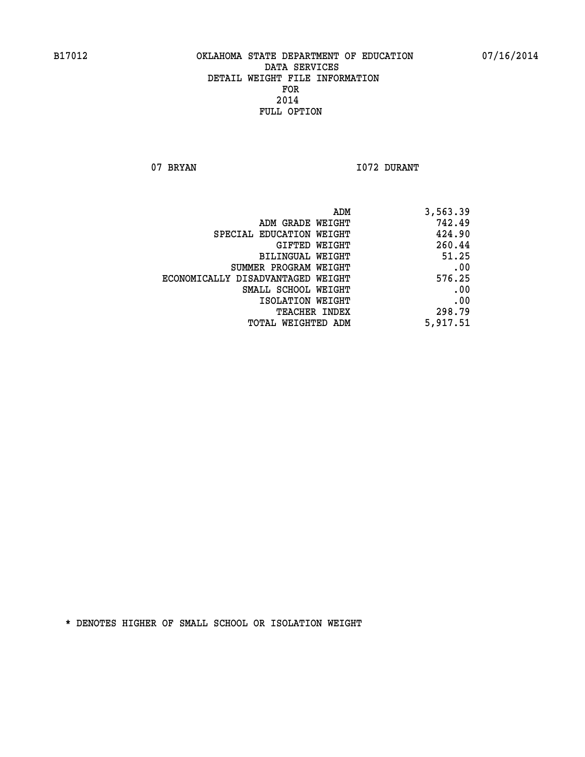07 BRYAN 1072 DURANT

| ADM                               | 3,563.39 |
|-----------------------------------|----------|
| ADM GRADE WEIGHT                  | 742.49   |
| SPECIAL EDUCATION WEIGHT          | 424.90   |
| GIFTED WEIGHT                     | 260.44   |
| BILINGUAL WEIGHT                  | 51.25    |
| SUMMER PROGRAM WEIGHT             | .00      |
| ECONOMICALLY DISADVANTAGED WEIGHT | 576.25   |
| SMALL SCHOOL WEIGHT               | .00      |
| ISOLATION WEIGHT                  | .00      |
| <b>TEACHER INDEX</b>              | 298.79   |
| TOTAL WEIGHTED ADM                | 5,917.51 |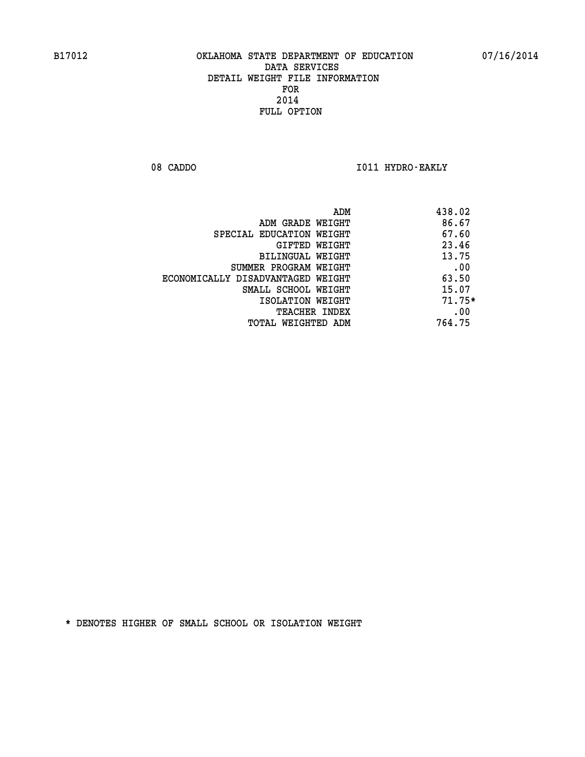08 CADDO **I011 HYDRO-EAKLY** 

|                                   | 438.02<br>ADM |  |
|-----------------------------------|---------------|--|
| ADM GRADE WEIGHT                  | 86.67         |  |
| SPECIAL EDUCATION WEIGHT          | 67.60         |  |
| GIFTED WEIGHT                     | 23.46         |  |
| BILINGUAL WEIGHT                  | 13.75         |  |
| SUMMER PROGRAM WEIGHT             | .00           |  |
| ECONOMICALLY DISADVANTAGED WEIGHT | 63.50         |  |
| SMALL SCHOOL WEIGHT               | 15.07         |  |
| ISOLATION WEIGHT                  | $71.75*$      |  |
| <b>TEACHER INDEX</b>              | .00           |  |
| TOTAL WEIGHTED ADM                | 764.75        |  |
|                                   |               |  |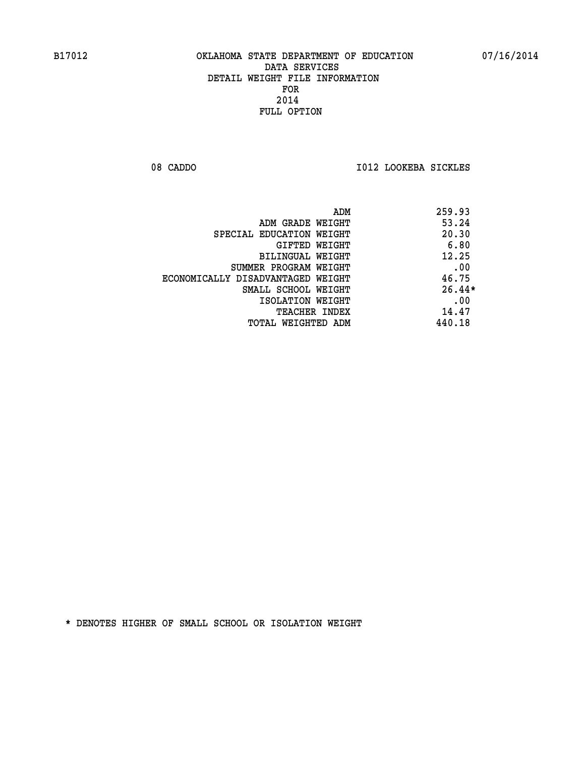08 CADDO **I012 LOOKEBA SICKLES** 

|                                   | ADM<br>259.93 |
|-----------------------------------|---------------|
| ADM GRADE WEIGHT                  | 53.24         |
| SPECIAL EDUCATION WEIGHT          | 20.30         |
| <b>GIFTED WEIGHT</b>              | 6.80          |
| BILINGUAL WEIGHT                  | 12.25         |
| SUMMER PROGRAM WEIGHT             | .00           |
| ECONOMICALLY DISADVANTAGED WEIGHT | 46.75         |
| SMALL SCHOOL WEIGHT               | $26.44*$      |
| ISOLATION WEIGHT                  | .00           |
| <b>TEACHER INDEX</b>              | 14.47         |
| TOTAL WEIGHTED ADM                | 440.18        |
|                                   |               |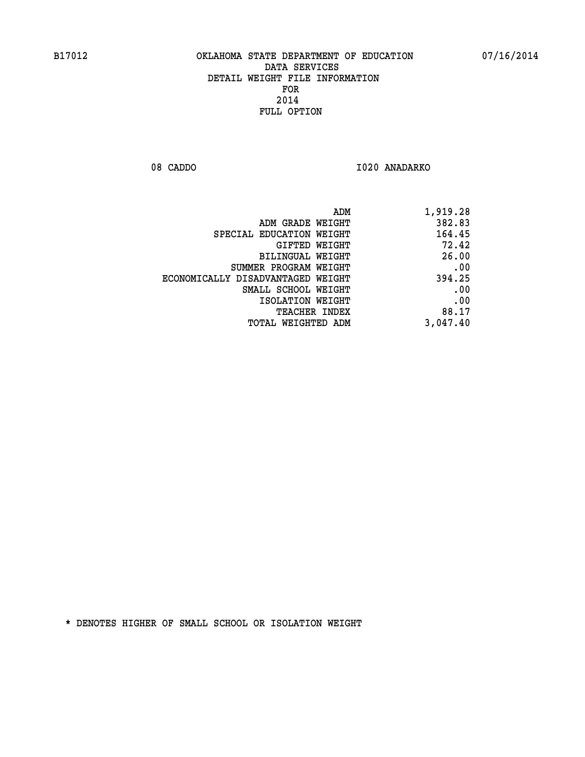08 CADDO 1020 ANADARKO

| 1,919.28 |
|----------|
| 382.83   |
| 164.45   |
| 72.42    |
| 26.00    |
| .00      |
| 394.25   |
| .00      |
| .00      |
| 88.17    |
| 3,047.40 |
|          |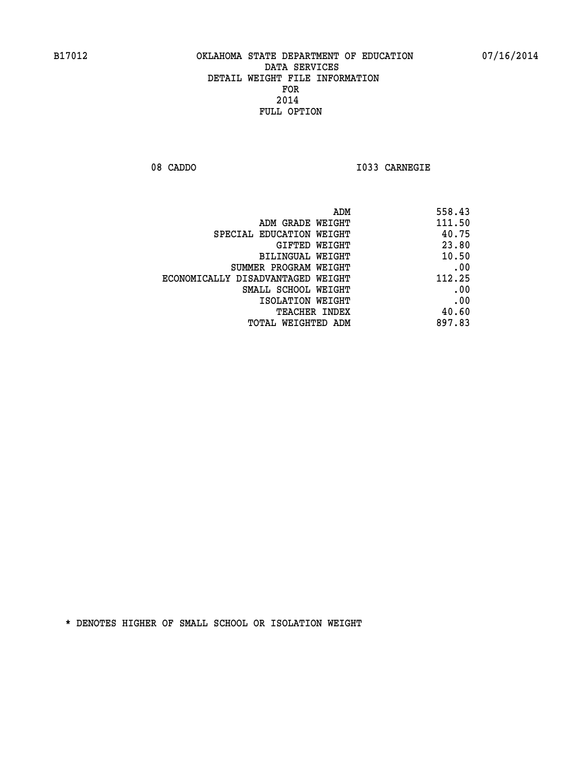**08 CADDO I033 CARNEGIE** 

| 558.43 |
|--------|
| 111.50 |
| 40.75  |
| 23.80  |
| 10.50  |
| .00    |
| 112.25 |
| .00    |
| .00    |
| 40.60  |
| 897.83 |
|        |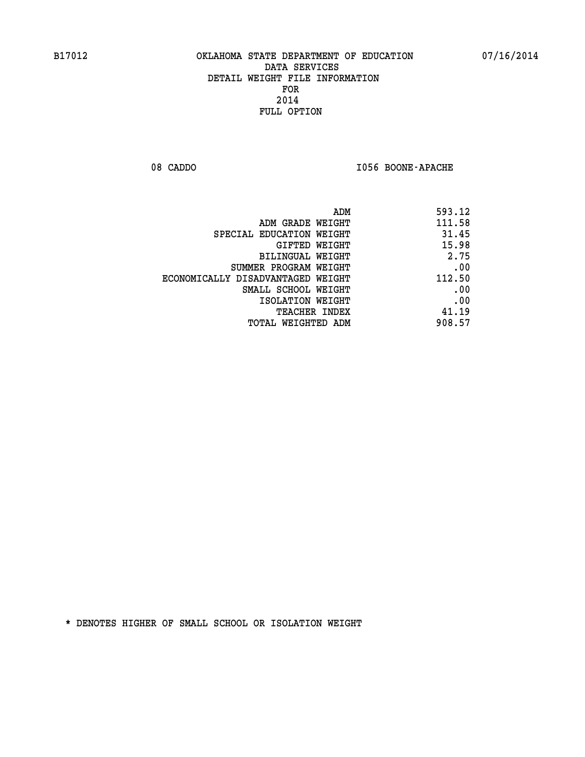08 CADDO **I056 BOONE-APACHE** 

| 593.12 |
|--------|
| 111.58 |
| 31.45  |
| 15.98  |
| 2.75   |
| .00    |
| 112.50 |
| .00    |
| .00    |
| 41.19  |
| 908.57 |
|        |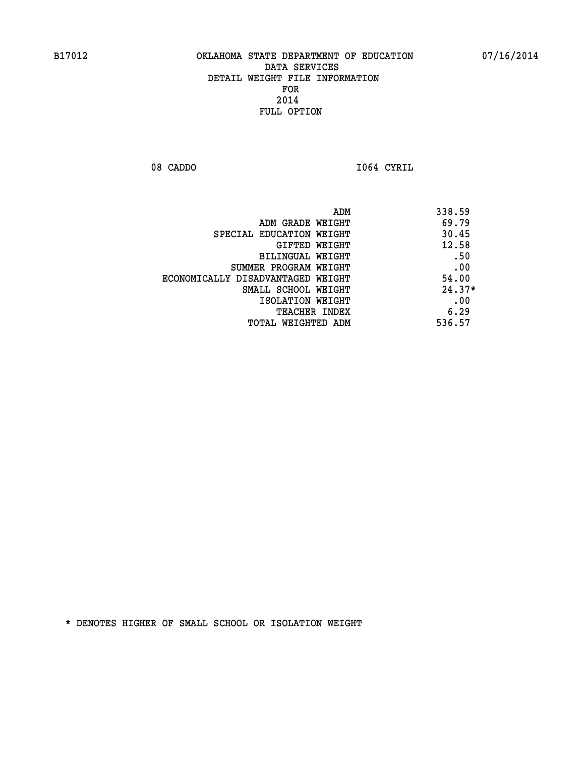**08 CADDO I064 CYRIL** 

| ADM                               | 338.59   |
|-----------------------------------|----------|
| ADM GRADE WEIGHT                  | 69.79    |
| SPECIAL EDUCATION WEIGHT          | 30.45    |
| GIFTED WEIGHT                     | 12.58    |
| BILINGUAL WEIGHT                  | .50      |
| SUMMER PROGRAM WEIGHT             | .00      |
| ECONOMICALLY DISADVANTAGED WEIGHT | 54.00    |
| SMALL SCHOOL WEIGHT               | $24.37*$ |
| ISOLATION WEIGHT                  | .00      |
| <b>TEACHER INDEX</b>              | 6.29     |
| TOTAL WEIGHTED ADM                | 536.57   |
|                                   |          |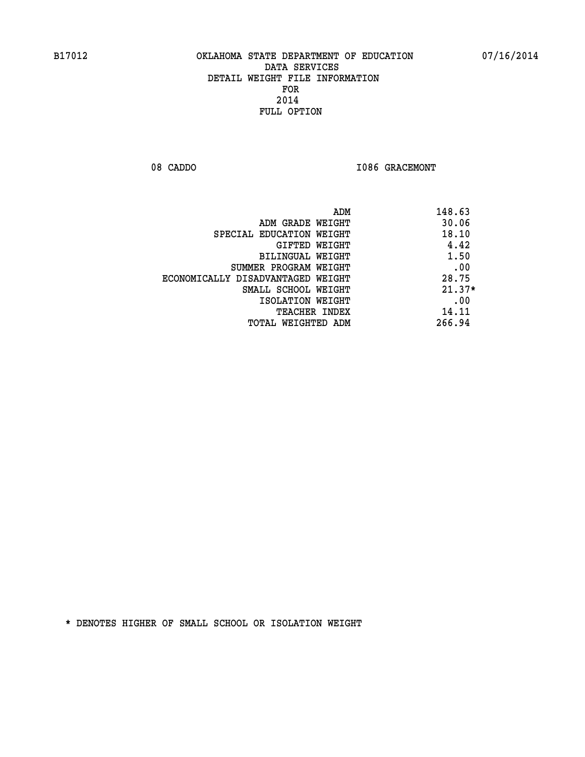08 CADDO **I086 GRACEMONT** 

| ADM                               | 148.63   |
|-----------------------------------|----------|
| ADM GRADE WEIGHT                  | 30.06    |
| SPECIAL EDUCATION WEIGHT          | 18.10    |
| GIFTED WEIGHT                     | 4.42     |
| BILINGUAL WEIGHT                  | 1.50     |
| SUMMER PROGRAM WEIGHT             | .00      |
| ECONOMICALLY DISADVANTAGED WEIGHT | 28.75    |
| SMALL SCHOOL WEIGHT               | $21.37*$ |
| ISOLATION WEIGHT                  | .00      |
| <b>TEACHER INDEX</b>              | 14.11    |
| TOTAL WEIGHTED ADM                | 266.94   |
|                                   |          |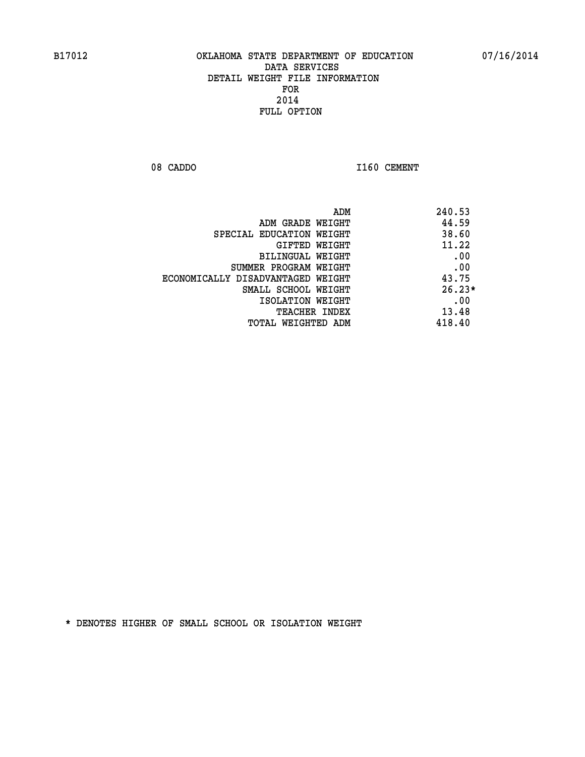08 CADDO 1160 CEMENT

| ADM                               | 240.53   |
|-----------------------------------|----------|
| ADM GRADE WEIGHT                  | 44.59    |
| SPECIAL EDUCATION WEIGHT          | 38.60    |
| GIFTED WEIGHT                     | 11.22    |
| BILINGUAL WEIGHT                  | .00      |
| SUMMER PROGRAM WEIGHT             | .00      |
| ECONOMICALLY DISADVANTAGED WEIGHT | 43.75    |
| SMALL SCHOOL WEIGHT               | $26.23*$ |
| ISOLATION WEIGHT                  | .00      |
| <b>TEACHER INDEX</b>              | 13.48    |
| TOTAL WEIGHTED ADM                | 418.40   |
|                                   |          |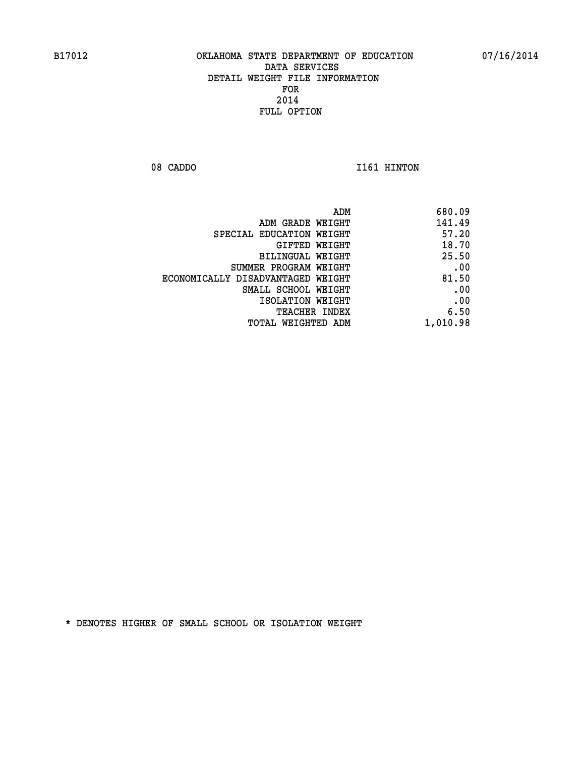08 CADDO 1161 HINTON

| 680.09   |
|----------|
| 141.49   |
| 57.20    |
| 18.70    |
| 25.50    |
| .00      |
| 81.50    |
| .00      |
| .00      |
| 6.50     |
| 1,010.98 |
|          |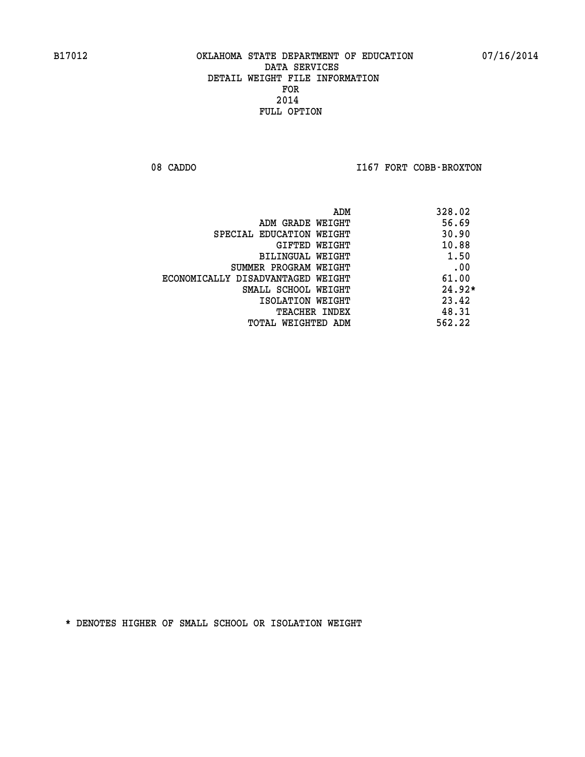08 CADDO **I167 FORT COBB-BROXTON** 

| ADM                               | 328.02   |
|-----------------------------------|----------|
| ADM GRADE WEIGHT                  | 56.69    |
| SPECIAL EDUCATION WEIGHT          | 30.90    |
| GIFTED WEIGHT                     | 10.88    |
| <b>BILINGUAL WEIGHT</b>           | 1.50     |
| SUMMER PROGRAM WEIGHT             | .00      |
| ECONOMICALLY DISADVANTAGED WEIGHT | 61.00    |
| SMALL SCHOOL WEIGHT               | $24.92*$ |
| ISOLATION WEIGHT                  | 23.42    |
| <b>TEACHER INDEX</b>              | 48.31    |
| TOTAL WEIGHTED ADM                | 562.22   |
|                                   |          |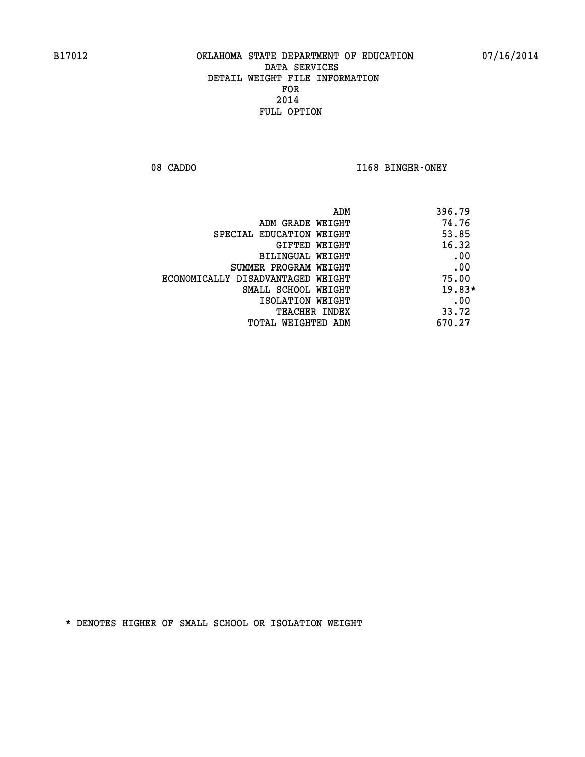08 CADDO **I168 BINGER-ONEY** 

| ADM                               | 396.79   |
|-----------------------------------|----------|
| ADM GRADE WEIGHT                  | 74.76    |
| SPECIAL EDUCATION WEIGHT          | 53.85    |
| GIFTED WEIGHT                     | 16.32    |
| BILINGUAL WEIGHT                  | .00      |
| SUMMER PROGRAM WEIGHT             | .00      |
| ECONOMICALLY DISADVANTAGED WEIGHT | 75.00    |
| SMALL SCHOOL WEIGHT               | $19.83*$ |
| ISOLATION WEIGHT                  | .00      |
| <b>TEACHER INDEX</b>              | 33.72    |
| TOTAL WEIGHTED ADM                | 670.27   |
|                                   |          |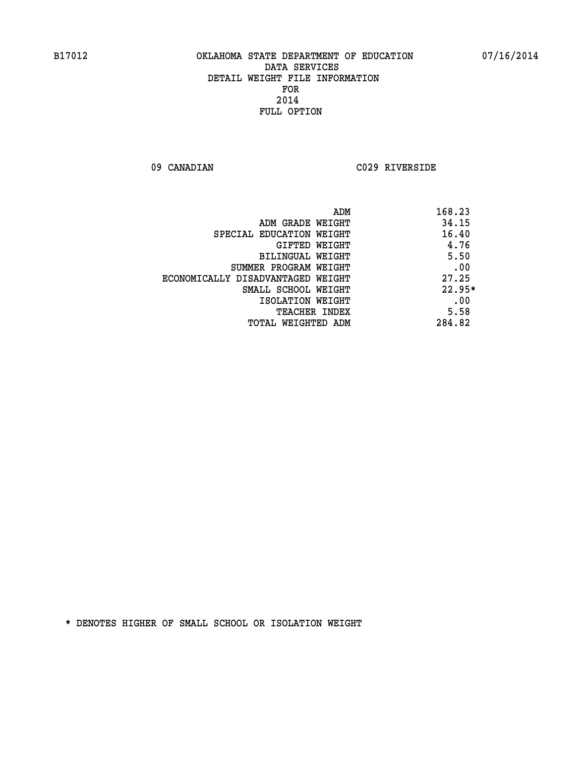**09 CANADIAN C029 RIVERSIDE** 

| ADM                               | 168.23   |
|-----------------------------------|----------|
| ADM GRADE WEIGHT                  | 34.15    |
| SPECIAL EDUCATION WEIGHT          | 16.40    |
| GIFTED WEIGHT                     | 4.76     |
| BILINGUAL WEIGHT                  | 5.50     |
| SUMMER PROGRAM WEIGHT             | .00      |
| ECONOMICALLY DISADVANTAGED WEIGHT | 27.25    |
| SMALL SCHOOL WEIGHT               | $22.95*$ |
| ISOLATION WEIGHT                  | .00      |
| <b>TEACHER INDEX</b>              | 5.58     |
| TOTAL WEIGHTED ADM                | 284.82   |
|                                   |          |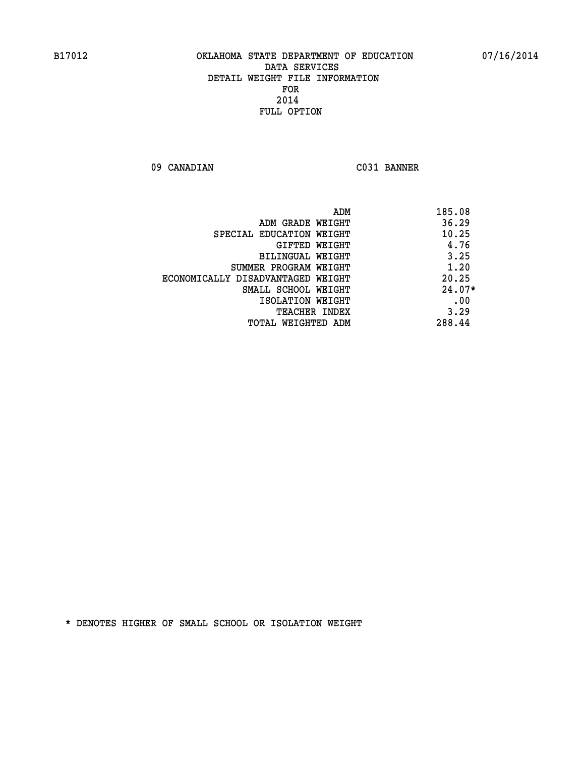**09 CANADIAN C031 BANNER** 

| ADM                               | 185.08   |
|-----------------------------------|----------|
| ADM GRADE WEIGHT                  | 36.29    |
| SPECIAL EDUCATION WEIGHT          | 10.25    |
| GIFTED WEIGHT                     | 4.76     |
| <b>BILINGUAL WEIGHT</b>           | 3.25     |
| SUMMER PROGRAM WEIGHT             | 1.20     |
| ECONOMICALLY DISADVANTAGED WEIGHT | 20.25    |
| SMALL SCHOOL WEIGHT               | $24.07*$ |
| ISOLATION WEIGHT                  | .00      |
| <b>TEACHER INDEX</b>              | 3.29     |
| TOTAL WEIGHTED ADM                | 288.44   |
|                                   |          |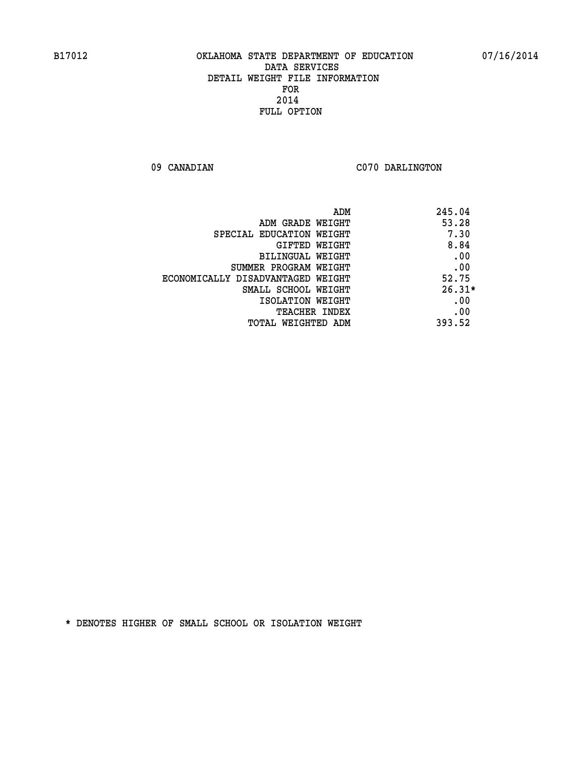09 CANADIAN C070 DARLINGTON

| ADM                               | 245.04   |
|-----------------------------------|----------|
| ADM GRADE WEIGHT                  | 53.28    |
| SPECIAL EDUCATION WEIGHT          | 7.30     |
| <b>GIFTED WEIGHT</b>              | 8.84     |
| BILINGUAL WEIGHT                  | .00      |
| SUMMER PROGRAM WEIGHT             | .00      |
| ECONOMICALLY DISADVANTAGED WEIGHT | 52.75    |
| SMALL SCHOOL WEIGHT               | $26.31*$ |
| ISOLATION WEIGHT                  | .00      |
| <b>TEACHER INDEX</b>              | .00      |
| TOTAL WEIGHTED ADM                | 393.52   |
|                                   |          |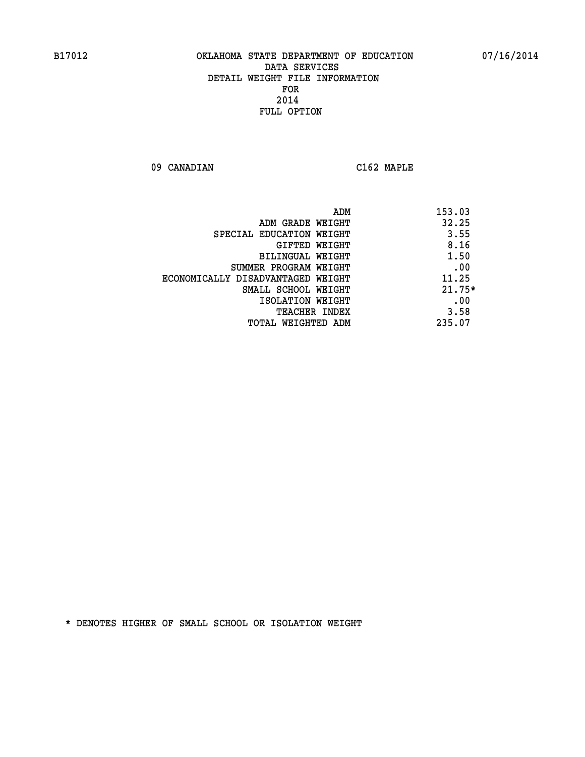**09 CANADIAN C162 MAPLE** 

|                                   | 153.03<br>ADM |
|-----------------------------------|---------------|
| ADM GRADE WEIGHT                  | 32.25         |
| SPECIAL EDUCATION WEIGHT          | 3.55          |
| GIFTED WEIGHT                     | 8.16          |
| BILINGUAL WEIGHT                  | 1.50          |
| SUMMER PROGRAM WEIGHT             | .00           |
| ECONOMICALLY DISADVANTAGED WEIGHT | 11.25         |
| SMALL SCHOOL WEIGHT               | $21.75*$      |
| ISOLATION WEIGHT                  | .00           |
| <b>TEACHER INDEX</b>              | 3.58          |
| TOTAL WEIGHTED ADM                | 235.07        |
|                                   |               |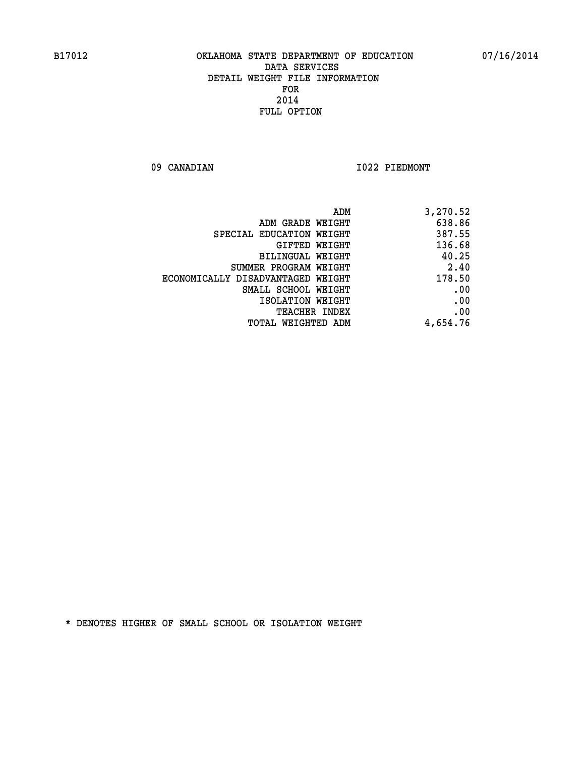09 CANADIAN 1022 PIEDMONT

| ADM                               | 3,270.52 |
|-----------------------------------|----------|
| ADM GRADE WEIGHT                  | 638.86   |
| SPECIAL EDUCATION WEIGHT          | 387.55   |
| <b>GIFTED WEIGHT</b>              | 136.68   |
| <b>BILINGUAL WEIGHT</b>           | 40.25    |
| SUMMER PROGRAM WEIGHT             | 2.40     |
| ECONOMICALLY DISADVANTAGED WEIGHT | 178.50   |
| SMALL SCHOOL WEIGHT               | .00      |
| ISOLATION WEIGHT                  | .00      |
| TEACHER INDEX                     | .00      |
| TOTAL WEIGHTED ADM                | 4,654.76 |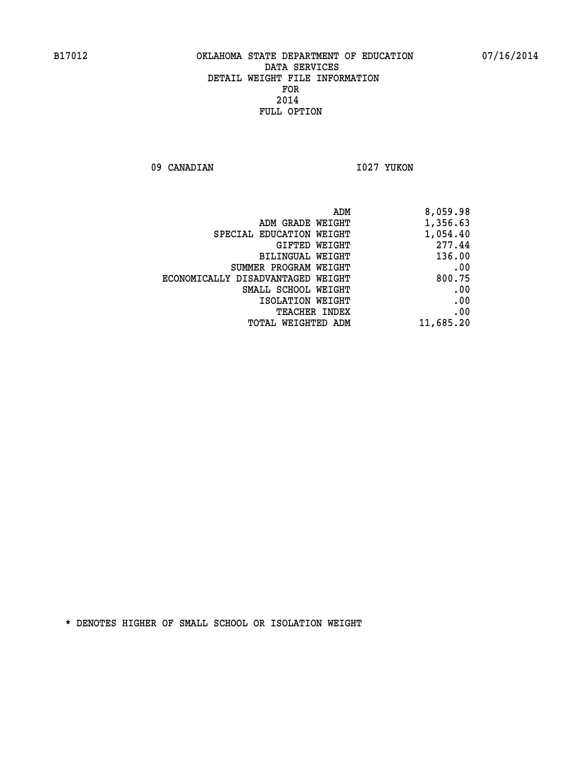09 CANADIAN 1027 YUKON

| ADM                               | 8,059.98  |
|-----------------------------------|-----------|
| ADM GRADE WEIGHT                  | 1,356.63  |
| SPECIAL EDUCATION WEIGHT          | 1,054.40  |
| GIFTED WEIGHT                     | 277.44    |
| BILINGUAL WEIGHT                  | 136.00    |
| SUMMER PROGRAM WEIGHT             | .00       |
| ECONOMICALLY DISADVANTAGED WEIGHT | 800.75    |
| SMALL SCHOOL WEIGHT               | .00       |
| ISOLATION WEIGHT                  | .00       |
| <b>TEACHER INDEX</b>              | .00       |
| <b>TOTAL WEIGHTED ADM</b>         | 11,685.20 |
|                                   |           |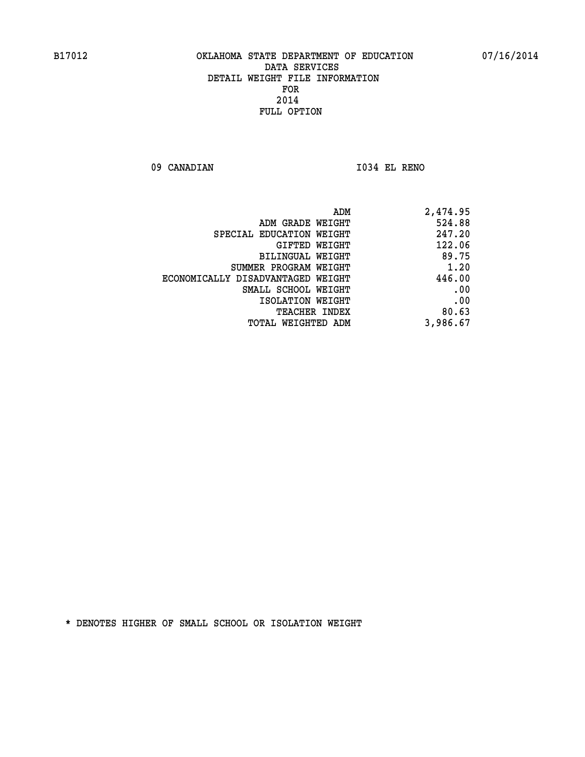**09 CANADIAN I034 EL RENO** 

| 2,474.95 |
|----------|
| 524.88   |
| 247.20   |
| 122.06   |
| 89.75    |
| 1.20     |
| 446.00   |
| .00      |
| .00      |
| 80.63    |
| 3,986.67 |
|          |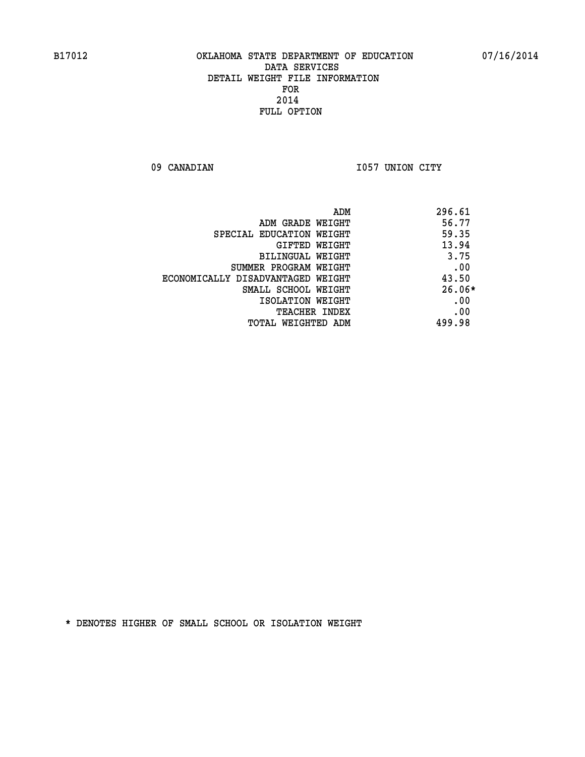09 CANADIAN 1057 UNION CITY

| ADM                               | 296.61   |
|-----------------------------------|----------|
| ADM GRADE WEIGHT                  | 56.77    |
| SPECIAL EDUCATION WEIGHT          | 59.35    |
| GIFTED WEIGHT                     | 13.94    |
| BILINGUAL WEIGHT                  | 3.75     |
| SUMMER PROGRAM WEIGHT             | .00      |
| ECONOMICALLY DISADVANTAGED WEIGHT | 43.50    |
| SMALL SCHOOL WEIGHT               | $26.06*$ |
| ISOLATION WEIGHT                  | .00      |
| <b>TEACHER INDEX</b>              | .00      |
| TOTAL WEIGHTED ADM                | 499.98   |
|                                   |          |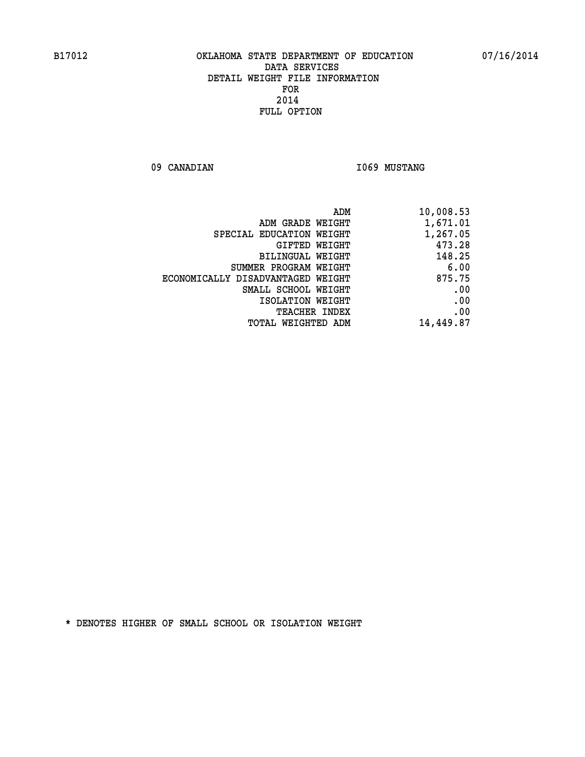09 CANADIAN 1069 MUSTANG

|                                   | ADM<br>10,008.53 |
|-----------------------------------|------------------|
| ADM GRADE WEIGHT                  | 1,671.01         |
| SPECIAL EDUCATION WEIGHT          | 1,267.05         |
| GIFTED WEIGHT                     | 473.28           |
| BILINGUAL WEIGHT                  | 148.25           |
| SUMMER PROGRAM WEIGHT             | 6.00             |
| ECONOMICALLY DISADVANTAGED WEIGHT | 875.75           |
| SMALL SCHOOL WEIGHT               | .00              |
| ISOLATION WEIGHT                  | .00              |
| <b>TEACHER INDEX</b>              | .00              |
| TOTAL WEIGHTED ADM                | 14,449.87        |
|                                   |                  |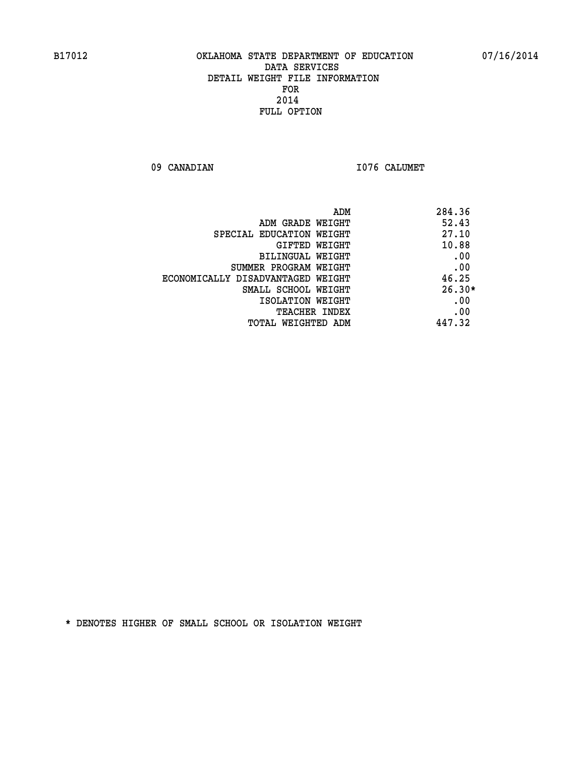09 CANADIAN 1076 CALUMET

| ADM                               | 284.36   |
|-----------------------------------|----------|
| ADM GRADE WEIGHT                  | 52.43    |
| SPECIAL EDUCATION WEIGHT          | 27.10    |
| GIFTED WEIGHT                     | 10.88    |
| BILINGUAL WEIGHT                  | .00      |
| SUMMER PROGRAM WEIGHT             | .00      |
| ECONOMICALLY DISADVANTAGED WEIGHT | 46.25    |
| SMALL SCHOOL WEIGHT               | $26.30*$ |
| ISOLATION WEIGHT                  | .00      |
| <b>TEACHER INDEX</b>              | .00      |
| TOTAL WEIGHTED ADM                | 447.32   |
|                                   |          |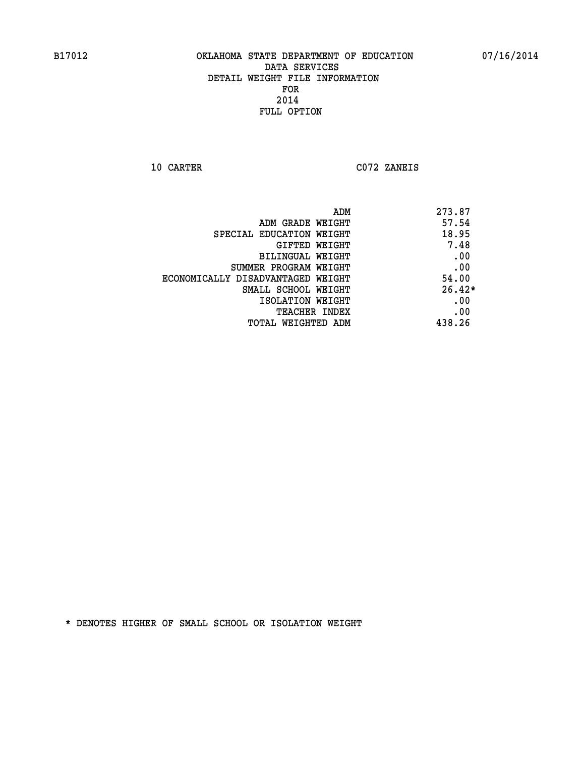**10 CARTER C072 ZANEIS** 

|                                   | 273.87<br>ADM |          |
|-----------------------------------|---------------|----------|
| ADM GRADE WEIGHT                  | 57.54         |          |
| SPECIAL EDUCATION WEIGHT          | 18.95         |          |
| GIFTED WEIGHT                     |               | 7.48     |
| BILINGUAL WEIGHT                  |               | .00      |
| SUMMER PROGRAM WEIGHT             |               | .00      |
| ECONOMICALLY DISADVANTAGED WEIGHT |               | 54.00    |
| SMALL SCHOOL WEIGHT               |               | $26.42*$ |
| ISOLATION WEIGHT                  |               | .00      |
| TEACHER INDEX                     |               | .00      |
| TOTAL WEIGHTED ADM                | 438.26        |          |
|                                   |               |          |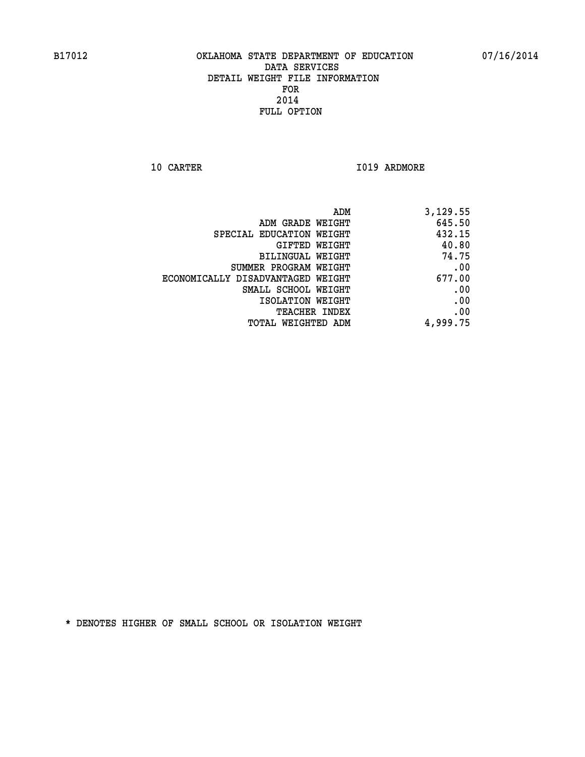**10 CARTER 1019 ARDMORE** 

|                                   | ADM<br>3,129.55 |
|-----------------------------------|-----------------|
| ADM GRADE WEIGHT                  | 645.50          |
| SPECIAL EDUCATION WEIGHT          | 432.15          |
| GIFTED WEIGHT                     | 40.80           |
| <b>BILINGUAL WEIGHT</b>           | 74.75           |
| SUMMER PROGRAM WEIGHT             | .00             |
| ECONOMICALLY DISADVANTAGED WEIGHT | 677.00          |
| SMALL SCHOOL WEIGHT               | .00             |
| ISOLATION WEIGHT                  | .00             |
| TEACHER INDEX                     | .00             |
| TOTAL WEIGHTED ADM                | 4,999.75        |
|                                   |                 |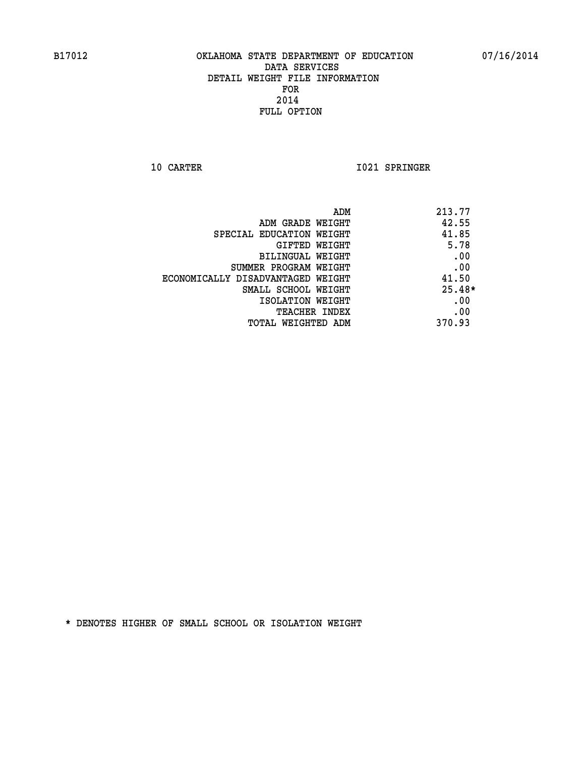**10 CARTER 1021 SPRINGER** 

|                                   | ADM<br>213.77 |
|-----------------------------------|---------------|
| ADM GRADE WEIGHT                  | 42.55         |
| SPECIAL EDUCATION WEIGHT          | 41.85         |
| GIFTED WEIGHT                     | 5.78          |
| BILINGUAL WEIGHT                  | .00           |
| SUMMER PROGRAM WEIGHT             | .00           |
| ECONOMICALLY DISADVANTAGED WEIGHT | 41.50         |
| SMALL SCHOOL WEIGHT               | $25.48*$      |
| ISOLATION WEIGHT                  | .00           |
| <b>TEACHER INDEX</b>              | .00           |
| TOTAL WEIGHTED ADM                | 370.93        |
|                                   |               |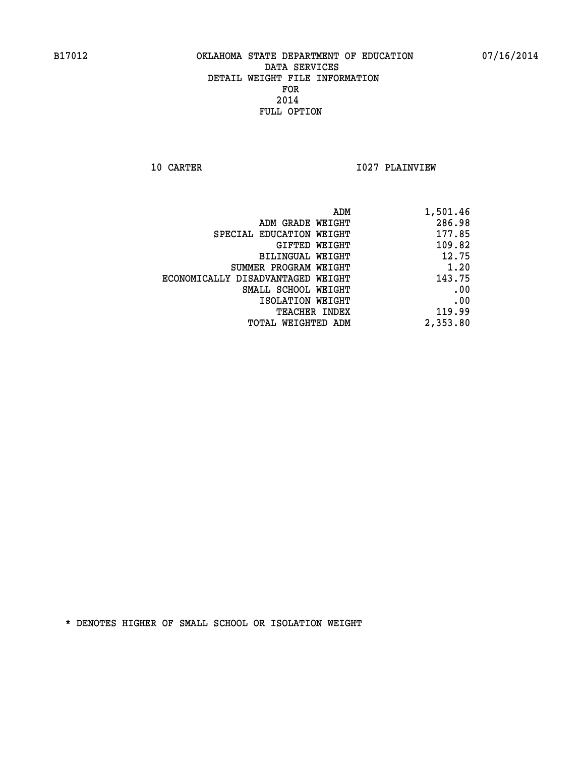**10 CARTER 1027 PLAINVIEW** 

| ADM                               | 1,501.46 |
|-----------------------------------|----------|
| ADM GRADE WEIGHT                  | 286.98   |
| SPECIAL EDUCATION WEIGHT          | 177.85   |
| GIFTED WEIGHT                     | 109.82   |
| BILINGUAL WEIGHT                  | 12.75    |
| SUMMER PROGRAM WEIGHT             | 1.20     |
| ECONOMICALLY DISADVANTAGED WEIGHT | 143.75   |
| SMALL SCHOOL WEIGHT               | .00      |
| ISOLATION WEIGHT                  | .00      |
| TEACHER INDEX                     | 119.99   |
| TOTAL WEIGHTED ADM                | 2,353.80 |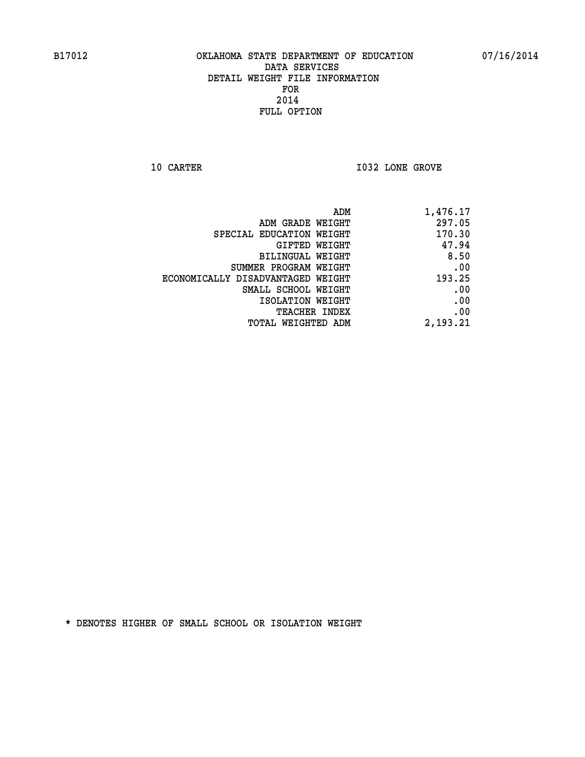**10 CARTER 10 CARTER 1032 LONE GROVE** 

|                                   | 1,476.17<br>ADM |
|-----------------------------------|-----------------|
| ADM GRADE WEIGHT                  | 297.05          |
| SPECIAL EDUCATION WEIGHT          | 170.30          |
| <b>GIFTED WEIGHT</b>              | 47.94           |
| BILINGUAL WEIGHT                  | 8.50            |
| SUMMER PROGRAM WEIGHT             | .00             |
| ECONOMICALLY DISADVANTAGED WEIGHT | 193.25          |
| SMALL SCHOOL WEIGHT               | .00             |
| ISOLATION WEIGHT                  | .00             |
| <b>TEACHER INDEX</b>              | .00             |
| <b>TOTAL WEIGHTED ADM</b>         | 2,193.21        |
|                                   |                 |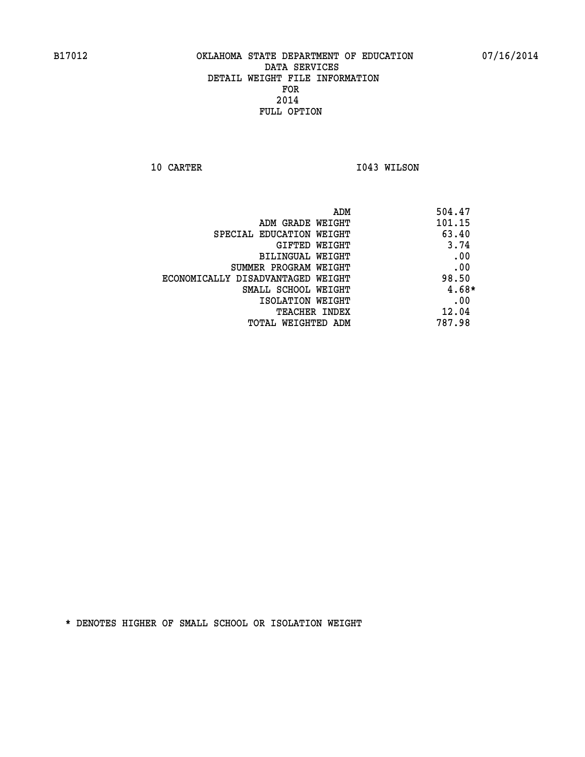**10 CARTER 1043 WILSON** 

|                                   | 504.47<br>ADM |  |
|-----------------------------------|---------------|--|
| ADM GRADE WEIGHT                  | 101.15        |  |
| SPECIAL EDUCATION WEIGHT          | 63.40         |  |
| GIFTED WEIGHT                     | 3.74          |  |
| BILINGUAL WEIGHT                  | .00           |  |
| SUMMER PROGRAM WEIGHT             | .00           |  |
| ECONOMICALLY DISADVANTAGED WEIGHT | 98.50         |  |
| SMALL SCHOOL WEIGHT               | $4.68*$       |  |
| ISOLATION WEIGHT                  | .00           |  |
| TEACHER INDEX                     | 12.04         |  |
| TOTAL WEIGHTED ADM                | 787.98        |  |
|                                   |               |  |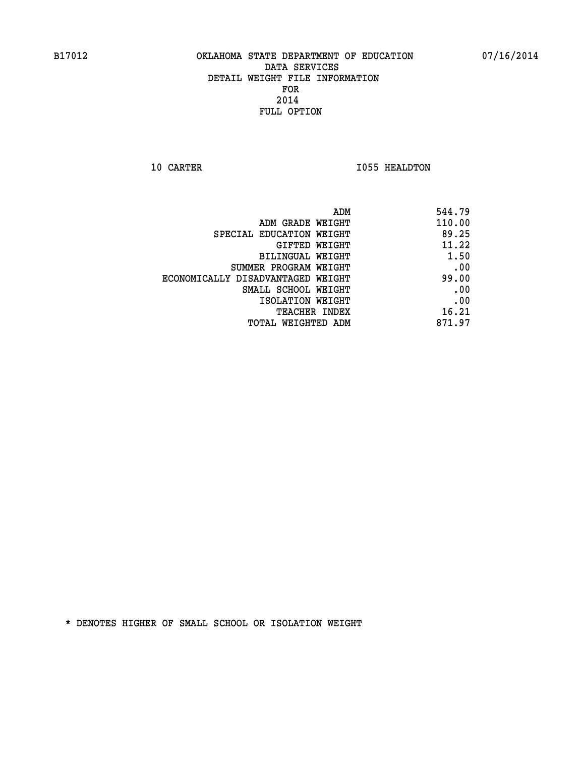**10 CARTER 1055 HEALDTON** 

|                                   | ADM<br>544.79 |      |
|-----------------------------------|---------------|------|
| ADM GRADE WEIGHT                  | 110.00        |      |
| SPECIAL EDUCATION WEIGHT          | 89.25         |      |
| GIFTED WEIGHT                     | 11.22         |      |
| BILINGUAL WEIGHT                  |               | 1.50 |
| SUMMER PROGRAM WEIGHT             |               | .00  |
| ECONOMICALLY DISADVANTAGED WEIGHT | 99.00         |      |
| SMALL SCHOOL WEIGHT               |               | .00  |
| ISOLATION WEIGHT                  |               | .00  |
| TEACHER INDEX                     | 16.21         |      |
| TOTAL WEIGHTED ADM                | 871.97        |      |
|                                   |               |      |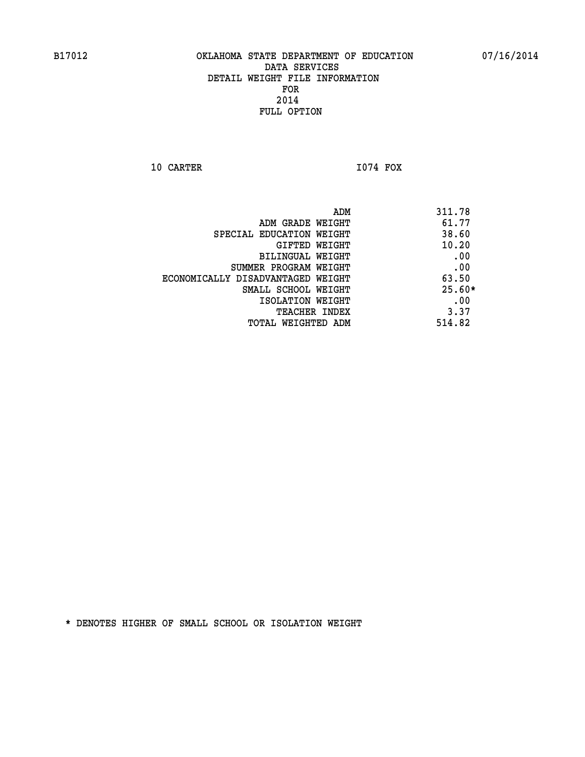**10 CARTER I074 FOX** 

 **ADM 311.78 ADM GRADE WEIGHT 61.77 SPECIAL EDUCATION WEIGHT** 38.60 **GIFTED WEIGHT 40.20 BILINGUAL WEIGHT .00 SUMMER PROGRAM WEIGHT .00 ECONOMICALLY DISADVANTAGED WEIGHT 63.50 SMALL SCHOOL WEIGHT 25.60\* EXECUTED ISOLATION WEIGHT AND RESOLATION WEIGHT TEACHER INDEX** 3.37  **TOTAL WEIGHTED ADM 514.82**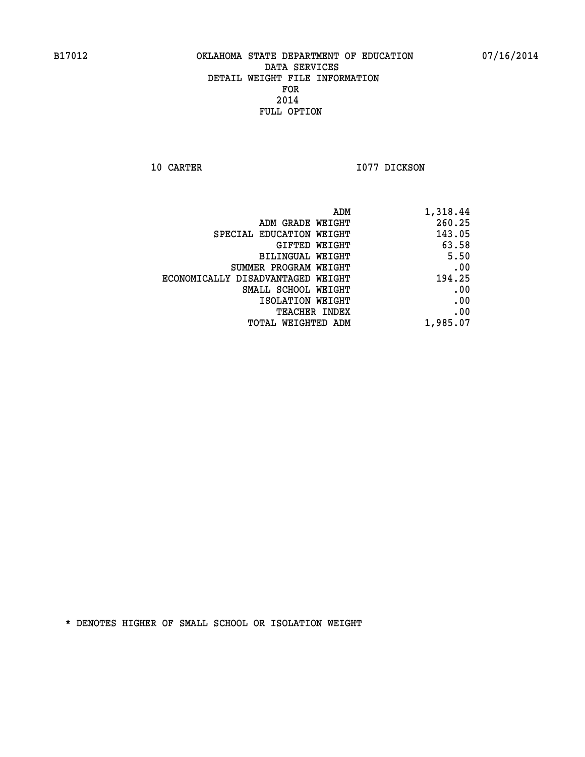**10 CARTER 1077 DICKSON** 

| ADM                               | 1,318.44 |
|-----------------------------------|----------|
| ADM GRADE WEIGHT                  | 260.25   |
| SPECIAL EDUCATION WEIGHT          | 143.05   |
| GIFTED WEIGHT                     | 63.58    |
| <b>BILINGUAL WEIGHT</b>           | 5.50     |
| SUMMER PROGRAM WEIGHT             | .00      |
| ECONOMICALLY DISADVANTAGED WEIGHT | 194.25   |
| SMALL SCHOOL WEIGHT               | .00      |
| ISOLATION WEIGHT                  | .00      |
| TEACHER INDEX                     | .00      |
| TOTAL WEIGHTED ADM                | 1,985.07 |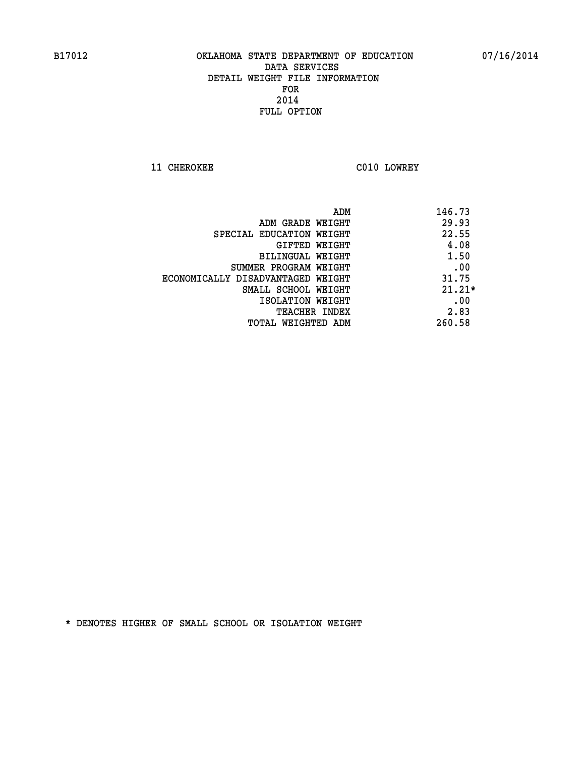**11 CHEROKEE C010 LOWREY** 

| ADM                               | 146.73   |
|-----------------------------------|----------|
| ADM GRADE WEIGHT                  | 29.93    |
| SPECIAL EDUCATION WEIGHT          | 22.55    |
| <b>GIFTED WEIGHT</b>              | 4.08     |
| BILINGUAL WEIGHT                  | 1.50     |
| SUMMER PROGRAM WEIGHT             | .00      |
| ECONOMICALLY DISADVANTAGED WEIGHT | 31.75    |
| SMALL SCHOOL WEIGHT               | $21.21*$ |
| ISOLATION WEIGHT                  | .00      |
| <b>TEACHER INDEX</b>              | 2.83     |
| TOTAL WEIGHTED ADM                | 260.58   |
|                                   |          |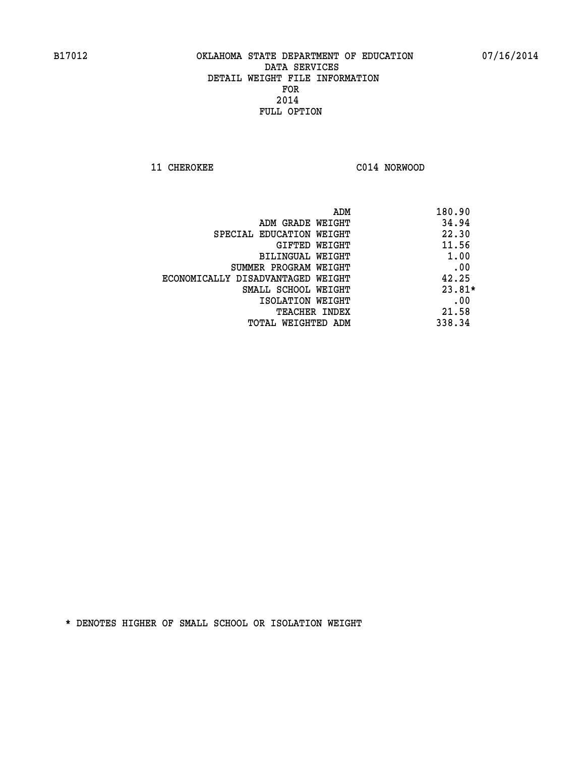**11 CHEROKEE C014 NORWOOD** 

| ADM                               | 180.90   |
|-----------------------------------|----------|
| ADM GRADE WEIGHT                  | 34.94    |
| SPECIAL EDUCATION WEIGHT          | 22.30    |
| GIFTED WEIGHT                     | 11.56    |
| <b>BILINGUAL WEIGHT</b>           | 1.00     |
| SUMMER PROGRAM WEIGHT             | .00      |
| ECONOMICALLY DISADVANTAGED WEIGHT | 42.25    |
| SMALL SCHOOL WEIGHT               | $23.81*$ |
| ISOLATION WEIGHT                  | .00      |
| <b>TEACHER INDEX</b>              | 21.58    |
| TOTAL WEIGHTED ADM                | 338.34   |
|                                   |          |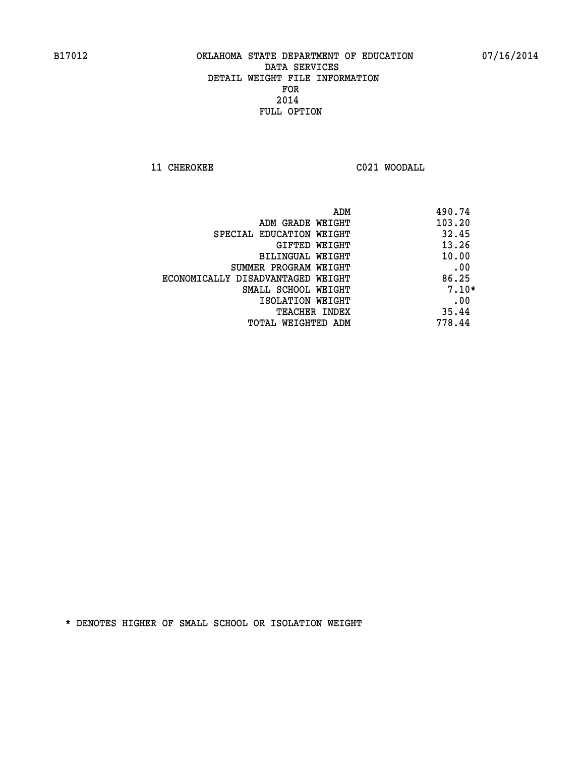**11 CHEROKEE C021 WOODALL** 

| ADM                               | 490.74  |
|-----------------------------------|---------|
| ADM GRADE WEIGHT                  | 103.20  |
| SPECIAL EDUCATION WEIGHT          | 32.45   |
| GIFTED WEIGHT                     | 13.26   |
| BILINGUAL WEIGHT                  | 10.00   |
| SUMMER PROGRAM WEIGHT             | .00     |
| ECONOMICALLY DISADVANTAGED WEIGHT | 86.25   |
| SMALL SCHOOL WEIGHT               | $7.10*$ |
| ISOLATION WEIGHT                  | .00     |
| <b>TEACHER INDEX</b>              | 35.44   |
| TOTAL WEIGHTED ADM                | 778.44  |
|                                   |         |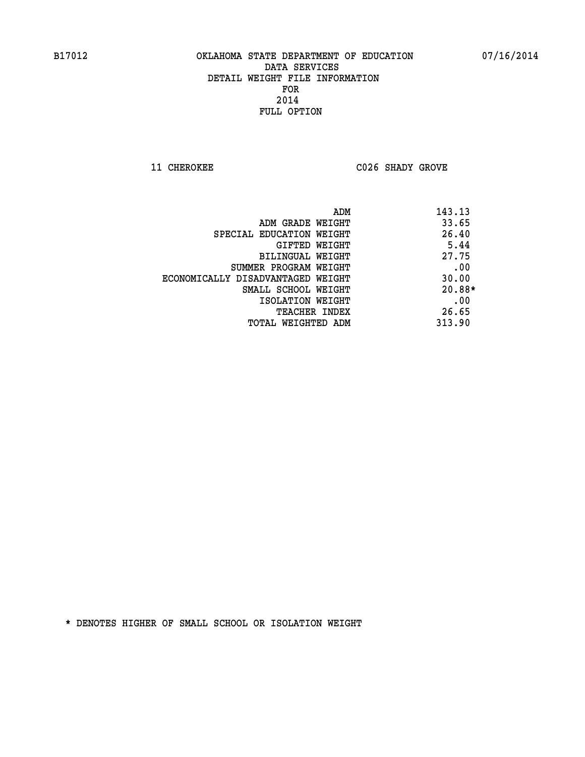**11 CHEROKEE C026 SHADY GROVE** 

| ADM                               | 143.13 |
|-----------------------------------|--------|
| ADM GRADE WEIGHT                  | 33.65  |
| SPECIAL EDUCATION WEIGHT          | 26.40  |
| GIFTED WEIGHT                     | 5.44   |
| BILINGUAL WEIGHT                  | 27.75  |
| SUMMER PROGRAM WEIGHT             | .00    |
| ECONOMICALLY DISADVANTAGED WEIGHT | 30.00  |
| SMALL SCHOOL WEIGHT               | 20.88* |
| ISOLATION WEIGHT                  | .00    |
| <b>TEACHER INDEX</b>              | 26.65  |
| TOTAL WEIGHTED ADM                | 313.90 |
|                                   |        |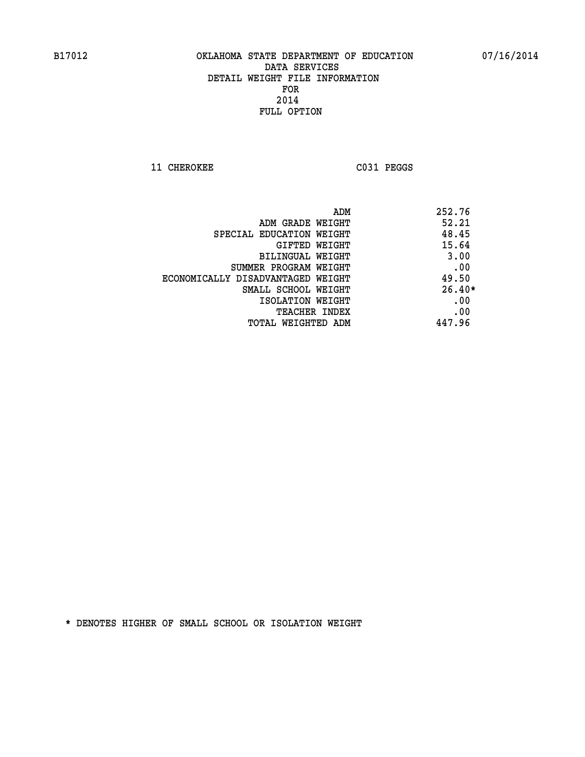**11 CHEROKEE C031 PEGGS** 

| ADM                               | 252.76   |
|-----------------------------------|----------|
| ADM GRADE WEIGHT                  | 52.21    |
| SPECIAL EDUCATION WEIGHT          | 48.45    |
| GIFTED WEIGHT                     | 15.64    |
| BILINGUAL WEIGHT                  | 3.00     |
| SUMMER PROGRAM WEIGHT             | .00      |
| ECONOMICALLY DISADVANTAGED WEIGHT | 49.50    |
| SMALL SCHOOL WEIGHT               | $26.40*$ |
| ISOLATION WEIGHT                  | .00      |
| <b>TEACHER INDEX</b>              | .00      |
| TOTAL WEIGHTED ADM                | 447.96   |
|                                   |          |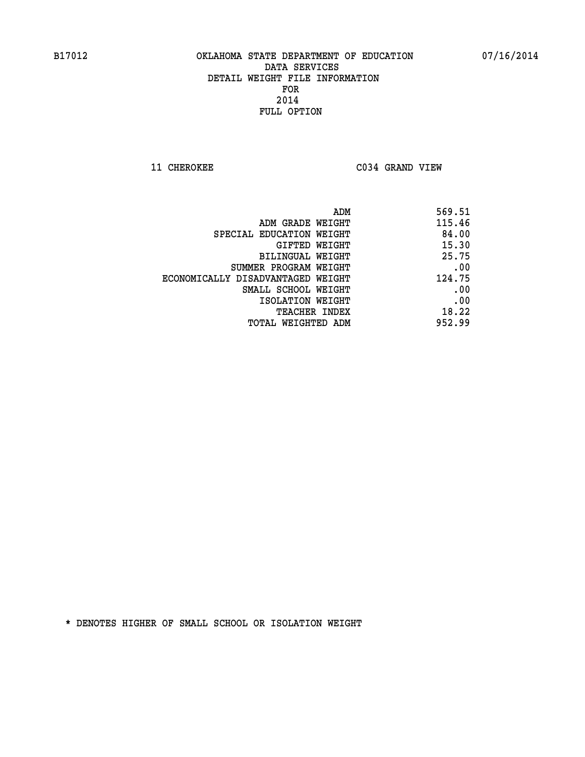**11 CHEROKEE C034 GRAND VIEW** 

| ADM                               | 569.51 |
|-----------------------------------|--------|
| ADM GRADE WEIGHT                  | 115.46 |
| SPECIAL EDUCATION WEIGHT          | 84.00  |
| GIFTED WEIGHT                     | 15.30  |
| BILINGUAL WEIGHT                  | 25.75  |
| SUMMER PROGRAM WEIGHT             | .00    |
| ECONOMICALLY DISADVANTAGED WEIGHT | 124.75 |
| SMALL SCHOOL WEIGHT               | .00    |
| ISOLATION WEIGHT                  | .00    |
| <b>TEACHER INDEX</b>              | 18.22  |
| TOTAL WEIGHTED ADM                | 952.99 |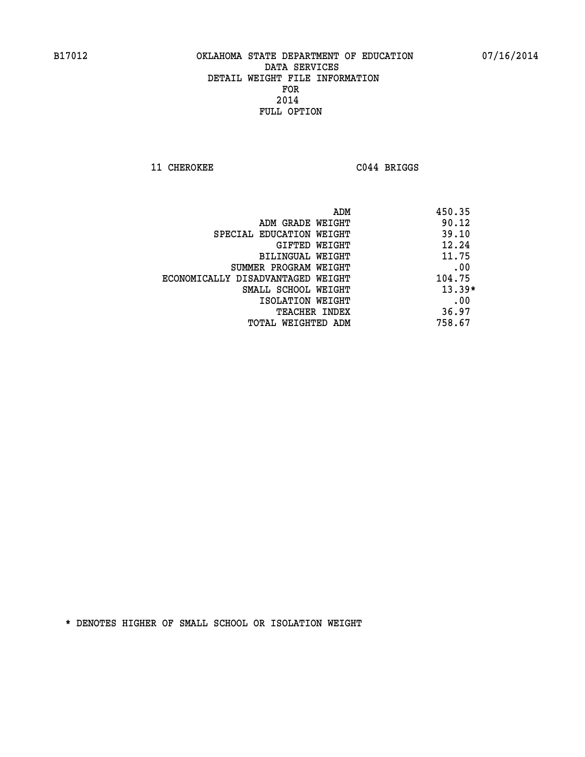**11 CHEROKEE C044 BRIGGS** 

|                                   | ADM | 450.35   |
|-----------------------------------|-----|----------|
| ADM GRADE WEIGHT                  |     | 90.12    |
| SPECIAL EDUCATION WEIGHT          |     | 39.10    |
| GIFTED WEIGHT                     |     | 12.24    |
| BILINGUAL WEIGHT                  |     | 11.75    |
| SUMMER PROGRAM WEIGHT             |     | .00      |
| ECONOMICALLY DISADVANTAGED WEIGHT |     | 104.75   |
| SMALL SCHOOL WEIGHT               |     | $13.39*$ |
| ISOLATION WEIGHT                  |     | .00      |
| TEACHER INDEX                     |     | 36.97    |
| TOTAL WEIGHTED ADM                |     | 758.67   |
|                                   |     |          |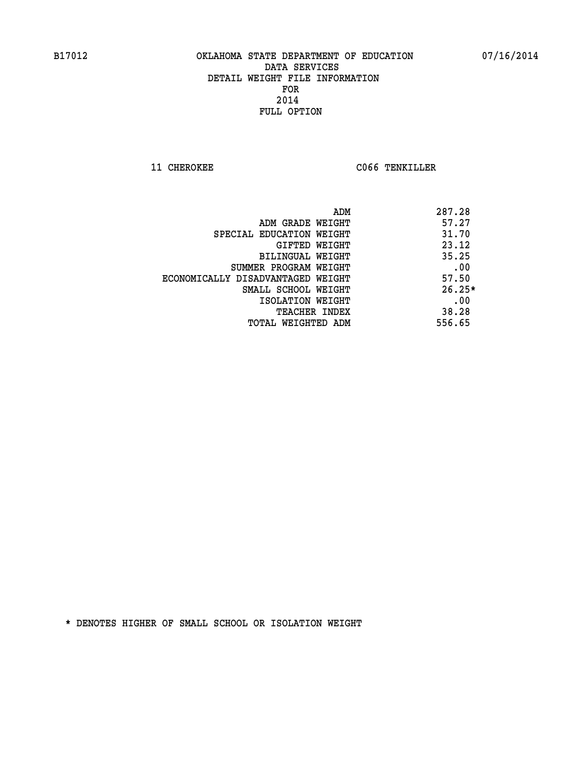**11 CHEROKEE CO66 TENKILLER** 

|                                   | 287.28<br>ADM |
|-----------------------------------|---------------|
| ADM GRADE WEIGHT                  | 57.27         |
| SPECIAL EDUCATION WEIGHT          | 31.70         |
| GIFTED WEIGHT                     | 23.12         |
| BILINGUAL WEIGHT                  | 35.25         |
| SUMMER PROGRAM WEIGHT             | .00           |
| ECONOMICALLY DISADVANTAGED WEIGHT | 57.50         |
| SMALL SCHOOL WEIGHT               | $26.25*$      |
| ISOLATION WEIGHT                  | .00           |
| TEACHER INDEX                     | 38.28         |
| TOTAL WEIGHTED ADM                | 556.65        |
|                                   |               |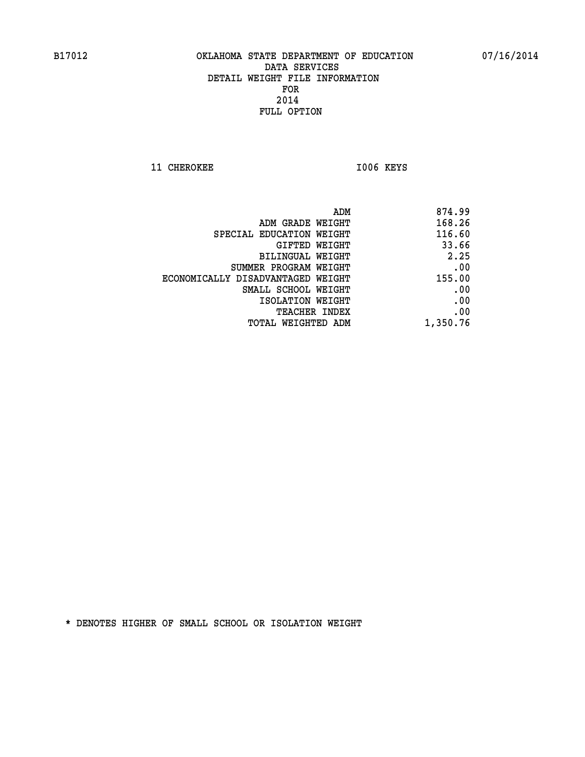11 CHEROKEE 1006 KEYS

| ADM                               | 874.99   |
|-----------------------------------|----------|
| ADM GRADE WEIGHT                  | 168.26   |
| SPECIAL EDUCATION WEIGHT          | 116.60   |
| GIFTED WEIGHT                     | 33.66    |
| BILINGUAL WEIGHT                  | 2.25     |
| SUMMER PROGRAM WEIGHT             | .00      |
| ECONOMICALLY DISADVANTAGED WEIGHT | 155.00   |
| SMALL SCHOOL WEIGHT               | .00      |
| ISOLATION WEIGHT                  | .00      |
| TEACHER INDEX                     | .00      |
| TOTAL WEIGHTED ADM                | 1,350.76 |
|                                   |          |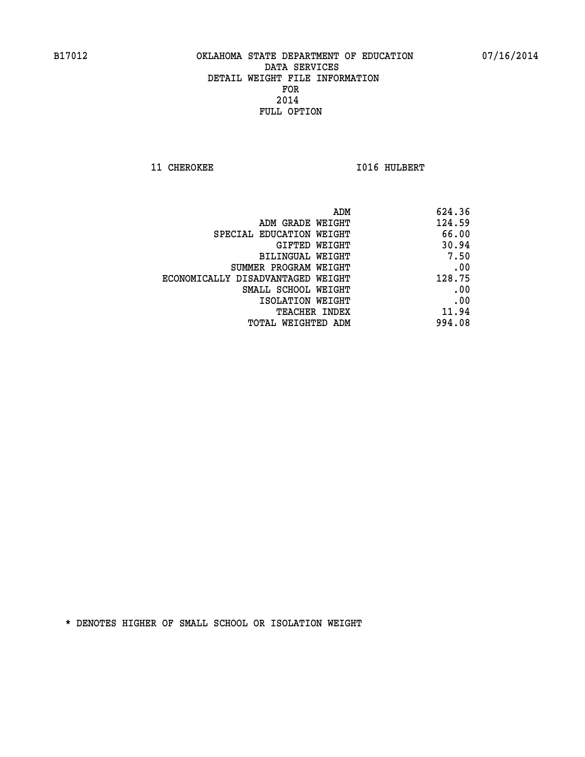**11 CHEROKEE 1016 HULBERT** 

| 624.36 |
|--------|
| 124.59 |
| 66.00  |
| 30.94  |
| 7.50   |
| .00    |
| 128.75 |
| .00    |
| .00    |
| 11.94  |
| 994.08 |
|        |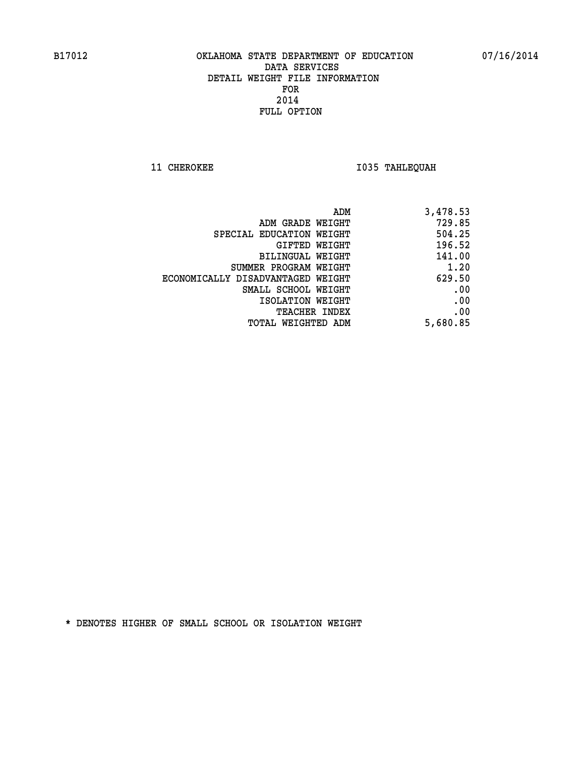**11 CHEROKEE 1035 TAHLEQUAH** 

|                                   | 3,478.53<br>ADM |
|-----------------------------------|-----------------|
| ADM GRADE WEIGHT                  | 729.85          |
| SPECIAL EDUCATION WEIGHT          | 504.25          |
| <b>GIFTED WEIGHT</b>              | 196.52          |
| BILINGUAL WEIGHT                  | 141.00          |
| SUMMER PROGRAM WEIGHT             | 1.20            |
| ECONOMICALLY DISADVANTAGED WEIGHT | 629.50          |
| SMALL SCHOOL WEIGHT               | .00             |
| ISOLATION WEIGHT                  | .00             |
| <b>TEACHER INDEX</b>              | .00             |
| TOTAL WEIGHTED ADM                | 5,680.85        |
|                                   |                 |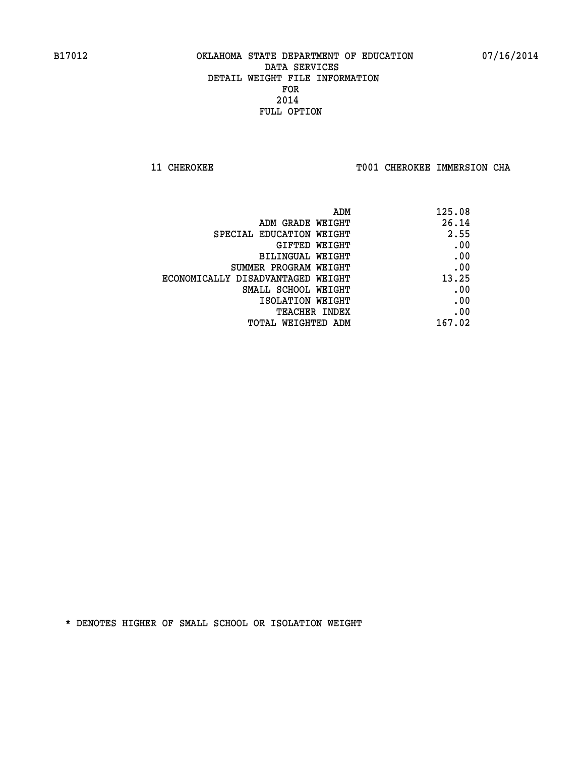**11 CHEROKEE TOO1 CHEROKEE IMMERSION CHA** 

| ADM                               | 125.08 |
|-----------------------------------|--------|
| ADM GRADE WEIGHT                  | 26.14  |
| SPECIAL EDUCATION WEIGHT          | 2.55   |
| GIFTED WEIGHT                     | .00    |
| BILINGUAL WEIGHT                  | .00    |
| SUMMER PROGRAM WEIGHT             | .00    |
| ECONOMICALLY DISADVANTAGED WEIGHT | 13.25  |
| SMALL SCHOOL WEIGHT               | .00    |
| ISOLATION WEIGHT                  | .00    |
| <b>TEACHER INDEX</b>              | .00    |
| TOTAL WEIGHTED ADM                | 167.02 |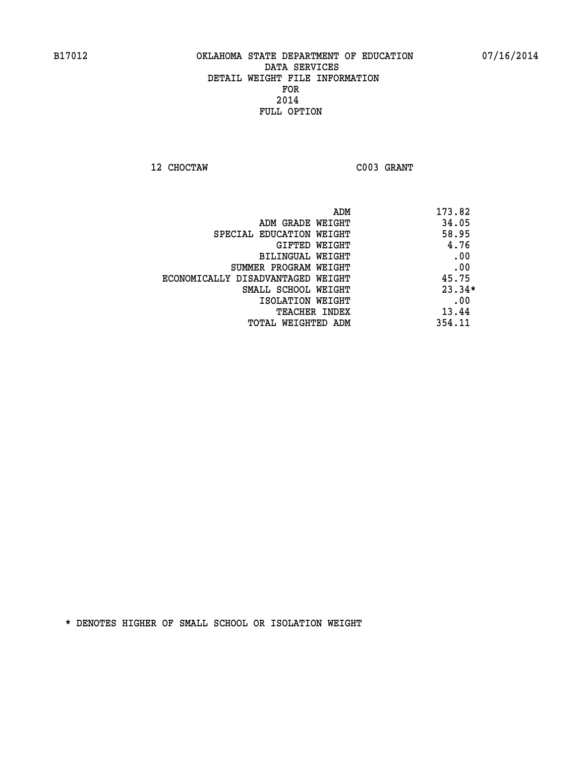**12 CHOCTAW C003 GRANT** 

|                                   | ADM | 173.82   |
|-----------------------------------|-----|----------|
| ADM GRADE WEIGHT                  |     | 34.05    |
| SPECIAL EDUCATION WEIGHT          |     | 58.95    |
| GIFTED WEIGHT                     |     | 4.76     |
| BILINGUAL WEIGHT                  |     | .00      |
| SUMMER PROGRAM WEIGHT             |     | .00      |
| ECONOMICALLY DISADVANTAGED WEIGHT |     | 45.75    |
| SMALL SCHOOL WEIGHT               |     | $23.34*$ |
| ISOLATION WEIGHT                  |     | .00      |
| TEACHER INDEX                     |     | 13.44    |
| TOTAL WEIGHTED ADM                |     | 354.11   |
|                                   |     |          |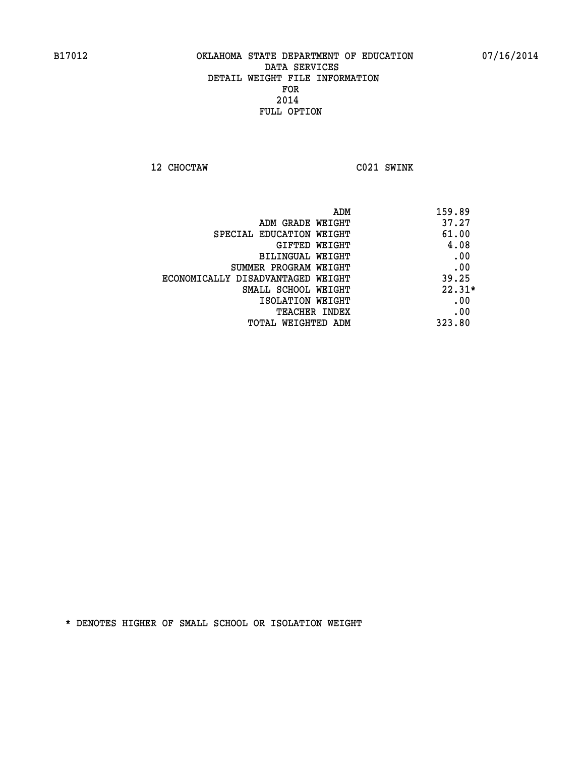**12 CHOCTAW C021 SWINK** 

| ADM                               | 159.89   |
|-----------------------------------|----------|
| ADM GRADE WEIGHT                  | 37.27    |
| SPECIAL EDUCATION WEIGHT          | 61.00    |
| <b>GIFTED WEIGHT</b>              | 4.08     |
| BILINGUAL WEIGHT                  | .00      |
| SUMMER PROGRAM WEIGHT             | .00      |
| ECONOMICALLY DISADVANTAGED WEIGHT | 39.25    |
| SMALL SCHOOL WEIGHT               | $22.31*$ |
| ISOLATION WEIGHT                  | .00      |
| <b>TEACHER INDEX</b>              | .00      |
| TOTAL WEIGHTED ADM                | 323.80   |
|                                   |          |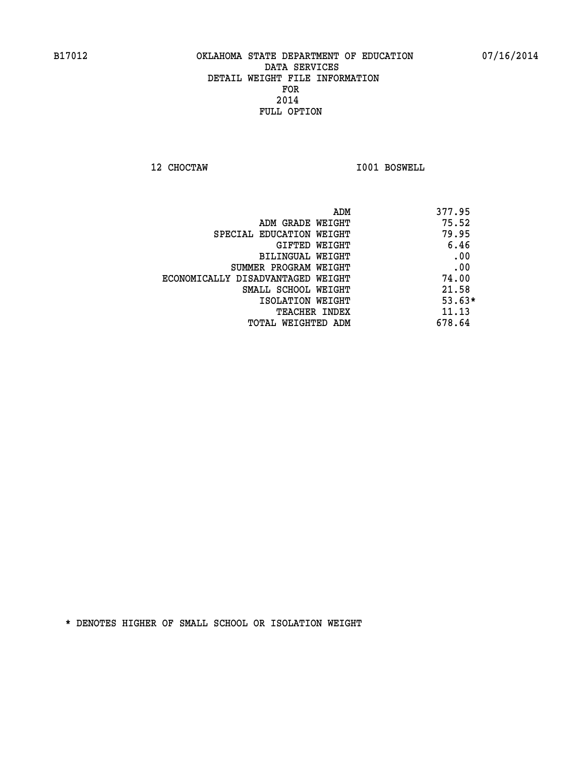**12 CHOCTAW I001 BOSWELL** 

| 377.95   |
|----------|
| 75.52    |
| 79.95    |
| 6.46     |
| .00      |
| .00      |
| 74.00    |
| 21.58    |
| $53.63*$ |
| 11.13    |
| 678.64   |
|          |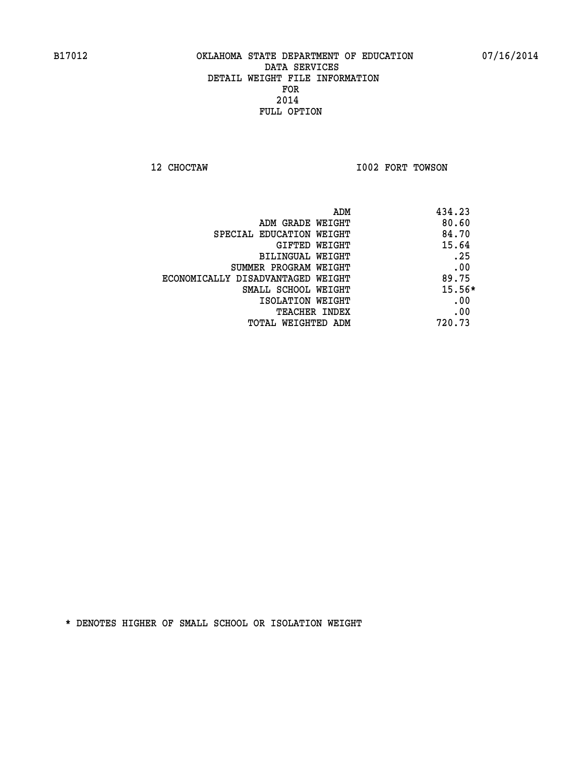**12 CHOCTAW I002 FORT TOWSON** 

|                                   | 434.23<br>ADM |
|-----------------------------------|---------------|
| ADM GRADE WEIGHT                  | 80.60         |
| SPECIAL EDUCATION WEIGHT          | 84.70         |
| <b>GIFTED WEIGHT</b>              | 15.64         |
| BILINGUAL WEIGHT                  | .25           |
| SUMMER PROGRAM WEIGHT             | .00           |
| ECONOMICALLY DISADVANTAGED WEIGHT | 89.75         |
| SMALL SCHOOL WEIGHT               | $15.56*$      |
| ISOLATION WEIGHT                  | .00           |
| <b>TEACHER INDEX</b>              | .00           |
| TOTAL WEIGHTED ADM                | 720.73        |
|                                   |               |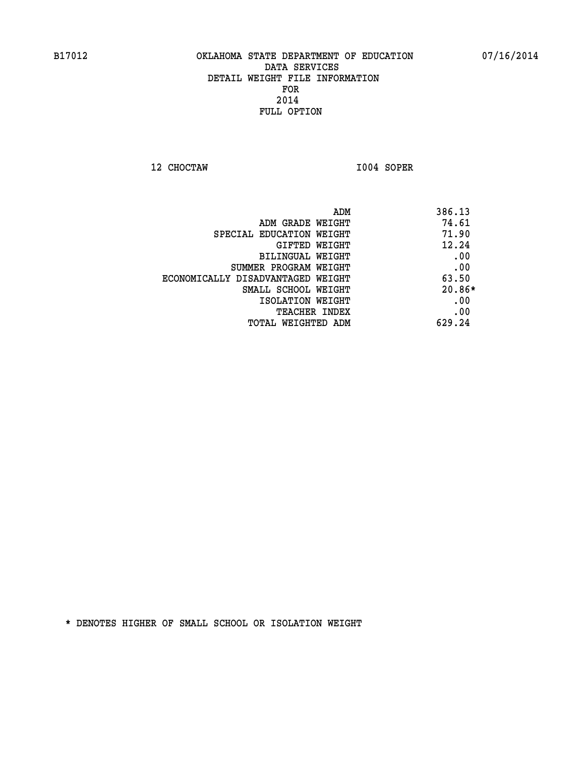**12 CHOCTAW I004 SOPER** 

| ADM                               | 386.13   |
|-----------------------------------|----------|
| ADM GRADE WEIGHT                  | 74.61    |
| SPECIAL EDUCATION WEIGHT          | 71.90    |
| GIFTED WEIGHT                     | 12.24    |
| BILINGUAL WEIGHT                  | .00      |
| SUMMER PROGRAM WEIGHT             | .00      |
| ECONOMICALLY DISADVANTAGED WEIGHT | 63.50    |
| SMALL SCHOOL WEIGHT               | $20.86*$ |
| ISOLATION WEIGHT                  | .00      |
| <b>TEACHER INDEX</b>              | .00      |
| TOTAL WEIGHTED ADM                | 629.24   |
|                                   |          |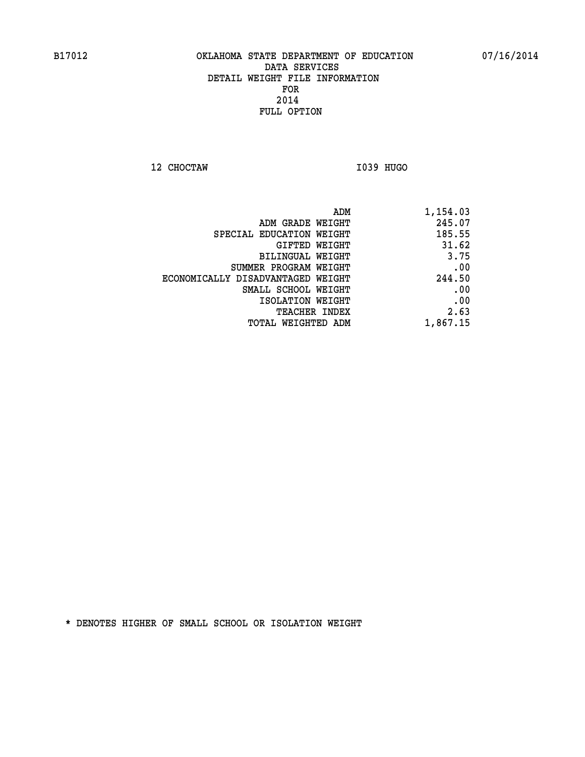**12 CHOCTAW I039 HUGO** 

| 1,154.03 |
|----------|
| 245.07   |
| 185.55   |
| 31.62    |
| 3.75     |
| .00      |
| 244.50   |
| .00      |
| .00      |
| 2.63     |
| 1,867.15 |
|          |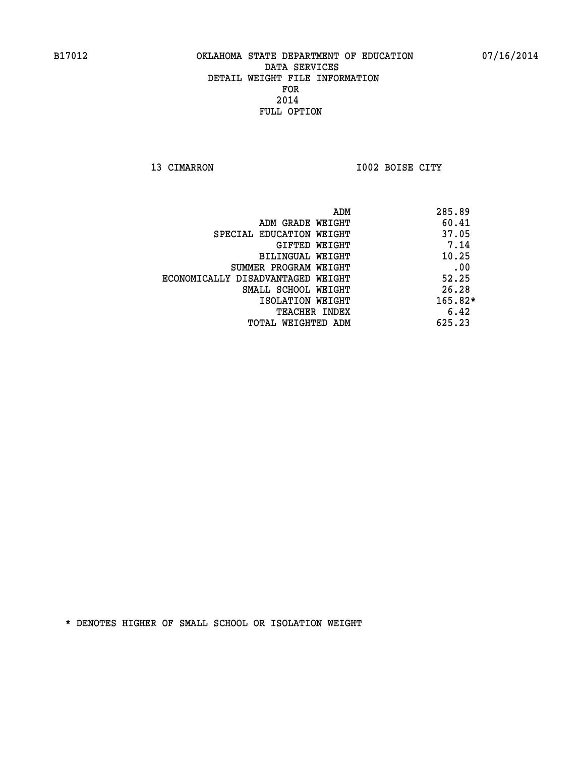**13 CIMARRON I002 BOISE CITY** 

| 285.89    |
|-----------|
| 60.41     |
| 37.05     |
| 7.14      |
| 10.25     |
| .00       |
| 52.25     |
| 26.28     |
| $165.82*$ |
| 6.42      |
| 625.23    |
|           |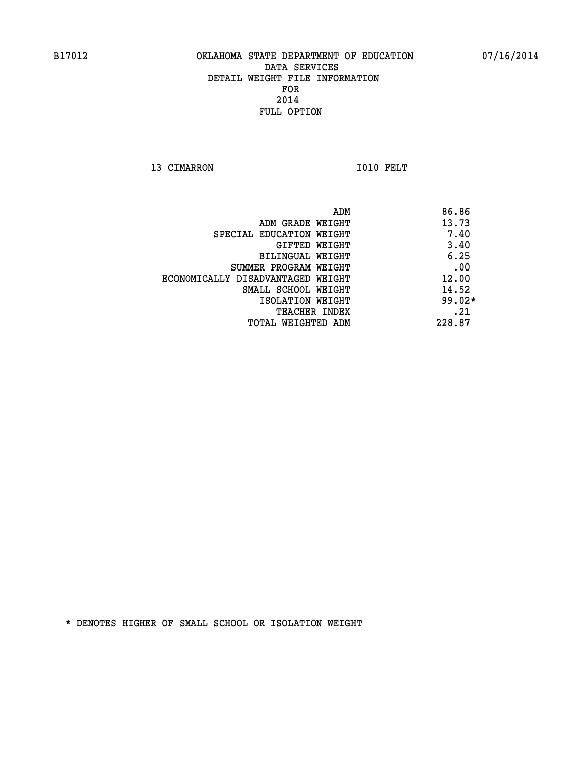13 CIMARRON 1010 FELT

|                                   | 86.86<br>ADM |
|-----------------------------------|--------------|
| ADM GRADE WEIGHT                  | 13.73        |
| SPECIAL EDUCATION WEIGHT          | 7.40         |
| GIFTED WEIGHT                     | 3.40         |
| BILINGUAL WEIGHT                  | 6.25         |
| SUMMER PROGRAM WEIGHT             | .00          |
| ECONOMICALLY DISADVANTAGED WEIGHT | 12.00        |
| SMALL SCHOOL WEIGHT               | 14.52        |
| ISOLATION WEIGHT                  | $99.02*$     |
| <b>TEACHER INDEX</b>              | .21          |
| TOTAL WEIGHTED ADM                | 228.87       |
|                                   |              |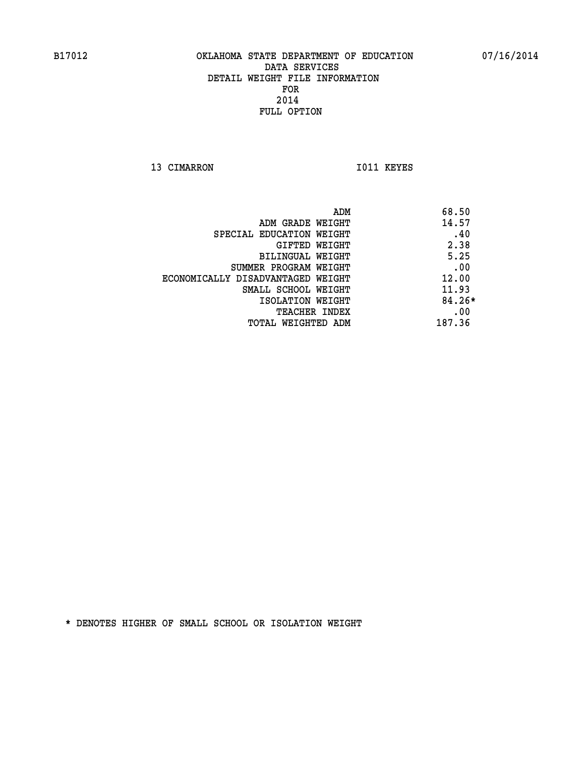13 CIMARRON 1011 KEYES

|                                   | ADM    | 68.50    |
|-----------------------------------|--------|----------|
| ADM GRADE WEIGHT                  |        | 14.57    |
| SPECIAL EDUCATION WEIGHT          |        | .40      |
| GIFTED WEIGHT                     |        | 2.38     |
| BILINGUAL WEIGHT                  |        | 5.25     |
| SUMMER PROGRAM WEIGHT             |        | .00      |
| ECONOMICALLY DISADVANTAGED WEIGHT |        | 12.00    |
| SMALL SCHOOL WEIGHT               |        | 11.93    |
| ISOLATION WEIGHT                  |        | $84.26*$ |
| <b>TEACHER INDEX</b>              |        | .00      |
| TOTAL WEIGHTED ADM                | 187.36 |          |
|                                   |        |          |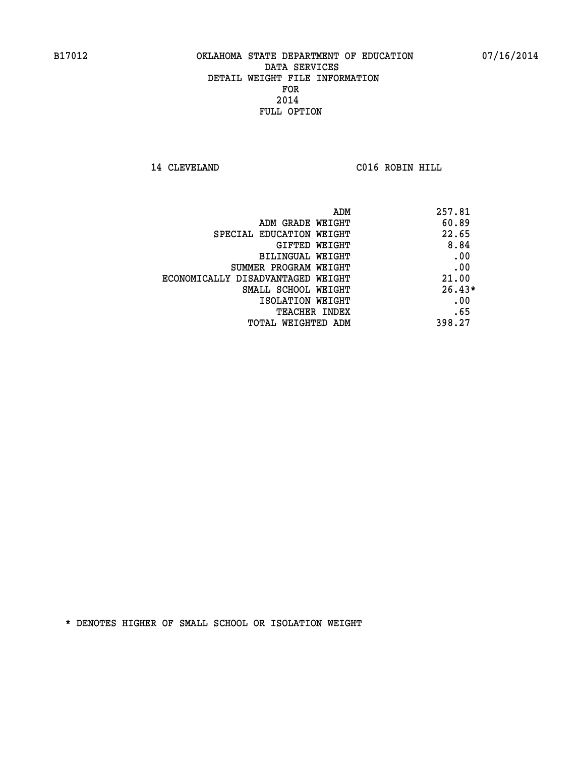**14 CLEVELAND C016 ROBIN HILL** 

| ADM                               | 257.81   |
|-----------------------------------|----------|
| ADM GRADE WEIGHT                  | 60.89    |
| SPECIAL EDUCATION WEIGHT          | 22.65    |
| GIFTED WEIGHT                     | 8.84     |
| BILINGUAL WEIGHT                  | .00      |
| SUMMER PROGRAM WEIGHT             | .00      |
| ECONOMICALLY DISADVANTAGED WEIGHT | 21.00    |
| SMALL SCHOOL WEIGHT               | $26.43*$ |
| ISOLATION WEIGHT                  | .00      |
| <b>TEACHER INDEX</b>              | .65      |
| TOTAL WEIGHTED ADM                | 398.27   |
|                                   |          |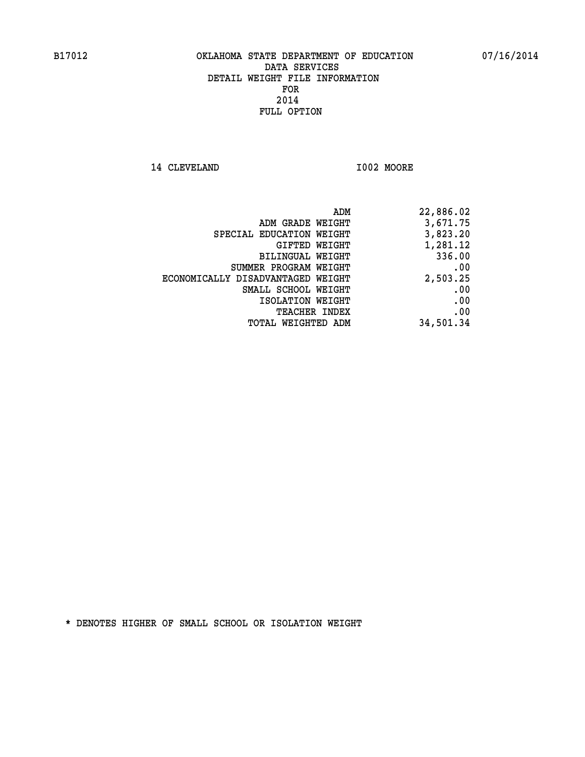14 CLEVELAND 1002 MOORE

| ADM                               | 22,886.02 |
|-----------------------------------|-----------|
| ADM GRADE WEIGHT                  | 3,671.75  |
| SPECIAL EDUCATION WEIGHT          | 3,823.20  |
| GIFTED WEIGHT                     | 1,281.12  |
| BILINGUAL WEIGHT                  | 336.00    |
| SUMMER PROGRAM WEIGHT             | .00       |
| ECONOMICALLY DISADVANTAGED WEIGHT | 2,503.25  |
| SMALL SCHOOL WEIGHT               | .00       |
| ISOLATION WEIGHT                  | .00       |
| <b>TEACHER INDEX</b>              | .00       |
| WEIGHTED ADM<br>TOTAL             | 34,501.34 |
|                                   |           |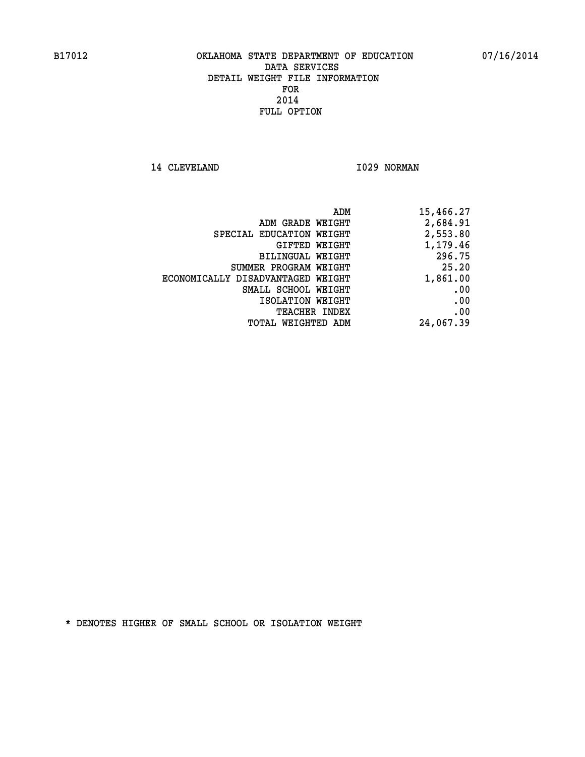14 CLEVELAND 1029 NORMAN

| ADM                               | 15,466.27 |
|-----------------------------------|-----------|
| ADM GRADE WEIGHT                  | 2,684.91  |
| SPECIAL EDUCATION WEIGHT          | 2,553.80  |
| GIFTED WEIGHT                     | 1,179.46  |
| BILINGUAL WEIGHT                  | 296.75    |
| SUMMER PROGRAM WEIGHT             | 25.20     |
| ECONOMICALLY DISADVANTAGED WEIGHT | 1,861.00  |
| SMALL SCHOOL WEIGHT               | .00       |
| ISOLATION WEIGHT                  | .00       |
| <b>TEACHER INDEX</b>              | .00       |
| TOTAL WEIGHTED ADM                | 24,067.39 |
|                                   |           |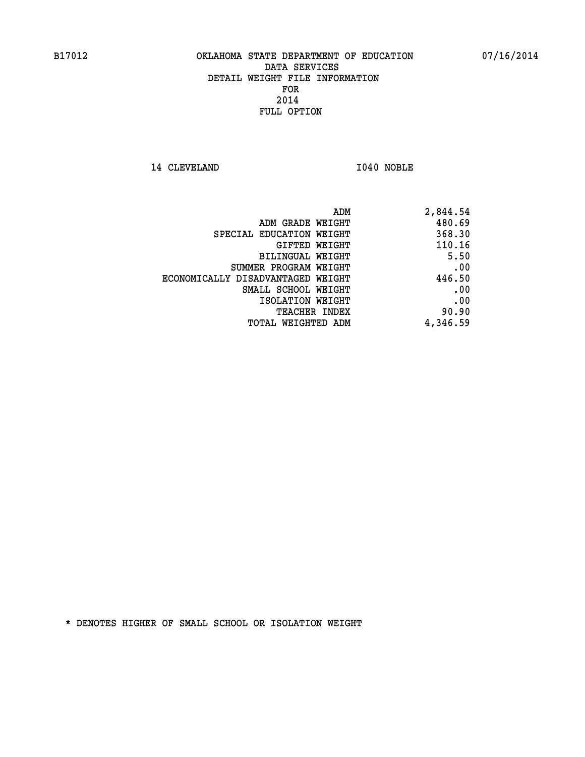14 CLEVELAND 1040 NOBLE

| 2,844.54 |
|----------|
| 480.69   |
| 368.30   |
| 110.16   |
| 5.50     |
| .00      |
| 446.50   |
| .00      |
| .00      |
| 90.90    |
| 4,346.59 |
|          |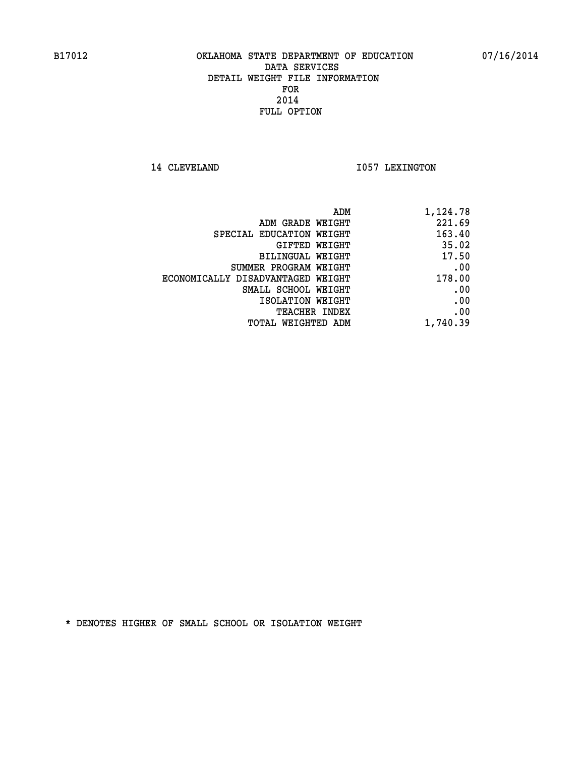14 CLEVELAND 1057 LEXINGTON

| ADM<br>1,124.78                             |  |
|---------------------------------------------|--|
| 221.69<br>ADM GRADE WEIGHT                  |  |
| 163.40<br>SPECIAL EDUCATION WEIGHT          |  |
| 35.02<br>GIFTED WEIGHT                      |  |
| 17.50<br>BILINGUAL WEIGHT                   |  |
| .00<br>SUMMER PROGRAM WEIGHT                |  |
| 178.00<br>ECONOMICALLY DISADVANTAGED WEIGHT |  |
| .00<br>SMALL SCHOOL WEIGHT                  |  |
| .00<br>ISOLATION WEIGHT                     |  |
| .00<br><b>TEACHER INDEX</b>                 |  |
| 1,740.39<br><b>TOTAL WEIGHTED ADM</b>       |  |
|                                             |  |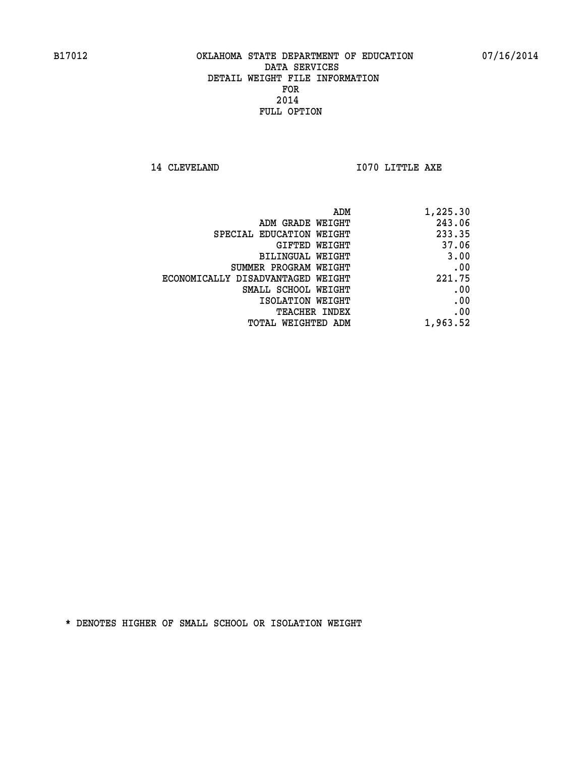**14 CLEVELAND 1070 LITTLE AXE** 

| ADM                               | 1,225.30 |
|-----------------------------------|----------|
| ADM GRADE WEIGHT                  | 243.06   |
| SPECIAL EDUCATION WEIGHT          | 233.35   |
| GIFTED WEIGHT                     | 37.06    |
| BILINGUAL WEIGHT                  | 3.00     |
| SUMMER PROGRAM WEIGHT             | .00      |
| ECONOMICALLY DISADVANTAGED WEIGHT | 221.75   |
| SMALL SCHOOL WEIGHT               | .00      |
| ISOLATION WEIGHT                  | .00      |
| <b>TEACHER INDEX</b>              | .00      |
| <b>TOTAL WEIGHTED ADM</b>         | 1,963.52 |
|                                   |          |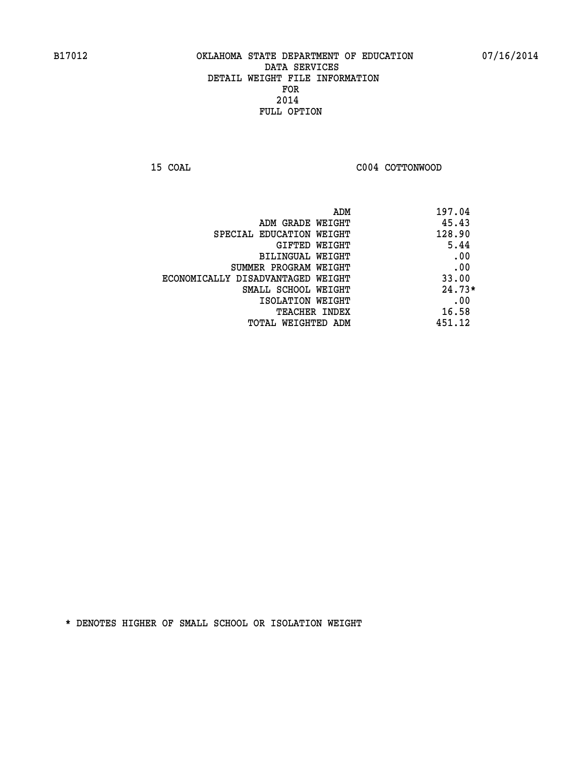**15 COAL COAL COAL COAL COAL COTTONWOOD** 

| ADM                               | 197.04   |
|-----------------------------------|----------|
| ADM GRADE WEIGHT                  | 45.43    |
| SPECIAL EDUCATION WEIGHT          | 128.90   |
| GIFTED WEIGHT                     | 5.44     |
| BILINGUAL WEIGHT                  | .00      |
| SUMMER PROGRAM WEIGHT             | .00      |
| ECONOMICALLY DISADVANTAGED WEIGHT | 33.00    |
| SMALL SCHOOL WEIGHT               | $24.73*$ |
| ISOLATION WEIGHT                  | .00      |
| <b>TEACHER INDEX</b>              | 16.58    |
| TOTAL WEIGHTED ADM                | 451.12   |
|                                   |          |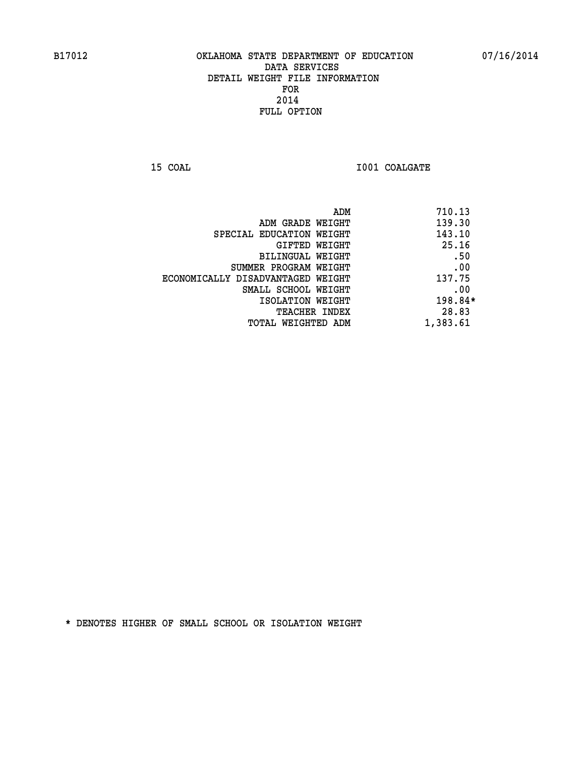**15 COAL 15 COAL I001 COALGATE** 

|                                   | ADM | 710.13   |
|-----------------------------------|-----|----------|
| ADM GRADE WEIGHT                  |     | 139.30   |
| SPECIAL EDUCATION WEIGHT          |     | 143.10   |
| GIFTED WEIGHT                     |     | 25.16    |
| BILINGUAL WEIGHT                  |     | .50      |
| SUMMER PROGRAM WEIGHT             |     | .00      |
| ECONOMICALLY DISADVANTAGED WEIGHT |     | 137.75   |
| SMALL SCHOOL WEIGHT               |     | .00      |
| ISOLATION WEIGHT                  |     | 198.84*  |
| TEACHER INDEX                     |     | 28.83    |
| TOTAL WEIGHTED ADM                |     | 1,383.61 |
|                                   |     |          |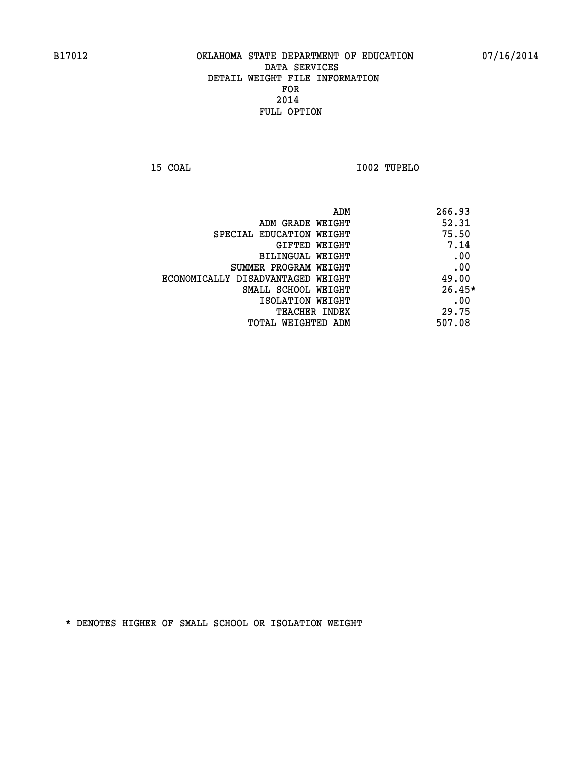**15 COAL I002 TUPELO** 

| ADM                               | 266.93   |
|-----------------------------------|----------|
| ADM GRADE WEIGHT                  | 52.31    |
| SPECIAL EDUCATION WEIGHT          | 75.50    |
| GIFTED WEIGHT                     | 7.14     |
| BILINGUAL WEIGHT                  | .00      |
| SUMMER PROGRAM WEIGHT             | .00      |
| ECONOMICALLY DISADVANTAGED WEIGHT | 49.00    |
| SMALL SCHOOL WEIGHT               | $26.45*$ |
| ISOLATION WEIGHT                  | .00      |
| <b>TEACHER INDEX</b>              | 29.75    |
| TOTAL WEIGHTED ADM                | 507.08   |
|                                   |          |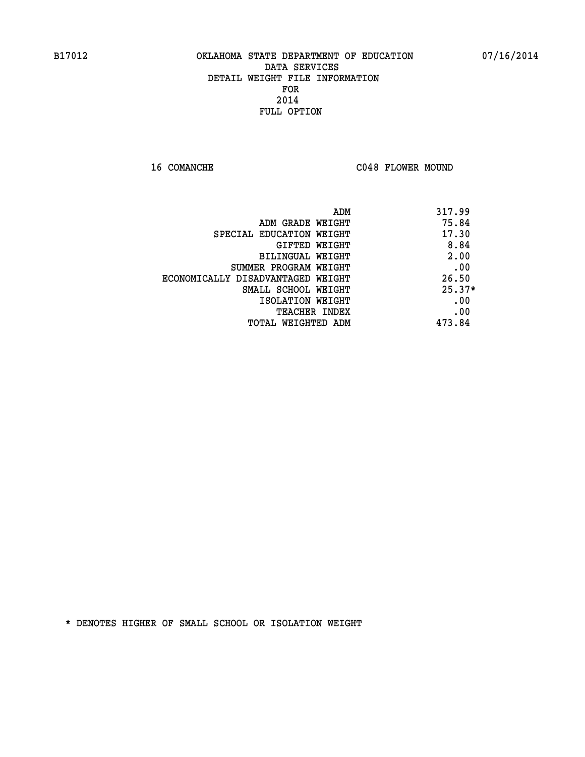16 COMANCHE C048 FLOWER MOUND

|                                   | 317.99<br>ADM |  |
|-----------------------------------|---------------|--|
| ADM GRADE WEIGHT                  | 75.84         |  |
| SPECIAL EDUCATION WEIGHT          | 17.30         |  |
| GIFTED WEIGHT                     | 8.84          |  |
| BILINGUAL WEIGHT                  | 2.00          |  |
| SUMMER PROGRAM WEIGHT             | .00           |  |
| ECONOMICALLY DISADVANTAGED WEIGHT | 26.50         |  |
| SMALL SCHOOL WEIGHT               | $25.37*$      |  |
| ISOLATION WEIGHT                  | .00           |  |
| TEACHER INDEX                     | .00           |  |
| TOTAL WEIGHTED ADM                | 473.84        |  |
|                                   |               |  |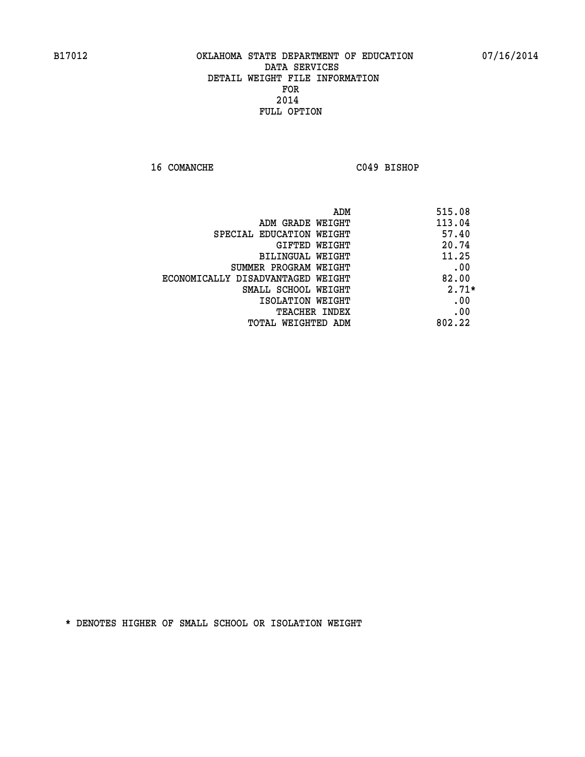**16 COMANCHE C049 BISHOP** 

|                                   | 515.08<br>ADM |
|-----------------------------------|---------------|
| ADM GRADE WEIGHT                  | 113.04        |
| SPECIAL EDUCATION WEIGHT          | 57.40         |
| <b>GIFTED WEIGHT</b>              | 20.74         |
| BILINGUAL WEIGHT                  | 11.25         |
| SUMMER PROGRAM WEIGHT             | .00           |
| ECONOMICALLY DISADVANTAGED WEIGHT | 82.00         |
| SMALL SCHOOL WEIGHT               | $2.71*$       |
| ISOLATION WEIGHT                  | .00           |
| <b>TEACHER INDEX</b>              | .00           |
| TOTAL WEIGHTED ADM                | 802.22        |
|                                   |               |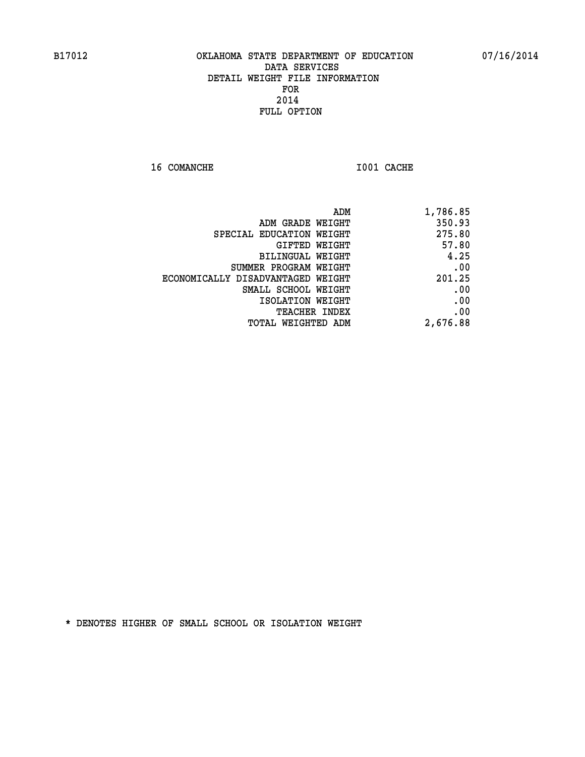**16 COMANCHE 1001 CACHE** 

| 1,786.85 |
|----------|
| 350.93   |
| 275.80   |
| 57.80    |
| 4.25     |
| .00      |
| 201.25   |
| .00      |
| .00      |
| .00      |
| 2,676.88 |
|          |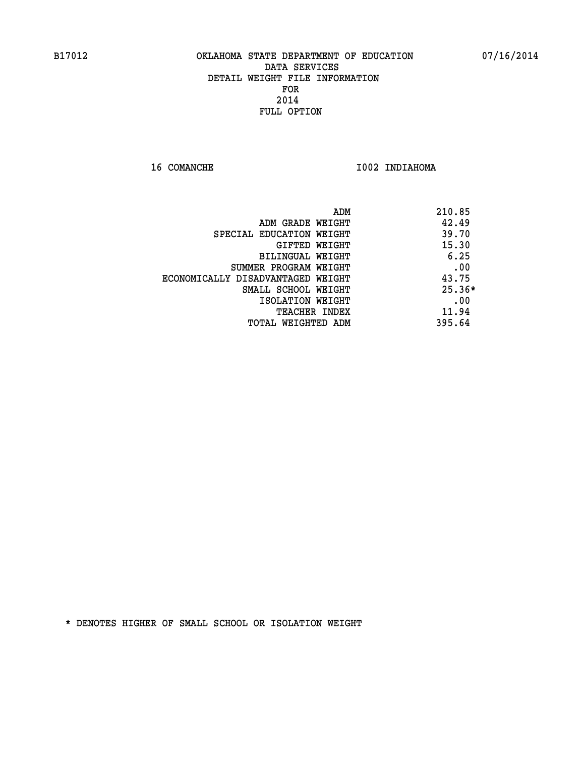**16 COMANCHE 1002 INDIAHOMA** 

|                                   | ADM | 210.85   |
|-----------------------------------|-----|----------|
| ADM GRADE WEIGHT                  |     | 42.49    |
| SPECIAL EDUCATION WEIGHT          |     | 39.70    |
| GIFTED WEIGHT                     |     | 15.30    |
| BILINGUAL WEIGHT                  |     | 6.25     |
| SUMMER PROGRAM WEIGHT             |     | .00      |
| ECONOMICALLY DISADVANTAGED WEIGHT |     | 43.75    |
| SMALL SCHOOL WEIGHT               |     | $25.36*$ |
| ISOLATION WEIGHT                  |     | .00      |
| TEACHER INDEX                     |     | 11.94    |
| TOTAL WEIGHTED ADM                |     | 395.64   |
|                                   |     |          |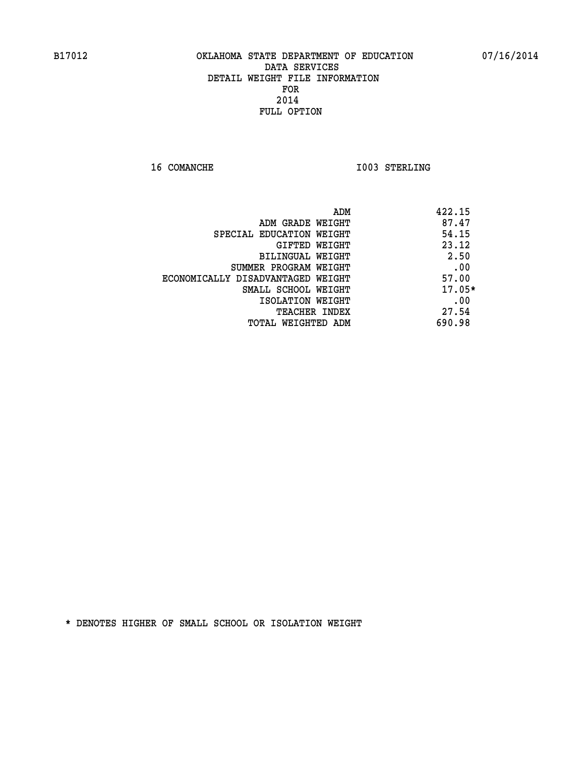**16 COMANCHE 1003 STERLING** 

| ADM                               | 422.15   |
|-----------------------------------|----------|
| ADM GRADE WEIGHT                  | 87.47    |
| SPECIAL EDUCATION WEIGHT          | 54.15    |
| <b>GIFTED WEIGHT</b>              | 23.12    |
| BILINGUAL WEIGHT                  | 2.50     |
| SUMMER PROGRAM WEIGHT             | .00      |
| ECONOMICALLY DISADVANTAGED WEIGHT | 57.00    |
| SMALL SCHOOL WEIGHT               | $17.05*$ |
| ISOLATION WEIGHT                  | .00      |
| <b>TEACHER INDEX</b>              | 27.54    |
| TOTAL WEIGHTED ADM                | 690.98   |
|                                   |          |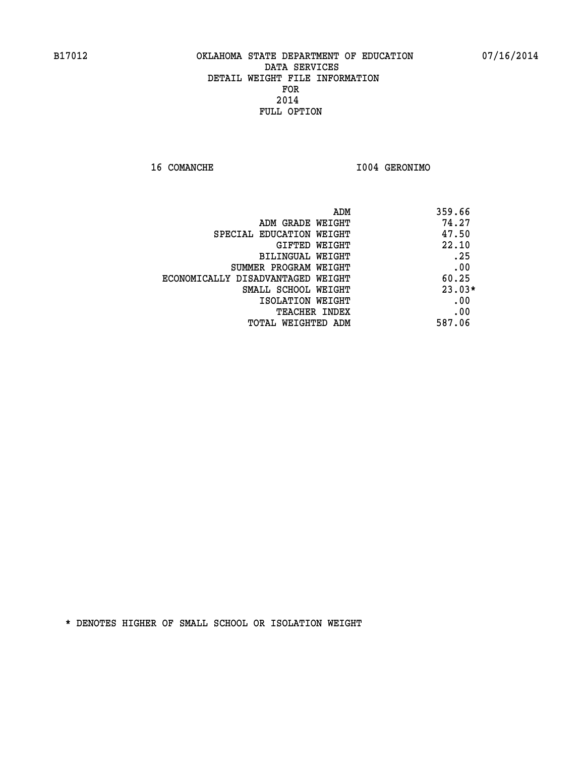**16 COMANCHE I004 GERONIMO** 

| ADM<br>359.66 |                                   |
|---------------|-----------------------------------|
| 74.27         | ADM GRADE WEIGHT                  |
| 47.50         | SPECIAL EDUCATION WEIGHT          |
| 22.10         | <b>GIFTED WEIGHT</b>              |
| .25           | BILINGUAL WEIGHT                  |
| .00           | SUMMER PROGRAM WEIGHT             |
| 60.25         | ECONOMICALLY DISADVANTAGED WEIGHT |
| $23.03*$      | SMALL SCHOOL WEIGHT               |
| .00           | ISOLATION WEIGHT                  |
| .00           | <b>TEACHER INDEX</b>              |
| 587.06        | TOTAL WEIGHTED ADM                |
|               |                                   |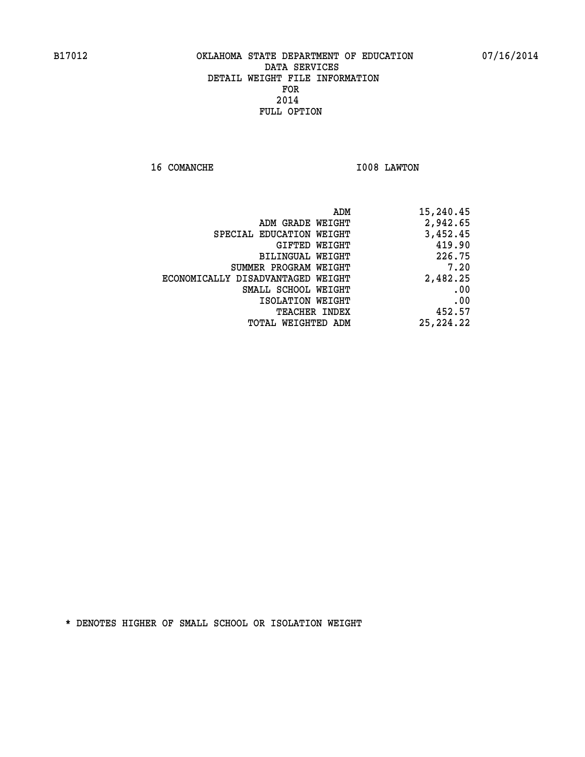**16 COMANCHE 1008 LAWTON** 

| 15,240.45   | ADM                      |                                   |
|-------------|--------------------------|-----------------------------------|
| 2,942.65    | ADM GRADE WEIGHT         |                                   |
| 3,452.45    | SPECIAL EDUCATION WEIGHT |                                   |
| 419.90      | GIFTED WEIGHT            |                                   |
| 226.75      | BILINGUAL WEIGHT         |                                   |
| 7.20        | SUMMER PROGRAM WEIGHT    |                                   |
| 2,482.25    |                          | ECONOMICALLY DISADVANTAGED WEIGHT |
| .00         | SMALL SCHOOL WEIGHT      |                                   |
| .00         | ISOLATION WEIGHT         |                                   |
| 452.57      | <b>TEACHER INDEX</b>     |                                   |
| 25, 224, 22 | TOTAL WEIGHTED ADM       |                                   |
|             |                          |                                   |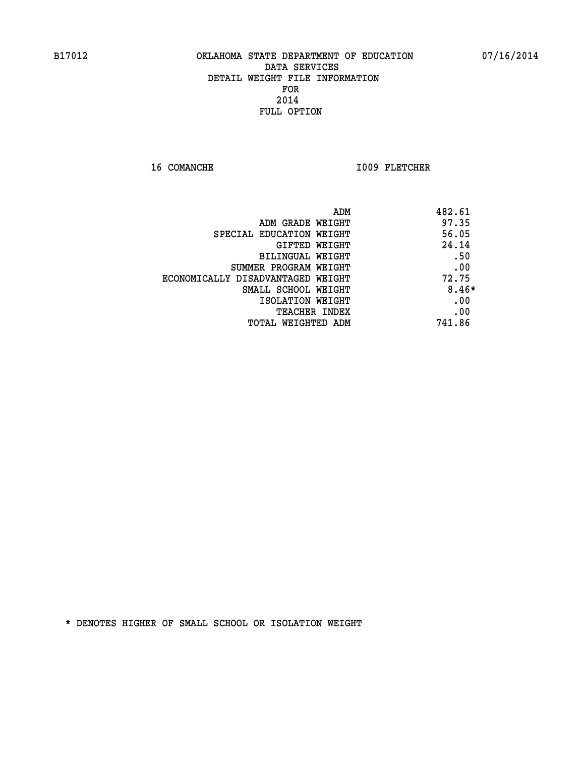16 COMANCHE 1009 FLETCHER

| ADM                               | 482.61  |
|-----------------------------------|---------|
| ADM GRADE WEIGHT                  | 97.35   |
| SPECIAL EDUCATION WEIGHT          | 56.05   |
| GIFTED WEIGHT                     | 24.14   |
| BILINGUAL WEIGHT                  | .50     |
| SUMMER PROGRAM WEIGHT             | .00     |
| ECONOMICALLY DISADVANTAGED WEIGHT | 72.75   |
| SMALL SCHOOL WEIGHT               | $8.46*$ |
| ISOLATION WEIGHT                  | .00     |
| <b>TEACHER INDEX</b>              | .00     |
| TOTAL WEIGHTED ADM                | 741.86  |
|                                   |         |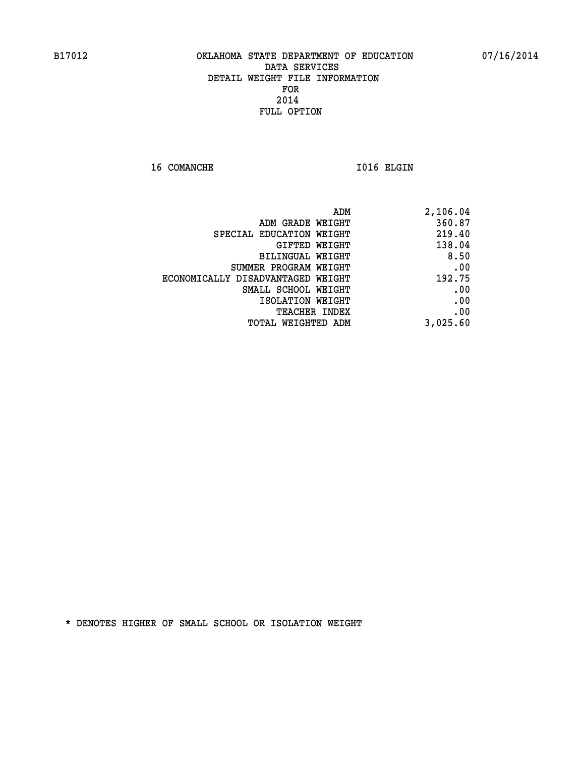16 COMANCHE 1016 ELGIN

| 2,106.04 |
|----------|
| 360.87   |
| 219.40   |
| 138.04   |
| 8.50     |
| .00      |
| 192.75   |
| .00      |
| .00      |
| .00      |
| 3,025.60 |
|          |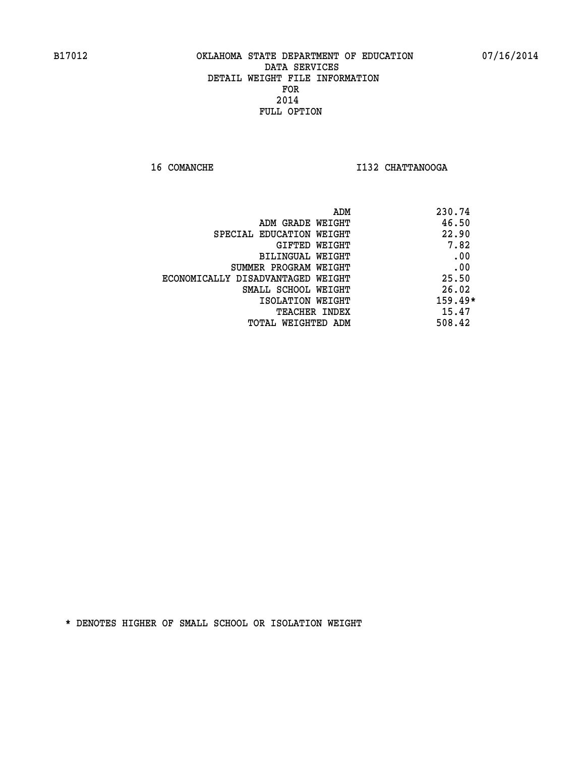**16 COMANCHE I132 CHATTANOOGA** 

|                                   | 230.74<br>ADM |
|-----------------------------------|---------------|
| ADM GRADE WEIGHT                  | 46.50         |
| SPECIAL EDUCATION WEIGHT          | 22.90         |
| GIFTED WEIGHT                     | 7.82          |
| BILINGUAL WEIGHT                  | .00           |
| SUMMER PROGRAM WEIGHT             | .00           |
| ECONOMICALLY DISADVANTAGED WEIGHT | 25.50         |
| SMALL SCHOOL WEIGHT               | 26.02         |
| ISOLATION WEIGHT                  | $159.49*$     |
| <b>TEACHER INDEX</b>              | 15.47         |
| TOTAL WEIGHTED ADM                | 508.42        |
|                                   |               |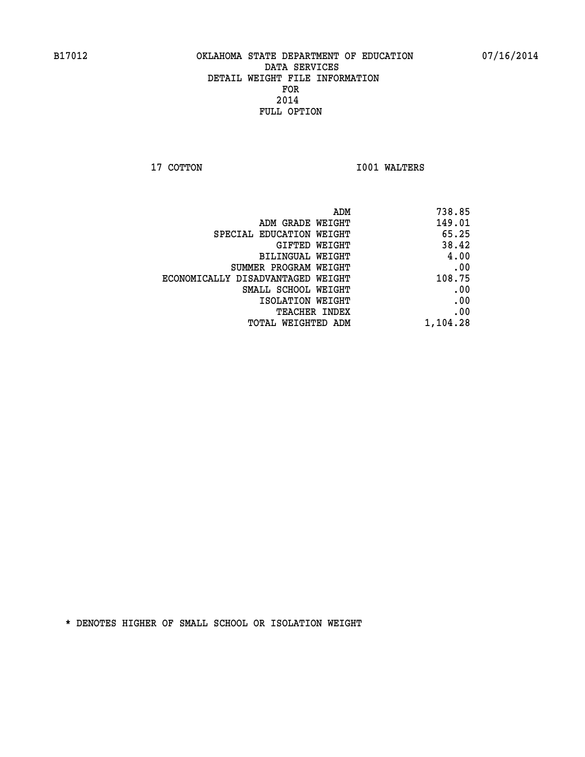**17 COTTON 1001 WALTERS** 

| 738.85   |
|----------|
| 149.01   |
| 65.25    |
| 38.42    |
| 4.00     |
| .00      |
| 108.75   |
| .00      |
| .00      |
| .00      |
| 1,104.28 |
|          |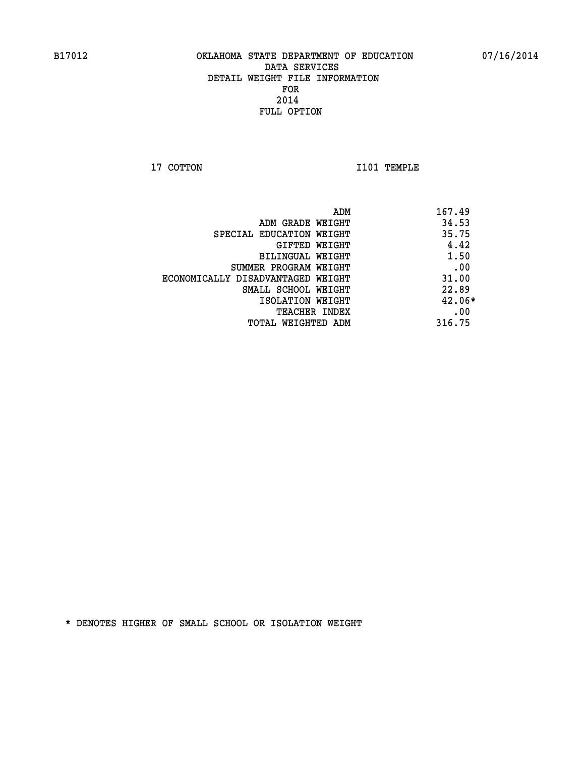**17 COTTON 1101 TEMPLE** 

|                                   | 167.49<br>ADM |
|-----------------------------------|---------------|
| ADM GRADE WEIGHT                  | 34.53         |
| SPECIAL EDUCATION WEIGHT          | 35.75         |
| GIFTED WEIGHT                     | 4.42          |
| BILINGUAL WEIGHT                  | 1.50          |
| SUMMER PROGRAM WEIGHT             | .00           |
| ECONOMICALLY DISADVANTAGED WEIGHT | 31.00         |
| SMALL SCHOOL WEIGHT               | 22.89         |
| ISOLATION WEIGHT                  | $42.06*$      |
| TEACHER INDEX                     | .00           |
| TOTAL WEIGHTED ADM                | 316.75        |
|                                   |               |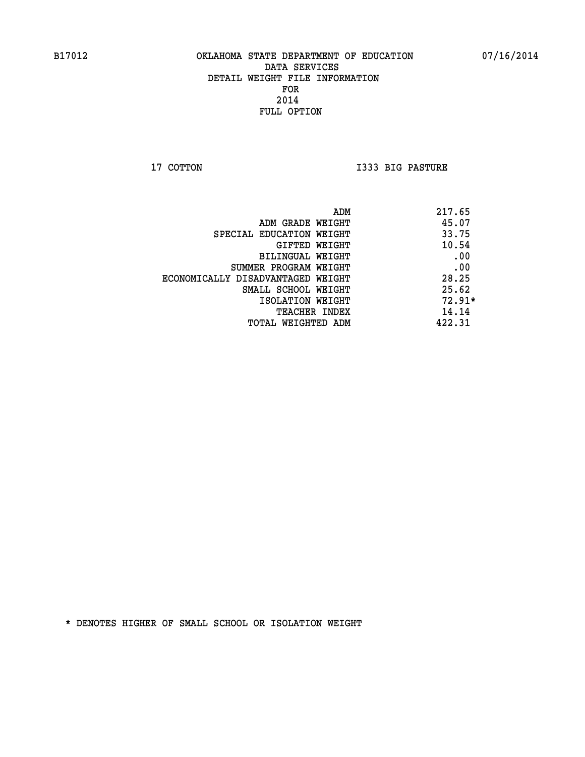**17 COTTON I333 BIG PASTURE** 

| ADM                               | 217.65   |
|-----------------------------------|----------|
| ADM GRADE WEIGHT                  | 45.07    |
| SPECIAL EDUCATION WEIGHT          | 33.75    |
| GIFTED WEIGHT                     | 10.54    |
| BILINGUAL WEIGHT                  | .00      |
| SUMMER PROGRAM WEIGHT             | .00      |
| ECONOMICALLY DISADVANTAGED WEIGHT | 28.25    |
| SMALL SCHOOL WEIGHT               | 25.62    |
| ISOLATION WEIGHT                  | $72.91*$ |
| TEACHER INDEX                     | 14.14    |
| TOTAL WEIGHTED ADM                | 422.31   |
|                                   |          |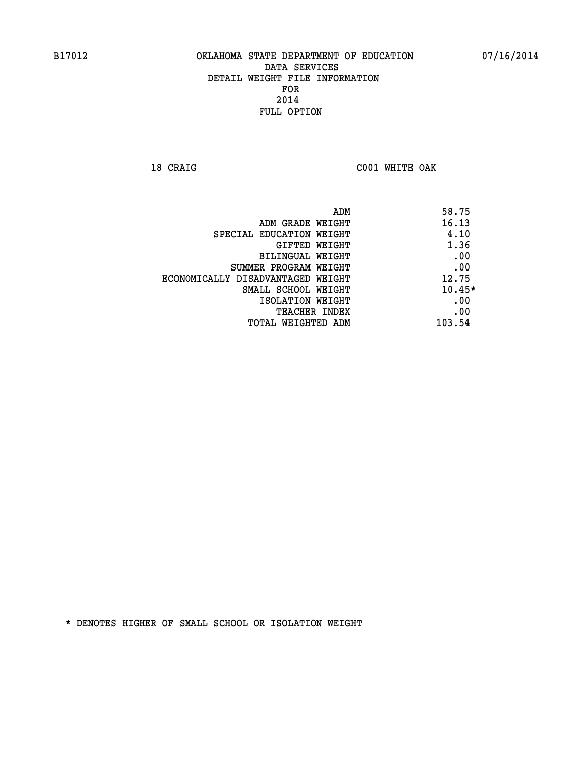**18 CRAIG C001 WHITE OAK** 

| ADM                               | 58.75    |
|-----------------------------------|----------|
| ADM GRADE WEIGHT                  | 16.13    |
| SPECIAL EDUCATION WEIGHT          | 4.10     |
| GIFTED WEIGHT                     | 1.36     |
| BILINGUAL WEIGHT                  | .00      |
| SUMMER PROGRAM WEIGHT             | .00      |
| ECONOMICALLY DISADVANTAGED WEIGHT | 12.75    |
| SMALL SCHOOL WEIGHT               | $10.45*$ |
| ISOLATION WEIGHT                  | .00      |
| <b>TEACHER INDEX</b>              | .00      |
| TOTAL WEIGHTED ADM                | 103.54   |
|                                   |          |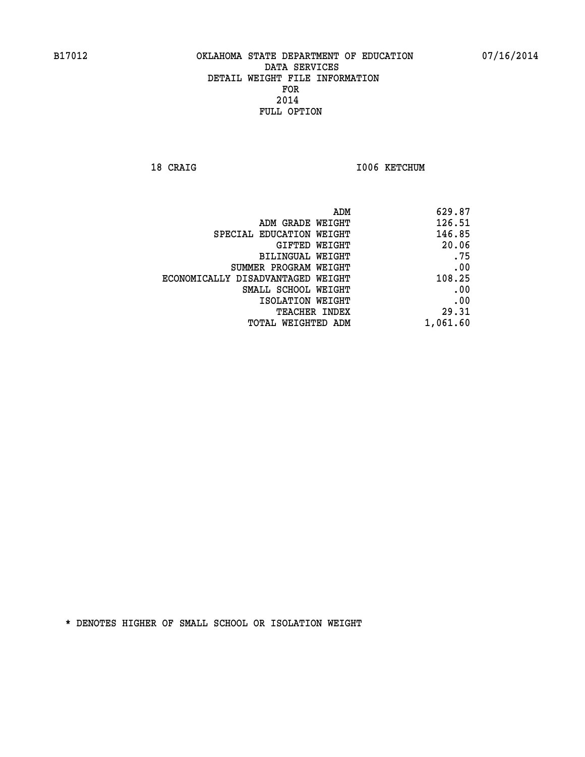18 CRAIG **I006 KETCHUM** 

|                                   | ADM<br>629.87 |  |
|-----------------------------------|---------------|--|
| ADM GRADE WEIGHT                  | 126.51        |  |
| SPECIAL EDUCATION WEIGHT          | 146.85        |  |
| GIFTED WEIGHT                     | 20.06         |  |
| BILINGUAL WEIGHT                  | .75           |  |
| SUMMER PROGRAM WEIGHT             | .00           |  |
| ECONOMICALLY DISADVANTAGED WEIGHT | 108.25        |  |
| SMALL SCHOOL WEIGHT               | .00           |  |
| ISOLATION WEIGHT                  | .00           |  |
| TEACHER INDEX                     | 29.31         |  |
| TOTAL WEIGHTED ADM                | 1,061.60      |  |
|                                   |               |  |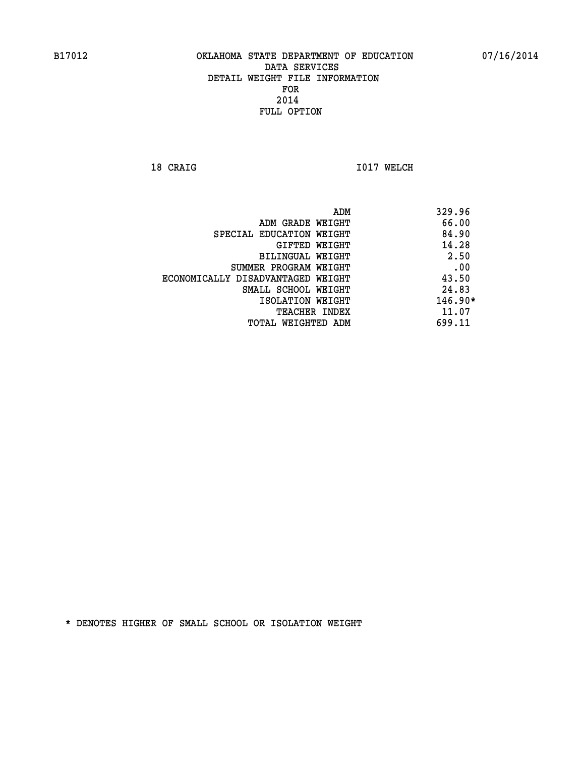**18 CRAIG 1017 WELCH** 

|                                   | ADM | 329.96    |
|-----------------------------------|-----|-----------|
| ADM GRADE WEIGHT                  |     | 66.00     |
| SPECIAL EDUCATION WEIGHT          |     | 84.90     |
| <b>GIFTED WEIGHT</b>              |     | 14.28     |
| BILINGUAL WEIGHT                  |     | 2.50      |
| SUMMER PROGRAM WEIGHT             |     | .00       |
| ECONOMICALLY DISADVANTAGED WEIGHT |     | 43.50     |
| SMALL SCHOOL WEIGHT               |     | 24.83     |
| ISOLATION WEIGHT                  |     | $146.90*$ |
| <b>TEACHER INDEX</b>              |     | 11.07     |
| TOTAL WEIGHTED ADM                |     | 699.11    |
|                                   |     |           |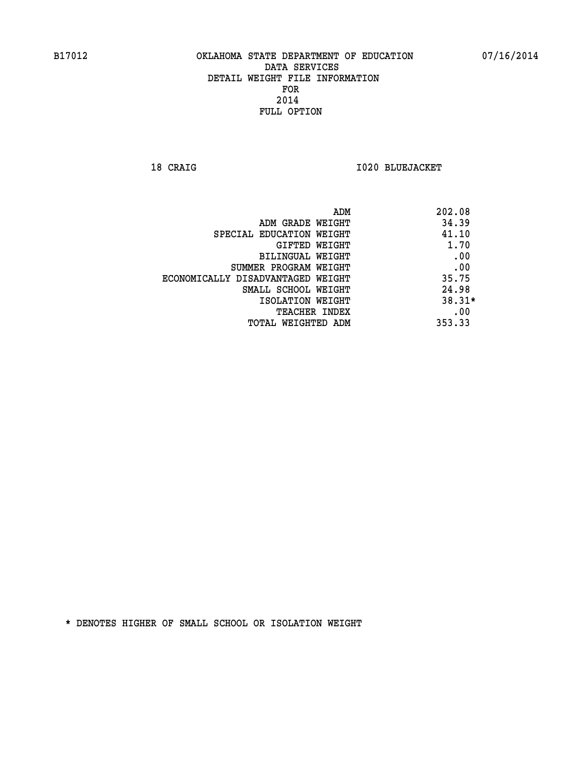**18 CRAIG I020 BLUEJACKET** 

| ADM                               | 202.08   |
|-----------------------------------|----------|
| ADM GRADE WEIGHT                  | 34.39    |
| SPECIAL EDUCATION WEIGHT          | 41.10    |
| GIFTED WEIGHT                     | 1.70     |
| BILINGUAL WEIGHT                  | .00      |
| SUMMER PROGRAM WEIGHT             | .00      |
| ECONOMICALLY DISADVANTAGED WEIGHT | 35.75    |
| SMALL SCHOOL WEIGHT               | 24.98    |
| ISOLATION WEIGHT                  | $38.31*$ |
| <b>TEACHER INDEX</b>              | .00      |
| TOTAL WEIGHTED ADM                | 353.33   |
|                                   |          |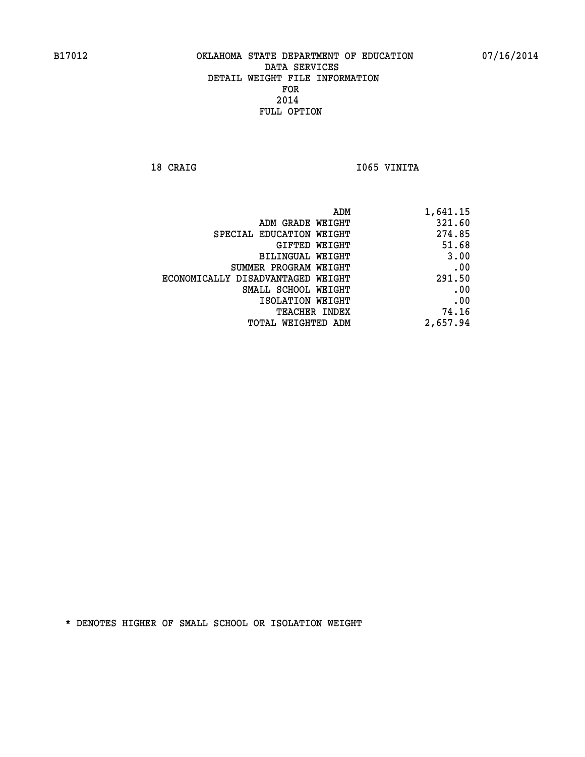18 CRAIG **I**065 VINITA

| 1,641.15 |
|----------|
| 321.60   |
| 274.85   |
| 51.68    |
| 3.00     |
| .00      |
| 291.50   |
| .00      |
| .00      |
| 74.16    |
| 2,657.94 |
|          |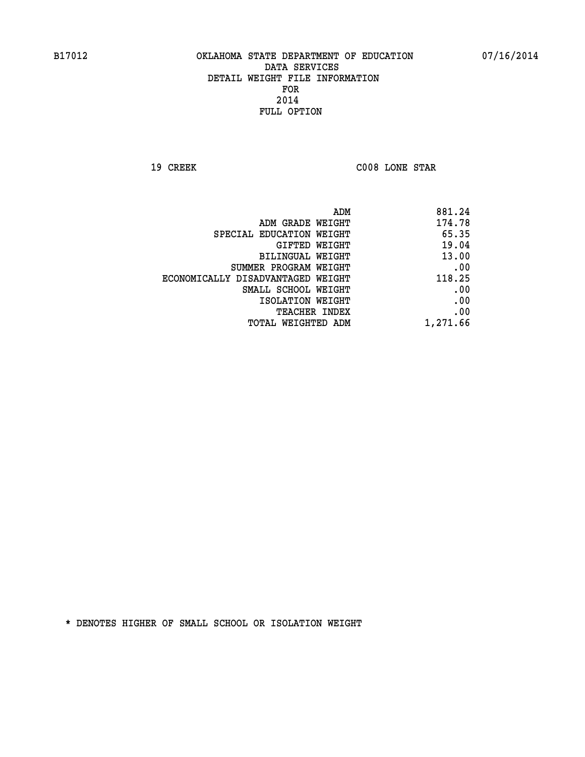**19 CREEK C008 LONE STAR** 

|                                   | ADM<br>881.24 |
|-----------------------------------|---------------|
| ADM GRADE WEIGHT                  | 174.78        |
| SPECIAL EDUCATION WEIGHT          | 65.35         |
| GIFTED WEIGHT                     | 19.04         |
| BILINGUAL WEIGHT                  | 13.00         |
| SUMMER PROGRAM WEIGHT             | .00           |
| ECONOMICALLY DISADVANTAGED WEIGHT | 118.25        |
| SMALL SCHOOL WEIGHT               | .00           |
| ISOLATION WEIGHT                  | .00           |
| TEACHER INDEX                     | .00           |
| TOTAL WEIGHTED ADM                | 1,271.66      |
|                                   |               |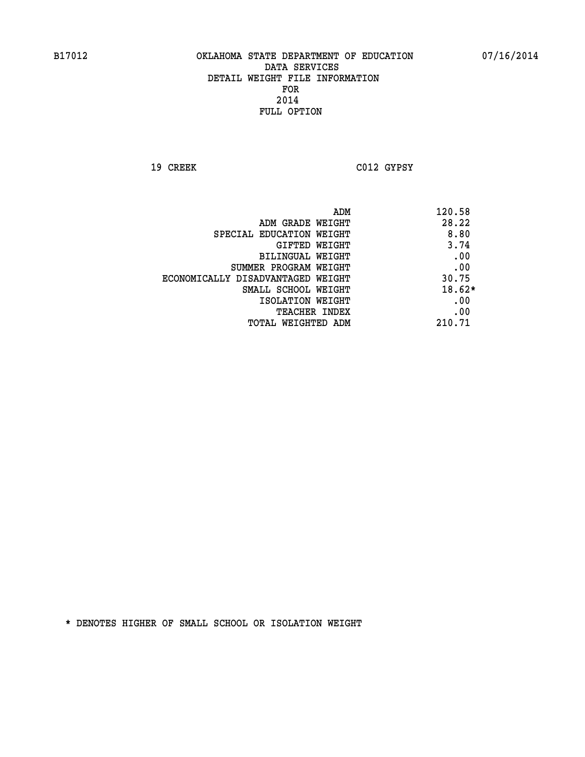**19 CREEK C012 GYPSY** 

|                                   | ADM | 120.58   |
|-----------------------------------|-----|----------|
| ADM GRADE WEIGHT                  |     | 28.22    |
| SPECIAL EDUCATION WEIGHT          |     | 8.80     |
| GIFTED WEIGHT                     |     | 3.74     |
| BILINGUAL WEIGHT                  |     | .00      |
| SUMMER PROGRAM WEIGHT             |     | .00      |
| ECONOMICALLY DISADVANTAGED WEIGHT |     | 30.75    |
| SMALL SCHOOL WEIGHT               |     | $18.62*$ |
| ISOLATION WEIGHT                  |     | .00      |
| <b>TEACHER INDEX</b>              |     | .00      |
| TOTAL WEIGHTED ADM                |     | 210.71   |
|                                   |     |          |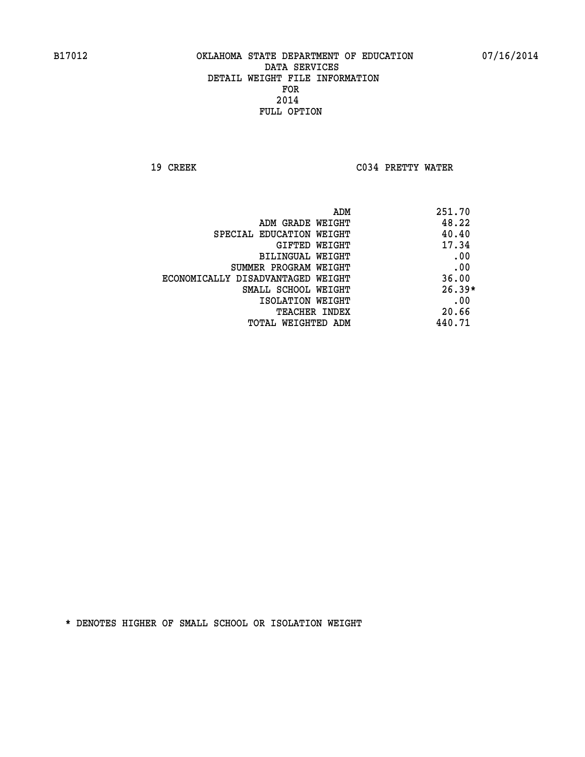**19 CREEK C034 PRETTY WATER** 

| ADM<br>251.70                              |     |
|--------------------------------------------|-----|
| 48.22<br>ADM GRADE WEIGHT                  |     |
| 40.40<br>SPECIAL EDUCATION WEIGHT          |     |
| 17.34<br>GIFTED WEIGHT                     |     |
| BILINGUAL WEIGHT                           | .00 |
| SUMMER PROGRAM WEIGHT                      | .00 |
| 36.00<br>ECONOMICALLY DISADVANTAGED WEIGHT |     |
| $26.39*$<br>SMALL SCHOOL WEIGHT            |     |
| ISOLATION WEIGHT                           | .00 |
| 20.66<br><b>TEACHER INDEX</b>              |     |
| 440.71<br>TOTAL WEIGHTED ADM               |     |
|                                            |     |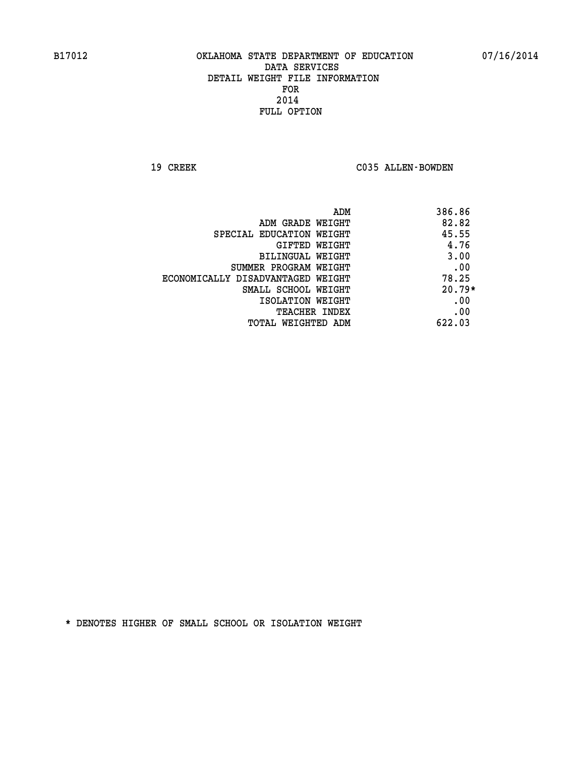19 CREEK C035 ALLEN-BOWDEN

| ADM                               | 386.86   |
|-----------------------------------|----------|
| ADM GRADE WEIGHT                  | 82.82    |
| SPECIAL EDUCATION WEIGHT          | 45.55    |
| GIFTED WEIGHT                     | 4.76     |
| BILINGUAL WEIGHT                  | 3.00     |
| SUMMER PROGRAM WEIGHT             | .00      |
| ECONOMICALLY DISADVANTAGED WEIGHT | 78.25    |
| SMALL SCHOOL WEIGHT               | $20.79*$ |
| ISOLATION WEIGHT                  | .00      |
| <b>TEACHER INDEX</b>              | .00      |
| TOTAL WEIGHTED ADM                | 622.03   |
|                                   |          |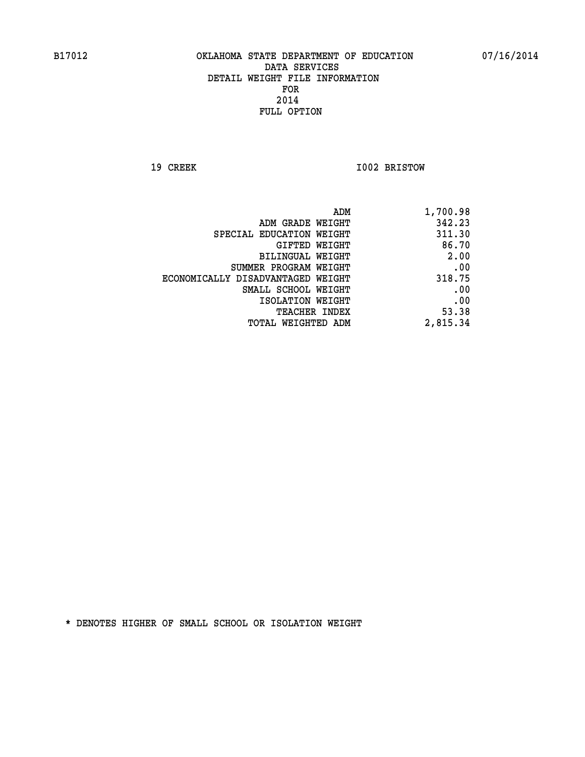**19 CREEK 1002 BRISTOW** 

| 1,700.98 |
|----------|
| 342.23   |
| 311.30   |
| 86.70    |
| 2.00     |
| .00      |
| 318.75   |
| .00      |
| .00      |
| 53.38    |
| 2,815.34 |
|          |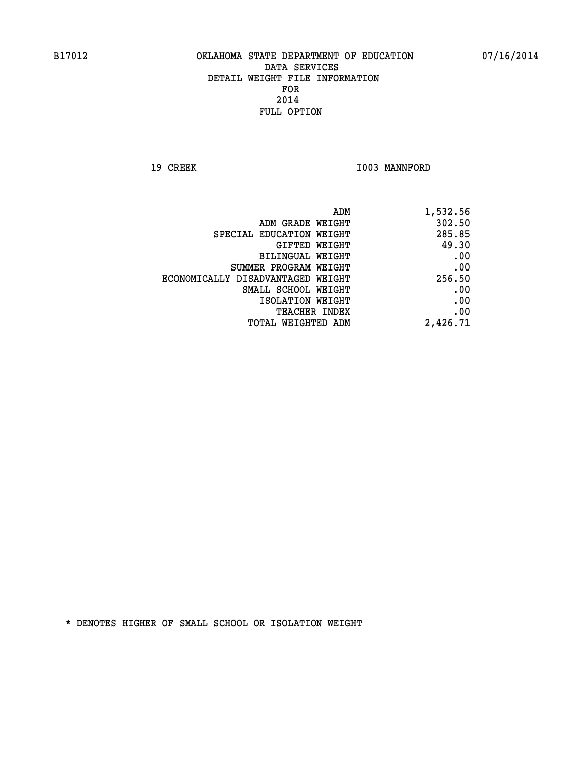19 CREEK 1003 MANNFORD

| 1,532.56 |
|----------|
| 302.50   |
| 285.85   |
| 49.30    |
| .00      |
| .00      |
| 256.50   |
| .00      |
| .00      |
| .00      |
| 2,426.71 |
|          |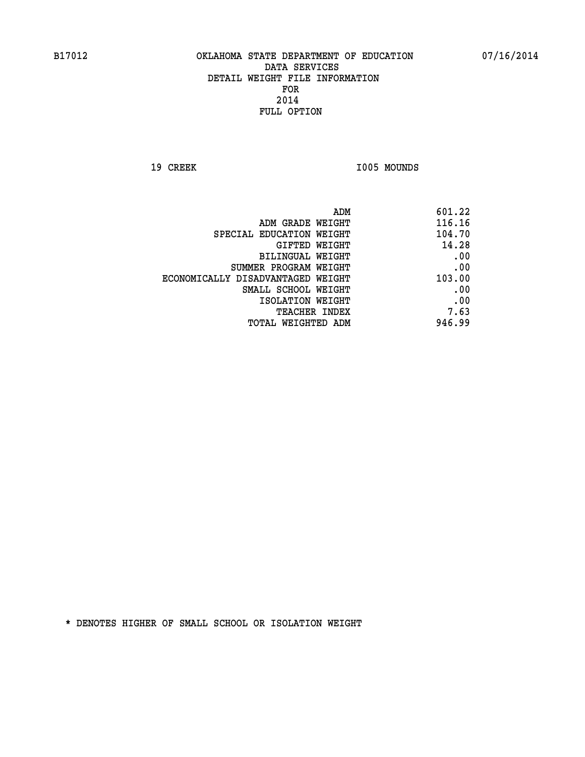19 CREEK 1005 MOUNDS

| ADM                               | 601.22 |
|-----------------------------------|--------|
| ADM GRADE WEIGHT                  | 116.16 |
| SPECIAL EDUCATION WEIGHT          | 104.70 |
| GIFTED WEIGHT                     | 14.28  |
| BILINGUAL WEIGHT                  | .00    |
| SUMMER PROGRAM WEIGHT             | .00    |
| ECONOMICALLY DISADVANTAGED WEIGHT | 103.00 |
| SMALL SCHOOL WEIGHT               | .00    |
| ISOLATION WEIGHT                  | .00    |
| <b>TEACHER INDEX</b>              | 7.63   |
| TOTAL WEIGHTED ADM                | 946.99 |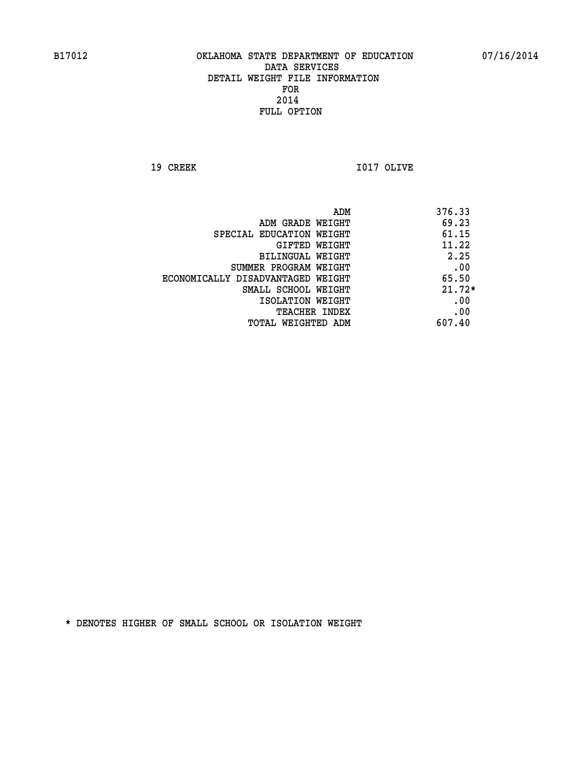**19 CREEK I017 OLIVE** 

|                                   | 376.33<br>ADM |
|-----------------------------------|---------------|
| ADM GRADE WEIGHT                  | 69.23         |
| SPECIAL EDUCATION WEIGHT          | 61.15         |
| GIFTED WEIGHT                     | 11.22         |
| BILINGUAL WEIGHT                  | 2.25          |
| SUMMER PROGRAM WEIGHT             | .00           |
| ECONOMICALLY DISADVANTAGED WEIGHT | 65.50         |
| SMALL SCHOOL WEIGHT               | $21.72*$      |
| ISOLATION WEIGHT                  | .00           |
| <b>TEACHER INDEX</b>              | .00           |
| TOTAL WEIGHTED ADM                | 607.40        |
|                                   |               |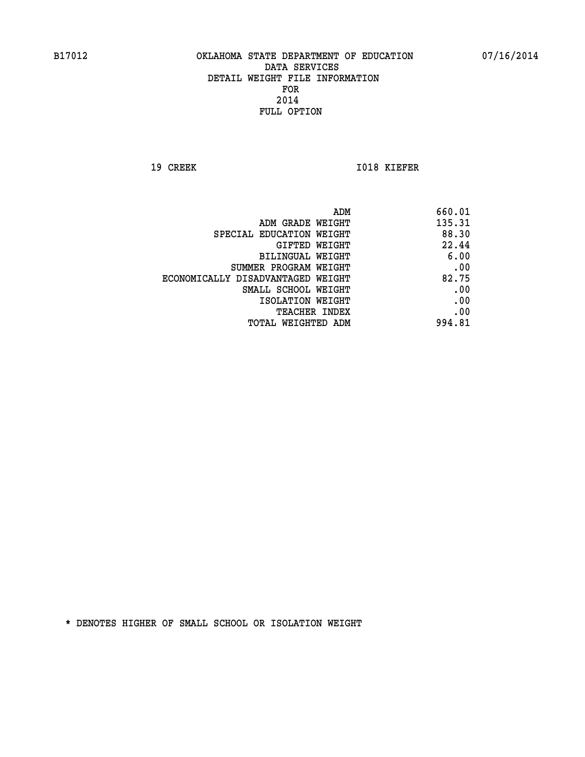**19 CREEK 1018 KIEFER** 

| 660.01 |
|--------|
| 135.31 |
| 88.30  |
| 22.44  |
| 6.00   |
| .00    |
| 82.75  |
| .00    |
| .00    |
| .00    |
| 994.81 |
|        |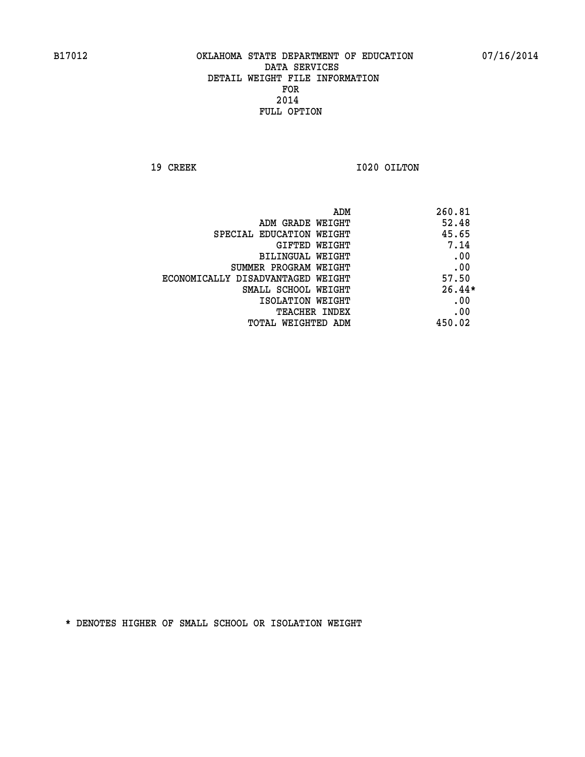**19 CREEK 1020 OILTON** 

|                                   | ADM | 260.81   |
|-----------------------------------|-----|----------|
| ADM GRADE WEIGHT                  |     | 52.48    |
| SPECIAL EDUCATION WEIGHT          |     | 45.65    |
| GIFTED WEIGHT                     |     | 7.14     |
| BILINGUAL WEIGHT                  |     | .00      |
| SUMMER PROGRAM WEIGHT             |     | .00      |
| ECONOMICALLY DISADVANTAGED WEIGHT |     | 57.50    |
| SMALL SCHOOL WEIGHT               |     | $26.44*$ |
| ISOLATION WEIGHT                  |     | .00      |
| <b>TEACHER INDEX</b>              |     | .00      |
| TOTAL WEIGHTED ADM                |     | 450.02   |
|                                   |     |          |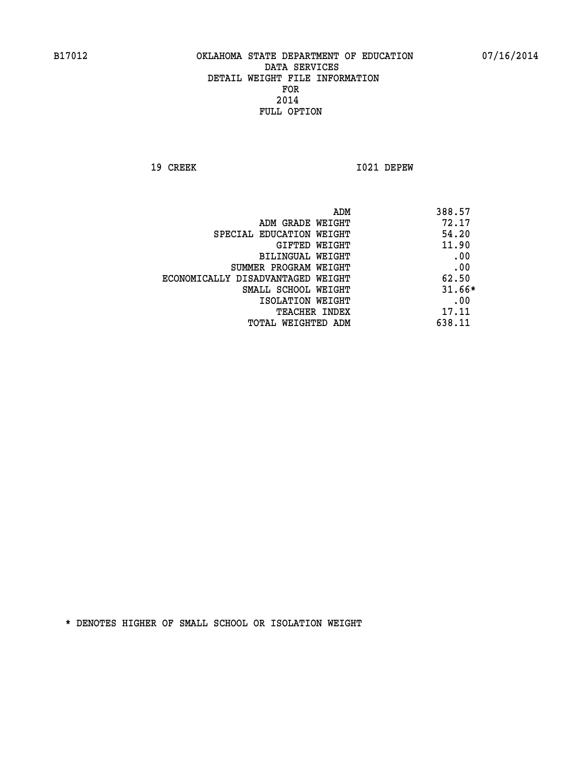**19 CREEK I021 DEPEW** 

|                                   | ADM<br>388.57 |     |
|-----------------------------------|---------------|-----|
| ADM GRADE WEIGHT                  | 72.17         |     |
| SPECIAL EDUCATION WEIGHT          | 54.20         |     |
| GIFTED WEIGHT                     | 11.90         |     |
| BILINGUAL WEIGHT                  |               | .00 |
| SUMMER PROGRAM WEIGHT             |               | .00 |
| ECONOMICALLY DISADVANTAGED WEIGHT | 62.50         |     |
| SMALL SCHOOL WEIGHT               | $31.66*$      |     |
| ISOLATION WEIGHT                  |               | .00 |
| <b>TEACHER INDEX</b>              | 17.11         |     |
| TOTAL WEIGHTED ADM                | 638.11        |     |
|                                   |               |     |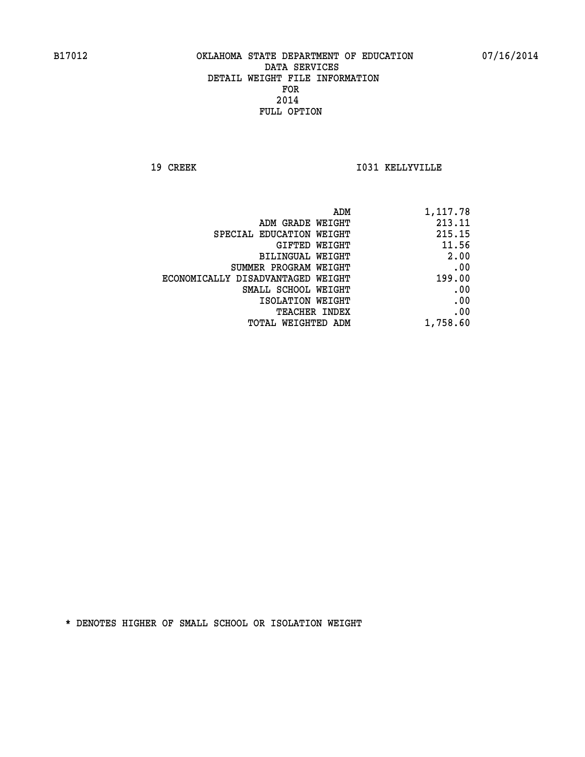**19 CREEK I031 KELLYVILLE** 

| 1,117.78 |
|----------|
| 213.11   |
| 215.15   |
| 11.56    |
| 2.00     |
| .00      |
| 199.00   |
| .00      |
| .00      |
| .00      |
| 1,758.60 |
|          |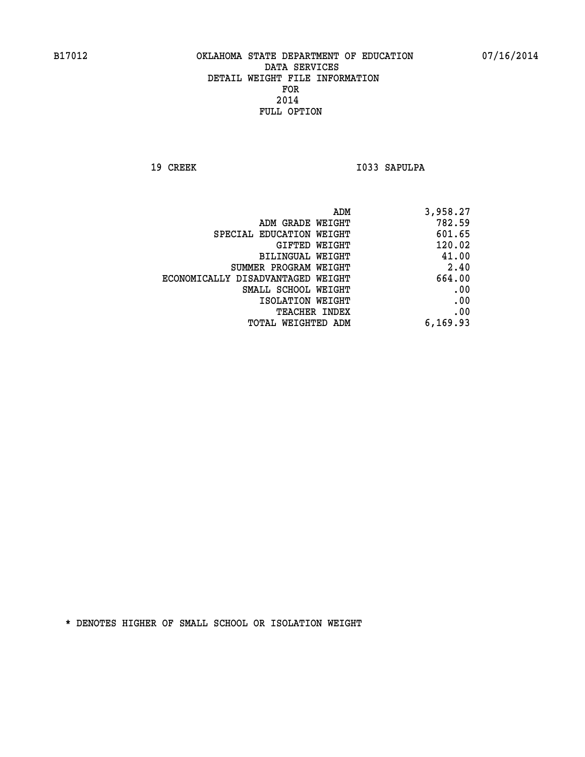19 CREEK 1033 SAPULPA

| 3,958.27 |
|----------|
| 782.59   |
| 601.65   |
| 120.02   |
| 41.00    |
| 2.40     |
| 664.00   |
| .00      |
| .00      |
| .00      |
| 6,169.93 |
|          |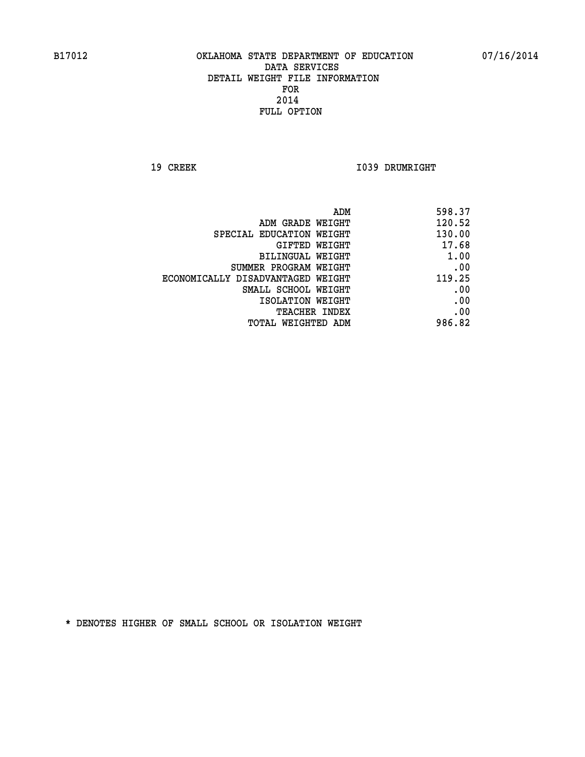**19 CREEK 1039 DRUMRIGHT** 

| ADM                               | 598.37 |
|-----------------------------------|--------|
| ADM GRADE WEIGHT                  | 120.52 |
| SPECIAL EDUCATION WEIGHT          | 130.00 |
| GIFTED WEIGHT                     | 17.68  |
| <b>BILINGUAL WEIGHT</b>           | 1.00   |
| SUMMER PROGRAM WEIGHT             | .00    |
| ECONOMICALLY DISADVANTAGED WEIGHT | 119.25 |
| SMALL SCHOOL WEIGHT               | .00    |
| ISOLATION WEIGHT                  | .00    |
| TEACHER INDEX                     | .00    |
| TOTAL WEIGHTED ADM                | 986.82 |
|                                   |        |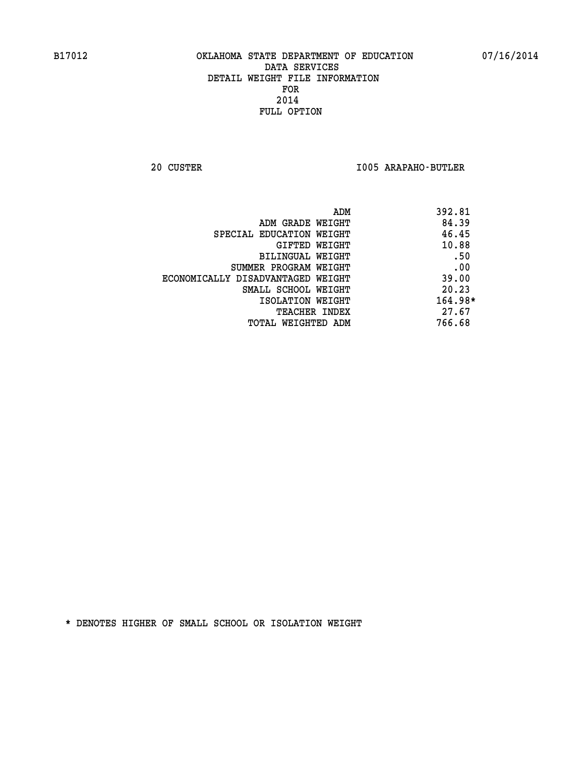**20 CUSTER I005 ARAPAHO-BUTLER** 

| ADM                               | 392.81  |
|-----------------------------------|---------|
| ADM GRADE WEIGHT                  | 84.39   |
| SPECIAL EDUCATION WEIGHT          | 46.45   |
| GIFTED WEIGHT                     | 10.88   |
| BILINGUAL WEIGHT                  | .50     |
| SUMMER PROGRAM WEIGHT             | .00     |
| ECONOMICALLY DISADVANTAGED WEIGHT | 39.00   |
| SMALL SCHOOL WEIGHT               | 20.23   |
| ISOLATION WEIGHT                  | 164.98* |
| <b>TEACHER INDEX</b>              | 27.67   |
| TOTAL WEIGHTED ADM                | 766.68  |
|                                   |         |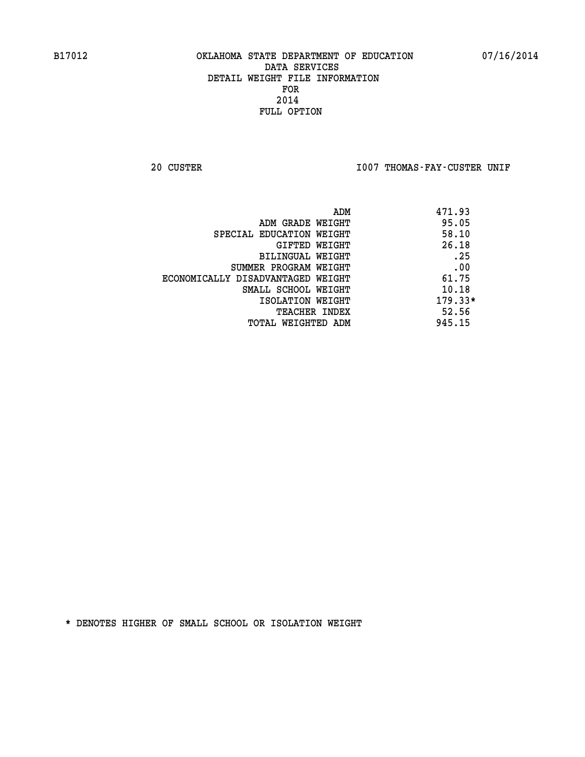20 CUSTER **IOO7 THOMAS-FAY-CUSTER UNIF** 

|                                   | 471.93<br>ADM |
|-----------------------------------|---------------|
| ADM GRADE WEIGHT                  | 95.05         |
| SPECIAL EDUCATION WEIGHT          | 58.10         |
| GIFTED WEIGHT                     | 26.18         |
| BILINGUAL WEIGHT                  | .25           |
| SUMMER PROGRAM WEIGHT             | .00           |
| ECONOMICALLY DISADVANTAGED WEIGHT | 61.75         |
| SMALL SCHOOL WEIGHT               | 10.18         |
| ISOLATION WEIGHT                  | $179.33*$     |
| <b>TEACHER INDEX</b>              | 52.56         |
| TOTAL WEIGHTED ADM                | 945.15        |
|                                   |               |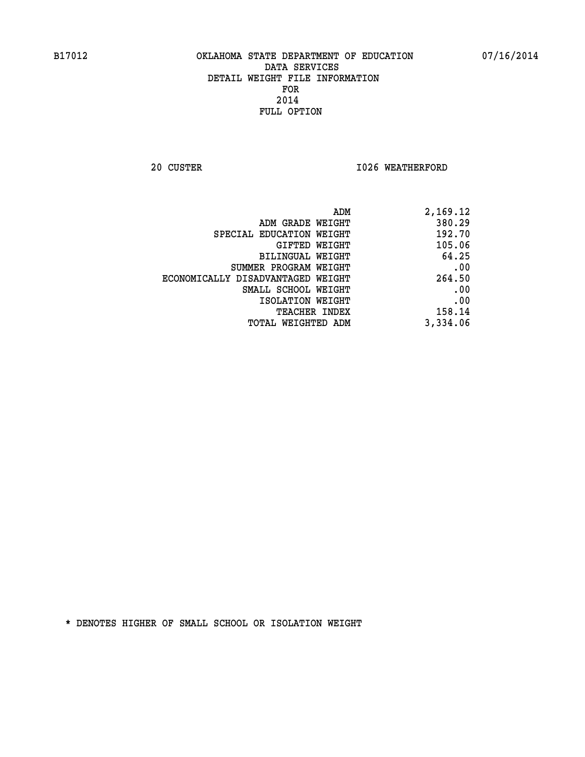**20 CUSTER 1026 WEATHERFORD** 

| 2,169.12 |
|----------|
| 380.29   |
| 192.70   |
| 105.06   |
| 64.25    |
| .00      |
| 264.50   |
| .00      |
| .00      |
| 158.14   |
| 3,334.06 |
|          |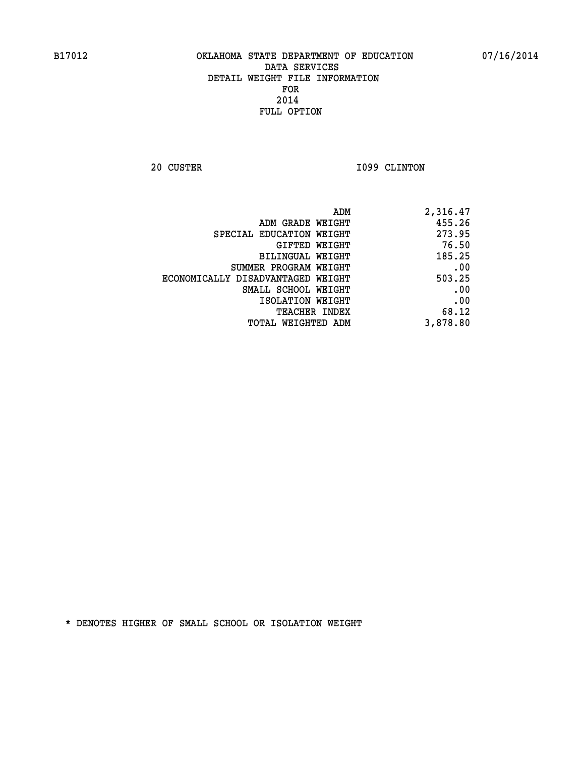**20 CUSTER 1099 CLINTON** 

| ADM                               | 2,316.47 |
|-----------------------------------|----------|
| ADM GRADE WEIGHT                  | 455.26   |
| SPECIAL EDUCATION WEIGHT          | 273.95   |
| GIFTED WEIGHT                     | 76.50    |
| <b>BILINGUAL WEIGHT</b>           | 185.25   |
| SUMMER PROGRAM WEIGHT             | .00      |
| ECONOMICALLY DISADVANTAGED WEIGHT | 503.25   |
| SMALL SCHOOL WEIGHT               | .00      |
| ISOLATION WEIGHT                  | .00      |
| TEACHER INDEX                     | 68.12    |
| TOTAL WEIGHTED ADM                | 3,878.80 |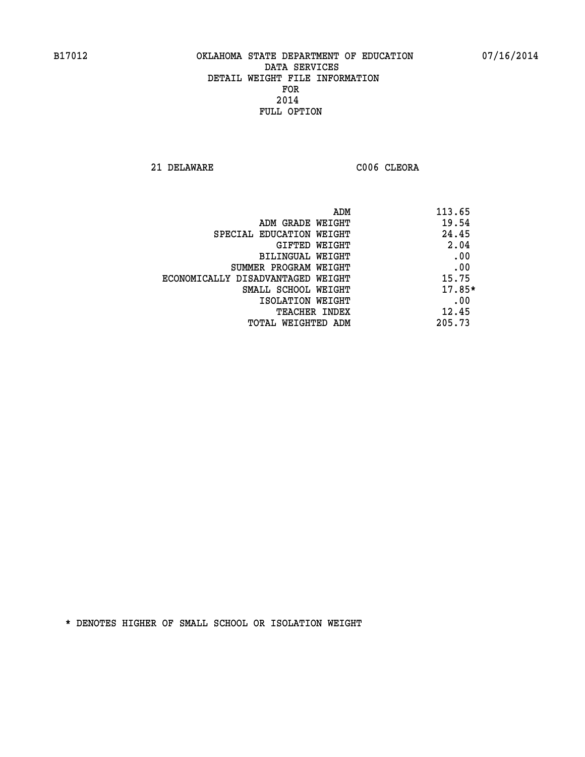**21 DELAWARE C006 CLEORA** 

| 113.65<br>ADM                              |  |
|--------------------------------------------|--|
| 19.54<br>ADM GRADE WEIGHT                  |  |
| 24.45<br>SPECIAL EDUCATION WEIGHT          |  |
| 2.04<br>GIFTED WEIGHT                      |  |
| .00<br>BILINGUAL WEIGHT                    |  |
| .00<br>SUMMER PROGRAM WEIGHT               |  |
| 15.75<br>ECONOMICALLY DISADVANTAGED WEIGHT |  |
| $17.85*$<br>SMALL SCHOOL WEIGHT            |  |
| .00<br>ISOLATION WEIGHT                    |  |
| 12.45<br><b>TEACHER INDEX</b>              |  |
| 205.73<br>TOTAL WEIGHTED ADM               |  |
|                                            |  |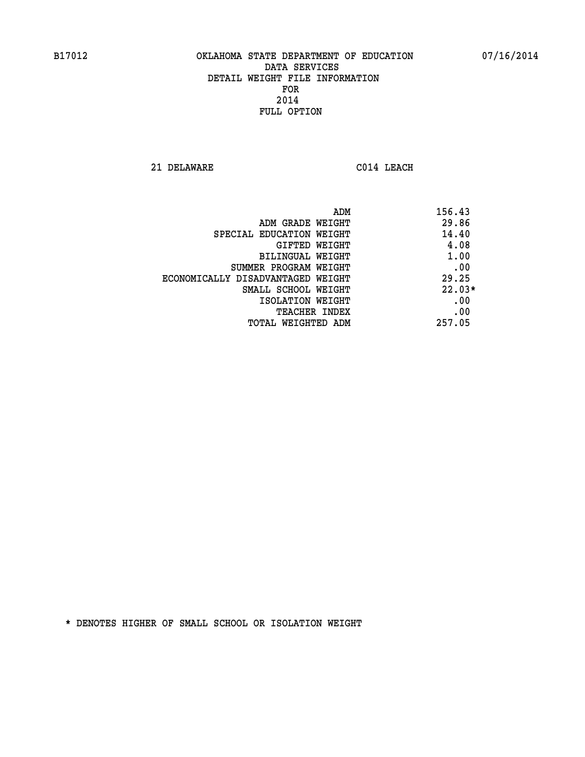**21 DELAWARE C014 LEACH** 

| ADM                               | 156.43   |
|-----------------------------------|----------|
| ADM GRADE WEIGHT                  | 29.86    |
| SPECIAL EDUCATION WEIGHT          | 14.40    |
| <b>GIFTED WEIGHT</b>              | 4.08     |
| BILINGUAL WEIGHT                  | 1.00     |
| SUMMER PROGRAM WEIGHT             | .00      |
| ECONOMICALLY DISADVANTAGED WEIGHT | 29.25    |
| SMALL SCHOOL WEIGHT               | $22.03*$ |
| ISOLATION WEIGHT                  | .00      |
| <b>TEACHER INDEX</b>              | .00      |
| TOTAL WEIGHTED ADM                | 257.05   |
|                                   |          |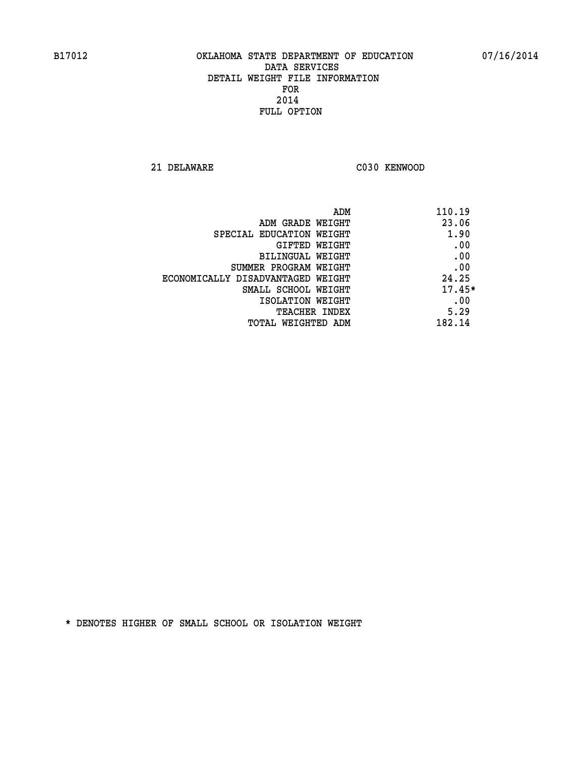**21 DELAWARE C030 KENWOOD** 

| ADM                               | 110.19   |
|-----------------------------------|----------|
| ADM GRADE WEIGHT                  | 23.06    |
| SPECIAL EDUCATION WEIGHT          | 1.90     |
| GIFTED WEIGHT                     | .00      |
| BILINGUAL WEIGHT                  | .00      |
| SUMMER PROGRAM WEIGHT             | .00      |
| ECONOMICALLY DISADVANTAGED WEIGHT | 24.25    |
| SMALL SCHOOL WEIGHT               | $17.45*$ |
| ISOLATION WEIGHT                  | .00      |
| <b>TEACHER INDEX</b>              | 5.29     |
| TOTAL WEIGHTED ADM                | 182.14   |
|                                   |          |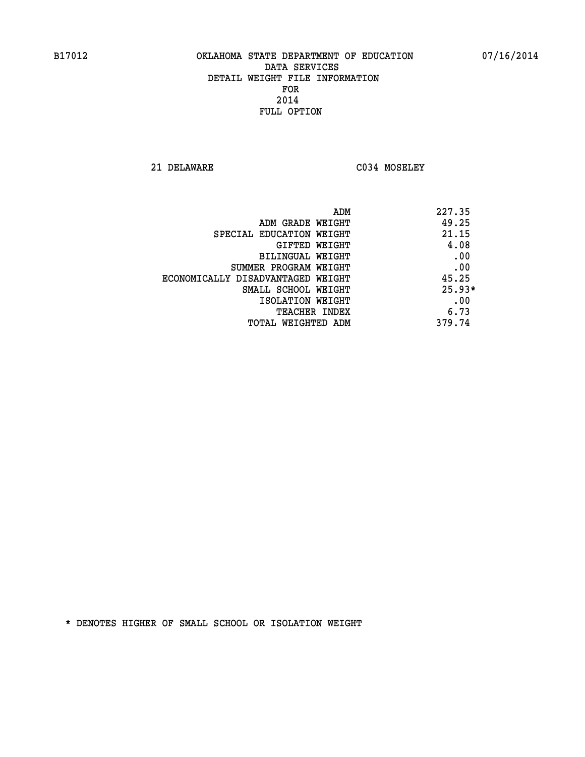**21 DELAWARE C034 MOSELEY** 

| 227.35<br>ADM |                                   |
|---------------|-----------------------------------|
| 49.25         | ADM GRADE WEIGHT                  |
| 21.15         | SPECIAL EDUCATION WEIGHT          |
| 4.08          | GIFTED WEIGHT                     |
| .00           | BILINGUAL WEIGHT                  |
| .00           | SUMMER PROGRAM WEIGHT             |
| 45.25         | ECONOMICALLY DISADVANTAGED WEIGHT |
| $25.93*$      | SMALL SCHOOL WEIGHT               |
| .00           | ISOLATION WEIGHT                  |
| 6.73          | <b>TEACHER INDEX</b>              |
| 379.74        | TOTAL WEIGHTED ADM                |
|               |                                   |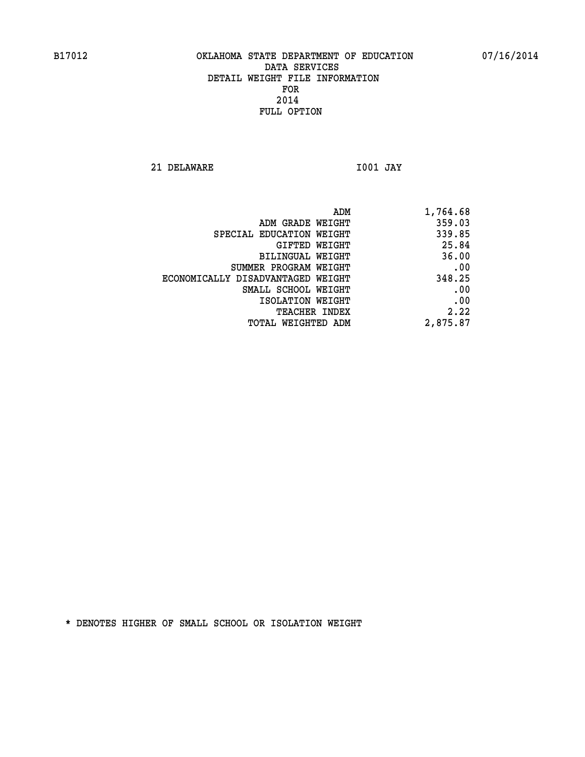**21 DELAWARE I001 JAY** 

 **ADM 1,764.68 ADM GRADE WEIGHT 359.03 SPECIAL EDUCATION WEIGHT 339.85 GIFTED WEIGHT 25.84 BILINGUAL WEIGHT 36.00 SUMMER PROGRAM WEIGHT .00 ECONOMICALLY DISADVANTAGED WEIGHT 348.25 SMALL SCHOOL WEIGHT .00** 

**EXECUTED ISOLATION WEIGHT AND RESOLATION WEIGHT TEACHER INDEX** 2.22  **TOTAL WEIGHTED ADM 2,875.87**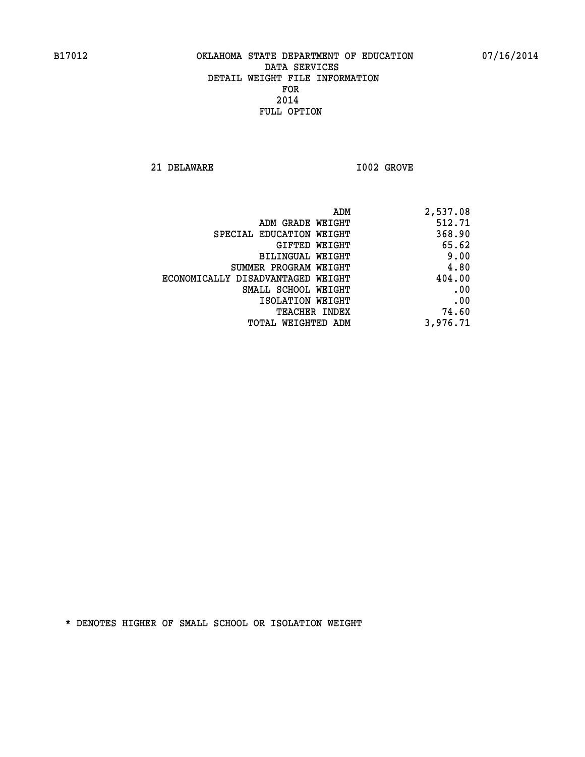**21 DELAWARE I002 GROVE** 

| ADM                               | 2,537.08 |
|-----------------------------------|----------|
| ADM GRADE WEIGHT                  | 512.71   |
| SPECIAL EDUCATION WEIGHT          | 368.90   |
| GIFTED WEIGHT                     | 65.62    |
| BILINGUAL WEIGHT                  | 9.00     |
| SUMMER PROGRAM WEIGHT             | 4.80     |
| ECONOMICALLY DISADVANTAGED WEIGHT | 404.00   |
| SMALL SCHOOL WEIGHT               | .00      |
| ISOLATION WEIGHT                  | .00      |
| <b>TEACHER INDEX</b>              | 74.60    |
| TOTAL WEIGHTED ADM                | 3,976.71 |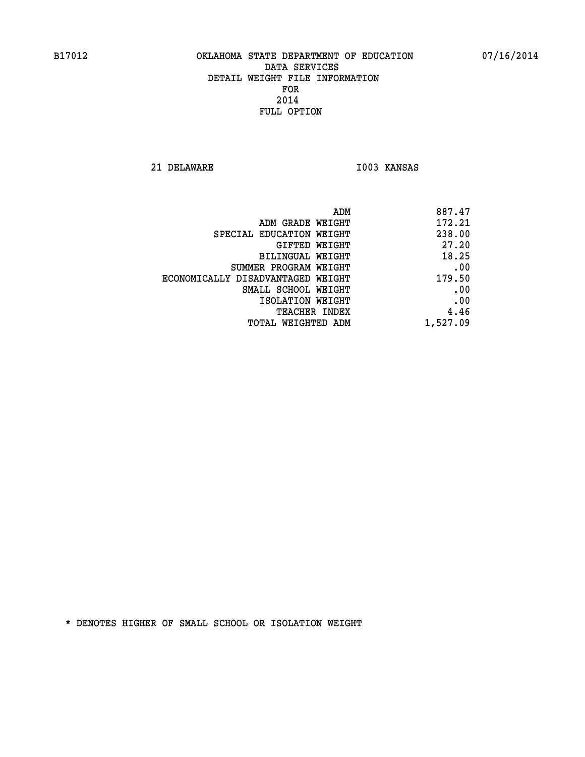**21 DELAWARE I003 KANSAS** 

| 887.47   |
|----------|
| 172.21   |
| 238.00   |
| 27.20    |
| 18.25    |
| .00      |
| 179.50   |
| .00      |
| .00      |
| 4.46     |
| 1,527.09 |
|          |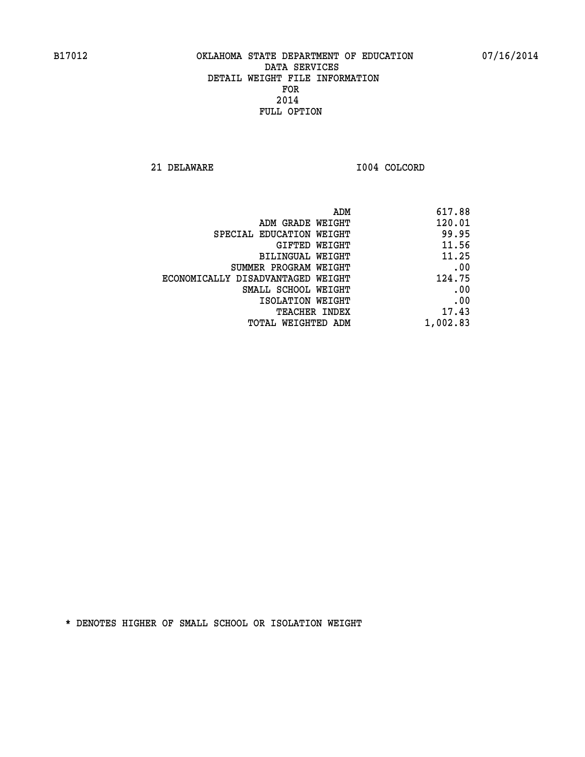**21 DELAWARE I004 COLCORD** 

| 617.88   |
|----------|
| 120.01   |
| 99.95    |
| 11.56    |
| 11.25    |
| .00      |
| 124.75   |
| .00      |
| .00      |
| 17.43    |
| 1,002.83 |
|          |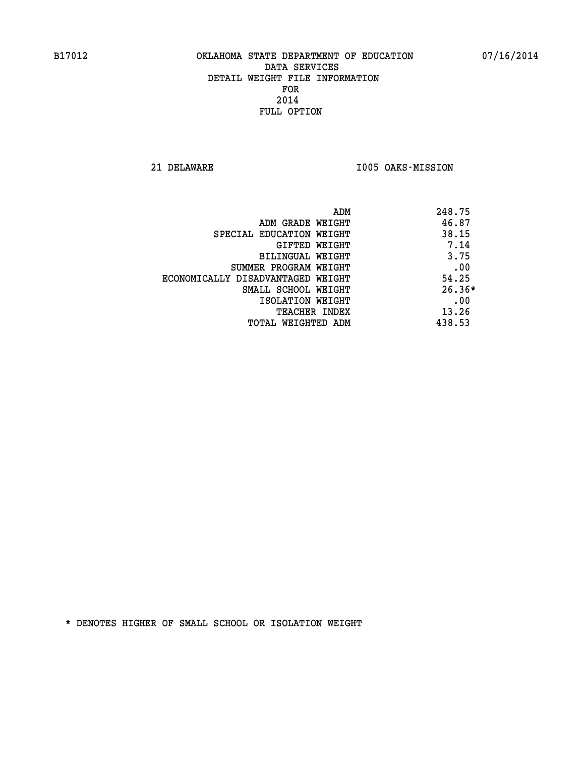**21 DELAWARE I005 OAKS-MISSION** 

| 248.75<br>ADM                              |          |
|--------------------------------------------|----------|
| 46.87<br>ADM GRADE WEIGHT                  |          |
| 38.15<br>SPECIAL EDUCATION WEIGHT          |          |
| GIFTED WEIGHT                              | 7.14     |
| BILINGUAL WEIGHT                           | 3.75     |
| SUMMER PROGRAM WEIGHT                      | .00      |
| 54.25<br>ECONOMICALLY DISADVANTAGED WEIGHT |          |
| SMALL SCHOOL WEIGHT                        | $26.36*$ |
| ISOLATION WEIGHT                           | .00      |
| 13.26<br><b>TEACHER INDEX</b>              |          |
| 438.53<br>TOTAL WEIGHTED ADM               |          |
|                                            |          |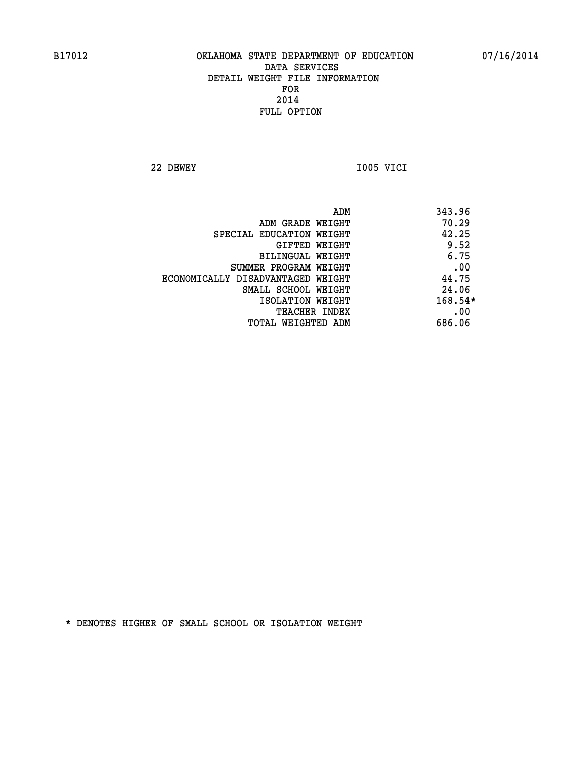**22 DEWEY I005 VICI** 

| ADM<br>343.96                              |     |
|--------------------------------------------|-----|
| 70.29<br>ADM GRADE WEIGHT                  |     |
| 42.25<br>SPECIAL EDUCATION WEIGHT          |     |
| 9.52<br><b>GIFTED WEIGHT</b>               |     |
| 6.75<br>BILINGUAL WEIGHT                   |     |
| SUMMER PROGRAM WEIGHT                      | .00 |
| 44.75<br>ECONOMICALLY DISADVANTAGED WEIGHT |     |
| 24.06<br>SMALL SCHOOL WEIGHT               |     |
| $168.54*$<br>ISOLATION WEIGHT              |     |
| <b>TEACHER INDEX</b>                       | .00 |
| 686.06<br>TOTAL WEIGHTED ADM               |     |
|                                            |     |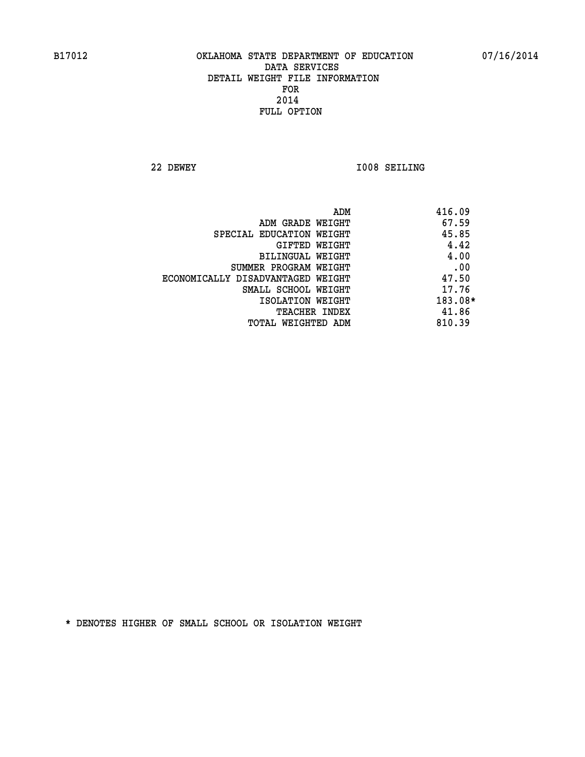**22 DEWEY I008 SEILING** 

|                                   | ADM | 416.09  |
|-----------------------------------|-----|---------|
| ADM GRADE WEIGHT                  |     | 67.59   |
| SPECIAL EDUCATION WEIGHT          |     | 45.85   |
| GIFTED WEIGHT                     |     | 4.42    |
| BILINGUAL WEIGHT                  |     | 4.00    |
| SUMMER PROGRAM WEIGHT             |     | .00     |
| ECONOMICALLY DISADVANTAGED WEIGHT |     | 47.50   |
| SMALL SCHOOL WEIGHT               |     | 17.76   |
| ISOLATION WEIGHT                  |     | 183.08* |
| TEACHER INDEX                     |     | 41.86   |
| TOTAL WEIGHTED ADM                |     | 810.39  |
|                                   |     |         |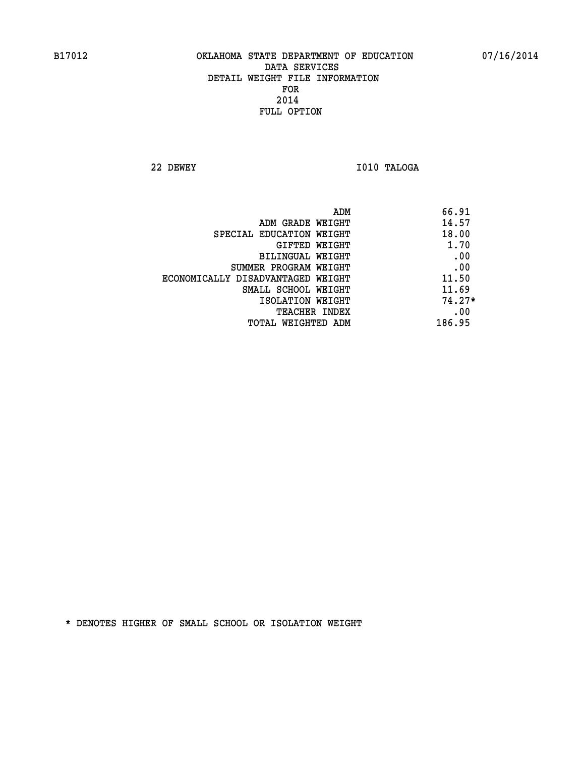**22 DEWEY I010 TALOGA** 

|                                   | ADM | 66.91    |
|-----------------------------------|-----|----------|
| ADM GRADE WEIGHT                  |     | 14.57    |
| SPECIAL EDUCATION WEIGHT          |     | 18.00    |
| GIFTED WEIGHT                     |     | 1.70     |
| BILINGUAL WEIGHT                  |     | .00      |
| SUMMER PROGRAM WEIGHT             |     | .00      |
| ECONOMICALLY DISADVANTAGED WEIGHT |     | 11.50    |
| SMALL SCHOOL WEIGHT               |     | 11.69    |
| ISOLATION WEIGHT                  |     | $74.27*$ |
| <b>TEACHER INDEX</b>              |     | .00      |
| TOTAL WEIGHTED ADM                |     | 186.95   |
|                                   |     |          |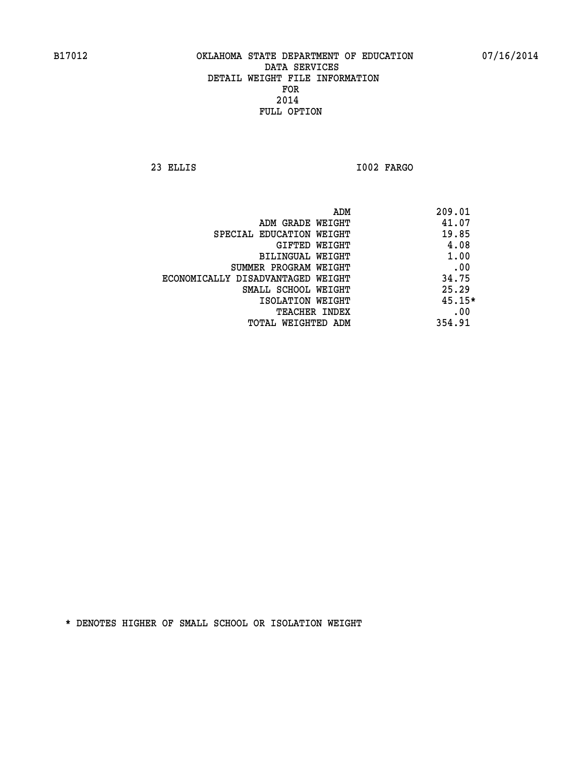**23 ELLIS I002 FARGO** 

|                                   | 209.01<br>ADM |
|-----------------------------------|---------------|
| ADM GRADE WEIGHT                  | 41.07         |
| SPECIAL EDUCATION WEIGHT          | 19.85         |
| GIFTED WEIGHT                     | 4.08          |
| BILINGUAL WEIGHT                  | 1.00          |
| SUMMER PROGRAM WEIGHT             | .00           |
| ECONOMICALLY DISADVANTAGED WEIGHT | 34.75         |
| SMALL SCHOOL WEIGHT               | 25.29         |
| ISOLATION WEIGHT                  | $45.15*$      |
| <b>TEACHER INDEX</b>              | .00           |
| TOTAL WEIGHTED ADM                | 354.91        |
|                                   |               |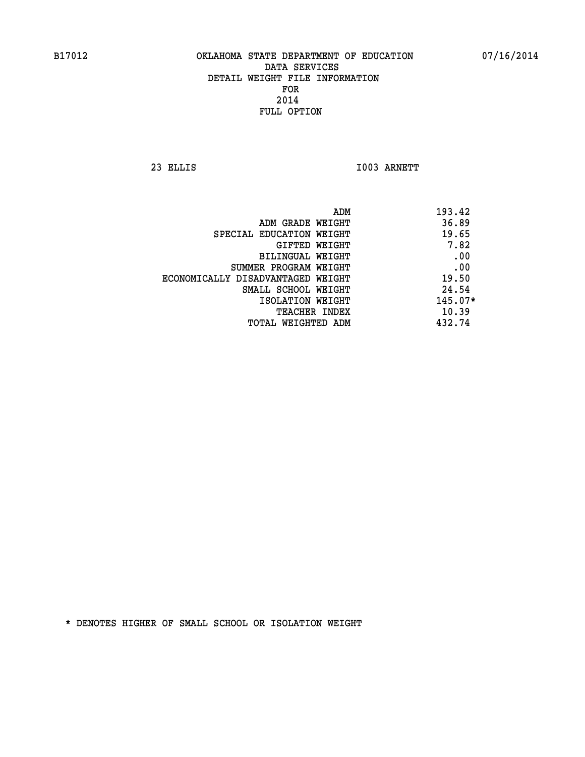**23 ELLIS I003 ARNETT** 

|                                   | ADM | 193.42    |
|-----------------------------------|-----|-----------|
| ADM GRADE WEIGHT                  |     | 36.89     |
| SPECIAL EDUCATION WEIGHT          |     | 19.65     |
| GIFTED WEIGHT                     |     | 7.82      |
| BILINGUAL WEIGHT                  |     | .00       |
| SUMMER PROGRAM WEIGHT             |     | .00       |
| ECONOMICALLY DISADVANTAGED WEIGHT |     | 19.50     |
| SMALL SCHOOL WEIGHT               |     | 24.54     |
| ISOLATION WEIGHT                  |     | $145.07*$ |
| <b>TEACHER INDEX</b>              |     | 10.39     |
| TOTAL WEIGHTED ADM                |     | 432.74    |
|                                   |     |           |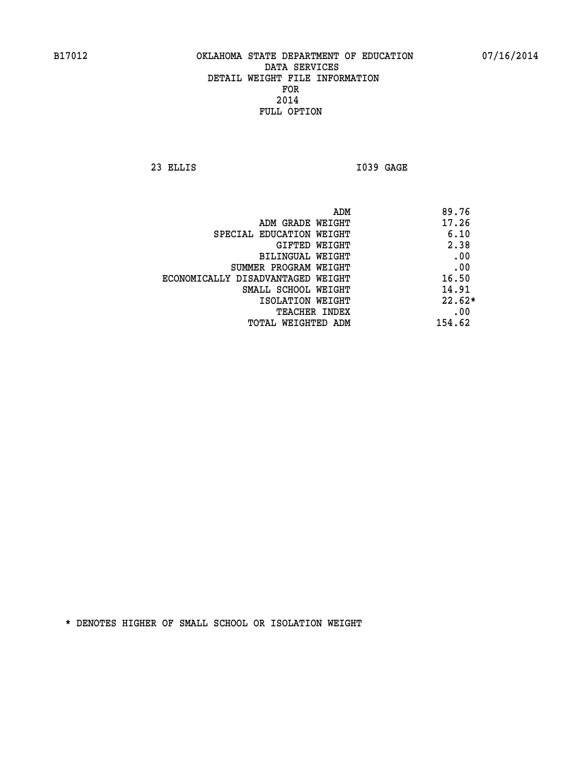**23 ELLIS I039 GAGE** 

|                                   | ADM | 89.76    |
|-----------------------------------|-----|----------|
| ADM GRADE WEIGHT                  |     | 17.26    |
| SPECIAL EDUCATION WEIGHT          |     | 6.10     |
| GIFTED WEIGHT                     |     | 2.38     |
| BILINGUAL WEIGHT                  |     | .00      |
| SUMMER PROGRAM WEIGHT             |     | .00      |
| ECONOMICALLY DISADVANTAGED WEIGHT |     | 16.50    |
| SMALL SCHOOL WEIGHT               |     | 14.91    |
| ISOLATION WEIGHT                  |     | $22.62*$ |
| TEACHER INDEX                     |     | .00      |
| TOTAL WEIGHTED ADM                |     | 154.62   |
|                                   |     |          |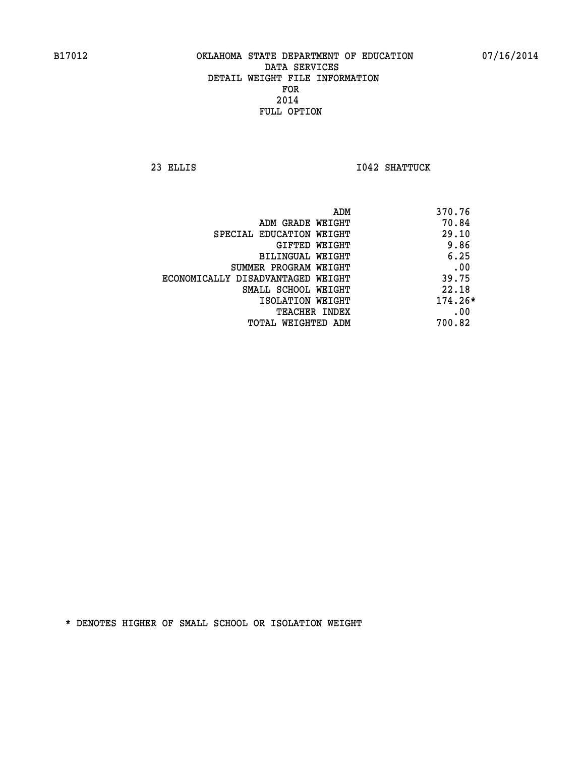**23 ELLIS I042 SHATTUCK** 

| ADM                               | 370.76    |
|-----------------------------------|-----------|
| ADM GRADE WEIGHT                  | 70.84     |
| SPECIAL EDUCATION WEIGHT          | 29.10     |
| GIFTED WEIGHT                     | 9.86      |
| BILINGUAL WEIGHT                  | 6.25      |
| SUMMER PROGRAM WEIGHT             | .00       |
| ECONOMICALLY DISADVANTAGED WEIGHT | 39.75     |
| SMALL SCHOOL WEIGHT               | 22.18     |
| ISOLATION WEIGHT                  | $174.26*$ |
| <b>TEACHER INDEX</b>              | .00       |
| TOTAL WEIGHTED ADM                | 700.82    |
|                                   |           |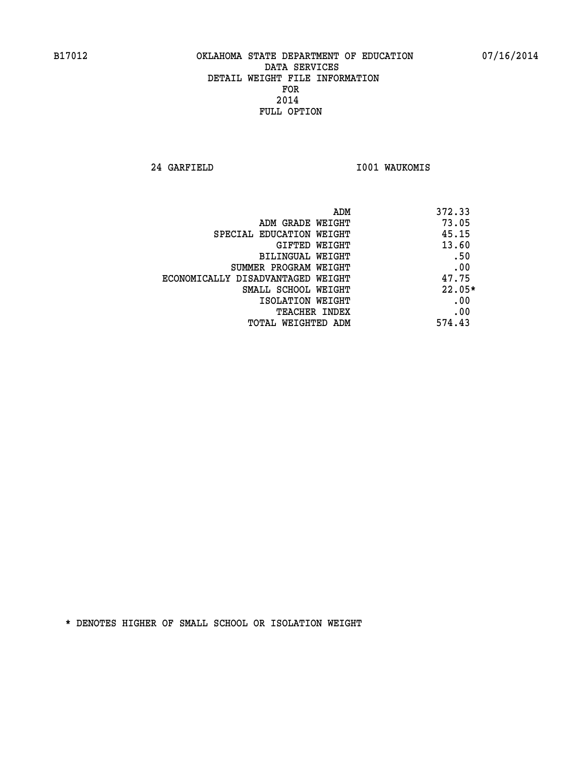**24 GARFIELD I001 WAUKOMIS** 

| ADM                               | 372.33   |
|-----------------------------------|----------|
| ADM GRADE WEIGHT                  | 73.05    |
| SPECIAL EDUCATION WEIGHT          | 45.15    |
| GIFTED WEIGHT                     | 13.60    |
| BILINGUAL WEIGHT                  | .50      |
| SUMMER PROGRAM WEIGHT             | .00      |
| ECONOMICALLY DISADVANTAGED WEIGHT | 47.75    |
| SMALL SCHOOL WEIGHT               | $22.05*$ |
| ISOLATION WEIGHT                  | .00      |
| <b>TEACHER INDEX</b>              | .00      |
| TOTAL WEIGHTED ADM                | 574.43   |
|                                   |          |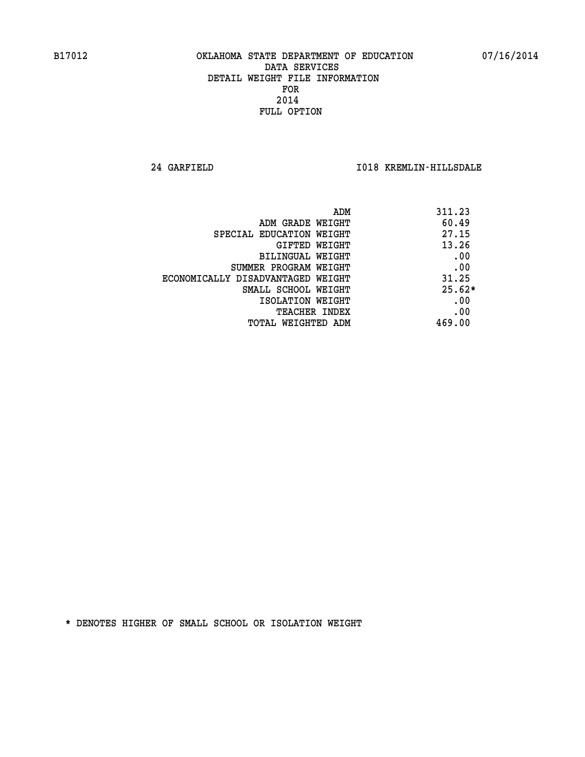**24 GARFIELD I018 KREMLIN-HILLSDALE** 

| ADM                               | 311.23   |
|-----------------------------------|----------|
| ADM GRADE WEIGHT                  | 60.49    |
| SPECIAL EDUCATION WEIGHT          | 27.15    |
| GIFTED WEIGHT                     | 13.26    |
| BILINGUAL WEIGHT                  | .00      |
| SUMMER PROGRAM WEIGHT             | .00      |
| ECONOMICALLY DISADVANTAGED WEIGHT | 31.25    |
| SMALL SCHOOL WEIGHT               | $25.62*$ |
| ISOLATION WEIGHT                  | .00      |
| TEACHER INDEX                     | .00      |
| TOTAL WEIGHTED ADM                | 469.00   |
|                                   |          |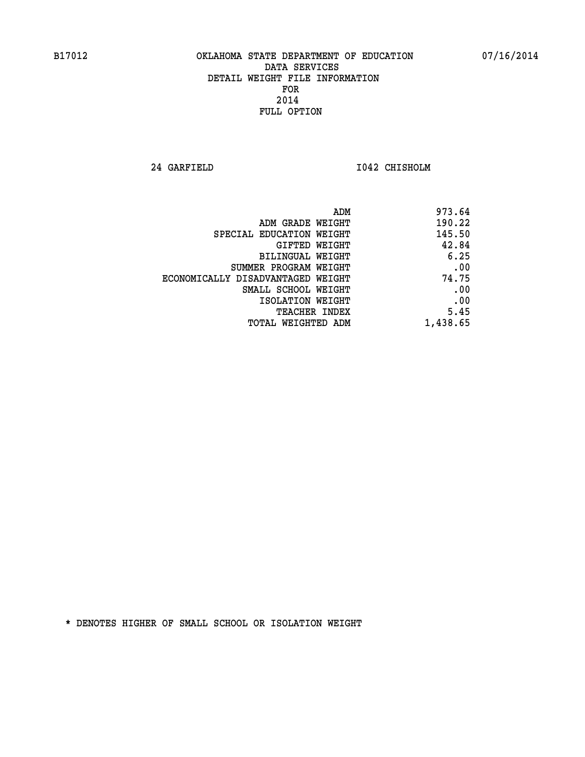**24 GARFIELD I042 CHISHOLM** 

|                                   | ADM      | 973.64 |
|-----------------------------------|----------|--------|
| ADM GRADE WEIGHT                  |          | 190.22 |
| SPECIAL EDUCATION WEIGHT          |          | 145.50 |
| GIFTED WEIGHT                     |          | 42.84  |
| BILINGUAL WEIGHT                  |          | 6.25   |
| SUMMER PROGRAM WEIGHT             |          | .00    |
| ECONOMICALLY DISADVANTAGED WEIGHT |          | 74.75  |
| SMALL SCHOOL WEIGHT               |          | .00    |
| ISOLATION WEIGHT                  |          | .00    |
| TEACHER INDEX                     |          | 5.45   |
| TOTAL WEIGHTED ADM                | 1,438.65 |        |
|                                   |          |        |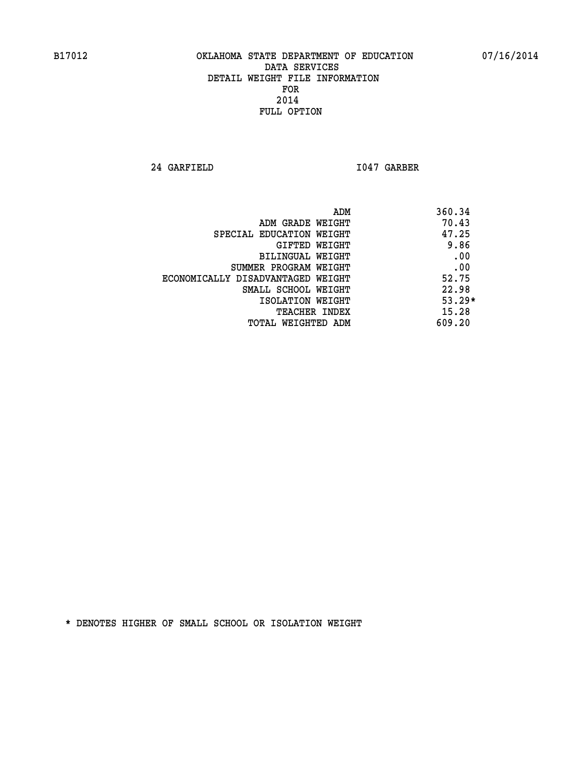**24 GARFIELD I047 GARBER** 

| ADM                               | 360.34   |
|-----------------------------------|----------|
| ADM GRADE WEIGHT                  | 70.43    |
| SPECIAL EDUCATION WEIGHT          | 47.25    |
| GIFTED WEIGHT                     | 9.86     |
| BILINGUAL WEIGHT                  | .00      |
| SUMMER PROGRAM WEIGHT             | .00      |
| ECONOMICALLY DISADVANTAGED WEIGHT | 52.75    |
| SMALL SCHOOL WEIGHT               | 22.98    |
| ISOLATION WEIGHT                  | $53.29*$ |
| <b>TEACHER INDEX</b>              | 15.28    |
| TOTAL WEIGHTED ADM                | 609.20   |
|                                   |          |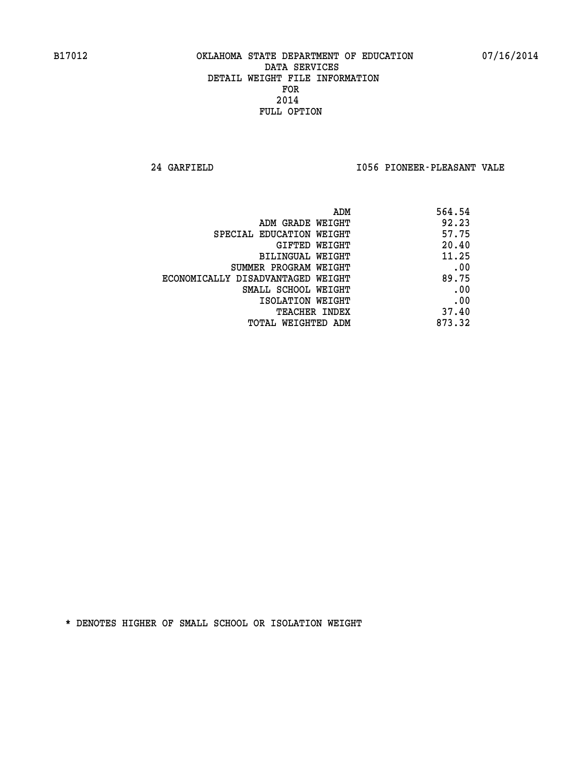**24 GARFIELD I056 PIONEER-PLEASANT VALE** 

| 564.54 |
|--------|
| 92.23  |
| 57.75  |
| 20.40  |
| 11.25  |
| .00    |
| 89.75  |
| .00    |
| .00    |
| 37.40  |
| 873.32 |
|        |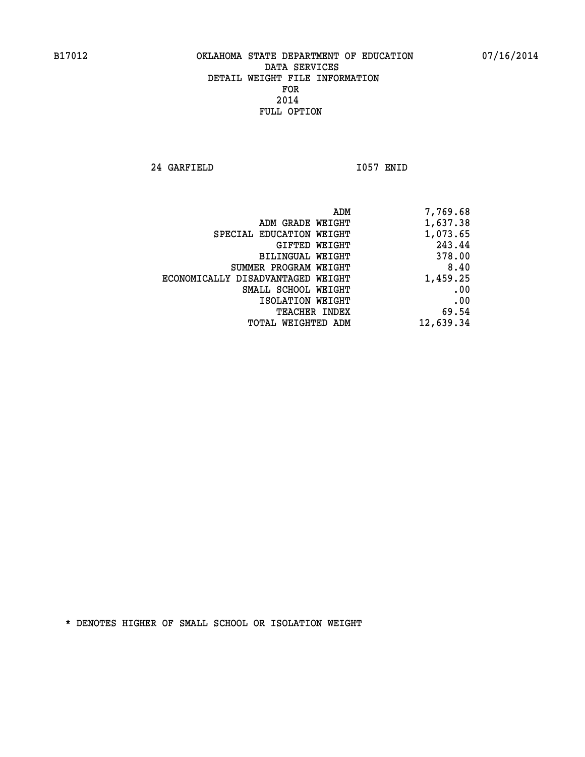**24 GARFIELD I057 ENID** 

|                                   | 7,769.68<br>ADM |
|-----------------------------------|-----------------|
| ADM GRADE WEIGHT                  | 1,637.38        |
| SPECIAL EDUCATION WEIGHT          | 1,073.65        |
| GIFTED WEIGHT                     | 243.44          |
| BILINGUAL WEIGHT                  | 378.00          |
| SUMMER PROGRAM WEIGHT             | 8.40            |
| ECONOMICALLY DISADVANTAGED WEIGHT | 1,459.25        |
| SMALL SCHOOL WEIGHT               | .00             |
| ISOLATION WEIGHT                  | .00             |
| <b>TEACHER INDEX</b>              | 69.54           |
| TOTAL WEIGHTED ADM                | 12,639.34       |
|                                   |                 |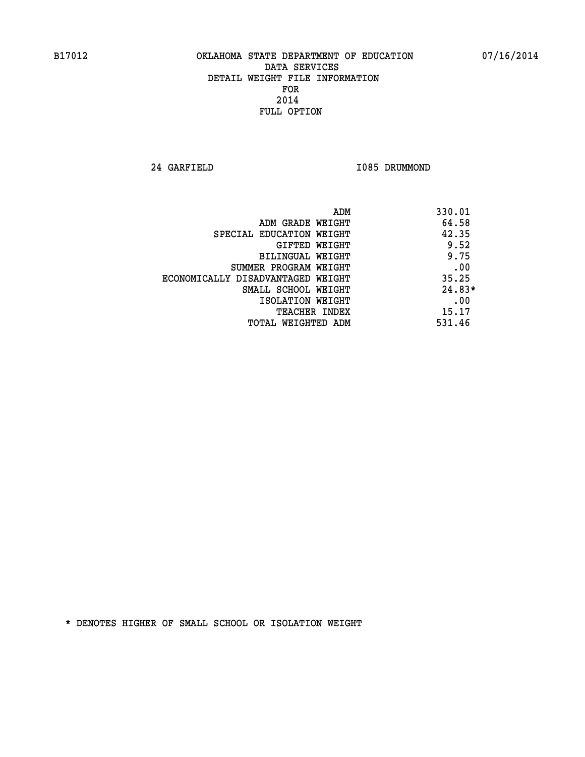**24 GARFIELD I085 DRUMMOND** 

|                                   | 330.01<br>ADM |  |
|-----------------------------------|---------------|--|
| ADM GRADE WEIGHT                  | 64.58         |  |
| SPECIAL EDUCATION WEIGHT          | 42.35         |  |
| GIFTED WEIGHT                     | 9.52          |  |
| BILINGUAL WEIGHT                  | 9.75          |  |
| SUMMER PROGRAM WEIGHT             | .00           |  |
| ECONOMICALLY DISADVANTAGED WEIGHT | 35.25         |  |
| SMALL SCHOOL WEIGHT               | $24.83*$      |  |
| ISOLATION WEIGHT                  | .00           |  |
| <b>TEACHER INDEX</b>              | 15.17         |  |
| TOTAL WEIGHTED ADM                | 531.46        |  |
|                                   |               |  |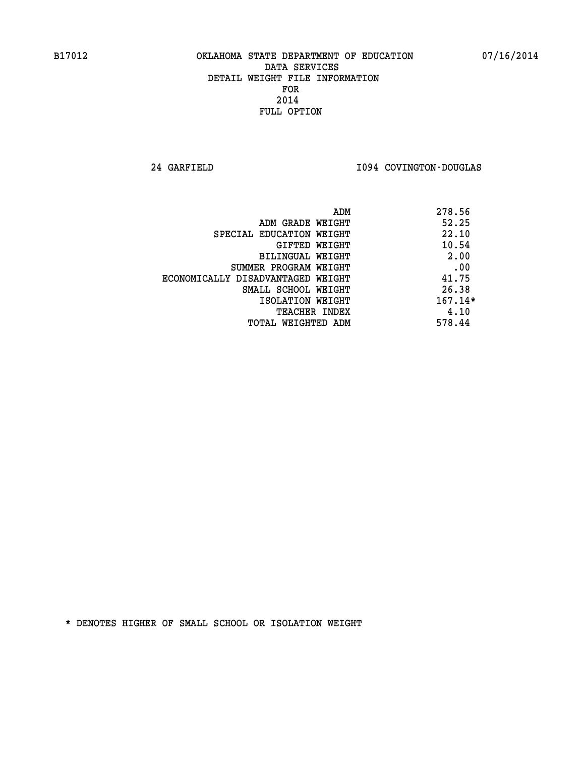**24 GARFIELD I094 COVINGTON-DOUGLAS** 

|                                   | ADM | 278.56    |
|-----------------------------------|-----|-----------|
| ADM GRADE WEIGHT                  |     | 52.25     |
| SPECIAL EDUCATION WEIGHT          |     | 22.10     |
| GIFTED WEIGHT                     |     | 10.54     |
| BILINGUAL WEIGHT                  |     | 2.00      |
| SUMMER PROGRAM WEIGHT             |     | .00       |
| ECONOMICALLY DISADVANTAGED WEIGHT |     | 41.75     |
| SMALL SCHOOL WEIGHT               |     | 26.38     |
| ISOLATION WEIGHT                  |     | $167.14*$ |
| TEACHER INDEX                     |     | 4.10      |
| TOTAL WEIGHTED ADM                |     | 578.44    |
|                                   |     |           |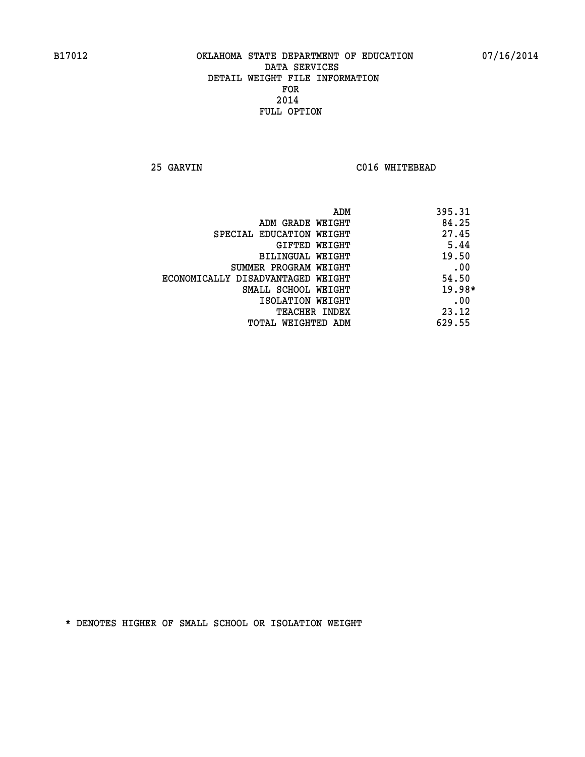**25 GARVIN C016 WHITEBEAD** 

| ADM                               | 395.31   |
|-----------------------------------|----------|
| ADM GRADE WEIGHT                  | 84.25    |
| SPECIAL EDUCATION WEIGHT          | 27.45    |
| GIFTED WEIGHT                     | 5.44     |
| BILINGUAL WEIGHT                  | 19.50    |
| SUMMER PROGRAM WEIGHT             | .00      |
| ECONOMICALLY DISADVANTAGED WEIGHT | 54.50    |
| SMALL SCHOOL WEIGHT               | $19.98*$ |
| ISOLATION WEIGHT                  | .00      |
| <b>TEACHER INDEX</b>              | 23.12    |
| TOTAL WEIGHTED ADM                | 629.55   |
|                                   |          |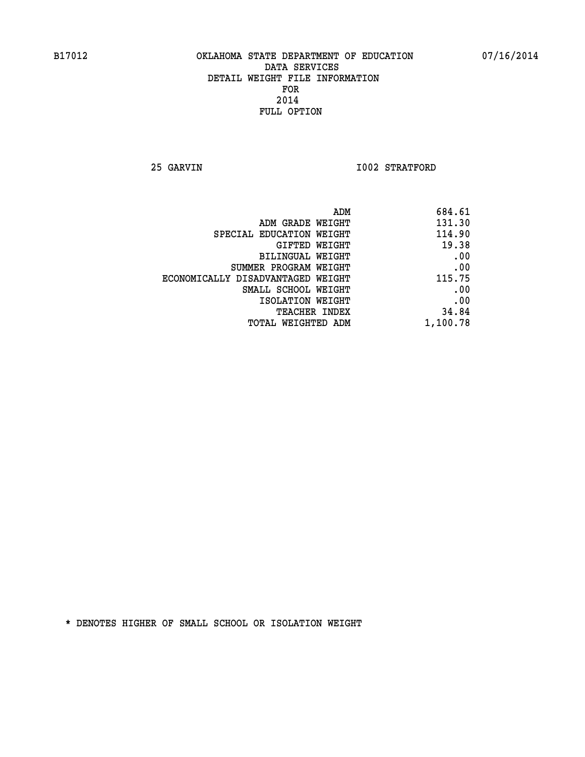**25 GARVIN 1002 STRATFORD** 

| 684.61   |
|----------|
| 131.30   |
| 114.90   |
| 19.38    |
| .00      |
| .00      |
| 115.75   |
| .00      |
| .00      |
| 34.84    |
| 1,100.78 |
|          |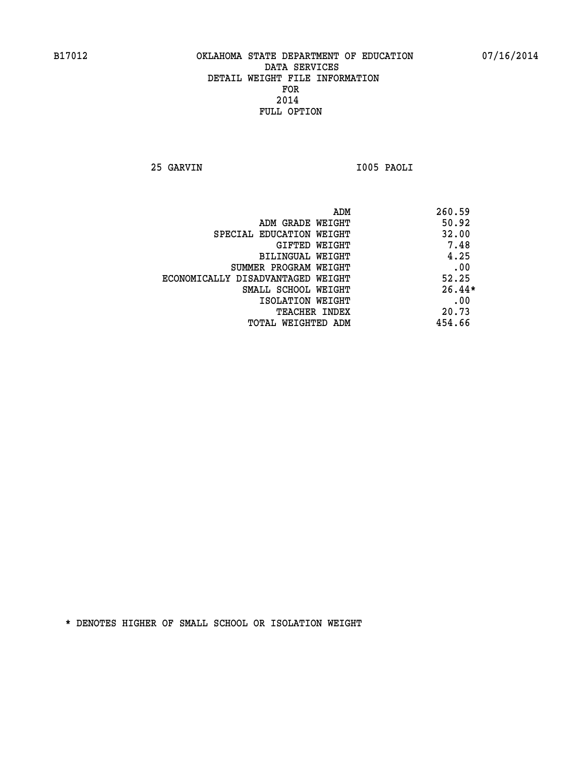**25 GARVIN I005 PAOLI** 

| 260.59   |
|----------|
| 50.92    |
| 32.00    |
| 7.48     |
| 4.25     |
| .00      |
| 52.25    |
| $26.44*$ |
| .00      |
| 20.73    |
| 454.66   |
|          |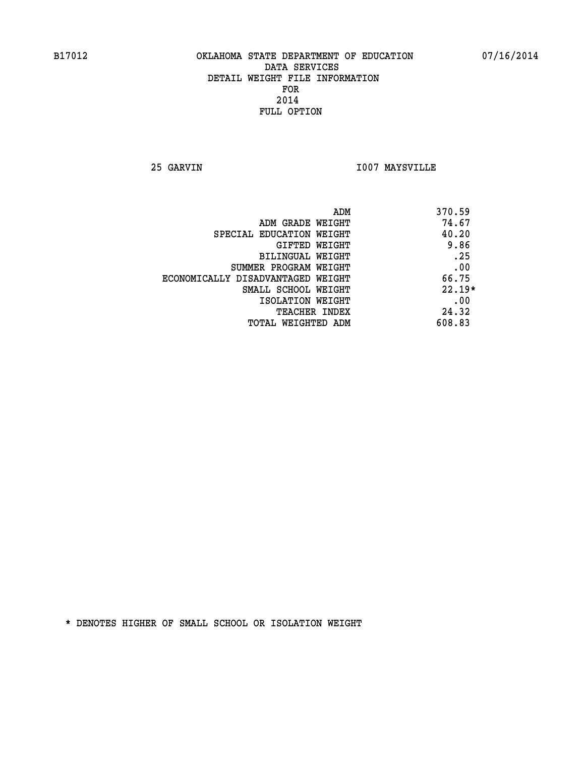**25 GARVIN I007 MAYSVILLE** 

| ADM                               | 370.59   |
|-----------------------------------|----------|
| ADM GRADE WEIGHT                  | 74.67    |
| SPECIAL EDUCATION WEIGHT          | 40.20    |
| GIFTED WEIGHT                     | 9.86     |
| <b>BILINGUAL WEIGHT</b>           | .25      |
| SUMMER PROGRAM WEIGHT             | .00      |
| ECONOMICALLY DISADVANTAGED WEIGHT | 66.75    |
| SMALL SCHOOL WEIGHT               | $22.19*$ |
| ISOLATION WEIGHT                  | .00      |
| <b>TEACHER INDEX</b>              | 24.32    |
| TOTAL WEIGHTED ADM                | 608.83   |
|                                   |          |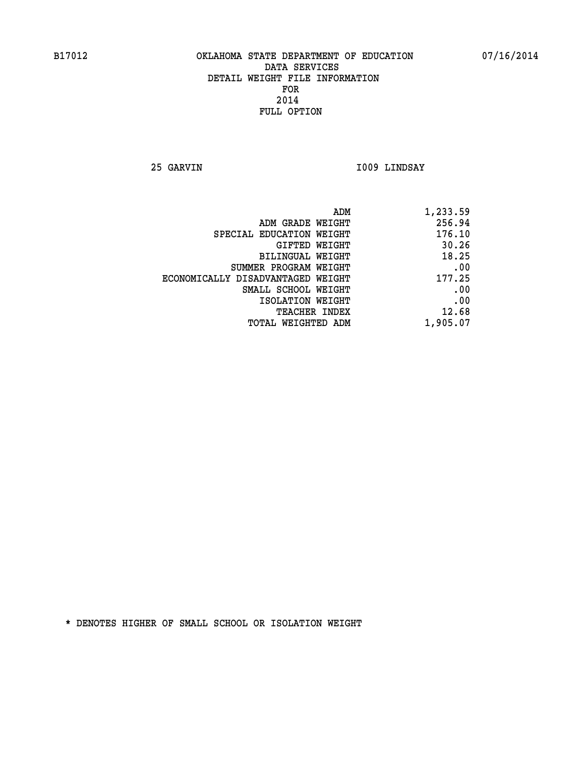**25 GARVIN I009 LINDSAY** 

| 1,233.59 |
|----------|
| 256.94   |
| 176.10   |
| 30.26    |
| 18.25    |
| .00      |
| 177.25   |
| .00      |
| .00      |
| 12.68    |
| 1,905.07 |
|          |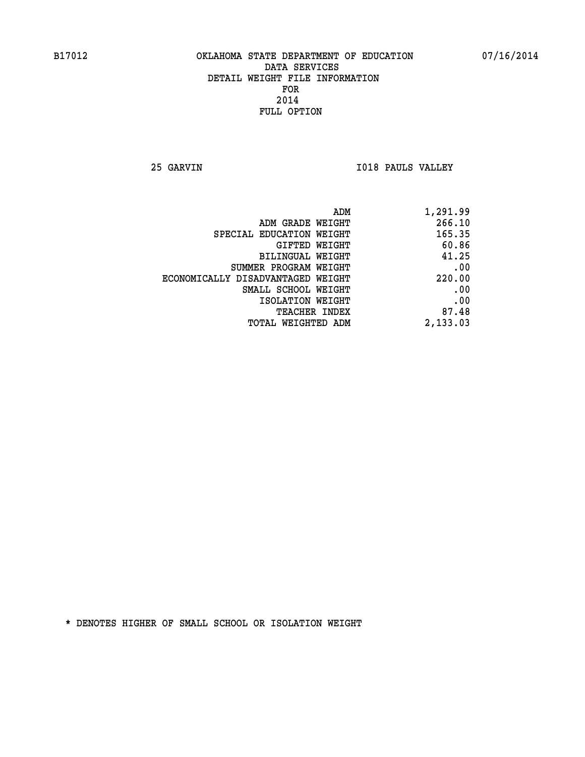**25 GARVIN I018 PAULS VALLEY** 

| 1,291.99 |
|----------|
| 266.10   |
| 165.35   |
| 60.86    |
| 41.25    |
| .00      |
| 220.00   |
| .00      |
| .00      |
| 87.48    |
| 2,133.03 |
|          |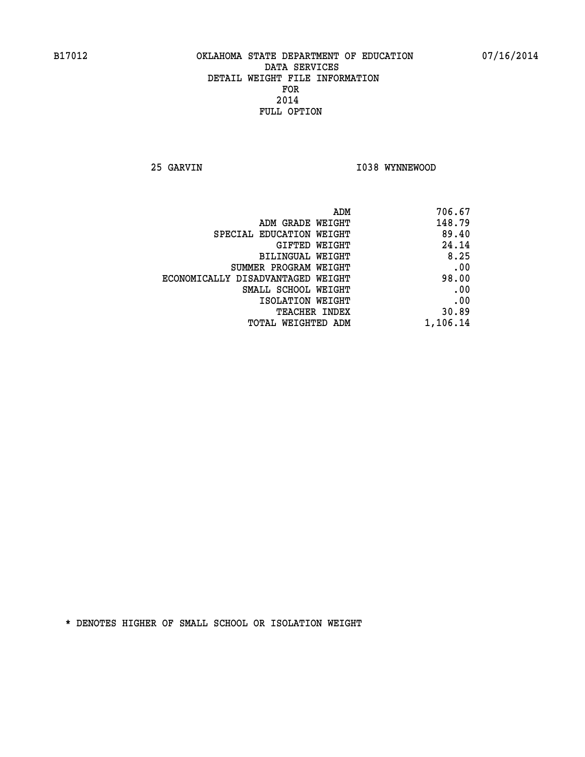**25 GARVIN 1038 WYNNEWOOD** 

| 706.67   |
|----------|
| 148.79   |
| 89.40    |
| 24.14    |
| 8.25     |
| .00      |
| 98.00    |
| .00      |
| .00      |
| 30.89    |
| 1,106.14 |
|          |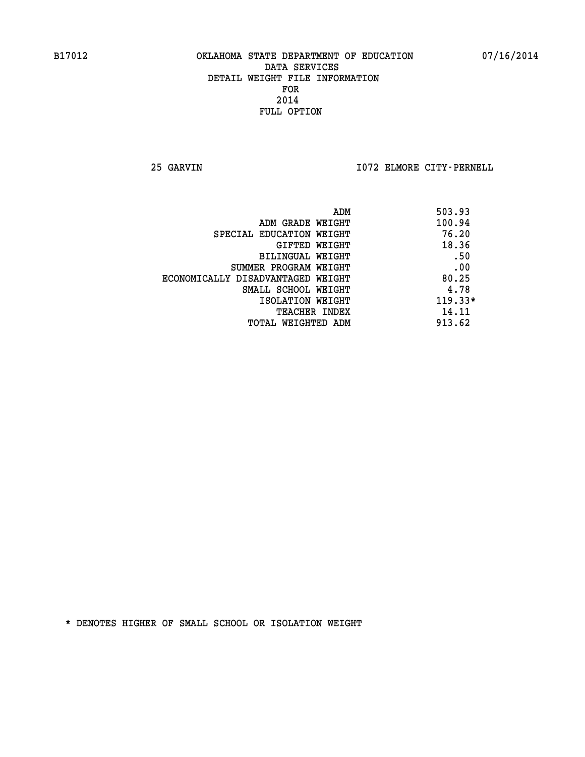**25 GARVIN I072 ELMORE CITY-PERNELL** 

|                                   | ADM | 503.93    |
|-----------------------------------|-----|-----------|
| ADM GRADE WEIGHT                  |     | 100.94    |
| SPECIAL EDUCATION WEIGHT          |     | 76.20     |
| GIFTED WEIGHT                     |     | 18.36     |
| BILINGUAL WEIGHT                  |     | .50       |
| SUMMER PROGRAM WEIGHT             |     | .00       |
| ECONOMICALLY DISADVANTAGED WEIGHT |     | 80.25     |
| SMALL SCHOOL WEIGHT               |     | 4.78      |
| ISOLATION WEIGHT                  |     | $119.33*$ |
| <b>TEACHER INDEX</b>              |     | 14.11     |
| TOTAL WEIGHTED ADM                |     | 913.62    |
|                                   |     |           |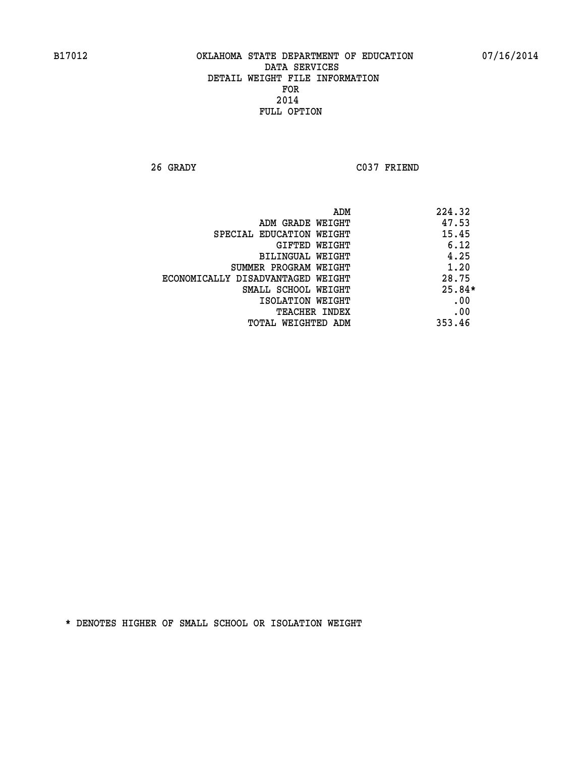**26 GRADY C037 FRIEND** 

|                                   | ADM | 224.32   |
|-----------------------------------|-----|----------|
| ADM GRADE WEIGHT                  |     | 47.53    |
| SPECIAL EDUCATION WEIGHT          |     | 15.45    |
| GIFTED WEIGHT                     |     | 6.12     |
| BILINGUAL WEIGHT                  |     | 4.25     |
| SUMMER PROGRAM WEIGHT             |     | 1.20     |
| ECONOMICALLY DISADVANTAGED WEIGHT |     | 28.75    |
| SMALL SCHOOL WEIGHT               |     | $25.84*$ |
| ISOLATION WEIGHT                  |     | .00      |
| TEACHER INDEX                     |     | .00      |
| TOTAL WEIGHTED ADM                |     | 353.46   |
|                                   |     |          |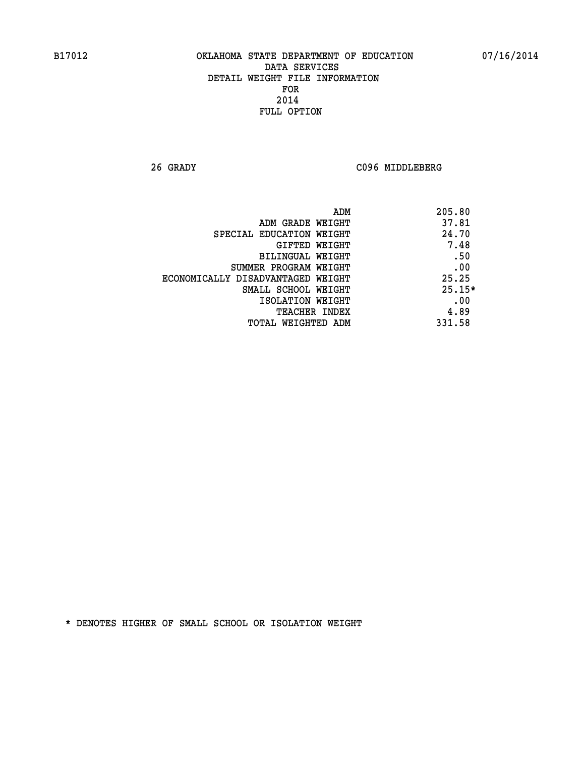**26 GRADY C096 MIDDLEBERG** 

| ADM                               | 205.80   |
|-----------------------------------|----------|
| ADM GRADE WEIGHT                  | 37.81    |
| SPECIAL EDUCATION WEIGHT          | 24.70    |
| GIFTED WEIGHT                     | 7.48     |
| BILINGUAL WEIGHT                  | .50      |
| SUMMER PROGRAM WEIGHT             | .00      |
| ECONOMICALLY DISADVANTAGED WEIGHT | 25.25    |
| SMALL SCHOOL WEIGHT               | $25.15*$ |
| ISOLATION WEIGHT                  | .00      |
| <b>TEACHER INDEX</b>              | 4.89     |
| TOTAL WEIGHTED ADM                | 331.58   |
|                                   |          |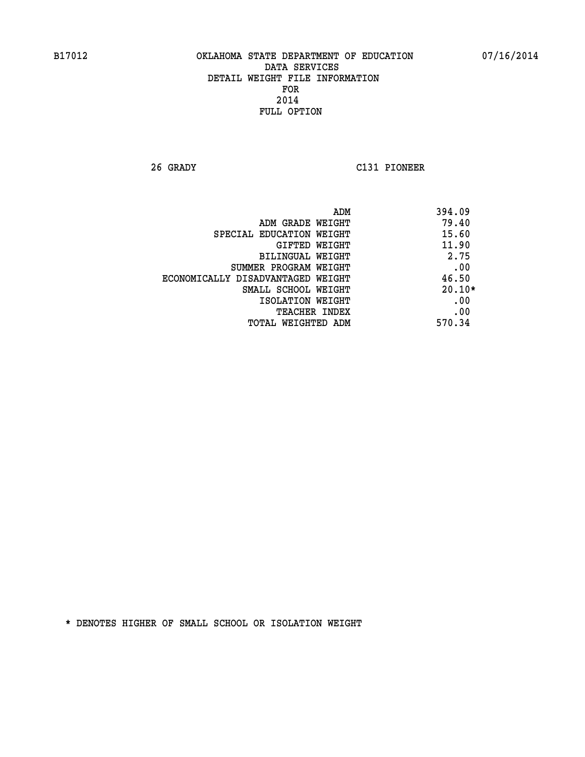**26 GRADY C131 PIONEER** 

|                                   | 394.09<br>ADM |
|-----------------------------------|---------------|
| ADM GRADE WEIGHT                  | 79.40         |
| SPECIAL EDUCATION WEIGHT          | 15.60         |
| GIFTED WEIGHT                     | 11.90         |
| BILINGUAL WEIGHT                  | 2.75          |
| SUMMER PROGRAM WEIGHT             | .00           |
| ECONOMICALLY DISADVANTAGED WEIGHT | 46.50         |
| SMALL SCHOOL WEIGHT               | $20.10*$      |
| ISOLATION WEIGHT                  | .00           |
| <b>TEACHER INDEX</b>              | .00           |
| TOTAL WEIGHTED ADM                | 570.34        |
|                                   |               |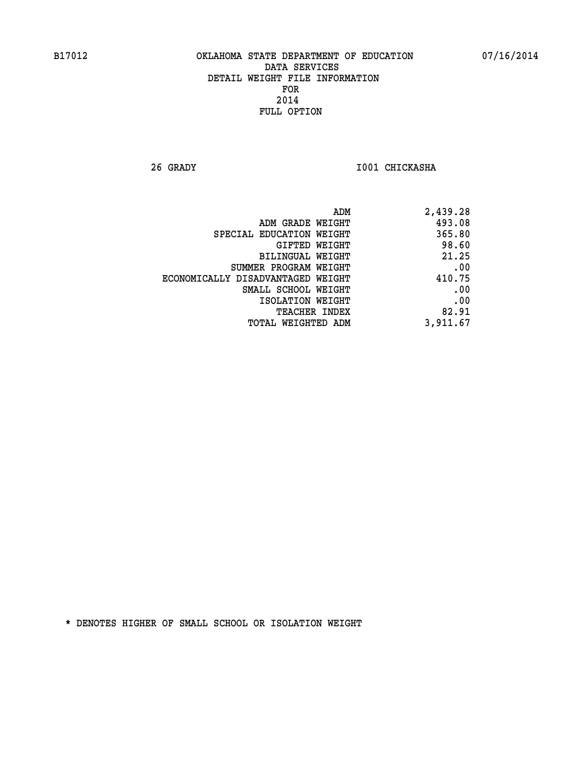**26 GRADY I001 CHICKASHA** 

| 2,439.28 |
|----------|
| 493.08   |
| 365.80   |
| 98.60    |
| 21.25    |
| .00      |
| 410.75   |
| .00      |
| .00      |
| 82.91    |
| 3,911.67 |
|          |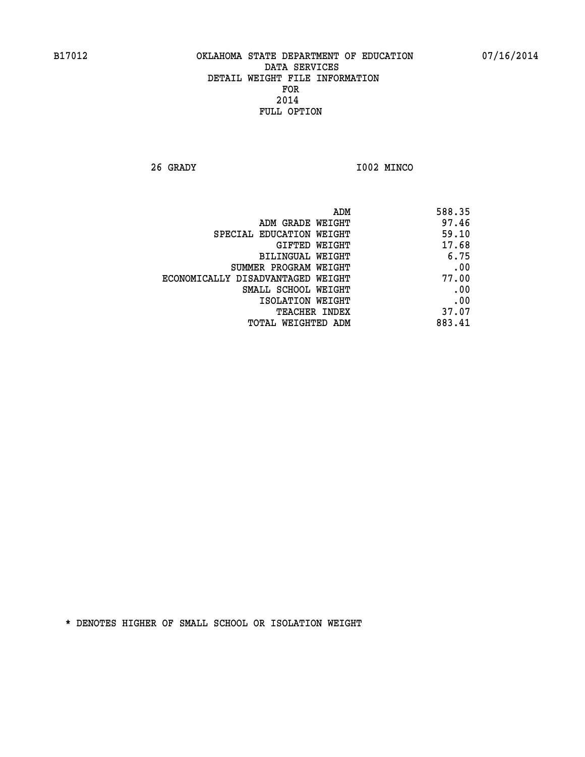**26 GRADY I002 MINCO** 

| 588.35 |
|--------|
| 97.46  |
| 59.10  |
| 17.68  |
| 6.75   |
| .00    |
| 77.00  |
| .00    |
| .00    |
| 37.07  |
| 883.41 |
|        |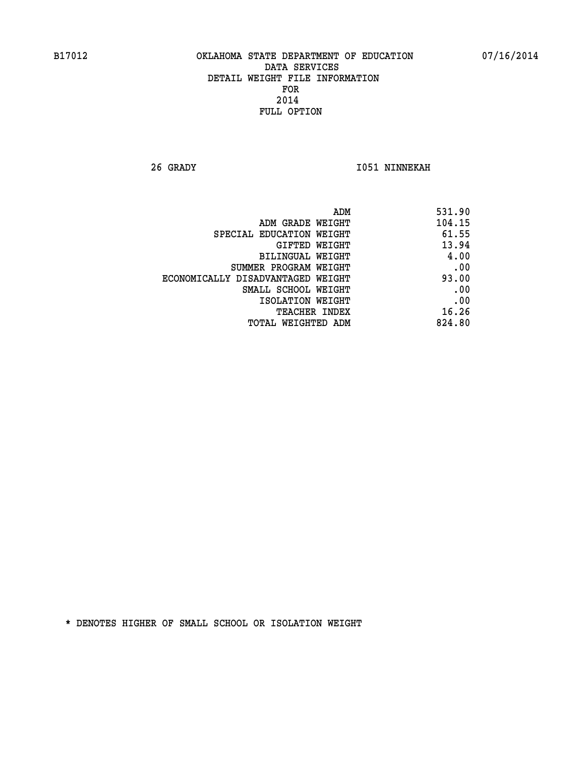**26 GRADY I051 NINNEKAH** 

| 531.90 |
|--------|
| 104.15 |
| 61.55  |
| 13.94  |
| 4.00   |
| .00    |
| 93.00  |
| .00    |
| .00    |
| 16.26  |
| 824.80 |
|        |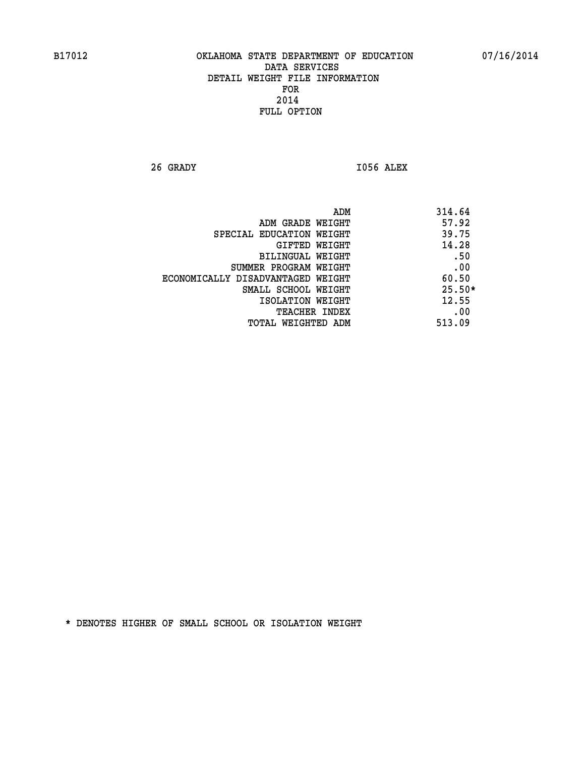**26 GRADY I056 ALEX** 

|                                   | ADM | 314.64   |
|-----------------------------------|-----|----------|
| ADM GRADE WEIGHT                  |     | 57.92    |
| SPECIAL EDUCATION WEIGHT          |     | 39.75    |
| GIFTED WEIGHT                     |     | 14.28    |
| BILINGUAL WEIGHT                  |     | .50      |
| SUMMER PROGRAM WEIGHT             |     | .00      |
| ECONOMICALLY DISADVANTAGED WEIGHT |     | 60.50    |
| SMALL SCHOOL WEIGHT               |     | $25.50*$ |
| ISOLATION WEIGHT                  |     | 12.55    |
| TEACHER INDEX                     |     | .00      |
| TOTAL WEIGHTED ADM                |     | 513.09   |
|                                   |     |          |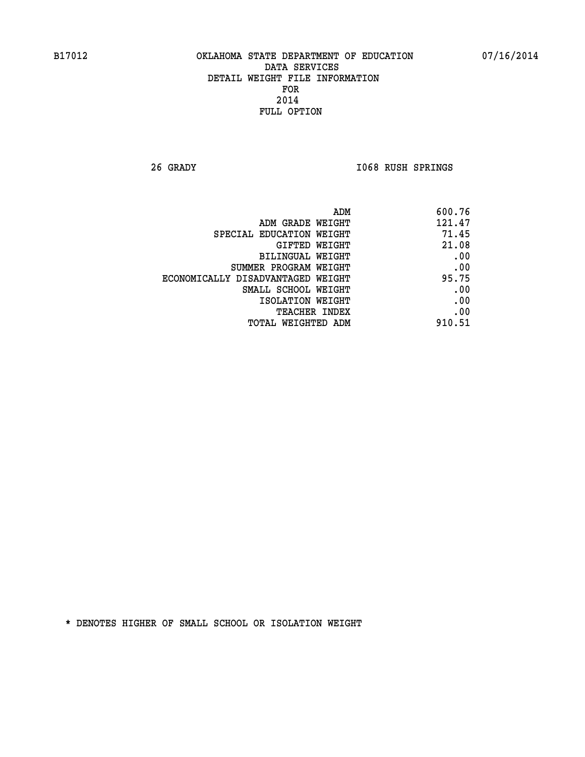**26 GRADY I068 RUSH SPRINGS** 

| ADM                               | 600.76 |
|-----------------------------------|--------|
| ADM GRADE WEIGHT                  | 121.47 |
| SPECIAL EDUCATION WEIGHT          | 71.45  |
| GIFTED WEIGHT                     | 21.08  |
| <b>BILINGUAL WEIGHT</b>           | .00    |
| SUMMER PROGRAM WEIGHT             | .00    |
| ECONOMICALLY DISADVANTAGED WEIGHT | 95.75  |
| SMALL SCHOOL WEIGHT               | .00    |
| ISOLATION WEIGHT                  | .00    |
| TEACHER INDEX                     | .00    |
| TOTAL WEIGHTED ADM                | 910.51 |
|                                   |        |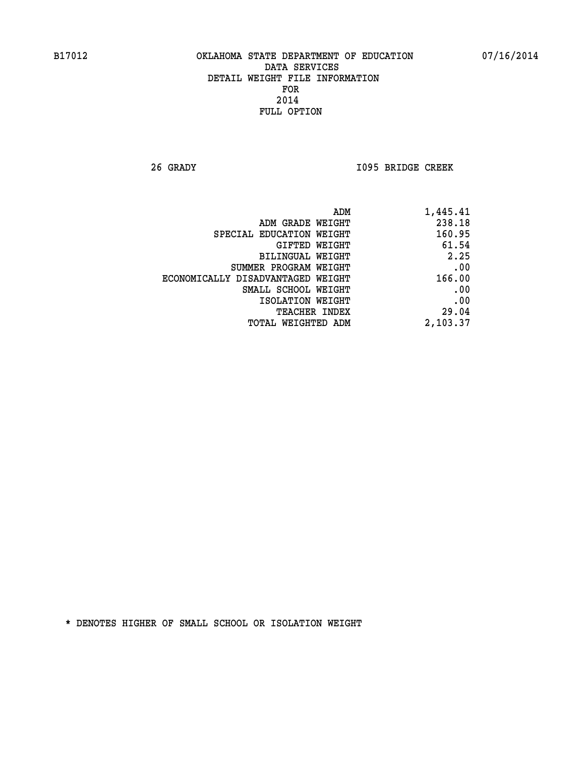**26 GRADY I095 BRIDGE CREEK** 

|                                   | ADM | 1,445.41 |
|-----------------------------------|-----|----------|
| ADM GRADE WEIGHT                  |     | 238.18   |
| SPECIAL EDUCATION WEIGHT          |     | 160.95   |
| GIFTED WEIGHT                     |     | 61.54    |
| BILINGUAL WEIGHT                  |     | 2.25     |
| SUMMER PROGRAM WEIGHT             |     | .00      |
| ECONOMICALLY DISADVANTAGED WEIGHT |     | 166.00   |
| SMALL SCHOOL WEIGHT               |     | .00      |
| ISOLATION WEIGHT                  |     | .00      |
| <b>TEACHER INDEX</b>              |     | 29.04    |
| TOTAL WEIGHTED ADM                |     | 2,103.37 |
|                                   |     |          |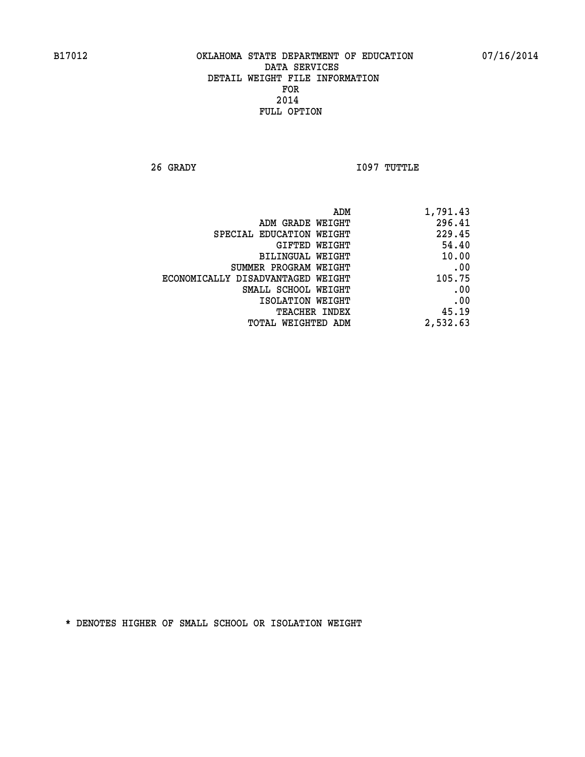**26 GRADY I097 TUTTLE** 

| ADM                               | 1,791.43 |
|-----------------------------------|----------|
| ADM GRADE WEIGHT                  | 296.41   |
| SPECIAL EDUCATION WEIGHT          | 229.45   |
| GIFTED WEIGHT                     | 54.40    |
| <b>BILINGUAL WEIGHT</b>           | 10.00    |
| SUMMER PROGRAM WEIGHT             | .00      |
| ECONOMICALLY DISADVANTAGED WEIGHT | 105.75   |
| SMALL SCHOOL WEIGHT               | .00      |
| ISOLATION WEIGHT                  | .00      |
| TEACHER INDEX                     | 45.19    |
| TOTAL WEIGHTED ADM                | 2,532.63 |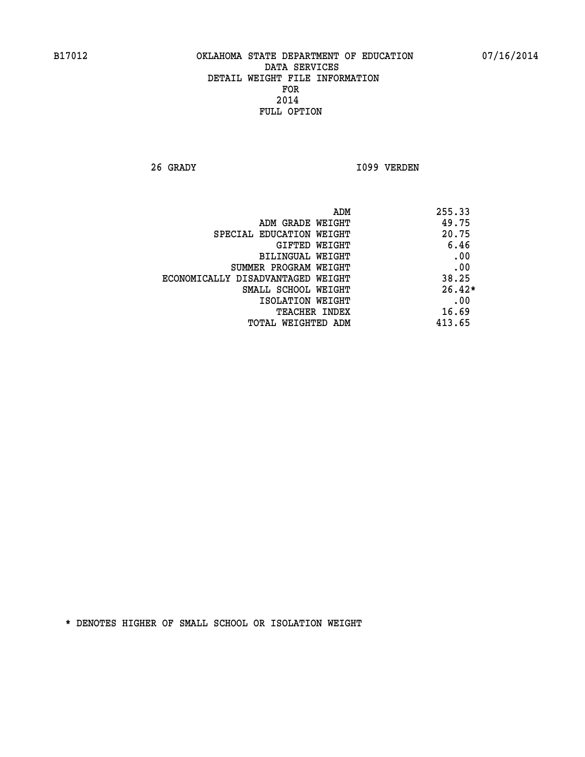**26 GRADY I099 VERDEN** 

|                                   | ADM | 255.33   |
|-----------------------------------|-----|----------|
| ADM GRADE WEIGHT                  |     | 49.75    |
| SPECIAL EDUCATION WEIGHT          |     | 20.75    |
| GIFTED WEIGHT                     |     | 6.46     |
| BILINGUAL WEIGHT                  |     | .00      |
| SUMMER PROGRAM WEIGHT             |     | .00      |
| ECONOMICALLY DISADVANTAGED WEIGHT |     | 38.25    |
| SMALL SCHOOL WEIGHT               |     | $26.42*$ |
| ISOLATION WEIGHT                  |     | .00      |
| TEACHER INDEX                     |     | 16.69    |
| TOTAL WEIGHTED ADM                |     | 413.65   |
|                                   |     |          |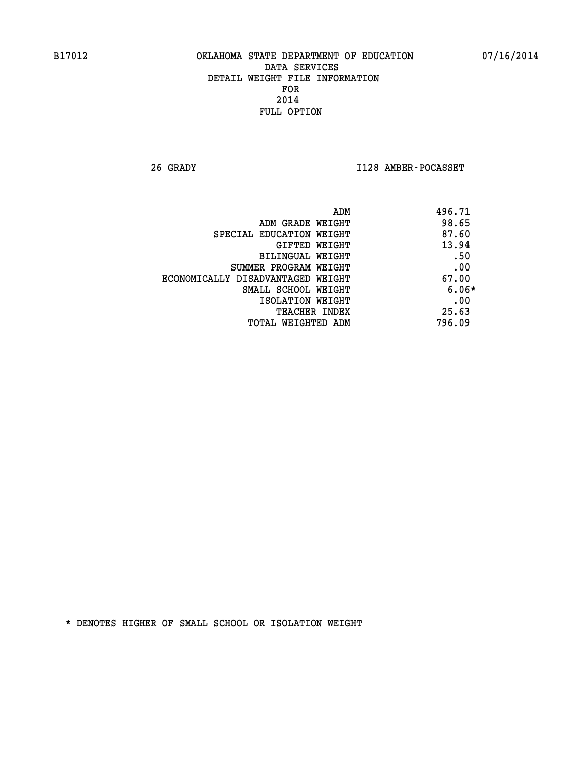**26 GRADY I128 AMBER-POCASSET** 

| ADM                               | 496.71  |
|-----------------------------------|---------|
| ADM GRADE WEIGHT                  | 98.65   |
| SPECIAL EDUCATION WEIGHT          | 87.60   |
| <b>GIFTED WEIGHT</b>              | 13.94   |
| BILINGUAL WEIGHT                  | .50     |
| SUMMER PROGRAM WEIGHT             | .00     |
| ECONOMICALLY DISADVANTAGED WEIGHT | 67.00   |
| SMALL SCHOOL WEIGHT               | $6.06*$ |
| ISOLATION WEIGHT                  | .00     |
| <b>TEACHER INDEX</b>              | 25.63   |
| TOTAL WEIGHTED ADM                | 796.09  |
|                                   |         |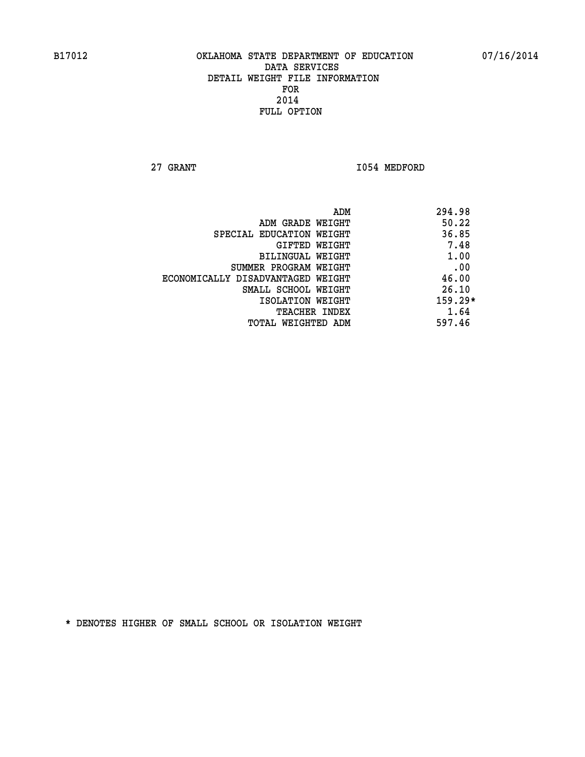**27 GRANT 1054 MEDFORD** 

|                                   | ADM | 294.98    |
|-----------------------------------|-----|-----------|
| ADM GRADE WEIGHT                  |     | 50.22     |
| SPECIAL EDUCATION WEIGHT          |     | 36.85     |
| GIFTED WEIGHT                     |     | 7.48      |
| BILINGUAL WEIGHT                  |     | 1.00      |
| SUMMER PROGRAM WEIGHT             |     | .00       |
| ECONOMICALLY DISADVANTAGED WEIGHT |     | 46.00     |
| SMALL SCHOOL WEIGHT               |     | 26.10     |
| ISOLATION WEIGHT                  |     | $159.29*$ |
| TEACHER INDEX                     |     | 1.64      |
| TOTAL WEIGHTED ADM                |     | 597.46    |
|                                   |     |           |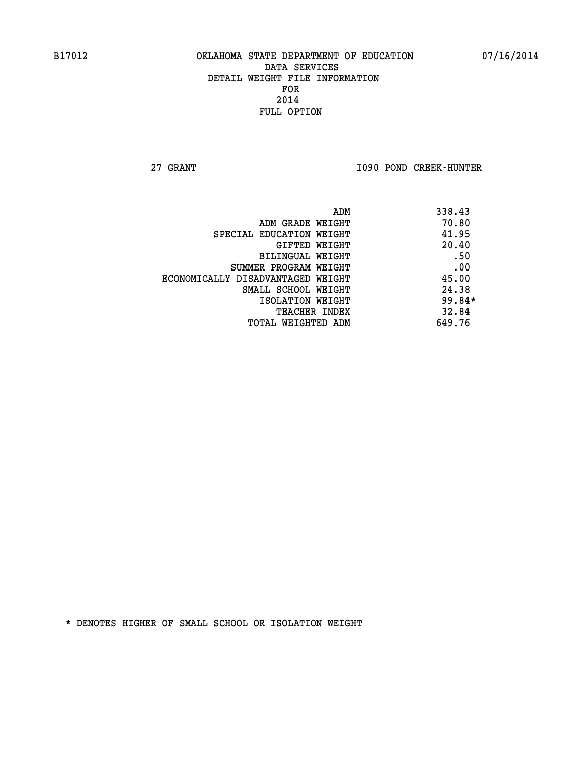**27 GRANT I090 POND CREEK-HUNTER** 

| ADM                               | 338.43 |
|-----------------------------------|--------|
| ADM GRADE WEIGHT                  | 70.80  |
| SPECIAL EDUCATION WEIGHT          | 41.95  |
| GIFTED WEIGHT                     | 20.40  |
| BILINGUAL WEIGHT                  | .50    |
| SUMMER PROGRAM WEIGHT             | .00    |
| ECONOMICALLY DISADVANTAGED WEIGHT | 45.00  |
| SMALL SCHOOL WEIGHT               | 24.38  |
| ISOLATION WEIGHT                  | 99.84* |
| <b>TEACHER INDEX</b>              | 32.84  |
| TOTAL WEIGHTED ADM                | 649.76 |
|                                   |        |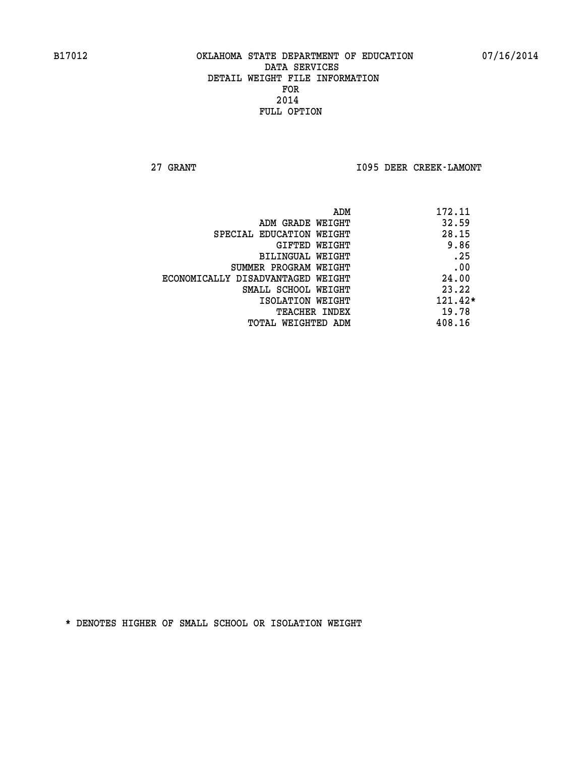**27 GRANT I095 DEER CREEK-LAMONT** 

|                                   | 172.11<br>ADM |           |
|-----------------------------------|---------------|-----------|
| ADM GRADE WEIGHT                  |               | 32.59     |
| SPECIAL EDUCATION WEIGHT          |               | 28.15     |
| GIFTED WEIGHT                     |               | 9.86      |
| <b>BILINGUAL WEIGHT</b>           |               | .25       |
| SUMMER PROGRAM WEIGHT             |               | .00       |
| ECONOMICALLY DISADVANTAGED WEIGHT |               | 24.00     |
| SMALL SCHOOL WEIGHT               |               | 23.22     |
| ISOLATION WEIGHT                  |               | $121.42*$ |
| <b>TEACHER INDEX</b>              |               | 19.78     |
| TOTAL WEIGHTED ADM                | 408.16        |           |
|                                   |               |           |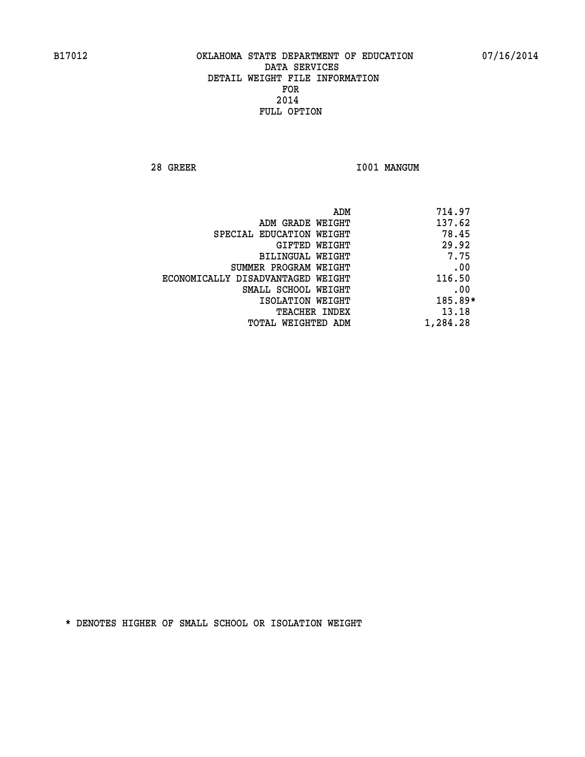**28 GREER I001 MANGUM** 

|                                   | ADM | 714.97    |
|-----------------------------------|-----|-----------|
| ADM GRADE WEIGHT                  |     | 137.62    |
| SPECIAL EDUCATION WEIGHT          |     | 78.45     |
| GIFTED WEIGHT                     |     | 29.92     |
| BILINGUAL WEIGHT                  |     | 7.75      |
| SUMMER PROGRAM WEIGHT             |     | .00       |
| ECONOMICALLY DISADVANTAGED WEIGHT |     | 116.50    |
| SMALL SCHOOL WEIGHT               |     | .00       |
| ISOLATION WEIGHT                  |     | $185.89*$ |
| TEACHER INDEX                     |     | 13.18     |
| TOTAL WEIGHTED ADM                |     | 1,284.28  |
|                                   |     |           |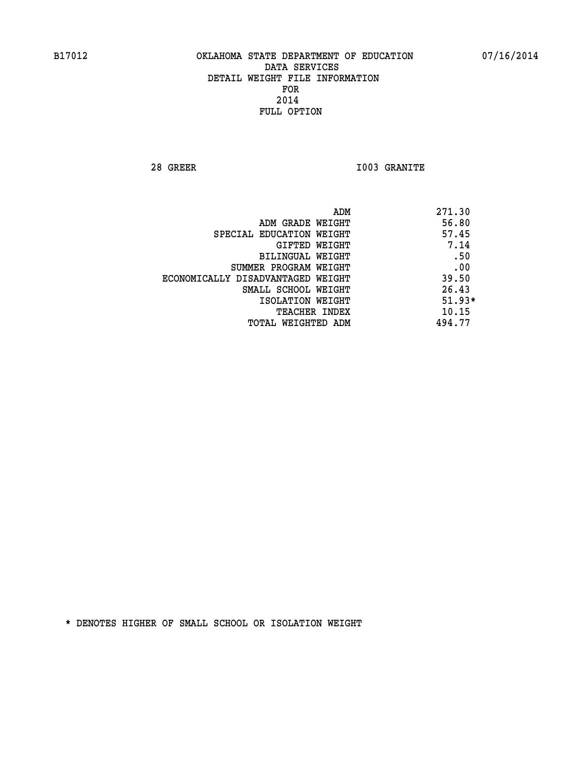**28 GREER I003 GRANITE** 

|                                   | ADM | 271.30   |
|-----------------------------------|-----|----------|
| ADM GRADE WEIGHT                  |     | 56.80    |
| SPECIAL EDUCATION WEIGHT          |     | 57.45    |
| GIFTED WEIGHT                     |     | 7.14     |
| BILINGUAL WEIGHT                  |     | .50      |
| SUMMER PROGRAM WEIGHT             |     | .00      |
| ECONOMICALLY DISADVANTAGED WEIGHT |     | 39.50    |
| SMALL SCHOOL WEIGHT               |     | 26.43    |
| ISOLATION WEIGHT                  |     | $51.93*$ |
| TEACHER INDEX                     |     | 10.15    |
| TOTAL WEIGHTED ADM                |     | 494.77   |
|                                   |     |          |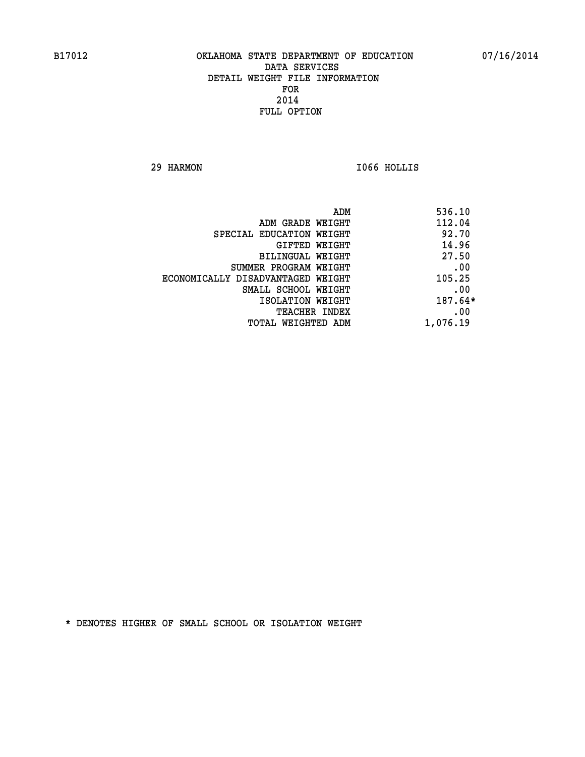**29 HARMON I066 HOLLIS** 

| 536.10    | ADM                               |
|-----------|-----------------------------------|
| 112.04    | ADM GRADE WEIGHT                  |
| 92.70     | SPECIAL EDUCATION WEIGHT          |
| 14.96     | <b>GIFTED WEIGHT</b>              |
| 27.50     | <b>BILINGUAL WEIGHT</b>           |
| .00       | SUMMER PROGRAM WEIGHT             |
| 105.25    | ECONOMICALLY DISADVANTAGED WEIGHT |
| .00       | SMALL SCHOOL WEIGHT               |
| $187.64*$ | ISOLATION WEIGHT                  |
| .00       | <b>TEACHER INDEX</b>              |
| 1,076.19  | TOTAL WEIGHTED ADM                |
|           |                                   |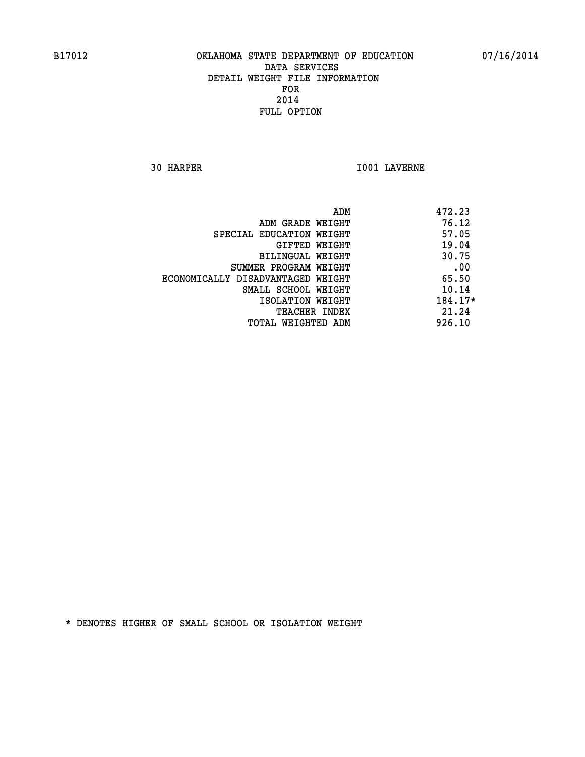**30 HARPER I001 LAVERNE** 

|                                   | ADM<br>472.23 |  |
|-----------------------------------|---------------|--|
| ADM GRADE WEIGHT                  | 76.12         |  |
| SPECIAL EDUCATION WEIGHT          | 57.05         |  |
| GIFTED WEIGHT                     | 19.04         |  |
| BILINGUAL WEIGHT                  | 30.75         |  |
| SUMMER PROGRAM WEIGHT             | .00           |  |
| ECONOMICALLY DISADVANTAGED WEIGHT | 65.50         |  |
| SMALL SCHOOL WEIGHT               | 10.14         |  |
| ISOLATION WEIGHT                  | 184.17*       |  |
| <b>TEACHER INDEX</b>              | 21.24         |  |
| TOTAL WEIGHTED ADM                | 926.10        |  |
|                                   |               |  |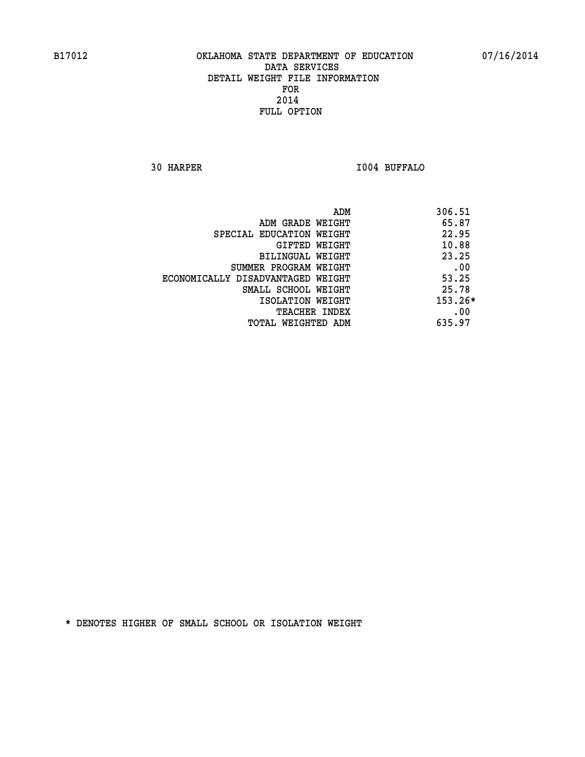**30 HARPER I004 BUFFALO** 

| ADM                               | 306.51    |
|-----------------------------------|-----------|
| ADM GRADE WEIGHT                  | 65.87     |
| SPECIAL EDUCATION WEIGHT          | 22.95     |
| GIFTED WEIGHT                     | 10.88     |
| BILINGUAL WEIGHT                  | 23.25     |
| SUMMER PROGRAM WEIGHT             | .00       |
| ECONOMICALLY DISADVANTAGED WEIGHT | 53.25     |
| SMALL SCHOOL WEIGHT               | 25.78     |
| ISOLATION WEIGHT                  | $153.26*$ |
| TEACHER INDEX                     | .00       |
| TOTAL WEIGHTED ADM                | 635.97    |
|                                   |           |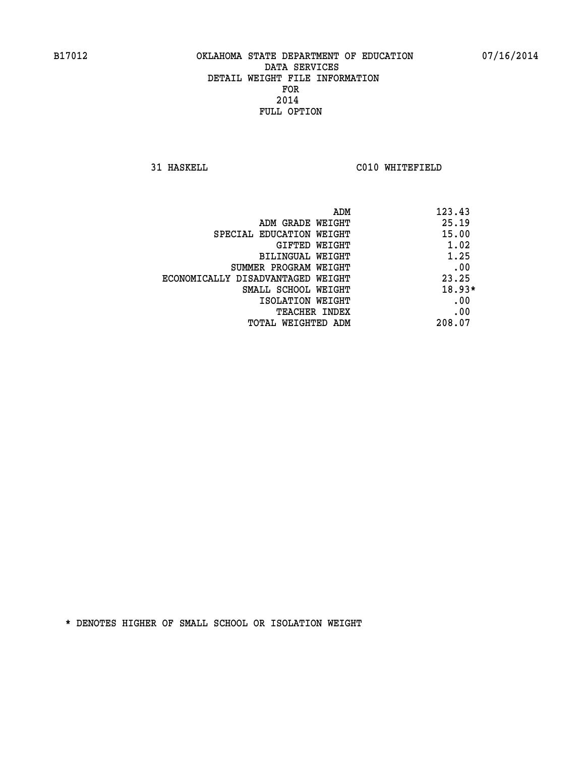**31 HASKELL C010 WHITEFIELD** 

| ADM                               | 123.43   |
|-----------------------------------|----------|
| ADM GRADE WEIGHT                  | 25.19    |
| SPECIAL EDUCATION WEIGHT          | 15.00    |
| GIFTED WEIGHT                     | 1.02     |
| BILINGUAL WEIGHT                  | 1.25     |
| SUMMER PROGRAM WEIGHT             | .00      |
| ECONOMICALLY DISADVANTAGED WEIGHT | 23.25    |
| SMALL SCHOOL WEIGHT               | $18.93*$ |
| ISOLATION WEIGHT                  | .00      |
| <b>TEACHER INDEX</b>              | .00      |
| TOTAL WEIGHTED ADM                | 208.07   |
|                                   |          |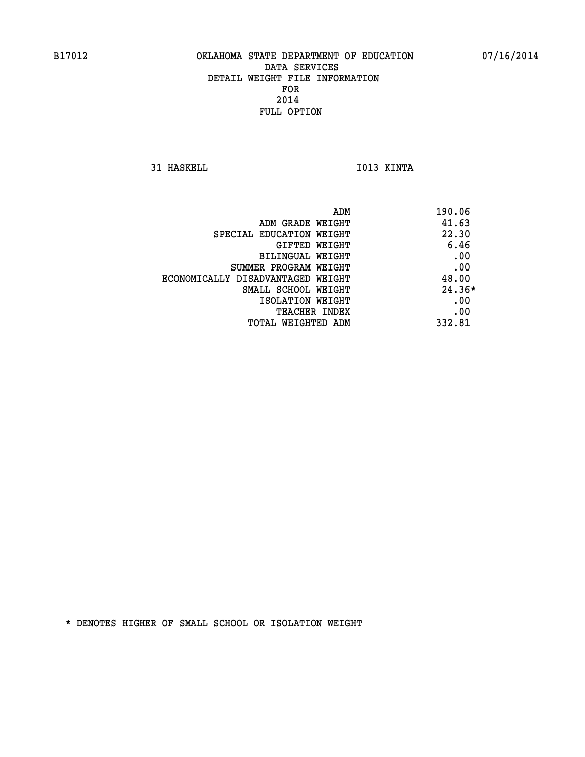**31 HASKELL IO13 KINTA** 

|                                   | 190.06<br>ADM |  |
|-----------------------------------|---------------|--|
| ADM GRADE WEIGHT                  | 41.63         |  |
| SPECIAL EDUCATION WEIGHT          | 22.30         |  |
| GIFTED WEIGHT                     | 6.46          |  |
| BILINGUAL WEIGHT                  | .00           |  |
| SUMMER PROGRAM WEIGHT             | .00           |  |
| ECONOMICALLY DISADVANTAGED WEIGHT | 48.00         |  |
| SMALL SCHOOL WEIGHT               | $24.36*$      |  |
| ISOLATION WEIGHT                  | .00           |  |
| <b>TEACHER INDEX</b>              | .00           |  |
| TOTAL WEIGHTED ADM                | 332.81        |  |
|                                   |               |  |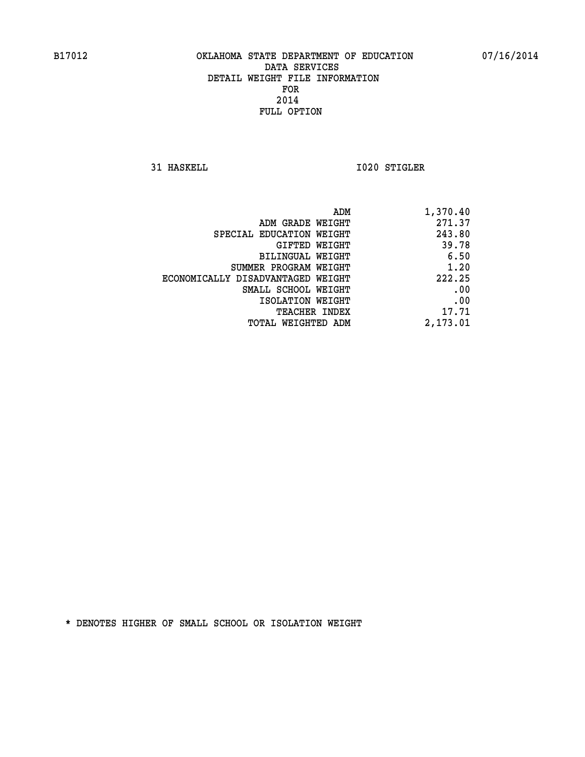**31 HASKELL 1020 STIGLER** 

| 1,370.40 |
|----------|
| 271.37   |
| 243.80   |
| 39.78    |
| 6.50     |
| 1.20     |
| 222.25   |
| .00      |
| .00      |
| 17.71    |
| 2,173.01 |
|          |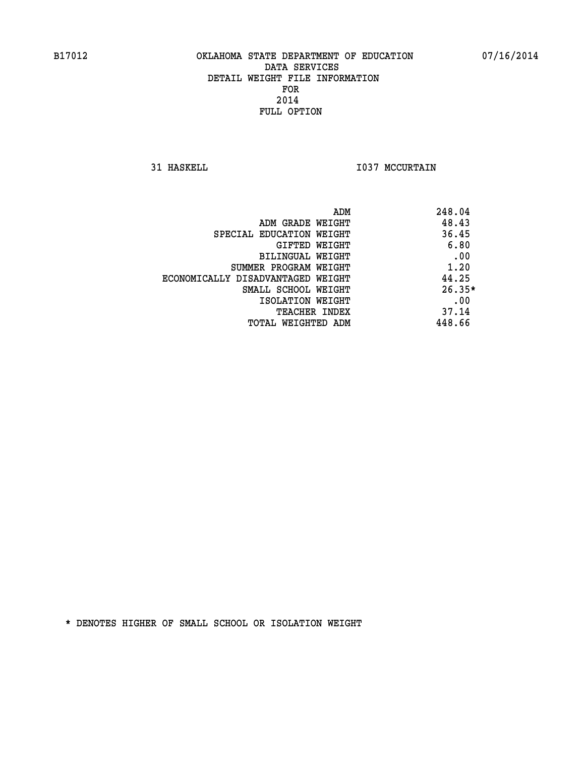**31 HASKELL 1037 MCCURTAIN** 

| ADM                               | 248.04   |
|-----------------------------------|----------|
| ADM GRADE WEIGHT                  | 48.43    |
| SPECIAL EDUCATION WEIGHT          | 36.45    |
| GIFTED WEIGHT                     | 6.80     |
| BILINGUAL WEIGHT                  | .00      |
| SUMMER PROGRAM WEIGHT             | 1.20     |
| ECONOMICALLY DISADVANTAGED WEIGHT | 44.25    |
| SMALL SCHOOL WEIGHT               | $26.35*$ |
| ISOLATION WEIGHT                  | .00      |
| TEACHER INDEX                     | 37.14    |
| TOTAL WEIGHTED ADM                | 448.66   |
|                                   |          |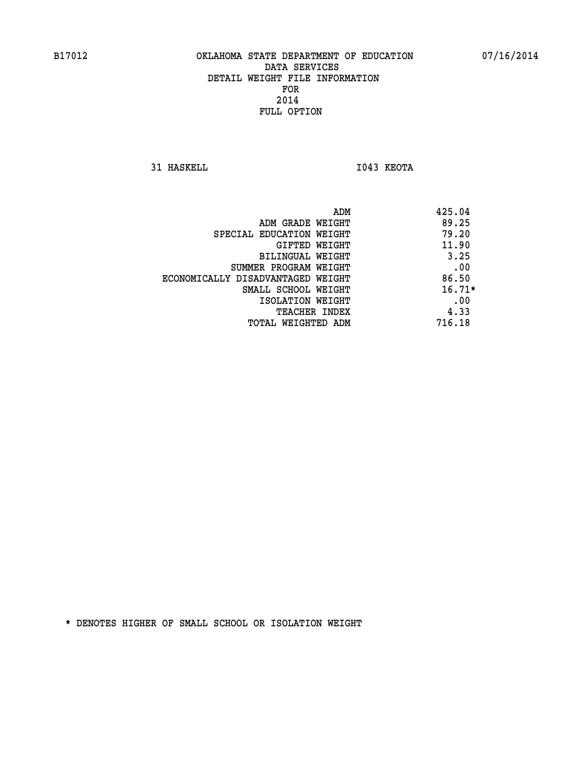**31 HASKELL I043 KEOTA** 

|                                   | 425.04<br>ADM |     |
|-----------------------------------|---------------|-----|
| ADM GRADE WEIGHT                  | 89.25         |     |
| SPECIAL EDUCATION WEIGHT          | 79.20         |     |
| GIFTED WEIGHT                     | 11.90         |     |
| BILINGUAL WEIGHT                  | 3.25          |     |
| SUMMER PROGRAM WEIGHT             |               | .00 |
| ECONOMICALLY DISADVANTAGED WEIGHT | 86.50         |     |
| SMALL SCHOOL WEIGHT               | $16.71*$      |     |
| ISOLATION WEIGHT                  |               | .00 |
| <b>TEACHER INDEX</b>              | 4.33          |     |
| TOTAL WEIGHTED ADM                | 716.18        |     |
|                                   |               |     |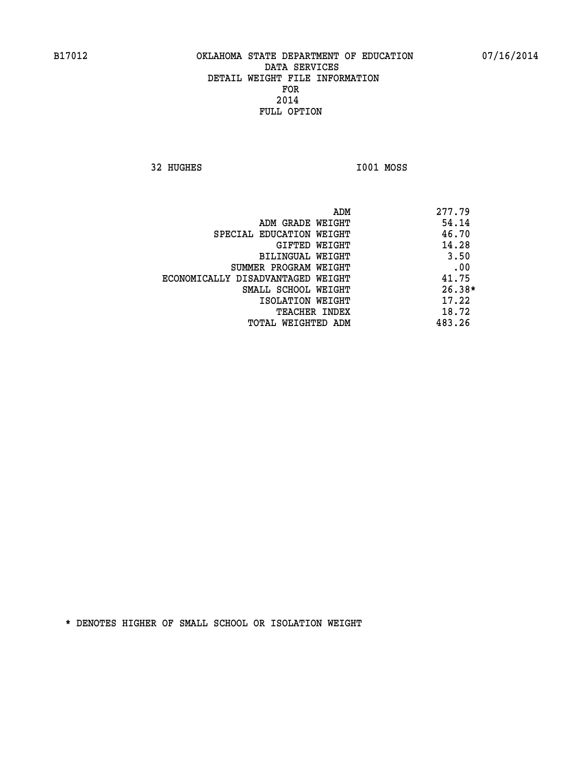**32 HUGHES I001 MOSS** 

| 277.79   |
|----------|
| 54.14    |
| 46.70    |
| 14.28    |
| 3.50     |
| .00      |
| 41.75    |
| $26.38*$ |
| 17.22    |
| 18.72    |
| 483.26   |
|          |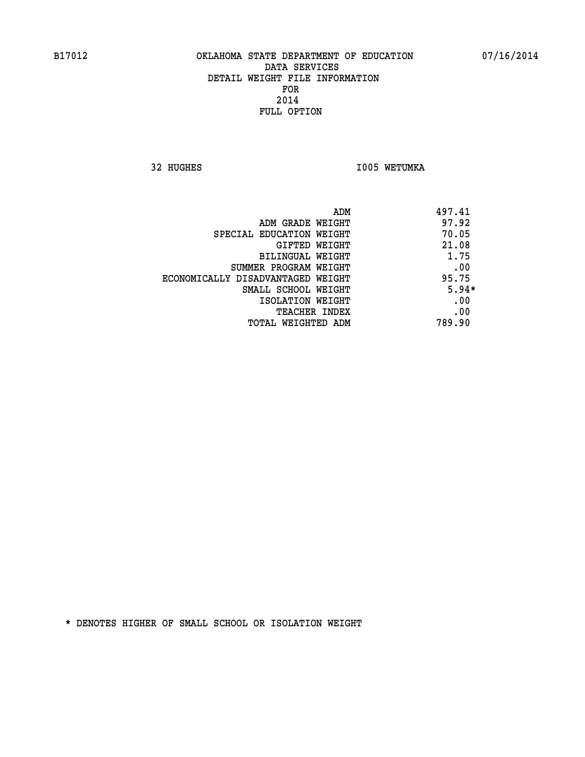**32 HUGHES 1005 WETUMKA** 

|                                   | ADM<br>497.41 |
|-----------------------------------|---------------|
| ADM GRADE WEIGHT                  | 97.92         |
| SPECIAL EDUCATION WEIGHT          | 70.05         |
| GIFTED WEIGHT                     | 21.08         |
| BILINGUAL WEIGHT                  | 1.75          |
| SUMMER PROGRAM WEIGHT             | .00           |
| ECONOMICALLY DISADVANTAGED WEIGHT | 95.75         |
| SMALL SCHOOL WEIGHT               | $5.94*$       |
| ISOLATION WEIGHT                  | .00           |
| <b>TEACHER INDEX</b>              | .00           |
| TOTAL WEIGHTED ADM                | 789.90        |
|                                   |               |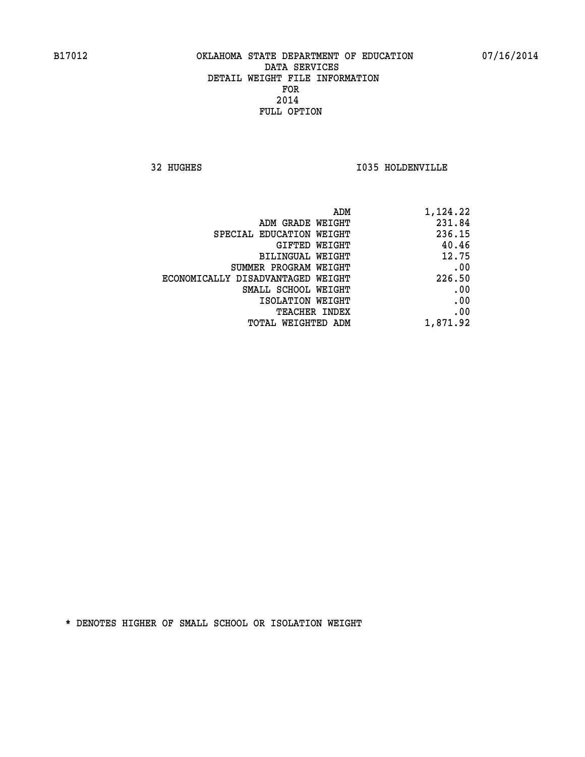**32 HUGHES I035 HOLDENVILLE** 

| 1,124.22 |
|----------|
| 231.84   |
| 236.15   |
| 40.46    |
| 12.75    |
| .00      |
| 226.50   |
| .00      |
| .00      |
| .00      |
| 1,871.92 |
|          |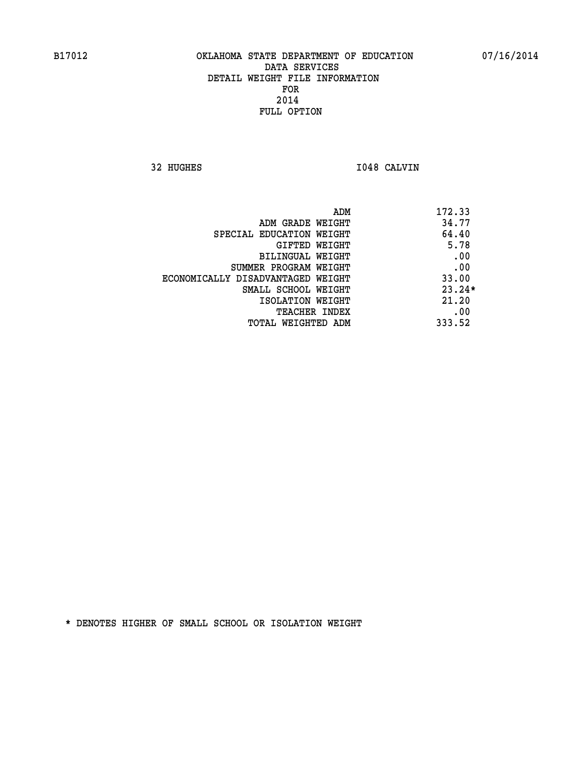**32 HUGHES I048 CALVIN** 

|                                   | ADM | 172.33   |
|-----------------------------------|-----|----------|
| ADM GRADE WEIGHT                  |     | 34.77    |
| SPECIAL EDUCATION WEIGHT          |     | 64.40    |
| GIFTED WEIGHT                     |     | 5.78     |
| BILINGUAL WEIGHT                  |     | .00      |
| SUMMER PROGRAM WEIGHT             |     | .00      |
| ECONOMICALLY DISADVANTAGED WEIGHT |     | 33.00    |
| SMALL SCHOOL WEIGHT               |     | $23.24*$ |
| ISOLATION WEIGHT                  |     | 21.20    |
| <b>TEACHER INDEX</b>              |     | .00      |
| TOTAL WEIGHTED ADM                |     | 333.52   |
|                                   |     |          |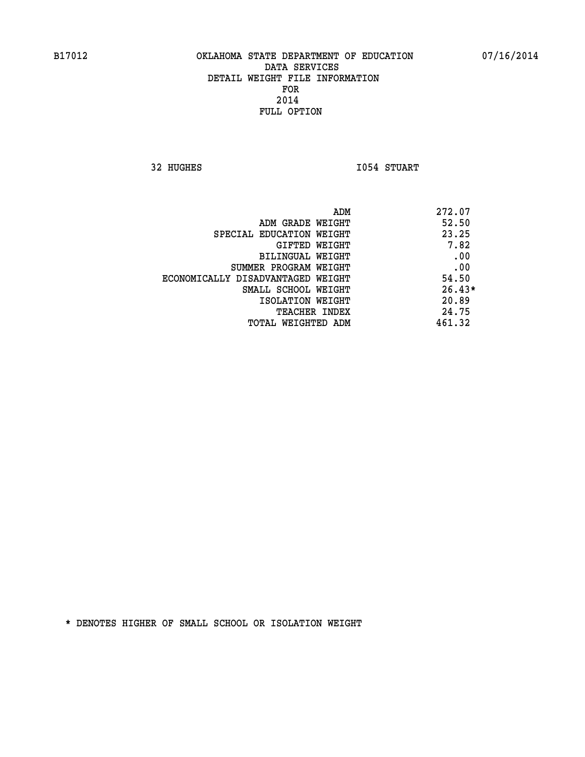**32 HUGHES 1054 STUART** 

| ADM<br>272.07                              |  |
|--------------------------------------------|--|
| 52.50<br>ADM GRADE WEIGHT                  |  |
| 23.25<br>SPECIAL EDUCATION WEIGHT          |  |
| 7.82<br>GIFTED WEIGHT                      |  |
| .00<br><b>BILINGUAL WEIGHT</b>             |  |
| .00<br>SUMMER PROGRAM WEIGHT               |  |
| 54.50<br>ECONOMICALLY DISADVANTAGED WEIGHT |  |
| $26.43*$<br>SMALL SCHOOL WEIGHT            |  |
| 20.89<br>ISOLATION WEIGHT                  |  |
| 24.75<br><b>TEACHER INDEX</b>              |  |
| 461.32<br>TOTAL WEIGHTED ADM               |  |
|                                            |  |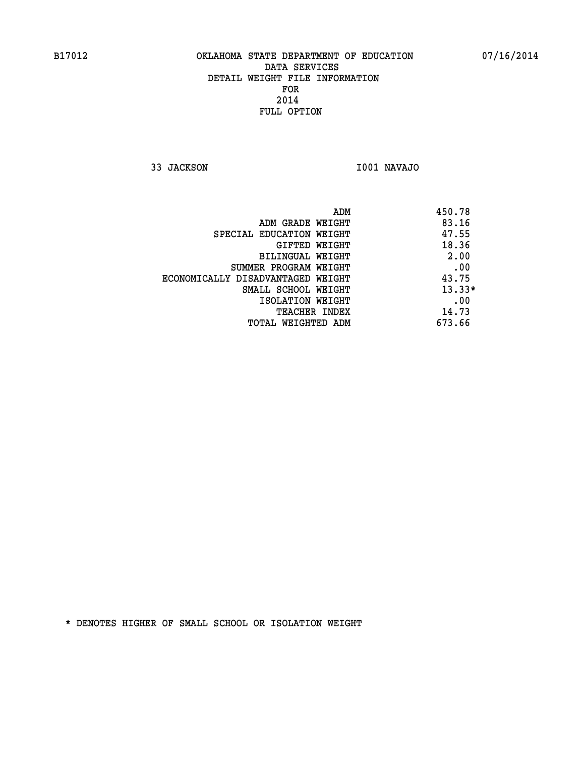**33 JACKSON I001 NAVAJO** 

|                                   | ADM | 450.78   |
|-----------------------------------|-----|----------|
| ADM GRADE WEIGHT                  |     | 83.16    |
| SPECIAL EDUCATION WEIGHT          |     | 47.55    |
| GIFTED WEIGHT                     |     | 18.36    |
| BILINGUAL WEIGHT                  |     | 2.00     |
| SUMMER PROGRAM WEIGHT             |     | .00      |
| ECONOMICALLY DISADVANTAGED WEIGHT |     | 43.75    |
| SMALL SCHOOL WEIGHT               |     | $13.33*$ |
| ISOLATION WEIGHT                  |     | .00      |
| TEACHER INDEX                     |     | 14.73    |
| TOTAL WEIGHTED ADM                |     | 673.66   |
|                                   |     |          |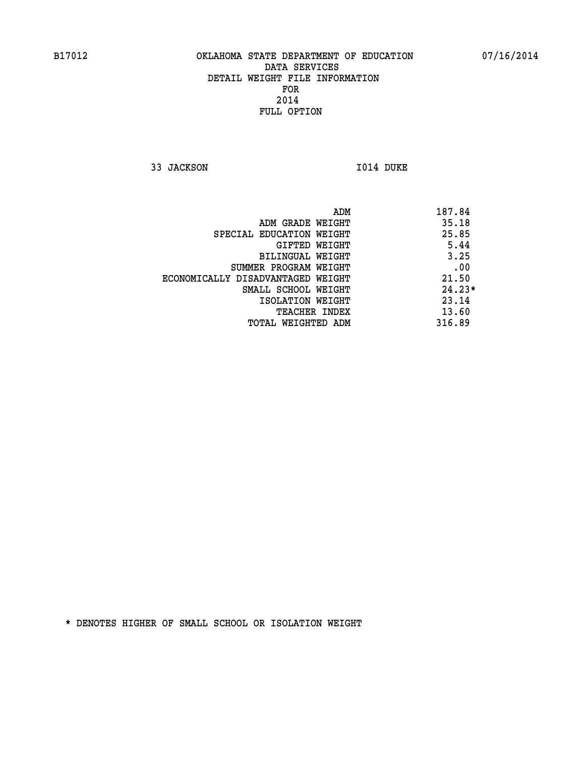**33 JACKSON I014 DUKE** 

 **ADM 187.84 ADM GRADE WEIGHT 35.18 SPECIAL EDUCATION WEIGHT 25.85 GIFTED WEIGHT 5.44 BILINGUAL WEIGHT 3.25 SUMMER PROGRAM WEIGHT .00 ECONOMICALLY DISADVANTAGED WEIGHT 21.50 SMALL SCHOOL WEIGHT 24.23\* 1SOLATION WEIGHT 23.14 TEACHER INDEX** 13.60  **TOTAL WEIGHTED ADM 316.89**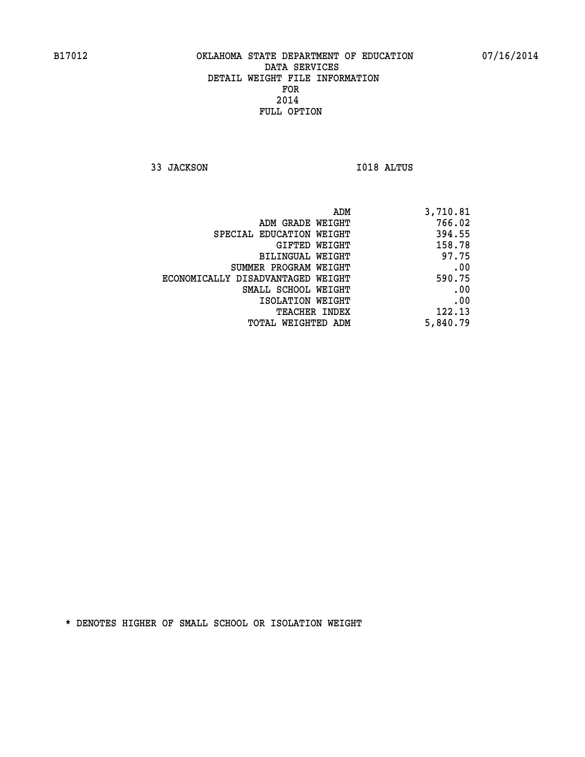**33 JACKSON I018 ALTUS** 

|                                   | 3,710.81<br>ADM |
|-----------------------------------|-----------------|
| ADM GRADE WEIGHT                  | 766.02          |
| SPECIAL EDUCATION WEIGHT          | 394.55          |
| GIFTED WEIGHT                     | 158.78          |
| BILINGUAL WEIGHT                  | 97.75           |
| SUMMER PROGRAM WEIGHT             | .00             |
| ECONOMICALLY DISADVANTAGED WEIGHT | 590.75          |
| SMALL SCHOOL WEIGHT               | .00             |
| ISOLATION WEIGHT                  | .00             |
| <b>TEACHER INDEX</b>              | 122.13          |
| TOTAL WEIGHTED ADM                | 5,840.79        |
|                                   |                 |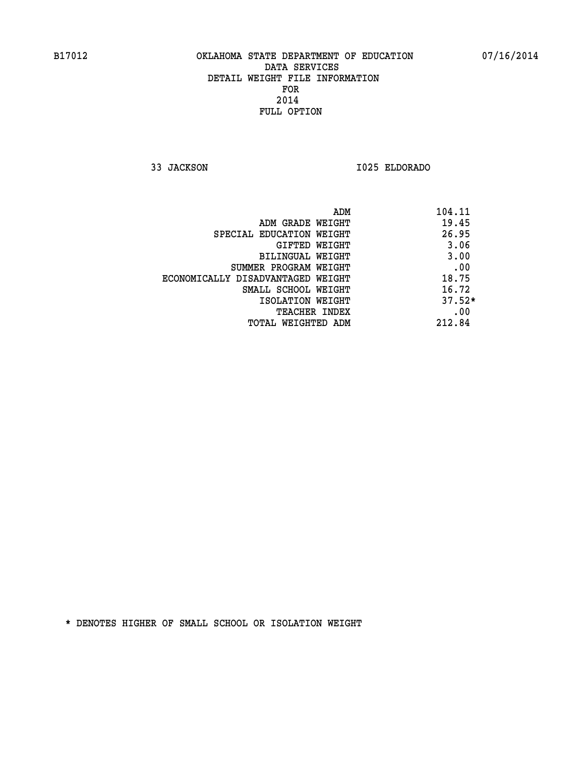**33 JACKSON I025 ELDORADO** 

|                                   | ADM<br>104.11 |
|-----------------------------------|---------------|
| ADM GRADE WEIGHT                  | 19.45         |
| SPECIAL EDUCATION WEIGHT          | 26.95         |
| GIFTED WEIGHT                     | 3.06          |
| BILINGUAL WEIGHT                  | 3.00          |
| SUMMER PROGRAM WEIGHT             | .00           |
| ECONOMICALLY DISADVANTAGED WEIGHT | 18.75         |
| SMALL SCHOOL WEIGHT               | 16.72         |
| ISOLATION WEIGHT                  | $37.52*$      |
| TEACHER INDEX                     | .00           |
| TOTAL WEIGHTED ADM                | 212.84        |
|                                   |               |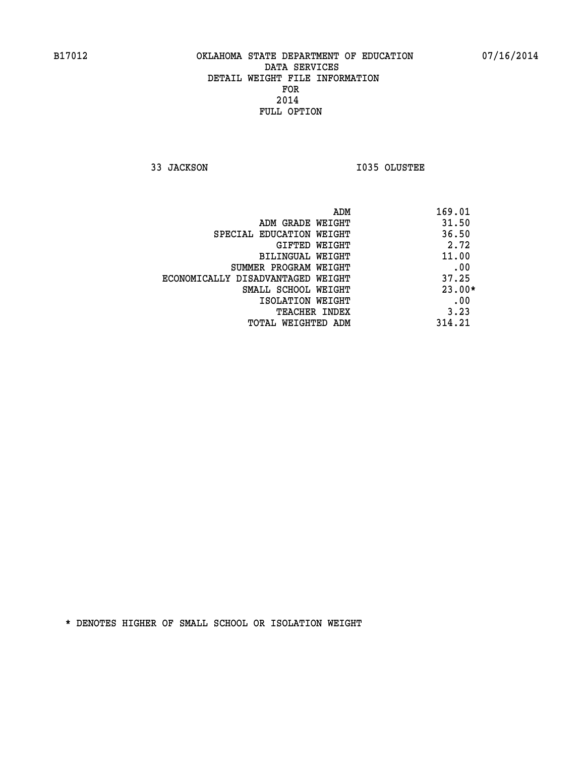**33 JACKSON I035 OLUSTEE** 

| ADM                               | 169.01   |
|-----------------------------------|----------|
| ADM GRADE WEIGHT                  | 31.50    |
| SPECIAL EDUCATION WEIGHT          | 36.50    |
| <b>GIFTED WEIGHT</b>              | 2.72     |
| BILINGUAL WEIGHT                  | 11.00    |
| SUMMER PROGRAM WEIGHT             | .00      |
| ECONOMICALLY DISADVANTAGED WEIGHT | 37.25    |
| SMALL SCHOOL WEIGHT               | $23.00*$ |
| ISOLATION WEIGHT                  | .00      |
| <b>TEACHER INDEX</b>              | 3.23     |
| TOTAL WEIGHTED ADM                | 314.21   |
|                                   |          |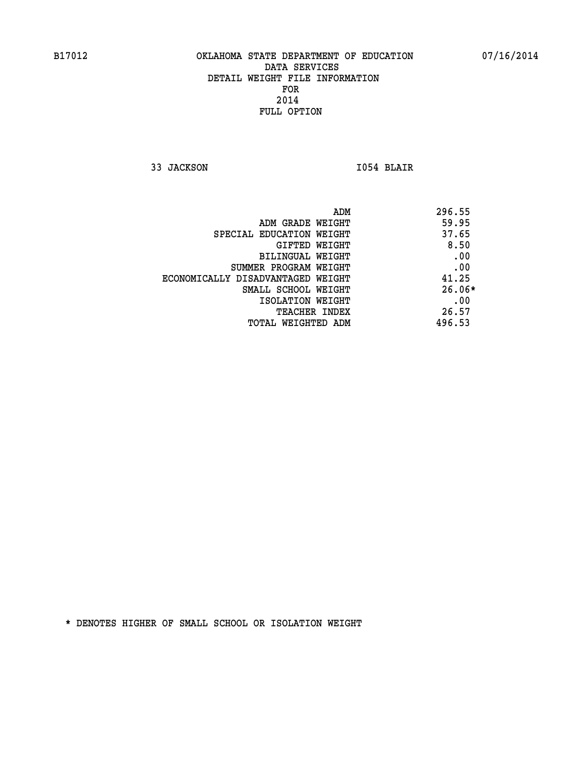**33 JACKSON I054 BLAIR** 

| ADM                               | 296.55   |
|-----------------------------------|----------|
| ADM GRADE WEIGHT                  | 59.95    |
| SPECIAL EDUCATION WEIGHT          | 37.65    |
| GIFTED WEIGHT                     | 8.50     |
| BILINGUAL WEIGHT                  | .00      |
| SUMMER PROGRAM WEIGHT             | .00      |
| ECONOMICALLY DISADVANTAGED WEIGHT | 41.25    |
| SMALL SCHOOL WEIGHT               | $26.06*$ |
| ISOLATION WEIGHT                  | .00      |
| <b>TEACHER INDEX</b>              | 26.57    |
| TOTAL WEIGHTED ADM                | 496.53   |
|                                   |          |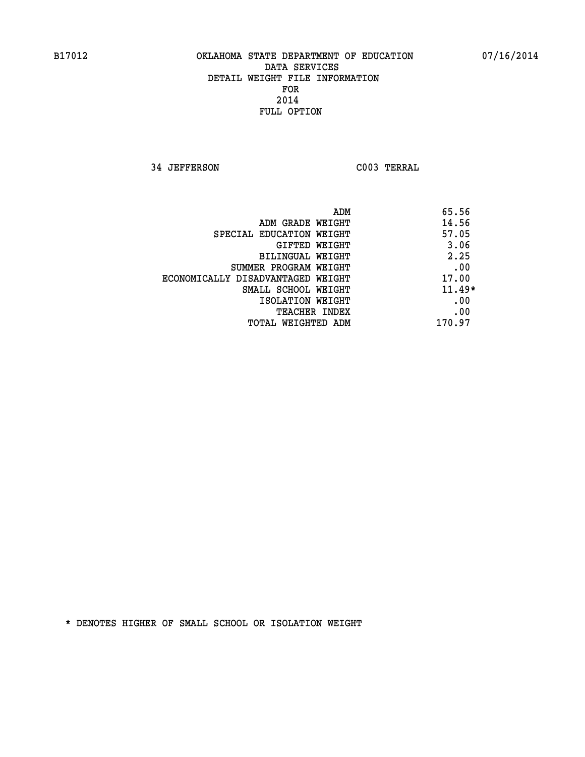**34 JEFFERSON C003 TERRAL** 

| ADM                               | 65.56    |
|-----------------------------------|----------|
| ADM GRADE WEIGHT                  | 14.56    |
| SPECIAL EDUCATION WEIGHT          | 57.05    |
| GIFTED WEIGHT                     | 3.06     |
| BILINGUAL WEIGHT                  | 2.25     |
| SUMMER PROGRAM WEIGHT             | .00      |
| ECONOMICALLY DISADVANTAGED WEIGHT | 17.00    |
| SMALL SCHOOL WEIGHT               | $11.49*$ |
| ISOLATION WEIGHT                  | .00      |
| <b>TEACHER INDEX</b>              | .00      |
| TOTAL WEIGHTED ADM                | 170.97   |
|                                   |          |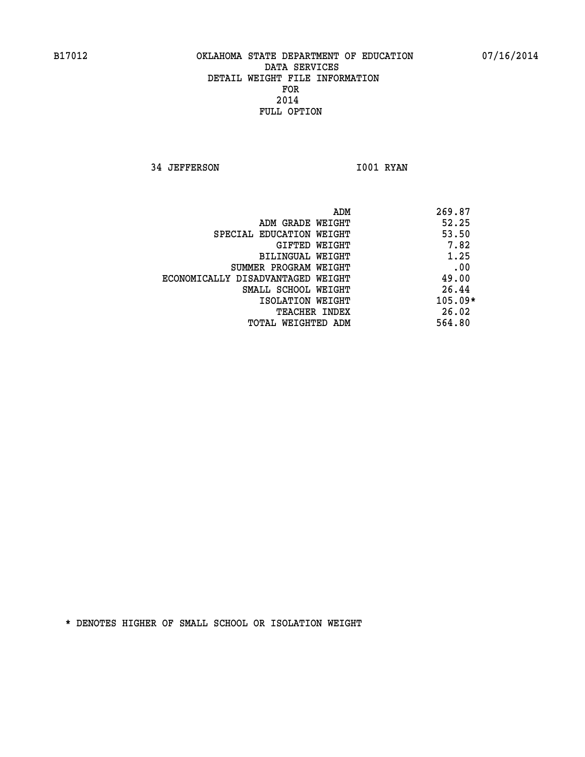**34 JEFFERSON 1001 RYAN** 

|                                   | 269.87<br>ADM |
|-----------------------------------|---------------|
| ADM GRADE WEIGHT                  | 52.25         |
| SPECIAL EDUCATION WEIGHT          | 53.50         |
| GIFTED WEIGHT                     | 7.82          |
| BILINGUAL WEIGHT                  | 1.25          |
| SUMMER PROGRAM WEIGHT             | .00           |
| ECONOMICALLY DISADVANTAGED WEIGHT | 49.00         |
| SMALL SCHOOL WEIGHT               | 26.44         |
| ISOLATION WEIGHT                  | $105.09*$     |
| <b>TEACHER INDEX</b>              | 26.02         |
| TOTAL WEIGHTED ADM                | 564.80        |
|                                   |               |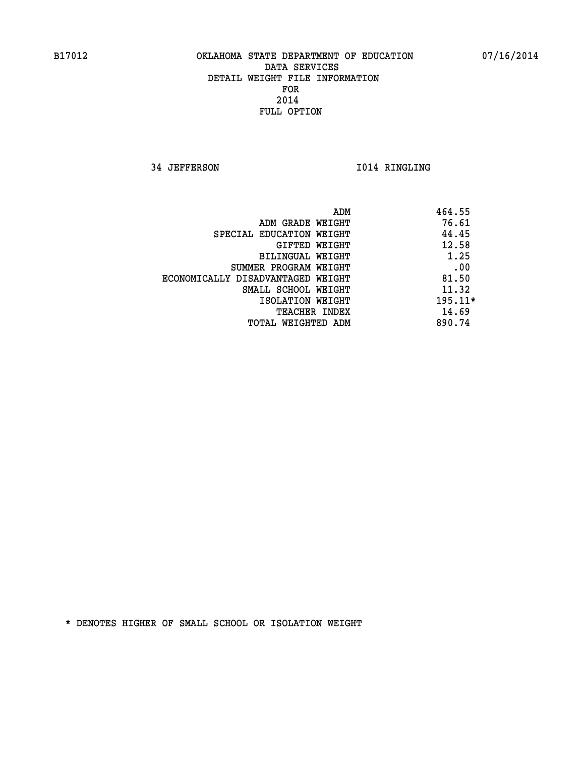**34 JEFFERSON 1014 RINGLING** 

|                                   | ADM | 464.55    |
|-----------------------------------|-----|-----------|
| ADM GRADE WEIGHT                  |     | 76.61     |
| SPECIAL EDUCATION WEIGHT          |     | 44.45     |
| GIFTED WEIGHT                     |     | 12.58     |
| BILINGUAL WEIGHT                  |     | 1.25      |
| SUMMER PROGRAM WEIGHT             |     | .00       |
| ECONOMICALLY DISADVANTAGED WEIGHT |     | 81.50     |
| SMALL SCHOOL WEIGHT               |     | 11.32     |
| ISOLATION WEIGHT                  |     | $195.11*$ |
| TEACHER INDEX                     |     | 14.69     |
| TOTAL WEIGHTED ADM                |     | 890.74    |
|                                   |     |           |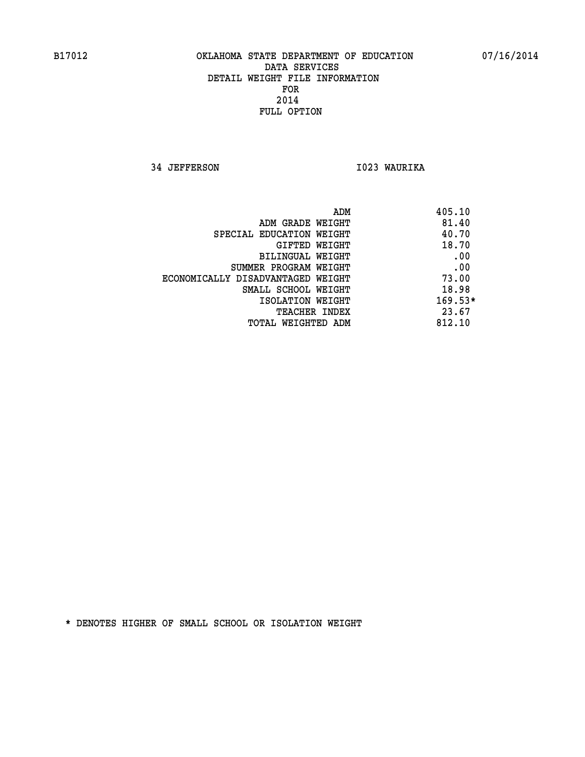**34 JEFFERSON I023 WAURIKA** 

|                                   | ADM | 405.10    |
|-----------------------------------|-----|-----------|
| ADM GRADE WEIGHT                  |     | 81.40     |
| SPECIAL EDUCATION WEIGHT          |     | 40.70     |
| GIFTED WEIGHT                     |     | 18.70     |
| BILINGUAL WEIGHT                  |     | .00       |
| SUMMER PROGRAM WEIGHT             |     | .00       |
| ECONOMICALLY DISADVANTAGED WEIGHT |     | 73.00     |
| SMALL SCHOOL WEIGHT               |     | 18.98     |
| ISOLATION WEIGHT                  |     | $169.53*$ |
| TEACHER INDEX                     |     | 23.67     |
| TOTAL WEIGHTED ADM                |     | 812.10    |
|                                   |     |           |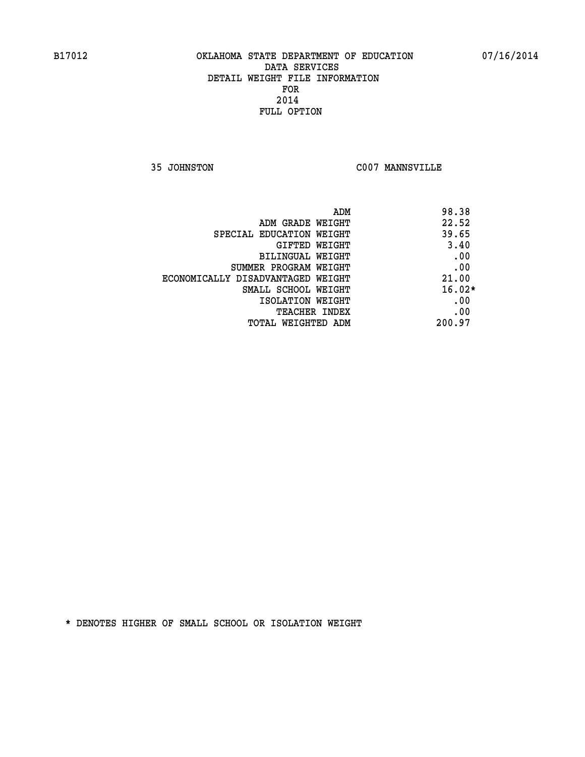**35 JOHNSTON C007 MANNSVILLE** 

| ADM<br>98.38                               |  |
|--------------------------------------------|--|
| 22.52<br>ADM GRADE WEIGHT                  |  |
| 39.65<br>SPECIAL EDUCATION WEIGHT          |  |
| 3.40<br>GIFTED WEIGHT                      |  |
| .00<br>BILINGUAL WEIGHT                    |  |
| .00<br>SUMMER PROGRAM WEIGHT               |  |
| 21.00<br>ECONOMICALLY DISADVANTAGED WEIGHT |  |
| $16.02*$<br>SMALL SCHOOL WEIGHT            |  |
| .00<br>ISOLATION WEIGHT                    |  |
| .00<br><b>TEACHER INDEX</b>                |  |
| 200.97<br>TOTAL WEIGHTED ADM               |  |
|                                            |  |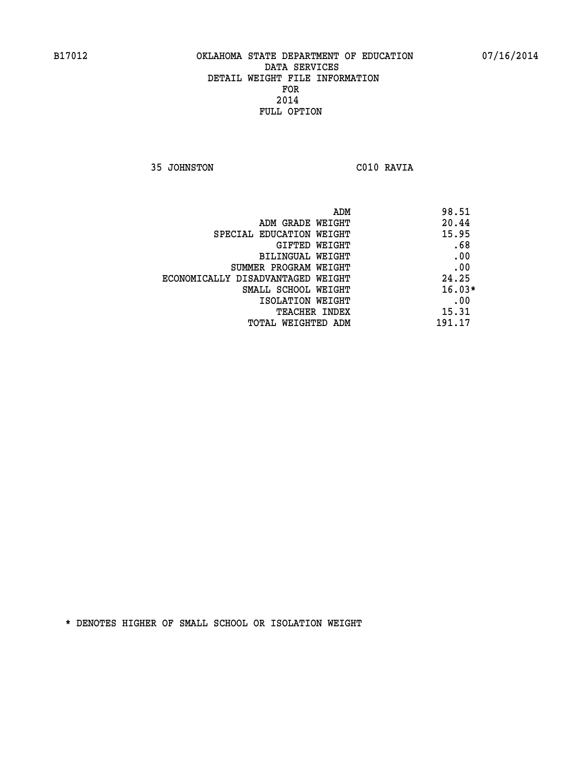**35 JOHNSTON C010 RAVIA** 

| ADM                               | 98.51    |
|-----------------------------------|----------|
| ADM GRADE WEIGHT                  | 20.44    |
| SPECIAL EDUCATION WEIGHT          | 15.95    |
| GIFTED WEIGHT                     | .68      |
| BILINGUAL WEIGHT                  | .00      |
| SUMMER PROGRAM WEIGHT             | .00      |
| ECONOMICALLY DISADVANTAGED WEIGHT | 24.25    |
| SMALL SCHOOL WEIGHT               | $16.03*$ |
| ISOLATION WEIGHT                  | .00      |
| <b>TEACHER INDEX</b>              | 15.31    |
| TOTAL WEIGHTED ADM                | 191.17   |
|                                   |          |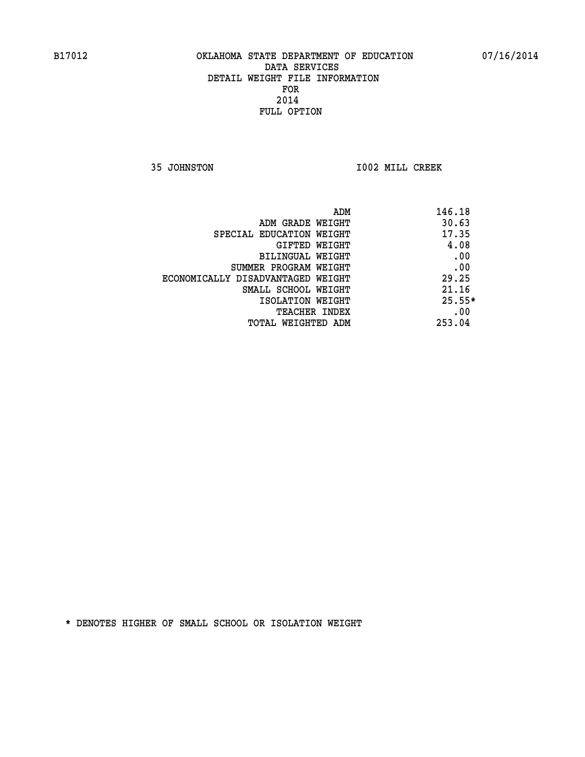**35 JOHNSTON I002 MILL CREEK** 

| ADM                               | 146.18   |
|-----------------------------------|----------|
| ADM GRADE WEIGHT                  | 30.63    |
| SPECIAL EDUCATION WEIGHT          | 17.35    |
| GIFTED WEIGHT                     | 4.08     |
| BILINGUAL WEIGHT                  | .00      |
| SUMMER PROGRAM WEIGHT             | .00      |
| ECONOMICALLY DISADVANTAGED WEIGHT | 29.25    |
| SMALL SCHOOL WEIGHT               | 21.16    |
| ISOLATION WEIGHT                  | $25.55*$ |
| <b>TEACHER INDEX</b>              | .00      |
| TOTAL WEIGHTED ADM                | 253.04   |
|                                   |          |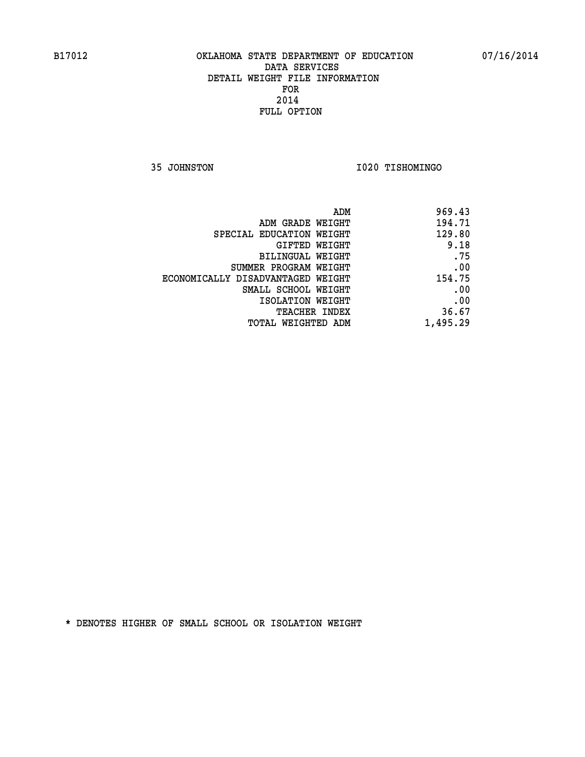**35 JOHNSTON I020 TISHOMINGO** 

| 969.43   |
|----------|
| 194.71   |
| 129.80   |
| 9.18     |
| .75      |
| .00      |
| 154.75   |
| .00      |
| .00      |
| 36.67    |
| 1,495.29 |
|          |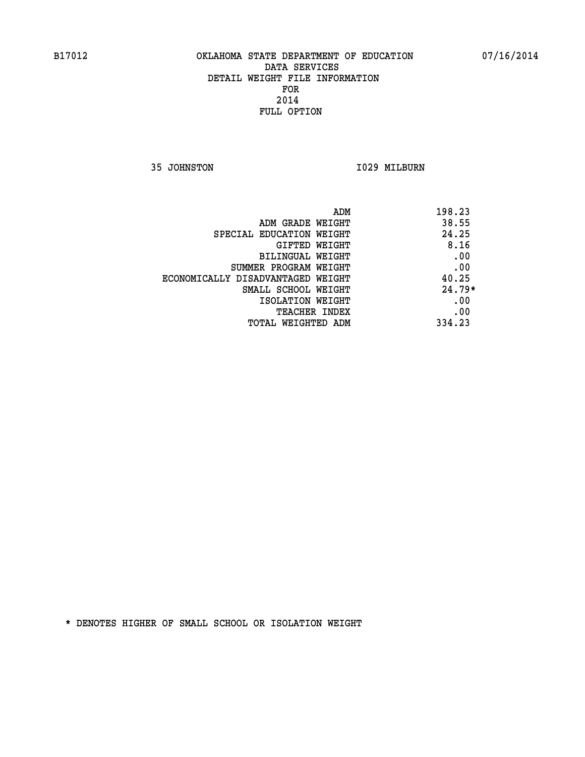**35 JOHNSTON 1029 MILBURN** 

| ADM                               | 198.23   |
|-----------------------------------|----------|
| ADM GRADE WEIGHT                  | 38.55    |
| SPECIAL EDUCATION WEIGHT          | 24.25    |
| GIFTED WEIGHT                     | 8.16     |
| BILINGUAL WEIGHT                  | .00      |
| SUMMER PROGRAM WEIGHT             | .00      |
| ECONOMICALLY DISADVANTAGED WEIGHT | 40.25    |
| SMALL SCHOOL WEIGHT               | $24.79*$ |
| ISOLATION WEIGHT                  | .00      |
| <b>TEACHER INDEX</b>              | .00      |
| TOTAL WEIGHTED ADM                | 334.23   |
|                                   |          |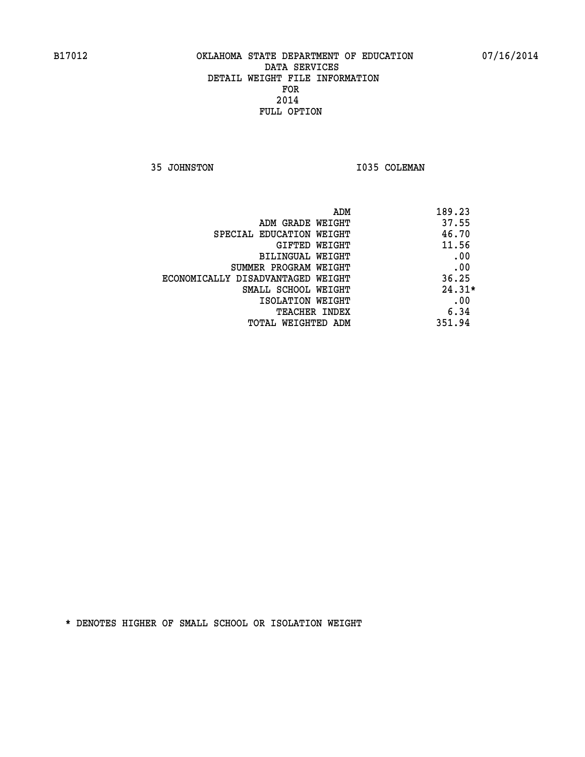**35 JOHNSTON 1035 COLEMAN** 

| 189.23<br>ADM                              |  |
|--------------------------------------------|--|
| 37.55<br>ADM GRADE WEIGHT                  |  |
| 46.70<br>SPECIAL EDUCATION WEIGHT          |  |
| 11.56<br>GIFTED WEIGHT                     |  |
| .00<br>BILINGUAL WEIGHT                    |  |
| .00<br>SUMMER PROGRAM WEIGHT               |  |
| 36.25<br>ECONOMICALLY DISADVANTAGED WEIGHT |  |
| $24.31*$<br>SMALL SCHOOL WEIGHT            |  |
| .00<br>ISOLATION WEIGHT                    |  |
| 6.34<br><b>TEACHER INDEX</b>               |  |
| 351.94<br>TOTAL WEIGHTED ADM               |  |
|                                            |  |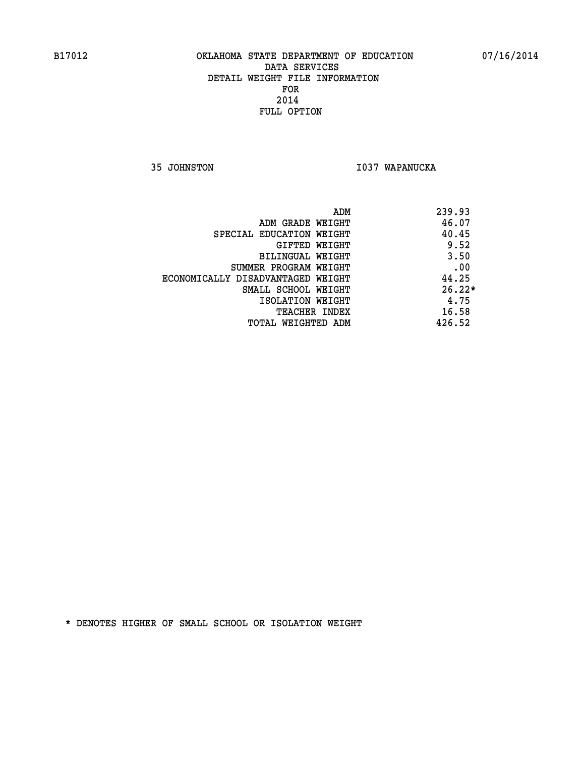**35 JOHNSTON I037 WAPANUCKA** 

| ADM                               | 239.93   |
|-----------------------------------|----------|
| ADM GRADE WEIGHT                  | 46.07    |
| SPECIAL EDUCATION WEIGHT          | 40.45    |
| GIFTED WEIGHT                     | 9.52     |
| BILINGUAL WEIGHT                  | 3.50     |
| SUMMER PROGRAM WEIGHT             | .00      |
| ECONOMICALLY DISADVANTAGED WEIGHT | 44.25    |
| SMALL SCHOOL WEIGHT               | $26.22*$ |
| ISOLATION WEIGHT                  | 4.75     |
| <b>TEACHER INDEX</b>              | 16.58    |
| TOTAL WEIGHTED ADM                | 426.52   |
|                                   |          |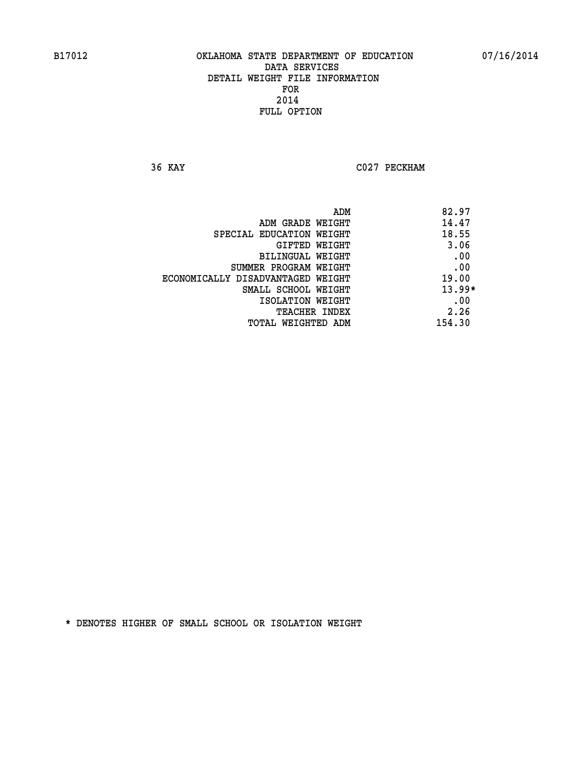**36 KAY C027 PECKHAM** 

|                                   | ADM | 82.97    |
|-----------------------------------|-----|----------|
| ADM GRADE WEIGHT                  |     | 14.47    |
| SPECIAL EDUCATION WEIGHT          |     | 18.55    |
| GIFTED WEIGHT                     |     | 3.06     |
| BILINGUAL WEIGHT                  |     | .00      |
| SUMMER PROGRAM WEIGHT             |     | .00      |
| ECONOMICALLY DISADVANTAGED WEIGHT |     | 19.00    |
| SMALL SCHOOL WEIGHT               |     | $13.99*$ |
| ISOLATION WEIGHT                  |     | .00      |
| TEACHER INDEX                     |     | 2.26     |
| TOTAL WEIGHTED ADM                |     | 154.30   |
|                                   |     |          |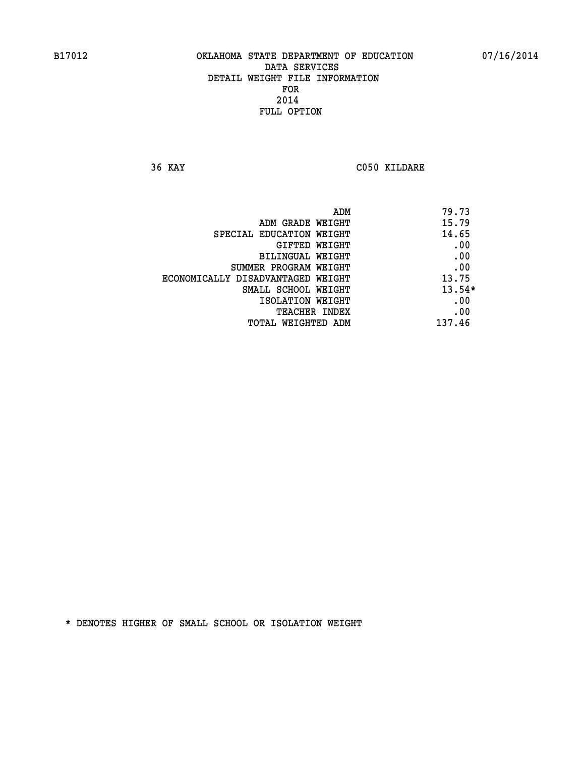**36 KAY C050 KILDARE** 

| ADM                               | 79.73    |
|-----------------------------------|----------|
| ADM GRADE WEIGHT                  | 15.79    |
| SPECIAL EDUCATION WEIGHT          | 14.65    |
| GIFTED WEIGHT                     | .00      |
| BILINGUAL WEIGHT                  | .00      |
| SUMMER PROGRAM WEIGHT             | .00      |
| ECONOMICALLY DISADVANTAGED WEIGHT | 13.75    |
| SMALL SCHOOL WEIGHT               | $13.54*$ |
| ISOLATION WEIGHT                  | .00      |
| <b>TEACHER INDEX</b>              | .00      |
| TOTAL WEIGHTED ADM                | 137.46   |
|                                   |          |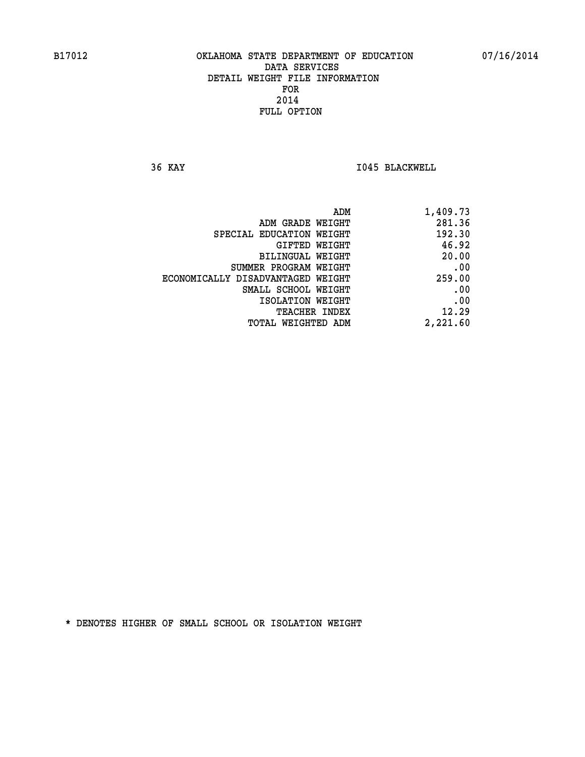**36 KAY I045 BLACKWELL** 

| 1,409.73 |
|----------|
| 281.36   |
| 192.30   |
| 46.92    |
| 20.00    |
| .00      |
| 259.00   |
| .00      |
| .00      |
| 12.29    |
| 2,221.60 |
|          |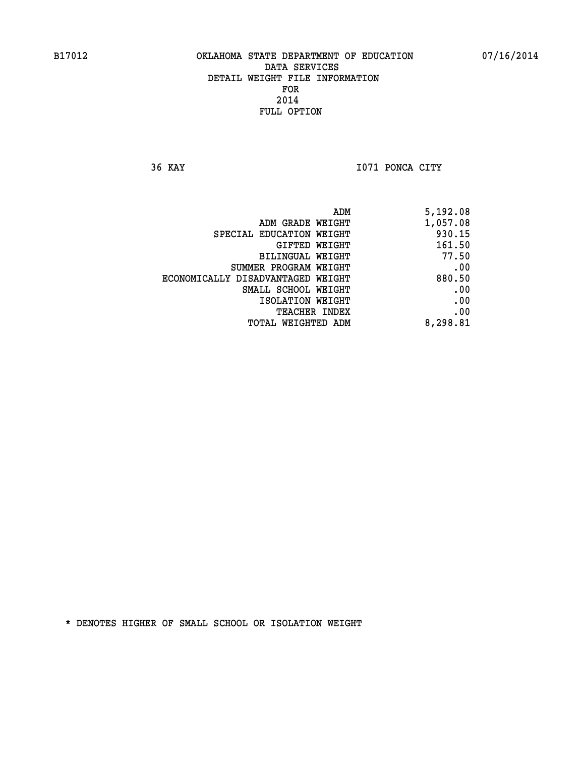**36 KAY I071 PONCA CITY** 

| ADM                               | 5,192.08 |
|-----------------------------------|----------|
| ADM GRADE WEIGHT                  | 1,057.08 |
| SPECIAL EDUCATION WEIGHT          | 930.15   |
| GIFTED WEIGHT                     | 161.50   |
| BILINGUAL WEIGHT                  | 77.50    |
| SUMMER PROGRAM WEIGHT             | .00      |
| ECONOMICALLY DISADVANTAGED WEIGHT | 880.50   |
| SMALL SCHOOL WEIGHT               | .00      |
| ISOLATION WEIGHT                  | .00      |
| TEACHER INDEX                     | .00      |
| TOTAL WEIGHTED ADM                | 8,298.81 |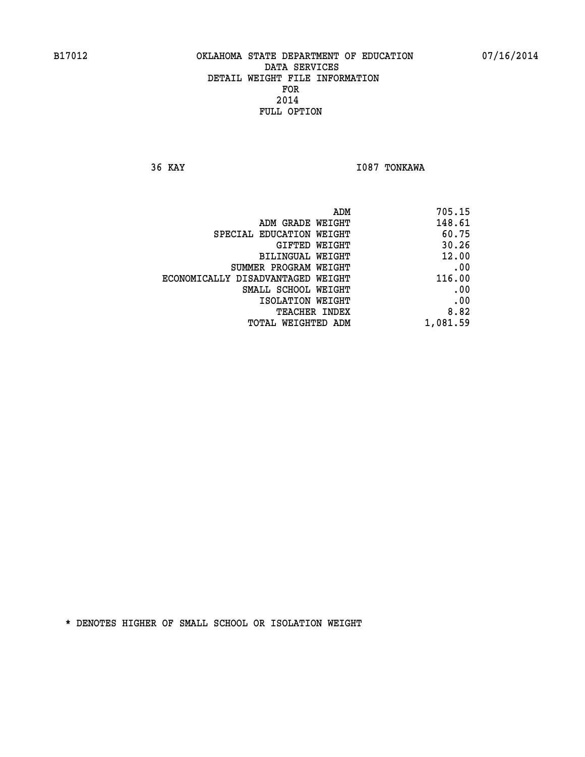**36 KAY I087 TONKAWA** 

| 705.15   |
|----------|
| 148.61   |
| 60.75    |
| 30.26    |
| 12.00    |
| .00      |
| 116.00   |
| .00      |
| .00      |
| 8.82     |
| 1,081.59 |
|          |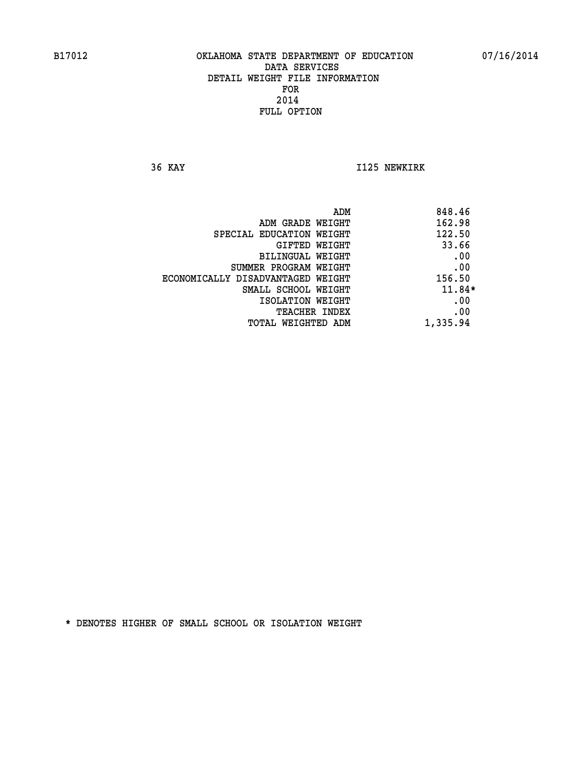**36 KAY I125 NEWKIRK** 

|                                   | ADM | 848.46   |
|-----------------------------------|-----|----------|
| ADM GRADE WEIGHT                  |     | 162.98   |
| SPECIAL EDUCATION WEIGHT          |     | 122.50   |
| GIFTED WEIGHT                     |     | 33.66    |
| BILINGUAL WEIGHT                  |     | .00      |
| SUMMER PROGRAM WEIGHT             |     | .00      |
| ECONOMICALLY DISADVANTAGED WEIGHT |     | 156.50   |
| SMALL SCHOOL WEIGHT               |     | $11.84*$ |
| ISOLATION WEIGHT                  |     | .00      |
| TEACHER INDEX                     |     | .00      |
| TOTAL WEIGHTED ADM                |     | 1,335.94 |
|                                   |     |          |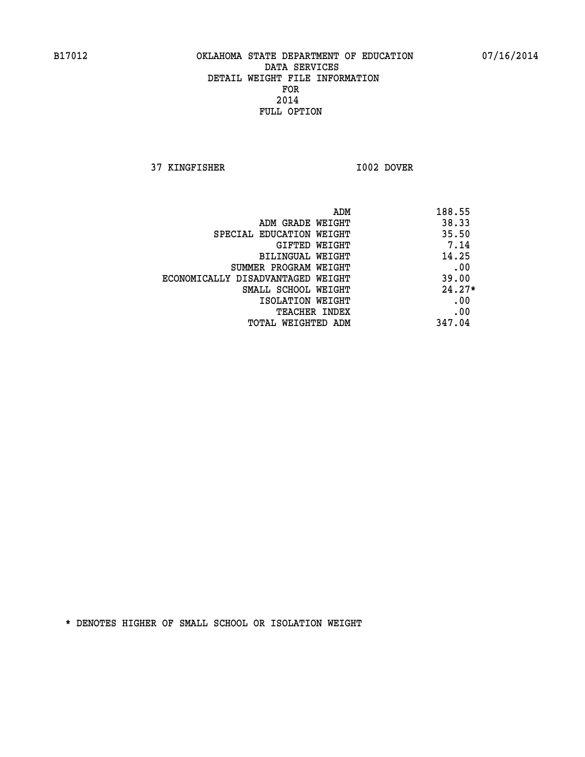**37 KINGFISHER I002 DOVER** 

|                                   | 188.55<br>ADM |     |
|-----------------------------------|---------------|-----|
| ADM GRADE WEIGHT                  | 38.33         |     |
| SPECIAL EDUCATION WEIGHT          | 35.50         |     |
| GIFTED WEIGHT                     | 7.14          |     |
| BILINGUAL WEIGHT                  | 14.25         |     |
| SUMMER PROGRAM WEIGHT             |               | .00 |
| ECONOMICALLY DISADVANTAGED WEIGHT | 39.00         |     |
| SMALL SCHOOL WEIGHT               | $24.27*$      |     |
| ISOLATION WEIGHT                  |               | .00 |
| <b>TEACHER INDEX</b>              |               | .00 |
| TOTAL WEIGHTED ADM                | 347.04        |     |
|                                   |               |     |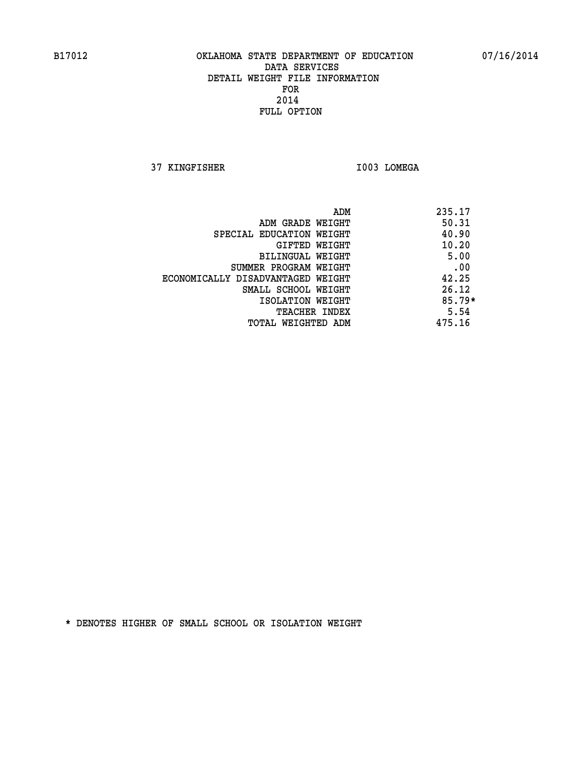**37 KINGFISHER I003 LOMEGA** 

|                                   | ADM | 235.17   |
|-----------------------------------|-----|----------|
| ADM GRADE WEIGHT                  |     | 50.31    |
| SPECIAL EDUCATION WEIGHT          |     | 40.90    |
| GIFTED WEIGHT                     |     | 10.20    |
| BILINGUAL WEIGHT                  |     | 5.00     |
| SUMMER PROGRAM WEIGHT             |     | .00      |
| ECONOMICALLY DISADVANTAGED WEIGHT |     | 42.25    |
| SMALL SCHOOL WEIGHT               |     | 26.12    |
| ISOLATION WEIGHT                  |     | $85.79*$ |
| <b>TEACHER INDEX</b>              |     | 5.54     |
| TOTAL WEIGHTED ADM                |     | 475.16   |
|                                   |     |          |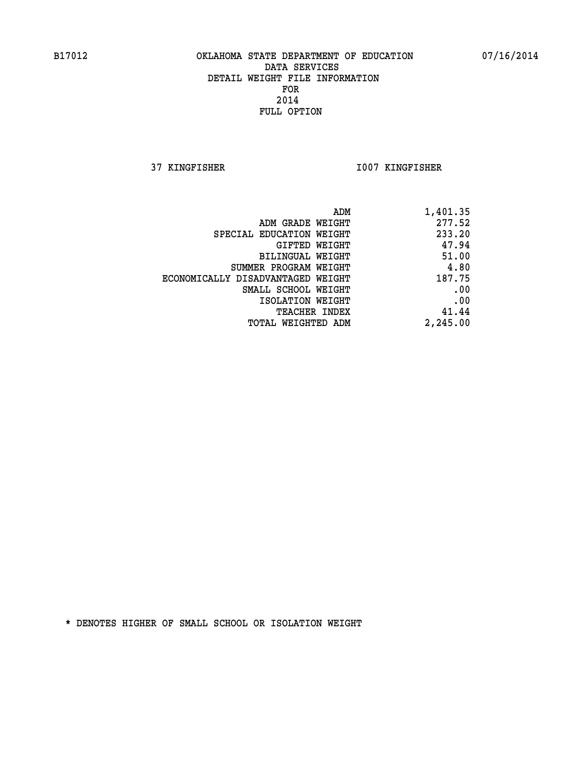**37 KINGFISHER I007 KINGFISHER** 

| ADM                               | 1,401.35 |
|-----------------------------------|----------|
| ADM GRADE WEIGHT                  | 277.52   |
| SPECIAL EDUCATION WEIGHT          | 233.20   |
| <b>GIFTED WEIGHT</b>              | 47.94    |
| BILINGUAL WEIGHT                  | 51.00    |
| SUMMER PROGRAM WEIGHT             | 4.80     |
| ECONOMICALLY DISADVANTAGED WEIGHT | 187.75   |
| SMALL SCHOOL WEIGHT               | .00      |
| ISOLATION WEIGHT                  | .00      |
| <b>TEACHER INDEX</b>              | 41.44    |
| <b>TOTAL WEIGHTED ADM</b>         | 2,245.00 |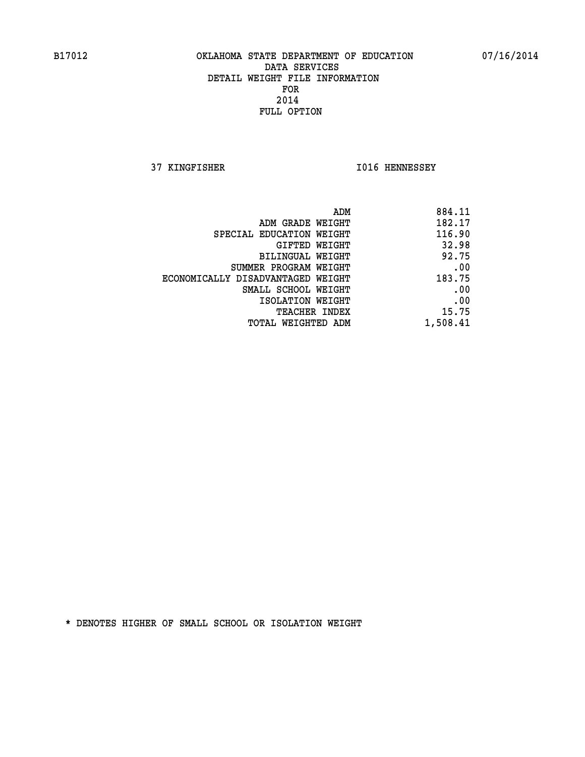**37 KINGFISHER I016 HENNESSEY** 

| 884.11   |
|----------|
| 182.17   |
| 116.90   |
| 32.98    |
| 92.75    |
| .00      |
| 183.75   |
| .00      |
| .00      |
| 15.75    |
| 1,508.41 |
|          |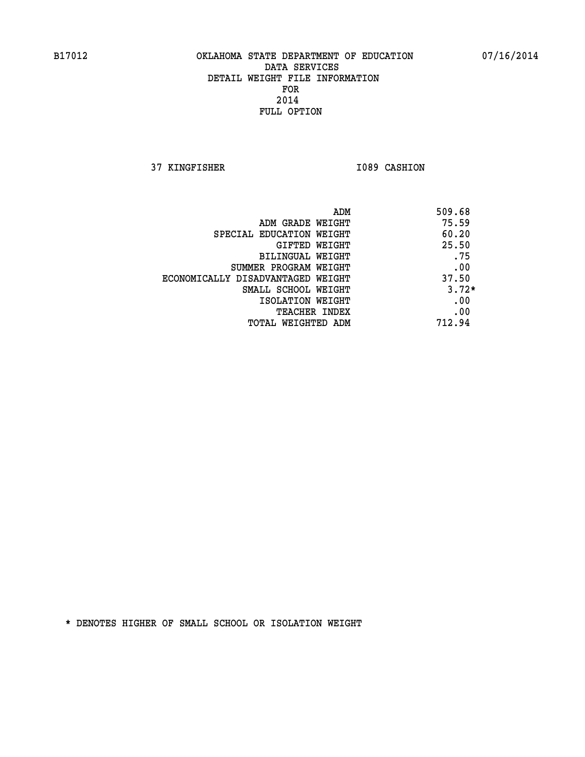**37 KINGFISHER 1089 CASHION** 

|                                   | 509.68<br>ADM |
|-----------------------------------|---------------|
| ADM GRADE WEIGHT                  | 75.59         |
| SPECIAL EDUCATION WEIGHT          | 60.20         |
| GIFTED WEIGHT                     | 25.50         |
| BILINGUAL WEIGHT                  | .75           |
| SUMMER PROGRAM WEIGHT             | .00           |
| ECONOMICALLY DISADVANTAGED WEIGHT | 37.50         |
| SMALL SCHOOL WEIGHT               | $3.72*$       |
| ISOLATION WEIGHT                  | .00           |
| <b>TEACHER INDEX</b>              | .00           |
| TOTAL WEIGHTED ADM                | 712.94        |
|                                   |               |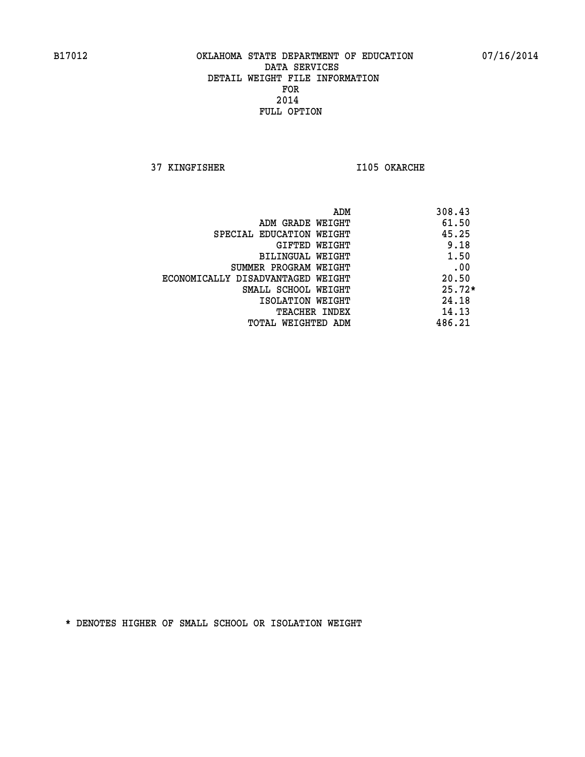**37 KINGFISHER I105 OKARCHE** 

|                                   | ADM | 308.43   |
|-----------------------------------|-----|----------|
| ADM GRADE WEIGHT                  |     | 61.50    |
| SPECIAL EDUCATION WEIGHT          |     | 45.25    |
| GIFTED WEIGHT                     |     | 9.18     |
| BILINGUAL WEIGHT                  |     | 1.50     |
| SUMMER PROGRAM WEIGHT             |     | .00      |
| ECONOMICALLY DISADVANTAGED WEIGHT |     | 20.50    |
| SMALL SCHOOL WEIGHT               |     | $25.72*$ |
| ISOLATION WEIGHT                  |     | 24.18    |
| TEACHER INDEX                     |     | 14.13    |
| TOTAL WEIGHTED ADM                |     | 486.21   |
|                                   |     |          |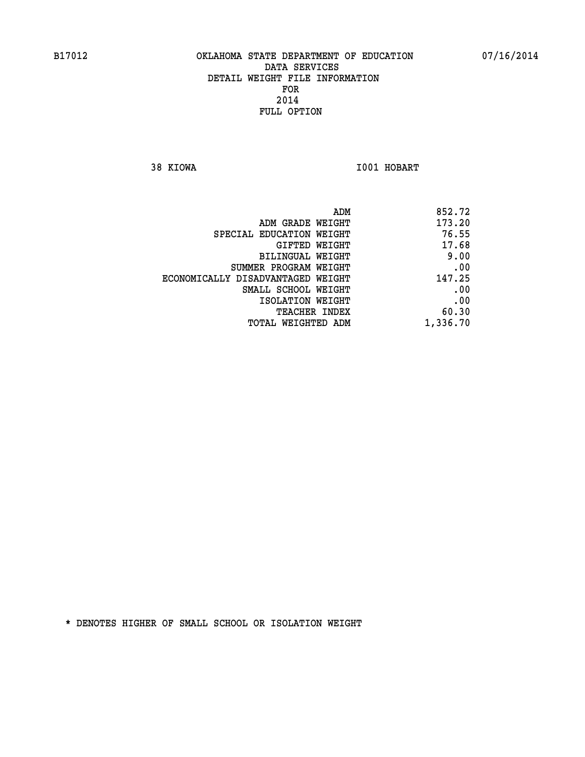**38 KIOWA I001 HOBART** 

| 852.72   |
|----------|
| 173.20   |
| 76.55    |
| 17.68    |
| 9.00     |
| .00      |
| 147.25   |
| .00      |
| .00      |
| 60.30    |
| 1,336.70 |
|          |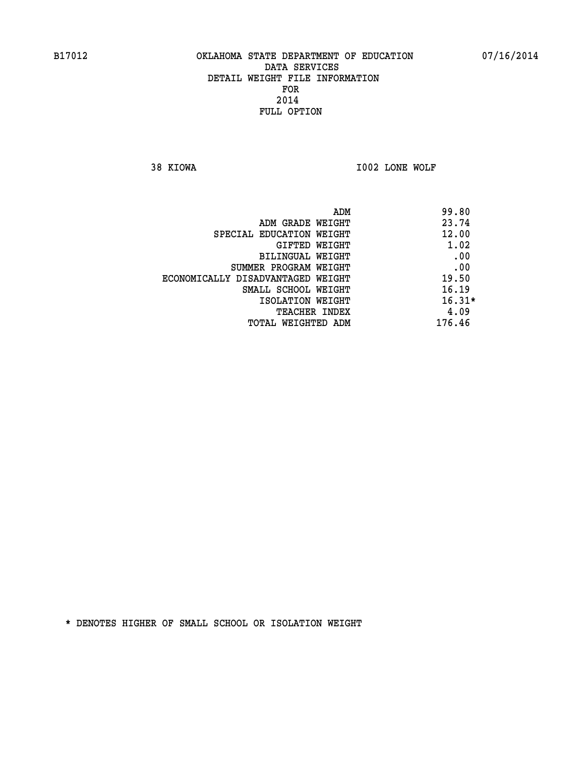**38 KIOWA I002 LONE WOLF** 

|                                   | ADM | 99.80    |
|-----------------------------------|-----|----------|
| ADM GRADE WEIGHT                  |     | 23.74    |
| SPECIAL EDUCATION WEIGHT          |     | 12.00    |
| GIFTED WEIGHT                     |     | 1.02     |
| BILINGUAL WEIGHT                  |     | .00      |
| SUMMER PROGRAM WEIGHT             |     | .00      |
| ECONOMICALLY DISADVANTAGED WEIGHT |     | 19.50    |
| SMALL SCHOOL WEIGHT               |     | 16.19    |
| ISOLATION WEIGHT                  |     | $16.31*$ |
| TEACHER INDEX                     |     | 4.09     |
| TOTAL WEIGHTED ADM                |     | 176.46   |
|                                   |     |          |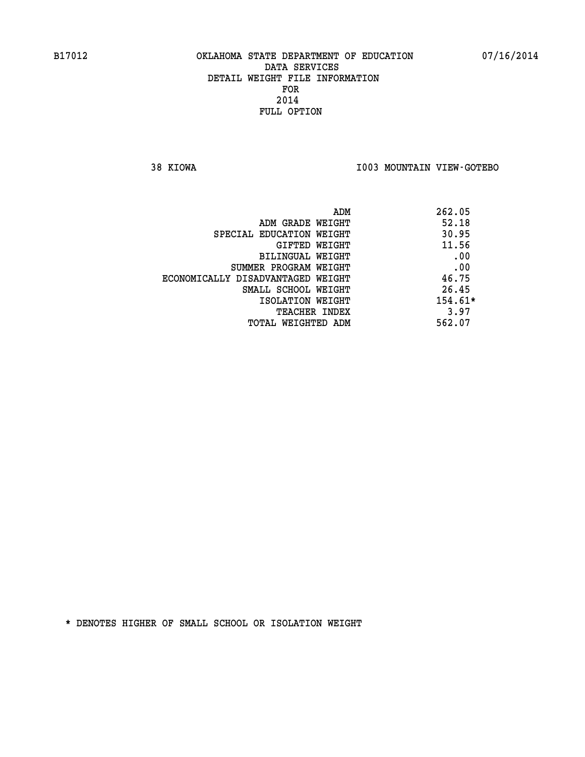**38 KIOWA I003 MOUNTAIN VIEW-GOTEBO** 

| ADM                               | 262.05    |
|-----------------------------------|-----------|
| ADM GRADE WEIGHT                  | 52.18     |
| SPECIAL EDUCATION WEIGHT          | 30.95     |
| GIFTED WEIGHT                     | 11.56     |
| BILINGUAL WEIGHT                  | .00       |
| SUMMER PROGRAM WEIGHT             | .00       |
| ECONOMICALLY DISADVANTAGED WEIGHT | 46.75     |
| SMALL SCHOOL WEIGHT               | 26.45     |
| ISOLATION WEIGHT                  | $154.61*$ |
| <b>TEACHER INDEX</b>              | 3.97      |
| TOTAL WEIGHTED ADM                | 562.07    |
|                                   |           |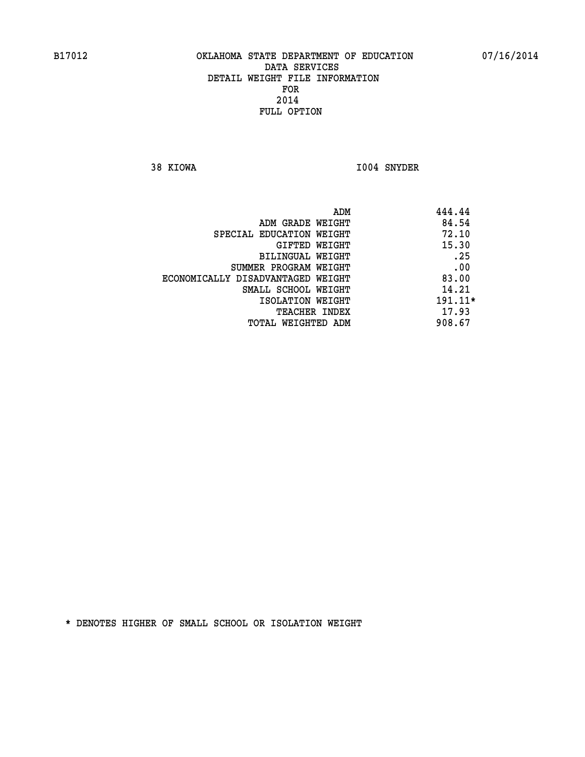**38 KIOWA I004 SNYDER** 

| ADM                               | 444.44  |
|-----------------------------------|---------|
| ADM GRADE WEIGHT                  | 84.54   |
| SPECIAL EDUCATION WEIGHT          | 72.10   |
| GIFTED WEIGHT                     | 15.30   |
| BILINGUAL WEIGHT                  | .25     |
| SUMMER PROGRAM WEIGHT             | .00     |
| ECONOMICALLY DISADVANTAGED WEIGHT | 83.00   |
| SMALL SCHOOL WEIGHT               | 14.21   |
| ISOLATION WEIGHT                  | 191.11* |
| <b>TEACHER INDEX</b>              | 17.93   |
| TOTAL WEIGHTED ADM                | 908.67  |
|                                   |         |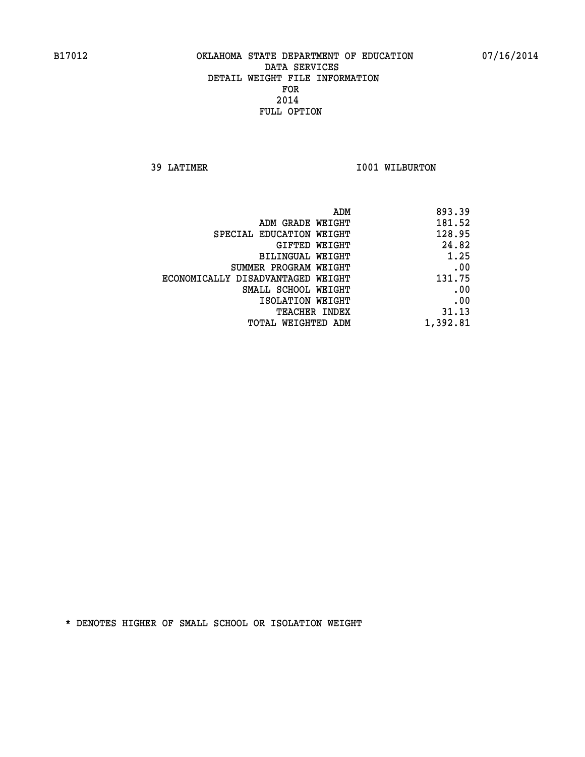**39 LATIMER 1001 WILBURTON** 

| 893.39   |
|----------|
| 181.52   |
| 128.95   |
| 24.82    |
| 1.25     |
| .00      |
| 131.75   |
| .00      |
| .00      |
| 31.13    |
| 1,392.81 |
|          |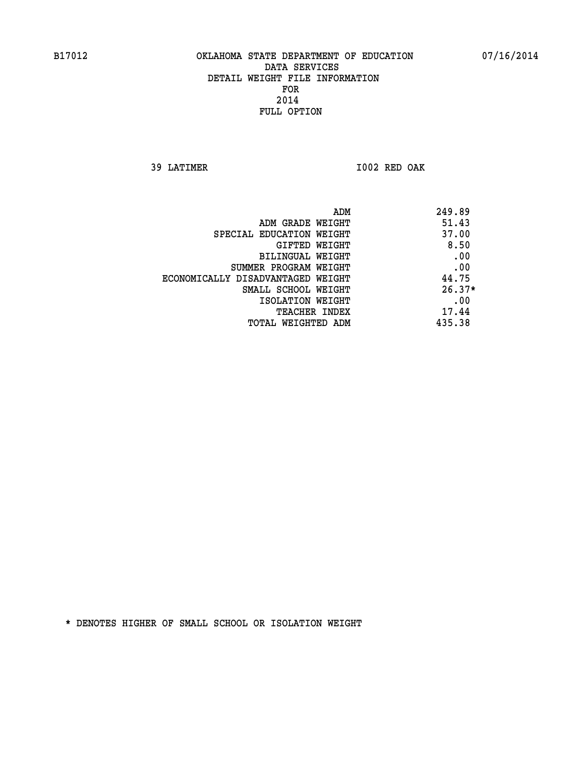**39 LATIMER I002 RED OAK** 

| 249.89<br>ADM                              |          |
|--------------------------------------------|----------|
| 51.43<br>ADM GRADE WEIGHT                  |          |
| 37.00<br>SPECIAL EDUCATION WEIGHT          |          |
| GIFTED WEIGHT                              | 8.50     |
| BILINGUAL WEIGHT                           | .00      |
| SUMMER PROGRAM WEIGHT                      | .00      |
| 44.75<br>ECONOMICALLY DISADVANTAGED WEIGHT |          |
| SMALL SCHOOL WEIGHT                        | $26.37*$ |
| ISOLATION WEIGHT                           | .00      |
| 17.44<br>TEACHER INDEX                     |          |
| 435.38<br>TOTAL WEIGHTED ADM               |          |
|                                            |          |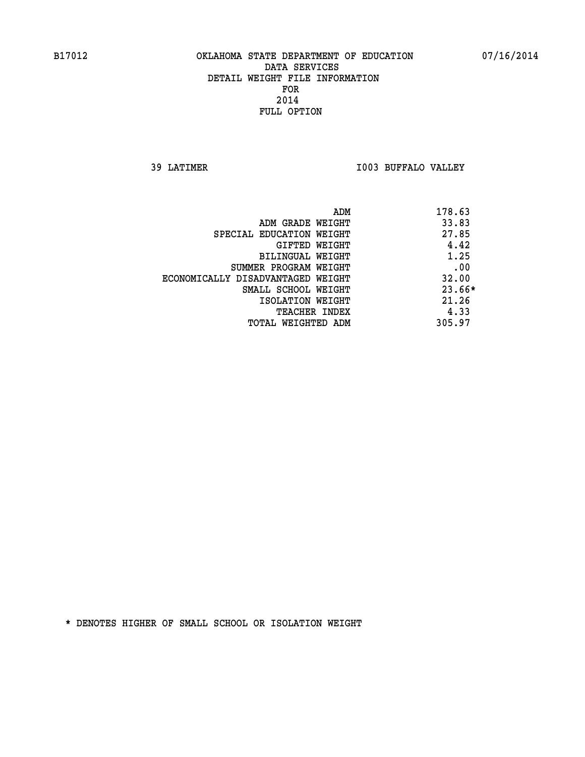**39 LATIMER I003 BUFFALO VALLEY** 

|                                   | ADM | 178.63 |
|-----------------------------------|-----|--------|
| ADM GRADE WEIGHT                  |     | 33.83  |
| SPECIAL EDUCATION WEIGHT          |     | 27.85  |
| GIFTED WEIGHT                     |     | 4.42   |
| BILINGUAL WEIGHT                  |     | 1.25   |
| SUMMER PROGRAM WEIGHT             |     | .00    |
| ECONOMICALLY DISADVANTAGED WEIGHT |     | 32.00  |
| SMALL SCHOOL WEIGHT               |     | 23.66* |
| ISOLATION WEIGHT                  |     | 21.26  |
| <b>TEACHER INDEX</b>              |     | 4.33   |
| TOTAL WEIGHTED ADM                |     | 305.97 |
|                                   |     |        |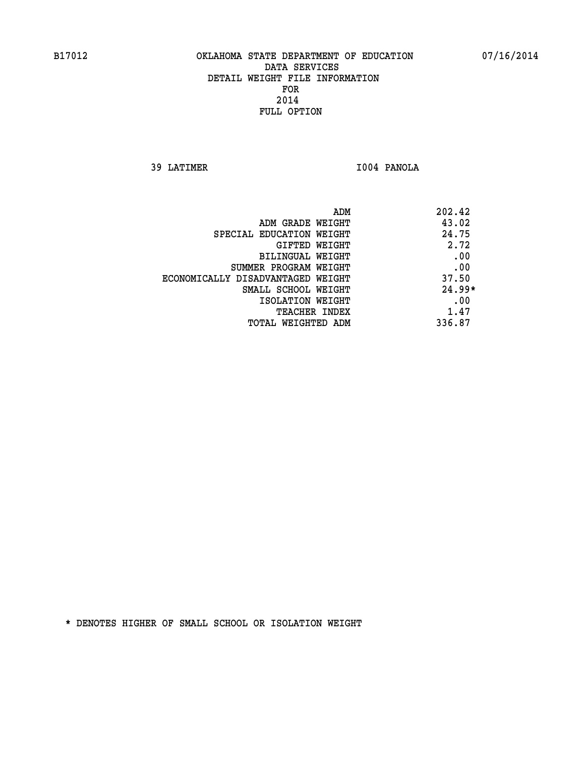**39 LATIMER I004 PANOLA** 

| ADM                               | 202.42   |
|-----------------------------------|----------|
| ADM GRADE WEIGHT                  | 43.02    |
| SPECIAL EDUCATION WEIGHT          | 24.75    |
| GIFTED WEIGHT                     | 2.72     |
| BILINGUAL WEIGHT                  | .00      |
| SUMMER PROGRAM WEIGHT             | .00      |
| ECONOMICALLY DISADVANTAGED WEIGHT | 37.50    |
| SMALL SCHOOL WEIGHT               | $24.99*$ |
| ISOLATION WEIGHT                  | .00      |
| <b>TEACHER INDEX</b>              | 1.47     |
| TOTAL WEIGHTED ADM                | 336.87   |
|                                   |          |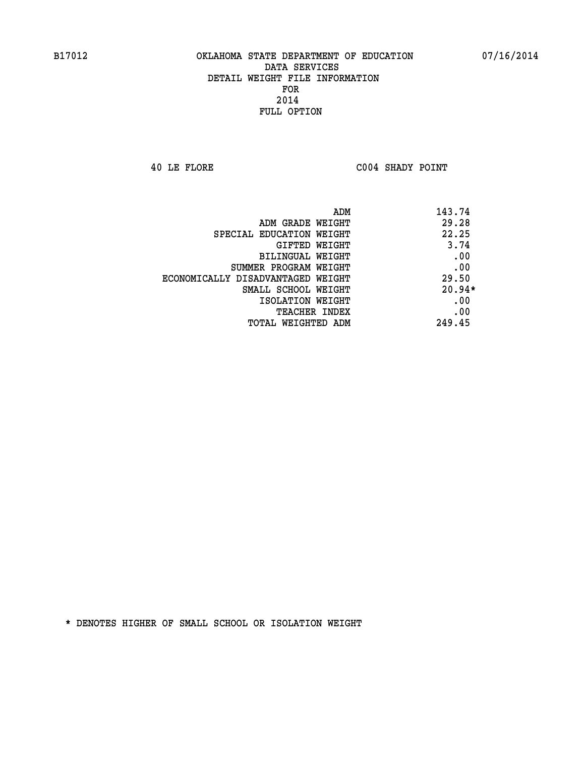**40 LE FLORE C004 SHADY POINT** 

| ADM                               | 143.74   |
|-----------------------------------|----------|
| ADM GRADE WEIGHT                  | 29.28    |
| SPECIAL EDUCATION WEIGHT          | 22.25    |
| <b>GIFTED WEIGHT</b>              | 3.74     |
| BILINGUAL WEIGHT                  | .00      |
| SUMMER PROGRAM WEIGHT             | .00      |
| ECONOMICALLY DISADVANTAGED WEIGHT | 29.50    |
| SMALL SCHOOL WEIGHT               | $20.94*$ |
| ISOLATION WEIGHT                  | .00      |
| <b>TEACHER INDEX</b>              | .00      |
| TOTAL WEIGHTED ADM                | 249.45   |
|                                   |          |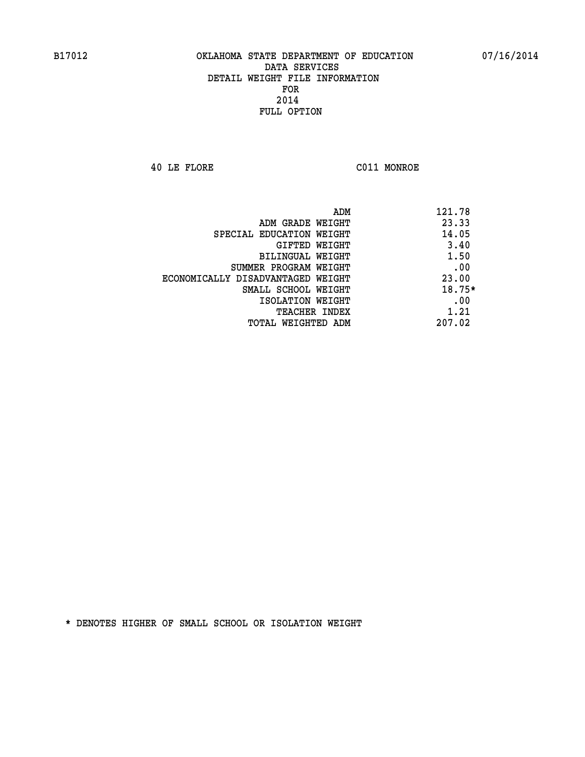**40 LE FLORE C011 MONROE** 

|                                   | 121.78<br>ADM |
|-----------------------------------|---------------|
| ADM GRADE WEIGHT                  | 23.33         |
| SPECIAL EDUCATION WEIGHT          | 14.05         |
| GIFTED WEIGHT                     | 3.40          |
| BILINGUAL WEIGHT                  | 1.50          |
| SUMMER PROGRAM WEIGHT             | .00           |
| ECONOMICALLY DISADVANTAGED WEIGHT | 23.00         |
| SMALL SCHOOL WEIGHT               | 18.75*        |
| ISOLATION WEIGHT                  | .00           |
| TEACHER INDEX                     | 1.21          |
| TOTAL WEIGHTED ADM                | 207.02        |
|                                   |               |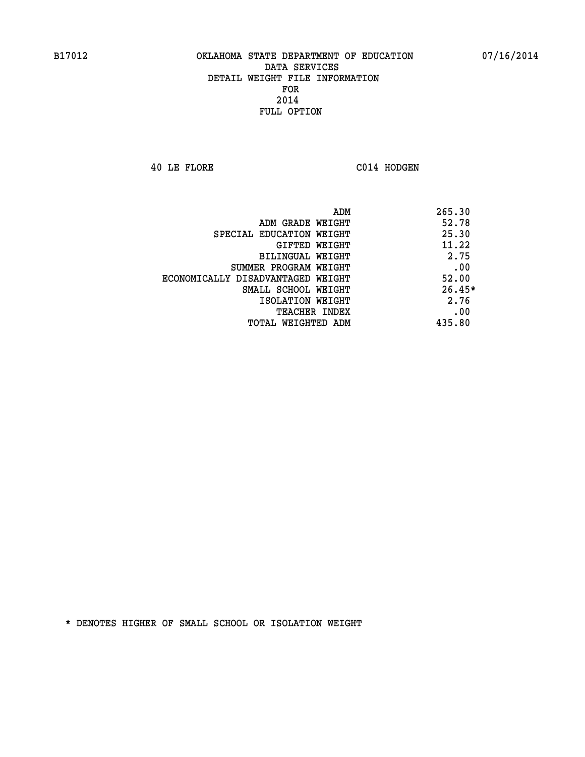**40 LE FLORE C014 HODGEN** 

| ADM                               | 265.30   |
|-----------------------------------|----------|
| ADM GRADE WEIGHT                  | 52.78    |
| SPECIAL EDUCATION WEIGHT          | 25.30    |
| <b>GIFTED WEIGHT</b>              | 11.22    |
| BILINGUAL WEIGHT                  | 2.75     |
| SUMMER PROGRAM WEIGHT             | .00      |
| ECONOMICALLY DISADVANTAGED WEIGHT | 52.00    |
| SMALL SCHOOL WEIGHT               | $26.45*$ |
| ISOLATION WEIGHT                  | 2.76     |
| <b>TEACHER INDEX</b>              | .00      |
| TOTAL WEIGHTED ADM                | 435.80   |
|                                   |          |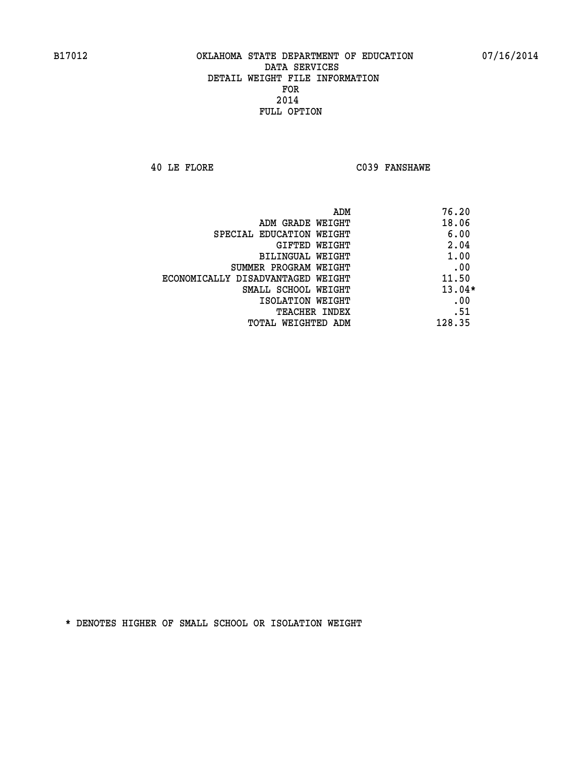**40 LE FLORE C039 FANSHAWE** 

| ADM                               | 76.20    |
|-----------------------------------|----------|
| ADM GRADE WEIGHT                  | 18.06    |
| SPECIAL EDUCATION WEIGHT          | 6.00     |
| GIFTED WEIGHT                     | 2.04     |
| <b>BILINGUAL WEIGHT</b>           | 1.00     |
| SUMMER PROGRAM WEIGHT             | .00      |
| ECONOMICALLY DISADVANTAGED WEIGHT | 11.50    |
| SMALL SCHOOL WEIGHT               | $13.04*$ |
| ISOLATION WEIGHT                  | .00      |
| <b>TEACHER INDEX</b>              | .51      |
| TOTAL WEIGHTED ADM                | 128.35   |
|                                   |          |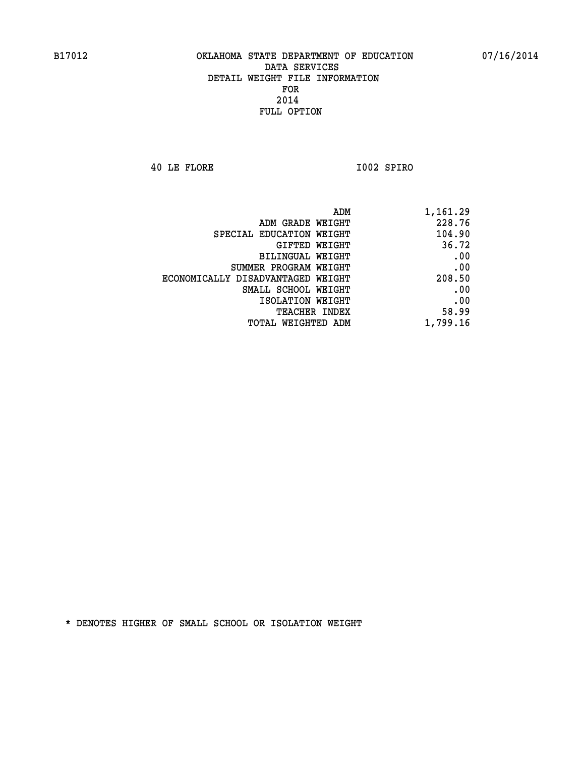**40 LE FLORE I002 SPIRO** 

| 228.76<br>ADM GRADE WEIGHT<br>104.90<br>SPECIAL EDUCATION WEIGHT<br>36.72<br>GIFTED WEIGHT<br>.00<br><b>BILINGUAL WEIGHT</b><br>.00<br>SUMMER PROGRAM WEIGHT<br>208.50<br>ECONOMICALLY DISADVANTAGED WEIGHT<br>.00<br>SMALL SCHOOL WEIGHT<br>.00<br>ISOLATION WEIGHT<br>58.99<br>TEACHER INDEX<br>1,799.16<br>TOTAL WEIGHTED ADM | ADM | 1,161.29 |
|----------------------------------------------------------------------------------------------------------------------------------------------------------------------------------------------------------------------------------------------------------------------------------------------------------------------------------|-----|----------|
|                                                                                                                                                                                                                                                                                                                                  |     |          |
|                                                                                                                                                                                                                                                                                                                                  |     |          |
|                                                                                                                                                                                                                                                                                                                                  |     |          |
|                                                                                                                                                                                                                                                                                                                                  |     |          |
|                                                                                                                                                                                                                                                                                                                                  |     |          |
|                                                                                                                                                                                                                                                                                                                                  |     |          |
|                                                                                                                                                                                                                                                                                                                                  |     |          |
|                                                                                                                                                                                                                                                                                                                                  |     |          |
|                                                                                                                                                                                                                                                                                                                                  |     |          |
|                                                                                                                                                                                                                                                                                                                                  |     |          |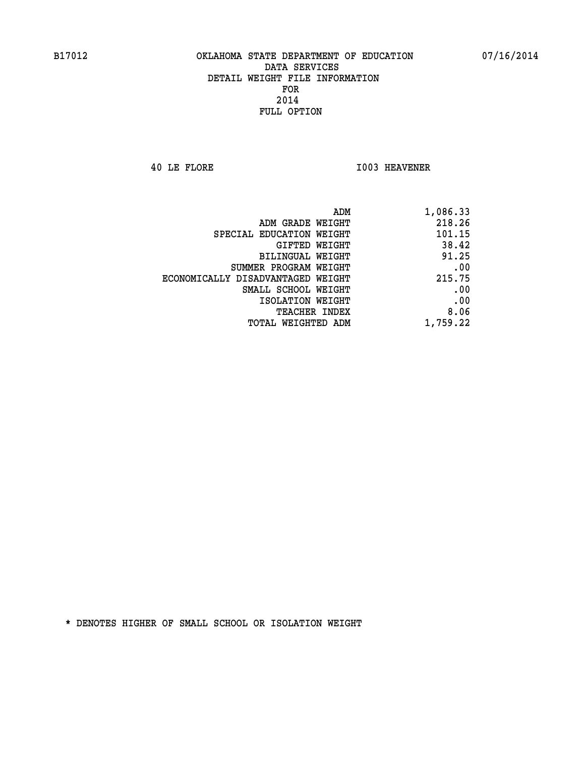**40 LE FLORE I003 HEAVENER** 

| 1,086.33 |
|----------|
| 218.26   |
| 101.15   |
| 38.42    |
| 91.25    |
| .00      |
| 215.75   |
| .00      |
| .00      |
| 8.06     |
| 1,759.22 |
|          |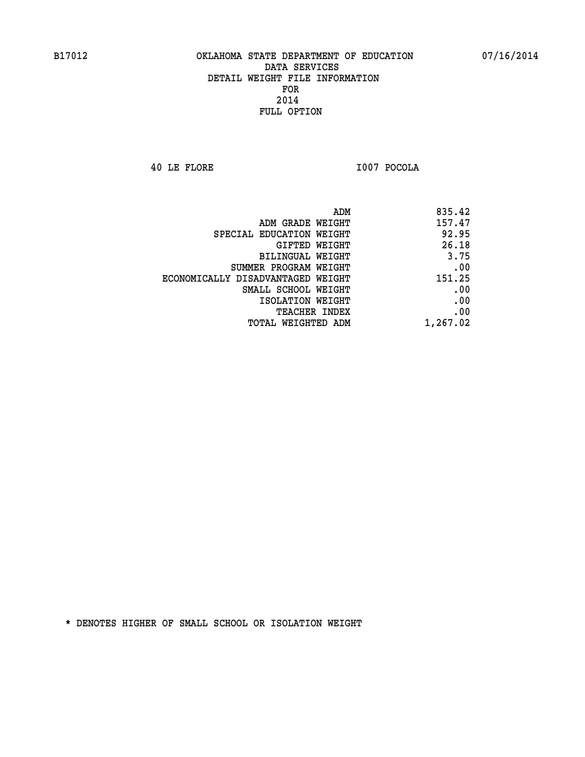**40 LE FLORE I007 POCOLA** 

| ADM                               | 835.42   |
|-----------------------------------|----------|
| ADM GRADE WEIGHT                  | 157.47   |
| SPECIAL EDUCATION WEIGHT          | 92.95    |
| GIFTED WEIGHT                     | 26.18    |
| <b>BILINGUAL WEIGHT</b>           | 3.75     |
| SUMMER PROGRAM WEIGHT             | .00      |
| ECONOMICALLY DISADVANTAGED WEIGHT | 151.25   |
| SMALL SCHOOL WEIGHT               | .00      |
| ISOLATION WEIGHT                  | .00      |
| TEACHER INDEX                     | .00      |
| TOTAL WEIGHTED ADM                | 1,267.02 |
|                                   |          |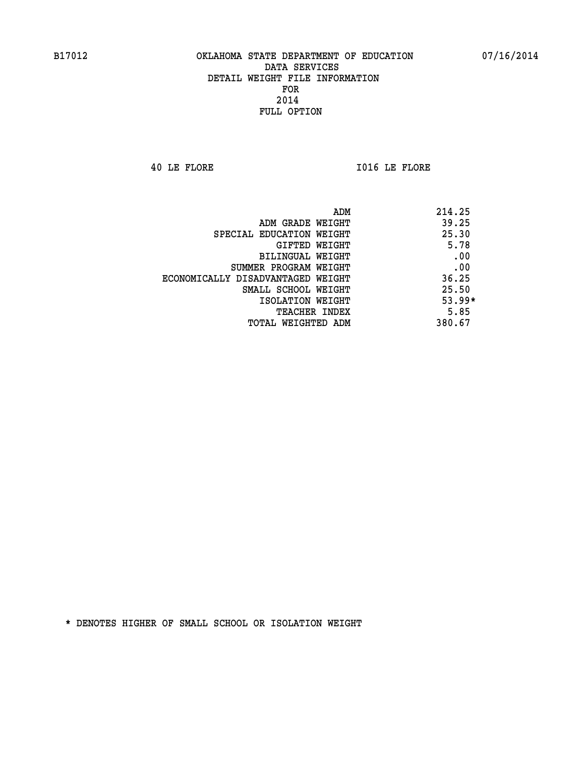**40 LE FLORE I016 LE FLORE** 

| ADM                               | 214.25   |
|-----------------------------------|----------|
| ADM GRADE WEIGHT                  | 39.25    |
| SPECIAL EDUCATION WEIGHT          | 25.30    |
| GIFTED WEIGHT                     | 5.78     |
| BILINGUAL WEIGHT                  | .00      |
| SUMMER PROGRAM WEIGHT             | .00      |
| ECONOMICALLY DISADVANTAGED WEIGHT | 36.25    |
| SMALL SCHOOL WEIGHT               | 25.50    |
| ISOLATION WEIGHT                  | $53.99*$ |
| <b>TEACHER INDEX</b>              | 5.85     |
| TOTAL WEIGHTED ADM                | 380.67   |
|                                   |          |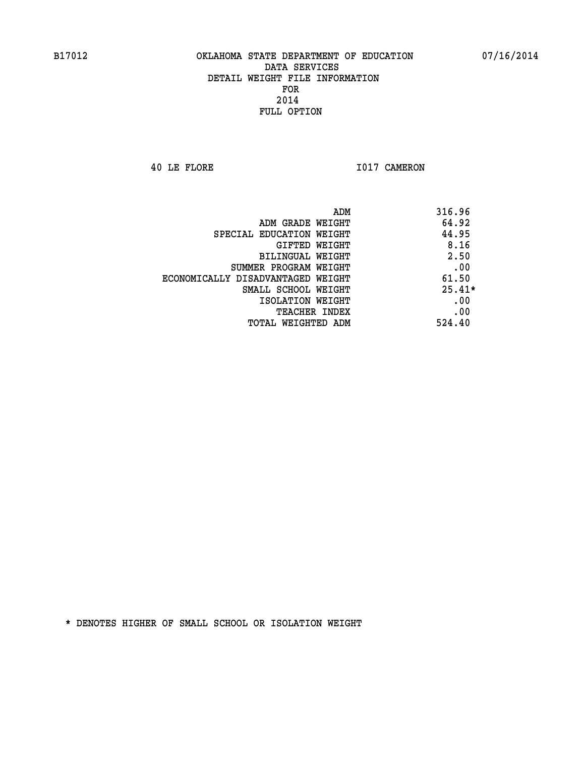**40 LE FLORE 1017 CAMERON** 

|                                   | ADM<br>316.96 |
|-----------------------------------|---------------|
| ADM GRADE WEIGHT                  | 64.92         |
| SPECIAL EDUCATION WEIGHT          | 44.95         |
| GIFTED WEIGHT                     | 8.16          |
| BILINGUAL WEIGHT                  | 2.50          |
| SUMMER PROGRAM WEIGHT             | .00           |
| ECONOMICALLY DISADVANTAGED WEIGHT | 61.50         |
| SMALL SCHOOL WEIGHT               | $25.41*$      |
| ISOLATION WEIGHT                  | .00           |
| <b>TEACHER INDEX</b>              | .00           |
| TOTAL WEIGHTED ADM                | 524.40        |
|                                   |               |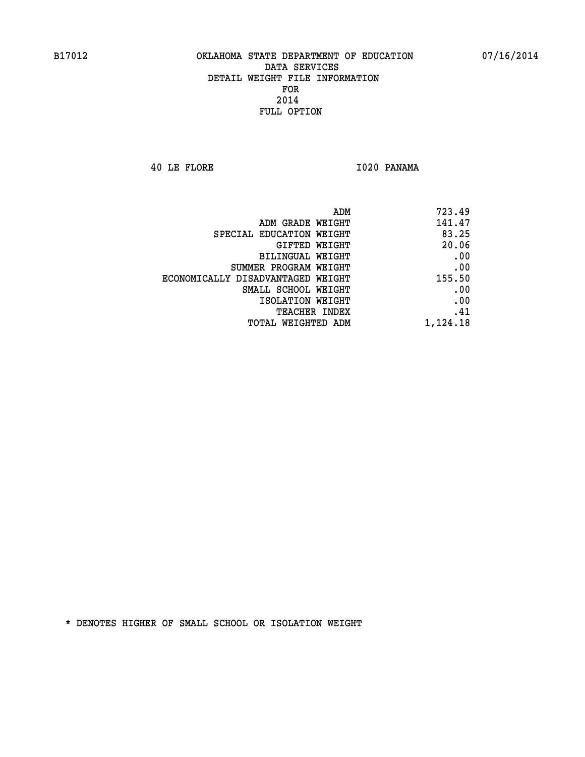**40 LE FLORE I020 PANAMA** 

|                                   | ADM<br>723.49 |
|-----------------------------------|---------------|
| ADM GRADE WEIGHT                  | 141.47        |
| SPECIAL EDUCATION WEIGHT          | 83.25         |
| <b>GIFTED WEIGHT</b>              | 20.06         |
| <b>BILINGUAL WEIGHT</b>           | .00           |
| SUMMER PROGRAM WEIGHT             | .00           |
| ECONOMICALLY DISADVANTAGED WEIGHT | 155.50        |
| SMALL SCHOOL WEIGHT               | .00           |
| ISOLATION WEIGHT                  | .00           |
| TEACHER INDEX                     | .41           |
| TOTAL WEIGHTED ADM                | 1,124.18      |
|                                   |               |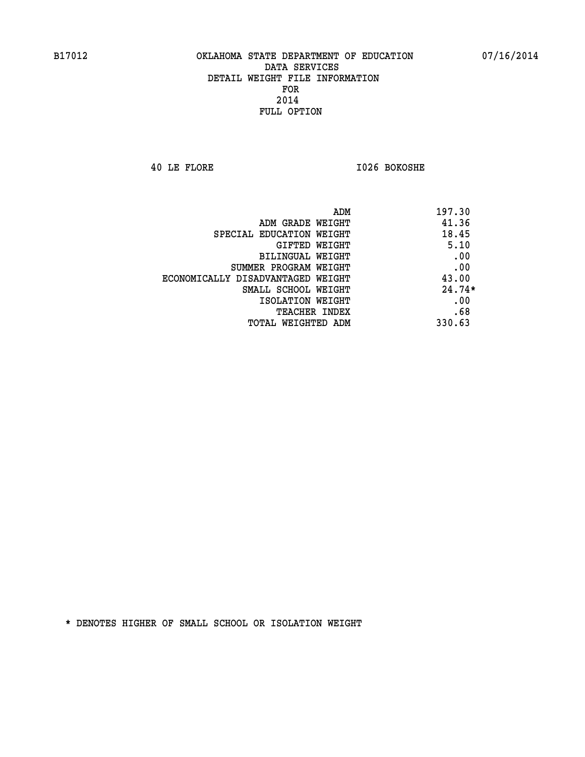**40 LE FLORE I026 BOKOSHE** 

| 197.30   | ADM                               |
|----------|-----------------------------------|
| 41.36    | ADM GRADE WEIGHT                  |
| 18.45    | SPECIAL EDUCATION WEIGHT          |
| 5.10     | <b>GIFTED WEIGHT</b>              |
| .00      | <b>BILINGUAL WEIGHT</b>           |
| .00      | SUMMER PROGRAM WEIGHT             |
| 43.00    | ECONOMICALLY DISADVANTAGED WEIGHT |
| $24.74*$ | SMALL SCHOOL WEIGHT               |
| .00      | ISOLATION WEIGHT                  |
| .68      | <b>TEACHER INDEX</b>              |
| 330.63   | TOTAL WEIGHTED ADM                |
|          |                                   |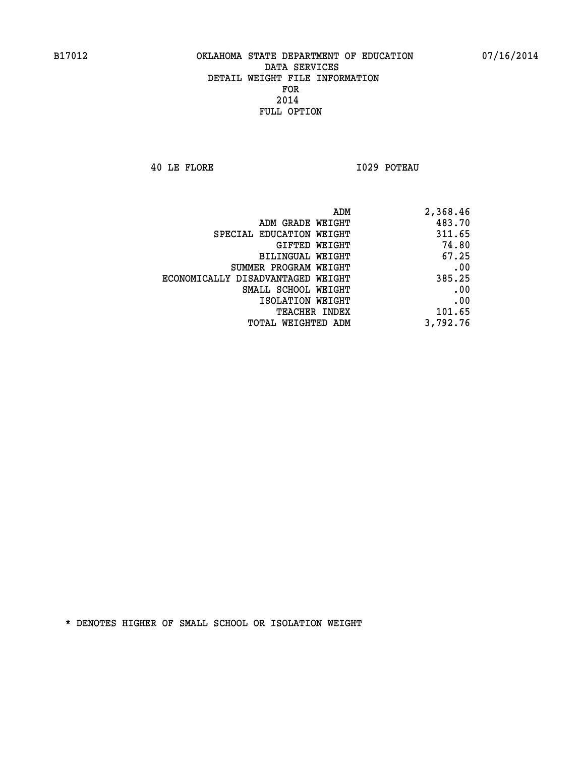**40 LE FLORE I029 POTEAU** 

| 2,368.46 |
|----------|
| 483.70   |
| 311.65   |
| 74.80    |
| 67.25    |
| .00      |
| 385.25   |
| .00      |
| .00      |
| 101.65   |
| 3,792.76 |
|          |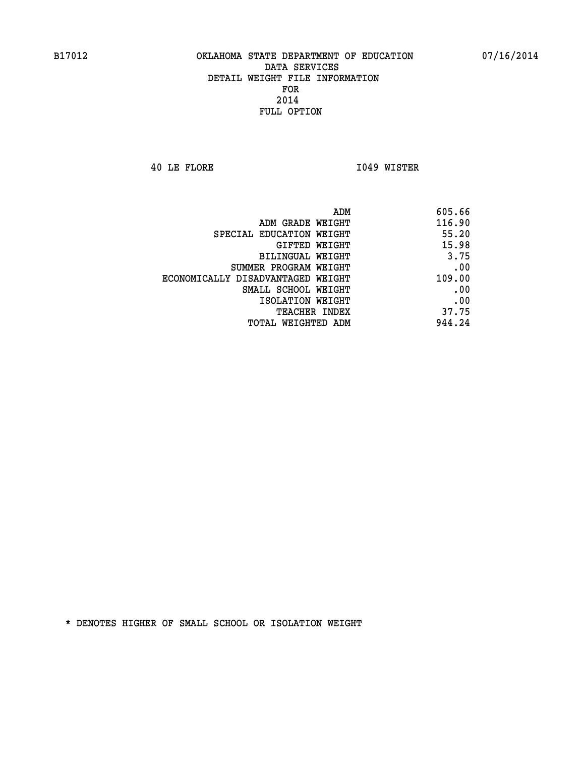**40 LE FLORE I049 WISTER** 

|                                   | ADM<br>605.66 |
|-----------------------------------|---------------|
| ADM GRADE WEIGHT                  | 116.90        |
| SPECIAL EDUCATION WEIGHT          | 55.20         |
| GIFTED WEIGHT                     | 15.98         |
| <b>BILINGUAL WEIGHT</b>           | 3.75          |
| SUMMER PROGRAM WEIGHT             | .00           |
| ECONOMICALLY DISADVANTAGED WEIGHT | 109.00        |
| SMALL SCHOOL WEIGHT               | .00           |
| ISOLATION WEIGHT                  | .00           |
| TEACHER INDEX                     | 37.75         |
| TOTAL WEIGHTED ADM                | 944.24        |
|                                   |               |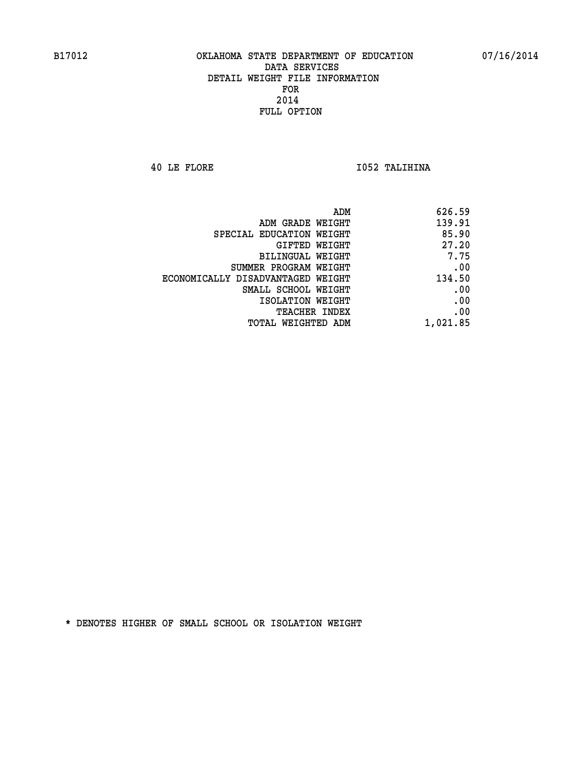**40 LE FLORE I052 TALIHINA** 

| ADM                               | 626.59   |
|-----------------------------------|----------|
| ADM GRADE WEIGHT                  | 139.91   |
| SPECIAL EDUCATION WEIGHT          | 85.90    |
| GIFTED WEIGHT                     | 27.20    |
| BILINGUAL WEIGHT                  | 7.75     |
| SUMMER PROGRAM WEIGHT             | .00      |
| ECONOMICALLY DISADVANTAGED WEIGHT | 134.50   |
| SMALL SCHOOL WEIGHT               | .00      |
| ISOLATION WEIGHT                  | .00      |
| TEACHER INDEX                     | .00      |
| TOTAL WEIGHTED ADM                | 1,021.85 |
|                                   |          |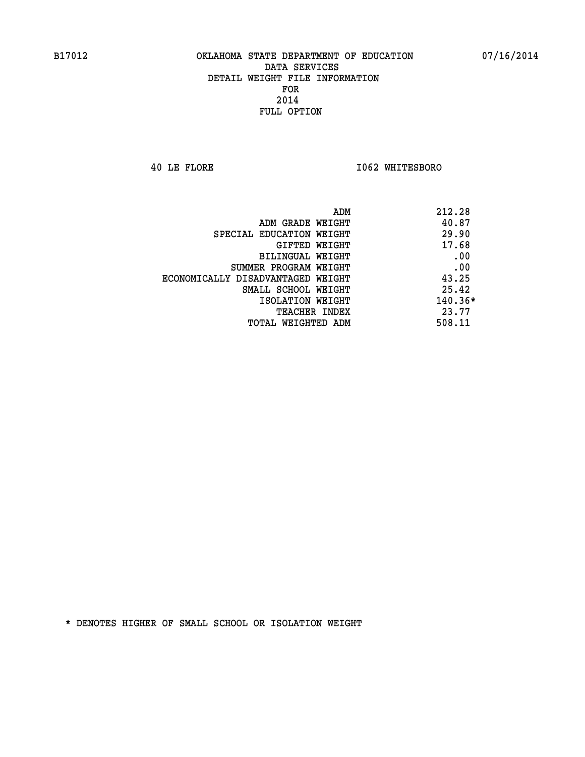**40 LE FLORE I062 WHITESBORO** 

| ADM                               | 212.28    |
|-----------------------------------|-----------|
| ADM GRADE WEIGHT                  | 40.87     |
| SPECIAL EDUCATION WEIGHT          | 29.90     |
| GIFTED WEIGHT                     | 17.68     |
| <b>BILINGUAL WEIGHT</b>           | .00       |
| SUMMER PROGRAM WEIGHT             | .00       |
| ECONOMICALLY DISADVANTAGED WEIGHT | 43.25     |
| SMALL SCHOOL WEIGHT               | 25.42     |
| ISOLATION WEIGHT                  | $140.36*$ |
| <b>TEACHER INDEX</b>              | 23.77     |
| TOTAL WEIGHTED ADM                | 508.11    |
|                                   |           |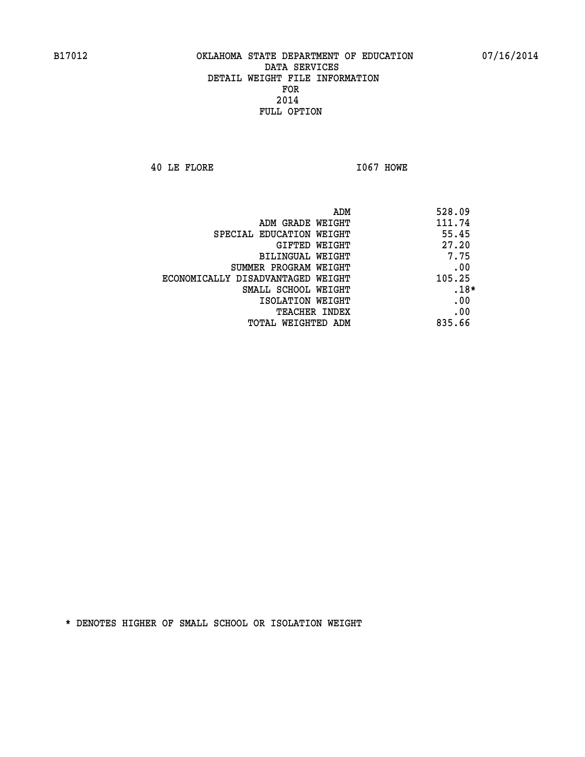**40 LE FLORE I067 HOWE** 

| 528.09 | ADM                               |
|--------|-----------------------------------|
| 111.74 | ADM GRADE WEIGHT                  |
| 55.45  | SPECIAL EDUCATION WEIGHT          |
| 27.20  | <b>GIFTED WEIGHT</b>              |
| 7.75   | BILINGUAL WEIGHT                  |
| .00    | SUMMER PROGRAM WEIGHT             |
| 105.25 | ECONOMICALLY DISADVANTAGED WEIGHT |
| $.18*$ | SMALL SCHOOL WEIGHT               |
| .00    | ISOLATION WEIGHT                  |
| .00    | <b>TEACHER INDEX</b>              |
| 835.66 | TOTAL WEIGHTED ADM                |
|        |                                   |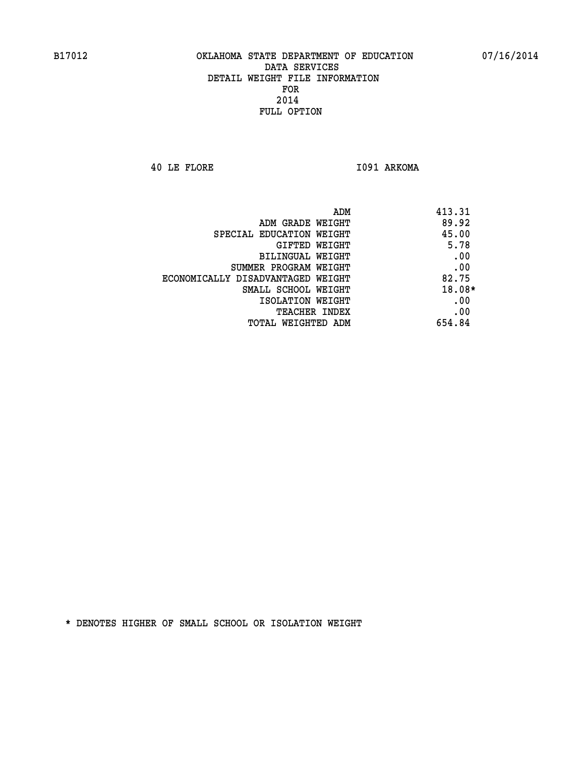**40 LE FLORE I091 ARKOMA** 

| ADM<br>413.31                              |  |
|--------------------------------------------|--|
| 89.92<br>ADM GRADE WEIGHT                  |  |
| 45.00<br>SPECIAL EDUCATION WEIGHT          |  |
| 5.78<br><b>GIFTED WEIGHT</b>               |  |
| .00<br>BILINGUAL WEIGHT                    |  |
| .00<br>SUMMER PROGRAM WEIGHT               |  |
| 82.75<br>ECONOMICALLY DISADVANTAGED WEIGHT |  |
| 18.08*<br>SMALL SCHOOL WEIGHT              |  |
| .00<br>ISOLATION WEIGHT                    |  |
| .00<br><b>TEACHER INDEX</b>                |  |
| 654.84<br>TOTAL WEIGHTED ADM               |  |
|                                            |  |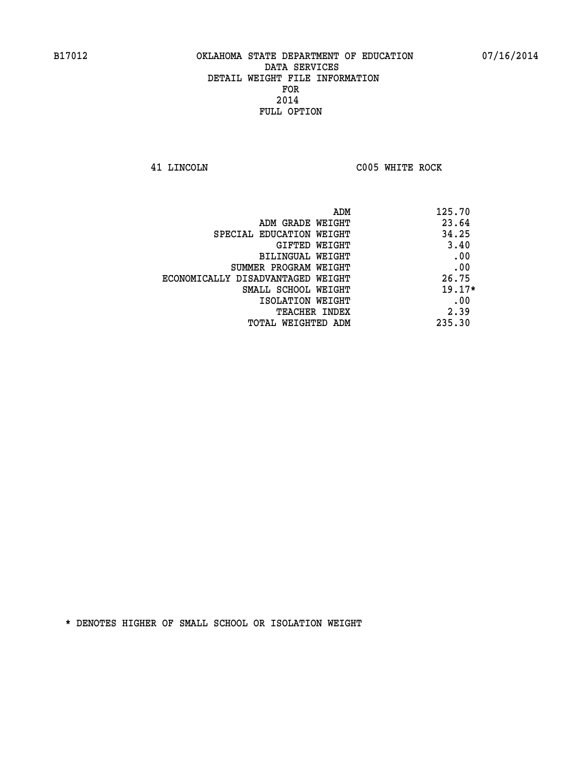**41 LINCOLN C005 WHITE ROCK** 

| 125.70   | ADM                               |
|----------|-----------------------------------|
| 23.64    | ADM GRADE WEIGHT                  |
| 34.25    | SPECIAL EDUCATION WEIGHT          |
| 3.40     | <b>GIFTED WEIGHT</b>              |
| .00      | BILINGUAL WEIGHT                  |
| .00      | SUMMER PROGRAM WEIGHT             |
| 26.75    | ECONOMICALLY DISADVANTAGED WEIGHT |
| $19.17*$ | SMALL SCHOOL WEIGHT               |
| .00      | ISOLATION WEIGHT                  |
| 2.39     | <b>TEACHER INDEX</b>              |
| 235.30   | TOTAL WEIGHTED ADM                |
|          |                                   |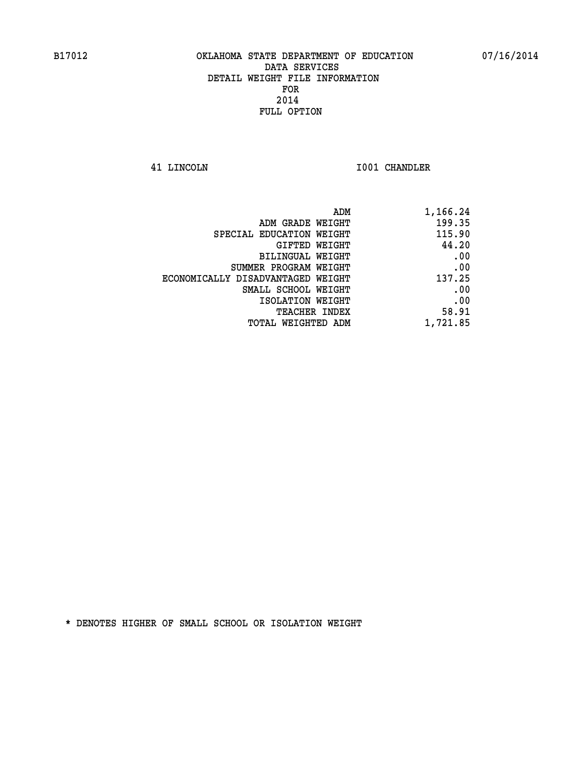**41 LINCOLN I001 CHANDLER** 

| 1,166.24 |
|----------|
| 199.35   |
| 115.90   |
| 44.20    |
| .00      |
| .00      |
| 137.25   |
| .00      |
| .00      |
| 58.91    |
| 1,721.85 |
|          |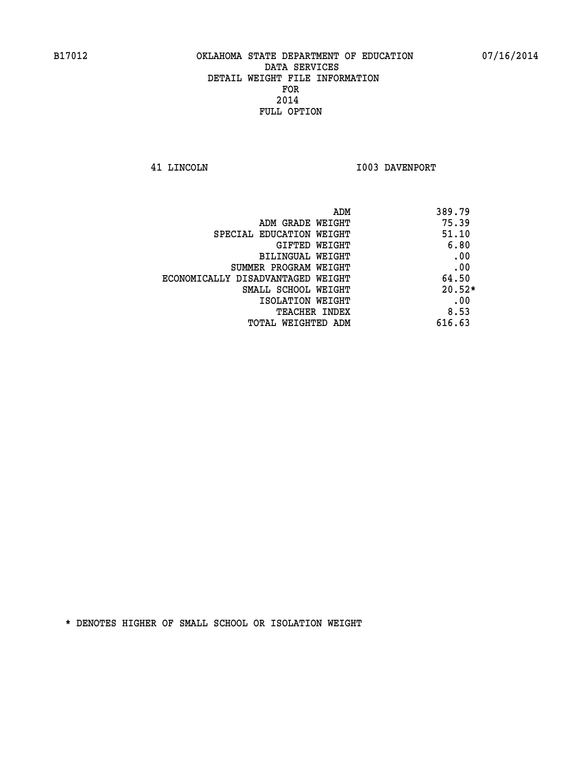**41 LINCOLN I003 DAVENPORT** 

| 389.79<br>ADM                              |  |
|--------------------------------------------|--|
| 75.39<br>ADM GRADE WEIGHT                  |  |
| 51.10<br>SPECIAL EDUCATION WEIGHT          |  |
| 6.80<br>GIFTED WEIGHT                      |  |
| .00<br>BILINGUAL WEIGHT                    |  |
| .00<br>SUMMER PROGRAM WEIGHT               |  |
| 64.50<br>ECONOMICALLY DISADVANTAGED WEIGHT |  |
| $20.52*$<br>SMALL SCHOOL WEIGHT            |  |
| .00<br>ISOLATION WEIGHT                    |  |
| 8.53<br><b>TEACHER INDEX</b>               |  |
| 616.63<br>TOTAL WEIGHTED ADM               |  |
|                                            |  |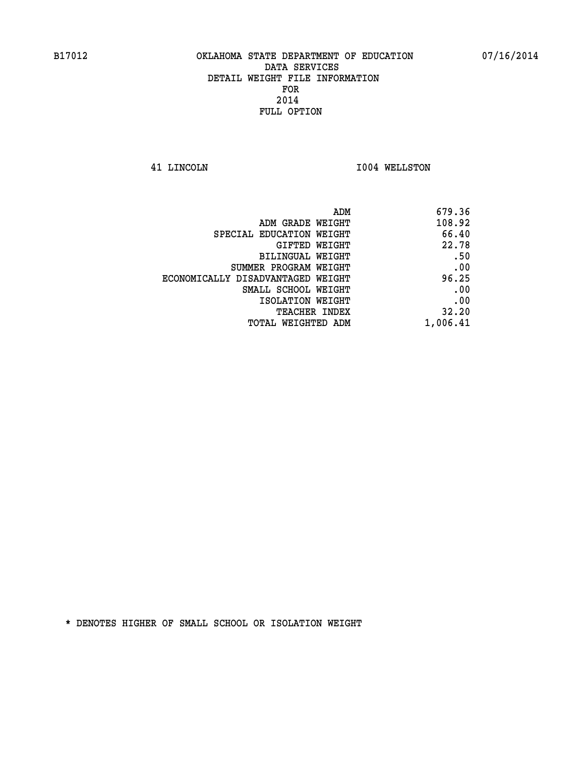**41 LINCOLN I004 WELLSTON** 

| 679.36   |
|----------|
| 108.92   |
| 66.40    |
| 22.78    |
| .50      |
| .00      |
| 96.25    |
| .00      |
| .00      |
| 32.20    |
| 1,006.41 |
|          |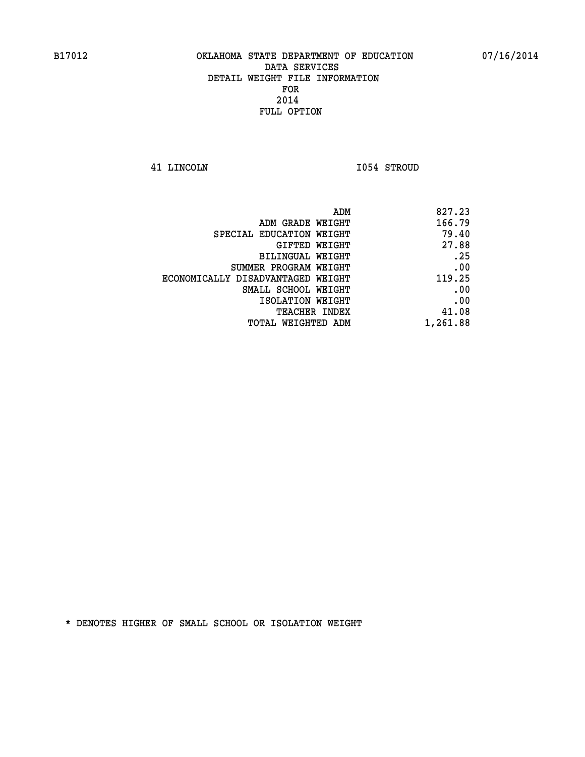**41 LINCOLN I054 STROUD** 

| 827.23   |
|----------|
| 166.79   |
| 79.40    |
| 27.88    |
| .25      |
| .00      |
| 119.25   |
| .00      |
| .00      |
| 41.08    |
| 1,261.88 |
|          |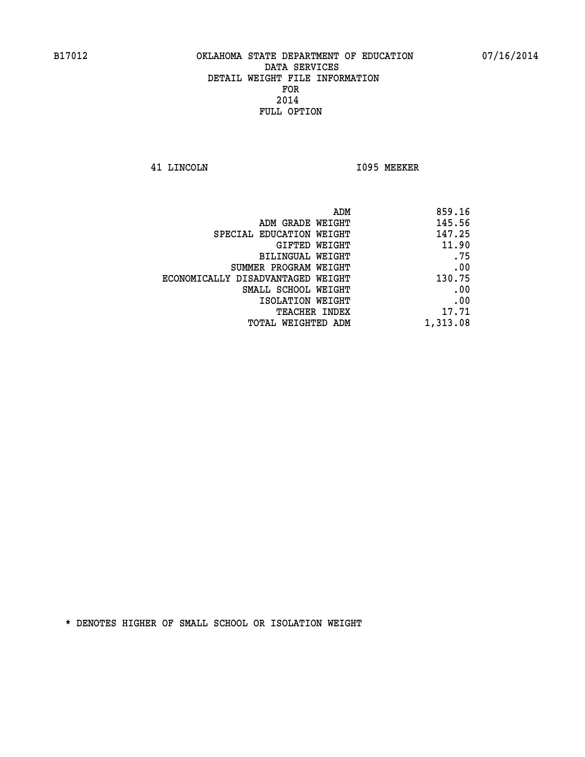**41 LINCOLN I095 MEEKER** 

| 859.16   |
|----------|
| 145.56   |
| 147.25   |
| 11.90    |
| .75      |
| .00      |
| 130.75   |
| .00      |
| .00      |
| 17.71    |
| 1,313.08 |
|          |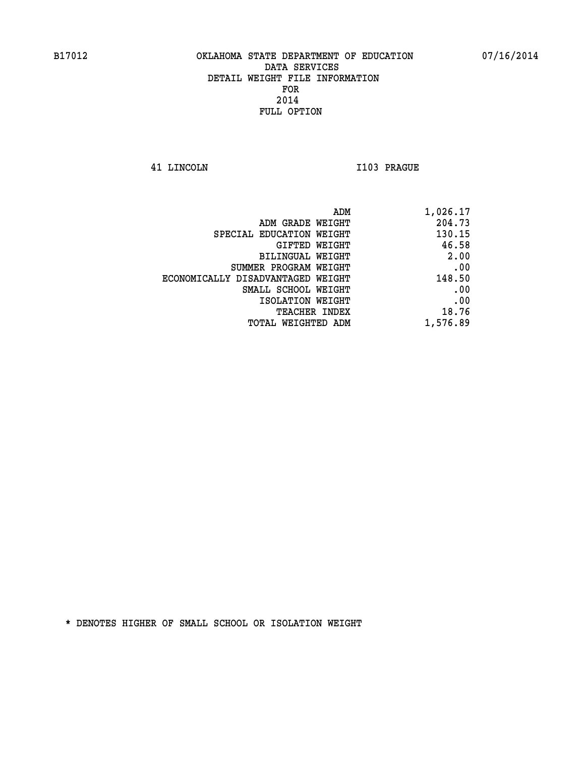**41 LINCOLN I103 PRAGUE** 

|                                   | ADM | 1,026.17 |
|-----------------------------------|-----|----------|
| ADM GRADE WEIGHT                  |     | 204.73   |
| SPECIAL EDUCATION WEIGHT          |     | 130.15   |
| GIFTED WEIGHT                     |     | 46.58    |
| <b>BILINGUAL WEIGHT</b>           |     | 2.00     |
| SUMMER PROGRAM WEIGHT             |     | .00      |
| ECONOMICALLY DISADVANTAGED WEIGHT |     | 148.50   |
| SMALL SCHOOL WEIGHT               |     | .00      |
| ISOLATION WEIGHT                  |     | .00      |
| TEACHER INDEX                     |     | 18.76    |
| TOTAL WEIGHTED ADM                |     | 1,576.89 |
|                                   |     |          |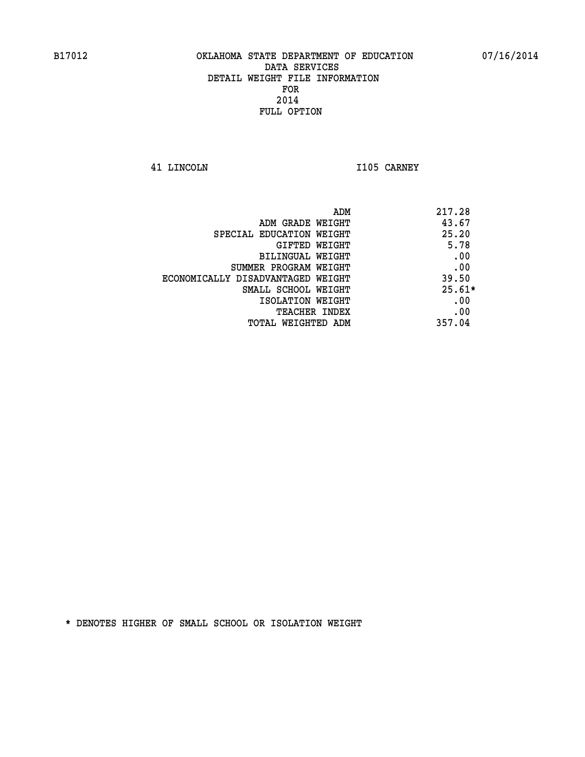**41 LINCOLN I105 CARNEY** 

| ADM                               | 217.28   |
|-----------------------------------|----------|
| ADM GRADE WEIGHT                  | 43.67    |
| SPECIAL EDUCATION WEIGHT          | 25.20    |
| GIFTED WEIGHT                     | 5.78     |
| BILINGUAL WEIGHT                  | .00      |
| SUMMER PROGRAM WEIGHT             | .00      |
| ECONOMICALLY DISADVANTAGED WEIGHT | 39.50    |
| SMALL SCHOOL WEIGHT               | $25.61*$ |
| ISOLATION WEIGHT                  | .00      |
| <b>TEACHER INDEX</b>              | .00      |
| TOTAL WEIGHTED ADM                | 357.04   |
|                                   |          |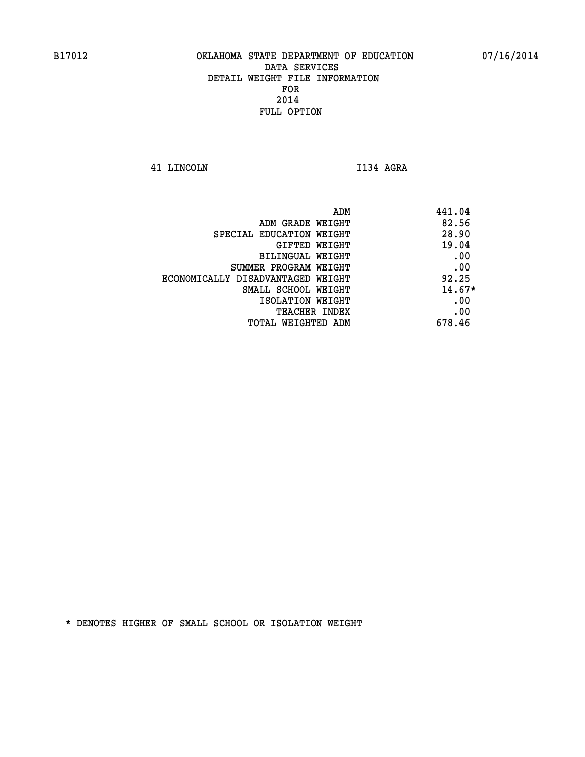**41 LINCOLN I134 AGRA** 

| ADM                               | 441.04   |
|-----------------------------------|----------|
| ADM GRADE WEIGHT                  | 82.56    |
| SPECIAL EDUCATION WEIGHT          | 28.90    |
| GIFTED WEIGHT                     | 19.04    |
| BILINGUAL WEIGHT                  | .00      |
| SUMMER PROGRAM WEIGHT             | .00      |
| ECONOMICALLY DISADVANTAGED WEIGHT | 92.25    |
| SMALL SCHOOL WEIGHT               | $14.67*$ |
| ISOLATION WEIGHT                  | .00      |
| <b>TEACHER INDEX</b>              | .00      |
| TOTAL WEIGHTED ADM                | 678.46   |
|                                   |          |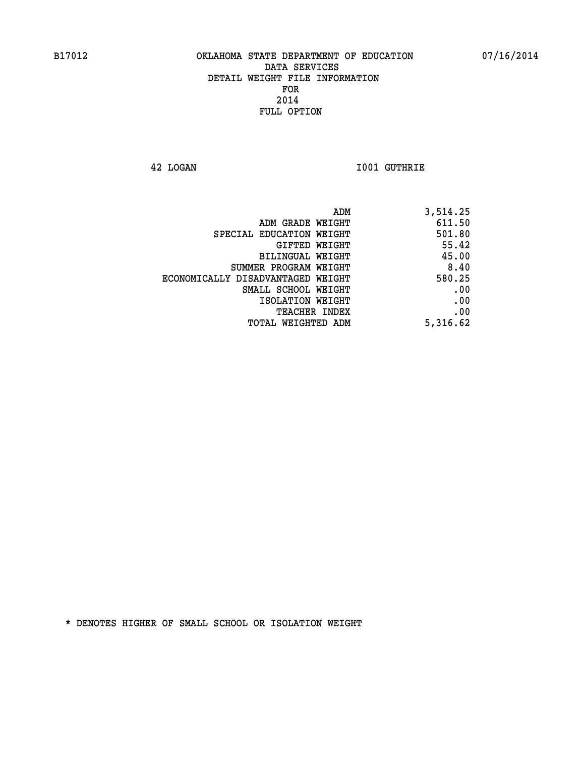**42 LOGAN I001 GUTHRIE** 

| 3,514.25 |
|----------|
| 611.50   |
| 501.80   |
| 55.42    |
| 45.00    |
| 8.40     |
| 580.25   |
| .00      |
| .00      |
| .00      |
| 5,316.62 |
|          |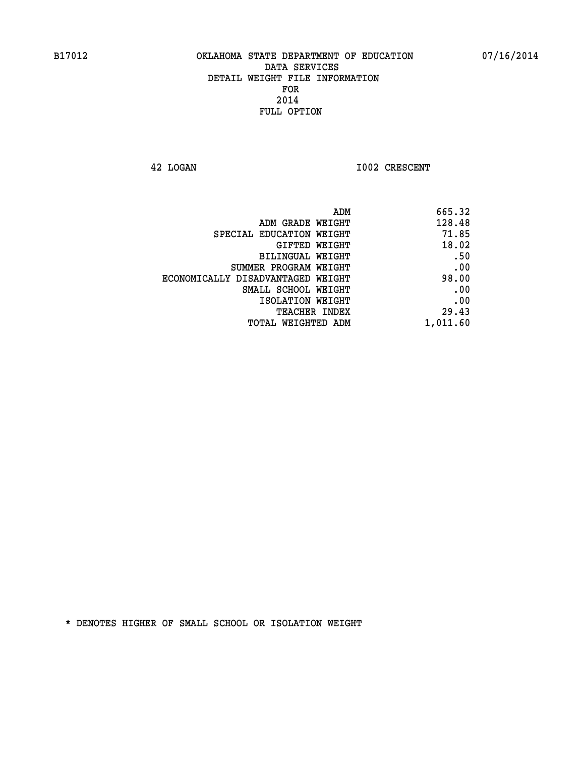**42 LOGAN 1002 CRESCENT** 

| 665.32   |
|----------|
| 128.48   |
| 71.85    |
| 18.02    |
| .50      |
| .00      |
| 98.00    |
| .00      |
| .00      |
| 29.43    |
| 1,011.60 |
|          |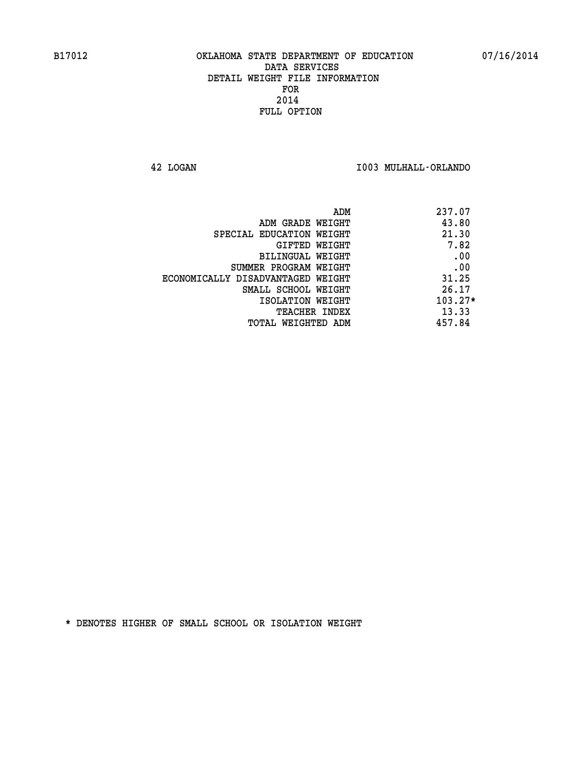**42 LOGAN I003 MULHALL-ORLANDO** 

| 237.07    | ADM                               |
|-----------|-----------------------------------|
| 43.80     | ADM GRADE WEIGHT                  |
| 21.30     | SPECIAL EDUCATION WEIGHT          |
| 7.82      | GIFTED WEIGHT                     |
| .00       | BILINGUAL WEIGHT                  |
| .00       | SUMMER PROGRAM WEIGHT             |
| 31.25     | ECONOMICALLY DISADVANTAGED WEIGHT |
| 26.17     | SMALL SCHOOL WEIGHT               |
| $103.27*$ | ISOLATION WEIGHT                  |
| 13.33     | <b>TEACHER INDEX</b>              |
| 457.84    | TOTAL WEIGHTED ADM                |
|           |                                   |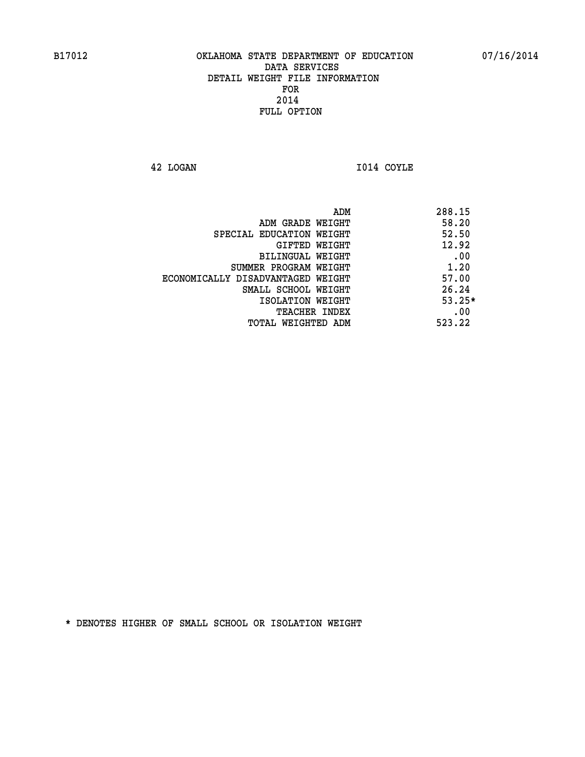**42 LOGAN I014 COYLE** 

| ADM                               | 288.15   |
|-----------------------------------|----------|
| ADM GRADE WEIGHT                  | 58.20    |
| SPECIAL EDUCATION WEIGHT          | 52.50    |
| GIFTED WEIGHT                     | 12.92    |
| BILINGUAL WEIGHT                  | .00      |
| SUMMER PROGRAM WEIGHT             | 1.20     |
| ECONOMICALLY DISADVANTAGED WEIGHT | 57.00    |
| SMALL SCHOOL WEIGHT               | 26.24    |
| ISOLATION WEIGHT                  | $53.25*$ |
| <b>TEACHER INDEX</b>              | .00      |
| TOTAL WEIGHTED ADM                | 523.22   |
|                                   |          |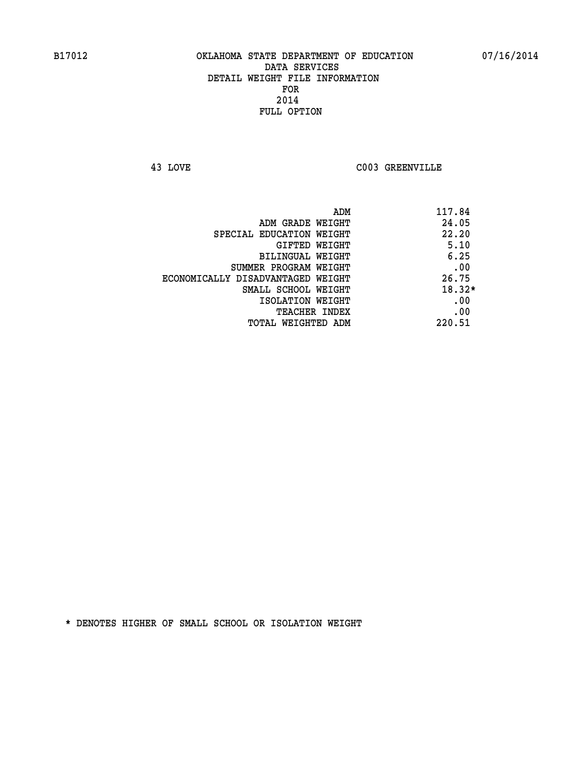**43 LOVE C003 GREENVILLE** 

| ADM                               | 117.84   |
|-----------------------------------|----------|
| ADM GRADE WEIGHT                  | 24.05    |
| SPECIAL EDUCATION WEIGHT          | 22.20    |
| GIFTED WEIGHT                     | 5.10     |
| BILINGUAL WEIGHT                  | 6.25     |
| SUMMER PROGRAM WEIGHT             | .00      |
| ECONOMICALLY DISADVANTAGED WEIGHT | 26.75    |
| SMALL SCHOOL WEIGHT               | $18.32*$ |
| ISOLATION WEIGHT                  | .00      |
| <b>TEACHER INDEX</b>              | .00      |
| TOTAL WEIGHTED ADM                | 220.51   |
|                                   |          |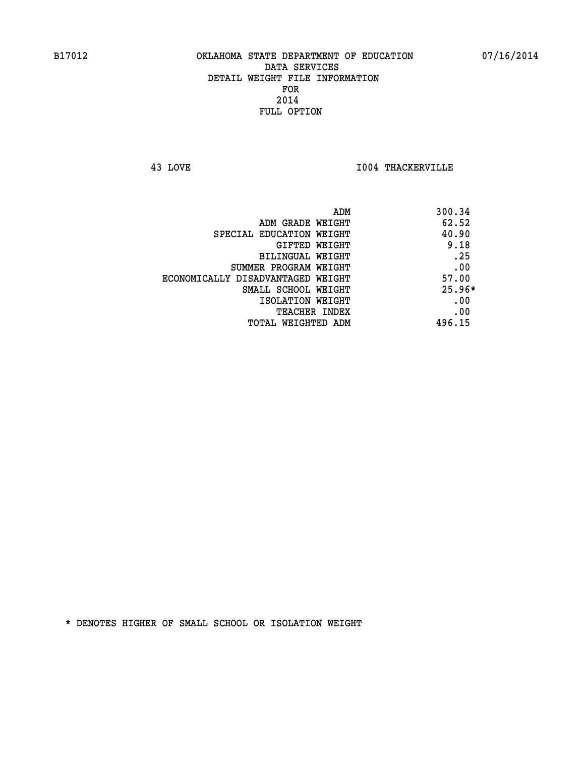**43 LOVE I004 THACKERVILLE** 

|                                   | 300.34<br>ADM |
|-----------------------------------|---------------|
| ADM GRADE WEIGHT                  | 62.52         |
| SPECIAL EDUCATION WEIGHT          | 40.90         |
| <b>GIFTED WEIGHT</b>              | 9.18          |
| BILINGUAL WEIGHT                  | .25           |
| SUMMER PROGRAM WEIGHT             | .00           |
| ECONOMICALLY DISADVANTAGED WEIGHT | 57.00         |
| SMALL SCHOOL WEIGHT               | $25.96*$      |
| ISOLATION WEIGHT                  | .00           |
| <b>TEACHER INDEX</b>              | .00           |
| TOTAL WEIGHTED ADM                | 496.15        |
|                                   |               |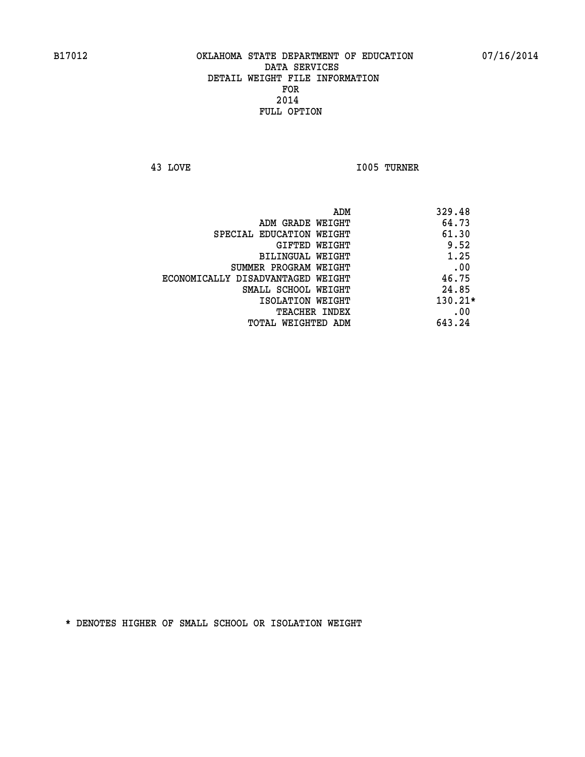**43 LOVE I005 TURNER** 

|                                   | ADM | 329.48    |
|-----------------------------------|-----|-----------|
| ADM GRADE WEIGHT                  |     | 64.73     |
| SPECIAL EDUCATION WEIGHT          |     | 61.30     |
| GIFTED WEIGHT                     |     | 9.52      |
| BILINGUAL WEIGHT                  |     | 1.25      |
| SUMMER PROGRAM WEIGHT             |     | .00       |
| ECONOMICALLY DISADVANTAGED WEIGHT |     | 46.75     |
| SMALL SCHOOL WEIGHT               |     | 24.85     |
| ISOLATION WEIGHT                  |     | $130.21*$ |
| TEACHER INDEX                     |     | .00       |
| TOTAL WEIGHTED ADM                |     | 643.24    |
|                                   |     |           |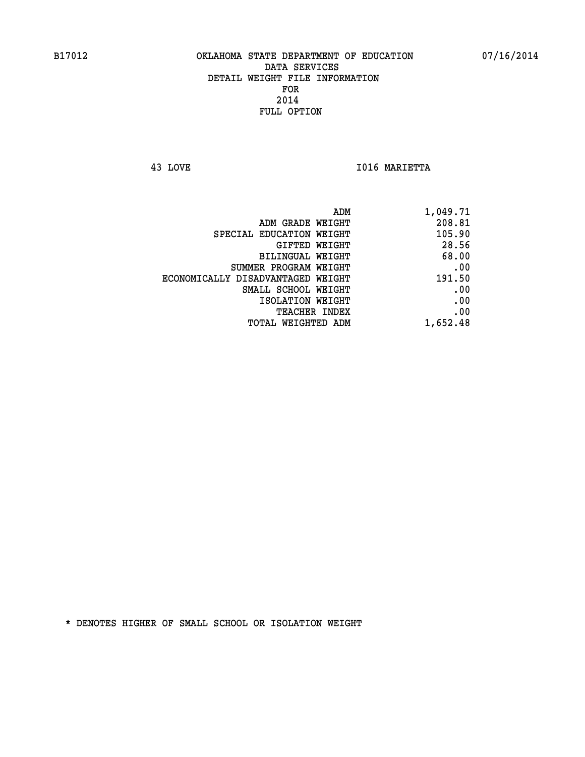**43 LOVE I016 MARIETTA** 

| 1,049.71 |
|----------|
| 208.81   |
| 105.90   |
| 28.56    |
| 68.00    |
| .00      |
| 191.50   |
| .00      |
| .00      |
| .00      |
| 1,652.48 |
|          |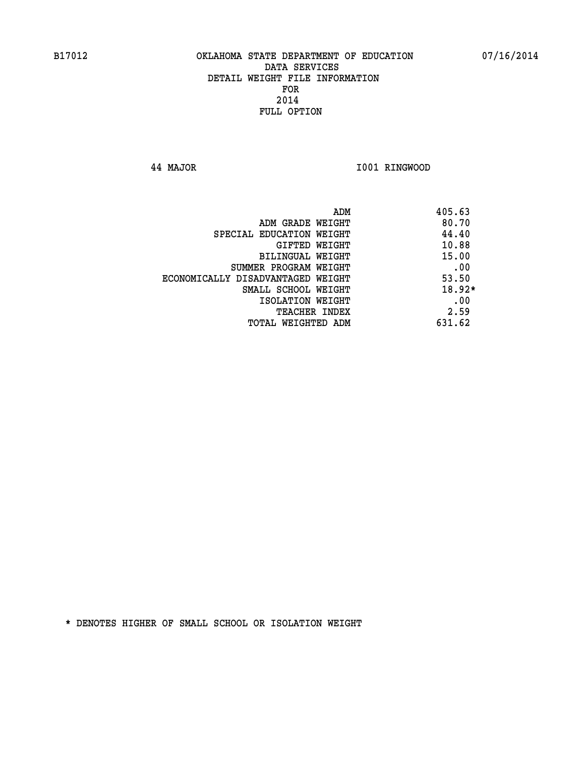**44 MAJOR I001 RINGWOOD** 

|                                   | ADM<br>405.63 |
|-----------------------------------|---------------|
| ADM GRADE WEIGHT                  | 80.70         |
| SPECIAL EDUCATION WEIGHT          | 44.40         |
| GIFTED WEIGHT                     | 10.88         |
| BILINGUAL WEIGHT                  | 15.00         |
| SUMMER PROGRAM WEIGHT             | .00           |
| ECONOMICALLY DISADVANTAGED WEIGHT | 53.50         |
| SMALL SCHOOL WEIGHT               | $18.92*$      |
| ISOLATION WEIGHT                  | .00           |
| <b>TEACHER INDEX</b>              | 2.59          |
| TOTAL WEIGHTED ADM                | 631.62        |
|                                   |               |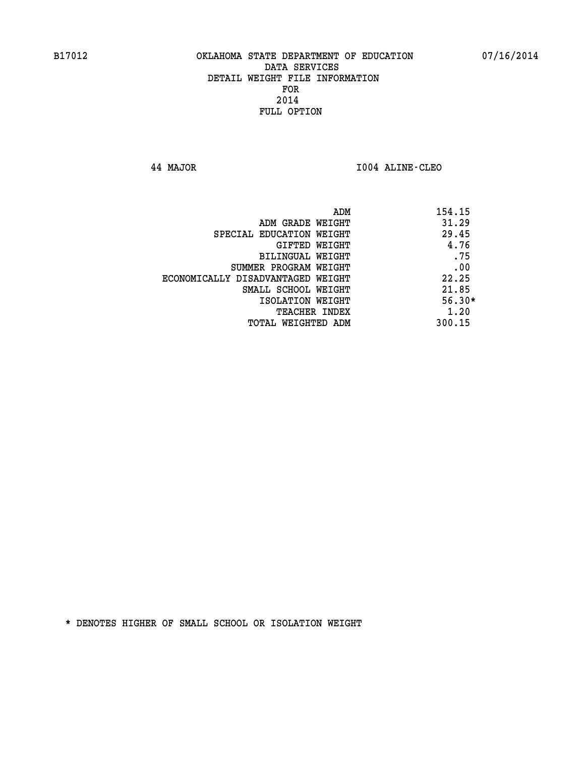**44 MAJOR I004 ALINE-CLEO** 

|                                   | 154.15<br>ADM |
|-----------------------------------|---------------|
| ADM GRADE WEIGHT                  | 31.29         |
| SPECIAL EDUCATION WEIGHT          | 29.45         |
| GIFTED WEIGHT                     | 4.76          |
| BILINGUAL WEIGHT                  | .75           |
| SUMMER PROGRAM WEIGHT             | .00           |
| ECONOMICALLY DISADVANTAGED WEIGHT | 22.25         |
| SMALL SCHOOL WEIGHT               | 21.85         |
| ISOLATION WEIGHT                  | $56.30*$      |
| TEACHER INDEX                     | 1.20          |
| TOTAL WEIGHTED ADM                | 300.15        |
|                                   |               |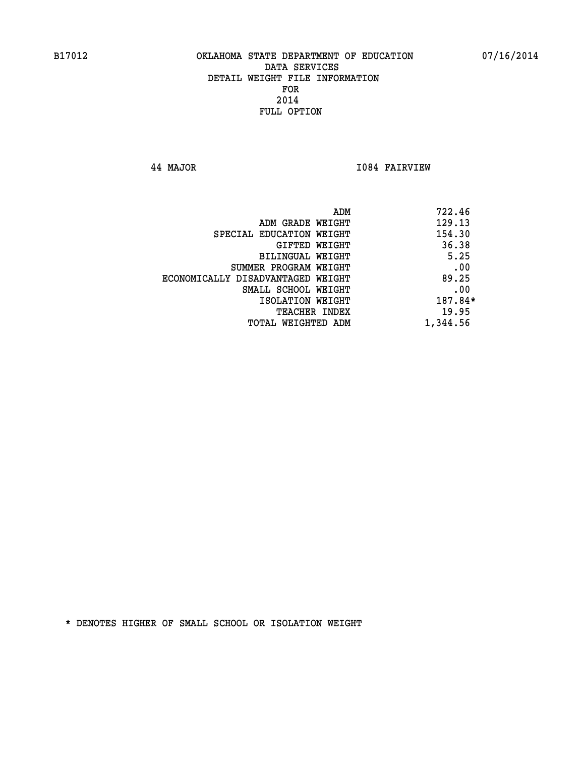**44 MAJOR I084 FAIRVIEW** 

|                                   | ADM | 722.46   |
|-----------------------------------|-----|----------|
| ADM GRADE WEIGHT                  |     | 129.13   |
| SPECIAL EDUCATION WEIGHT          |     | 154.30   |
| GIFTED WEIGHT                     |     | 36.38    |
| BILINGUAL WEIGHT                  |     | 5.25     |
| SUMMER PROGRAM WEIGHT             |     | .00      |
| ECONOMICALLY DISADVANTAGED WEIGHT |     | 89.25    |
| SMALL SCHOOL WEIGHT               |     | .00      |
| ISOLATION WEIGHT                  |     | 187.84*  |
| TEACHER INDEX                     |     | 19.95    |
| TOTAL WEIGHTED ADM                |     | 1,344.56 |
|                                   |     |          |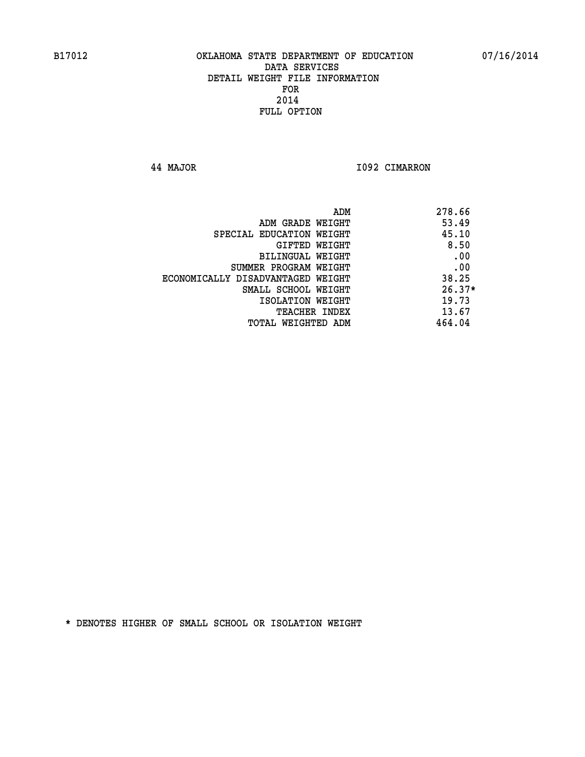**44 MAJOR I092 CIMARRON** 

|                                   | ADM | 278.66   |
|-----------------------------------|-----|----------|
| ADM GRADE WEIGHT                  |     | 53.49    |
| SPECIAL EDUCATION WEIGHT          |     | 45.10    |
| GIFTED WEIGHT                     |     | 8.50     |
| BILINGUAL WEIGHT                  |     | .00      |
| SUMMER PROGRAM WEIGHT             |     | .00      |
| ECONOMICALLY DISADVANTAGED WEIGHT |     | 38.25    |
| SMALL SCHOOL WEIGHT               |     | $26.37*$ |
| ISOLATION WEIGHT                  |     | 19.73    |
| TEACHER INDEX                     |     | 13.67    |
| TOTAL WEIGHTED ADM                |     | 464.04   |
|                                   |     |          |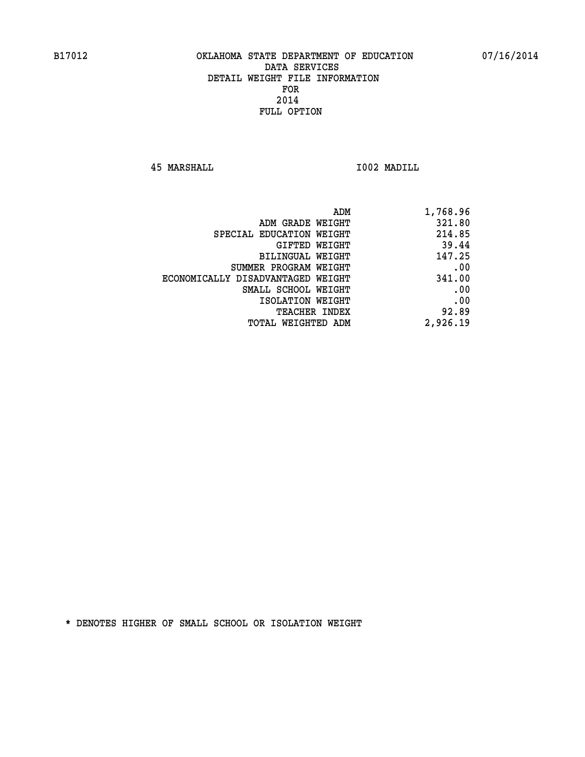**45 MARSHALL I002 MADILL** 

| ADM GRADE WEIGHT                  | 321.80   |
|-----------------------------------|----------|
|                                   |          |
| SPECIAL EDUCATION WEIGHT          | 214.85   |
| GIFTED WEIGHT                     | 39.44    |
| BILINGUAL WEIGHT                  | 147.25   |
| SUMMER PROGRAM WEIGHT             | .00      |
| ECONOMICALLY DISADVANTAGED WEIGHT | 341.00   |
| SMALL SCHOOL WEIGHT               | .00      |
| ISOLATION WEIGHT                  | .00      |
| <b>TEACHER INDEX</b>              | 92.89    |
| TOTAL WEIGHTED ADM                | 2,926.19 |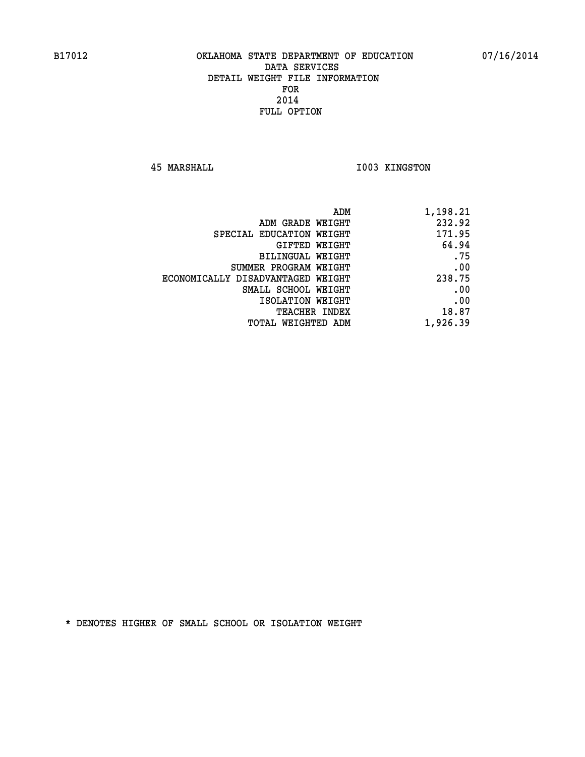**45 MARSHALL I003 KINGSTON** 

| 1,198.21 |
|----------|
| 232.92   |
| 171.95   |
| 64.94    |
| .75      |
| .00      |
| 238.75   |
| .00      |
| .00      |
| 18.87    |
| 1,926.39 |
|          |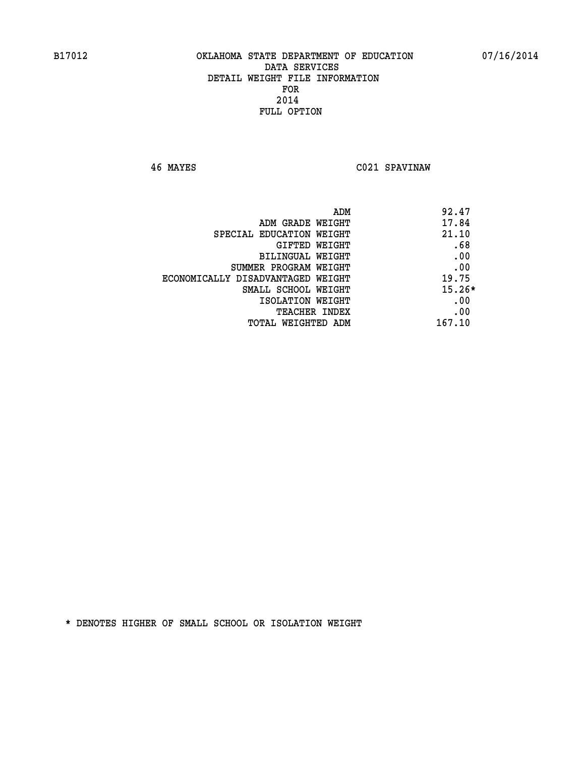**46 MAYES C021 SPAVINAW** 

| ADM                               | 92.47    |
|-----------------------------------|----------|
| ADM GRADE WEIGHT                  | 17.84    |
| SPECIAL EDUCATION WEIGHT          | 21.10    |
| GIFTED WEIGHT                     | .68      |
| BILINGUAL WEIGHT                  | .00      |
| SUMMER PROGRAM WEIGHT             | .00      |
| ECONOMICALLY DISADVANTAGED WEIGHT | 19.75    |
| SMALL SCHOOL WEIGHT               | $15.26*$ |
| ISOLATION WEIGHT                  | .00      |
| <b>TEACHER INDEX</b>              | .00      |
| TOTAL WEIGHTED ADM                | 167.10   |
|                                   |          |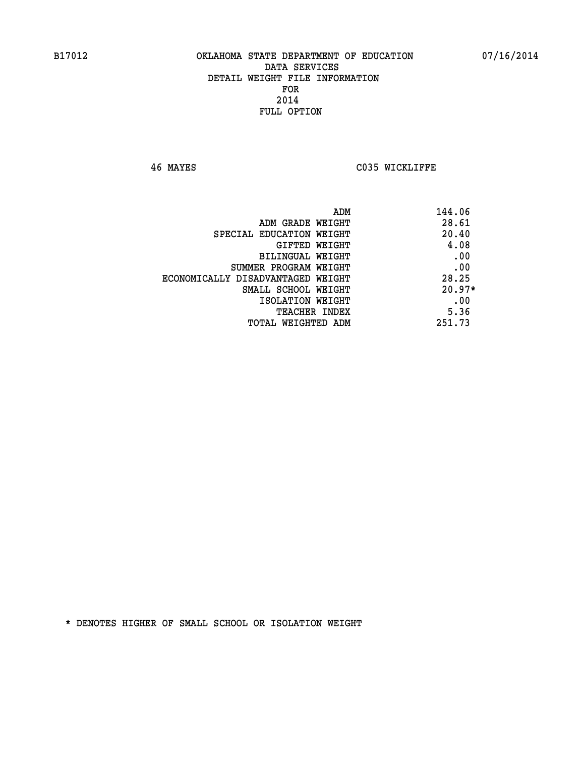**46 MAYES C035 WICKLIFFE** 

| 144.06<br>ADM                              |  |
|--------------------------------------------|--|
| 28.61<br>ADM GRADE WEIGHT                  |  |
| 20.40<br>SPECIAL EDUCATION WEIGHT          |  |
| 4.08<br>GIFTED WEIGHT                      |  |
| .00<br>BILINGUAL WEIGHT                    |  |
| .00<br>SUMMER PROGRAM WEIGHT               |  |
| 28.25<br>ECONOMICALLY DISADVANTAGED WEIGHT |  |
| $20.97*$<br>SMALL SCHOOL WEIGHT            |  |
| .00<br>ISOLATION WEIGHT                    |  |
| 5.36<br><b>TEACHER INDEX</b>               |  |
| 251.73<br>TOTAL WEIGHTED ADM               |  |
|                                            |  |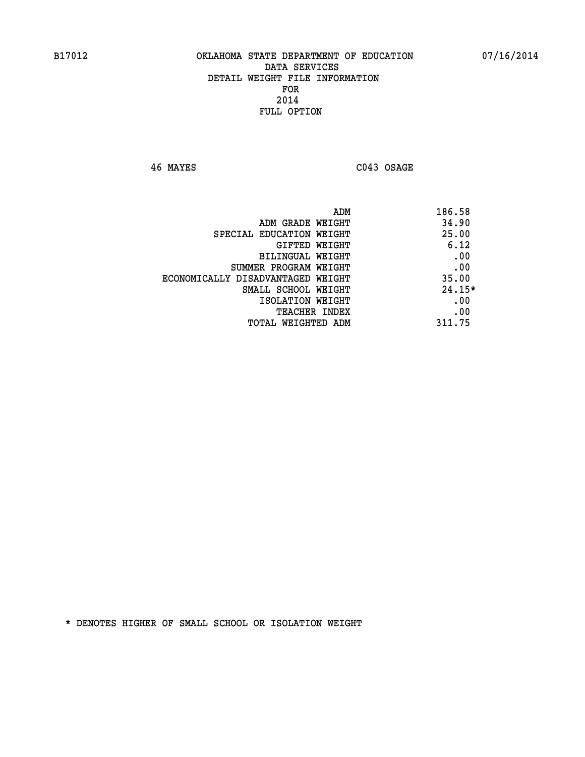**46 MAYES C043 OSAGE** 

|                                   | ADM<br>186.58 |
|-----------------------------------|---------------|
| ADM GRADE WEIGHT                  | 34.90         |
| SPECIAL EDUCATION WEIGHT          | 25.00         |
| GIFTED WEIGHT                     | 6.12          |
| <b>BILINGUAL WEIGHT</b>           | .00           |
| SUMMER PROGRAM WEIGHT             | .00           |
| ECONOMICALLY DISADVANTAGED WEIGHT | 35.00         |
| SMALL SCHOOL WEIGHT               | $24.15*$      |
| ISOLATION WEIGHT                  | .00           |
| <b>TEACHER INDEX</b>              | .00           |
| TOTAL WEIGHTED ADM                | 311.75        |
|                                   |               |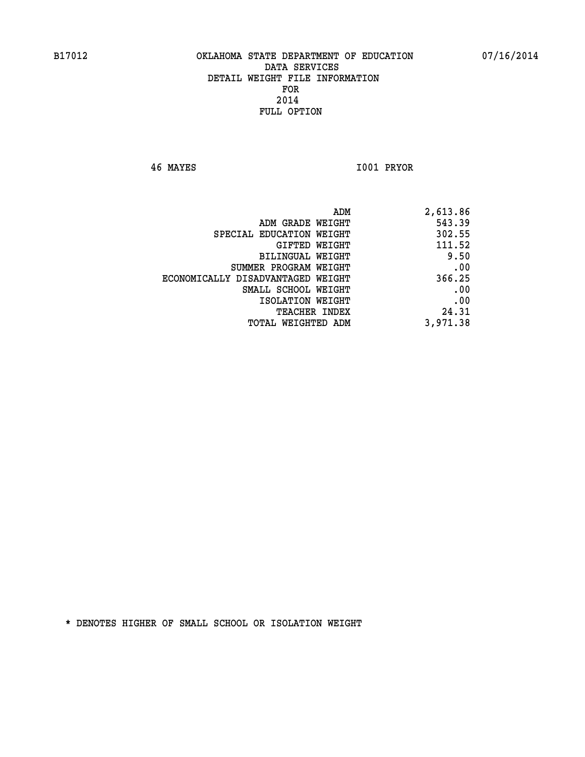**46 MAYES I001 PRYOR** 

| ADM                               | 2,613.86 |
|-----------------------------------|----------|
| ADM GRADE WEIGHT                  | 543.39   |
| SPECIAL EDUCATION WEIGHT          | 302.55   |
| GIFTED WEIGHT                     | 111.52   |
| BILINGUAL WEIGHT                  | 9.50     |
| SUMMER PROGRAM WEIGHT             | .00      |
| ECONOMICALLY DISADVANTAGED WEIGHT | 366.25   |
| SMALL SCHOOL WEIGHT               | .00      |
| ISOLATION WEIGHT                  | .00      |
| TEACHER INDEX                     | 24.31    |
| TOTAL WEIGHTED ADM                | 3,971.38 |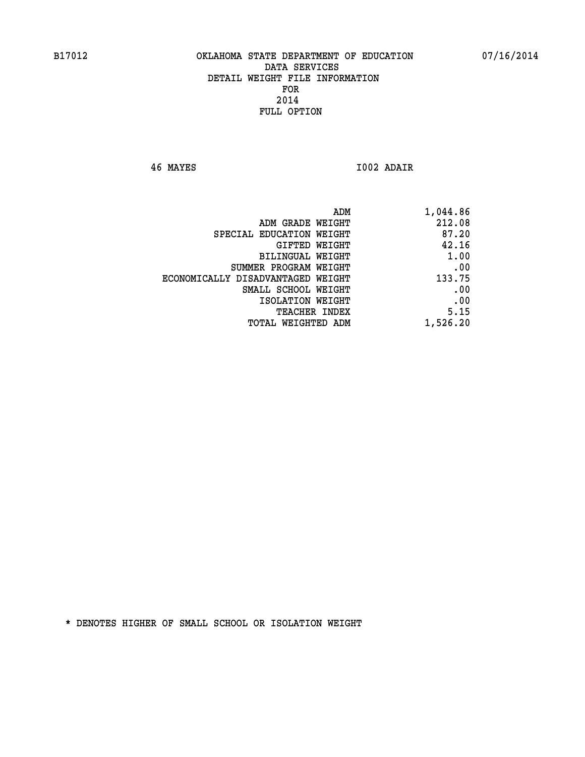**46 MAYES I002 ADAIR** 

| 1,044.86 |
|----------|
| 212.08   |
| 87.20    |
| 42.16    |
| 1.00     |
| .00      |
| 133.75   |
| .00      |
| .00      |
| 5.15     |
| 1,526.20 |
|          |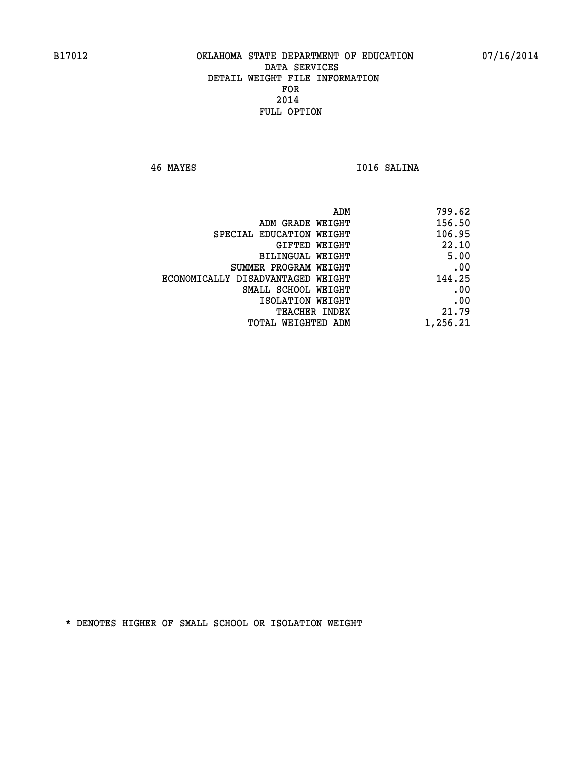**46 MAYES I016 SALINA** 

| 799.62   |
|----------|
| 156.50   |
| 106.95   |
| 22.10    |
| 5.00     |
| .00      |
| 144.25   |
| .00      |
| .00      |
| 21.79    |
| 1,256.21 |
|          |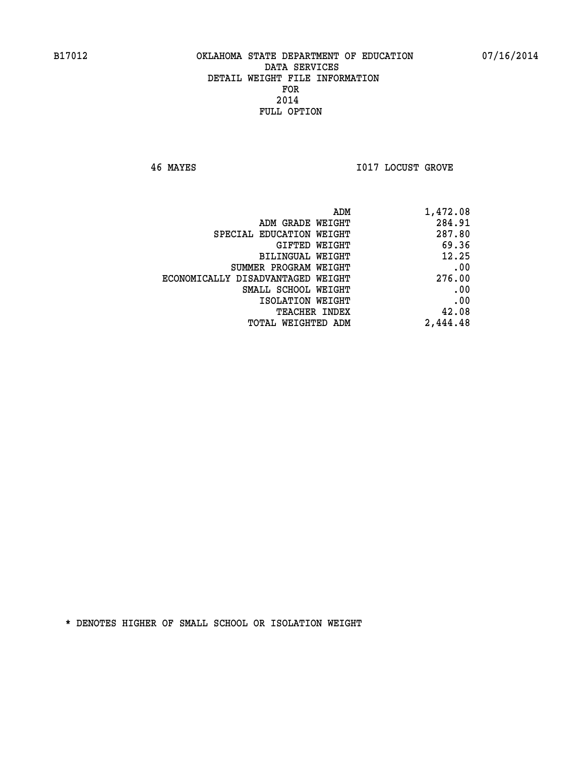**46 MAYES I017 LOCUST GROVE** 

| ADM                               | 1,472.08 |
|-----------------------------------|----------|
| ADM GRADE WEIGHT                  | 284.91   |
| SPECIAL EDUCATION WEIGHT          | 287.80   |
| <b>GIFTED WEIGHT</b>              | 69.36    |
| BILINGUAL WEIGHT                  | 12.25    |
| SUMMER PROGRAM WEIGHT             | .00      |
| ECONOMICALLY DISADVANTAGED WEIGHT | 276.00   |
| SMALL SCHOOL WEIGHT               | .00      |
| ISOLATION WEIGHT                  | .00      |
| <b>TEACHER INDEX</b>              | 42.08    |
| <b>TOTAL WEIGHTED ADM</b>         | 2,444.48 |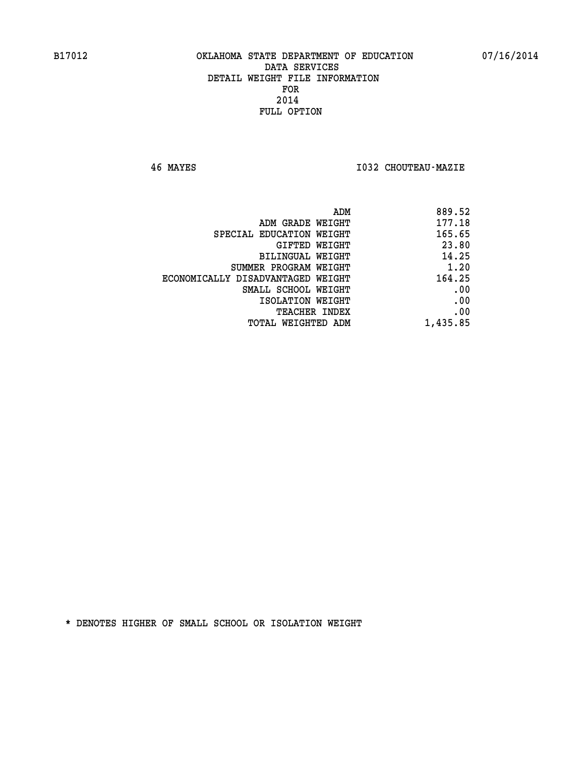**46 MAYES I032 CHOUTEAU-MAZIE** 

| 177.18<br>ADM GRADE WEIGHT<br>165.65<br>SPECIAL EDUCATION WEIGHT<br>23.80<br>GIFTED WEIGHT<br>14.25<br>BILINGUAL WEIGHT<br>1.20<br>SUMMER PROGRAM WEIGHT<br>164.25<br>ECONOMICALLY DISADVANTAGED WEIGHT<br>.00<br>SMALL SCHOOL WEIGHT<br>.00<br>ISOLATION WEIGHT<br>.00<br><b>TEACHER INDEX</b><br>1,435.85<br>TOTAL WEIGHTED ADM | ADM | 889.52 |
|-----------------------------------------------------------------------------------------------------------------------------------------------------------------------------------------------------------------------------------------------------------------------------------------------------------------------------------|-----|--------|
|                                                                                                                                                                                                                                                                                                                                   |     |        |
|                                                                                                                                                                                                                                                                                                                                   |     |        |
|                                                                                                                                                                                                                                                                                                                                   |     |        |
|                                                                                                                                                                                                                                                                                                                                   |     |        |
|                                                                                                                                                                                                                                                                                                                                   |     |        |
|                                                                                                                                                                                                                                                                                                                                   |     |        |
|                                                                                                                                                                                                                                                                                                                                   |     |        |
|                                                                                                                                                                                                                                                                                                                                   |     |        |
|                                                                                                                                                                                                                                                                                                                                   |     |        |
|                                                                                                                                                                                                                                                                                                                                   |     |        |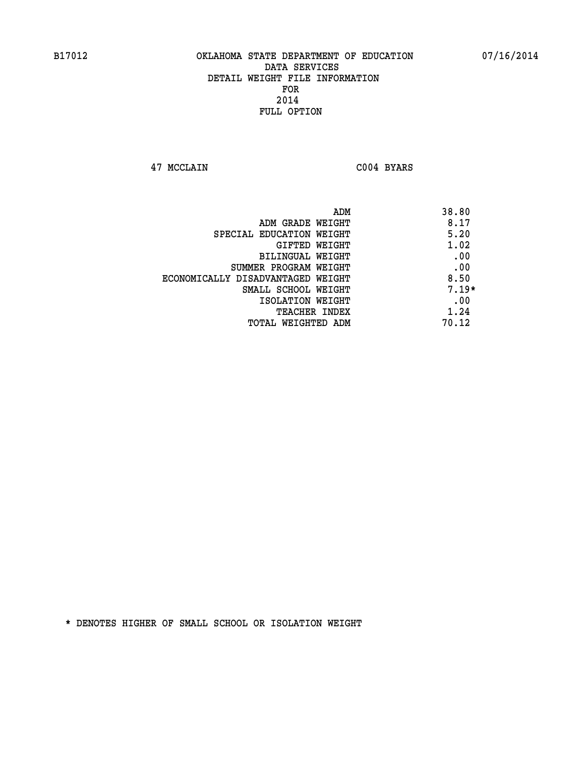**47 MCCLAIN C004 BYARS** 

| ADM                               | 38.80   |
|-----------------------------------|---------|
| ADM GRADE WEIGHT                  | 8.17    |
| SPECIAL EDUCATION WEIGHT          | 5.20    |
| GIFTED WEIGHT                     | 1.02    |
| <b>BILINGUAL WEIGHT</b>           | .00     |
| SUMMER PROGRAM WEIGHT             | .00     |
| ECONOMICALLY DISADVANTAGED WEIGHT | 8.50    |
| SMALL SCHOOL WEIGHT               | $7.19*$ |
| ISOLATION WEIGHT                  | .00     |
| <b>TEACHER INDEX</b>              | 1.24    |
| TOTAL WEIGHTED ADM                | 70.12   |
|                                   |         |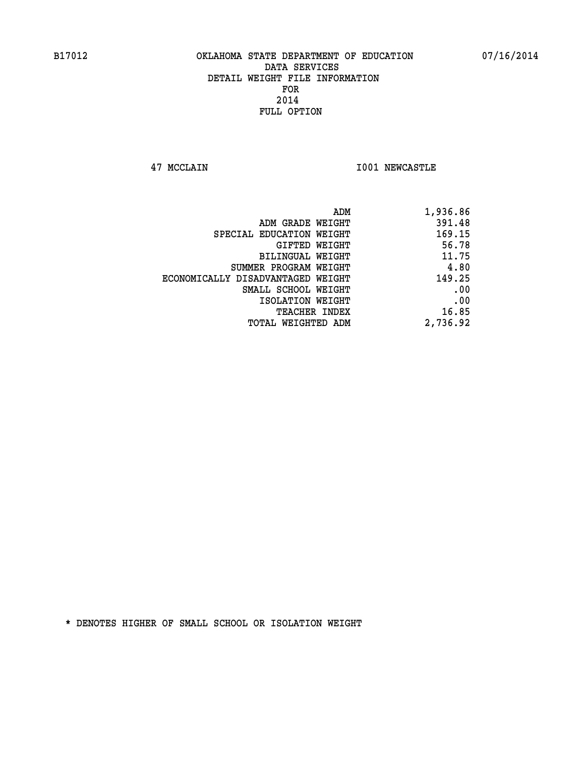**47 MCCLAIN I001 NEWCASTLE** 

| 1,936.86 |
|----------|
| 391.48   |
| 169.15   |
| 56.78    |
| 11.75    |
| 4.80     |
| 149.25   |
| .00      |
| .00      |
| 16.85    |
| 2,736.92 |
|          |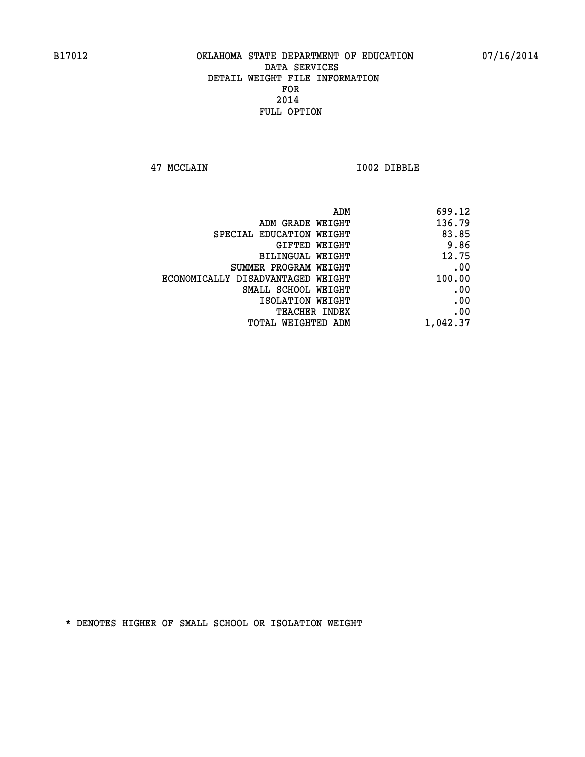**47 MCCLAIN I002 DIBBLE** 

| 699.12   |
|----------|
| 136.79   |
| 83.85    |
| 9.86     |
| 12.75    |
| .00      |
| 100.00   |
| .00      |
| .00      |
| .00      |
| 1,042.37 |
|          |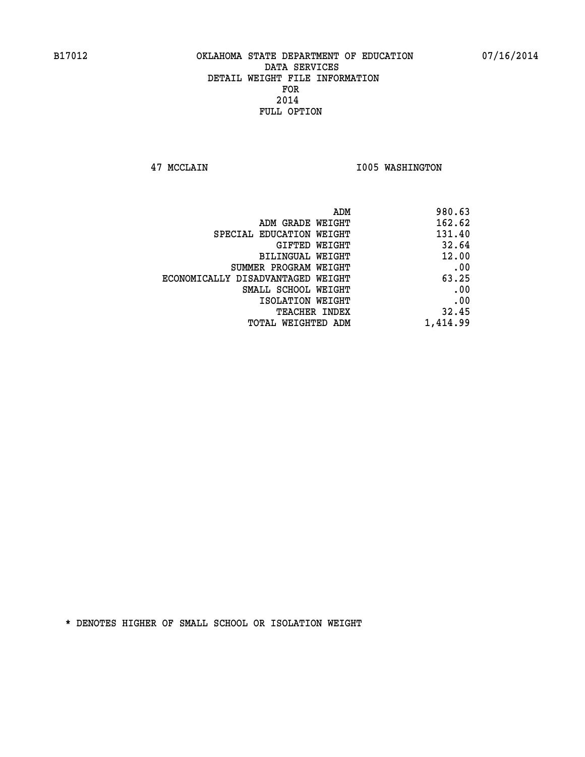**47 MCCLAIN I005 WASHINGTON** 

|                                   | ADM      | 980.63 |
|-----------------------------------|----------|--------|
| ADM GRADE WEIGHT                  |          | 162.62 |
| SPECIAL EDUCATION WEIGHT          |          | 131.40 |
| GIFTED WEIGHT                     |          | 32.64  |
| BILINGUAL WEIGHT                  |          | 12.00  |
| SUMMER PROGRAM WEIGHT             |          | .00    |
| ECONOMICALLY DISADVANTAGED WEIGHT |          | 63.25  |
| SMALL SCHOOL WEIGHT               |          | .00    |
| ISOLATION WEIGHT                  |          | .00    |
| TEACHER INDEX                     |          | 32.45  |
| TOTAL WEIGHTED ADM                | 1,414.99 |        |
|                                   |          |        |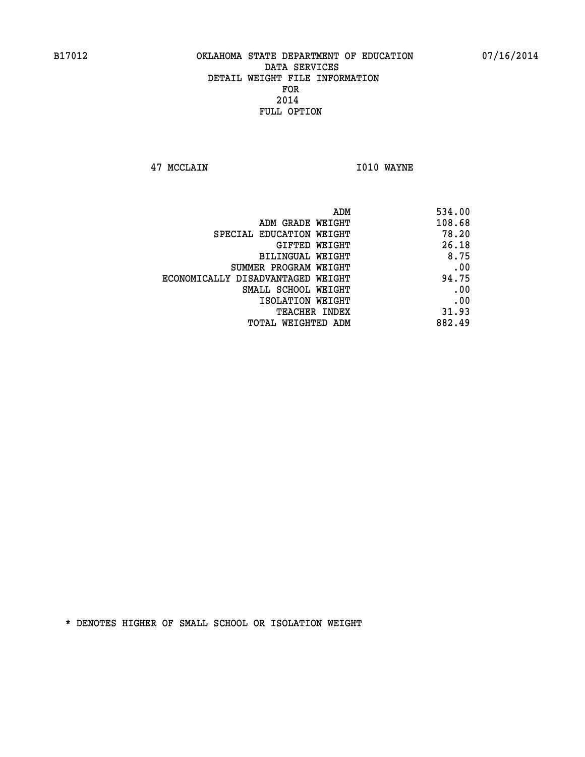**47 MCCLAIN I010 WAYNE** 

| 534.00 |
|--------|
| 108.68 |
| 78.20  |
| 26.18  |
| 8.75   |
| .00    |
| 94.75  |
| .00    |
| .00    |
| 31.93  |
| 882.49 |
|        |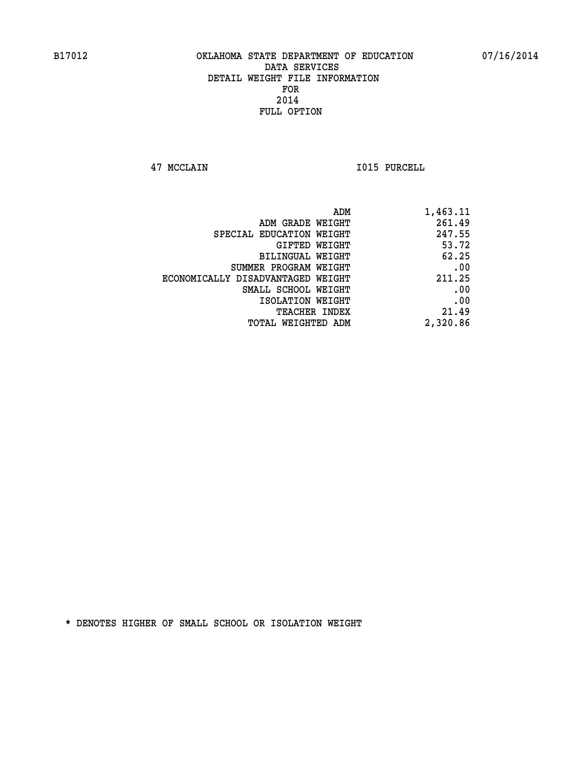**47 MCCLAIN I015 PURCELL** 

| 1,463.11 |
|----------|
| 261.49   |
| 247.55   |
| 53.72    |
| 62.25    |
| .00      |
| 211.25   |
| .00      |
| .00      |
| 21.49    |
| 2,320.86 |
|          |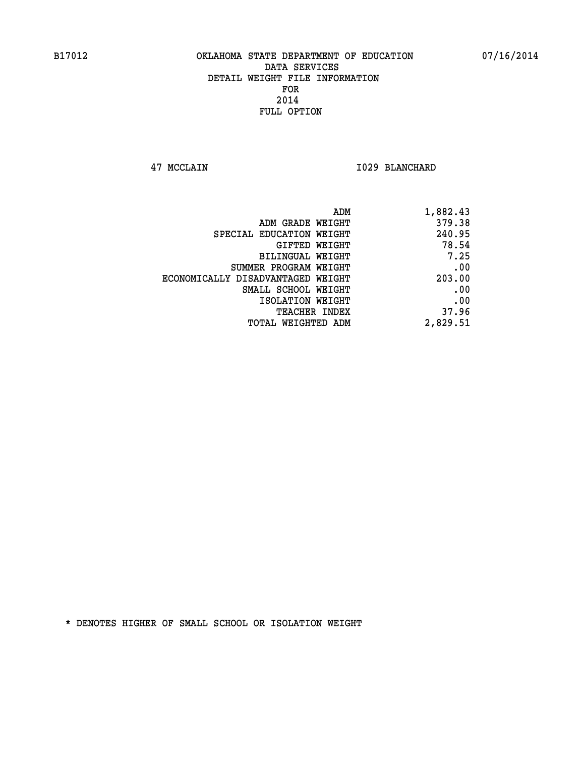**47 MCCLAIN I029 BLANCHARD** 

| 1,882.43 |
|----------|
| 379.38   |
| 240.95   |
| 78.54    |
| 7.25     |
| .00      |
| 203.00   |
| .00      |
| .00      |
| 37.96    |
| 2,829.51 |
|          |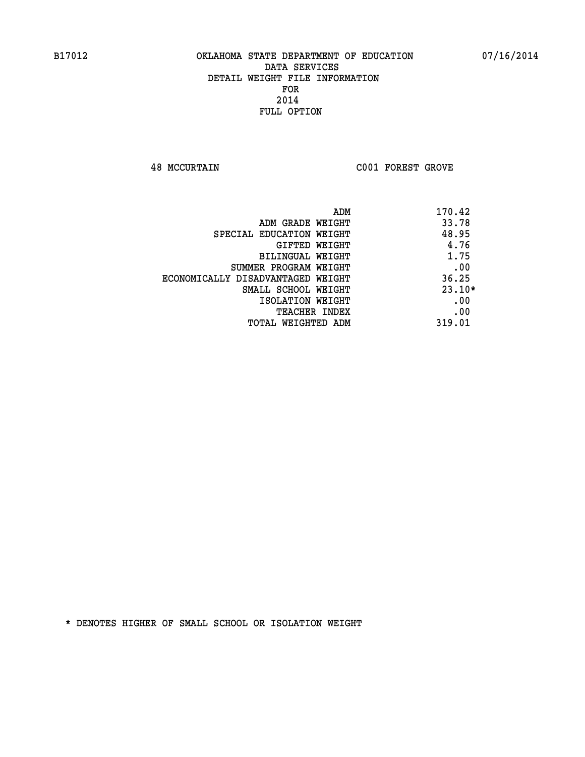**48 MCCURTAIN C001 FOREST GROVE** 

|                                   | ADM | 170.42   |
|-----------------------------------|-----|----------|
| ADM GRADE WEIGHT                  |     | 33.78    |
| SPECIAL EDUCATION WEIGHT          |     | 48.95    |
| GIFTED WEIGHT                     |     | 4.76     |
| BILINGUAL WEIGHT                  |     | 1.75     |
| SUMMER PROGRAM WEIGHT             |     | .00      |
| ECONOMICALLY DISADVANTAGED WEIGHT |     | 36.25    |
| SMALL SCHOOL WEIGHT               |     | $23.10*$ |
| ISOLATION WEIGHT                  |     | .00      |
| <b>TEACHER INDEX</b>              |     | .00      |
| TOTAL WEIGHTED ADM                |     | 319.01   |
|                                   |     |          |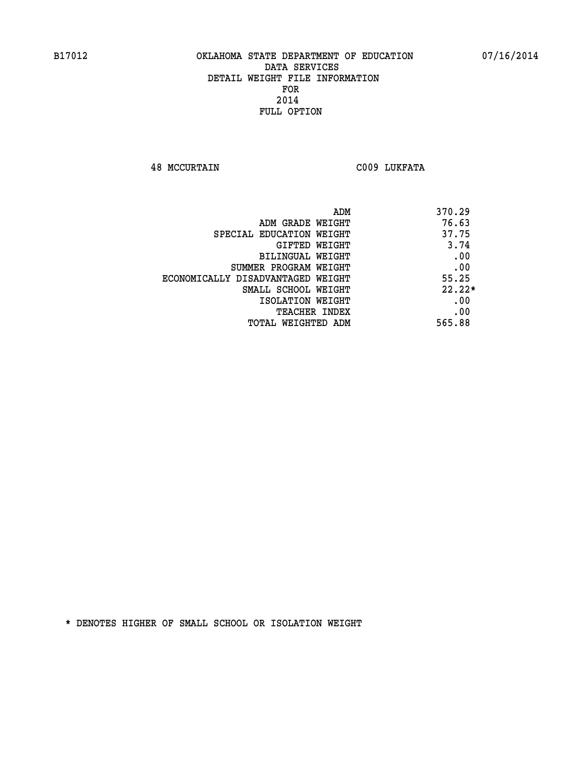**48 MCCURTAIN C009 LUKFATA** 

| ADM<br>370.29                              |  |
|--------------------------------------------|--|
| 76.63<br>ADM GRADE WEIGHT                  |  |
| 37.75<br>SPECIAL EDUCATION WEIGHT          |  |
| 3.74<br><b>GIFTED WEIGHT</b>               |  |
| .00<br>BILINGUAL WEIGHT                    |  |
| .00<br>SUMMER PROGRAM WEIGHT               |  |
| 55.25<br>ECONOMICALLY DISADVANTAGED WEIGHT |  |
| $22.22*$<br>SMALL SCHOOL WEIGHT            |  |
| .00<br>ISOLATION WEIGHT                    |  |
| .00<br><b>TEACHER INDEX</b>                |  |
| 565.88<br>TOTAL WEIGHTED ADM               |  |
|                                            |  |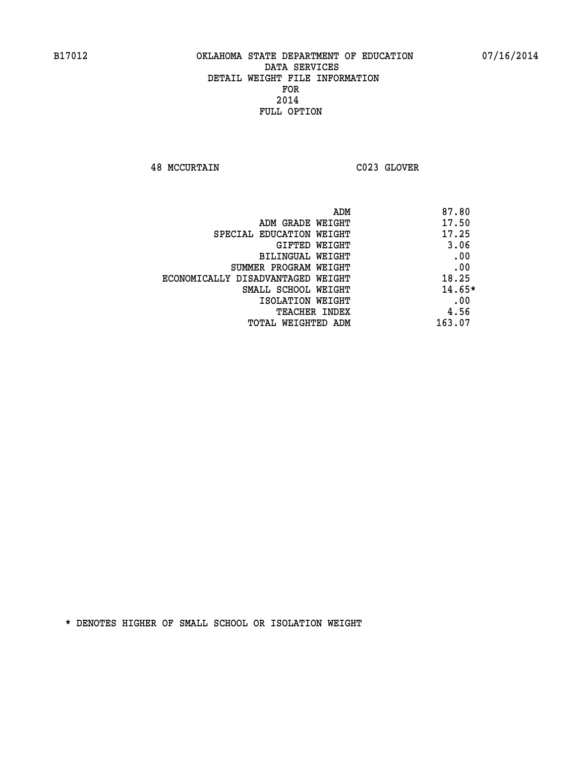**48 MCCURTAIN C023 GLOVER** 

| 87.80<br>ADM                               |
|--------------------------------------------|
| 17.50<br>ADM GRADE WEIGHT                  |
| 17.25<br>SPECIAL EDUCATION WEIGHT          |
| 3.06<br>GIFTED WEIGHT                      |
| .00<br>BILINGUAL WEIGHT                    |
| .00<br>SUMMER PROGRAM WEIGHT               |
| 18.25<br>ECONOMICALLY DISADVANTAGED WEIGHT |
| $14.65*$<br>SMALL SCHOOL WEIGHT            |
| .00<br>ISOLATION WEIGHT                    |
| 4.56<br><b>TEACHER INDEX</b>               |
| 163.07<br>TOTAL WEIGHTED ADM               |
|                                            |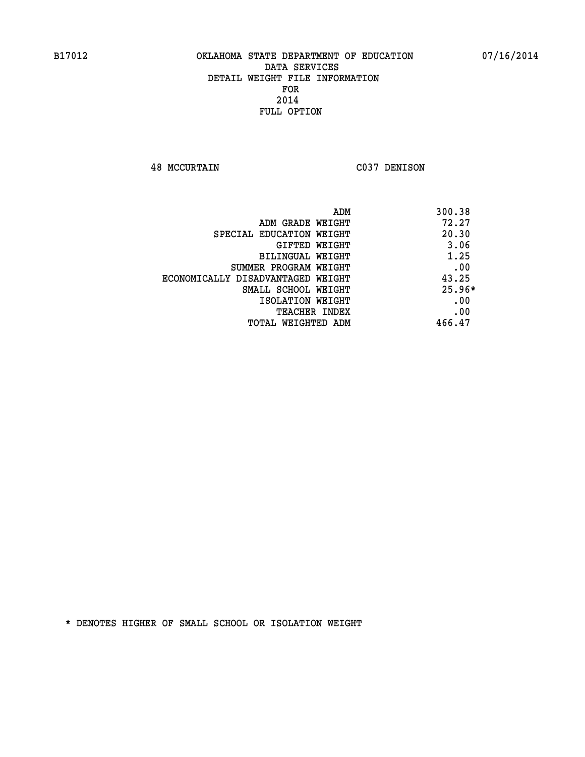**48 MCCURTAIN C037 DENISON** 

| ADM                               | 300.38   |
|-----------------------------------|----------|
| ADM GRADE WEIGHT                  | 72.27    |
| SPECIAL EDUCATION WEIGHT          | 20.30    |
| GIFTED WEIGHT                     | 3.06     |
| BILINGUAL WEIGHT                  | 1.25     |
| SUMMER PROGRAM WEIGHT             | .00      |
| ECONOMICALLY DISADVANTAGED WEIGHT | 43.25    |
| SMALL SCHOOL WEIGHT               | $25.96*$ |
| ISOLATION WEIGHT                  | .00      |
| <b>TEACHER INDEX</b>              | .00      |
| TOTAL WEIGHTED ADM                | 466.47   |
|                                   |          |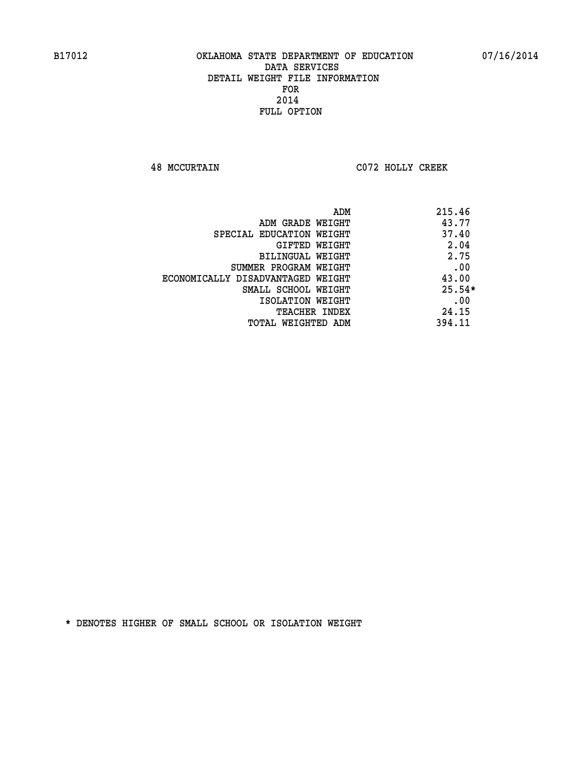**48 MCCURTAIN C072 HOLLY CREEK** 

| ADM                               | 215.46   |
|-----------------------------------|----------|
| ADM GRADE WEIGHT                  | 43.77    |
| SPECIAL EDUCATION WEIGHT          | 37.40    |
| GIFTED WEIGHT                     | 2.04     |
| BILINGUAL WEIGHT                  | 2.75     |
| SUMMER PROGRAM WEIGHT             | .00      |
| ECONOMICALLY DISADVANTAGED WEIGHT | 43.00    |
| SMALL SCHOOL WEIGHT               | $25.54*$ |
| ISOLATION WEIGHT                  | .00      |
| <b>TEACHER INDEX</b>              | 24.15    |
| TOTAL WEIGHTED ADM                | 394.11   |
|                                   |          |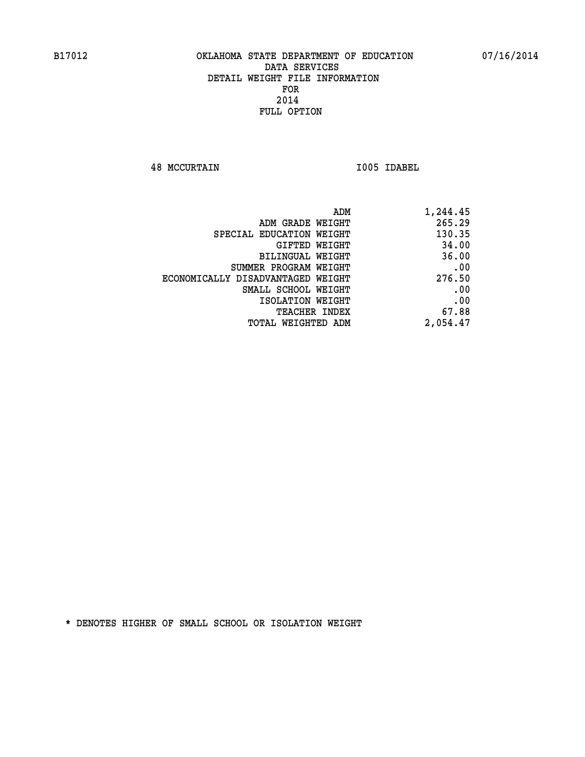**48 MCCURTAIN I005 IDABEL** 

| 1,244.45 |
|----------|
| 265.29   |
| 130.35   |
| 34.00    |
| 36.00    |
| .00      |
| 276.50   |
| .00      |
| .00      |
| 67.88    |
| 2,054.47 |
|          |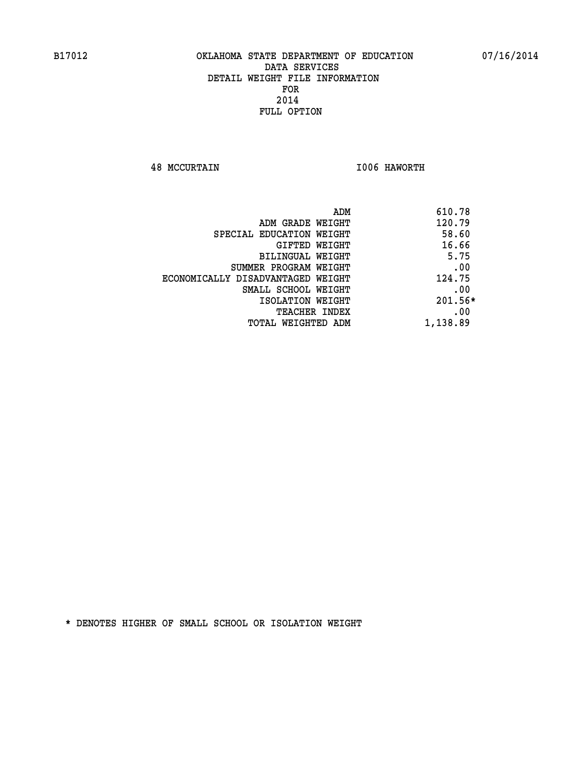**48 MCCURTAIN I006 HAWORTH** 

| 610.78    | ADM                               |
|-----------|-----------------------------------|
| 120.79    | ADM GRADE WEIGHT                  |
| 58.60     | SPECIAL EDUCATION WEIGHT          |
| 16.66     | <b>GIFTED WEIGHT</b>              |
| 5.75      | <b>BILINGUAL WEIGHT</b>           |
| .00       | SUMMER PROGRAM WEIGHT             |
| 124.75    | ECONOMICALLY DISADVANTAGED WEIGHT |
| .00       | SMALL SCHOOL WEIGHT               |
| $201.56*$ | ISOLATION WEIGHT                  |
| .00       | <b>TEACHER INDEX</b>              |
| 1,138.89  | TOTAL WEIGHTED ADM                |
|           |                                   |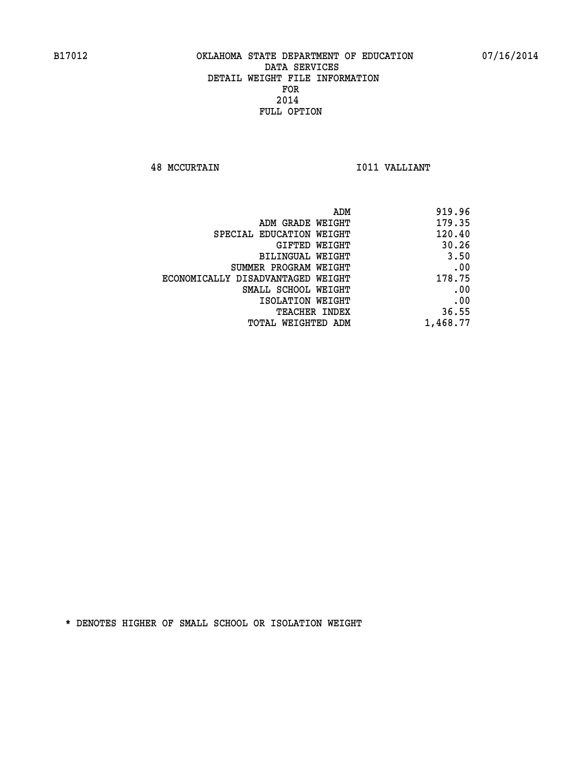**48 MCCURTAIN I011 VALLIANT** 

| ADM                               | 919.96   |
|-----------------------------------|----------|
| ADM GRADE WEIGHT                  | 179.35   |
| SPECIAL EDUCATION WEIGHT          | 120.40   |
| GIFTED WEIGHT                     | 30.26    |
| BILINGUAL WEIGHT                  | 3.50     |
| SUMMER PROGRAM WEIGHT             | .00      |
| ECONOMICALLY DISADVANTAGED WEIGHT | 178.75   |
| SMALL SCHOOL WEIGHT               | .00      |
| ISOLATION WEIGHT                  | .00      |
| <b>TEACHER INDEX</b>              | 36.55    |
| TOTAL WEIGHTED ADM                | 1,468.77 |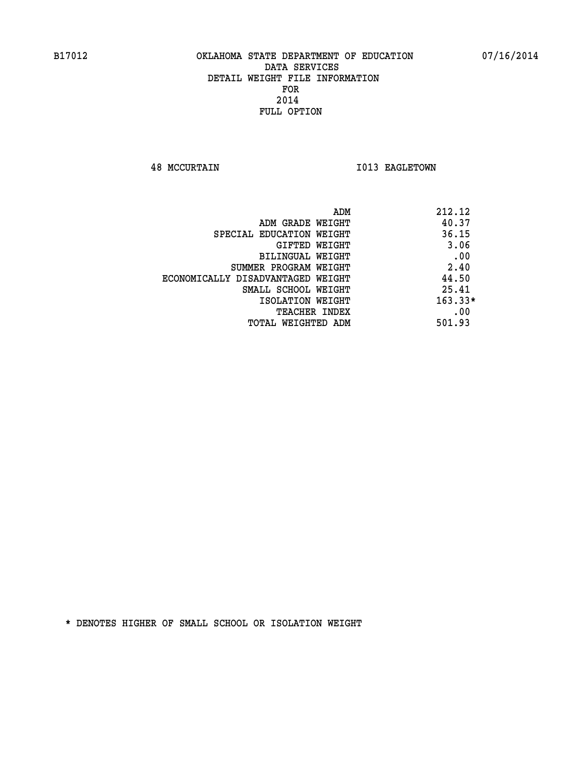**48 MCCURTAIN 1013 EAGLETOWN** 

| ADM<br>212.12 |                                   |
|---------------|-----------------------------------|
| 40.37         | ADM GRADE WEIGHT                  |
| 36.15         | SPECIAL EDUCATION WEIGHT          |
| 3.06          | GIFTED WEIGHT                     |
| .00           | <b>BILINGUAL WEIGHT</b>           |
| 2.40          | SUMMER PROGRAM WEIGHT             |
| 44.50         | ECONOMICALLY DISADVANTAGED WEIGHT |
| 25.41         | SMALL SCHOOL WEIGHT               |
| $163.33*$     | ISOLATION WEIGHT                  |
| .00           | <b>TEACHER INDEX</b>              |
| 501.93        | TOTAL WEIGHTED ADM                |
|               |                                   |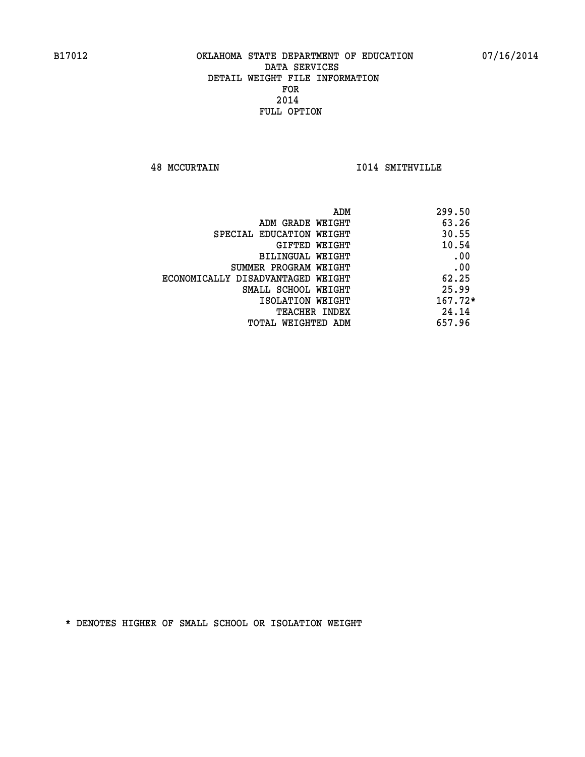**48 MCCURTAIN I014 SMITHVILLE** 

| ADM                               | 299.50    |
|-----------------------------------|-----------|
| ADM GRADE WEIGHT                  | 63.26     |
| SPECIAL EDUCATION WEIGHT          | 30.55     |
| GIFTED WEIGHT                     | 10.54     |
| BILINGUAL WEIGHT                  | .00       |
| SUMMER PROGRAM WEIGHT             | .00       |
| ECONOMICALLY DISADVANTAGED WEIGHT | 62.25     |
| SMALL SCHOOL WEIGHT               | 25.99     |
| ISOLATION WEIGHT                  | $167.72*$ |
| TEACHER INDEX                     | 24.14     |
| TOTAL WEIGHTED ADM                | 657.96    |
|                                   |           |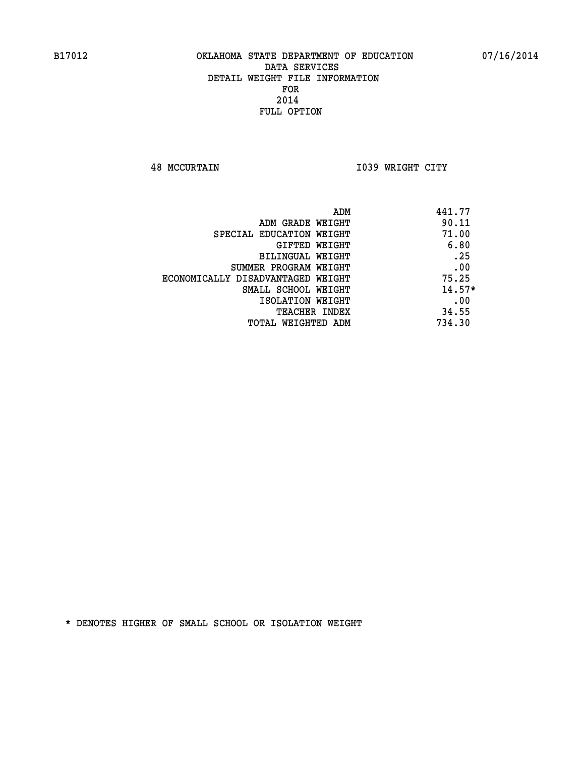**48 MCCURTAIN I039 WRIGHT CITY** 

| 441.77<br>ADM                              |  |
|--------------------------------------------|--|
| 90.11<br>ADM GRADE WEIGHT                  |  |
| 71.00<br>SPECIAL EDUCATION WEIGHT          |  |
| 6.80<br>GIFTED WEIGHT                      |  |
| .25<br>BILINGUAL WEIGHT                    |  |
| .00<br>SUMMER PROGRAM WEIGHT               |  |
| 75.25<br>ECONOMICALLY DISADVANTAGED WEIGHT |  |
| $14.57*$<br>SMALL SCHOOL WEIGHT            |  |
| .00<br>ISOLATION WEIGHT                    |  |
| 34.55<br><b>TEACHER INDEX</b>              |  |
| 734.30<br>TOTAL WEIGHTED ADM               |  |
|                                            |  |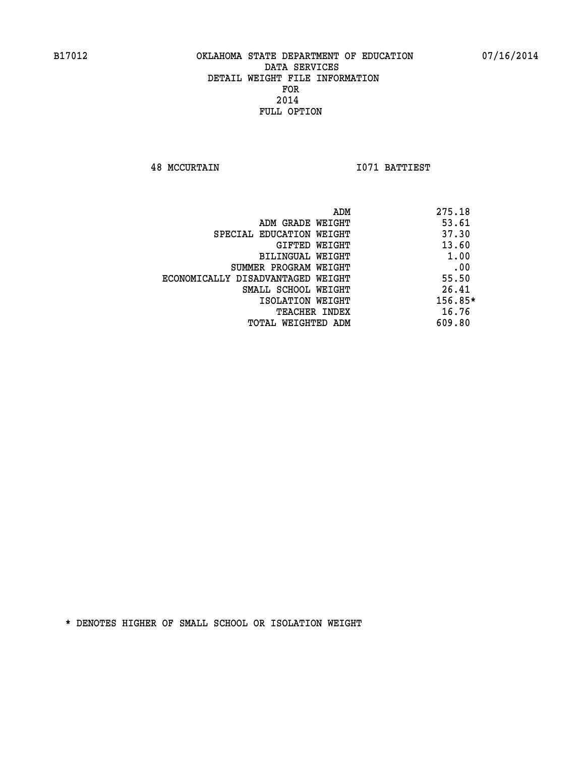**48 MCCURTAIN I071 BATTIEST** 

|                                   | ADM | 275.18    |
|-----------------------------------|-----|-----------|
| ADM GRADE WEIGHT                  |     | 53.61     |
| SPECIAL EDUCATION WEIGHT          |     | 37.30     |
| GIFTED WEIGHT                     |     | 13.60     |
| BILINGUAL WEIGHT                  |     | 1.00      |
| SUMMER PROGRAM WEIGHT             |     | .00       |
| ECONOMICALLY DISADVANTAGED WEIGHT |     | 55.50     |
| SMALL SCHOOL WEIGHT               |     | 26.41     |
| ISOLATION WEIGHT                  |     | $156.85*$ |
| TEACHER INDEX                     |     | 16.76     |
| TOTAL WEIGHTED ADM                |     | 609.80    |
|                                   |     |           |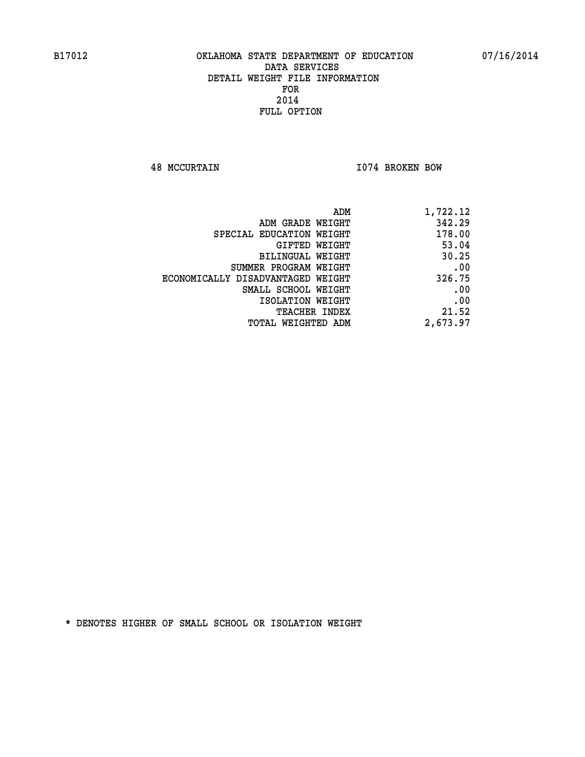**48 MCCURTAIN I074 BROKEN BOW** 

| 1,722.12 |
|----------|
| 342.29   |
| 178.00   |
| 53.04    |
| 30.25    |
| .00      |
| 326.75   |
| .00      |
| .00      |
| 21.52    |
| 2,673.97 |
|          |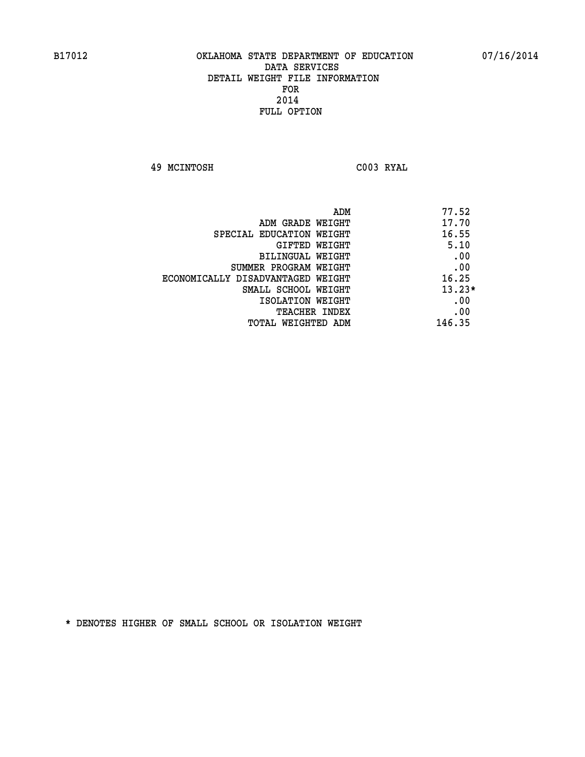**49 MCINTOSH C003 RYAL** 

| ADM                               | 77.52    |
|-----------------------------------|----------|
| ADM GRADE WEIGHT                  | 17.70    |
| SPECIAL EDUCATION WEIGHT          | 16.55    |
| GIFTED WEIGHT                     | 5.10     |
| <b>BILINGUAL WEIGHT</b>           | .00      |
| SUMMER PROGRAM WEIGHT             | .00      |
| ECONOMICALLY DISADVANTAGED WEIGHT | 16.25    |
| SMALL SCHOOL WEIGHT               | $13.23*$ |
| ISOLATION WEIGHT                  | .00      |
| <b>TEACHER INDEX</b>              | .00      |
| TOTAL WEIGHTED ADM                | 146.35   |
|                                   |          |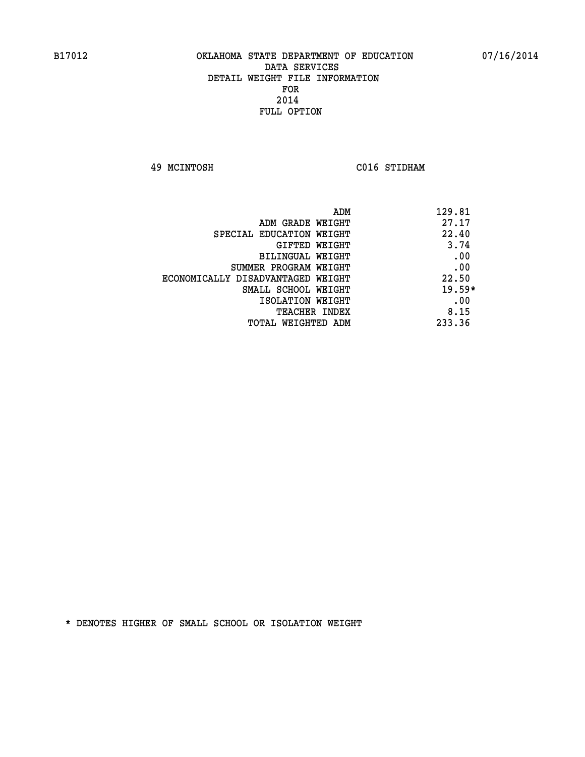**49 MCINTOSH C016 STIDHAM** 

| 129.81<br>ADM                              |  |
|--------------------------------------------|--|
| 27.17<br>ADM GRADE WEIGHT                  |  |
| 22.40<br>SPECIAL EDUCATION WEIGHT          |  |
| 3.74<br>GIFTED WEIGHT                      |  |
| .00<br>BILINGUAL WEIGHT                    |  |
| .00<br>SUMMER PROGRAM WEIGHT               |  |
| 22.50<br>ECONOMICALLY DISADVANTAGED WEIGHT |  |
| $19.59*$<br>SMALL SCHOOL WEIGHT            |  |
| .00<br>ISOLATION WEIGHT                    |  |
| 8.15<br><b>TEACHER INDEX</b>               |  |
| 233.36<br>TOTAL WEIGHTED ADM               |  |
|                                            |  |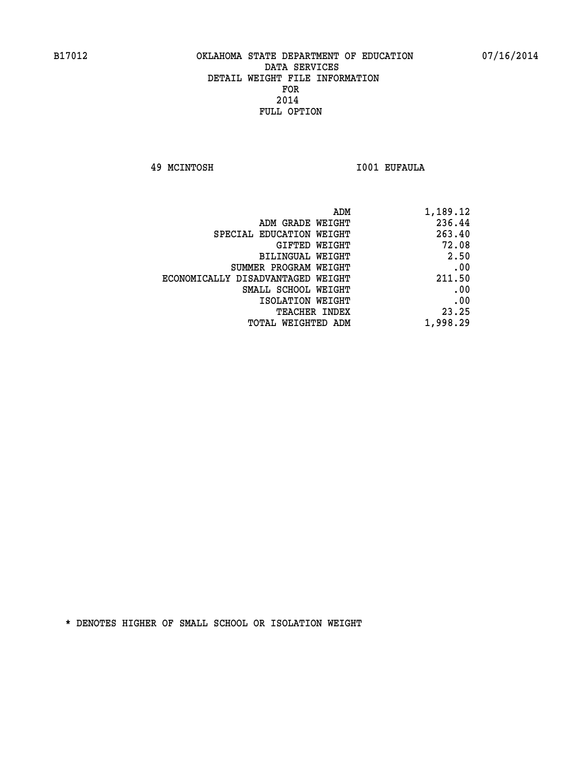**49 MCINTOSH I001 EUFAULA** 

| 1,189.12 |
|----------|
| 236.44   |
| 263.40   |
| 72.08    |
| 2.50     |
| .00      |
| 211.50   |
| .00      |
| .00      |
| 23.25    |
| 1,998.29 |
|          |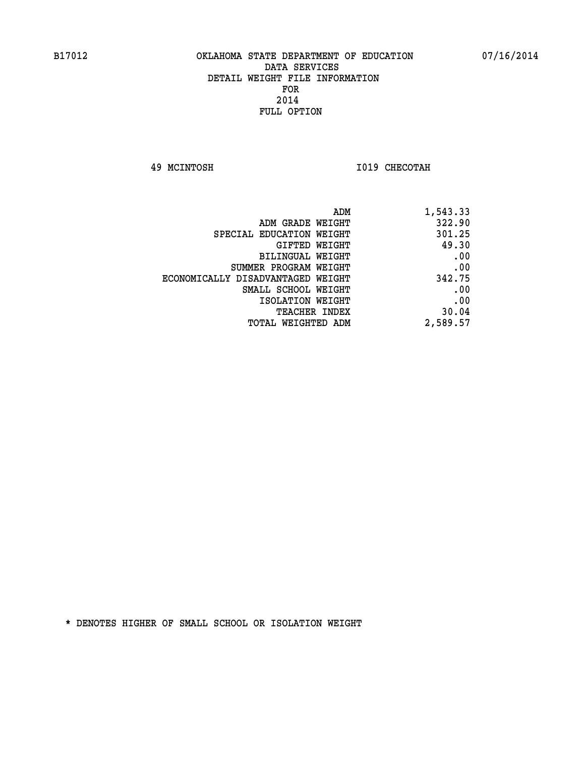**49 MCINTOSH I019 CHECOTAH** 

| ADM                               | 1,543.33 |
|-----------------------------------|----------|
| ADM GRADE WEIGHT                  | 322.90   |
| SPECIAL EDUCATION WEIGHT          | 301.25   |
| GIFTED WEIGHT                     | 49.30    |
| <b>BILINGUAL WEIGHT</b>           | .00      |
| SUMMER PROGRAM WEIGHT             | .00      |
| ECONOMICALLY DISADVANTAGED WEIGHT | 342.75   |
| SMALL SCHOOL WEIGHT               | .00      |
| ISOLATION WEIGHT                  | .00      |
| TEACHER INDEX                     | 30.04    |
| TOTAL WEIGHTED ADM                | 2,589.57 |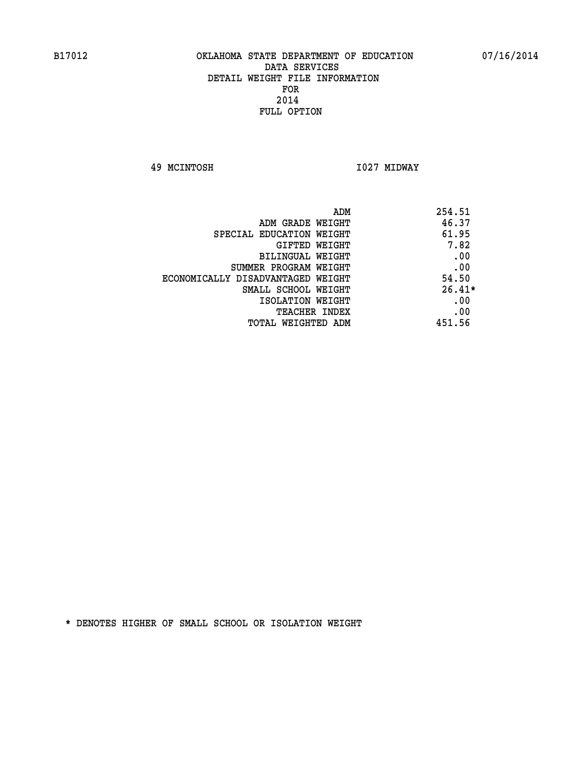**49 MCINTOSH I027 MIDWAY** 

| ADM                               | 254.51   |
|-----------------------------------|----------|
| ADM GRADE WEIGHT                  | 46.37    |
| SPECIAL EDUCATION WEIGHT          | 61.95    |
| <b>GIFTED WEIGHT</b>              | 7.82     |
| BILINGUAL WEIGHT                  | .00      |
| SUMMER PROGRAM WEIGHT             | .00      |
| ECONOMICALLY DISADVANTAGED WEIGHT | 54.50    |
| SMALL SCHOOL WEIGHT               | $26.41*$ |
| ISOLATION WEIGHT                  | .00      |
| <b>TEACHER INDEX</b>              | .00      |
| TOTAL WEIGHTED ADM                | 451.56   |
|                                   |          |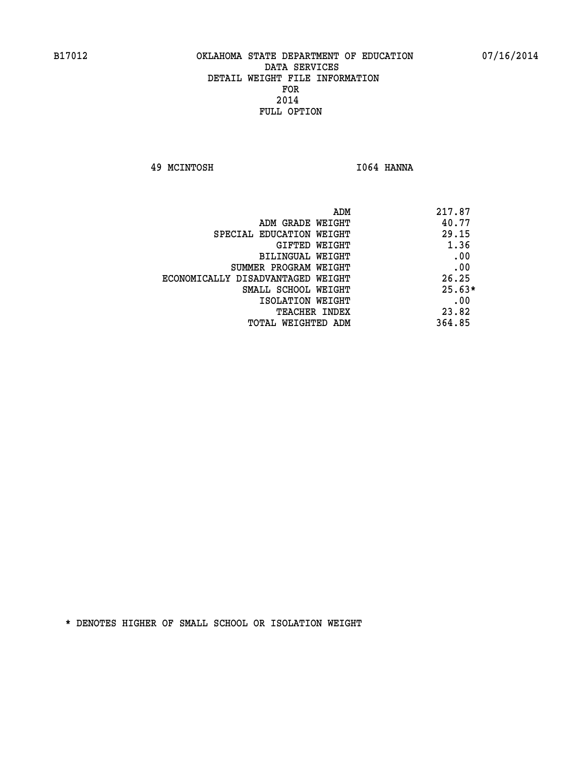**49 MCINTOSH I064 HANNA** 

| ADM                               | 217.87   |
|-----------------------------------|----------|
| ADM GRADE WEIGHT                  | 40.77    |
| SPECIAL EDUCATION WEIGHT          | 29.15    |
| GIFTED WEIGHT                     | 1.36     |
| BILINGUAL WEIGHT                  | .00      |
| SUMMER PROGRAM WEIGHT             | .00      |
| ECONOMICALLY DISADVANTAGED WEIGHT | 26.25    |
| SMALL SCHOOL WEIGHT               | $25.63*$ |
| ISOLATION WEIGHT                  | .00      |
| TEACHER INDEX                     | 23.82    |
| TOTAL WEIGHTED ADM                | 364.85   |
|                                   |          |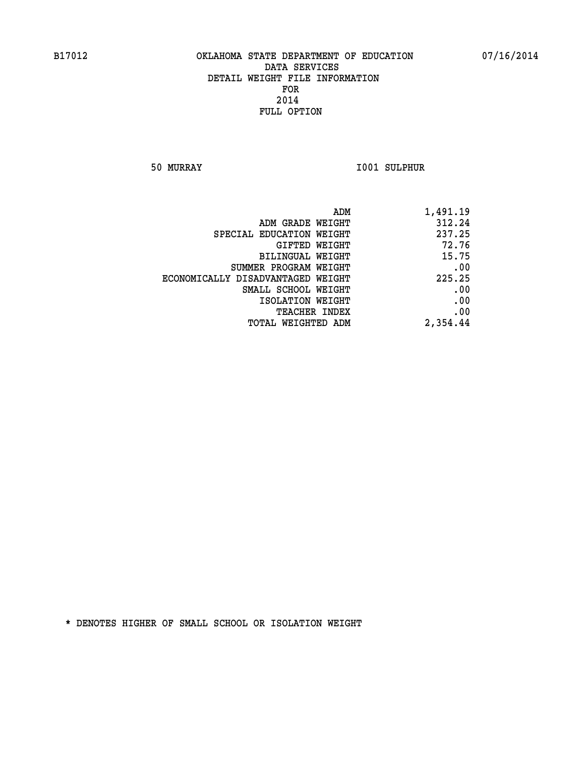**50 MURRAY I001 SULPHUR** 

| 1,491.19 |
|----------|
| 312.24   |
| 237.25   |
| 72.76    |
| 15.75    |
| .00      |
| 225.25   |
| .00      |
| .00      |
| .00      |
| 2,354.44 |
|          |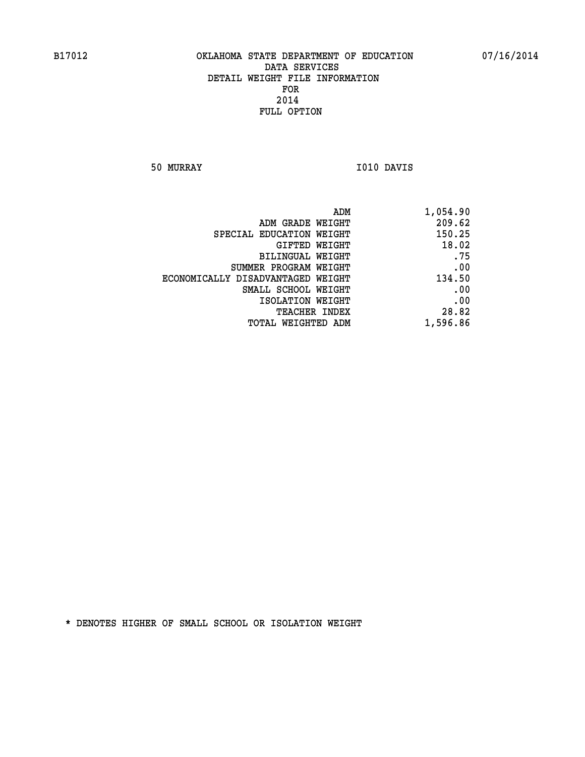**50 MURRAY I010 DAVIS** 

| ADM                               | 1,054.90 |
|-----------------------------------|----------|
| ADM GRADE WEIGHT                  | 209.62   |
| SPECIAL EDUCATION WEIGHT          | 150.25   |
| GIFTED WEIGHT                     | 18.02    |
| <b>BILINGUAL WEIGHT</b>           | .75      |
| SUMMER PROGRAM WEIGHT             | .00      |
| ECONOMICALLY DISADVANTAGED WEIGHT | 134.50   |
| SMALL SCHOOL WEIGHT               | .00      |
| ISOLATION WEIGHT                  | .00      |
| TEACHER INDEX                     | 28.82    |
| TOTAL WEIGHTED ADM                | 1,596.86 |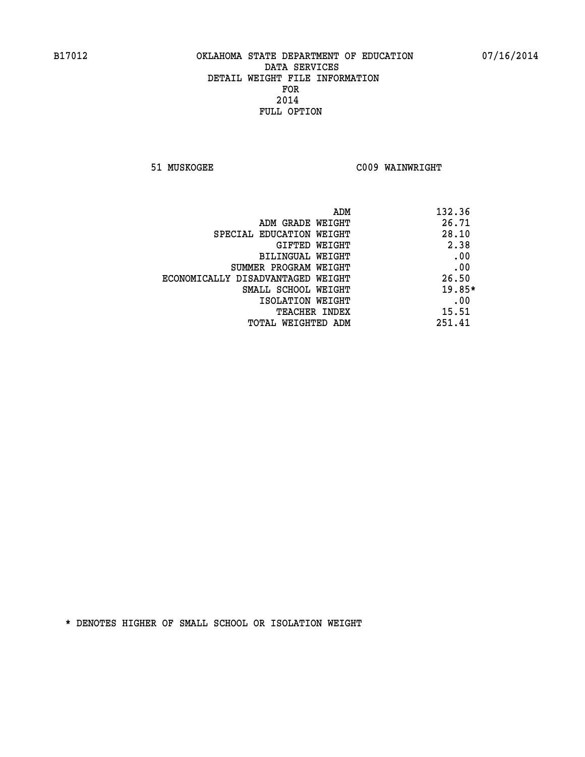**51 MUSKOGEE C009 WAINWRIGHT** 

| 132.36   |
|----------|
| 26.71    |
| 28.10    |
| 2.38     |
| .00      |
| .00      |
| 26.50    |
| $19.85*$ |
| .00      |
| 15.51    |
| 251.41   |
|          |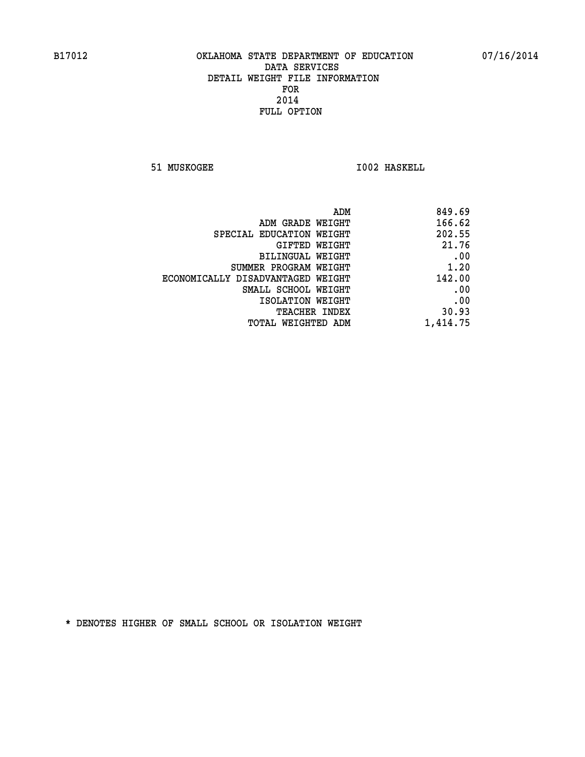**51 MUSKOGEE 1002 HASKELL** 

| ADM                               | 849.69   |
|-----------------------------------|----------|
| ADM GRADE WEIGHT                  | 166.62   |
| SPECIAL EDUCATION WEIGHT          | 202.55   |
| GIFTED WEIGHT                     | 21.76    |
| BILINGUAL WEIGHT                  | .00      |
| SUMMER PROGRAM WEIGHT             | 1.20     |
| ECONOMICALLY DISADVANTAGED WEIGHT | 142.00   |
| SMALL SCHOOL WEIGHT               | .00      |
| ISOLATION WEIGHT                  | .00      |
| <b>TEACHER INDEX</b>              | 30.93    |
| TOTAL WEIGHTED ADM                | 1,414.75 |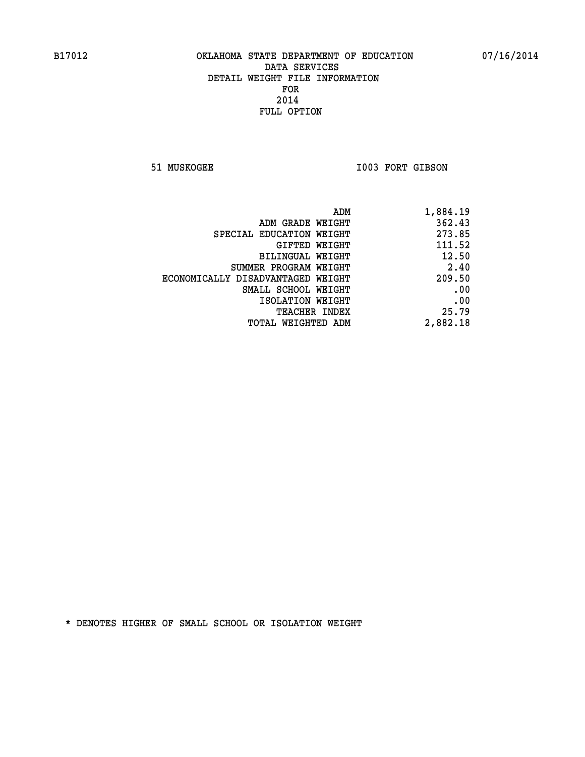51 MUSKOGEE 1003 FORT GIBSON

|                                   | ADM | 1,884.19 |
|-----------------------------------|-----|----------|
| ADM GRADE WEIGHT                  |     | 362.43   |
| SPECIAL EDUCATION WEIGHT          |     | 273.85   |
| GIFTED WEIGHT                     |     | 111.52   |
| BILINGUAL WEIGHT                  |     | 12.50    |
| SUMMER PROGRAM WEIGHT             |     | 2.40     |
| ECONOMICALLY DISADVANTAGED WEIGHT |     | 209.50   |
| SMALL SCHOOL WEIGHT               |     | .00      |
| ISOLATION WEIGHT                  |     | .00      |
| TEACHER INDEX                     |     | 25.79    |
| TOTAL WEIGHTED ADM                |     | 2,882.18 |
|                                   |     |          |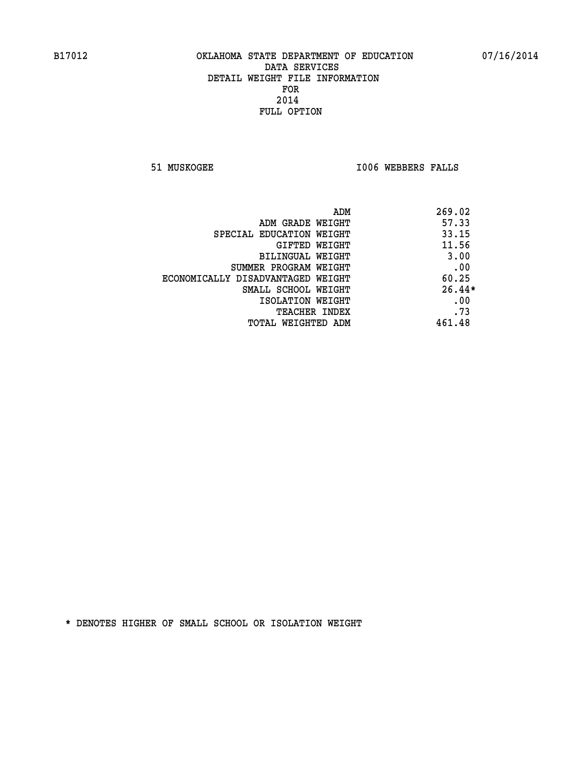**51 MUSKOGEE I006 WEBBERS FALLS** 

| 269.02<br>ADM                              |  |
|--------------------------------------------|--|
| 57.33<br>ADM GRADE WEIGHT                  |  |
| 33.15<br>SPECIAL EDUCATION WEIGHT          |  |
| 11.56<br>GIFTED WEIGHT                     |  |
| 3.00<br>BILINGUAL WEIGHT                   |  |
| .00<br>SUMMER PROGRAM WEIGHT               |  |
| 60.25<br>ECONOMICALLY DISADVANTAGED WEIGHT |  |
| $26.44*$<br>SMALL SCHOOL WEIGHT            |  |
| .00<br>ISOLATION WEIGHT                    |  |
| .73<br><b>TEACHER INDEX</b>                |  |
| 461.48<br>TOTAL WEIGHTED ADM               |  |
|                                            |  |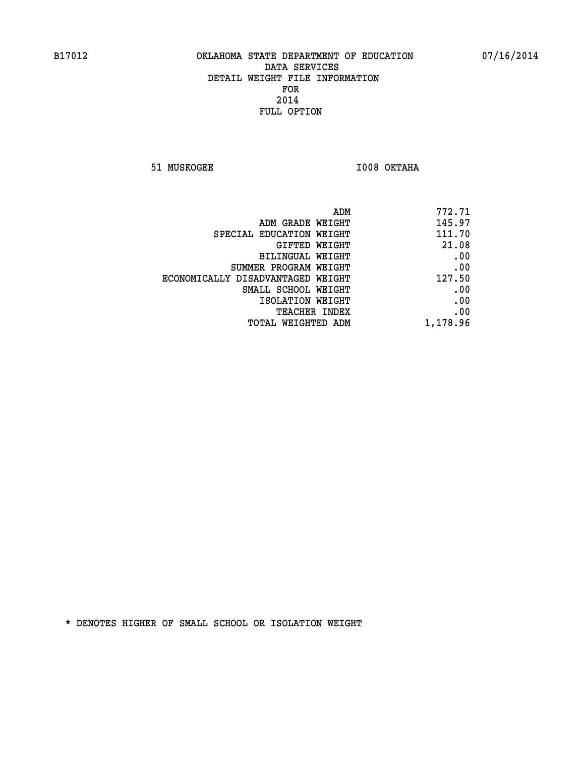**51 MUSKOGEE I008 OKTAHA** 

| 772.71   |
|----------|
| 145.97   |
| 111.70   |
| 21.08    |
| .00      |
| .00      |
| 127.50   |
| .00      |
| .00      |
| .00      |
| 1,178.96 |
|          |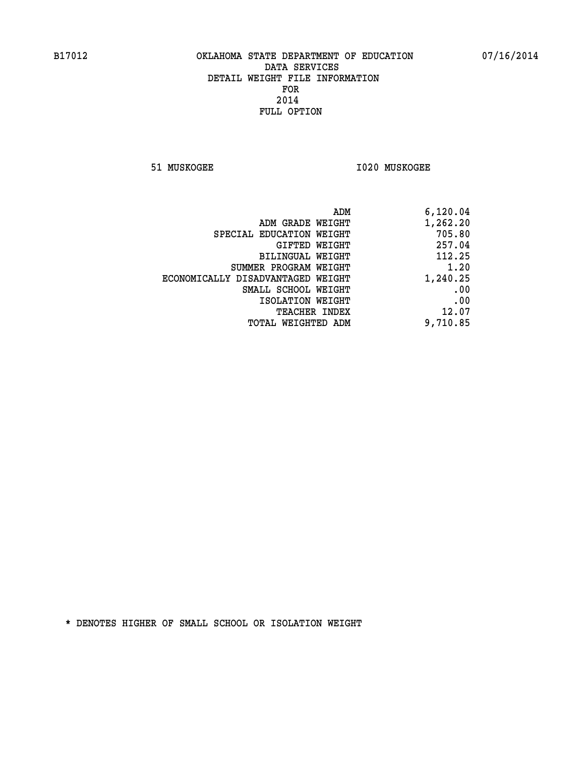**51 MUSKOGEE I020 MUSKOGEE** 

| ADM                               | 6,120.04 |
|-----------------------------------|----------|
| ADM GRADE WEIGHT                  | 1,262.20 |
| SPECIAL EDUCATION WEIGHT          | 705.80   |
| GIFTED WEIGHT                     | 257.04   |
| <b>BILINGUAL WEIGHT</b>           | 112.25   |
| SUMMER PROGRAM WEIGHT             | 1.20     |
| ECONOMICALLY DISADVANTAGED WEIGHT | 1,240.25 |
| SMALL SCHOOL WEIGHT               | .00      |
| ISOLATION WEIGHT                  | .00      |
| TEACHER INDEX                     | 12.07    |
| TOTAL WEIGHTED ADM                | 9,710.85 |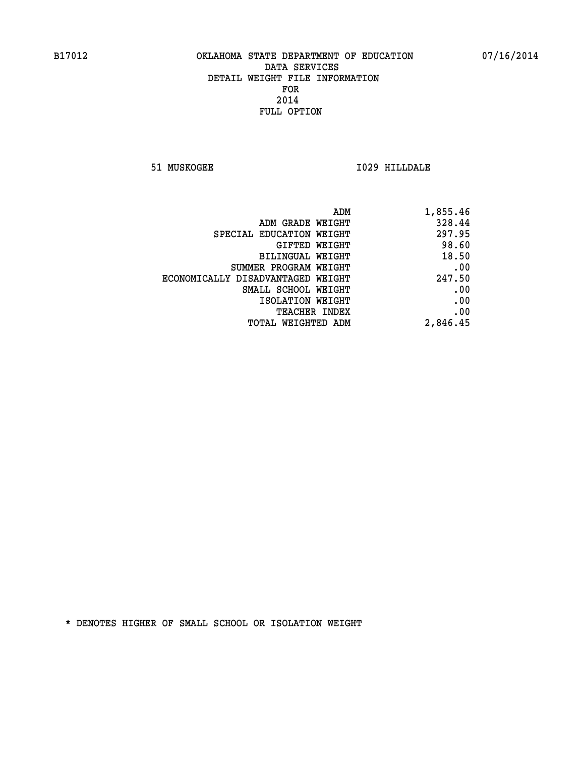**51 MUSKOGEE I029 HILLDALE** 

| ADM                               | 1,855.46 |
|-----------------------------------|----------|
| ADM GRADE WEIGHT                  | 328.44   |
| SPECIAL EDUCATION WEIGHT          | 297.95   |
| GIFTED WEIGHT                     | 98.60    |
| BILINGUAL WEIGHT                  | 18.50    |
| SUMMER PROGRAM WEIGHT             | .00      |
| ECONOMICALLY DISADVANTAGED WEIGHT | 247.50   |
| SMALL SCHOOL WEIGHT               | .00      |
| ISOLATION WEIGHT                  | .00      |
| TEACHER INDEX                     | .00      |
| TOTAL WEIGHTED ADM                | 2,846.45 |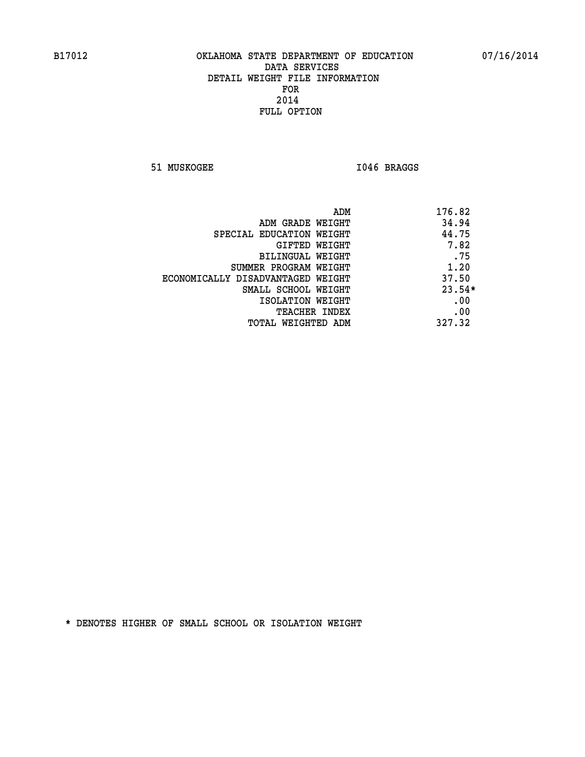51 MUSKOGEE 1046 BRAGGS

| ADM                               | 176.82   |
|-----------------------------------|----------|
| ADM GRADE WEIGHT                  | 34.94    |
| SPECIAL EDUCATION WEIGHT          | 44.75    |
| GIFTED WEIGHT                     | 7.82     |
| BILINGUAL WEIGHT                  | .75      |
| SUMMER PROGRAM WEIGHT             | 1.20     |
| ECONOMICALLY DISADVANTAGED WEIGHT | 37.50    |
| SMALL SCHOOL WEIGHT               | $23.54*$ |
| ISOLATION WEIGHT                  | .00      |
| <b>TEACHER INDEX</b>              | .00      |
| TOTAL WEIGHTED ADM                | 327.32   |
|                                   |          |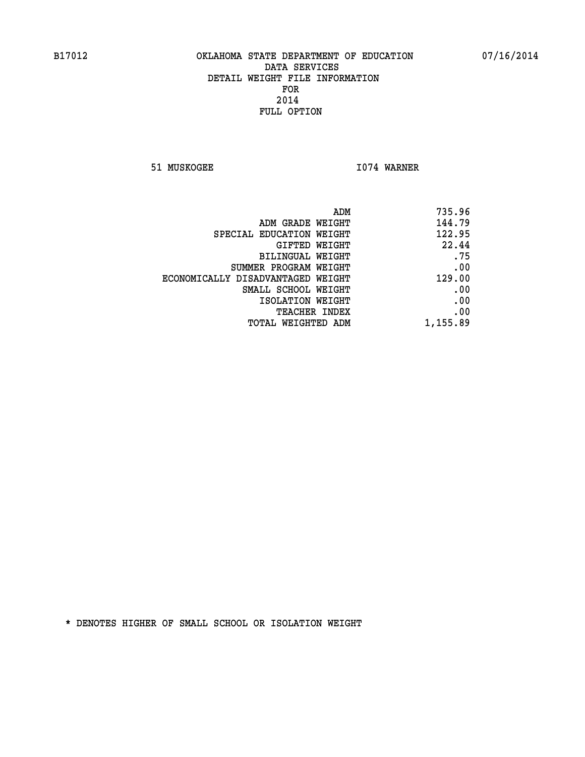**51 MUSKOGEE 1074 WARNER** 

| ADM                               | 735.96   |
|-----------------------------------|----------|
| ADM GRADE WEIGHT                  | 144.79   |
| SPECIAL EDUCATION WEIGHT          | 122.95   |
| GIFTED WEIGHT                     | 22.44    |
| BILINGUAL WEIGHT                  | .75      |
| SUMMER PROGRAM WEIGHT             | .00      |
| ECONOMICALLY DISADVANTAGED WEIGHT | 129.00   |
| SMALL SCHOOL WEIGHT               | .00      |
| ISOLATION WEIGHT                  | .00      |
| <b>TEACHER INDEX</b>              | .00      |
| TOTAL WEIGHTED ADM                | 1,155.89 |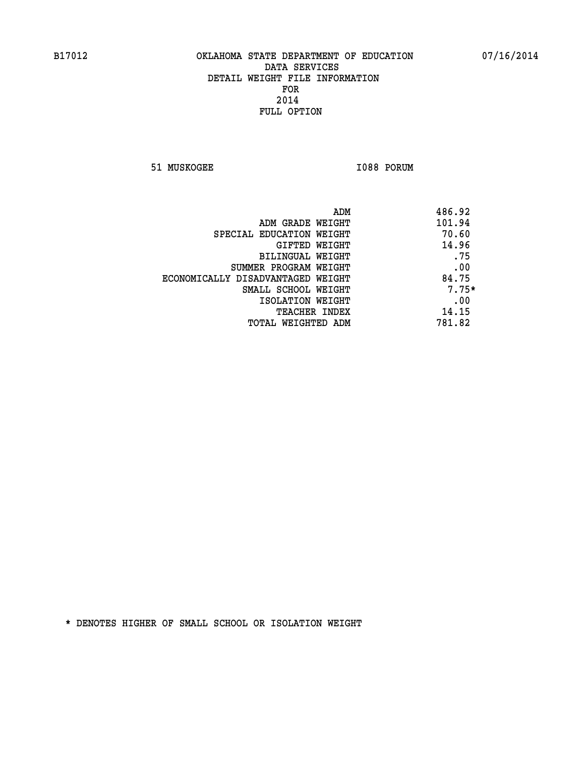**51 MUSKOGEE 1088 PORUM** 

| ADM                               | 486.92  |
|-----------------------------------|---------|
| ADM GRADE WEIGHT                  | 101.94  |
| SPECIAL EDUCATION WEIGHT          | 70.60   |
| GIFTED WEIGHT                     | 14.96   |
| BILINGUAL WEIGHT                  | .75     |
| SUMMER PROGRAM WEIGHT             | .00     |
| ECONOMICALLY DISADVANTAGED WEIGHT | 84.75   |
| SMALL SCHOOL WEIGHT               | $7.75*$ |
| ISOLATION WEIGHT                  | .00     |
| <b>TEACHER INDEX</b>              | 14.15   |
| TOTAL WEIGHTED ADM                | 781.82  |
|                                   |         |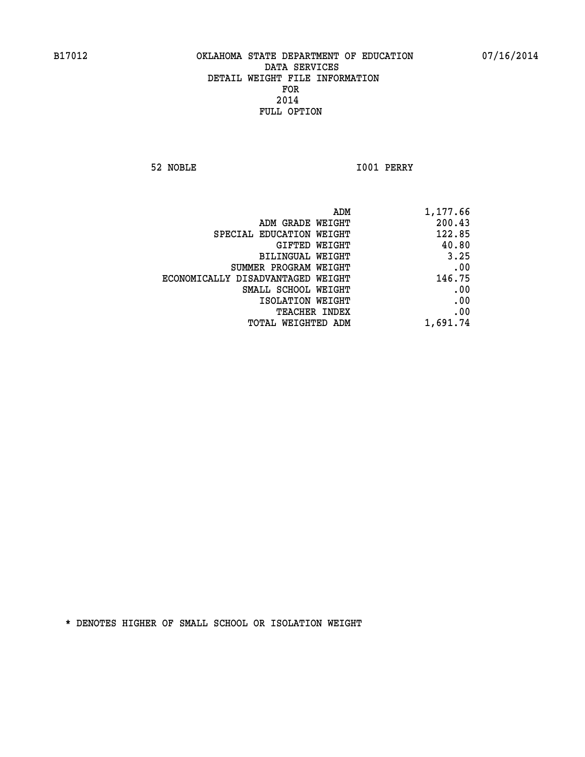**52 NOBLE I001 PERRY** 

| 1,177.66 |
|----------|
| 200.43   |
| 122.85   |
| 40.80    |
| 3.25     |
| .00      |
| 146.75   |
| .00      |
| .00      |
| .00      |
| 1,691.74 |
|          |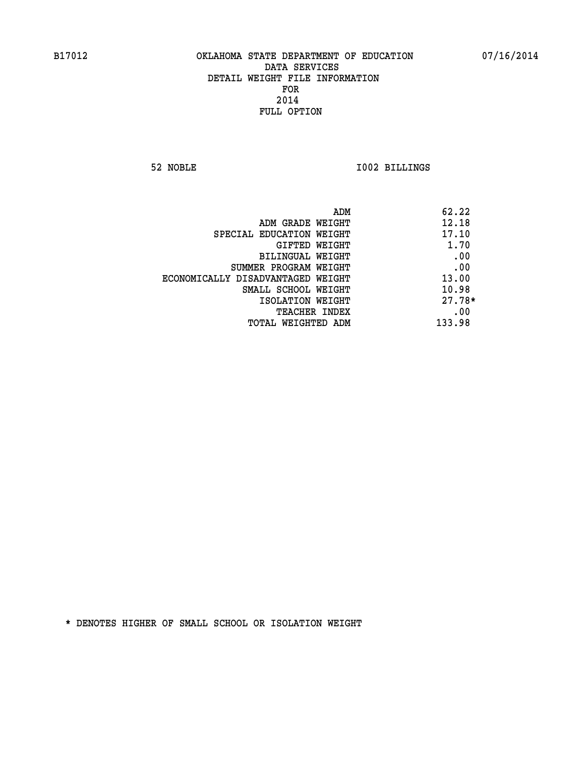**52 NOBLE I002 BILLINGS** 

|                                   | ADM<br>62.22 |
|-----------------------------------|--------------|
| ADM GRADE WEIGHT                  | 12.18        |
| SPECIAL EDUCATION WEIGHT          | 17.10        |
| <b>GIFTED WEIGHT</b>              | 1.70         |
| BILINGUAL WEIGHT                  | .00          |
| SUMMER PROGRAM WEIGHT             | .00          |
| ECONOMICALLY DISADVANTAGED WEIGHT | 13.00        |
| SMALL SCHOOL WEIGHT               | 10.98        |
| ISOLATION WEIGHT                  | $27.78*$     |
| TEACHER INDEX                     | .00          |
| TOTAL WEIGHTED ADM                | 133.98       |
|                                   |              |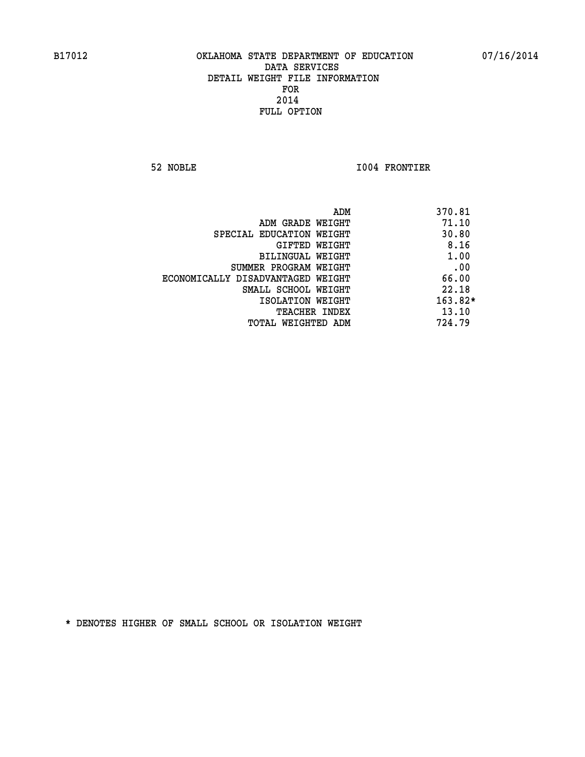**52 NOBLE I004 FRONTIER** 

|                                   | ADM<br>370.81 |           |
|-----------------------------------|---------------|-----------|
| ADM GRADE WEIGHT                  |               | 71.10     |
| SPECIAL EDUCATION WEIGHT          |               | 30.80     |
| GIFTED WEIGHT                     |               | 8.16      |
| BILINGUAL WEIGHT                  |               | 1.00      |
| SUMMER PROGRAM WEIGHT             |               | .00       |
| ECONOMICALLY DISADVANTAGED WEIGHT |               | 66.00     |
| SMALL SCHOOL WEIGHT               |               | 22.18     |
| ISOLATION WEIGHT                  |               | $163.82*$ |
| TEACHER INDEX                     |               | 13.10     |
| TOTAL WEIGHTED ADM                | 724.79        |           |
|                                   |               |           |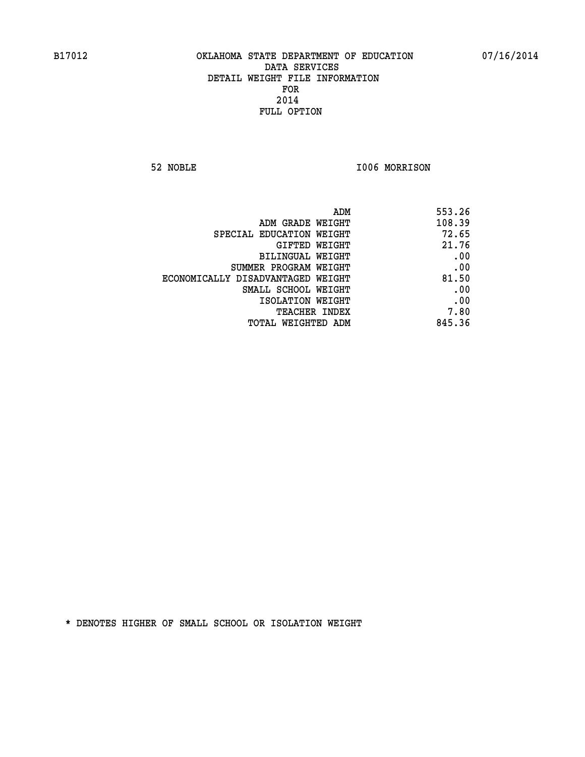**52 NOBLE I006 MORRISON** 

| ADM                               | 553.26 |
|-----------------------------------|--------|
| ADM GRADE WEIGHT                  | 108.39 |
| SPECIAL EDUCATION WEIGHT          | 72.65  |
| GIFTED WEIGHT                     | 21.76  |
| BILINGUAL WEIGHT                  | .00    |
| SUMMER PROGRAM WEIGHT             | .00    |
| ECONOMICALLY DISADVANTAGED WEIGHT | 81.50  |
| SMALL SCHOOL WEIGHT               | .00    |
| ISOLATION WEIGHT                  | .00    |
| <b>TEACHER INDEX</b>              | 7.80   |
| TOTAL WEIGHTED ADM                | 845.36 |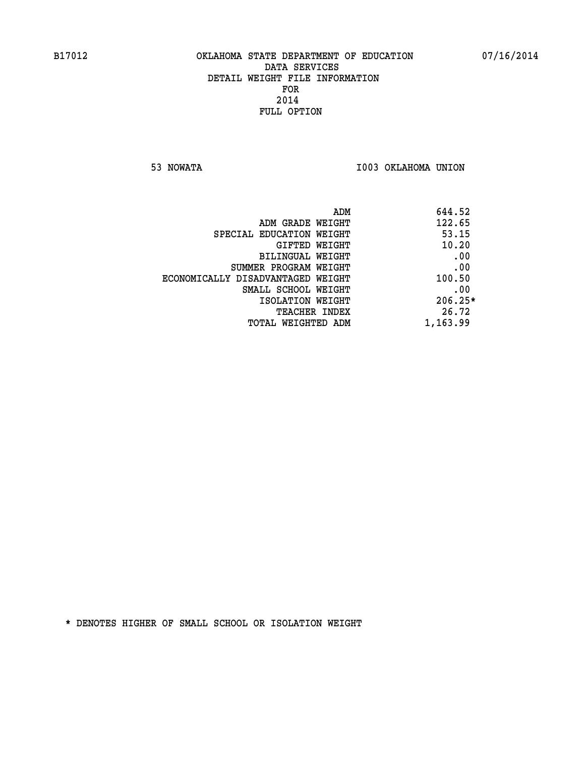**53 NOWATA I003 OKLAHOMA UNION** 

| 644.52<br>ADM |                                   |
|---------------|-----------------------------------|
| 122.65        | ADM GRADE WEIGHT                  |
| 53.15         | SPECIAL EDUCATION WEIGHT          |
| 10.20         | GIFTED WEIGHT                     |
| .00           | BILINGUAL WEIGHT                  |
| .00           | SUMMER PROGRAM WEIGHT             |
| 100.50        | ECONOMICALLY DISADVANTAGED WEIGHT |
| .00           | SMALL SCHOOL WEIGHT               |
| $206.25*$     | ISOLATION WEIGHT                  |
| 26.72         | <b>TEACHER INDEX</b>              |
| 1,163.99      | TOTAL WEIGHTED ADM                |
|               |                                   |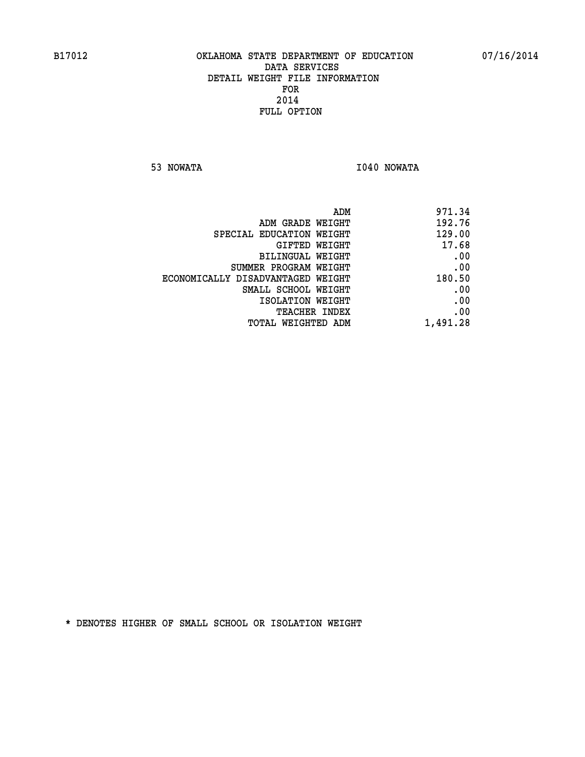**53 NOWATA I040 NOWATA** 

| 971.34                                                                                                                                                                                  |
|-----------------------------------------------------------------------------------------------------------------------------------------------------------------------------------------|
| 192.76                                                                                                                                                                                  |
| 129.00                                                                                                                                                                                  |
| 17.68                                                                                                                                                                                   |
| .00                                                                                                                                                                                     |
| .00                                                                                                                                                                                     |
| 180.50                                                                                                                                                                                  |
| .00                                                                                                                                                                                     |
| .00                                                                                                                                                                                     |
| .00                                                                                                                                                                                     |
| 1,491.28                                                                                                                                                                                |
| ADM GRADE WEIGHT<br>SPECIAL EDUCATION WEIGHT<br>GIFTED WEIGHT<br>BILINGUAL WEIGHT<br>SUMMER PROGRAM WEIGHT<br>ECONOMICALLY DISADVANTAGED WEIGHT<br>SMALL SCHOOL WEIGHT<br>TEACHER INDEX |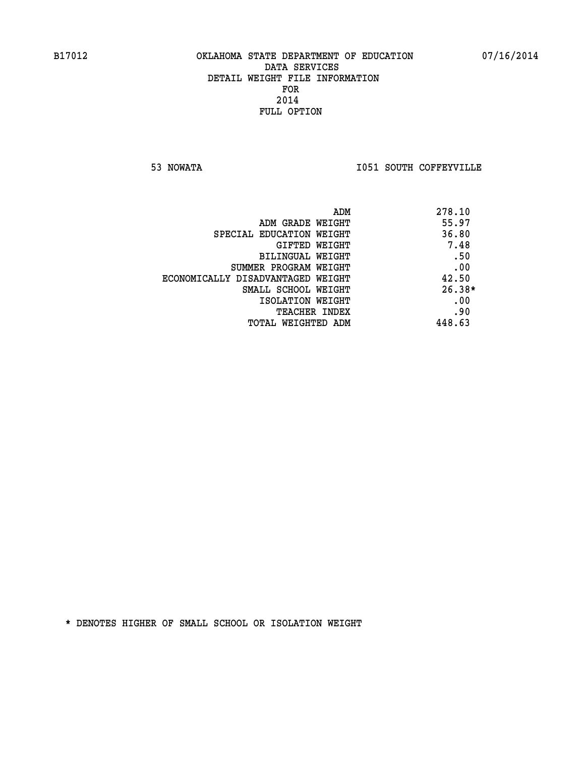**53 NOWATA I051 SOUTH COFFEYVILLE** 

| ADM                               | 278.10   |
|-----------------------------------|----------|
| ADM GRADE WEIGHT                  | 55.97    |
| SPECIAL EDUCATION WEIGHT          | 36.80    |
| <b>GIFTED WEIGHT</b>              | 7.48     |
| <b>BILINGUAL WEIGHT</b>           | .50      |
| SUMMER PROGRAM WEIGHT             | .00      |
| ECONOMICALLY DISADVANTAGED WEIGHT | 42.50    |
| SMALL SCHOOL WEIGHT               | $26.38*$ |
| ISOLATION WEIGHT                  | .00      |
| <b>TEACHER INDEX</b>              | .90      |
| TOTAL WEIGHTED ADM                | 448.63   |
|                                   |          |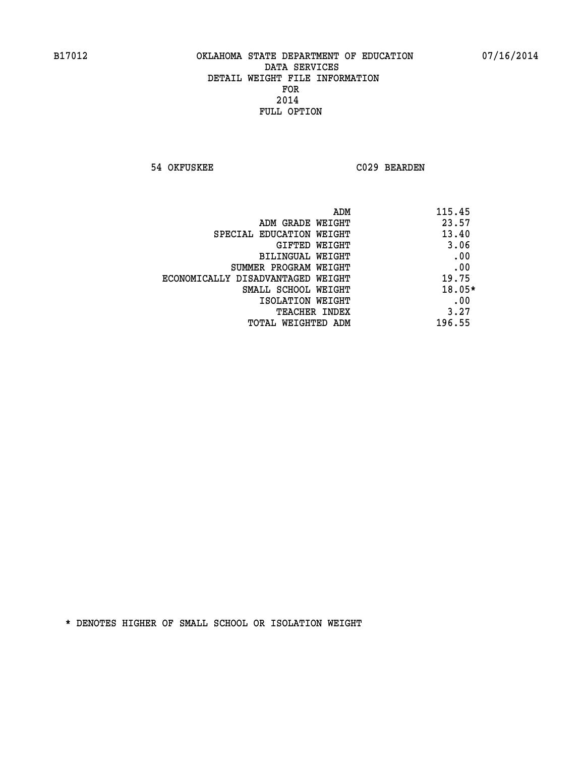**54 OKFUSKEE C029 BEARDEN** 

| ADM<br>115.45                              |
|--------------------------------------------|
| 23.57<br>ADM GRADE WEIGHT                  |
| 13.40<br>SPECIAL EDUCATION WEIGHT          |
| 3.06<br>GIFTED WEIGHT                      |
| .00<br>BILINGUAL WEIGHT                    |
| .00<br>SUMMER PROGRAM WEIGHT               |
| 19.75<br>ECONOMICALLY DISADVANTAGED WEIGHT |
| $18.05*$<br>SMALL SCHOOL WEIGHT            |
| .00<br>ISOLATION WEIGHT                    |
| 3.27<br><b>TEACHER INDEX</b>               |
| 196.55<br>TOTAL WEIGHTED ADM               |
|                                            |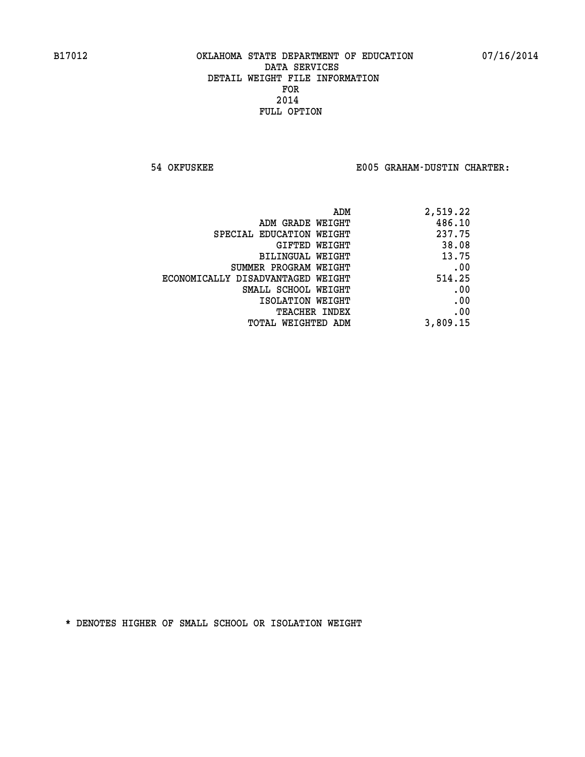**54 OKFUSKEE E005 GRAHAM-DUSTIN CHARTER:**

| ADM                               | 2,519.22 |
|-----------------------------------|----------|
| ADM GRADE WEIGHT                  | 486.10   |
| SPECIAL EDUCATION WEIGHT          | 237.75   |
| GIFTED WEIGHT                     | 38.08    |
| BILINGUAL WEIGHT                  | 13.75    |
| SUMMER PROGRAM WEIGHT             | .00      |
| ECONOMICALLY DISADVANTAGED WEIGHT | 514.25   |
| SMALL SCHOOL WEIGHT               | .00      |
| ISOLATION WEIGHT                  | .00      |
| <b>TEACHER INDEX</b>              | .00      |
| TOTAL WEIGHTED ADM                | 3,809.15 |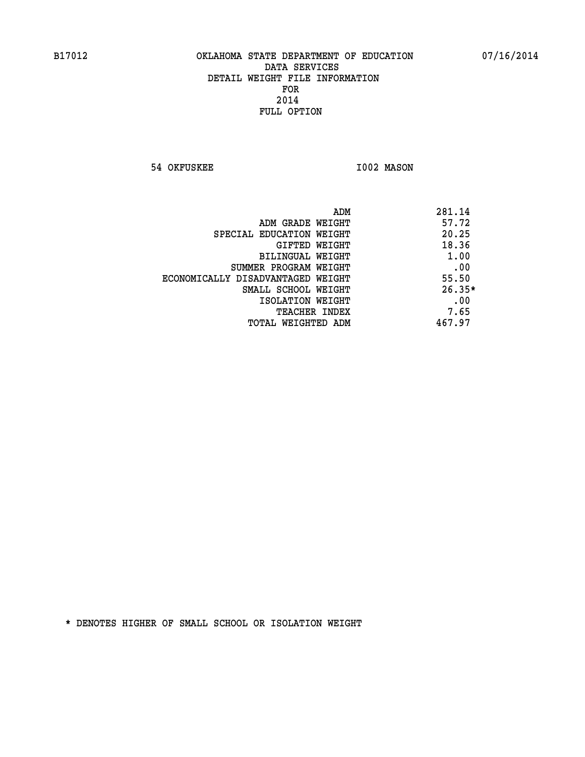**54 OKFUSKEE 1002 MASON** 

| ADM                               | 281.14   |
|-----------------------------------|----------|
| ADM GRADE WEIGHT                  | 57.72    |
| SPECIAL EDUCATION WEIGHT          | 20.25    |
| GIFTED WEIGHT                     | 18.36    |
| BILINGUAL WEIGHT                  | 1.00     |
| SUMMER PROGRAM WEIGHT             | .00      |
| ECONOMICALLY DISADVANTAGED WEIGHT | 55.50    |
| SMALL SCHOOL WEIGHT               | $26.35*$ |
| ISOLATION WEIGHT                  | .00      |
| <b>TEACHER INDEX</b>              | 7.65     |
| TOTAL WEIGHTED ADM                | 467.97   |
|                                   |          |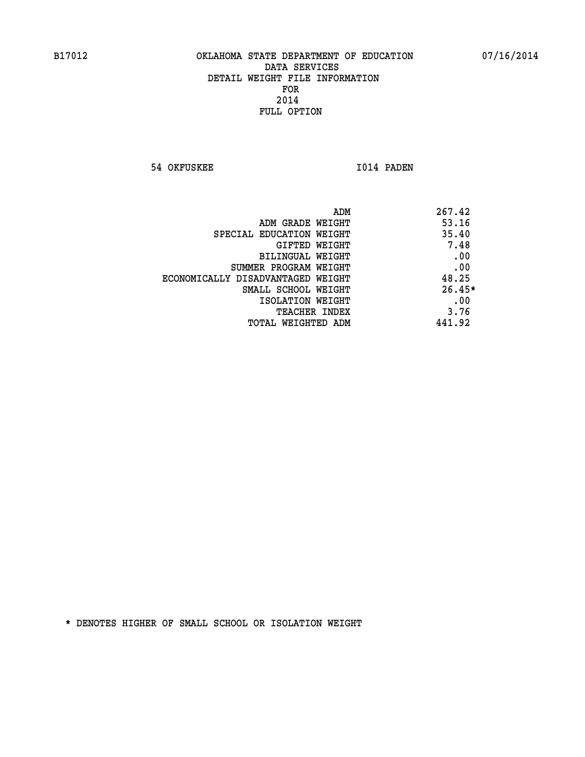**54 OKFUSKEE 1014 PADEN** 

| 267.42<br>ADM                |                                   |
|------------------------------|-----------------------------------|
| 53.16                        | ADM GRADE WEIGHT                  |
| 35.40                        | SPECIAL EDUCATION WEIGHT          |
| 7.48<br>GIFTED WEIGHT        |                                   |
| .00                          | BILINGUAL WEIGHT                  |
| .00                          | SUMMER PROGRAM WEIGHT             |
| 48.25                        | ECONOMICALLY DISADVANTAGED WEIGHT |
| $26.45*$                     | SMALL SCHOOL WEIGHT               |
| .00                          | ISOLATION WEIGHT                  |
| 3.76<br><b>TEACHER INDEX</b> |                                   |
| 441.92                       | TOTAL WEIGHTED ADM                |
|                              |                                   |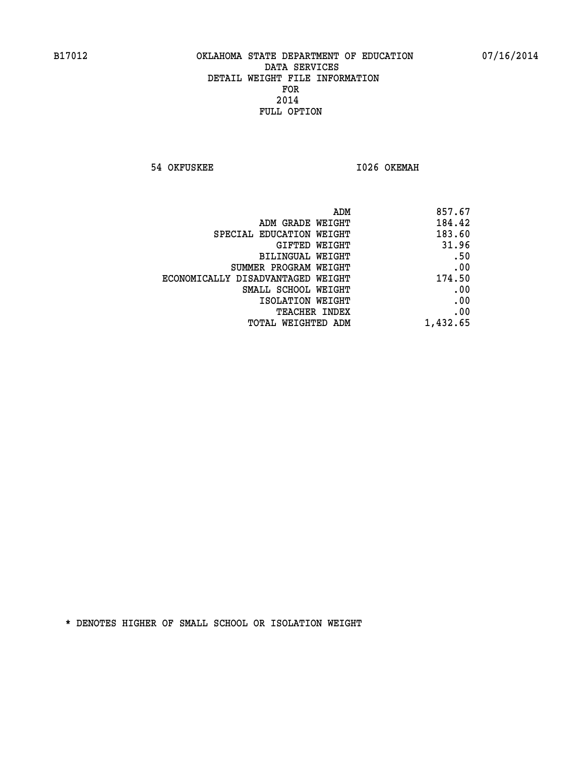**54 OKFUSKEE 1026 OKEMAH** 

|                                   | ADM<br>857.67 |
|-----------------------------------|---------------|
| ADM GRADE WEIGHT                  | 184.42        |
| SPECIAL EDUCATION WEIGHT          | 183.60        |
| GIFTED WEIGHT                     | 31.96         |
| BILINGUAL WEIGHT                  | .50           |
| SUMMER PROGRAM WEIGHT             | .00           |
| ECONOMICALLY DISADVANTAGED WEIGHT | 174.50        |
| SMALL SCHOOL WEIGHT               | .00           |
| ISOLATION WEIGHT                  | .00           |
| TEACHER INDEX                     | .00           |
| TOTAL WEIGHTED ADM                | 1,432.65      |
|                                   |               |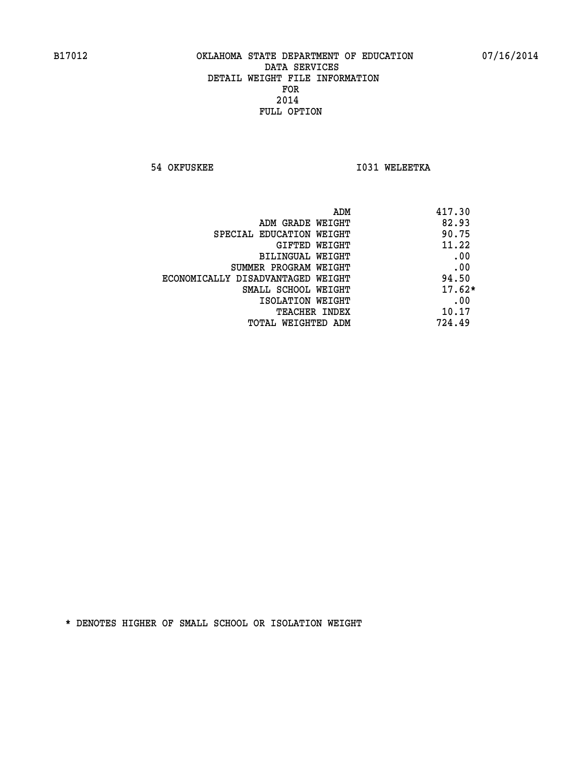**54 OKFUSKEE 1031 WELEETKA** 

| ADM                               | 417.30   |
|-----------------------------------|----------|
| ADM GRADE WEIGHT                  | 82.93    |
| SPECIAL EDUCATION WEIGHT          | 90.75    |
| GIFTED WEIGHT                     | 11.22    |
| BILINGUAL WEIGHT                  | .00      |
| SUMMER PROGRAM WEIGHT             | .00      |
| ECONOMICALLY DISADVANTAGED WEIGHT | 94.50    |
| SMALL SCHOOL WEIGHT               | $17.62*$ |
| ISOLATION WEIGHT                  | .00      |
| <b>TEACHER INDEX</b>              | 10.17    |
| TOTAL WEIGHTED ADM                | 724.49   |
|                                   |          |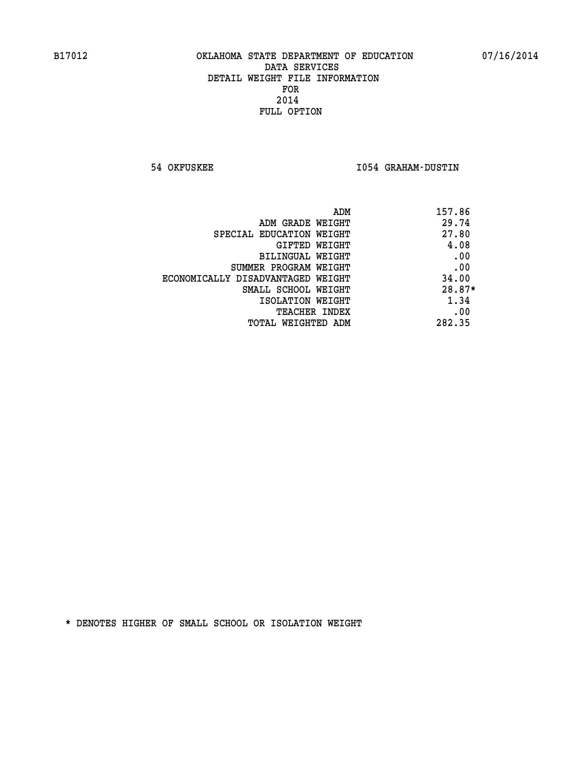**54 OKFUSKEE I054 GRAHAM-DUSTIN** 

| ADM<br>157.86 |                                   |
|---------------|-----------------------------------|
| 29.74         | ADM GRADE WEIGHT                  |
| 27.80         | SPECIAL EDUCATION WEIGHT          |
| 4.08          | <b>GIFTED WEIGHT</b>              |
| .00           | BILINGUAL WEIGHT                  |
| .00           | SUMMER PROGRAM WEIGHT             |
| 34.00         | ECONOMICALLY DISADVANTAGED WEIGHT |
| $28.87*$      | SMALL SCHOOL WEIGHT               |
| 1.34          | ISOLATION WEIGHT                  |
| .00           | <b>TEACHER INDEX</b>              |
| 282.35        | TOTAL WEIGHTED ADM                |
|               |                                   |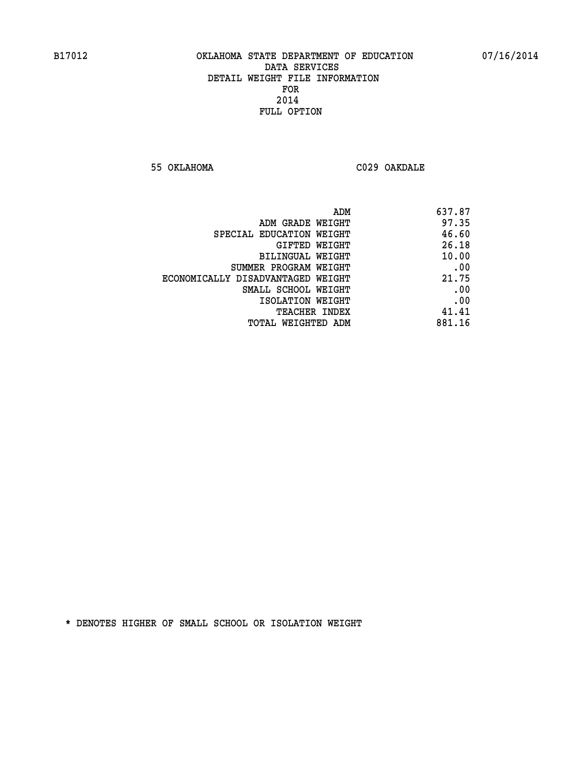**55 OKLAHOMA C029 OAKDALE** 

| 637.87                                     |
|--------------------------------------------|
| 97.35<br>ADM GRADE WEIGHT                  |
| 46.60<br>SPECIAL EDUCATION WEIGHT          |
| 26.18<br><b>GIFTED WEIGHT</b>              |
| 10.00<br><b>BILINGUAL WEIGHT</b>           |
| .00<br>SUMMER PROGRAM WEIGHT               |
| 21.75<br>ECONOMICALLY DISADVANTAGED WEIGHT |
| .00<br>SMALL SCHOOL WEIGHT                 |
| .00<br>ISOLATION WEIGHT                    |
| 41.41<br>TEACHER INDEX                     |
| 881.16<br>TOTAL WEIGHTED ADM               |
| ADM                                        |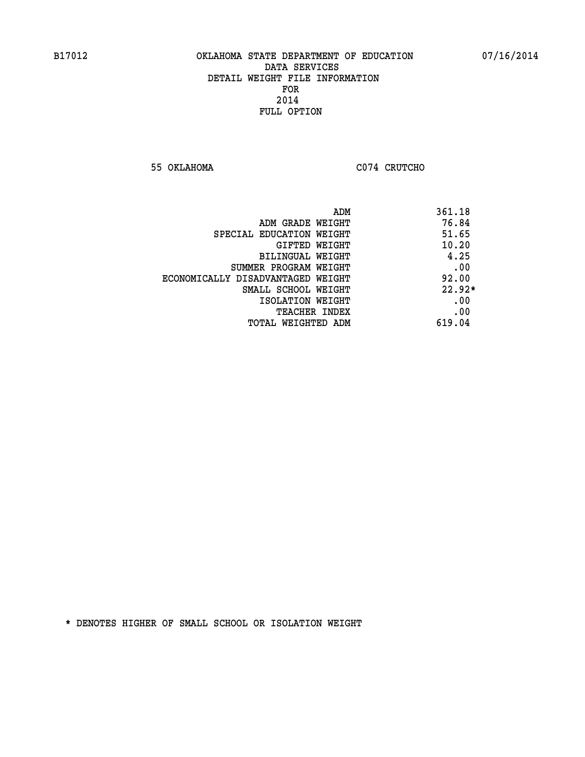**55 OKLAHOMA C074 CRUTCHO** 

| ADM                               | 361.18   |
|-----------------------------------|----------|
| ADM GRADE WEIGHT                  | 76.84    |
| SPECIAL EDUCATION WEIGHT          | 51.65    |
| GIFTED WEIGHT                     | 10.20    |
| BILINGUAL WEIGHT                  | 4.25     |
| SUMMER PROGRAM WEIGHT             | .00      |
| ECONOMICALLY DISADVANTAGED WEIGHT | 92.00    |
| SMALL SCHOOL WEIGHT               | $22.92*$ |
| ISOLATION WEIGHT                  | .00      |
| <b>TEACHER INDEX</b>              | .00      |
| TOTAL WEIGHTED ADM                | 619.04   |
|                                   |          |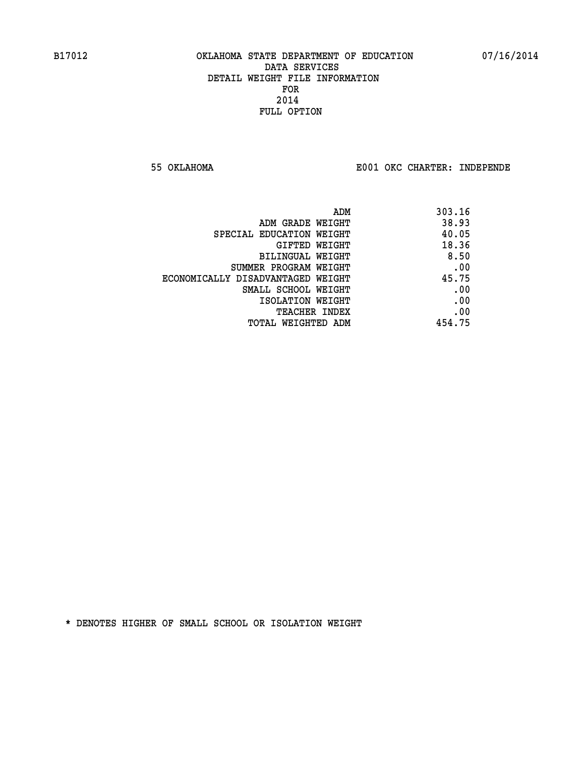**55 OKLAHOMA E001 OKC CHARTER: INDEPENDE**

| 303.16 |
|--------|
| 38.93  |
| 40.05  |
| 18.36  |
| 8.50   |
| .00    |
| 45.75  |
| .00    |
| .00    |
| .00    |
| 454.75 |
|        |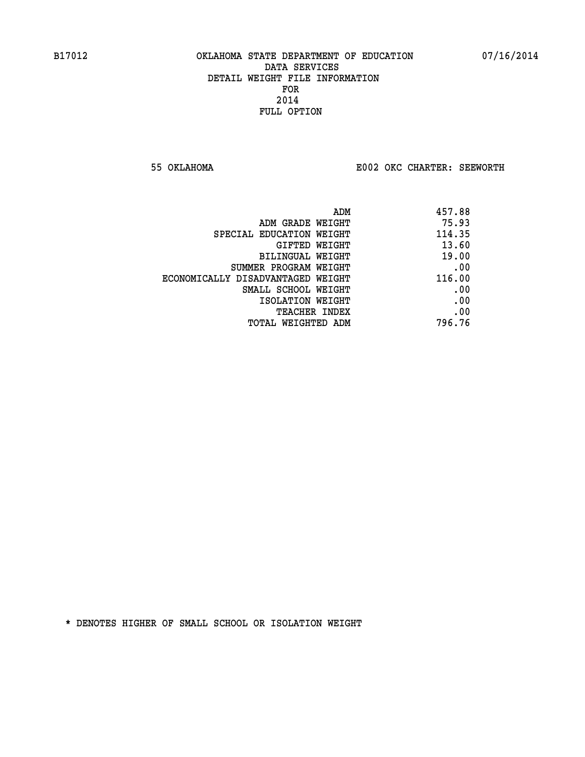**55 OKLAHOMA E002 OKC CHARTER: SEEWORTH** 

| 457.88 |
|--------|
| 75.93  |
| 114.35 |
| 13.60  |
| 19.00  |
| .00    |
| 116.00 |
| .00    |
| .00    |
| .00    |
| 796.76 |
|        |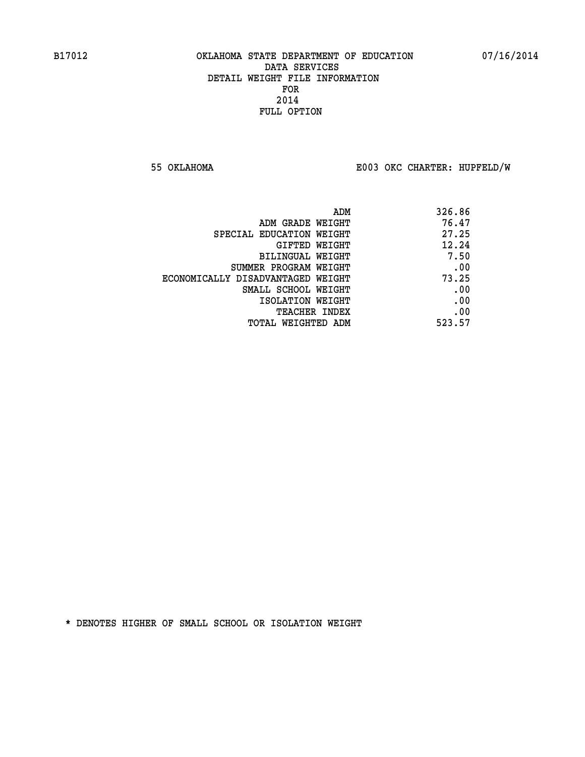**55 OKLAHOMA E003 OKC CHARTER: HUPFELD/W**

| 326.86 |
|--------|
| 76.47  |
| 27.25  |
| 12.24  |
| 7.50   |
| .00    |
| 73.25  |
| .00    |
| .00    |
| .00    |
| 523.57 |
|        |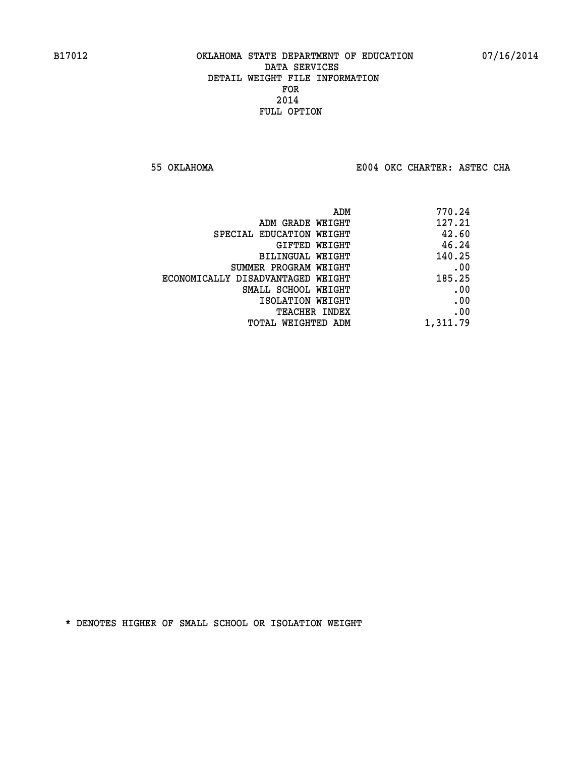**55 OKLAHOMA E004 OKC CHARTER: ASTEC CHA**

|                                   | ADM | 770.24   |
|-----------------------------------|-----|----------|
| ADM GRADE WEIGHT                  |     | 127.21   |
| SPECIAL EDUCATION WEIGHT          |     | 42.60    |
| GIFTED WEIGHT                     |     | 46.24    |
| BILINGUAL WEIGHT                  |     | 140.25   |
| SUMMER PROGRAM WEIGHT             |     | .00      |
| ECONOMICALLY DISADVANTAGED WEIGHT |     | 185.25   |
| SMALL SCHOOL WEIGHT               |     | .00      |
| ISOLATION WEIGHT                  |     | .00      |
| <b>TEACHER INDEX</b>              |     | .00      |
| TOTAL WEIGHTED ADM                |     | 1,311.79 |
|                                   |     |          |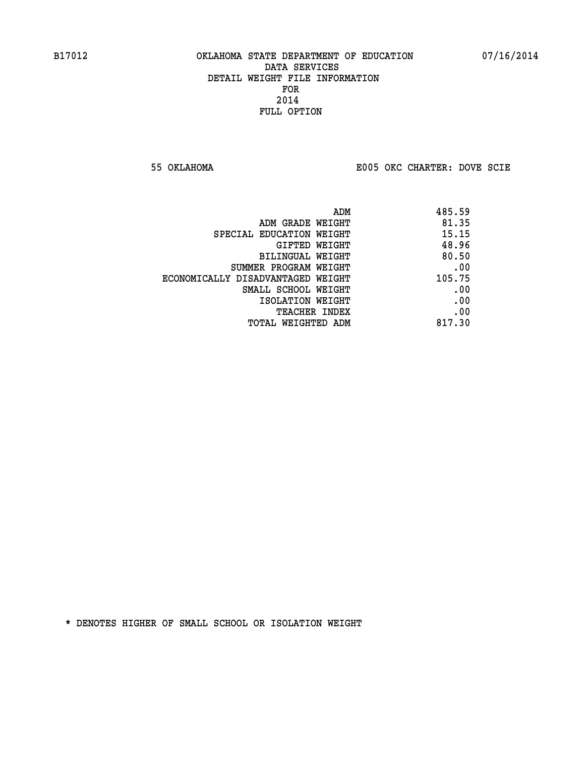**55 OKLAHOMA E005 OKC CHARTER: DOVE SCIE**

|                                   | 485.59<br>ADM |
|-----------------------------------|---------------|
| ADM GRADE WEIGHT                  | 81.35         |
| SPECIAL EDUCATION WEIGHT          | 15.15         |
| GIFTED WEIGHT                     | 48.96         |
| BILINGUAL WEIGHT                  | 80.50         |
| SUMMER PROGRAM WEIGHT             | .00           |
| ECONOMICALLY DISADVANTAGED WEIGHT | 105.75        |
| SMALL SCHOOL WEIGHT               | .00           |
| ISOLATION WEIGHT                  | .00           |
| TEACHER INDEX                     | .00           |
| TOTAL WEIGHTED ADM                | 817.30        |
|                                   |               |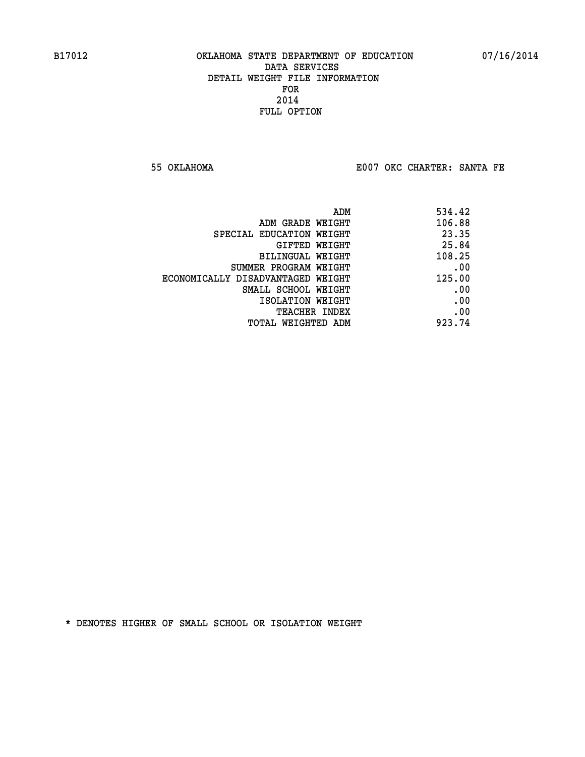**55 OKLAHOMA E007 OKC CHARTER: SANTA FE** 

| 534.42 |
|--------|
| 106.88 |
| 23.35  |
| 25.84  |
| 108.25 |
| .00    |
| 125.00 |
| .00    |
| .00    |
| .00    |
| 923.74 |
|        |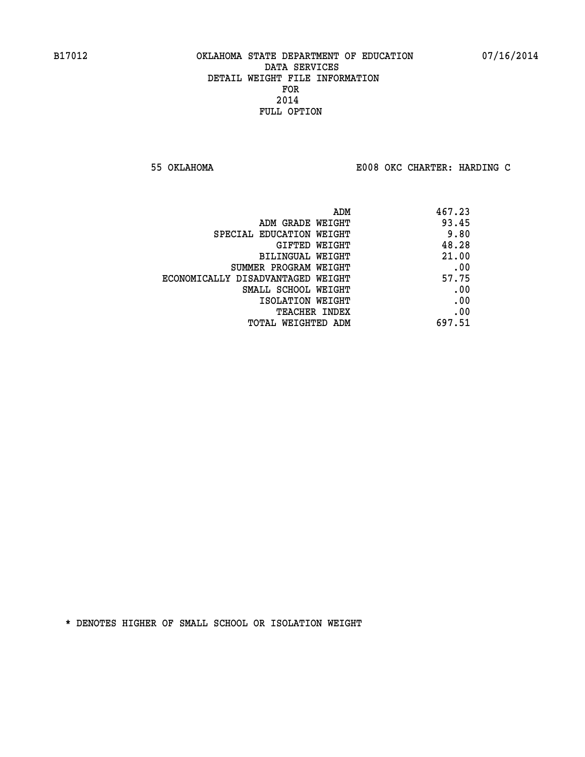**55 OKLAHOMA E008 OKC CHARTER: HARDING C**

| 467.23 |
|--------|
| 93.45  |
| 9.80   |
| 48.28  |
| 21.00  |
| .00    |
| 57.75  |
| .00    |
| .00    |
| .00    |
| 697.51 |
|        |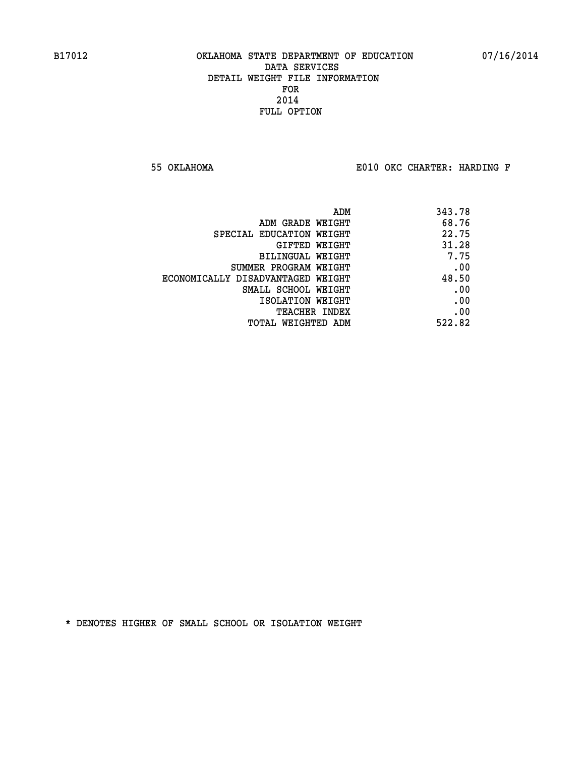**55 OKLAHOMA E010 OKC CHARTER: HARDING F**

| 343.78 |
|--------|
| 68.76  |
| 22.75  |
| 31.28  |
| 7.75   |
| .00    |
| 48.50  |
| .00    |
| .00    |
| .00    |
| 522.82 |
|        |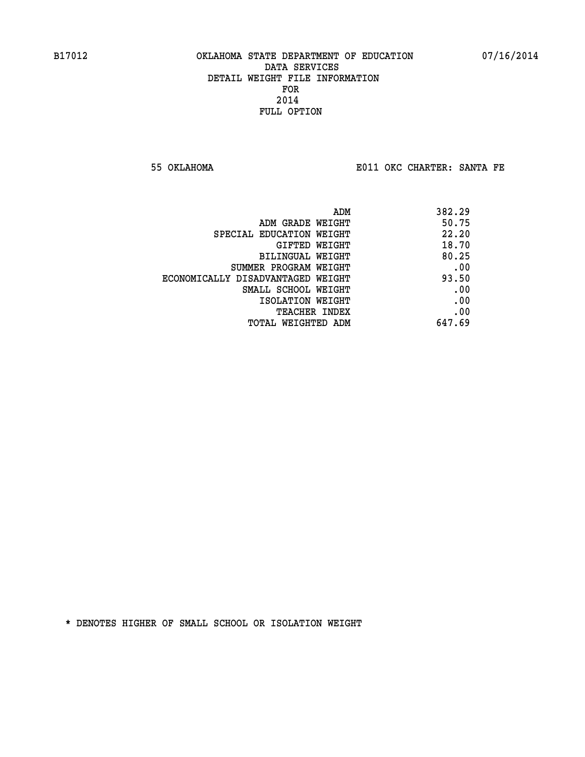**55 OKLAHOMA E011 OKC CHARTER: SANTA FE** 

| ADM                               | 382.29 |
|-----------------------------------|--------|
| ADM GRADE WEIGHT                  | 50.75  |
| SPECIAL EDUCATION WEIGHT          | 22.20  |
| GIFTED WEIGHT                     | 18.70  |
| BILINGUAL WEIGHT                  | 80.25  |
| SUMMER PROGRAM WEIGHT             | .00    |
| ECONOMICALLY DISADVANTAGED WEIGHT | 93.50  |
| SMALL SCHOOL WEIGHT               | .00    |
| ISOLATION WEIGHT                  | .00    |
| <b>TEACHER INDEX</b>              | .00    |
| TOTAL WEIGHTED ADM                | 647.69 |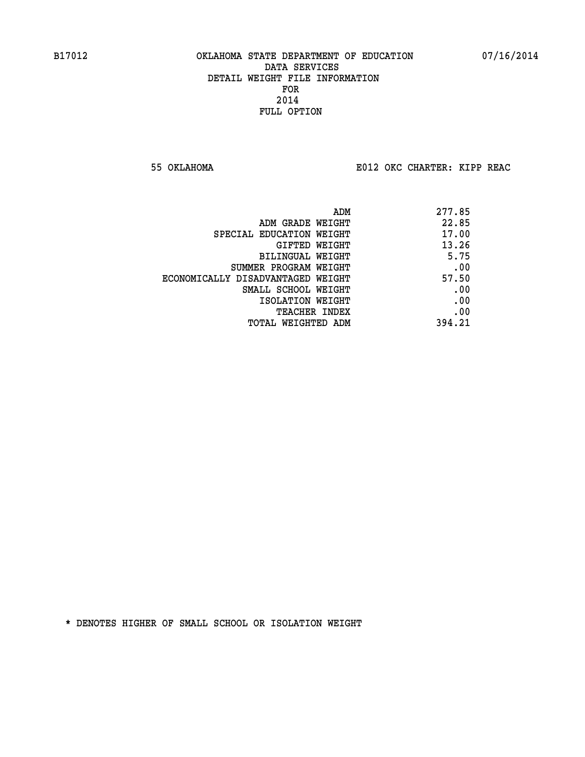**55 OKLAHOMA E012 OKC CHARTER: KIPP REAC**

| ADM                               | 277.85 |
|-----------------------------------|--------|
| ADM GRADE WEIGHT                  | 22.85  |
| SPECIAL EDUCATION WEIGHT          | 17.00  |
| GIFTED WEIGHT                     | 13.26  |
| BILINGUAL WEIGHT                  | 5.75   |
| SUMMER PROGRAM WEIGHT             | .00    |
| ECONOMICALLY DISADVANTAGED WEIGHT | 57.50  |
| SMALL SCHOOL WEIGHT               | .00    |
| ISOLATION WEIGHT                  | .00    |
| <b>TEACHER INDEX</b>              | .00    |
| TOTAL WEIGHTED ADM                | 394.21 |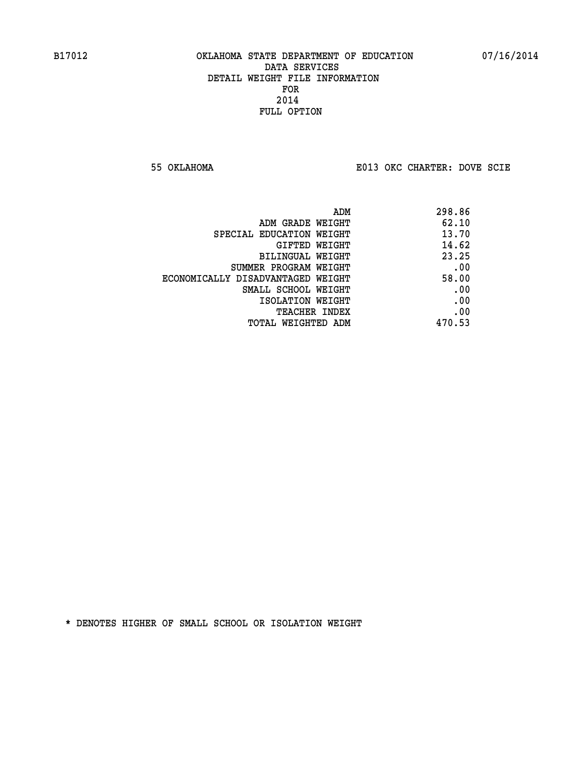**55 OKLAHOMA E013 OKC CHARTER: DOVE SCIE**

|                                   | 298.86<br>ADM |
|-----------------------------------|---------------|
| ADM GRADE WEIGHT                  | 62.10         |
| SPECIAL EDUCATION WEIGHT          | 13.70         |
| GIFTED WEIGHT                     | 14.62         |
| BILINGUAL WEIGHT                  | 23.25         |
| SUMMER PROGRAM WEIGHT             | .00           |
| ECONOMICALLY DISADVANTAGED WEIGHT | 58.00         |
| SMALL SCHOOL WEIGHT               | .00           |
| ISOLATION WEIGHT                  | .00           |
| TEACHER INDEX                     | .00           |
| TOTAL WEIGHTED ADM                | 470.53        |
|                                   |               |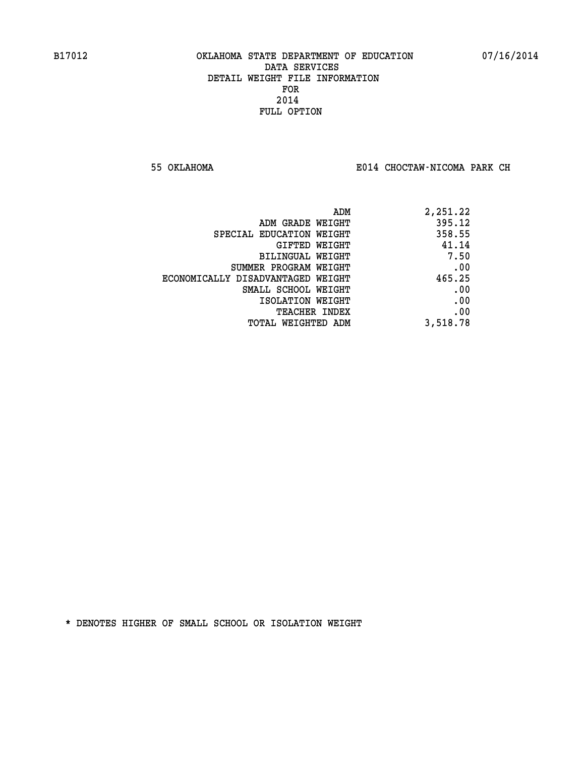**55 OKLAHOMA E014 CHOCTAW-NICOMA PARK CH**

| 2,251.22 |
|----------|
| 395.12   |
| 358.55   |
| 41.14    |
| 7.50     |
| .00      |
| 465.25   |
| .00      |
| .00      |
| .00      |
| 3,518.78 |
|          |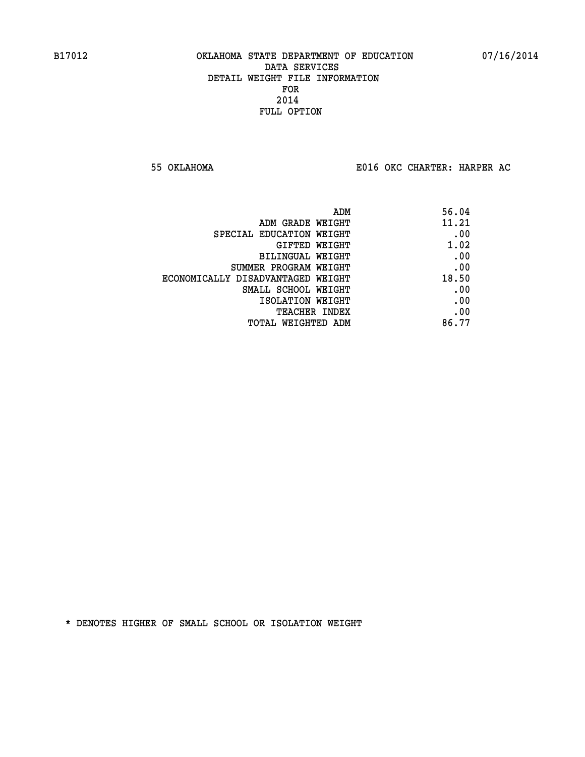**55 OKLAHOMA E016 OKC CHARTER: HARPER AC**

| ADM                               | 56.04 |
|-----------------------------------|-------|
| ADM GRADE WEIGHT                  | 11.21 |
| SPECIAL EDUCATION WEIGHT          | .00   |
| GIFTED WEIGHT                     | 1.02  |
| BILINGUAL WEIGHT                  | .00   |
| SUMMER PROGRAM WEIGHT             | .00   |
| ECONOMICALLY DISADVANTAGED WEIGHT | 18.50 |
| SMALL SCHOOL WEIGHT               | .00   |
| ISOLATION WEIGHT                  | .00   |
| TEACHER INDEX                     | .00   |
| TOTAL WEIGHTED ADM                | 86.77 |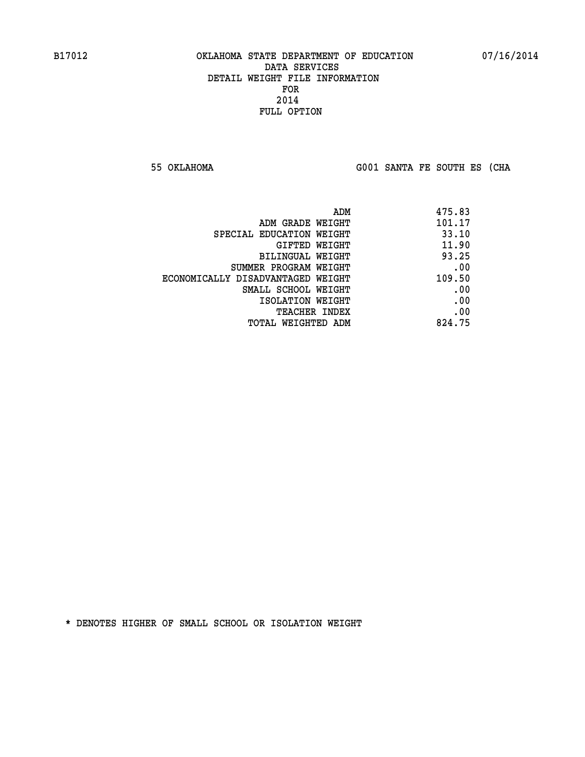**55 OKLAHOMA G001 SANTA FE SOUTH ES (CHA**

| 475.83 |
|--------|
| 101.17 |
| 33.10  |
| 11.90  |
| 93.25  |
| .00    |
| 109.50 |
| .00    |
| .00    |
| .00    |
| 824.75 |
|        |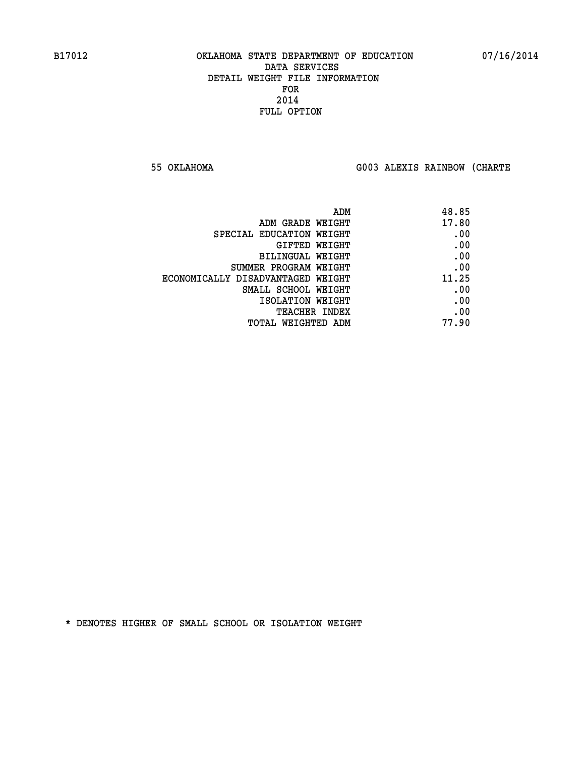**55 OKLAHOMA G003 ALEXIS RAINBOW (CHARTE**

| 48.85 |
|-------|
| 17.80 |
| .00   |
| .00   |
| .00   |
| .00   |
| 11.25 |
| .00   |
| .00   |
| .00   |
| 77.90 |
|       |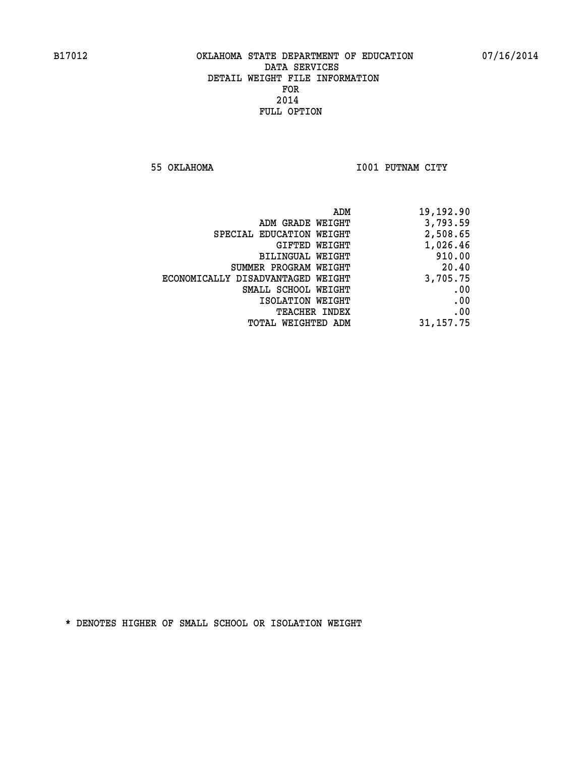**55 OKLAHOMA I001 PUTNAM CITY** 

| 19,192.90   |
|-------------|
| 3,793.59    |
| 2,508.65    |
| 1,026.46    |
| 910.00      |
| 20.40       |
| 3,705.75    |
| .00         |
| .00         |
| .00         |
| 31, 157. 75 |
|             |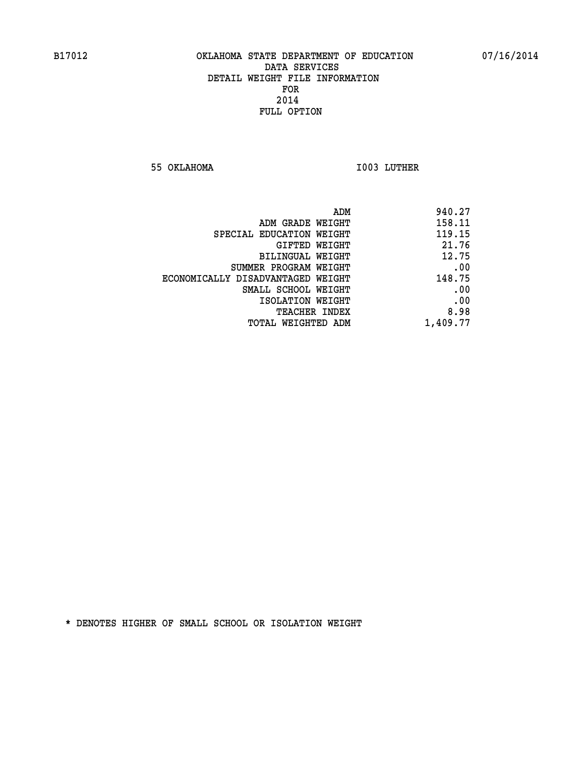**55 OKLAHOMA I003 LUTHER** 

| 940.27   |
|----------|
| 158.11   |
| 119.15   |
| 21.76    |
| 12.75    |
| .00      |
| 148.75   |
| .00      |
| .00      |
| 8.98     |
| 1,409.77 |
|          |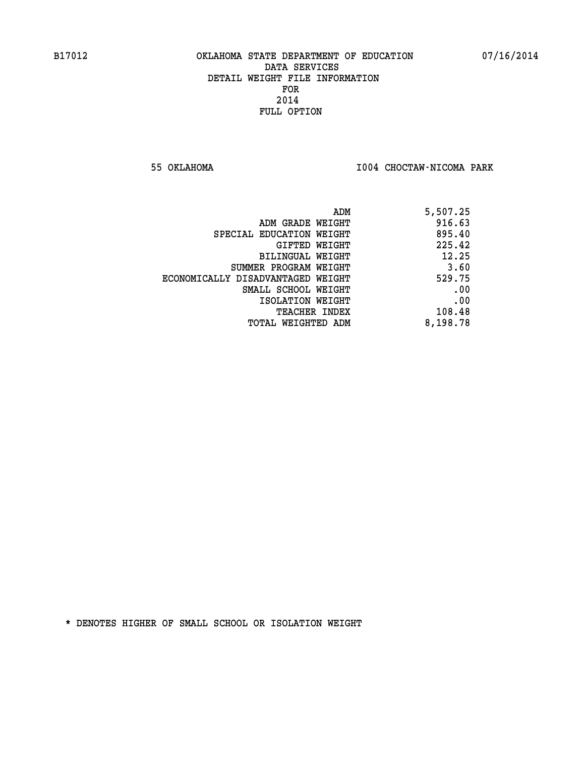**55 OKLAHOMA I004 CHOCTAW-NICOMA PARK** 

| ADM                               | 5,507.25 |
|-----------------------------------|----------|
| ADM GRADE WEIGHT                  | 916.63   |
| SPECIAL EDUCATION WEIGHT          | 895.40   |
| GIFTED WEIGHT                     | 225.42   |
| BILINGUAL WEIGHT                  | 12.25    |
| SUMMER PROGRAM WEIGHT             | 3.60     |
| ECONOMICALLY DISADVANTAGED WEIGHT | 529.75   |
| SMALL SCHOOL WEIGHT               | .00      |
| ISOLATION WEIGHT                  | .00      |
| <b>TEACHER INDEX</b>              | 108.48   |
| TOTAL WEIGHTED ADM                | 8,198.78 |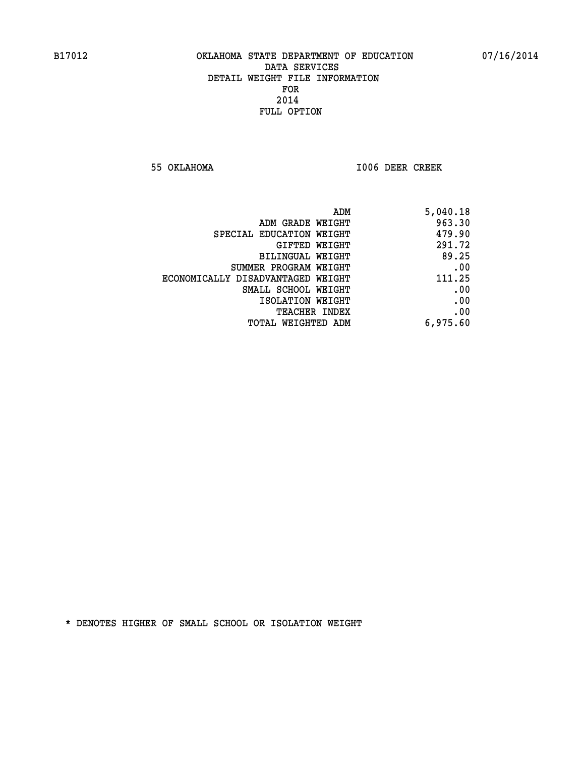**55 OKLAHOMA I006 DEER CREEK** 

| 5,040.18 |
|----------|
| 963.30   |
| 479.90   |
| 291.72   |
| 89.25    |
| .00      |
| 111.25   |
| .00      |
| .00      |
| .00      |
| 6,975.60 |
|          |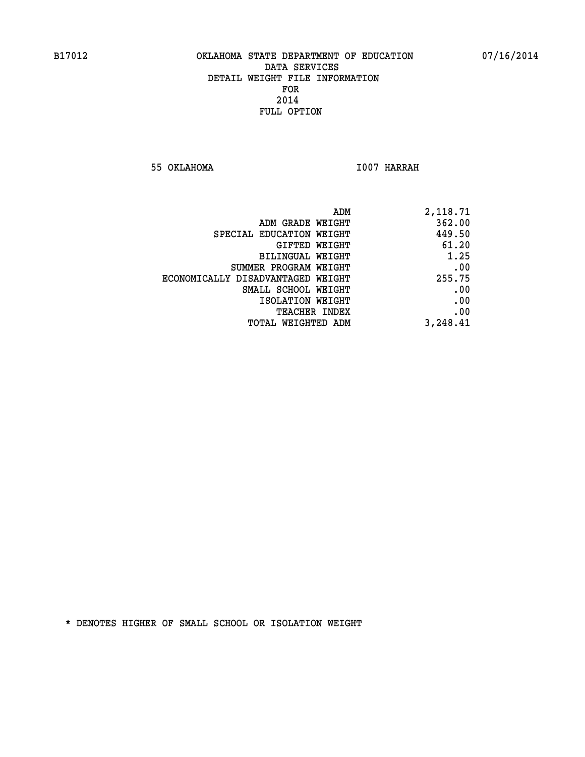**55 OKLAHOMA I007 HARRAH** 

| 2,118.71 |
|----------|
| 362.00   |
| 449.50   |
| 61.20    |
| 1.25     |
| .00      |
| 255.75   |
| .00      |
| .00      |
| .00      |
| 3,248.41 |
|          |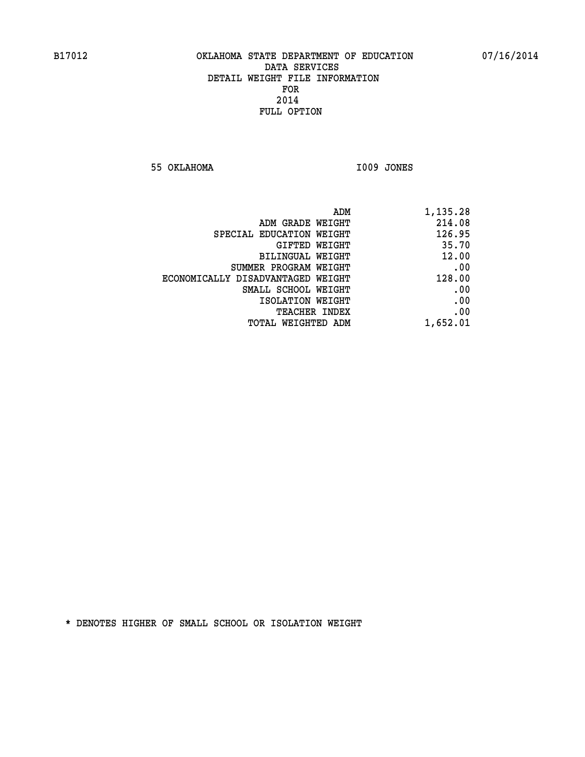**55 OKLAHOMA I009 JONES** 

|                                   | ADM<br>1,135.28 |
|-----------------------------------|-----------------|
| ADM GRADE WEIGHT                  | 214.08          |
| SPECIAL EDUCATION WEIGHT          | 126.95          |
| GIFTED WEIGHT                     | 35.70           |
| <b>BILINGUAL WEIGHT</b>           | 12.00           |
| SUMMER PROGRAM WEIGHT             | .00             |
| ECONOMICALLY DISADVANTAGED WEIGHT | 128.00          |
| SMALL SCHOOL WEIGHT               | .00             |
| ISOLATION WEIGHT                  | .00             |
| TEACHER INDEX                     | .00             |
| TOTAL WEIGHTED ADM                | 1,652.01        |
|                                   |                 |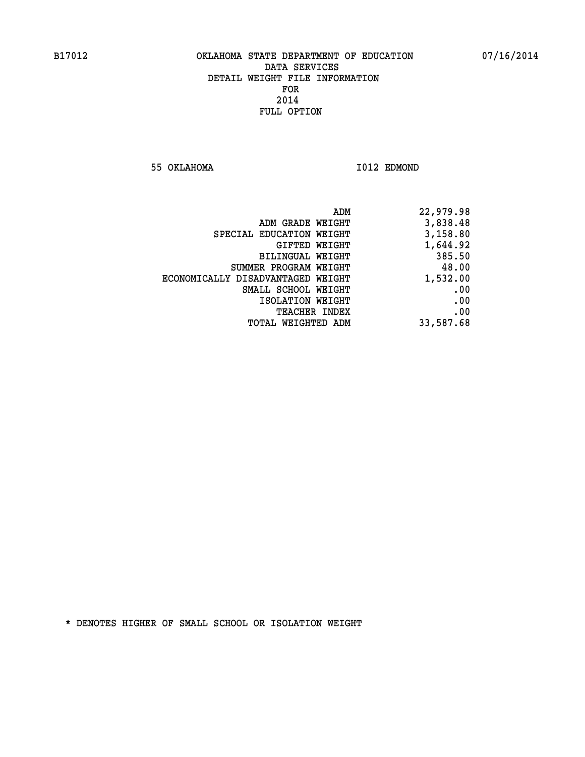**55 OKLAHOMA I012 EDMOND** 

| ADM                               | 22,979.98 |
|-----------------------------------|-----------|
| ADM GRADE WEIGHT                  | 3,838.48  |
| SPECIAL EDUCATION WEIGHT          | 3,158.80  |
| GIFTED WEIGHT                     | 1,644.92  |
| BILINGUAL WEIGHT                  | 385.50    |
| SUMMER PROGRAM WEIGHT             | 48.00     |
| ECONOMICALLY DISADVANTAGED WEIGHT | 1,532.00  |
| SMALL SCHOOL WEIGHT               | .00       |
| ISOLATION WEIGHT                  | .00       |
| TEACHER INDEX                     | .00       |
| TOTAL WEIGHTED ADM                | 33,587.68 |
|                                   |           |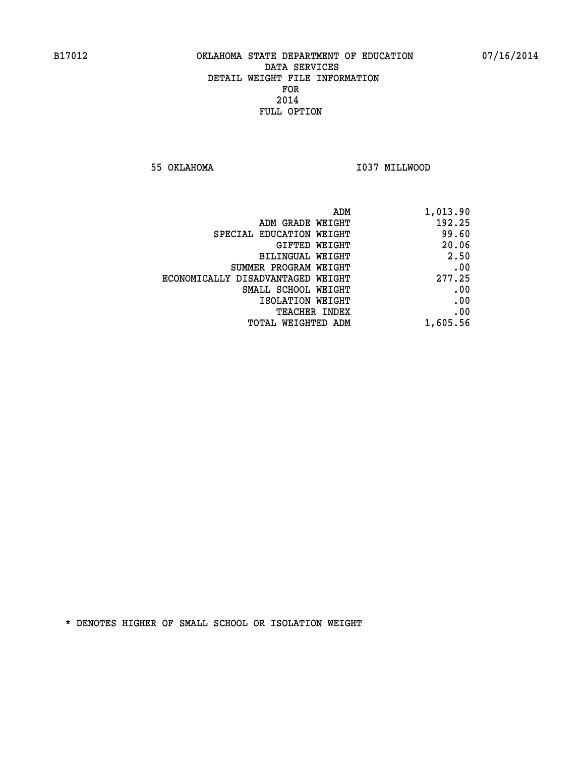**55 OKLAHOMA I037 MILLWOOD** 

| 1,013.90 |
|----------|
| 192.25   |
| 99.60    |
| 20.06    |
| 2.50     |
| .00      |
| 277.25   |
| .00      |
| .00      |
| .00      |
| 1,605.56 |
|          |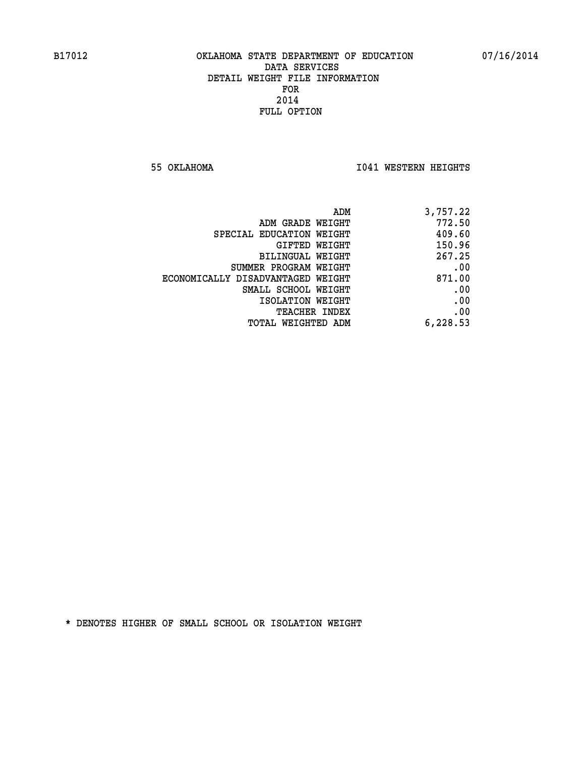**55 OKLAHOMA I041 WESTERN HEIGHTS** 

| ADM                               | 3,757.22 |
|-----------------------------------|----------|
| ADM GRADE WEIGHT                  | 772.50   |
| SPECIAL EDUCATION WEIGHT          | 409.60   |
| <b>GIFTED WEIGHT</b>              | 150.96   |
| BILINGUAL WEIGHT                  | 267.25   |
| SUMMER PROGRAM WEIGHT             | .00      |
| ECONOMICALLY DISADVANTAGED WEIGHT | 871.00   |
| SMALL SCHOOL WEIGHT               | .00      |
| ISOLATION WEIGHT                  | .00      |
| <b>TEACHER INDEX</b>              | .00      |
| TOTAL WEIGHTED ADM                | 6,228.53 |
|                                   |          |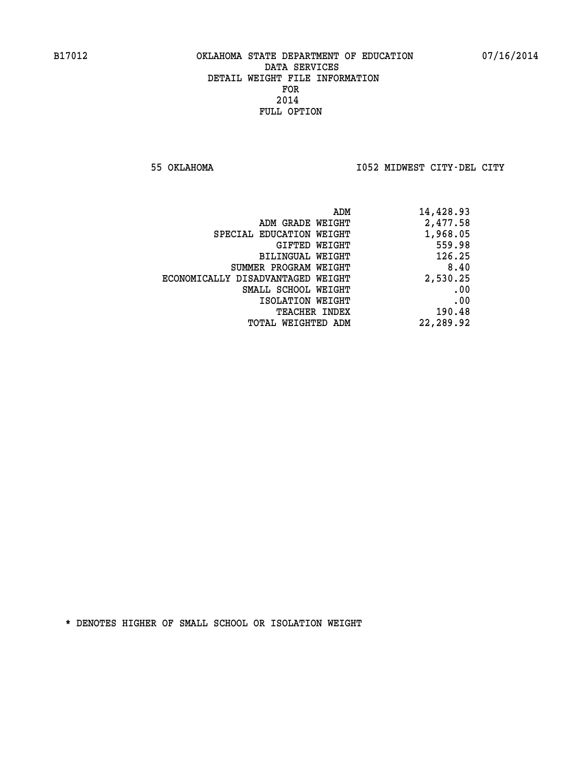**55 OKLAHOMA I052 MIDWEST CITY-DEL CITY** 

| 14,428.93 |
|-----------|
| 2,477.58  |
| 1,968.05  |
| 559.98    |
| 126.25    |
| 8.40      |
| 2,530.25  |
| .00       |
| .00       |
| 190.48    |
| 22,289.92 |
|           |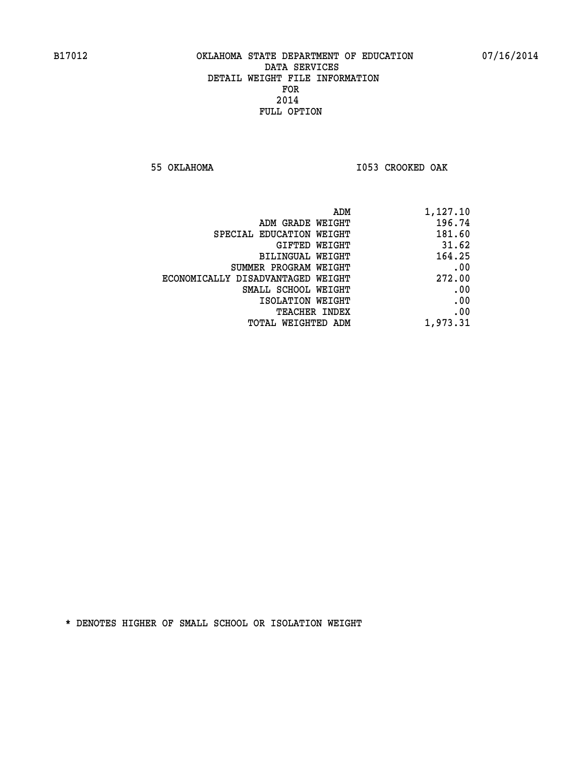**55 OKLAHOMA I053 CROOKED OAK** 

| ADM                               | 1,127.10 |
|-----------------------------------|----------|
| ADM GRADE WEIGHT                  | 196.74   |
| SPECIAL EDUCATION WEIGHT          | 181.60   |
| GIFTED WEIGHT                     | 31.62    |
| BILINGUAL WEIGHT                  | 164.25   |
| SUMMER PROGRAM WEIGHT             | .00      |
| ECONOMICALLY DISADVANTAGED WEIGHT | 272.00   |
| SMALL SCHOOL WEIGHT               | .00      |
| ISOLATION WEIGHT                  | .00      |
| <b>TEACHER INDEX</b>              | .00      |
| TOTAL WEIGHTED ADM                | 1,973.31 |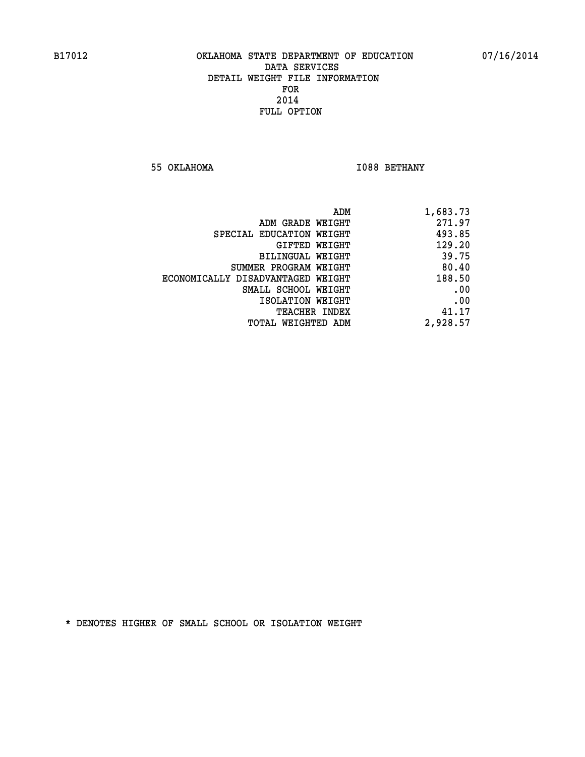**55 OKLAHOMA** 1088 BETHANY

| ADM                               | 1,683.73 |
|-----------------------------------|----------|
| ADM GRADE WEIGHT                  | 271.97   |
| SPECIAL EDUCATION WEIGHT          | 493.85   |
| GIFTED WEIGHT                     | 129.20   |
| <b>BILINGUAL WEIGHT</b>           | 39.75    |
| SUMMER PROGRAM WEIGHT             | 80.40    |
| ECONOMICALLY DISADVANTAGED WEIGHT | 188.50   |
| SMALL SCHOOL WEIGHT               | .00      |
| ISOLATION WEIGHT                  | .00      |
| TEACHER INDEX                     | 41.17    |
| TOTAL WEIGHTED ADM                | 2,928.57 |
|                                   |          |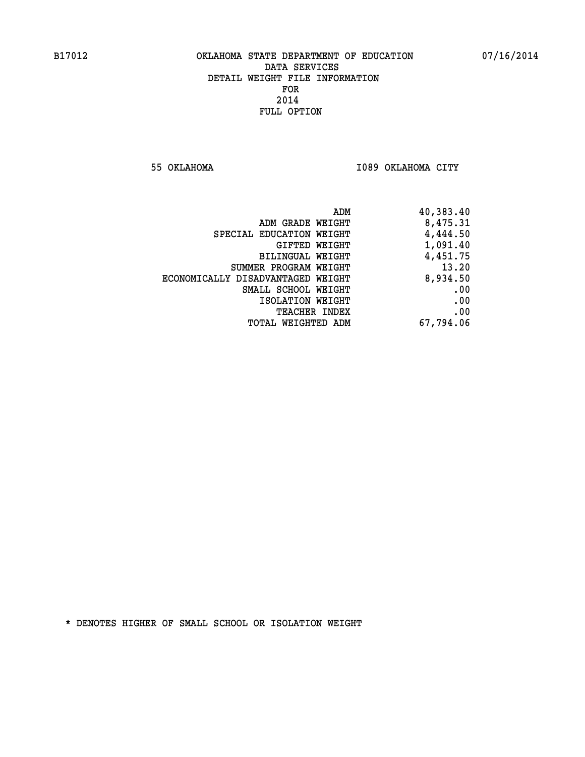**55 OKLAHOMA I089 OKLAHOMA CITY** 

| 40,383.40 |
|-----------|
| 8,475.31  |
| 4,444.50  |
| 1,091.40  |
| 4,451.75  |
| 13.20     |
| 8,934.50  |
| .00       |
| .00       |
| .00       |
| 67,794.06 |
|           |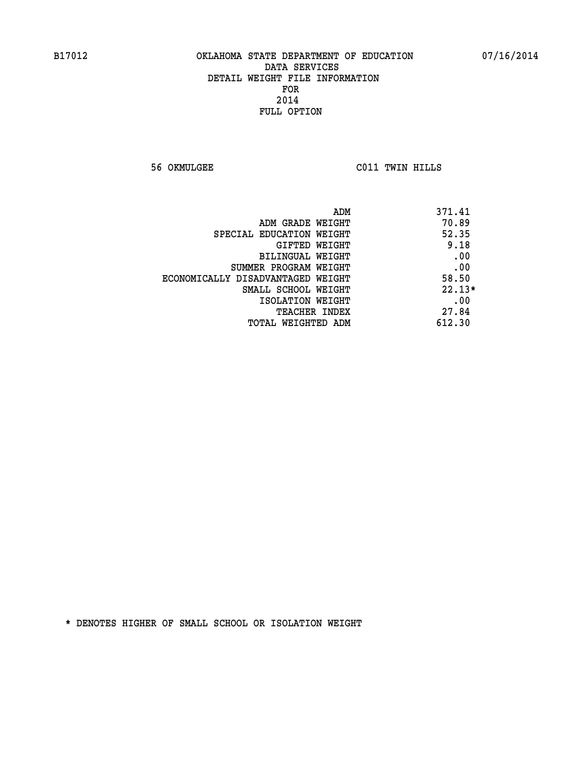**56 OKMULGEE C011 TWIN HILLS** 

| ADM                               | 371.41   |
|-----------------------------------|----------|
| ADM GRADE WEIGHT                  | 70.89    |
| SPECIAL EDUCATION WEIGHT          | 52.35    |
| <b>GIFTED WEIGHT</b>              | 9.18     |
| BILINGUAL WEIGHT                  | .00      |
| SUMMER PROGRAM WEIGHT             | .00      |
| ECONOMICALLY DISADVANTAGED WEIGHT | 58.50    |
| SMALL SCHOOL WEIGHT               | $22.13*$ |
| ISOLATION WEIGHT                  | .00      |
| <b>TEACHER INDEX</b>              | 27.84    |
| TOTAL WEIGHTED ADM                | 612.30   |
|                                   |          |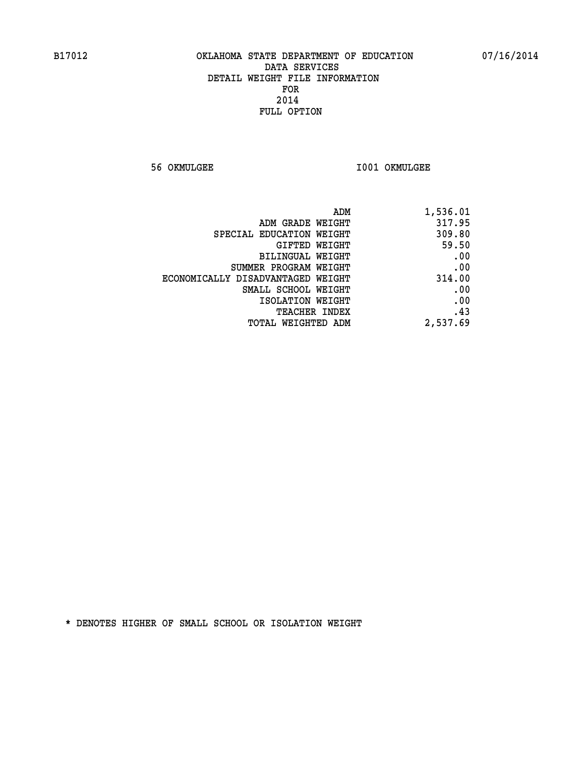**56 OKMULGEE I001 OKMULGEE** 

| ADM<br>1,536.01                             |  |
|---------------------------------------------|--|
| 317.95<br>ADM GRADE WEIGHT                  |  |
| 309.80<br>SPECIAL EDUCATION WEIGHT          |  |
| 59.50<br>GIFTED WEIGHT                      |  |
| .00<br>BILINGUAL WEIGHT                     |  |
| .00<br>SUMMER PROGRAM WEIGHT                |  |
| 314.00<br>ECONOMICALLY DISADVANTAGED WEIGHT |  |
| .00<br>SMALL SCHOOL WEIGHT                  |  |
| .00<br>ISOLATION WEIGHT                     |  |
| .43<br><b>TEACHER INDEX</b>                 |  |
| 2,537.69<br><b>TOTAL WEIGHTED ADM</b>       |  |
|                                             |  |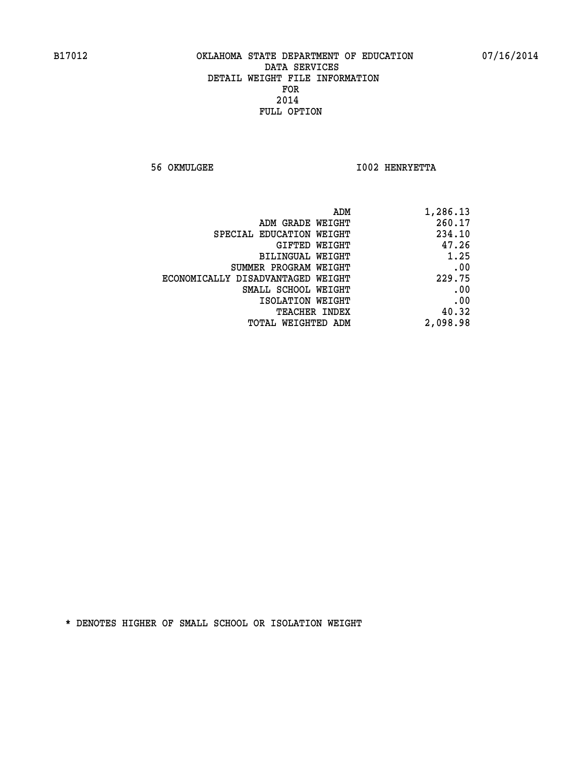**56 OKMULGEE I002 HENRYETTA** 

| 1,286.13 |
|----------|
| 260.17   |
| 234.10   |
| 47.26    |
| 1.25     |
| .00      |
| 229.75   |
| .00      |
| .00      |
| 40.32    |
| 2,098.98 |
|          |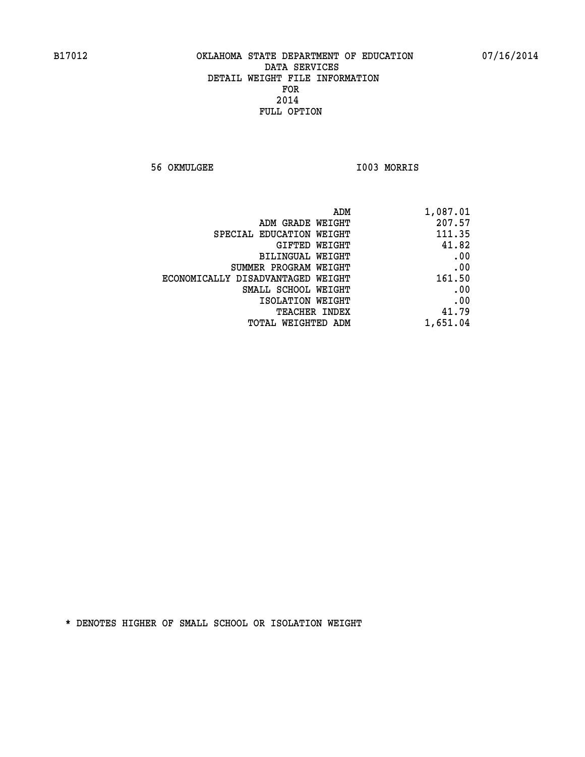**56 OKMULGEE I003 MORRIS** 

| 1,087.01 | ADM                               |
|----------|-----------------------------------|
| 207.57   | ADM GRADE WEIGHT                  |
| 111.35   | SPECIAL EDUCATION WEIGHT          |
| 41.82    | GIFTED WEIGHT                     |
| .00      | BILINGUAL WEIGHT                  |
| .00      | SUMMER PROGRAM WEIGHT             |
| 161.50   | ECONOMICALLY DISADVANTAGED WEIGHT |
| .00      | SMALL SCHOOL WEIGHT               |
| .00      | ISOLATION WEIGHT                  |
| 41.79    | <b>TEACHER INDEX</b>              |
| 1,651.04 | <b>TOTAL WEIGHTED ADM</b>         |
|          |                                   |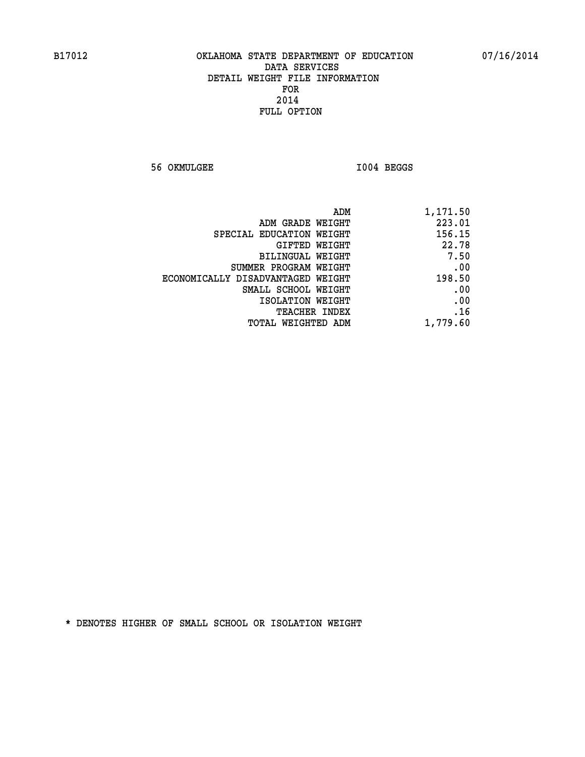**56 OKMULGEE I004 BEGGS** 

| ADM                               | 1,171.50 |
|-----------------------------------|----------|
| ADM GRADE WEIGHT                  | 223.01   |
| SPECIAL EDUCATION WEIGHT          | 156.15   |
| GIFTED WEIGHT                     | 22.78    |
| BILINGUAL WEIGHT                  | 7.50     |
| SUMMER PROGRAM WEIGHT             | .00      |
| ECONOMICALLY DISADVANTAGED WEIGHT | 198.50   |
| SMALL SCHOOL WEIGHT               | .00      |
| ISOLATION WEIGHT                  | .00      |
| <b>TEACHER INDEX</b>              | .16      |
| <b>TOTAL WEIGHTED ADM</b>         | 1,779.60 |
|                                   |          |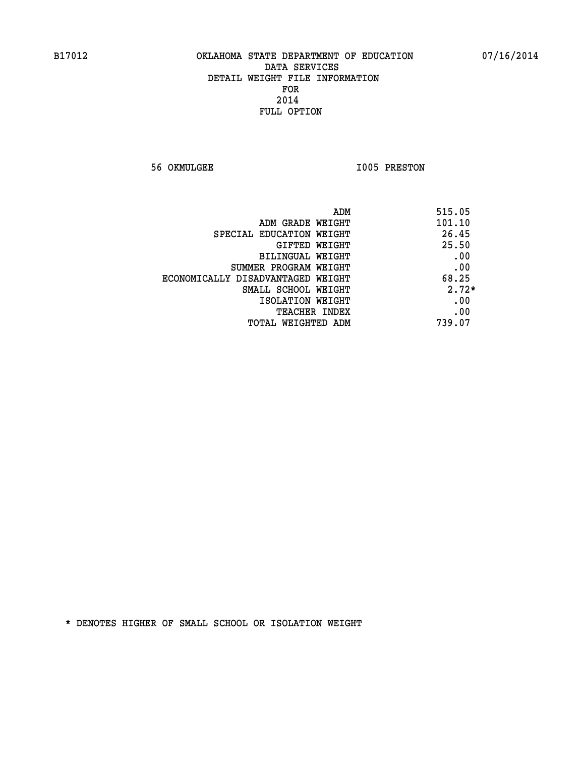**56 OKMULGEE 1005 PRESTON** 

| ADM                               | 515.05  |
|-----------------------------------|---------|
| ADM GRADE WEIGHT                  | 101.10  |
| SPECIAL EDUCATION WEIGHT          | 26.45   |
| <b>GIFTED WEIGHT</b>              | 25.50   |
| BILINGUAL WEIGHT                  | .00     |
| SUMMER PROGRAM WEIGHT             | .00     |
| ECONOMICALLY DISADVANTAGED WEIGHT | 68.25   |
| SMALL SCHOOL WEIGHT               | $2.72*$ |
| ISOLATION WEIGHT                  | .00     |
| <b>TEACHER INDEX</b>              | .00     |
| TOTAL WEIGHTED ADM                | 739.07  |
|                                   |         |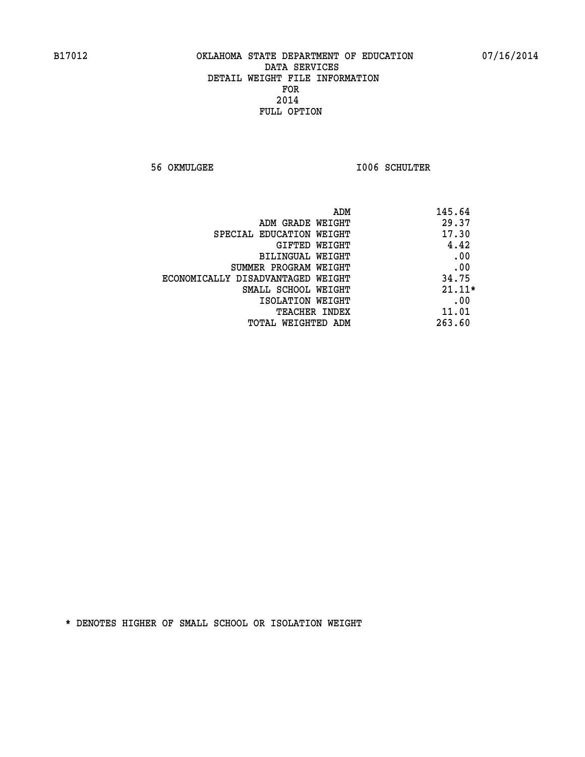**56 OKMULGEE I006 SCHULTER** 

| ADM                               | 145.64   |
|-----------------------------------|----------|
| ADM GRADE WEIGHT                  | 29.37    |
| SPECIAL EDUCATION WEIGHT          | 17.30    |
| GIFTED WEIGHT                     | 4.42     |
| BILINGUAL WEIGHT                  | .00      |
| SUMMER PROGRAM WEIGHT             | .00      |
| ECONOMICALLY DISADVANTAGED WEIGHT | 34.75    |
| SMALL SCHOOL WEIGHT               | $21.11*$ |
| ISOLATION WEIGHT                  | .00      |
| <b>TEACHER INDEX</b>              | 11.01    |
| TOTAL WEIGHTED ADM                | 263.60   |
|                                   |          |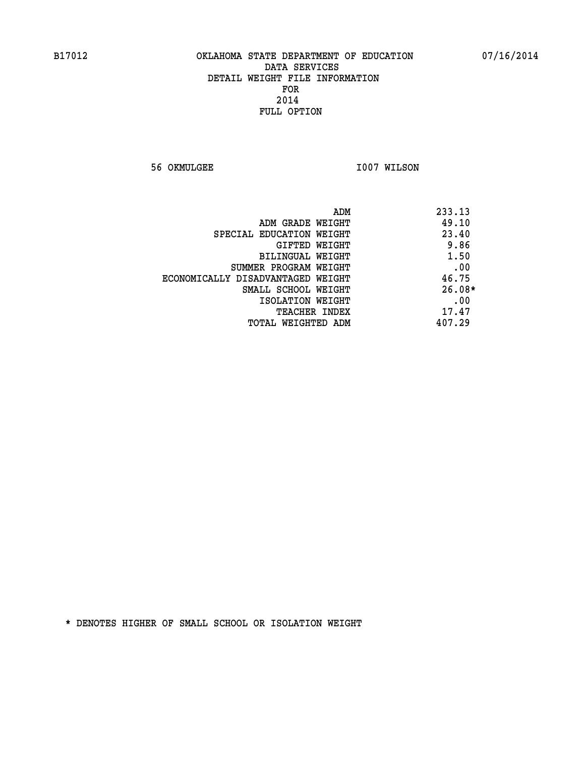**56 OKMULGEE 1007 WILSON** 

|                                   | ADM<br>233.13 |  |
|-----------------------------------|---------------|--|
| ADM GRADE WEIGHT                  | 49.10         |  |
| SPECIAL EDUCATION WEIGHT          | 23.40         |  |
| GIFTED WEIGHT                     | 9.86          |  |
| BILINGUAL WEIGHT                  | 1.50          |  |
| SUMMER PROGRAM WEIGHT             | .00           |  |
| ECONOMICALLY DISADVANTAGED WEIGHT | 46.75         |  |
| SMALL SCHOOL WEIGHT               | $26.08*$      |  |
| ISOLATION WEIGHT                  | .00           |  |
| <b>TEACHER INDEX</b>              | 17.47         |  |
| TOTAL WEIGHTED ADM                | 407.29        |  |
|                                   |               |  |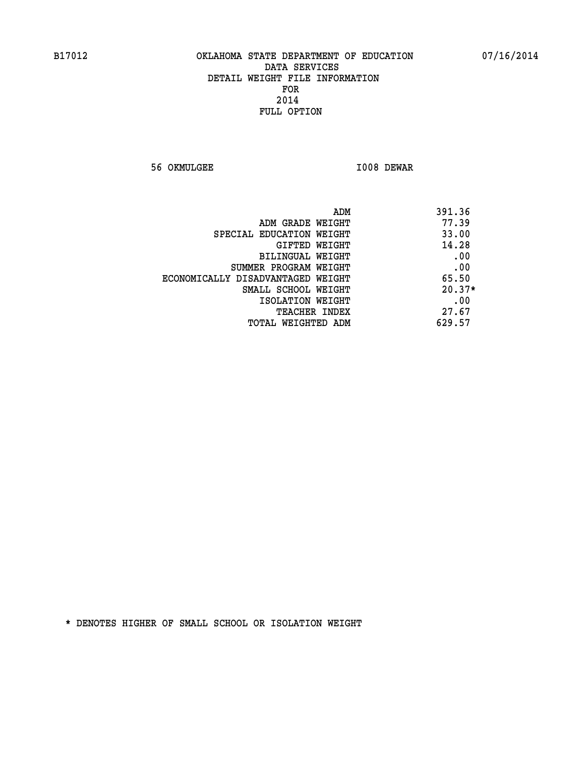**56 OKMULGEE I008 DEWAR** 

| ADM                               | 391.36   |
|-----------------------------------|----------|
| ADM GRADE WEIGHT                  | 77.39    |
| SPECIAL EDUCATION WEIGHT          | 33.00    |
| GIFTED WEIGHT                     | 14.28    |
| <b>BILINGUAL WEIGHT</b>           | .00      |
| SUMMER PROGRAM WEIGHT             | .00      |
| ECONOMICALLY DISADVANTAGED WEIGHT | 65.50    |
| SMALL SCHOOL WEIGHT               | $20.37*$ |
| ISOLATION WEIGHT                  | .00      |
| <b>TEACHER INDEX</b>              | 27.67    |
| TOTAL WEIGHTED ADM                | 629.57   |
|                                   |          |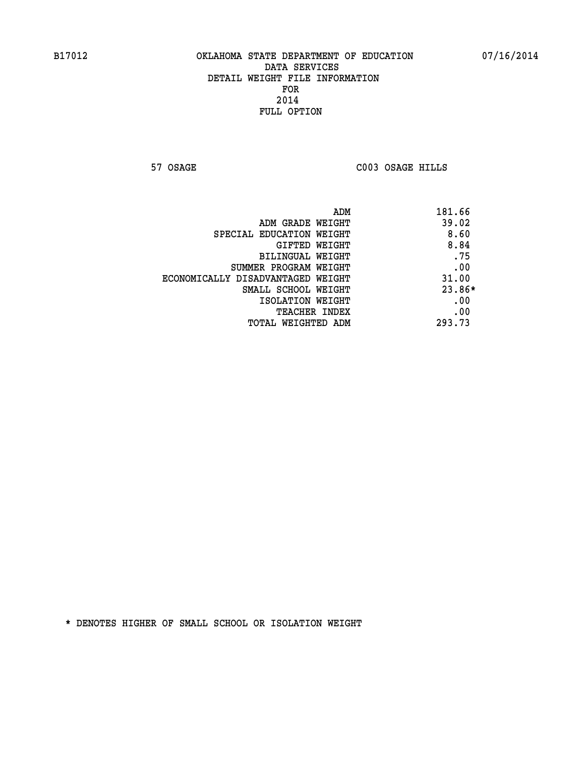**57 OSAGE C003 OSAGE HILLS** 

| ADM<br>181.66                              |        |
|--------------------------------------------|--------|
| 39.02<br>ADM GRADE WEIGHT                  |        |
| SPECIAL EDUCATION WEIGHT                   | 8.60   |
| <b>GIFTED WEIGHT</b>                       | 8.84   |
| BILINGUAL WEIGHT                           | .75    |
| SUMMER PROGRAM WEIGHT                      | .00    |
| 31.00<br>ECONOMICALLY DISADVANTAGED WEIGHT |        |
| SMALL SCHOOL WEIGHT                        | 23.86* |
| ISOLATION WEIGHT                           | .00    |
| <b>TEACHER INDEX</b>                       | .00    |
| 293.73<br>TOTAL WEIGHTED ADM               |        |
|                                            |        |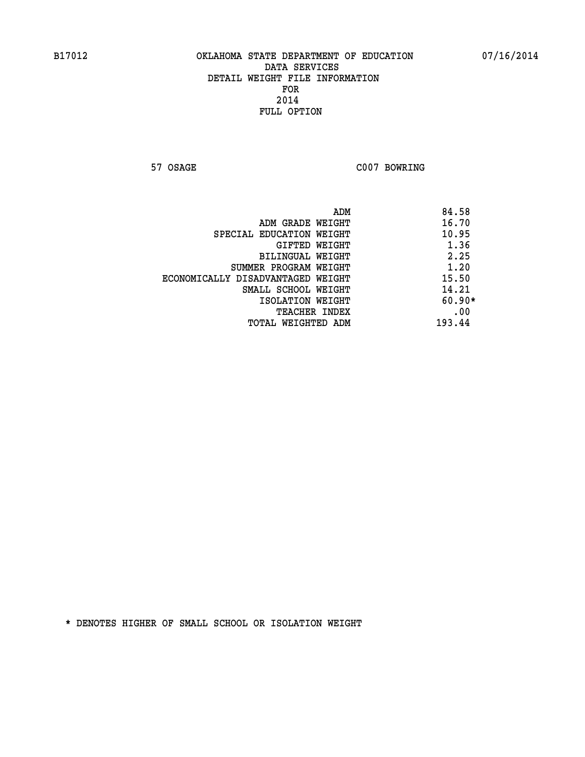**57 OSAGE C007 BOWRING** 

|                                   | ADM | 84.58    |
|-----------------------------------|-----|----------|
| ADM GRADE WEIGHT                  |     | 16.70    |
| SPECIAL EDUCATION WEIGHT          |     | 10.95    |
| GIFTED WEIGHT                     |     | 1.36     |
| BILINGUAL WEIGHT                  |     | 2.25     |
| SUMMER PROGRAM WEIGHT             |     | 1.20     |
| ECONOMICALLY DISADVANTAGED WEIGHT |     | 15.50    |
| SMALL SCHOOL WEIGHT               |     | 14.21    |
| ISOLATION WEIGHT                  |     | $60.90*$ |
| <b>TEACHER INDEX</b>              |     | .00      |
| TOTAL WEIGHTED ADM                |     | 193.44   |
|                                   |     |          |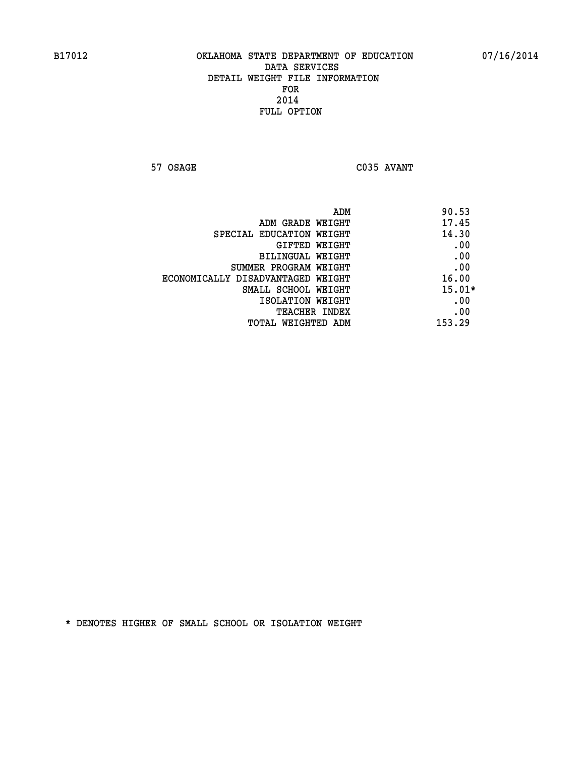**57 OSAGE C035 AVANT** 

| ADM                               | 90.53    |
|-----------------------------------|----------|
| ADM GRADE WEIGHT                  | 17.45    |
| SPECIAL EDUCATION WEIGHT          | 14.30    |
| GIFTED WEIGHT                     | .00      |
| BILINGUAL WEIGHT                  | .00      |
| SUMMER PROGRAM WEIGHT             | .00      |
| ECONOMICALLY DISADVANTAGED WEIGHT | 16.00    |
| SMALL SCHOOL WEIGHT               | $15.01*$ |
| ISOLATION WEIGHT                  | .00      |
| <b>TEACHER INDEX</b>              | .00      |
| TOTAL WEIGHTED ADM                | 153.29   |
|                                   |          |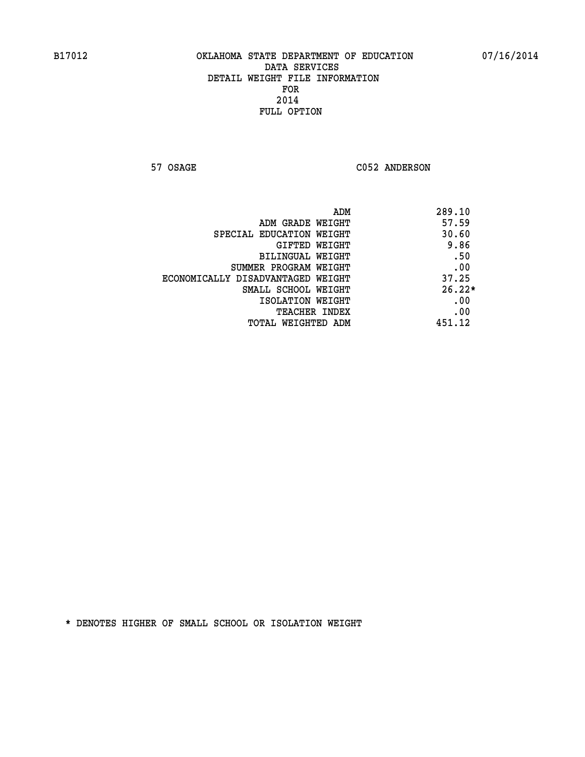57 OSAGE C052 ANDERSON

|                                   | ADM | 289.10   |
|-----------------------------------|-----|----------|
| ADM GRADE WEIGHT                  |     | 57.59    |
| SPECIAL EDUCATION WEIGHT          |     | 30.60    |
| GIFTED WEIGHT                     |     | 9.86     |
| BILINGUAL WEIGHT                  |     | .50      |
| SUMMER PROGRAM WEIGHT             |     | .00      |
| ECONOMICALLY DISADVANTAGED WEIGHT |     | 37.25    |
| SMALL SCHOOL WEIGHT               |     | $26.22*$ |
| ISOLATION WEIGHT                  |     | .00      |
| <b>TEACHER INDEX</b>              |     | .00      |
| TOTAL WEIGHTED ADM                |     | 451.12   |
|                                   |     |          |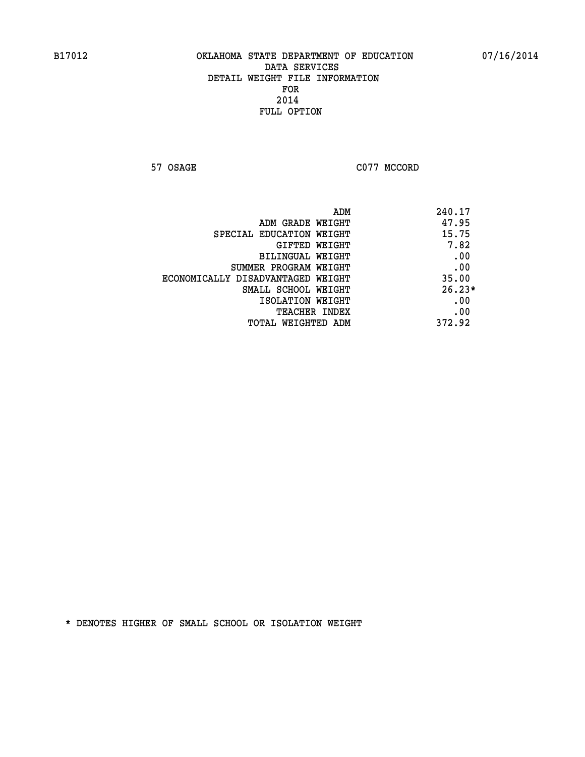57 OSAGE C077 MCCORD

| ADM                               | 240.17   |
|-----------------------------------|----------|
| ADM GRADE WEIGHT                  | 47.95    |
| SPECIAL EDUCATION WEIGHT          | 15.75    |
| GIFTED WEIGHT                     | 7.82     |
| BILINGUAL WEIGHT                  | .00      |
| SUMMER PROGRAM WEIGHT             | .00      |
| ECONOMICALLY DISADVANTAGED WEIGHT | 35.00    |
| SMALL SCHOOL WEIGHT               | $26.23*$ |
| ISOLATION WEIGHT                  | .00      |
| <b>TEACHER INDEX</b>              | .00      |
| TOTAL WEIGHTED ADM                | 372.92   |
|                                   |          |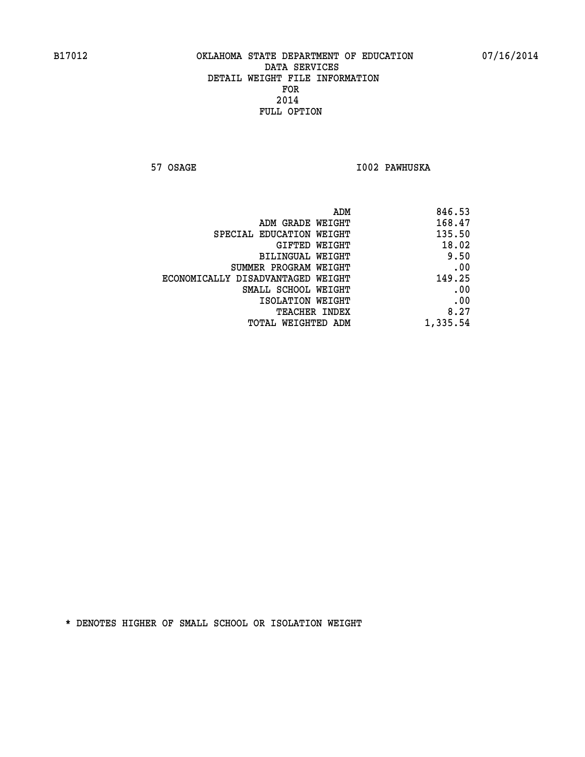**57 OSAGE I002 PAWHUSKA** 

| 846.53<br>ADM                               |
|---------------------------------------------|
| 168.47<br>ADM GRADE WEIGHT                  |
| 135.50<br>SPECIAL EDUCATION WEIGHT          |
| 18.02<br>GIFTED WEIGHT                      |
| 9.50<br>BILINGUAL WEIGHT                    |
| .00<br>SUMMER PROGRAM WEIGHT                |
| 149.25<br>ECONOMICALLY DISADVANTAGED WEIGHT |
| .00<br>SMALL SCHOOL WEIGHT                  |
| .00<br>ISOLATION WEIGHT                     |
| 8.27<br>TEACHER INDEX                       |
| 1,335.54<br>TOTAL WEIGHTED ADM              |
|                                             |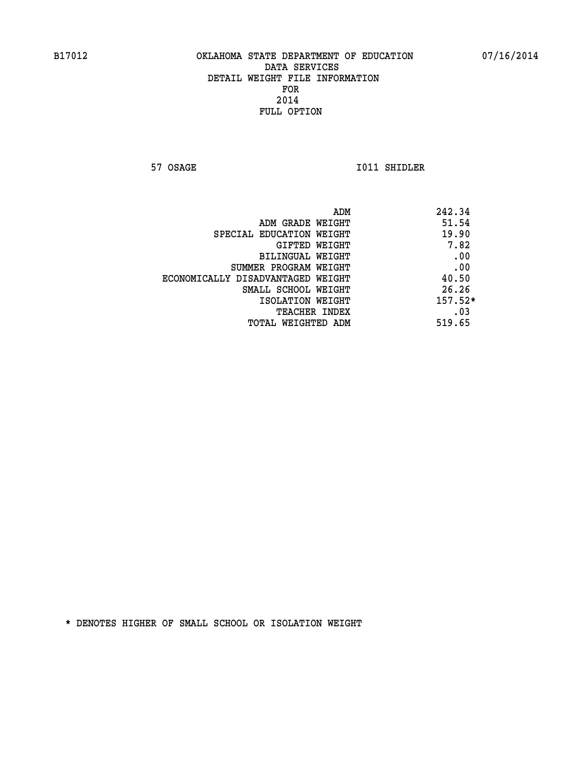**57 OSAGE 1011 SHIDLER** 

|                                   | ADM<br>242.34 |
|-----------------------------------|---------------|
| ADM GRADE WEIGHT                  | 51.54         |
| SPECIAL EDUCATION WEIGHT          | 19.90         |
| <b>GIFTED WEIGHT</b>              | 7.82          |
| BILINGUAL WEIGHT                  | .00           |
| SUMMER PROGRAM WEIGHT             | .00           |
| ECONOMICALLY DISADVANTAGED WEIGHT | 40.50         |
| SMALL SCHOOL WEIGHT               | 26.26         |
| ISOLATION WEIGHT                  | $157.52*$     |
| TEACHER INDEX                     | .03           |
| TOTAL WEIGHTED ADM                | 519.65        |
|                                   |               |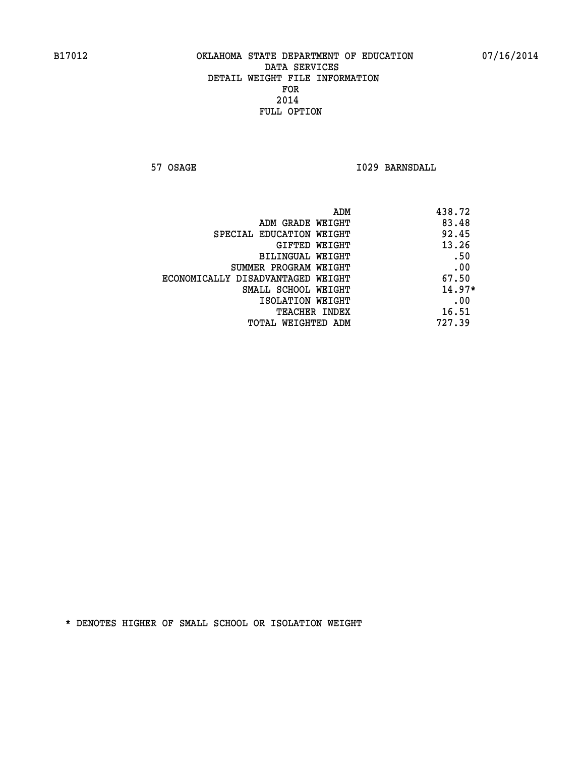**57 OSAGE 1029 BARNSDALL** 

| 438.72<br>ADM                              |  |
|--------------------------------------------|--|
| 83.48<br>ADM GRADE WEIGHT                  |  |
| 92.45<br>SPECIAL EDUCATION WEIGHT          |  |
| 13.26<br>GIFTED WEIGHT                     |  |
| .50<br><b>BILINGUAL WEIGHT</b>             |  |
| .00<br>SUMMER PROGRAM WEIGHT               |  |
| 67.50<br>ECONOMICALLY DISADVANTAGED WEIGHT |  |
| $14.97*$<br>SMALL SCHOOL WEIGHT            |  |
| .00<br>ISOLATION WEIGHT                    |  |
| 16.51<br><b>TEACHER INDEX</b>              |  |
| 727.39<br>TOTAL WEIGHTED ADM               |  |
|                                            |  |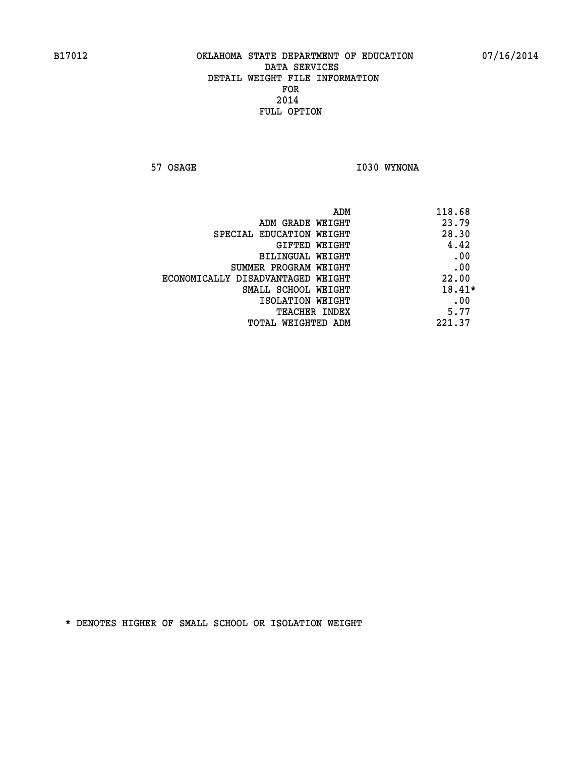**57 OSAGE 1030 WYNONA** 

| ADM                               | 118.68 |
|-----------------------------------|--------|
| ADM GRADE WEIGHT                  | 23.79  |
| SPECIAL EDUCATION WEIGHT          | 28.30  |
| GIFTED WEIGHT                     | 4.42   |
| BILINGUAL WEIGHT                  | .00    |
| SUMMER PROGRAM WEIGHT             | .00    |
| ECONOMICALLY DISADVANTAGED WEIGHT | 22.00  |
| SMALL SCHOOL WEIGHT               | 18.41* |
| ISOLATION WEIGHT                  | .00    |
| <b>TEACHER INDEX</b>              | 5.77   |
| TOTAL WEIGHTED ADM                | 221.37 |
|                                   |        |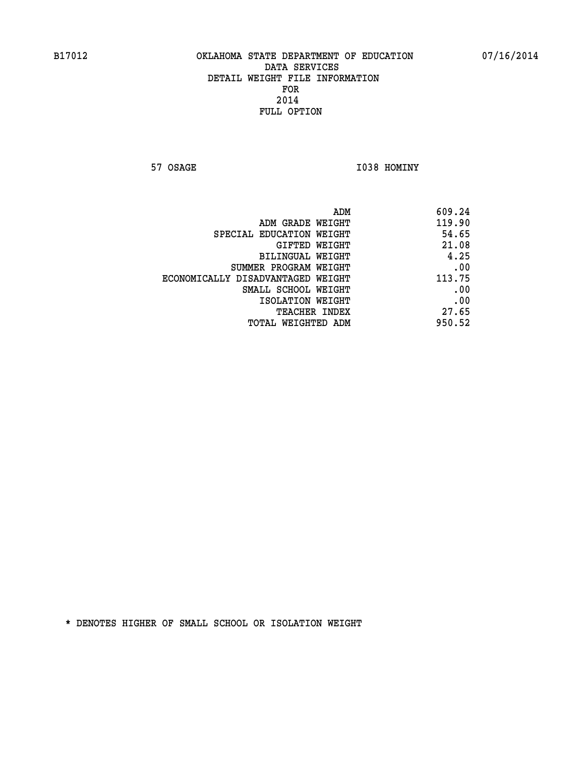**57 OSAGE 1038 HOMINY** 

| 609.24 |
|--------|
| 119.90 |
| 54.65  |
| 21.08  |
| 4.25   |
| .00    |
| 113.75 |
| .00    |
| .00    |
| 27.65  |
| 950.52 |
|        |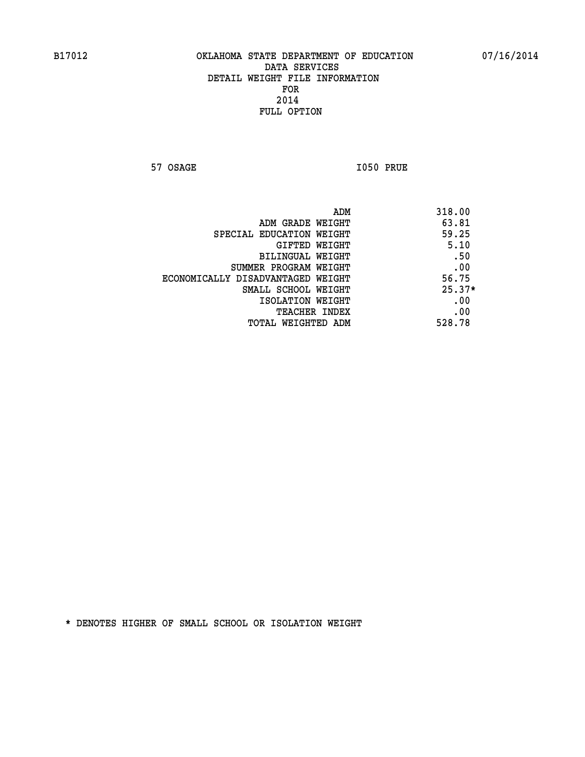**57 OSAGE I050 PRUE** 

|                                   | ADM | 318.00   |
|-----------------------------------|-----|----------|
| ADM GRADE WEIGHT                  |     | 63.81    |
| SPECIAL EDUCATION WEIGHT          |     | 59.25    |
| GIFTED WEIGHT                     |     | 5.10     |
| BILINGUAL WEIGHT                  |     | .50      |
| SUMMER PROGRAM WEIGHT             |     | .00      |
| ECONOMICALLY DISADVANTAGED WEIGHT |     | 56.75    |
| SMALL SCHOOL WEIGHT               |     | $25.37*$ |
| ISOLATION WEIGHT                  |     | .00      |
| TEACHER INDEX                     |     | .00      |
| TOTAL WEIGHTED ADM                |     | 528.78   |
|                                   |     |          |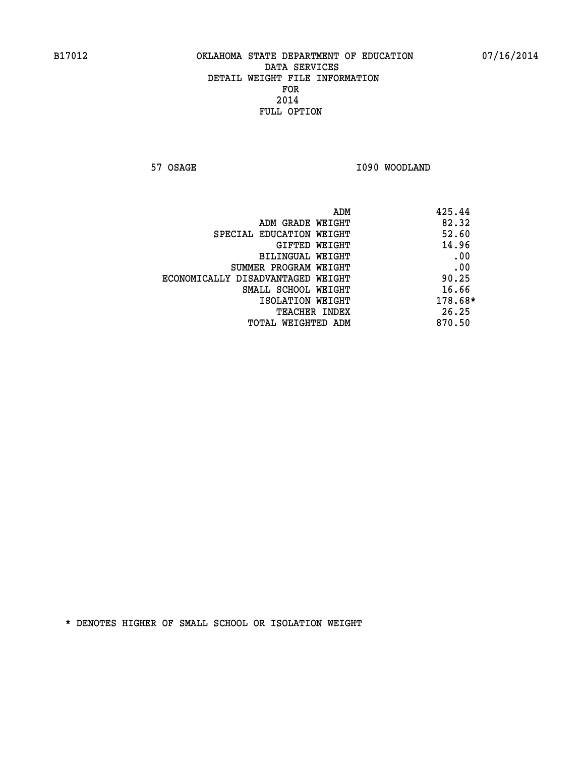**57 OSAGE 1090 WOODLAND** 

|                                   | ADM | 425.44  |
|-----------------------------------|-----|---------|
| ADM GRADE WEIGHT                  |     | 82.32   |
| SPECIAL EDUCATION WEIGHT          |     | 52.60   |
| GIFTED WEIGHT                     |     | 14.96   |
| BILINGUAL WEIGHT                  |     | .00     |
| SUMMER PROGRAM WEIGHT             |     | .00     |
| ECONOMICALLY DISADVANTAGED WEIGHT |     | 90.25   |
| SMALL SCHOOL WEIGHT               |     | 16.66   |
| ISOLATION WEIGHT                  |     | 178.68* |
| TEACHER INDEX                     |     | 26.25   |
| TOTAL WEIGHTED ADM                |     | 870.50  |
|                                   |     |         |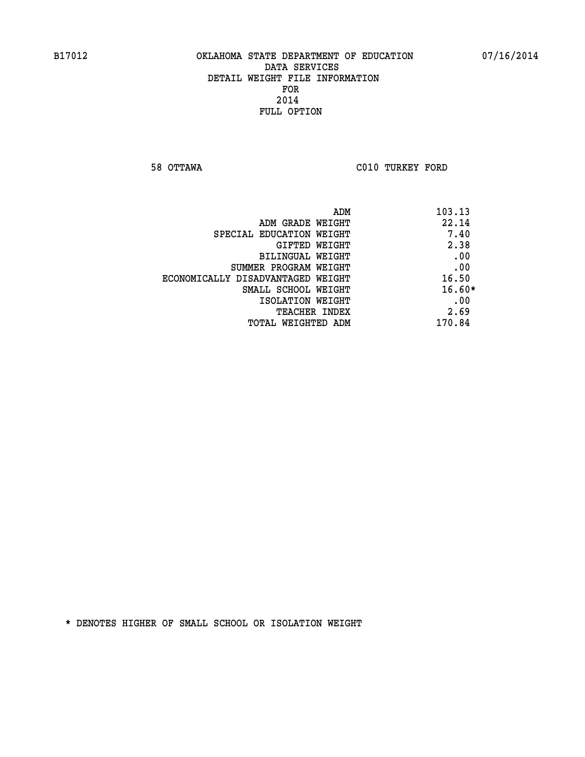**58 OTTAWA C010 TURKEY FORD** 

| ADM<br>103.13                |                                   |
|------------------------------|-----------------------------------|
| 22.14<br>ADM GRADE WEIGHT    |                                   |
| 7.40                         | SPECIAL EDUCATION WEIGHT          |
| 2.38<br><b>GIFTED WEIGHT</b> |                                   |
| .00<br>BILINGUAL WEIGHT      |                                   |
| .00                          | SUMMER PROGRAM WEIGHT             |
| 16.50                        | ECONOMICALLY DISADVANTAGED WEIGHT |
| $16.60*$                     | SMALL SCHOOL WEIGHT               |
| .00<br>ISOLATION WEIGHT      |                                   |
| 2.69<br><b>TEACHER INDEX</b> |                                   |
| 170.84                       | TOTAL WEIGHTED ADM                |
|                              |                                   |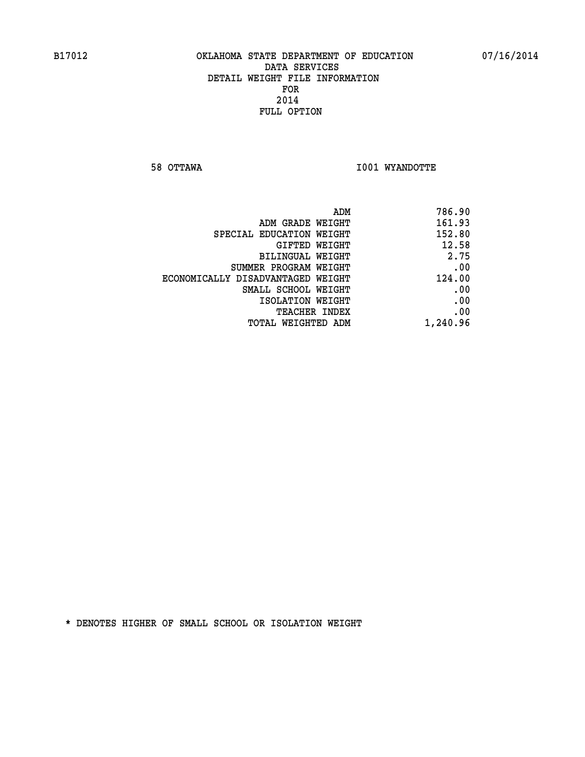**58 OTTAWA I001 WYANDOTTE** 

| 786.90   |
|----------|
| 161.93   |
| 152.80   |
| 12.58    |
| 2.75     |
| .00      |
| 124.00   |
| .00      |
| .00      |
| .00      |
| 1,240.96 |
|          |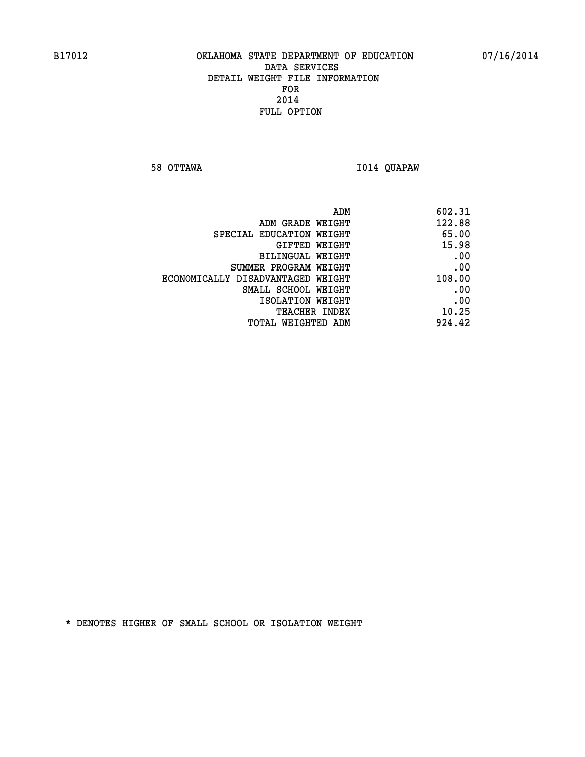**58 OTTAWA I014 QUAPAW** 

| 122.88<br>ADM GRADE WEIGHT<br>65.00<br>SPECIAL EDUCATION WEIGHT<br>15.98<br>GIFTED WEIGHT<br>.00<br><b>BILINGUAL WEIGHT</b><br>.00<br>SUMMER PROGRAM WEIGHT<br>108.00<br>ECONOMICALLY DISADVANTAGED WEIGHT<br>.00<br>SMALL SCHOOL WEIGHT<br>.00<br>ISOLATION WEIGHT<br>10.25<br>TEACHER INDEX<br>924.42<br>TOTAL WEIGHTED ADM | ADM | 602.31 |
|-------------------------------------------------------------------------------------------------------------------------------------------------------------------------------------------------------------------------------------------------------------------------------------------------------------------------------|-----|--------|
|                                                                                                                                                                                                                                                                                                                               |     |        |
|                                                                                                                                                                                                                                                                                                                               |     |        |
|                                                                                                                                                                                                                                                                                                                               |     |        |
|                                                                                                                                                                                                                                                                                                                               |     |        |
|                                                                                                                                                                                                                                                                                                                               |     |        |
|                                                                                                                                                                                                                                                                                                                               |     |        |
|                                                                                                                                                                                                                                                                                                                               |     |        |
|                                                                                                                                                                                                                                                                                                                               |     |        |
|                                                                                                                                                                                                                                                                                                                               |     |        |
|                                                                                                                                                                                                                                                                                                                               |     |        |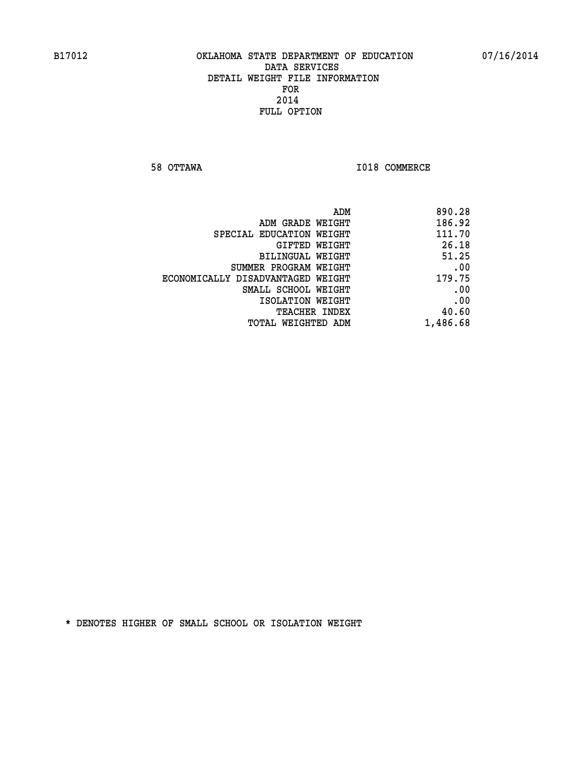**58 OTTAWA I018 COMMERCE** 

| 890.28   |
|----------|
| 186.92   |
| 111.70   |
| 26.18    |
| 51.25    |
| .00      |
| 179.75   |
| .00      |
| .00      |
| 40.60    |
| 1,486.68 |
|          |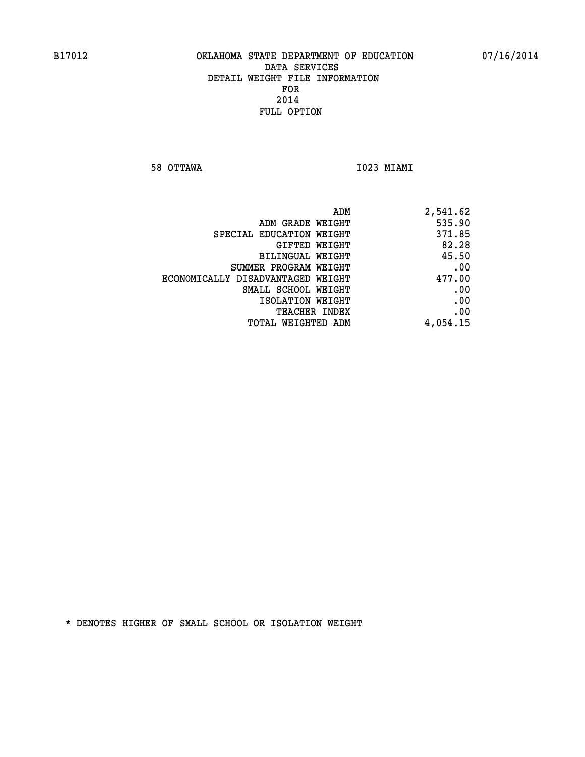**58 OTTAWA I023 MIAMI** 

| ADM                               | 2,541.62 |
|-----------------------------------|----------|
| ADM GRADE WEIGHT                  | 535.90   |
| SPECIAL EDUCATION WEIGHT          | 371.85   |
| GIFTED WEIGHT                     | 82.28    |
| BILINGUAL WEIGHT                  | 45.50    |
| SUMMER PROGRAM WEIGHT             | .00      |
| ECONOMICALLY DISADVANTAGED WEIGHT | 477.00   |
| SMALL SCHOOL WEIGHT               | .00      |
| ISOLATION WEIGHT                  | .00      |
| <b>TEACHER INDEX</b>              | .00      |
| TOTAL WEIGHTED ADM                | 4,054.15 |
|                                   |          |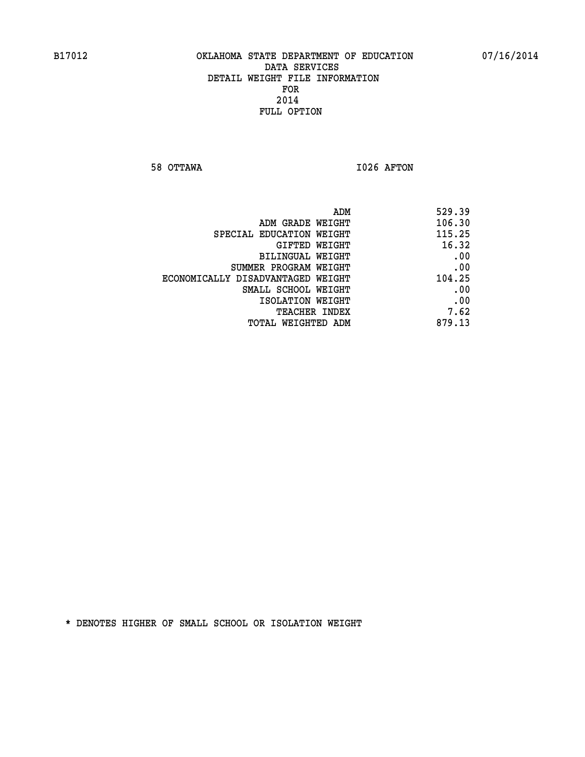**58 OTTAWA I026 AFTON** 

| 529.39 |
|--------|
| 106.30 |
| 115.25 |
| 16.32  |
| .00    |
| .00    |
| 104.25 |
| .00    |
| .00    |
| 7.62   |
| 879.13 |
|        |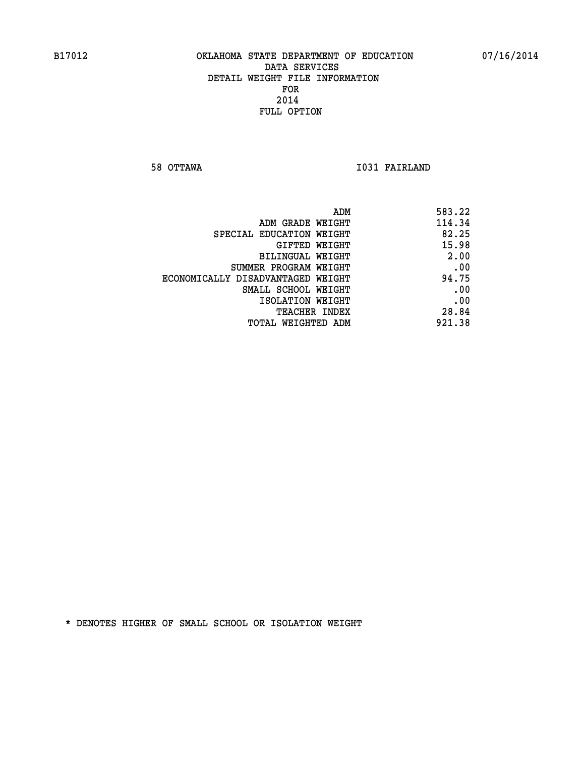**58 OTTAWA I031 FAIRLAND** 

| 583.22 |
|--------|
| 114.34 |
| 82.25  |
| 15.98  |
| 2.00   |
| .00    |
| 94.75  |
| .00    |
| .00    |
| 28.84  |
| 921.38 |
|        |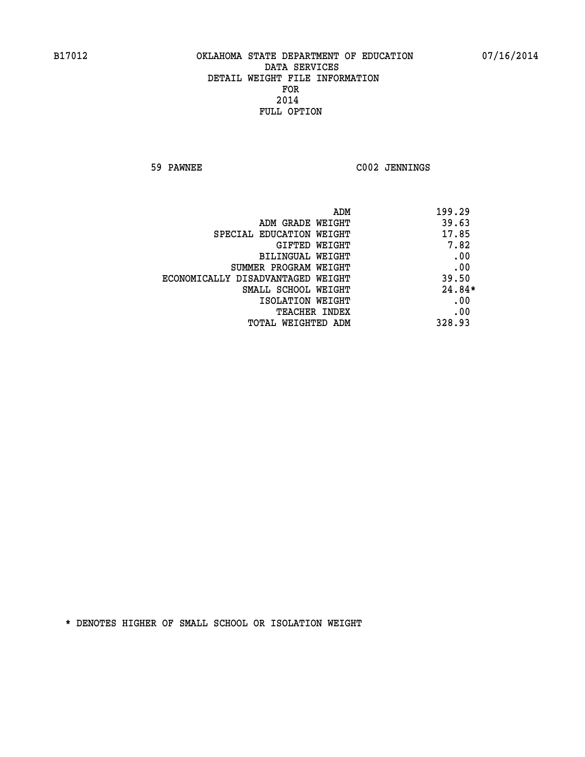**59 PAWNEE C002 JENNINGS** 

|                                   | ADM<br>199.29 |
|-----------------------------------|---------------|
| ADM GRADE WEIGHT                  | 39.63         |
| SPECIAL EDUCATION WEIGHT          | 17.85         |
| GIFTED WEIGHT                     | 7.82          |
| BILINGUAL WEIGHT                  | .00           |
| SUMMER PROGRAM WEIGHT             | .00           |
| ECONOMICALLY DISADVANTAGED WEIGHT | 39.50         |
| SMALL SCHOOL WEIGHT               | $24.84*$      |
| ISOLATION WEIGHT                  | .00           |
| <b>TEACHER INDEX</b>              | .00           |
| TOTAL WEIGHTED ADM                | 328.93        |
|                                   |               |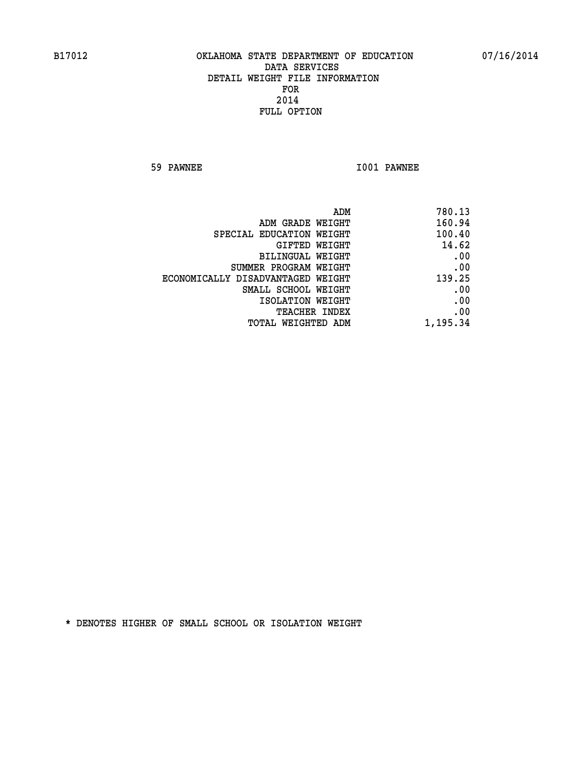**59 PAWNEE I001 PAWNEE** 

|                                   | ADM<br>780.13 |
|-----------------------------------|---------------|
| ADM GRADE WEIGHT                  | 160.94        |
| SPECIAL EDUCATION WEIGHT          | 100.40        |
| GIFTED WEIGHT                     | 14.62         |
| BILINGUAL WEIGHT                  | .00           |
| SUMMER PROGRAM WEIGHT             | .00           |
| ECONOMICALLY DISADVANTAGED WEIGHT | 139.25        |
| SMALL SCHOOL WEIGHT               | .00           |
| ISOLATION WEIGHT                  | .00           |
| TEACHER INDEX                     | .00           |
| TOTAL WEIGHTED ADM                | 1,195.34      |
|                                   |               |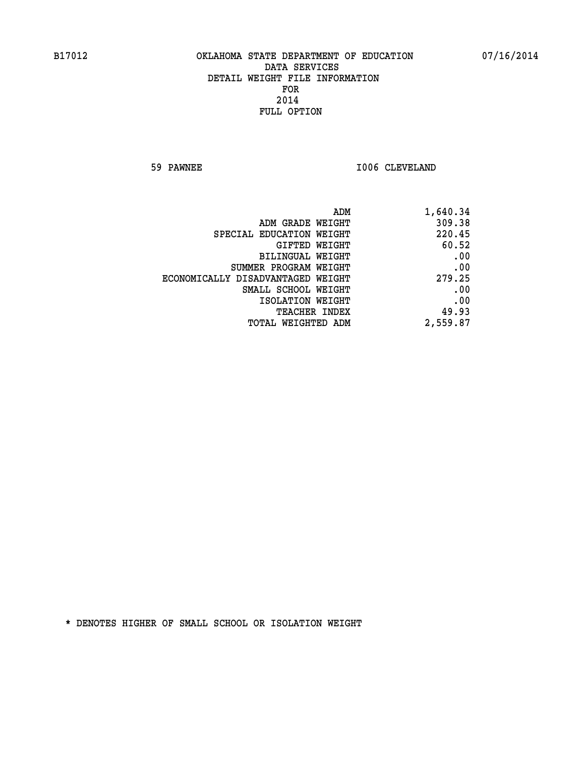**59 PAWNEE 1006 CLEVELAND** 

| 1,640.34 |
|----------|
| 309.38   |
| 220.45   |
| 60.52    |
| .00      |
| .00      |
| 279.25   |
| .00      |
| .00      |
| 49.93    |
| 2,559.87 |
|          |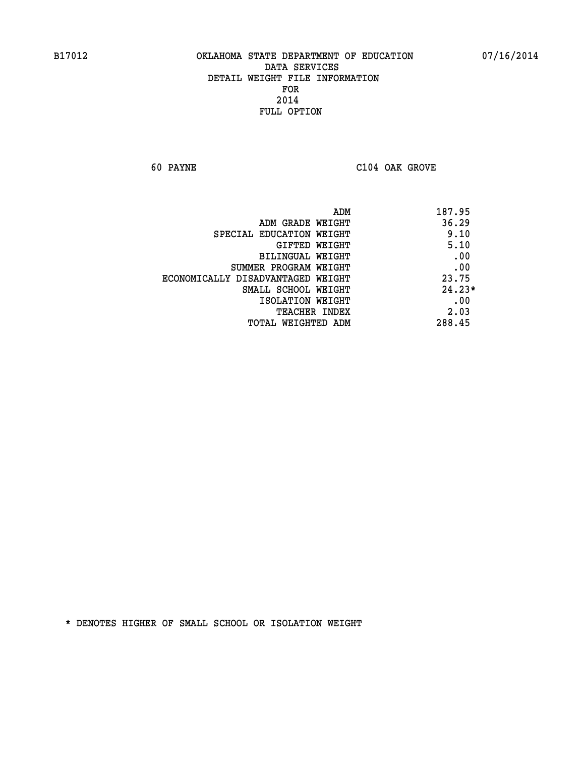**60 PAYNE C104 OAK GROVE** 

| 187.95   | ADM                               |
|----------|-----------------------------------|
| 36.29    | ADM GRADE WEIGHT                  |
| 9.10     | SPECIAL EDUCATION WEIGHT          |
| 5.10     | <b>GIFTED WEIGHT</b>              |
| .00      | BILINGUAL WEIGHT                  |
| .00      | SUMMER PROGRAM WEIGHT             |
| 23.75    | ECONOMICALLY DISADVANTAGED WEIGHT |
| $24.23*$ | SMALL SCHOOL WEIGHT               |
| .00      | ISOLATION WEIGHT                  |
| 2.03     | <b>TEACHER INDEX</b>              |
| 288.45   | TOTAL WEIGHTED ADM                |
|          |                                   |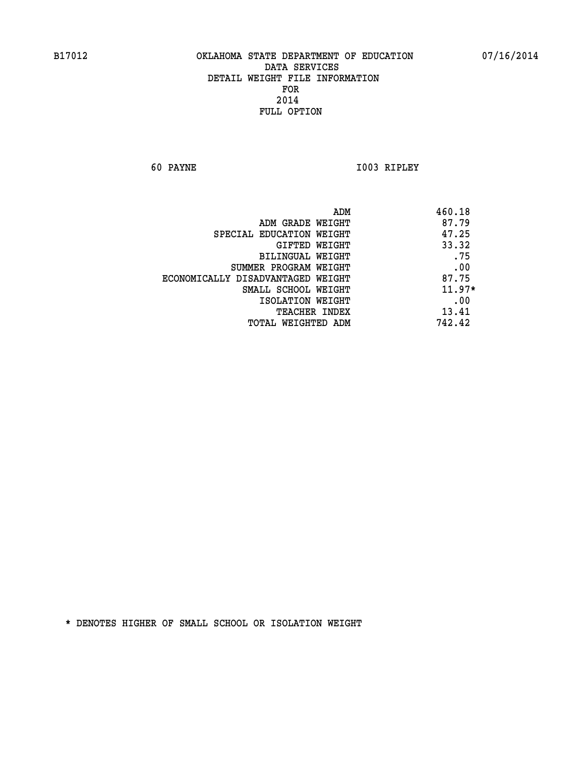**60 PAYNE I003 RIPLEY** 

|                                   | ADM | 460.18   |
|-----------------------------------|-----|----------|
| ADM GRADE WEIGHT                  |     | 87.79    |
| SPECIAL EDUCATION WEIGHT          |     | 47.25    |
| <b>GIFTED WEIGHT</b>              |     | 33.32    |
| BILINGUAL WEIGHT                  |     | .75      |
| SUMMER PROGRAM WEIGHT             |     | .00      |
| ECONOMICALLY DISADVANTAGED WEIGHT |     | 87.75    |
| SMALL SCHOOL WEIGHT               |     | $11.97*$ |
| ISOLATION WEIGHT                  |     | .00      |
| TEACHER INDEX                     |     | 13.41    |
| TOTAL WEIGHTED ADM                |     | 742.42   |
|                                   |     |          |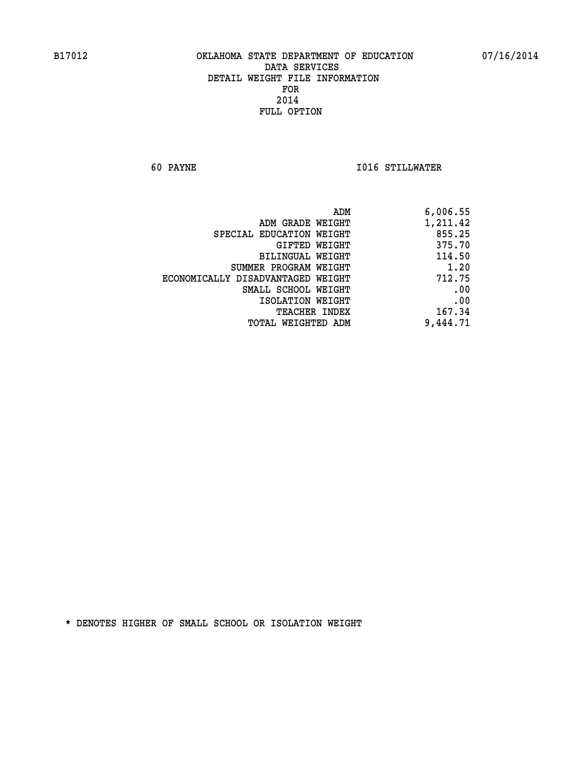**60 PAYNE I016 STILLWATER** 

| 6,006.55 |
|----------|
| 1,211.42 |
| 855.25   |
| 375.70   |
| 114.50   |
| 1.20     |
| 712.75   |
| .00      |
| .00      |
| 167.34   |
| 9,444.71 |
|          |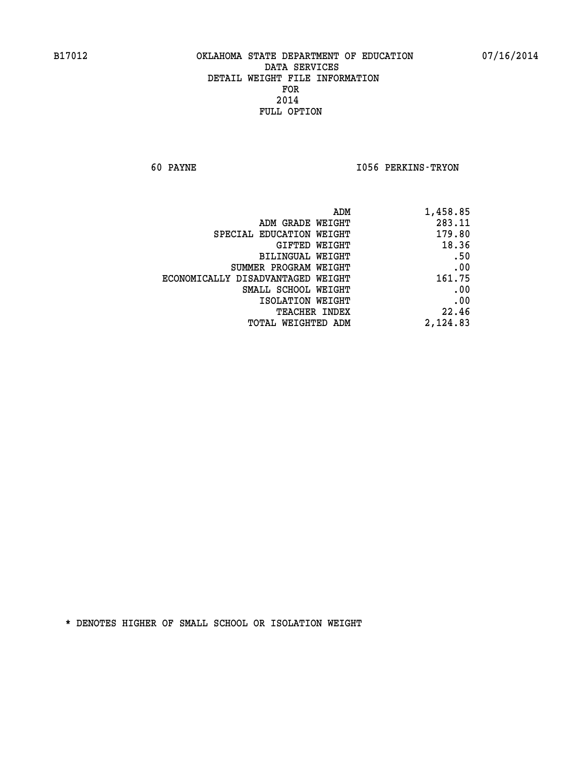**60 PAYNE I056 PERKINS-TRYON** 

| 1,458.85 |
|----------|
| 283.11   |
| 179.80   |
| 18.36    |
| .50      |
| .00      |
| 161.75   |
| .00      |
| .00      |
| 22.46    |
| 2,124.83 |
|          |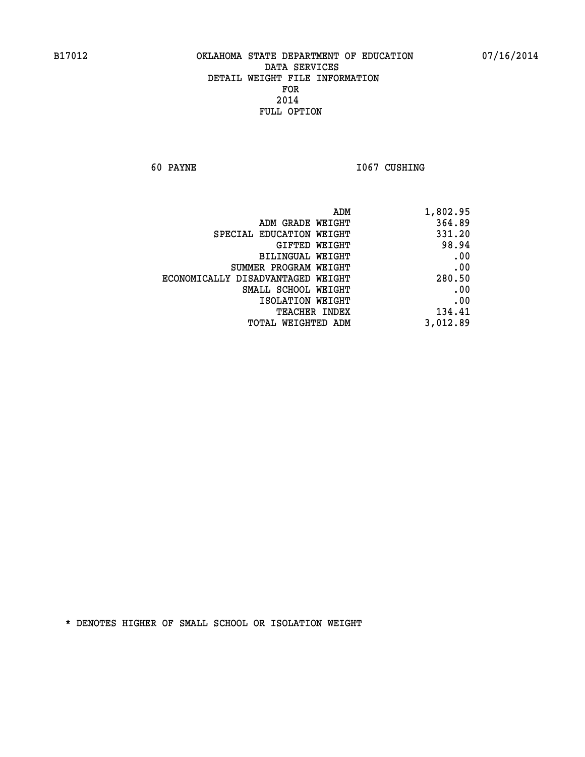**60 PAYNE 1067 CUSHING** 

| 1,802.95 |
|----------|
| 364.89   |
| 331.20   |
| 98.94    |
| .00      |
| .00      |
| 280.50   |
| .00      |
| .00      |
| 134.41   |
| 3,012.89 |
|          |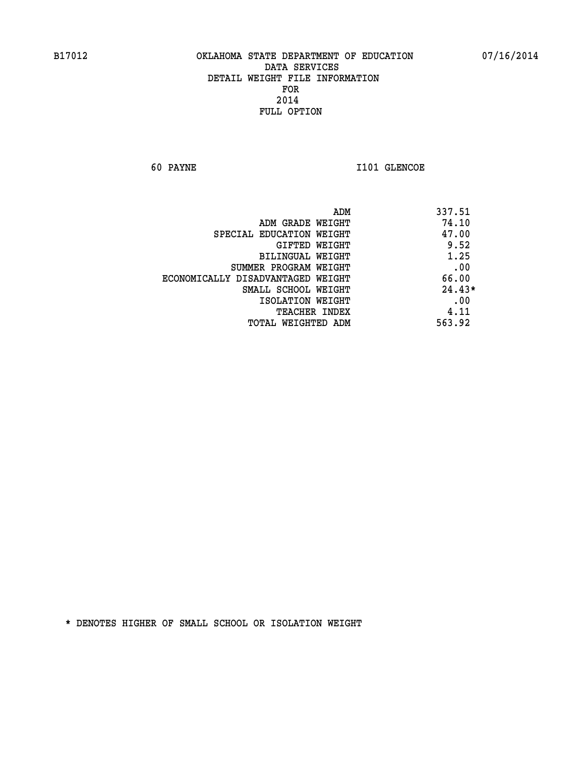**60 PAYNE 1101 GLENCOE** 

| 337.51<br>ADM                              |          |
|--------------------------------------------|----------|
| 74.10<br>ADM GRADE WEIGHT                  |          |
| 47.00<br>SPECIAL EDUCATION WEIGHT          |          |
| GIFTED WEIGHT                              | 9.52     |
| BILINGUAL WEIGHT                           | 1.25     |
| SUMMER PROGRAM WEIGHT                      | .00      |
| 66.00<br>ECONOMICALLY DISADVANTAGED WEIGHT |          |
| SMALL SCHOOL WEIGHT                        | $24.43*$ |
| ISOLATION WEIGHT                           | .00      |
| <b>TEACHER INDEX</b>                       | 4.11     |
| 563.92<br>TOTAL WEIGHTED ADM               |          |
|                                            |          |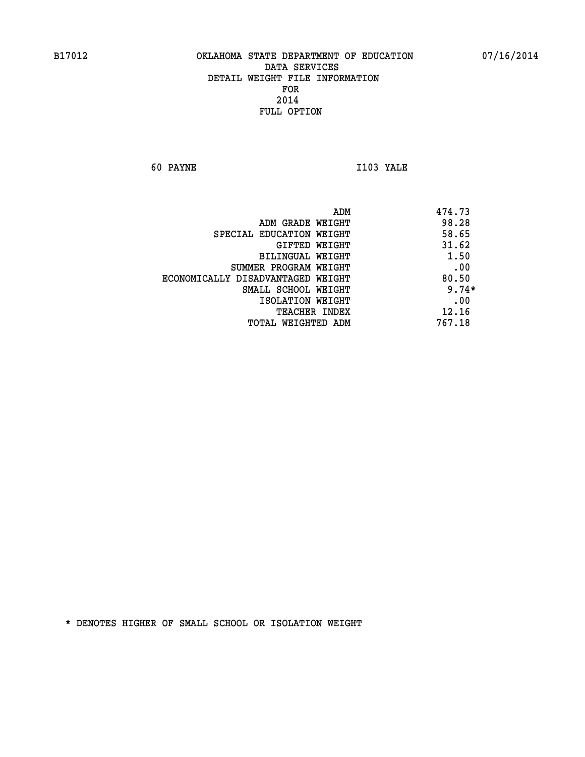**60 PAYNE I103 YALE** 

|                                   | 474.73<br>ADM |         |
|-----------------------------------|---------------|---------|
| ADM GRADE WEIGHT                  |               | 98.28   |
| SPECIAL EDUCATION WEIGHT          |               | 58.65   |
| GIFTED WEIGHT                     |               | 31.62   |
| BILINGUAL WEIGHT                  |               | 1.50    |
| SUMMER PROGRAM WEIGHT             |               | .00     |
| ECONOMICALLY DISADVANTAGED WEIGHT |               | 80.50   |
| SMALL SCHOOL WEIGHT               |               | $9.74*$ |
| ISOLATION WEIGHT                  |               | .00     |
| <b>TEACHER INDEX</b>              |               | 12.16   |
| TOTAL WEIGHTED ADM                | 767.18        |         |
|                                   |               |         |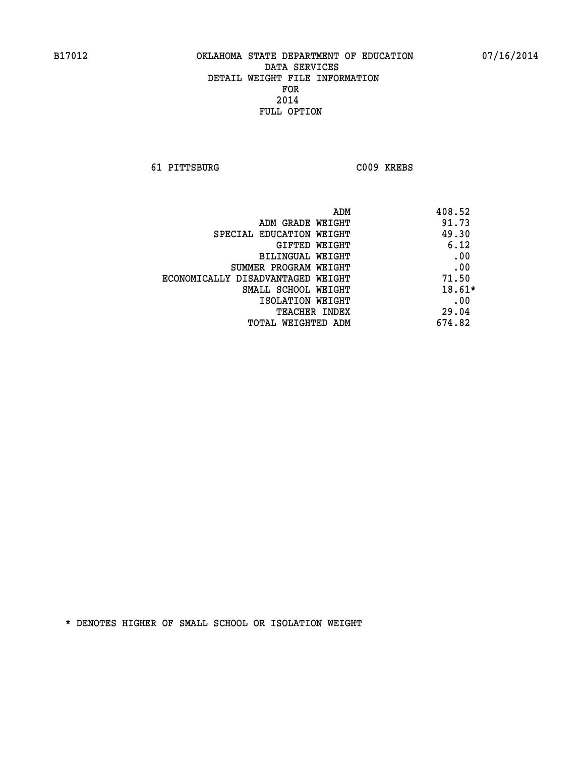**61 PITTSBURG C009 KREBS** 

| ADM                               | 408.52   |
|-----------------------------------|----------|
| ADM GRADE WEIGHT                  | 91.73    |
| SPECIAL EDUCATION WEIGHT          | 49.30    |
| GIFTED WEIGHT                     | 6.12     |
| BILINGUAL WEIGHT                  | .00      |
| SUMMER PROGRAM WEIGHT             | .00      |
| ECONOMICALLY DISADVANTAGED WEIGHT | 71.50    |
| SMALL SCHOOL WEIGHT               | $18.61*$ |
| ISOLATION WEIGHT                  | .00      |
| <b>TEACHER INDEX</b>              | 29.04    |
| TOTAL WEIGHTED ADM                | 674.82   |
|                                   |          |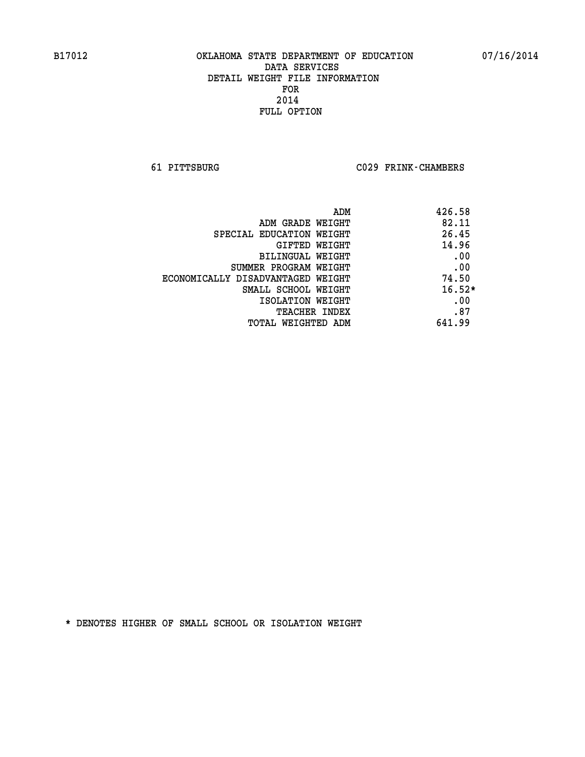**61 PITTSBURG C029 FRINK-CHAMBERS** 

| ADM                               | 426.58   |
|-----------------------------------|----------|
| ADM GRADE WEIGHT                  | 82.11    |
| SPECIAL EDUCATION WEIGHT          | 26.45    |
| GIFTED WEIGHT                     | 14.96    |
| BILINGUAL WEIGHT                  | .00      |
| SUMMER PROGRAM WEIGHT             | .00      |
| ECONOMICALLY DISADVANTAGED WEIGHT | 74.50    |
| SMALL SCHOOL WEIGHT               | $16.52*$ |
| ISOLATION WEIGHT                  | .00      |
| TEACHER INDEX                     | .87      |
| TOTAL WEIGHTED ADM                | 641.99   |
|                                   |          |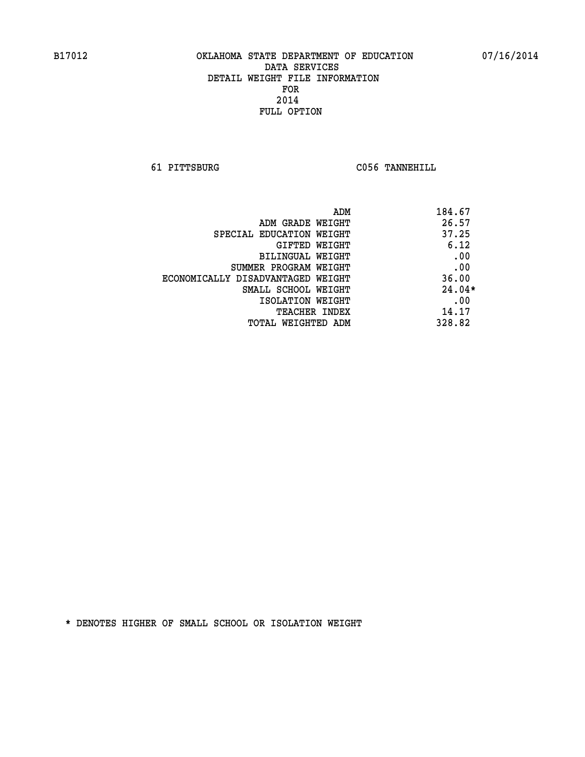**61 PITTSBURG C056 TANNEHILL** 

| ADM                               | 184.67   |
|-----------------------------------|----------|
| ADM GRADE WEIGHT                  | 26.57    |
| SPECIAL EDUCATION WEIGHT          | 37.25    |
| GIFTED WEIGHT                     | 6.12     |
| BILINGUAL WEIGHT                  | .00      |
| SUMMER PROGRAM WEIGHT             | .00      |
| ECONOMICALLY DISADVANTAGED WEIGHT | 36.00    |
| SMALL SCHOOL WEIGHT               | $24.04*$ |
| ISOLATION WEIGHT                  | .00      |
| <b>TEACHER INDEX</b>              | 14.17    |
| TOTAL WEIGHTED ADM                | 328.82   |
|                                   |          |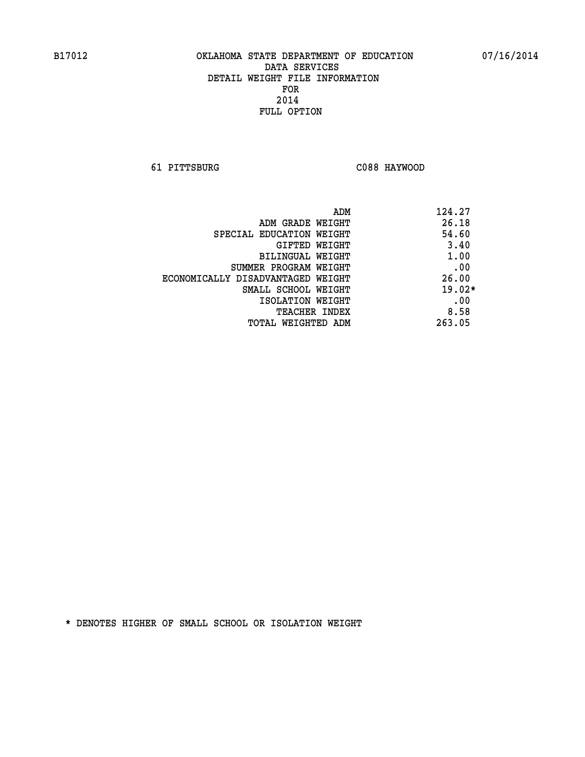**61 PITTSBURG C088 HAYWOOD** 

| ADM                               | 124.27   |
|-----------------------------------|----------|
| ADM GRADE WEIGHT                  | 26.18    |
| SPECIAL EDUCATION WEIGHT          | 54.60    |
| <b>GIFTED WEIGHT</b>              | 3.40     |
| BILINGUAL WEIGHT                  | 1.00     |
| SUMMER PROGRAM WEIGHT             | .00      |
| ECONOMICALLY DISADVANTAGED WEIGHT | 26.00    |
| SMALL SCHOOL WEIGHT               | $19.02*$ |
| ISOLATION WEIGHT                  | .00      |
| <b>TEACHER INDEX</b>              | 8.58     |
| TOTAL WEIGHTED ADM                | 263.05   |
|                                   |          |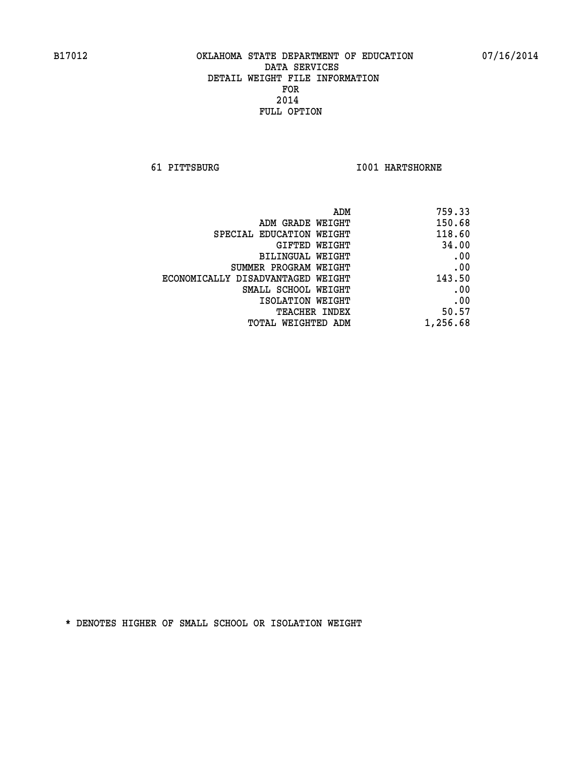**61 PITTSBURG I001 HARTSHORNE** 

| 759.33   |
|----------|
| 150.68   |
| 118.60   |
| 34.00    |
| .00      |
| .00      |
| 143.50   |
| .00      |
| .00      |
| 50.57    |
| 1,256.68 |
|          |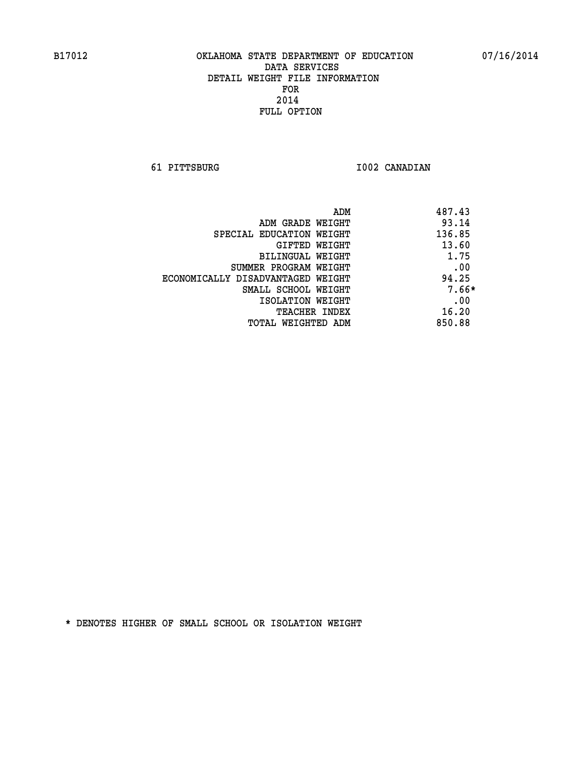**61 PITTSBURG I002 CANADIAN** 

| ADM                               | 487.43  |
|-----------------------------------|---------|
| ADM GRADE WEIGHT                  | 93.14   |
| SPECIAL EDUCATION WEIGHT          | 136.85  |
| GIFTED WEIGHT                     | 13.60   |
| BILINGUAL WEIGHT                  | 1.75    |
| SUMMER PROGRAM WEIGHT             | .00     |
| ECONOMICALLY DISADVANTAGED WEIGHT | 94.25   |
| SMALL SCHOOL WEIGHT               | $7.66*$ |
| ISOLATION WEIGHT                  | .00     |
| <b>TEACHER INDEX</b>              | 16.20   |
| TOTAL WEIGHTED ADM                | 850.88  |
|                                   |         |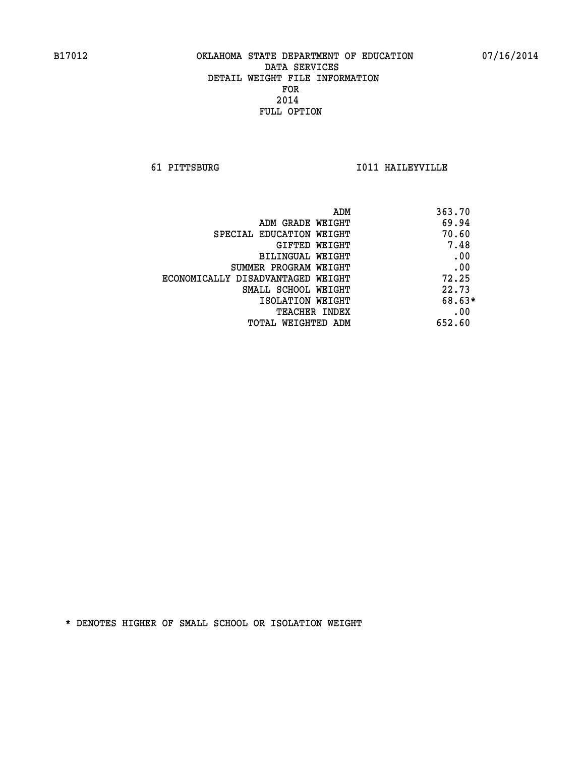**61 PITTSBURG I011 HAILEYVILLE** 

| 363.70<br>ADM                              |  |
|--------------------------------------------|--|
| 69.94<br>ADM GRADE WEIGHT                  |  |
| 70.60<br>SPECIAL EDUCATION WEIGHT          |  |
| 7.48<br>GIFTED WEIGHT                      |  |
| .00<br>BILINGUAL WEIGHT                    |  |
| .00<br>SUMMER PROGRAM WEIGHT               |  |
| 72.25<br>ECONOMICALLY DISADVANTAGED WEIGHT |  |
| 22.73<br>SMALL SCHOOL WEIGHT               |  |
| 68.63*<br>ISOLATION WEIGHT                 |  |
| .00<br><b>TEACHER INDEX</b>                |  |
| 652.60<br>TOTAL WEIGHTED ADM               |  |
|                                            |  |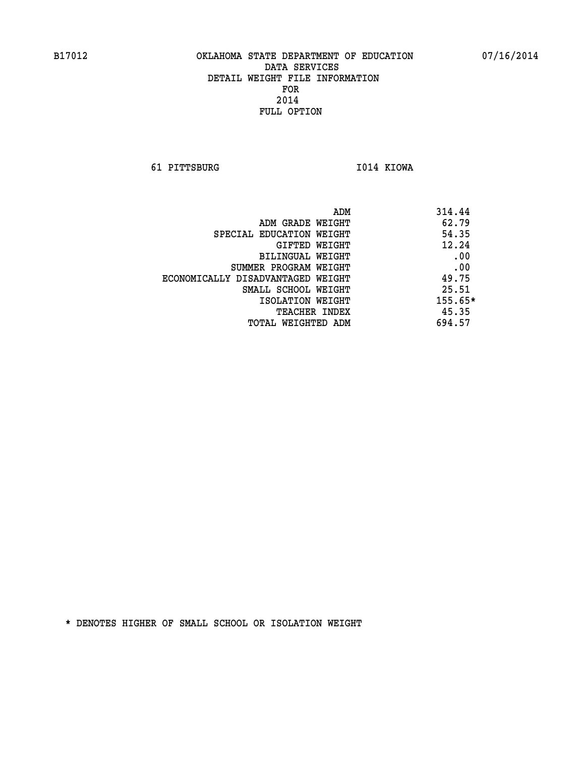**61 PITTSBURG I014 KIOWA** 

|                                   | 314.44<br>ADM |
|-----------------------------------|---------------|
| ADM GRADE WEIGHT                  | 62.79         |
| SPECIAL EDUCATION WEIGHT          | 54.35         |
| GIFTED WEIGHT                     | 12.24         |
| BILINGUAL WEIGHT                  | .00           |
| SUMMER PROGRAM WEIGHT             | .00           |
| ECONOMICALLY DISADVANTAGED WEIGHT | 49.75         |
| SMALL SCHOOL WEIGHT               | 25.51         |
| ISOLATION WEIGHT                  | 155.65*       |
| <b>TEACHER INDEX</b>              | 45.35         |
| TOTAL WEIGHTED ADM                | 694.57        |
|                                   |               |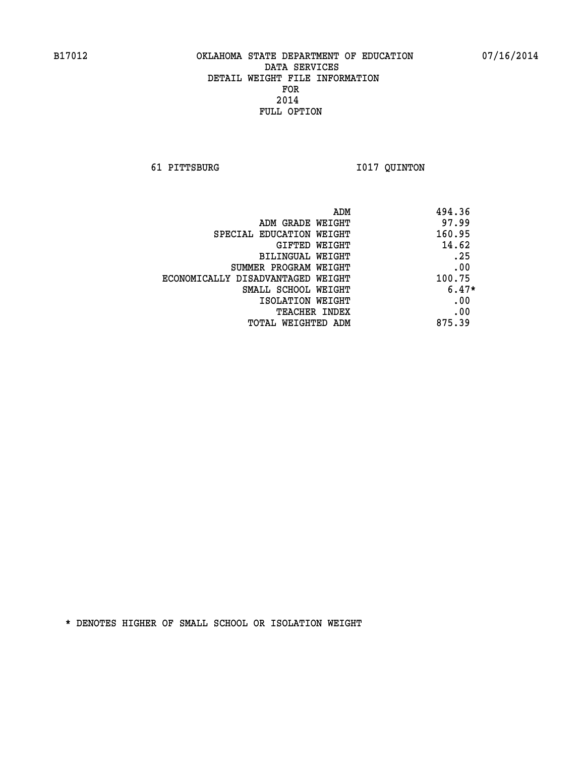**61 PITTSBURG I017 QUINTON** 

| 494.36<br>ADM                               |  |
|---------------------------------------------|--|
| 97.99<br>ADM GRADE WEIGHT                   |  |
| 160.95<br>SPECIAL EDUCATION WEIGHT          |  |
| 14.62<br>GIFTED WEIGHT                      |  |
| .25<br>BILINGUAL WEIGHT                     |  |
| .00<br>SUMMER PROGRAM WEIGHT                |  |
| 100.75<br>ECONOMICALLY DISADVANTAGED WEIGHT |  |
| $6.47*$<br>SMALL SCHOOL WEIGHT              |  |
| .00<br>ISOLATION WEIGHT                     |  |
| .00<br><b>TEACHER INDEX</b>                 |  |
| 875.39<br>TOTAL WEIGHTED ADM                |  |
|                                             |  |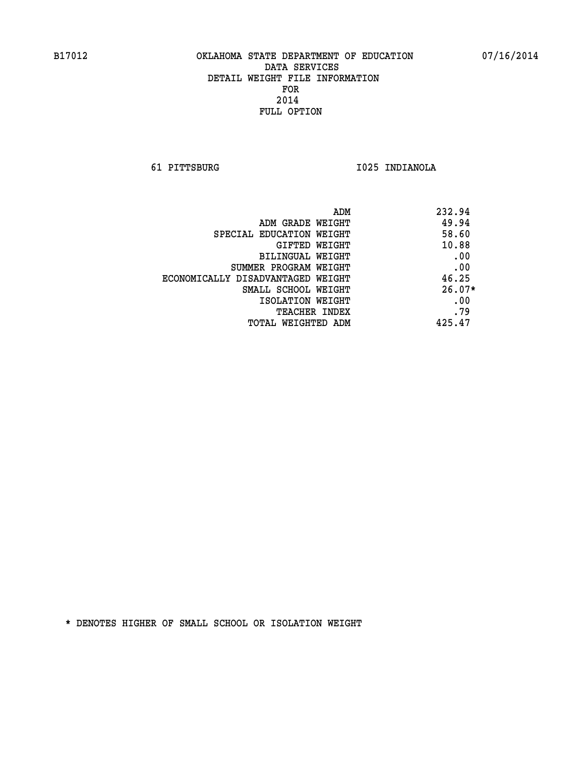**61 PITTSBURG I025 INDIANOLA** 

| ADM                               | 232.94   |
|-----------------------------------|----------|
| ADM GRADE WEIGHT                  | 49.94    |
| SPECIAL EDUCATION WEIGHT          | 58.60    |
| GIFTED WEIGHT                     | 10.88    |
| BILINGUAL WEIGHT                  | .00      |
| SUMMER PROGRAM WEIGHT             | .00      |
| ECONOMICALLY DISADVANTAGED WEIGHT | 46.25    |
| SMALL SCHOOL WEIGHT               | $26.07*$ |
| ISOLATION WEIGHT                  | .00      |
| <b>TEACHER INDEX</b>              | .79      |
| TOTAL WEIGHTED ADM                | 425.47   |
|                                   |          |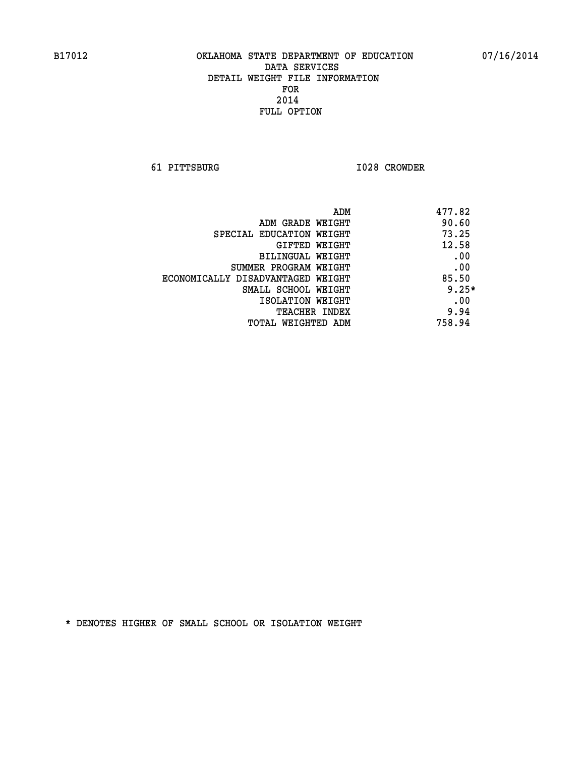**61 PITTSBURG I028 CROWDER** 

| ADM                               | 477.82  |
|-----------------------------------|---------|
| ADM GRADE WEIGHT                  | 90.60   |
| SPECIAL EDUCATION WEIGHT          | 73.25   |
| GIFTED WEIGHT                     | 12.58   |
| BILINGUAL WEIGHT                  | .00     |
| SUMMER PROGRAM WEIGHT             | .00     |
| ECONOMICALLY DISADVANTAGED WEIGHT | 85.50   |
| SMALL SCHOOL WEIGHT               | $9.25*$ |
| ISOLATION WEIGHT                  | .00     |
| <b>TEACHER INDEX</b>              | 9.94    |
| TOTAL WEIGHTED ADM                | 758.94  |
|                                   |         |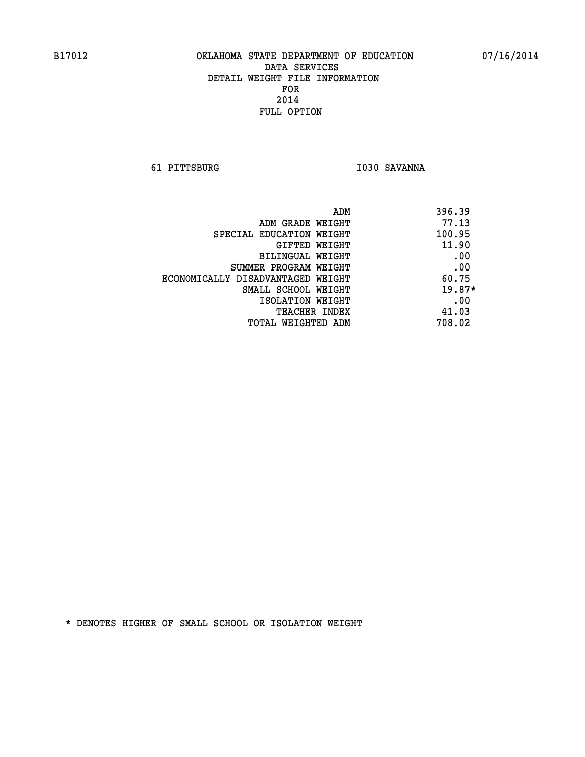**61 PITTSBURG I030 SAVANNA** 

| ADM                               | 396.39   |
|-----------------------------------|----------|
| ADM GRADE WEIGHT                  | 77.13    |
| SPECIAL EDUCATION WEIGHT          | 100.95   |
| GIFTED WEIGHT                     | 11.90    |
| BILINGUAL WEIGHT                  | .00      |
| SUMMER PROGRAM WEIGHT             | .00      |
| ECONOMICALLY DISADVANTAGED WEIGHT | 60.75    |
| SMALL SCHOOL WEIGHT               | $19.87*$ |
| ISOLATION WEIGHT                  | .00      |
| <b>TEACHER INDEX</b>              | 41.03    |
| TOTAL WEIGHTED ADM                | 708.02   |
|                                   |          |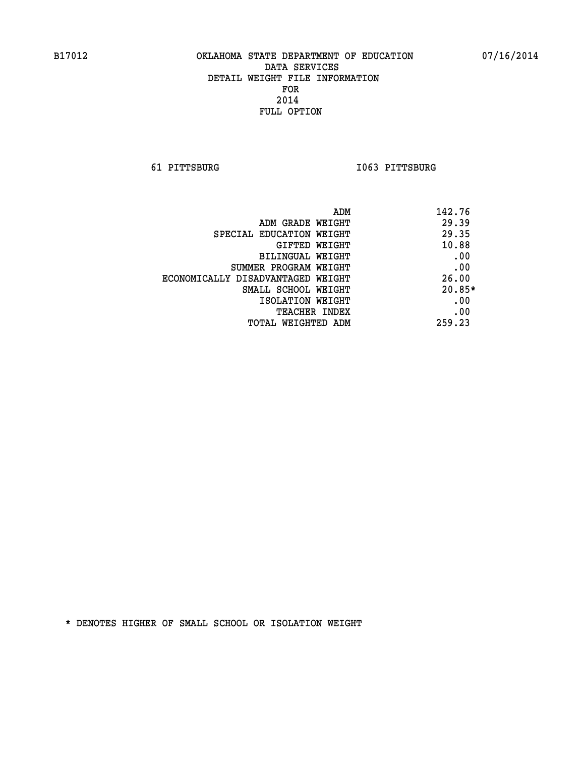**61 PITTSBURG I063 PITTSBURG** 

| ADM                               | 142.76   |
|-----------------------------------|----------|
| ADM GRADE WEIGHT                  | 29.39    |
| SPECIAL EDUCATION WEIGHT          | 29.35    |
| GIFTED WEIGHT                     | 10.88    |
| BILINGUAL WEIGHT                  | .00      |
| SUMMER PROGRAM WEIGHT             | .00      |
| ECONOMICALLY DISADVANTAGED WEIGHT | 26.00    |
| SMALL SCHOOL WEIGHT               | $20.85*$ |
| ISOLATION WEIGHT                  | .00      |
| <b>TEACHER INDEX</b>              | .00      |
| TOTAL WEIGHTED ADM                | 259.23   |
|                                   |          |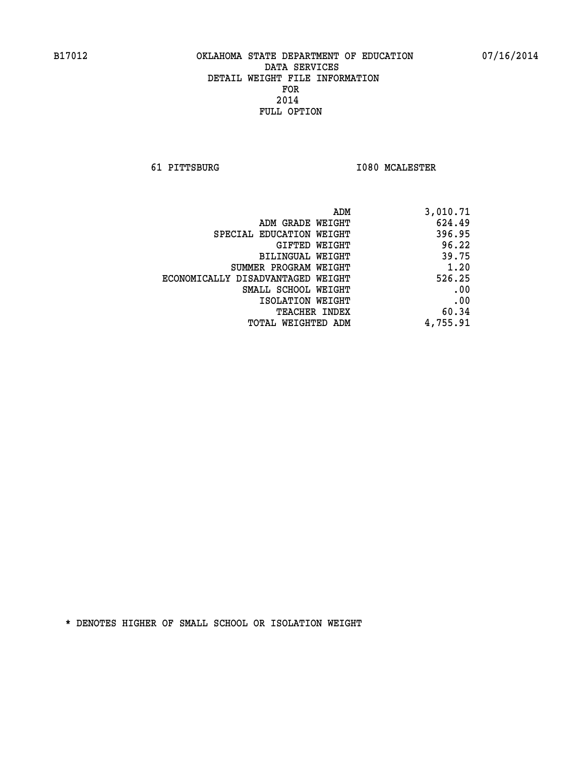**61 PITTSBURG I080 MCALESTER** 

| 3,010.71 |
|----------|
| 624.49   |
| 396.95   |
| 96.22    |
| 39.75    |
| 1.20     |
| 526.25   |
| .00      |
| .00      |
| 60.34    |
| 4,755.91 |
|          |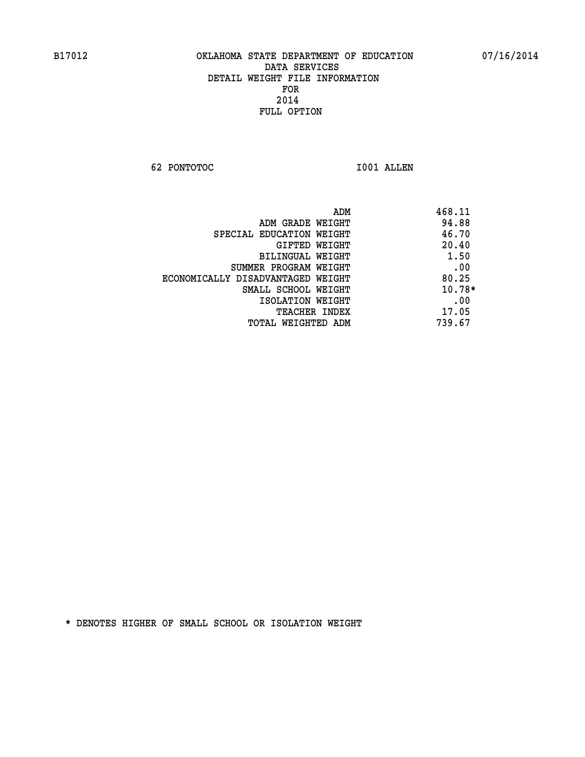**62 PONTOTOC I001 ALLEN** 

|                                   | 468.11<br>ADM |
|-----------------------------------|---------------|
| ADM GRADE WEIGHT                  | 94.88         |
| SPECIAL EDUCATION WEIGHT          | 46.70         |
| GIFTED WEIGHT                     | 20.40         |
| BILINGUAL WEIGHT                  | 1.50          |
| SUMMER PROGRAM WEIGHT             | .00           |
| ECONOMICALLY DISADVANTAGED WEIGHT | 80.25         |
| SMALL SCHOOL WEIGHT               | $10.78*$      |
| ISOLATION WEIGHT                  | .00           |
| <b>TEACHER INDEX</b>              | 17.05         |
| TOTAL WEIGHTED ADM                | 739.67        |
|                                   |               |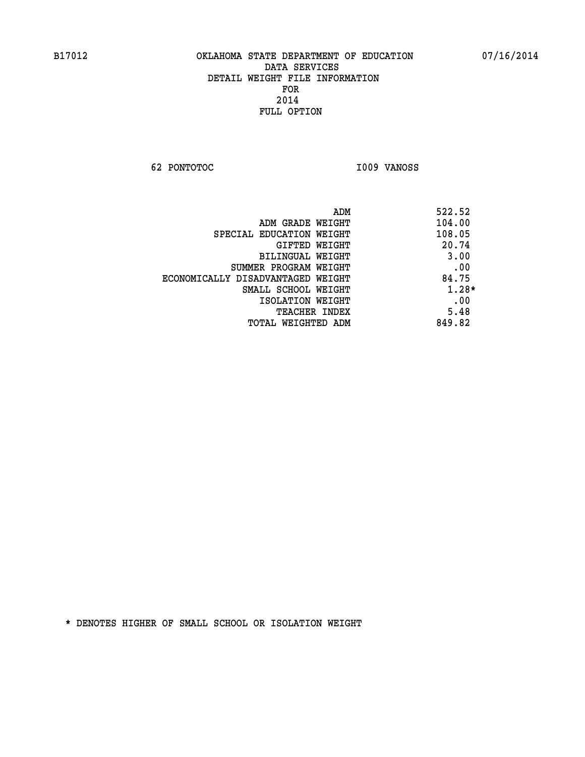**62 PONTOTOC I009 VANOSS** 

| ADM                               | 522.52  |
|-----------------------------------|---------|
| ADM GRADE WEIGHT                  | 104.00  |
| SPECIAL EDUCATION WEIGHT          | 108.05  |
| GIFTED WEIGHT                     | 20.74   |
| BILINGUAL WEIGHT                  | 3.00    |
| SUMMER PROGRAM WEIGHT             | .00     |
| ECONOMICALLY DISADVANTAGED WEIGHT | 84.75   |
| SMALL SCHOOL WEIGHT               | $1.28*$ |
| ISOLATION WEIGHT                  | .00     |
| <b>TEACHER INDEX</b>              | 5.48    |
| TOTAL WEIGHTED ADM                | 849.82  |
|                                   |         |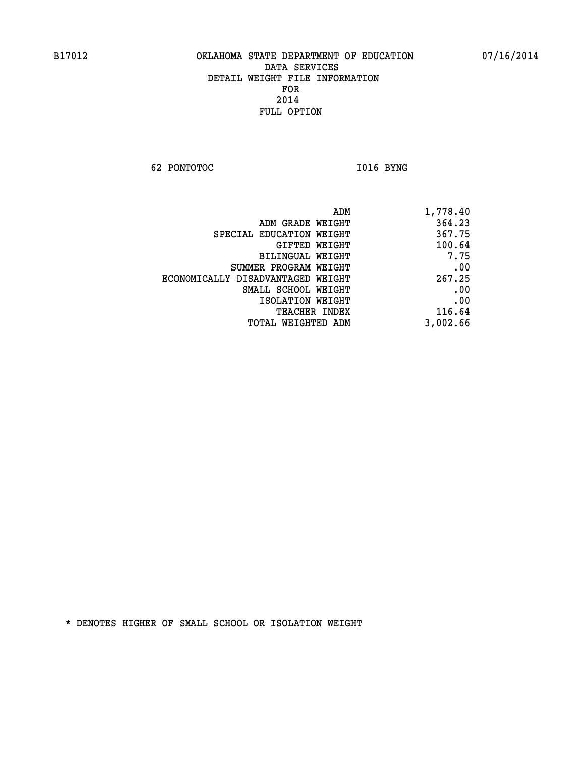**62 PONTOTOC I016 BYNG** 

| ADM                               | 1,778.40 |
|-----------------------------------|----------|
| ADM GRADE WEIGHT                  | 364.23   |
| SPECIAL EDUCATION WEIGHT          | 367.75   |
| GIFTED WEIGHT                     | 100.64   |
| BILINGUAL WEIGHT                  | 7.75     |
| SUMMER PROGRAM WEIGHT             | .00      |
| ECONOMICALLY DISADVANTAGED WEIGHT | 267.25   |
| SMALL SCHOOL WEIGHT               | .00      |
| ISOLATION WEIGHT                  | .00      |
| <b>TEACHER INDEX</b>              | 116.64   |
| TOTAL WEIGHTED ADM                | 3,002.66 |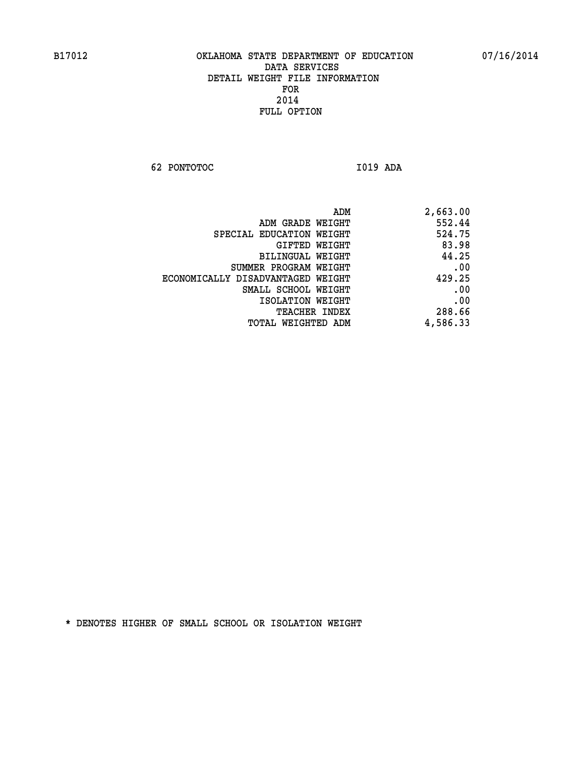**62 PONTOTOC I019 ADA** 

| ADM                               | 2,663.00 |
|-----------------------------------|----------|
| ADM GRADE WEIGHT                  | 552.44   |
| SPECIAL EDUCATION WEIGHT          | 524.75   |
| GIFTED WEIGHT                     | 83.98    |
| BILINGUAL WEIGHT                  | 44.25    |
| SUMMER PROGRAM WEIGHT             | .00      |
| ECONOMICALLY DISADVANTAGED WEIGHT | 429.25   |
| SMALL SCHOOL WEIGHT               | .00      |
| ISOLATION WEIGHT                  | .00      |
| <b>TEACHER INDEX</b>              | 288.66   |
| TOTAL WEIGHTED ADM                | 4,586.33 |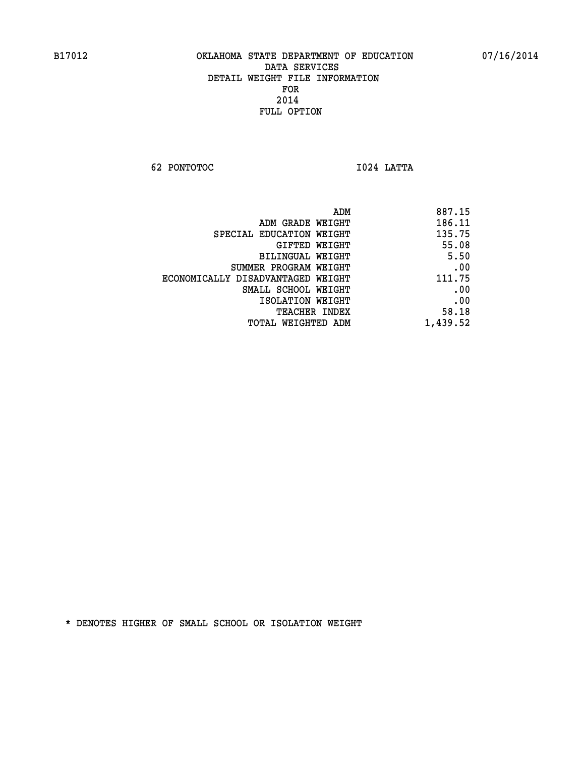**62 PONTOTOC I024 LATTA** 

| 887.15   |
|----------|
| 186.11   |
| 135.75   |
| 55.08    |
| 5.50     |
| .00      |
| 111.75   |
| .00      |
| .00      |
| 58.18    |
| 1,439.52 |
|          |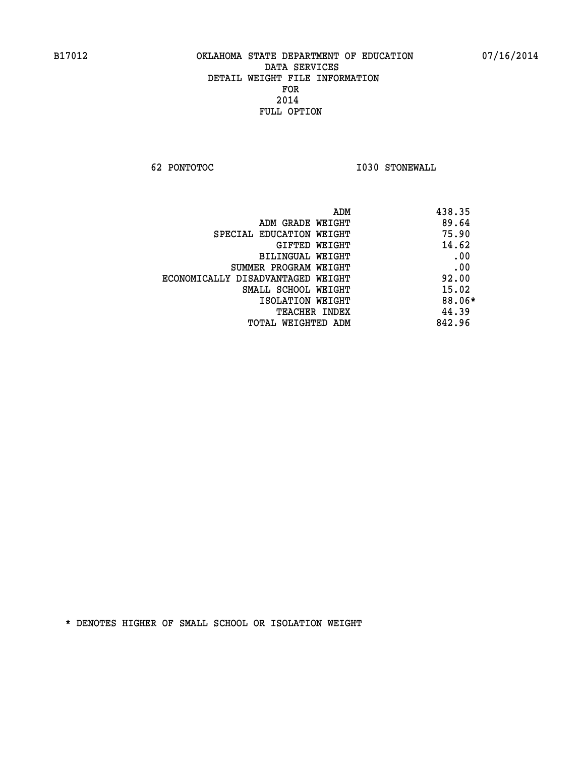**62 PONTOTOC I030 STONEWALL** 

| ADM                               | 438.35 |
|-----------------------------------|--------|
| ADM GRADE WEIGHT                  | 89.64  |
| SPECIAL EDUCATION WEIGHT          | 75.90  |
| GIFTED WEIGHT                     | 14.62  |
| BILINGUAL WEIGHT                  | .00    |
| SUMMER PROGRAM WEIGHT             | .00    |
| ECONOMICALLY DISADVANTAGED WEIGHT | 92.00  |
| SMALL SCHOOL WEIGHT               | 15.02  |
| ISOLATION WEIGHT                  | 88.06* |
| <b>TEACHER INDEX</b>              | 44.39  |
| TOTAL WEIGHTED ADM                | 842.96 |
|                                   |        |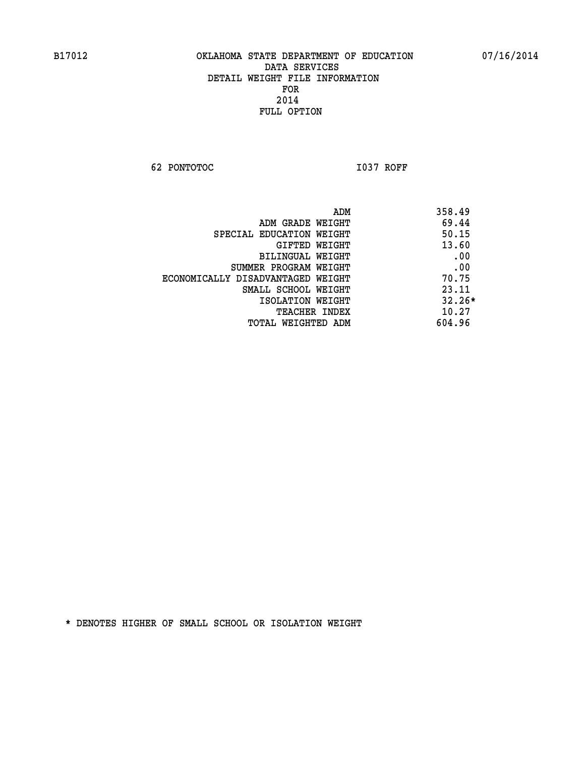**62 PONTOTOC I037 ROFF** 

|                                   | 358.49<br>ADM |  |
|-----------------------------------|---------------|--|
| ADM GRADE WEIGHT                  | 69.44         |  |
| SPECIAL EDUCATION WEIGHT          | 50.15         |  |
| GIFTED WEIGHT                     | 13.60         |  |
| BILINGUAL WEIGHT                  | .00           |  |
| SUMMER PROGRAM WEIGHT             | .00           |  |
| ECONOMICALLY DISADVANTAGED WEIGHT | 70.75         |  |
| SMALL SCHOOL WEIGHT               | 23.11         |  |
| ISOLATION WEIGHT                  | $32.26*$      |  |
| <b>TEACHER INDEX</b>              | 10.27         |  |
| TOTAL WEIGHTED ADM                | 604.96        |  |
|                                   |               |  |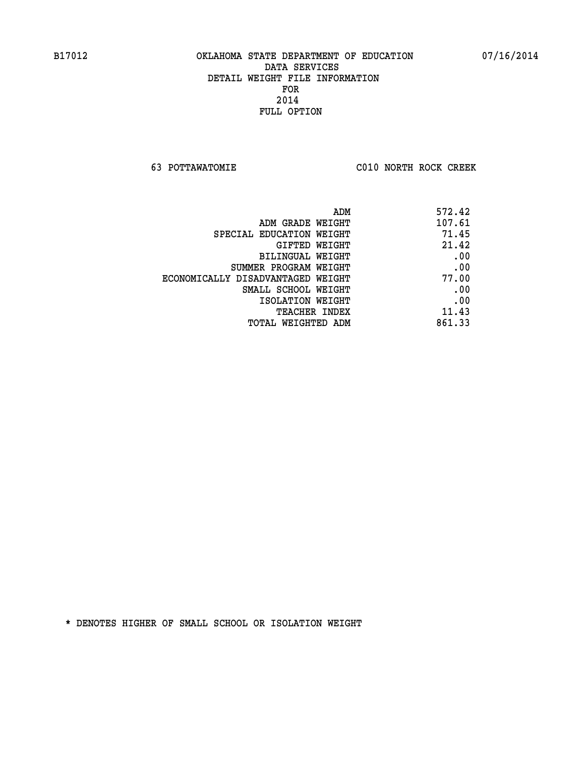**63 POTTAWATOMIE C010 NORTH ROCK CREEK** 

| 572.42 |
|--------|
| 107.61 |
| 71.45  |
| 21.42  |
| .00    |
| .00    |
| 77.00  |
| .00    |
| .00    |
| 11.43  |
| 861.33 |
|        |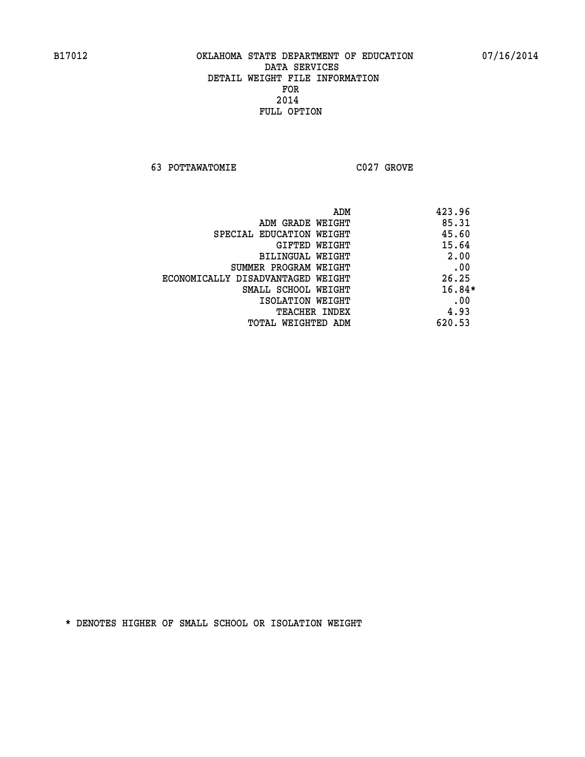**63 POTTAWATOMIE C027 GROVE** 

|                                   | ADM<br>423.96 |  |
|-----------------------------------|---------------|--|
| ADM GRADE WEIGHT                  | 85.31         |  |
| SPECIAL EDUCATION WEIGHT          | 45.60         |  |
| GIFTED WEIGHT                     | 15.64         |  |
| BILINGUAL WEIGHT                  | 2.00          |  |
| SUMMER PROGRAM WEIGHT             | .00           |  |
| ECONOMICALLY DISADVANTAGED WEIGHT | 26.25         |  |
| SMALL SCHOOL WEIGHT               | $16.84*$      |  |
| ISOLATION WEIGHT                  | .00           |  |
| <b>TEACHER INDEX</b>              | 4.93          |  |
| TOTAL WEIGHTED ADM                | 620.53        |  |
|                                   |               |  |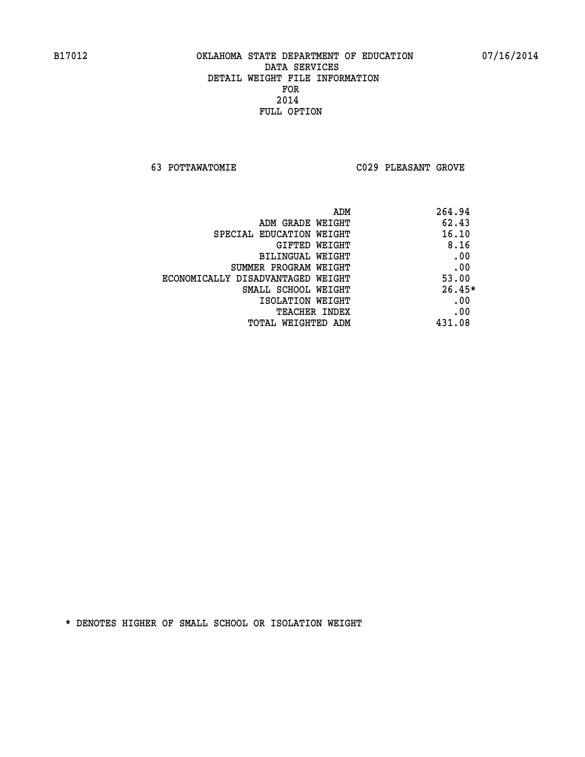**63 POTTAWATOMIE C029 PLEASANT GROVE** 

| ADM                               | 264.94   |
|-----------------------------------|----------|
| ADM GRADE WEIGHT                  | 62.43    |
| SPECIAL EDUCATION WEIGHT          | 16.10    |
| GIFTED WEIGHT                     | 8.16     |
| BILINGUAL WEIGHT                  | .00      |
| SUMMER PROGRAM WEIGHT             | .00      |
| ECONOMICALLY DISADVANTAGED WEIGHT | 53.00    |
| SMALL SCHOOL WEIGHT               | $26.45*$ |
| ISOLATION WEIGHT                  | .00      |
| <b>TEACHER INDEX</b>              | .00      |
| TOTAL WEIGHTED ADM                | 431.08   |
|                                   |          |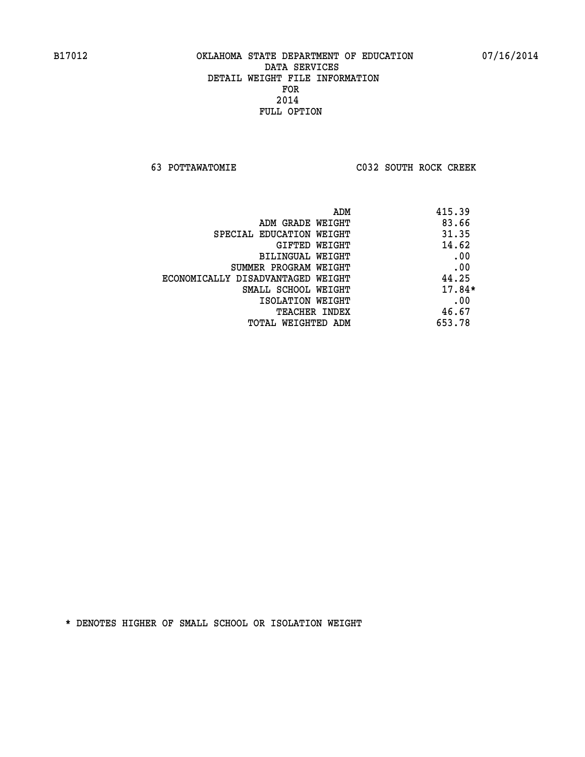**63 POTTAWATOMIE C032 SOUTH ROCK CREEK** 

| 415.39   | ADM                               |
|----------|-----------------------------------|
| 83.66    | ADM GRADE WEIGHT                  |
| 31.35    | SPECIAL EDUCATION WEIGHT          |
| 14.62    | GIFTED WEIGHT                     |
| .00      | BILINGUAL WEIGHT                  |
| .00      | SUMMER PROGRAM WEIGHT             |
| 44.25    | ECONOMICALLY DISADVANTAGED WEIGHT |
| $17.84*$ | SMALL SCHOOL WEIGHT               |
| .00      | ISOLATION WEIGHT                  |
| 46.67    | <b>TEACHER INDEX</b>              |
| 653.78   | TOTAL WEIGHTED ADM                |
|          |                                   |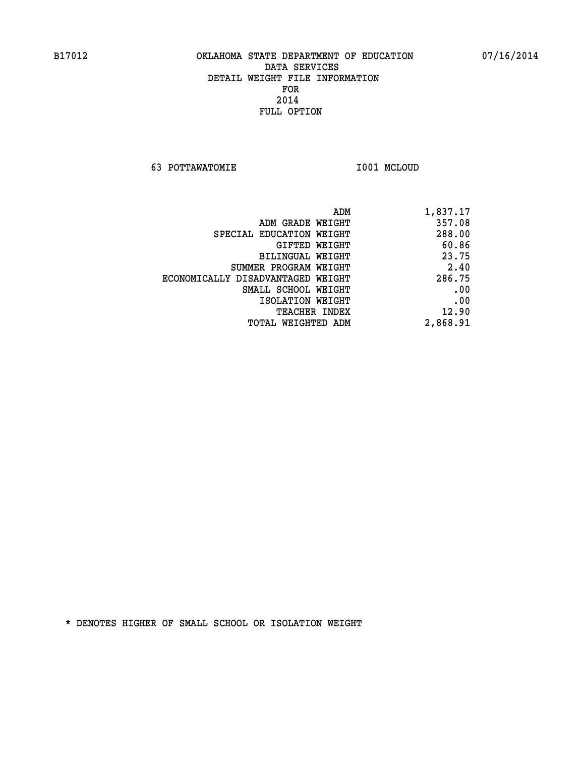**63 POTTAWATOMIE I001 MCLOUD** 

| 1,837.17 |
|----------|
| 357.08   |
| 288.00   |
| 60.86    |
| 23.75    |
| 2.40     |
| 286.75   |
| .00      |
| .00      |
| 12.90    |
| 2,868.91 |
|          |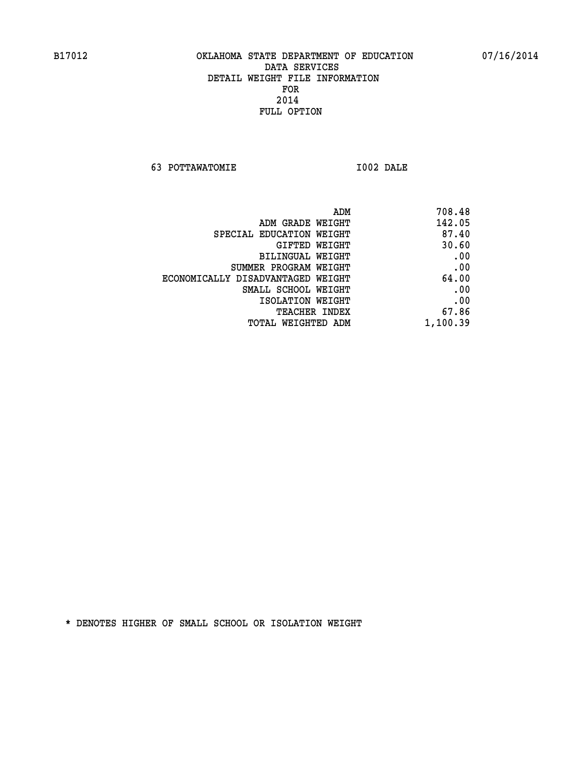**63 POTTAWATOMIE I002 DALE** 

 **ADM 708.48 ADM GRADE WEIGHT 142.05 SPECIAL EDUCATION WEIGHT 87.40 GIFTED WEIGHT 30.60 BILINGUAL WEIGHT .00 SUMMER PROGRAM WEIGHT .00 ECONOMICALLY DISADVANTAGED WEIGHT 64.00 SMALL SCHOOL WEIGHT .00 EXECUTED ISOLATION WEIGHT AND RESOLATION WEIGHT TEACHER INDEX** 67.86  **TOTAL WEIGHTED ADM 1,100.39**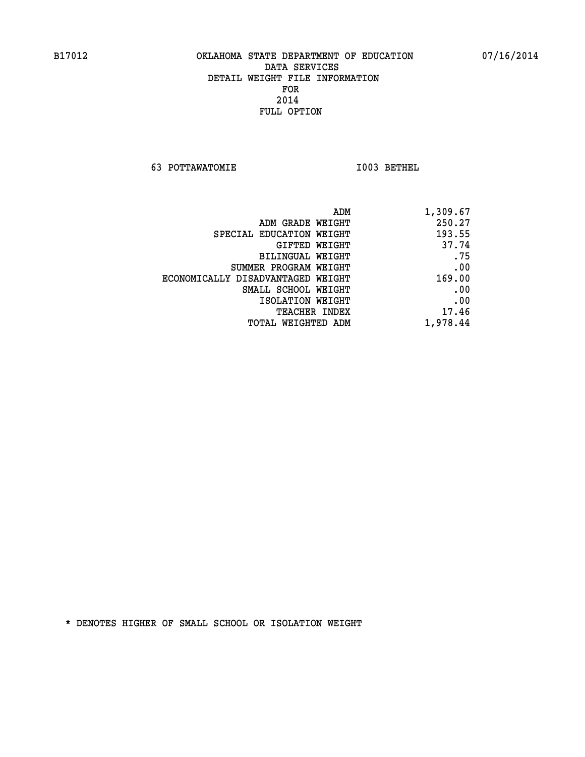**63 POTTAWATOMIE I003 BETHEL** 

| 1,309.67 |
|----------|
| 250.27   |
| 193.55   |
| 37.74    |
| .75      |
| .00      |
| 169.00   |
| .00      |
| .00      |
| 17.46    |
| 1,978.44 |
|          |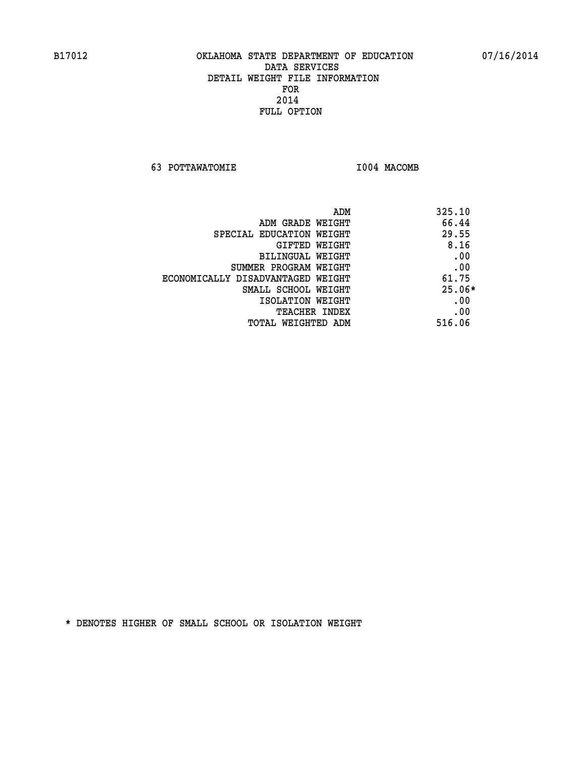**63 POTTAWATOMIE I004 MACOMB** 

| ADM<br>325.10                              |     |
|--------------------------------------------|-----|
| 66.44<br>ADM GRADE WEIGHT                  |     |
| 29.55<br>SPECIAL EDUCATION WEIGHT          |     |
| 8.16<br>GIFTED WEIGHT                      |     |
| BILINGUAL WEIGHT                           | .00 |
| SUMMER PROGRAM WEIGHT                      | .00 |
| 61.75<br>ECONOMICALLY DISADVANTAGED WEIGHT |     |
| $25.06*$<br>SMALL SCHOOL WEIGHT            |     |
| ISOLATION WEIGHT                           | .00 |
| <b>TEACHER INDEX</b>                       | .00 |
| 516.06<br>TOTAL WEIGHTED ADM               |     |
|                                            |     |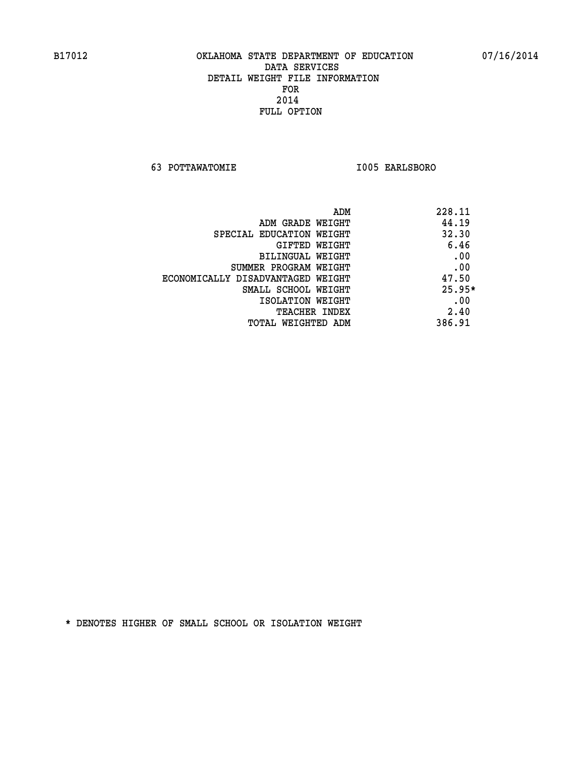**63 POTTAWATOMIE I005 EARLSBORO** 

|                                   | ADM | 228.11   |
|-----------------------------------|-----|----------|
| ADM GRADE WEIGHT                  |     | 44.19    |
| SPECIAL EDUCATION WEIGHT          |     | 32.30    |
| GIFTED WEIGHT                     |     | 6.46     |
| BILINGUAL WEIGHT                  |     | .00      |
| SUMMER PROGRAM WEIGHT             |     | .00      |
| ECONOMICALLY DISADVANTAGED WEIGHT |     | 47.50    |
| SMALL SCHOOL WEIGHT               |     | $25.95*$ |
| ISOLATION WEIGHT                  |     | .00      |
| <b>TEACHER INDEX</b>              |     | 2.40     |
| TOTAL WEIGHTED ADM                |     | 386.91   |
|                                   |     |          |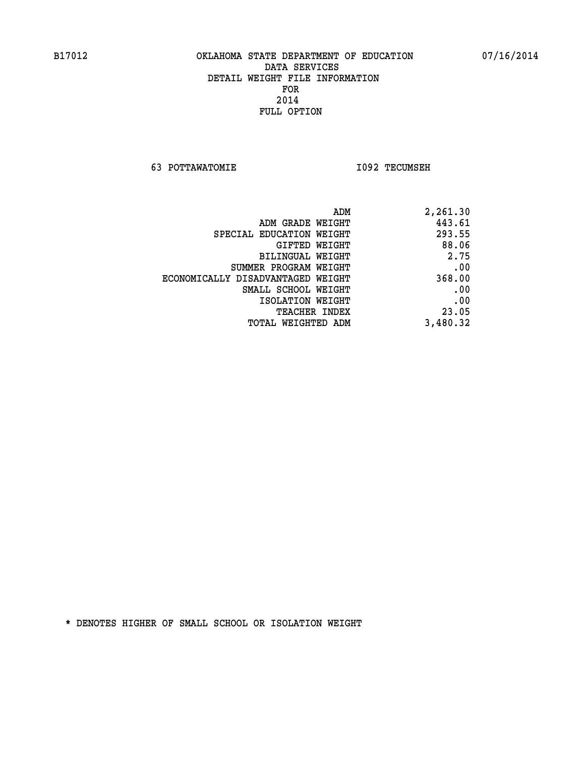**63 POTTAWATOMIE I092 TECUMSEH** 

| 2,261.30 |
|----------|
| 443.61   |
| 293.55   |
| 88.06    |
| 2.75     |
| .00      |
| 368.00   |
| .00      |
| .00      |
| 23.05    |
| 3,480.32 |
|          |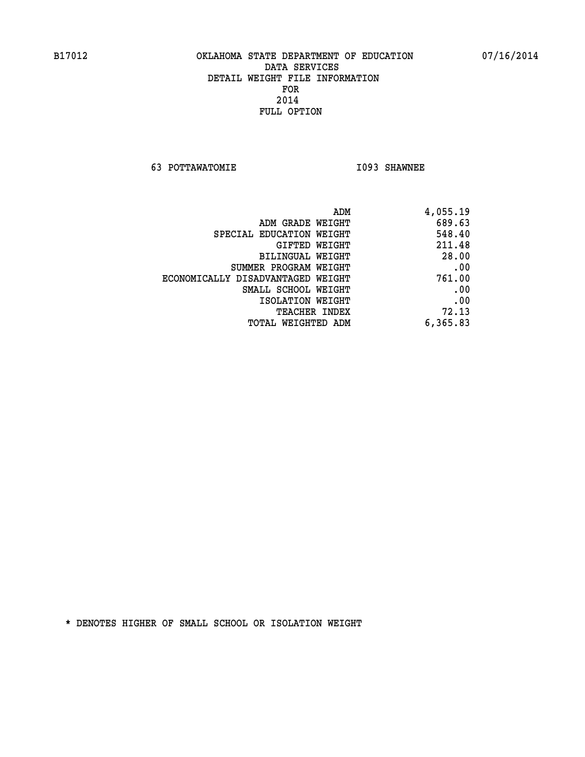**63 POTTAWATOMIE I093 SHAWNEE** 

| 4,055.19 |
|----------|
| 689.63   |
| 548.40   |
| 211.48   |
| 28.00    |
| .00      |
| 761.00   |
| .00      |
| .00      |
| 72.13    |
| 6,365.83 |
|          |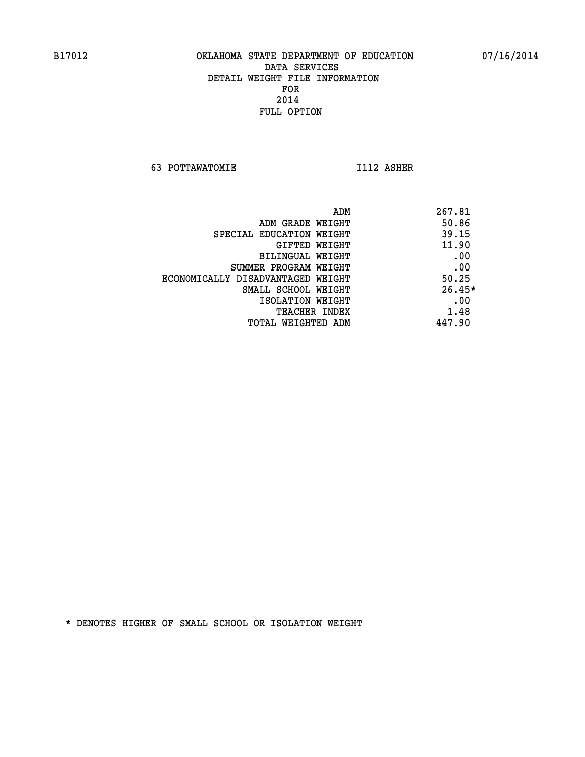**63 POTTAWATOMIE I112 ASHER** 

| ADM                               | 267.81   |
|-----------------------------------|----------|
| ADM GRADE WEIGHT                  | 50.86    |
| SPECIAL EDUCATION WEIGHT          | 39.15    |
| GIFTED WEIGHT                     | 11.90    |
| BILINGUAL WEIGHT                  | .00      |
| SUMMER PROGRAM WEIGHT             | .00      |
| ECONOMICALLY DISADVANTAGED WEIGHT | 50.25    |
| SMALL SCHOOL WEIGHT               | $26.45*$ |
| ISOLATION WEIGHT                  | .00      |
| <b>TEACHER INDEX</b>              | 1.48     |
| TOTAL WEIGHTED ADM                | 447.90   |
|                                   |          |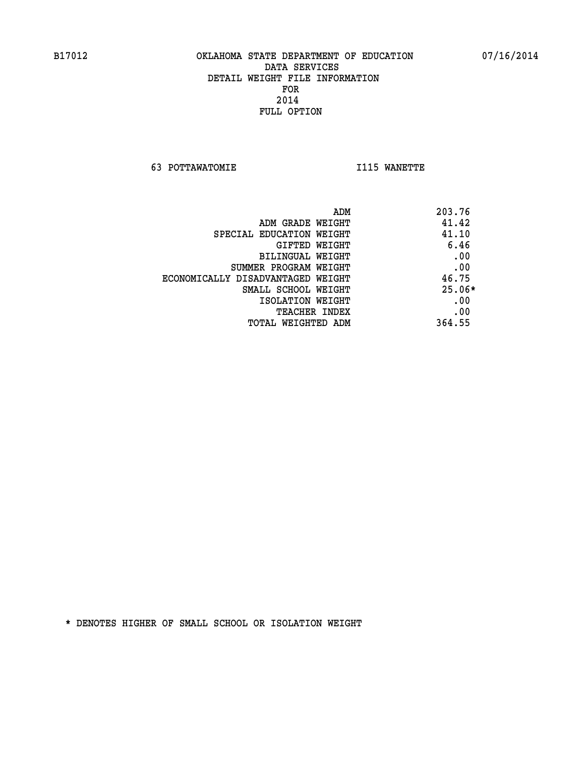**63 POTTAWATOMIE I115 WANETTE** 

| ADM                               | 203.76   |
|-----------------------------------|----------|
| ADM GRADE WEIGHT                  | 41.42    |
| SPECIAL EDUCATION WEIGHT          | 41.10    |
| GIFTED WEIGHT                     | 6.46     |
| BILINGUAL WEIGHT                  | .00      |
| SUMMER PROGRAM WEIGHT             | .00      |
| ECONOMICALLY DISADVANTAGED WEIGHT | 46.75    |
| SMALL SCHOOL WEIGHT               | $25.06*$ |
| ISOLATION WEIGHT                  | .00      |
| <b>TEACHER INDEX</b>              | .00      |
| TOTAL WEIGHTED ADM                | 364.55   |
|                                   |          |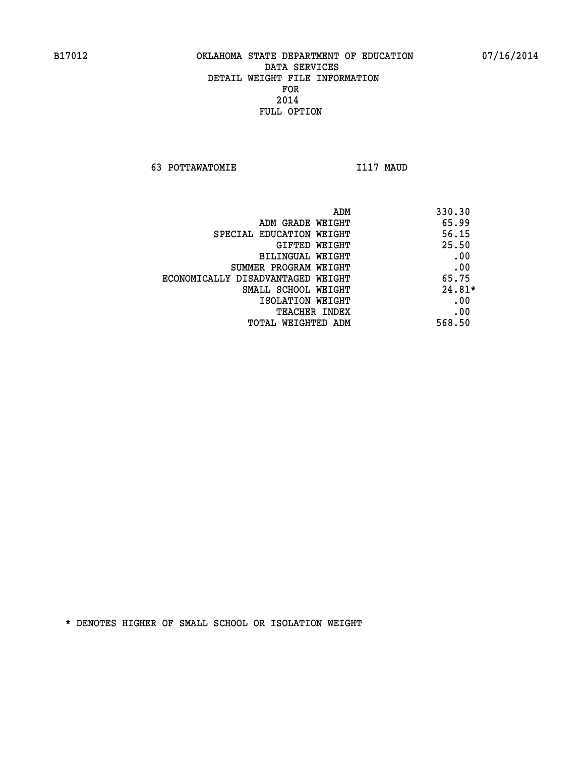**63 POTTAWATOMIE I117 MAUD** 

| ADM                               | 330.30   |
|-----------------------------------|----------|
| ADM GRADE WEIGHT                  | 65.99    |
| SPECIAL EDUCATION WEIGHT          | 56.15    |
| GIFTED WEIGHT                     | 25.50    |
| BILINGUAL WEIGHT                  | .00      |
| SUMMER PROGRAM WEIGHT             | .00      |
| ECONOMICALLY DISADVANTAGED WEIGHT | 65.75    |
| SMALL SCHOOL WEIGHT               | $24.81*$ |
| ISOLATION WEIGHT                  | .00      |
| <b>TEACHER INDEX</b>              | .00      |
| TOTAL WEIGHTED ADM                | 568.50   |
|                                   |          |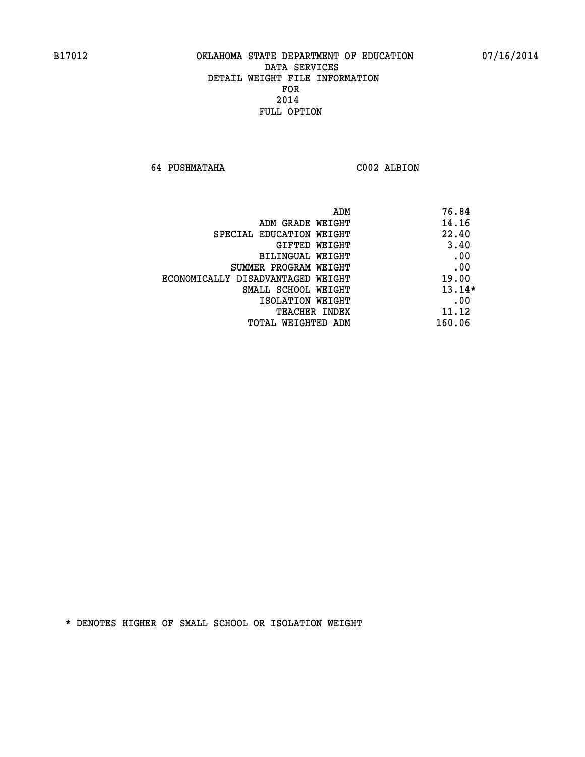**64 PUSHMATAHA C002 ALBION** 

| ADM                               | 76.84    |
|-----------------------------------|----------|
| ADM GRADE WEIGHT                  | 14.16    |
| SPECIAL EDUCATION WEIGHT          | 22.40    |
| GIFTED WEIGHT                     | 3.40     |
| BILINGUAL WEIGHT                  | .00      |
| SUMMER PROGRAM WEIGHT             | .00      |
| ECONOMICALLY DISADVANTAGED WEIGHT | 19.00    |
| SMALL SCHOOL WEIGHT               | $13.14*$ |
| ISOLATION WEIGHT                  | .00      |
| <b>TEACHER INDEX</b>              | 11.12    |
| TOTAL WEIGHTED ADM                | 160.06   |
|                                   |          |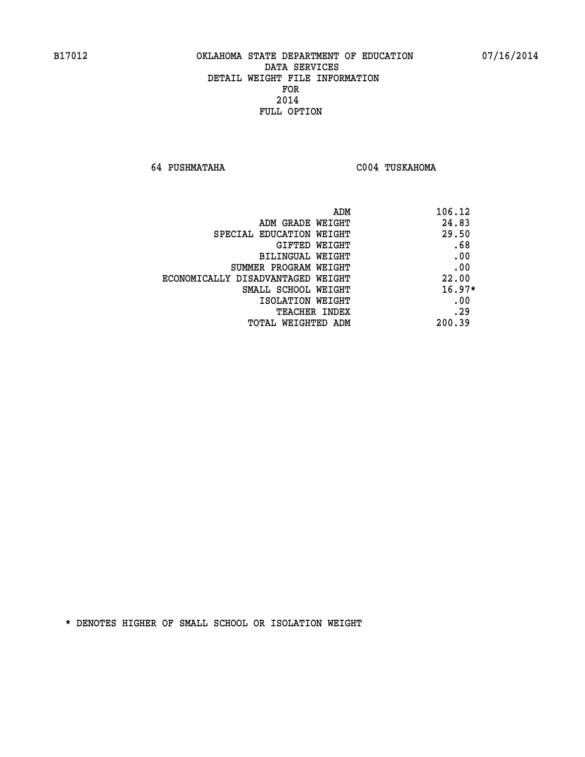**64 PUSHMATAHA C004 TUSKAHOMA** 

| ADM                               | 106.12   |
|-----------------------------------|----------|
| ADM GRADE WEIGHT                  | 24.83    |
| SPECIAL EDUCATION WEIGHT          | 29.50    |
| <b>GIFTED WEIGHT</b>              | .68      |
| <b>BILINGUAL WEIGHT</b>           | .00      |
| SUMMER PROGRAM WEIGHT             | .00      |
| ECONOMICALLY DISADVANTAGED WEIGHT | 22.00    |
| SMALL SCHOOL WEIGHT               | $16.97*$ |
| ISOLATION WEIGHT                  | .00      |
| <b>TEACHER INDEX</b>              | .29      |
| TOTAL WEIGHTED ADM                | 200.39   |
|                                   |          |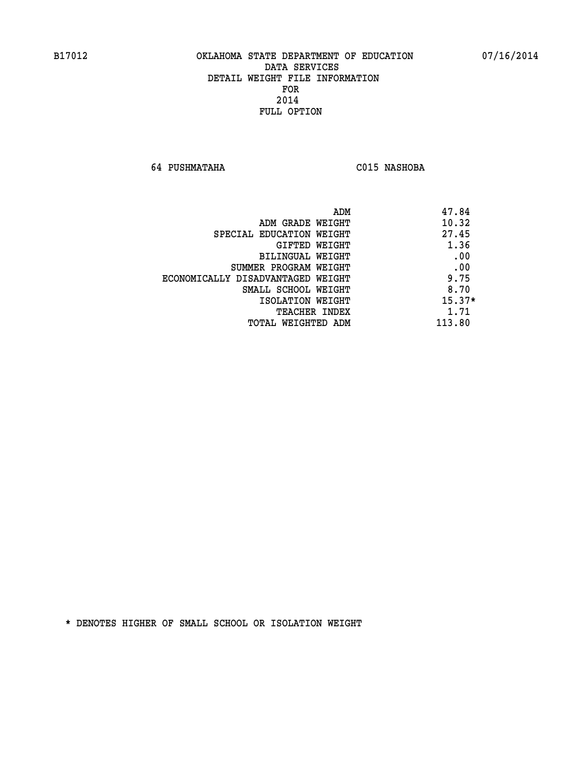**64 PUSHMATAHA C015 NASHOBA** 

|                                   | 47.84<br>ADM |
|-----------------------------------|--------------|
| ADM GRADE WEIGHT                  | 10.32        |
| SPECIAL EDUCATION WEIGHT          | 27.45        |
| GIFTED WEIGHT                     | 1.36         |
| BILINGUAL WEIGHT                  | .00          |
| SUMMER PROGRAM WEIGHT             | .00          |
| ECONOMICALLY DISADVANTAGED WEIGHT | 9.75         |
| SMALL SCHOOL WEIGHT               | 8.70         |
| ISOLATION WEIGHT                  | $15.37*$     |
| <b>TEACHER INDEX</b>              | 1.71         |
| TOTAL WEIGHTED ADM                | 113.80       |
|                                   |              |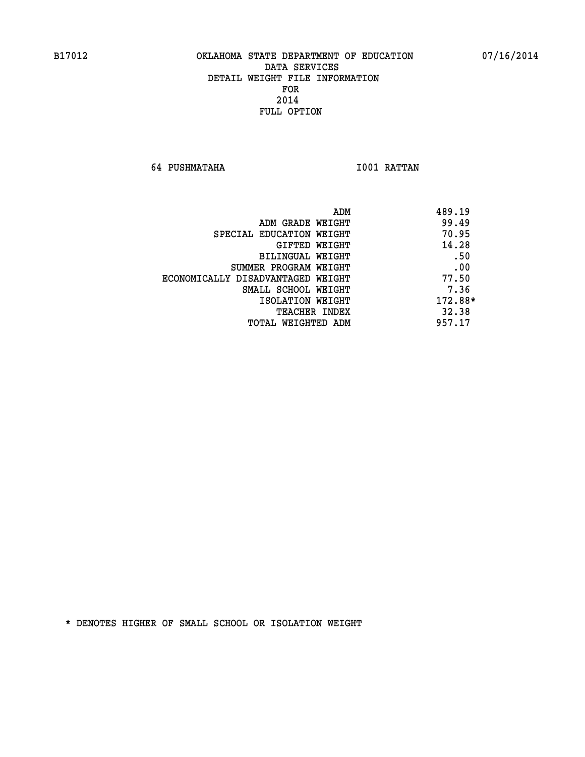**64 PUSHMATAHA I001 RATTAN** 

| ADM<br>489.19 |                                   |
|---------------|-----------------------------------|
| 99.49         | ADM GRADE WEIGHT                  |
| 70.95         | SPECIAL EDUCATION WEIGHT          |
| 14.28         | GIFTED WEIGHT                     |
| .50           | BILINGUAL WEIGHT                  |
| .00           | SUMMER PROGRAM WEIGHT             |
| 77.50         | ECONOMICALLY DISADVANTAGED WEIGHT |
| 7.36          | SMALL SCHOOL WEIGHT               |
| 172.88*       | ISOLATION WEIGHT                  |
| 32.38         | <b>TEACHER INDEX</b>              |
| 957.17        | TOTAL WEIGHTED ADM                |
|               |                                   |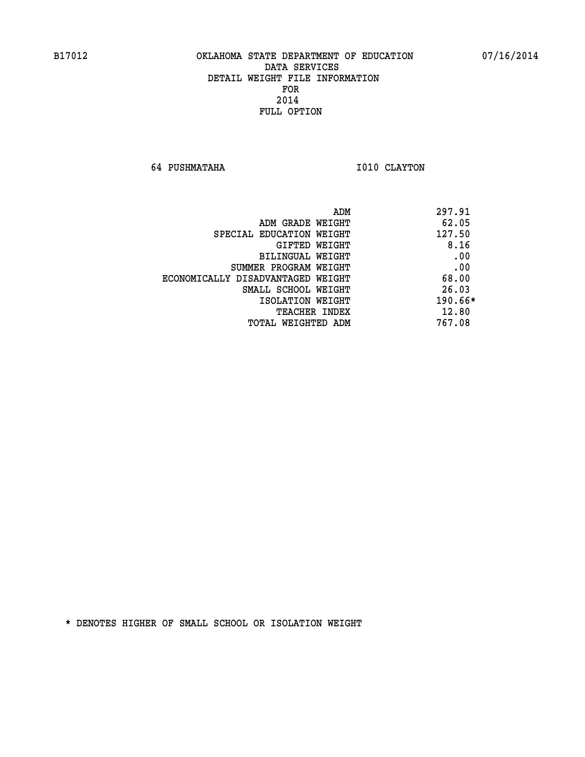**64 PUSHMATAHA 1010 CLAYTON** 

| ADM<br>297.91 |                                   |
|---------------|-----------------------------------|
| 62.05         | ADM GRADE WEIGHT                  |
| 127.50        | SPECIAL EDUCATION WEIGHT          |
| 8.16          | GIFTED WEIGHT                     |
| .00           | BILINGUAL WEIGHT                  |
| .00           | SUMMER PROGRAM WEIGHT             |
| 68.00         | ECONOMICALLY DISADVANTAGED WEIGHT |
| 26.03         | SMALL SCHOOL WEIGHT               |
| $190.66*$     | ISOLATION WEIGHT                  |
| 12.80         | <b>TEACHER INDEX</b>              |
| 767.08        | TOTAL WEIGHTED ADM                |
|               |                                   |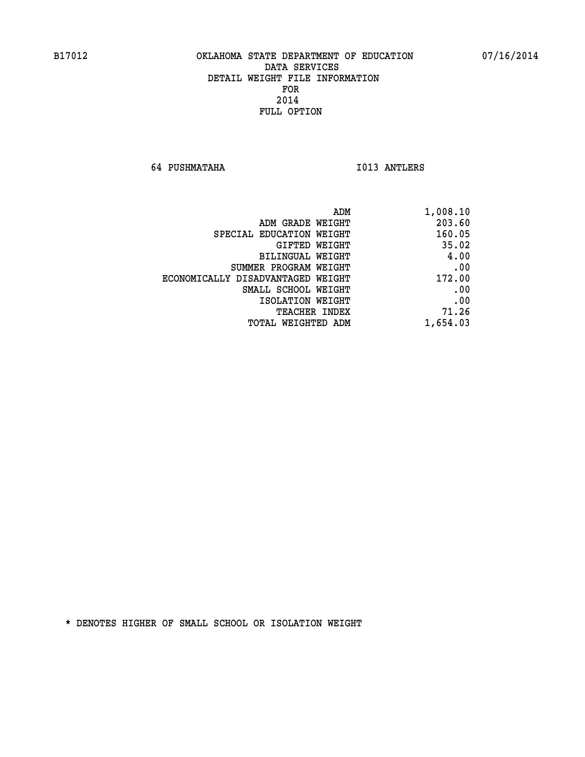**64 PUSHMATAHA I013 ANTLERS** 

| ADM                               | 1,008.10 |
|-----------------------------------|----------|
| ADM GRADE WEIGHT                  | 203.60   |
| SPECIAL EDUCATION WEIGHT          | 160.05   |
| GIFTED WEIGHT                     | 35.02    |
| BILINGUAL WEIGHT                  | 4.00     |
| SUMMER PROGRAM WEIGHT             | .00      |
| ECONOMICALLY DISADVANTAGED WEIGHT | 172.00   |
| SMALL SCHOOL WEIGHT               | .00      |
| ISOLATION WEIGHT                  | .00      |
| <b>TEACHER INDEX</b>              | 71.26    |
| TOTAL WEIGHTED ADM                | 1,654.03 |
|                                   |          |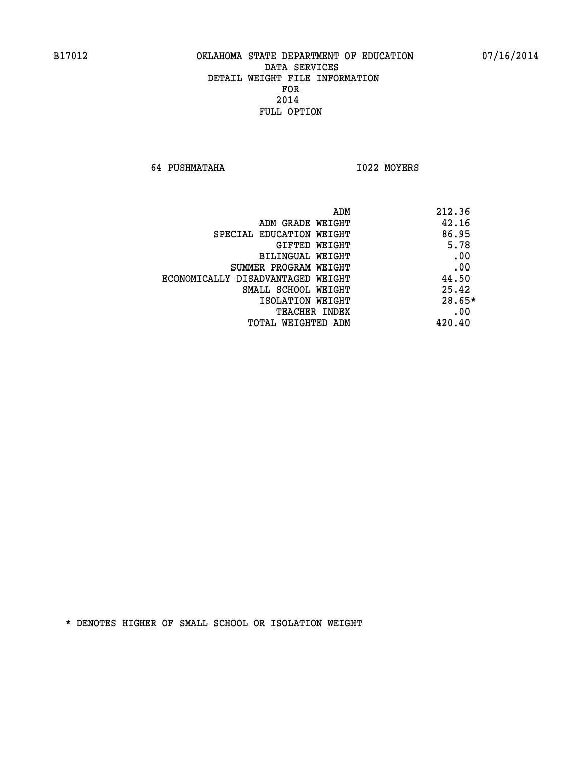**64 PUSHMATAHA I022 MOYERS** 

|                                   | ADM | 212.36   |
|-----------------------------------|-----|----------|
| ADM GRADE WEIGHT                  |     | 42.16    |
| SPECIAL EDUCATION WEIGHT          |     | 86.95    |
| GIFTED WEIGHT                     |     | 5.78     |
| BILINGUAL WEIGHT                  |     | .00      |
| SUMMER PROGRAM WEIGHT             |     | .00      |
| ECONOMICALLY DISADVANTAGED WEIGHT |     | 44.50    |
| SMALL SCHOOL WEIGHT               |     | 25.42    |
| ISOLATION WEIGHT                  |     | $28.65*$ |
| TEACHER INDEX                     |     | .00      |
| TOTAL WEIGHTED ADM                |     | 420.40   |
|                                   |     |          |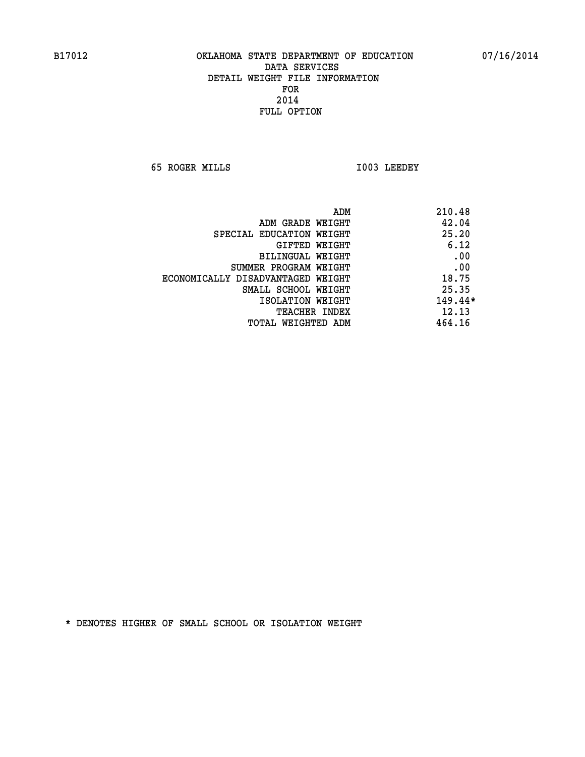**65 ROGER MILLS I003 LEEDEY** 

| ADM                               | 210.48  |
|-----------------------------------|---------|
| ADM GRADE WEIGHT                  | 42.04   |
| SPECIAL EDUCATION WEIGHT          | 25.20   |
| GIFTED WEIGHT                     | 6.12    |
| BILINGUAL WEIGHT                  | .00     |
| SUMMER PROGRAM WEIGHT             | .00     |
| ECONOMICALLY DISADVANTAGED WEIGHT | 18.75   |
| SMALL SCHOOL WEIGHT               | 25.35   |
| ISOLATION WEIGHT                  | 149.44* |
| TEACHER INDEX                     | 12.13   |
| TOTAL WEIGHTED ADM                | 464.16  |
|                                   |         |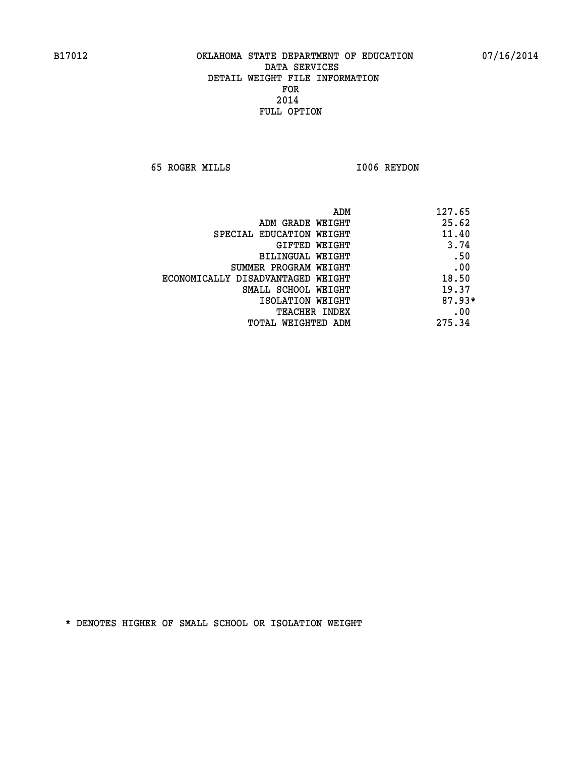**65 ROGER MILLS I006 REYDON** 

| ADM                               | 127.65   |
|-----------------------------------|----------|
| ADM GRADE WEIGHT                  | 25.62    |
| SPECIAL EDUCATION WEIGHT          | 11.40    |
| GIFTED WEIGHT                     | 3.74     |
| BILINGUAL WEIGHT                  | .50      |
| SUMMER PROGRAM WEIGHT             | .00      |
| ECONOMICALLY DISADVANTAGED WEIGHT | 18.50    |
| SMALL SCHOOL WEIGHT               | 19.37    |
| ISOLATION WEIGHT                  | $87.93*$ |
| <b>TEACHER INDEX</b>              | .00      |
| TOTAL WEIGHTED ADM                | 275.34   |
|                                   |          |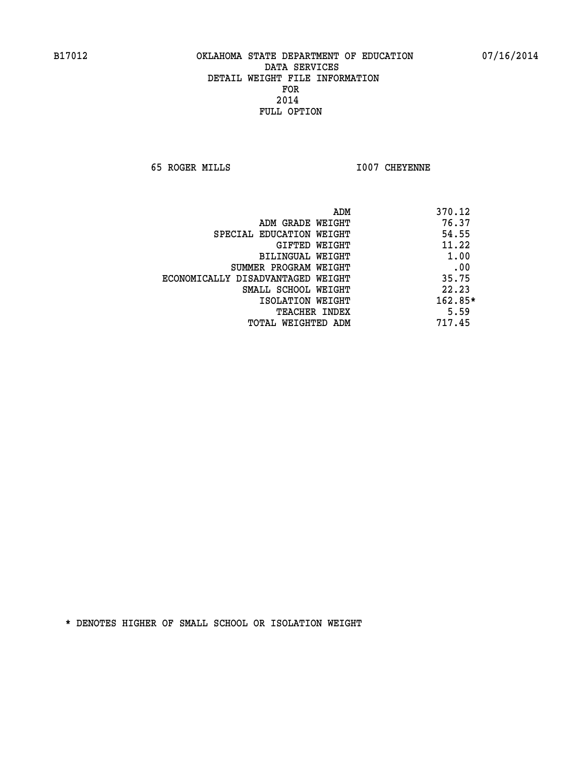**65 ROGER MILLS I007 CHEYENNE** 

|                                   | ADM<br>370.12 |
|-----------------------------------|---------------|
| ADM GRADE WEIGHT                  | 76.37         |
| SPECIAL EDUCATION WEIGHT          | 54.55         |
| GIFTED WEIGHT                     | 11.22         |
| BILINGUAL WEIGHT                  | 1.00          |
| SUMMER PROGRAM WEIGHT             | .00           |
| ECONOMICALLY DISADVANTAGED WEIGHT | 35.75         |
| SMALL SCHOOL WEIGHT               | 22.23         |
| ISOLATION WEIGHT                  | $162.85*$     |
| <b>TEACHER INDEX</b>              | 5.59          |
| TOTAL WEIGHTED ADM                | 717.45        |
|                                   |               |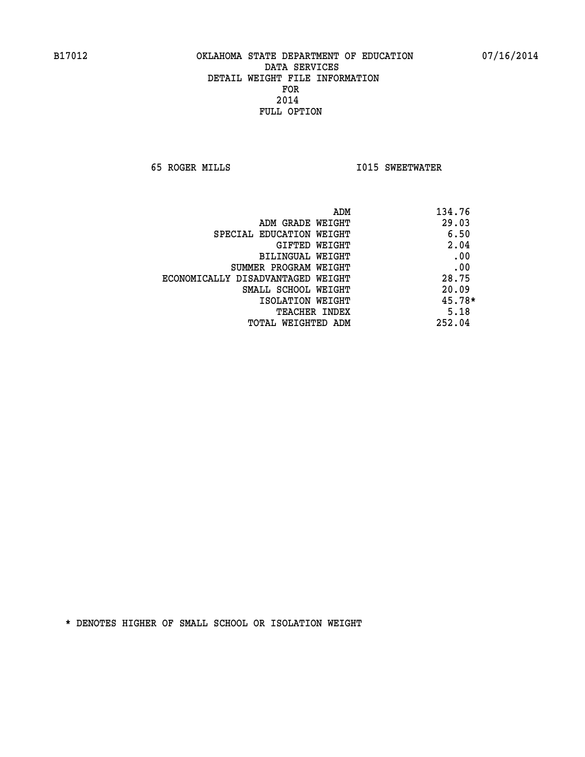**65 ROGER MILLS I015 SWEETWATER** 

| ADM                               | 134.76 |
|-----------------------------------|--------|
| ADM GRADE WEIGHT                  | 29.03  |
| SPECIAL EDUCATION WEIGHT          | 6.50   |
| GIFTED WEIGHT                     | 2.04   |
| BILINGUAL WEIGHT                  | .00    |
| SUMMER PROGRAM WEIGHT             | .00    |
| ECONOMICALLY DISADVANTAGED WEIGHT | 28.75  |
| SMALL SCHOOL WEIGHT               | 20.09  |
| ISOLATION WEIGHT                  | 45.78* |
| <b>TEACHER INDEX</b>              | 5.18   |
| TOTAL WEIGHTED ADM                | 252.04 |
|                                   |        |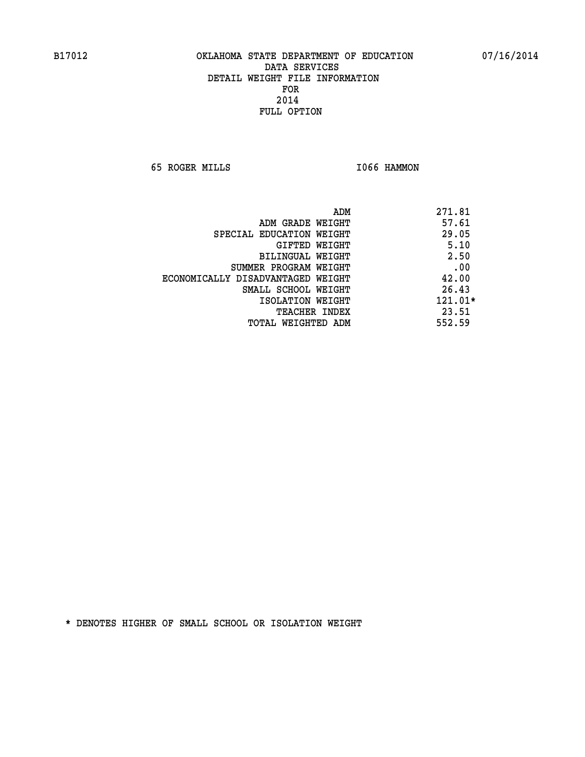**65 ROGER MILLS I066 HAMMON** 

| ADM                               | 271.81  |
|-----------------------------------|---------|
| ADM GRADE WEIGHT                  | 57.61   |
| SPECIAL EDUCATION WEIGHT          | 29.05   |
| GIFTED WEIGHT                     | 5.10    |
| BILINGUAL WEIGHT                  | 2.50    |
| SUMMER PROGRAM WEIGHT             | .00     |
| ECONOMICALLY DISADVANTAGED WEIGHT | 42.00   |
| SMALL SCHOOL WEIGHT               | 26.43   |
| ISOLATION WEIGHT                  | 121.01* |
| TEACHER INDEX                     | 23.51   |
| TOTAL WEIGHTED ADM                | 552.59  |
|                                   |         |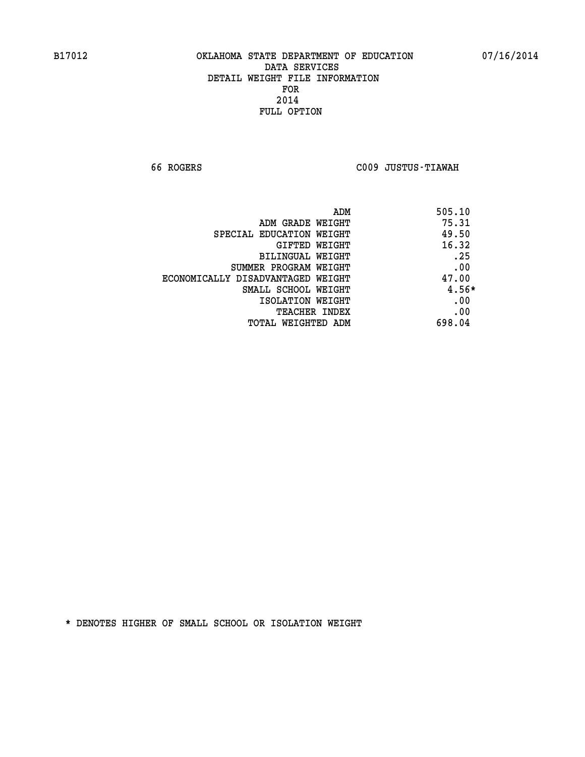**66 ROGERS C009 JUSTUS-TIAWAH** 

|                                   | 505.10<br>ADM |       |
|-----------------------------------|---------------|-------|
| ADM GRADE WEIGHT                  | 75.31         |       |
| SPECIAL EDUCATION WEIGHT          |               | 49.50 |
| GIFTED WEIGHT                     |               | 16.32 |
| BILINGUAL WEIGHT                  |               | .25   |
| SUMMER PROGRAM WEIGHT             |               | .00   |
| ECONOMICALLY DISADVANTAGED WEIGHT |               | 47.00 |
| SMALL SCHOOL WEIGHT               |               | 4.56* |
| ISOLATION WEIGHT                  |               | .00   |
| TEACHER INDEX                     |               | .00   |
| TOTAL WEIGHTED ADM                | 698.04        |       |
|                                   |               |       |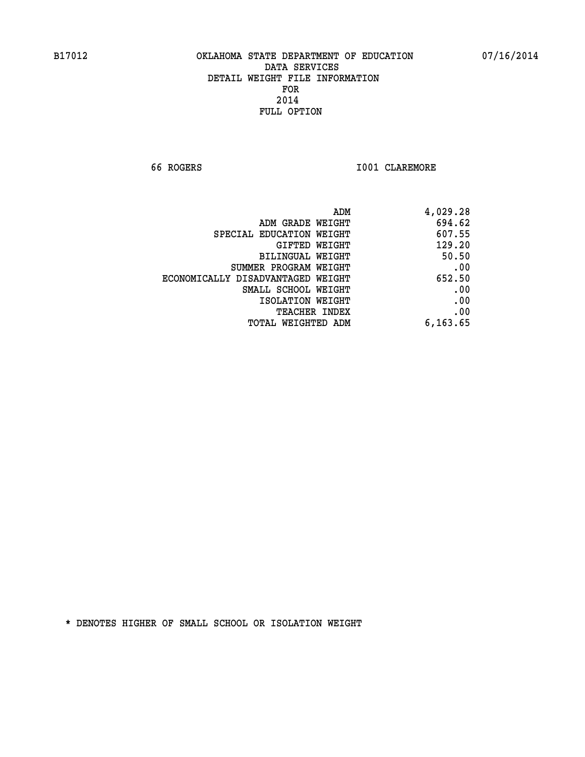**66 ROGERS I001 CLAREMORE** 

| ADM                               | 4,029.28 |
|-----------------------------------|----------|
| ADM GRADE WEIGHT                  | 694.62   |
| SPECIAL EDUCATION WEIGHT          | 607.55   |
| GIFTED WEIGHT                     | 129.20   |
| BILINGUAL WEIGHT                  | 50.50    |
| SUMMER PROGRAM WEIGHT             | .00      |
| ECONOMICALLY DISADVANTAGED WEIGHT | 652.50   |
| SMALL SCHOOL WEIGHT               | .00      |
| ISOLATION WEIGHT                  | .00      |
| <b>TEACHER INDEX</b>              | .00      |
| <b>TOTAL WEIGHTED ADM</b>         | 6,163.65 |
|                                   |          |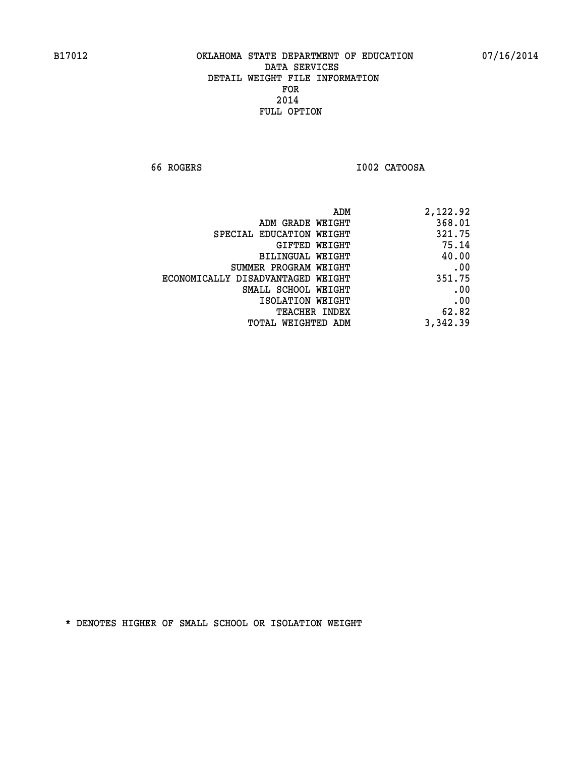**66 ROGERS I002 CATOOSA** 

| 2,122.92 |
|----------|
| 368.01   |
| 321.75   |
| 75.14    |
| 40.00    |
| .00      |
| 351.75   |
| .00      |
| .00      |
| 62.82    |
| 3,342.39 |
|          |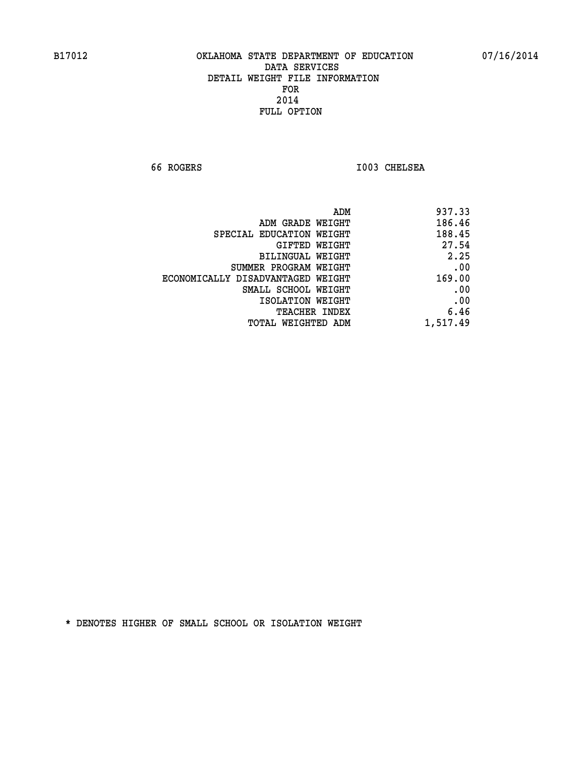**66 ROGERS I003 CHELSEA** 

| 937.33                                      |
|---------------------------------------------|
| 186.46<br>ADM GRADE WEIGHT                  |
| 188.45<br>SPECIAL EDUCATION WEIGHT          |
| 27.54<br>GIFTED WEIGHT                      |
| 2.25<br>BILINGUAL WEIGHT                    |
| .00<br>SUMMER PROGRAM WEIGHT                |
| 169.00<br>ECONOMICALLY DISADVANTAGED WEIGHT |
| .00<br>SMALL SCHOOL WEIGHT                  |
| .00<br>ISOLATION WEIGHT                     |
| 6.46<br>TEACHER INDEX                       |
| 1,517.49<br>TOTAL WEIGHTED ADM              |
| ADM                                         |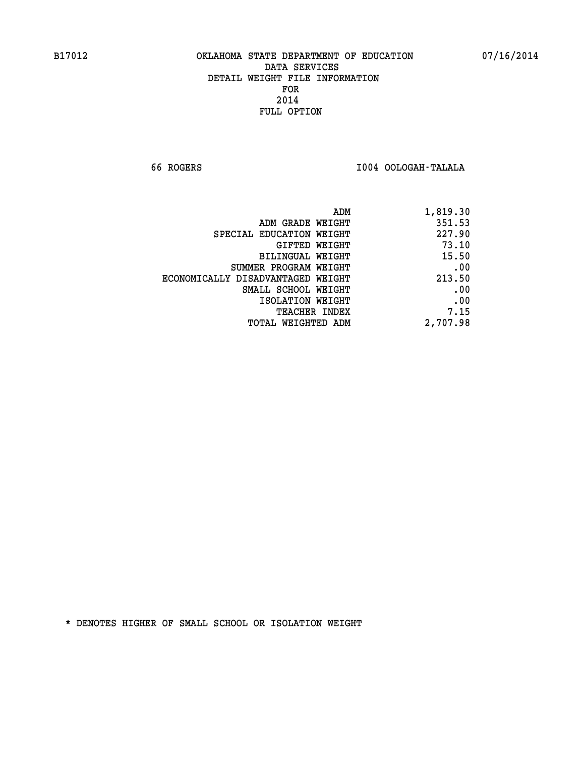**66 ROGERS I004 OOLOGAH-TALALA** 

|                                   | 1,819.30<br>ADM |
|-----------------------------------|-----------------|
| ADM GRADE WEIGHT                  | 351.53          |
| SPECIAL EDUCATION WEIGHT          | 227.90          |
| GIFTED WEIGHT                     | 73.10           |
| BILINGUAL WEIGHT                  | 15.50           |
| SUMMER PROGRAM WEIGHT             | .00             |
| ECONOMICALLY DISADVANTAGED WEIGHT | 213.50          |
| SMALL SCHOOL WEIGHT               | .00             |
| ISOLATION WEIGHT                  | .00             |
| <b>TEACHER INDEX</b>              | 7.15            |
| TOTAL WEIGHTED ADM                | 2,707.98        |
|                                   |                 |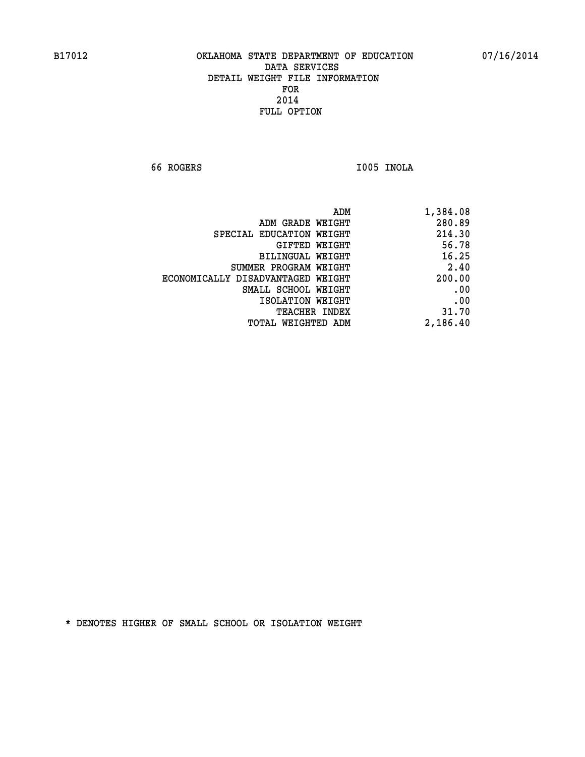**66 ROGERS I005 INOLA** 

| 1,384.08 |
|----------|
| 280.89   |
| 214.30   |
| 56.78    |
| 16.25    |
| 2.40     |
| 200.00   |
| .00      |
| .00      |
| 31.70    |
| 2,186.40 |
|          |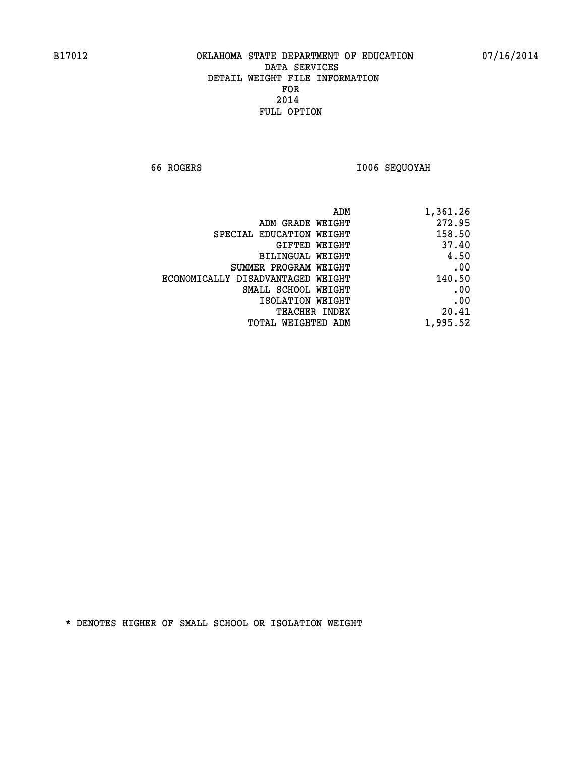**66 ROGERS I006 SEQUOYAH** 

| 1,361.26 |
|----------|
| 272.95   |
| 158.50   |
| 37.40    |
| 4.50     |
| .00      |
| 140.50   |
| .00      |
| .00      |
| 20.41    |
| 1,995.52 |
|          |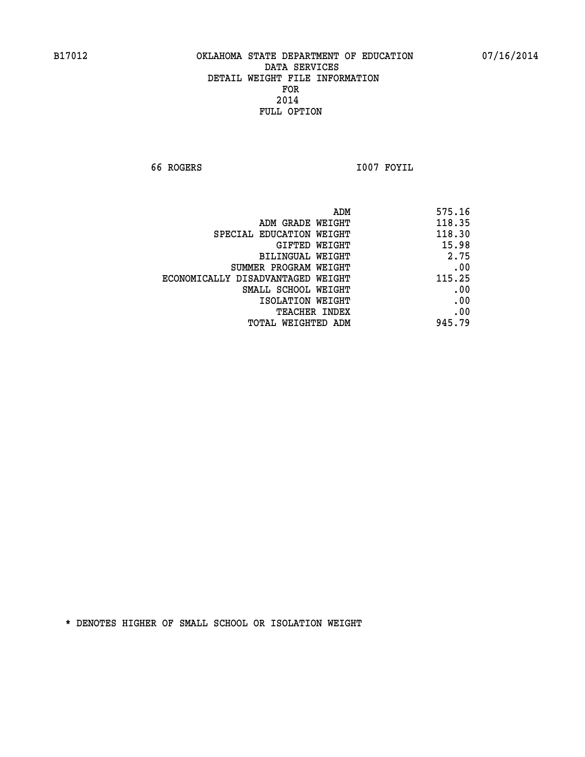**66 ROGERS I007 FOYIL** 

| ADM                               | 575.16 |
|-----------------------------------|--------|
| ADM GRADE WEIGHT                  | 118.35 |
| SPECIAL EDUCATION WEIGHT          | 118.30 |
| GIFTED WEIGHT                     | 15.98  |
| BILINGUAL WEIGHT                  | 2.75   |
| SUMMER PROGRAM WEIGHT             | .00    |
| ECONOMICALLY DISADVANTAGED WEIGHT | 115.25 |
| SMALL SCHOOL WEIGHT               | .00    |
| ISOLATION WEIGHT                  | .00    |
| TEACHER INDEX                     | .00    |
| TOTAL WEIGHTED ADM                | 945.79 |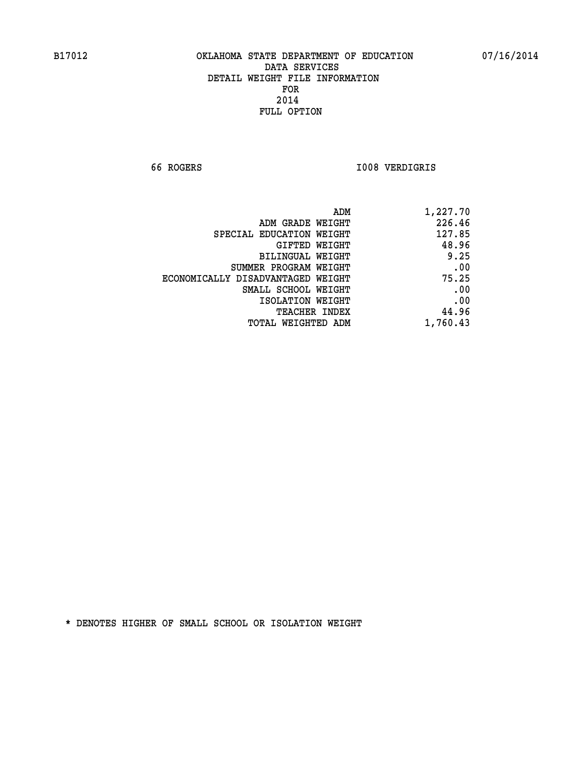**66 ROGERS I008 VERDIGRIS** 

| ADM                               | 1,227.70 |
|-----------------------------------|----------|
| ADM GRADE WEIGHT                  | 226.46   |
| SPECIAL EDUCATION WEIGHT          | 127.85   |
| GIFTED WEIGHT                     | 48.96    |
| BILINGUAL WEIGHT                  | 9.25     |
| SUMMER PROGRAM WEIGHT             | .00      |
| ECONOMICALLY DISADVANTAGED WEIGHT | 75.25    |
| SMALL SCHOOL WEIGHT               | .00      |
| ISOLATION WEIGHT                  | .00      |
| <b>TEACHER INDEX</b>              | 44.96    |
| TOTAL WEIGHTED ADM                | 1,760.43 |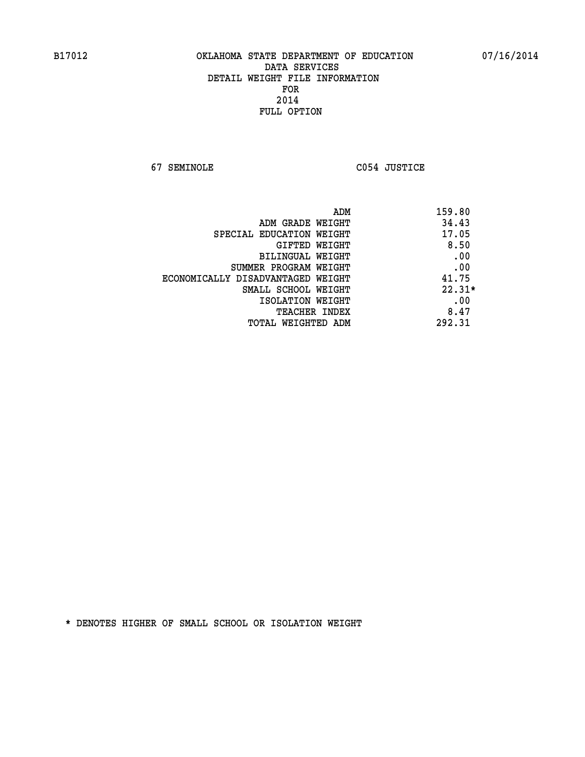**67 SEMINOLE C054 JUSTICE** 

| ADM<br>159.80 |                                   |
|---------------|-----------------------------------|
| 34.43         | ADM GRADE WEIGHT                  |
| 17.05         | SPECIAL EDUCATION WEIGHT          |
| 8.50          | <b>GIFTED WEIGHT</b>              |
| .00           | BILINGUAL WEIGHT                  |
| .00           | SUMMER PROGRAM WEIGHT             |
| 41.75         | ECONOMICALLY DISADVANTAGED WEIGHT |
| $22.31*$      | SMALL SCHOOL WEIGHT               |
| .00           | ISOLATION WEIGHT                  |
| 8.47          | <b>TEACHER INDEX</b>              |
| 292.31        | TOTAL WEIGHTED ADM                |
|               |                                   |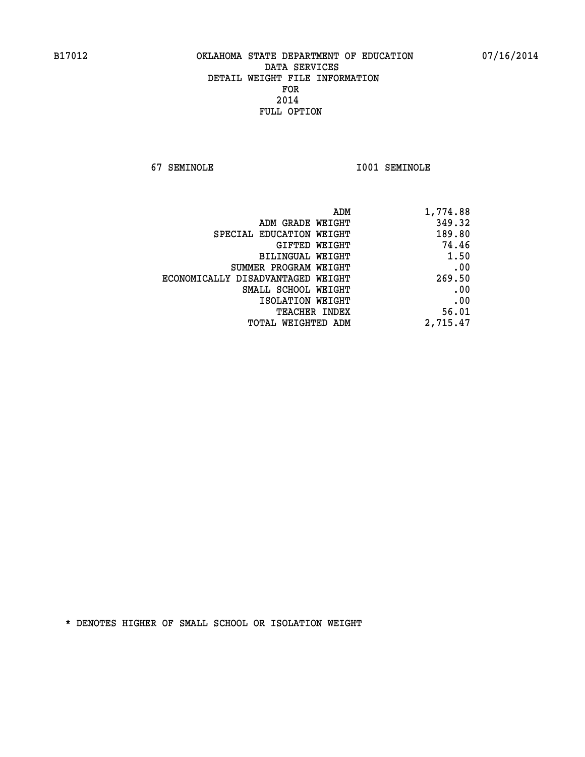**67 SEMINOLE I001 SEMINOLE** 

| 1,774.88 |
|----------|
| 349.32   |
| 189.80   |
| 74.46    |
| 1.50     |
| .00      |
| 269.50   |
| .00      |
| .00      |
| 56.01    |
| 2,715.47 |
|          |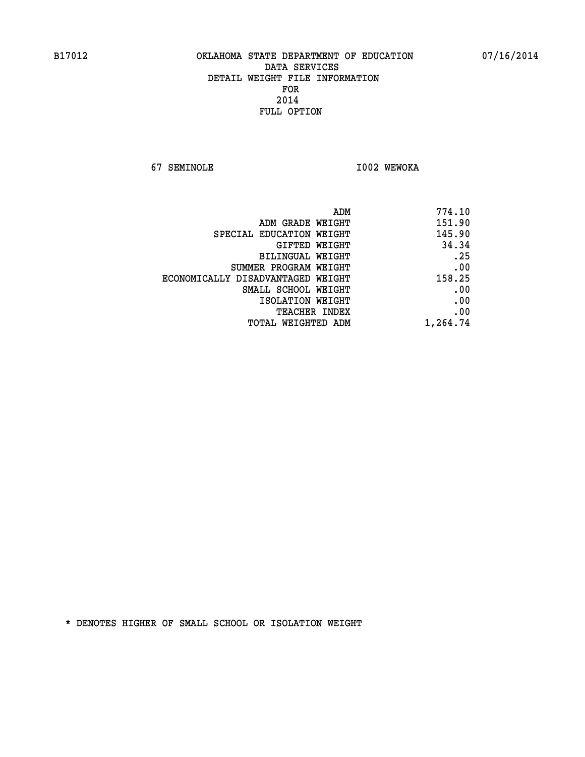**67 SEMINOLE I002 WEWOKA** 

|                                   | 774.10<br>ADM |
|-----------------------------------|---------------|
| ADM GRADE WEIGHT                  | 151.90        |
| SPECIAL EDUCATION WEIGHT          | 145.90        |
| GIFTED WEIGHT                     | 34.34         |
| BILINGUAL WEIGHT                  | .25           |
| SUMMER PROGRAM WEIGHT             | .00           |
| ECONOMICALLY DISADVANTAGED WEIGHT | 158.25        |
| SMALL SCHOOL WEIGHT               | .00           |
| ISOLATION WEIGHT                  | .00           |
| TEACHER INDEX                     | .00           |
| TOTAL WEIGHTED ADM                | 1,264.74      |
|                                   |               |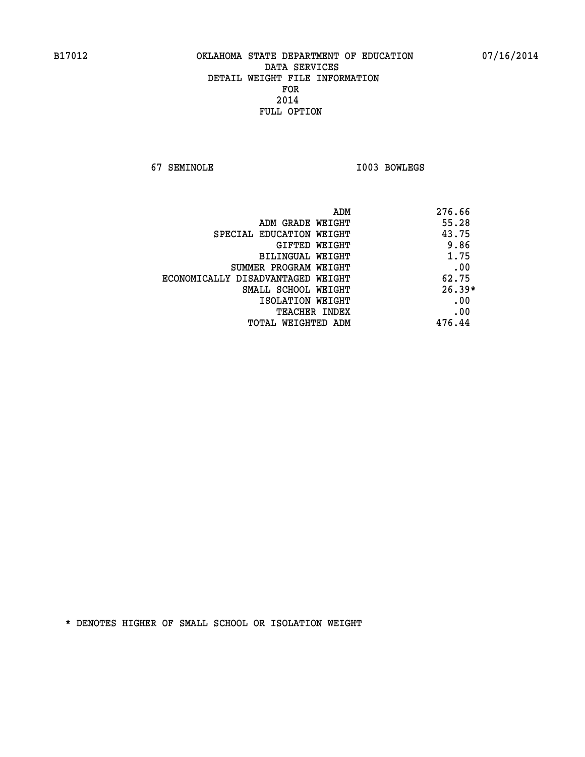**67 SEMINOLE I003 BOWLEGS** 

| ADM                               | 276.66   |
|-----------------------------------|----------|
| ADM GRADE WEIGHT                  | 55.28    |
| SPECIAL EDUCATION WEIGHT          | 43.75    |
| GIFTED WEIGHT                     | 9.86     |
| BILINGUAL WEIGHT                  | 1.75     |
| SUMMER PROGRAM WEIGHT             | .00      |
| ECONOMICALLY DISADVANTAGED WEIGHT | 62.75    |
| SMALL SCHOOL WEIGHT               | $26.39*$ |
| ISOLATION WEIGHT                  | .00      |
| <b>TEACHER INDEX</b>              | .00      |
| TOTAL WEIGHTED ADM                | 476.44   |
|                                   |          |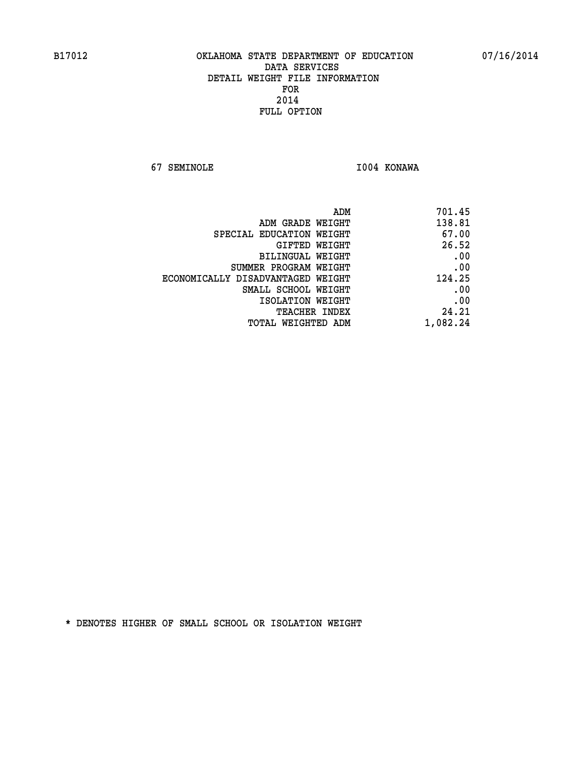**67 SEMINOLE I004 KONAWA** 

| ADM                               | 701.45   |
|-----------------------------------|----------|
| ADM GRADE WEIGHT                  | 138.81   |
| SPECIAL EDUCATION WEIGHT          | 67.00    |
| GIFTED WEIGHT                     | 26.52    |
| <b>BILINGUAL WEIGHT</b>           | .00      |
| SUMMER PROGRAM WEIGHT             | .00      |
| ECONOMICALLY DISADVANTAGED WEIGHT | 124.25   |
| SMALL SCHOOL WEIGHT               | .00      |
| ISOLATION WEIGHT                  | .00      |
| TEACHER INDEX                     | 24.21    |
| TOTAL WEIGHTED ADM                | 1,082.24 |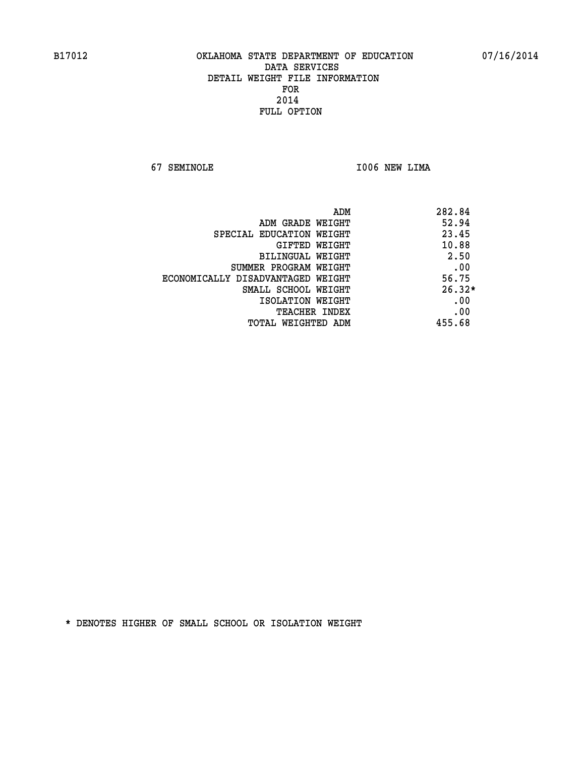**67 SEMINOLE I006 NEW LIMA** 

|                                   | ADM | 282.84   |
|-----------------------------------|-----|----------|
| ADM GRADE WEIGHT                  |     | 52.94    |
| SPECIAL EDUCATION WEIGHT          |     | 23.45    |
| GIFTED WEIGHT                     |     | 10.88    |
| BILINGUAL WEIGHT                  |     | 2.50     |
| SUMMER PROGRAM WEIGHT             |     | .00      |
| ECONOMICALLY DISADVANTAGED WEIGHT |     | 56.75    |
| SMALL SCHOOL WEIGHT               |     | $26.32*$ |
| ISOLATION WEIGHT                  |     | .00      |
| <b>TEACHER INDEX</b>              |     | .00      |
| TOTAL WEIGHTED ADM                |     | 455.68   |
|                                   |     |          |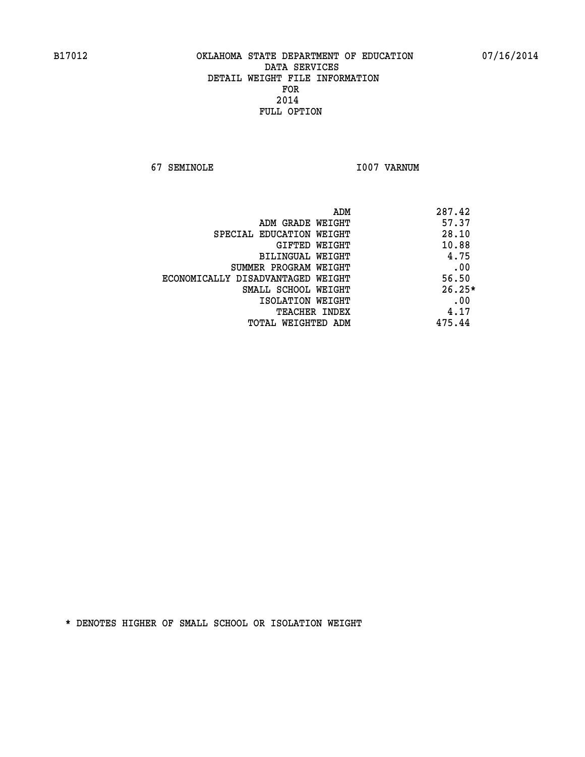**67 SEMINOLE I007 VARNUM** 

|                                   | 287.42<br>ADM |
|-----------------------------------|---------------|
| ADM GRADE WEIGHT                  | 57.37         |
| SPECIAL EDUCATION WEIGHT          | 28.10         |
| GIFTED WEIGHT                     | 10.88         |
| BILINGUAL WEIGHT                  | 4.75          |
| SUMMER PROGRAM WEIGHT             | .00           |
| ECONOMICALLY DISADVANTAGED WEIGHT | 56.50         |
| SMALL SCHOOL WEIGHT               | $26.25*$      |
| ISOLATION WEIGHT                  | .00           |
| <b>TEACHER INDEX</b>              | 4.17          |
| TOTAL WEIGHTED ADM                | 475.44        |
|                                   |               |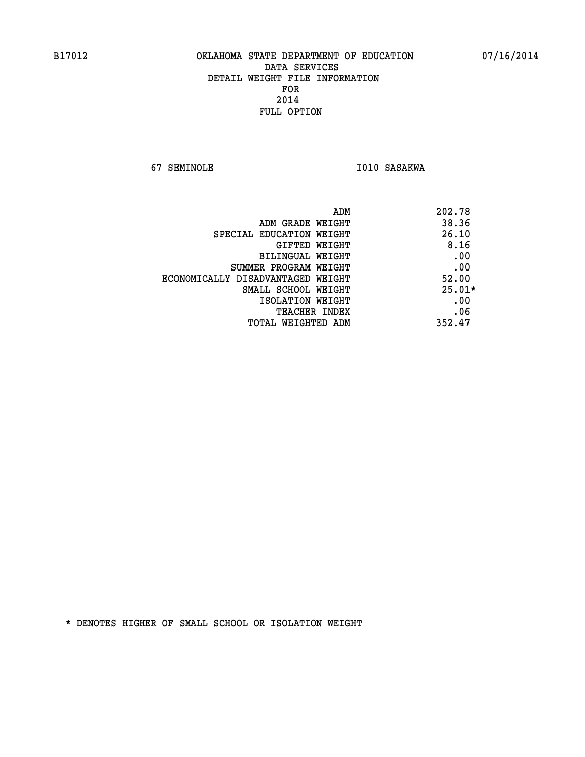**67 SEMINOLE 1010 SASAKWA** 

| ADM<br>202.78                              |  |
|--------------------------------------------|--|
| 38.36<br>ADM GRADE WEIGHT                  |  |
| 26.10<br>SPECIAL EDUCATION WEIGHT          |  |
| 8.16<br><b>GIFTED WEIGHT</b>               |  |
| .00<br><b>BILINGUAL WEIGHT</b>             |  |
| .00<br>SUMMER PROGRAM WEIGHT               |  |
| 52.00<br>ECONOMICALLY DISADVANTAGED WEIGHT |  |
| $25.01*$<br>SMALL SCHOOL WEIGHT            |  |
| .00<br>ISOLATION WEIGHT                    |  |
| .06<br><b>TEACHER INDEX</b>                |  |
| 352.47<br>TOTAL WEIGHTED ADM               |  |
|                                            |  |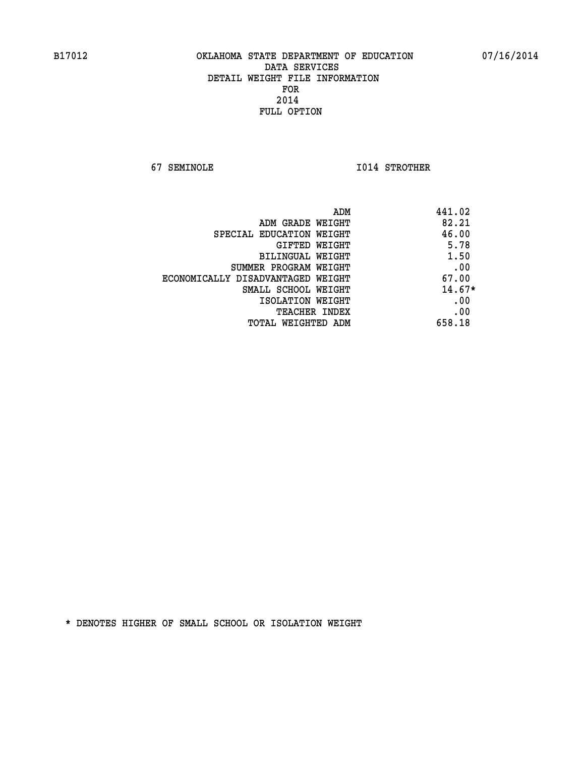**67 SEMINOLE I014 STROTHER** 

| ADM<br>441.02                |                                   |
|------------------------------|-----------------------------------|
| 82.21                        | ADM GRADE WEIGHT                  |
| 46.00                        | SPECIAL EDUCATION WEIGHT          |
| 5.78<br><b>GIFTED WEIGHT</b> |                                   |
| 1.50                         | BILINGUAL WEIGHT                  |
| .00                          | SUMMER PROGRAM WEIGHT             |
| 67.00                        | ECONOMICALLY DISADVANTAGED WEIGHT |
| $14.67*$                     | SMALL SCHOOL WEIGHT               |
| .00                          | ISOLATION WEIGHT                  |
| .00<br><b>TEACHER INDEX</b>  |                                   |
| 658.18                       | TOTAL WEIGHTED ADM                |
|                              |                                   |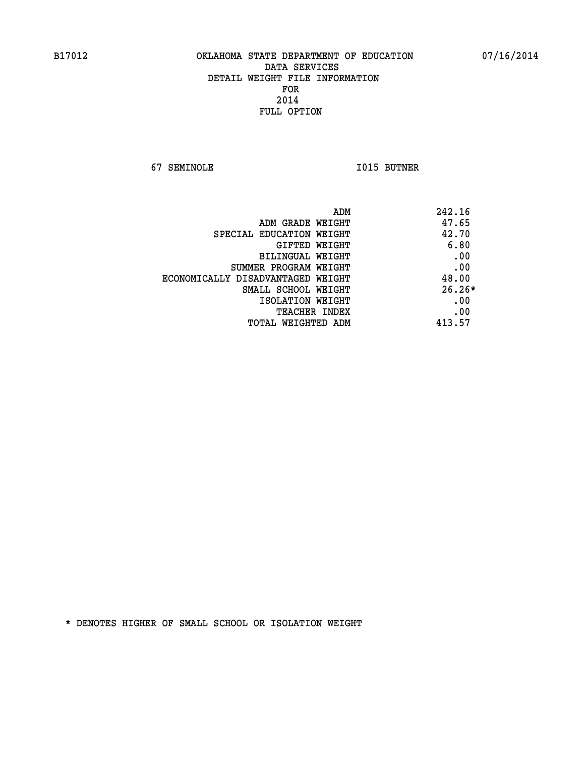**67 SEMINOLE I015 BUTNER** 

| ADM<br>242.16                              |  |
|--------------------------------------------|--|
| 47.65<br>ADM GRADE WEIGHT                  |  |
| 42.70<br>SPECIAL EDUCATION WEIGHT          |  |
| 6.80<br><b>GIFTED WEIGHT</b>               |  |
| .00<br>BILINGUAL WEIGHT                    |  |
| .00<br>SUMMER PROGRAM WEIGHT               |  |
| 48.00<br>ECONOMICALLY DISADVANTAGED WEIGHT |  |
| $26.26*$<br>SMALL SCHOOL WEIGHT            |  |
| .00<br>ISOLATION WEIGHT                    |  |
| .00<br><b>TEACHER INDEX</b>                |  |
| 413.57<br>TOTAL WEIGHTED ADM               |  |
|                                            |  |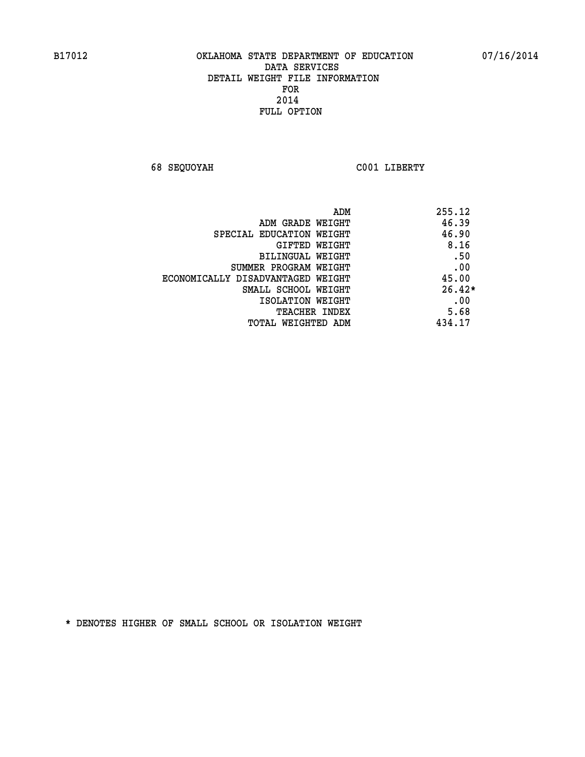**68 SEQUOYAH C001 LIBERTY** 

| ADM                               | 255.12   |
|-----------------------------------|----------|
| ADM GRADE WEIGHT                  | 46.39    |
| SPECIAL EDUCATION WEIGHT          | 46.90    |
| <b>GIFTED WEIGHT</b>              | 8.16     |
| BILINGUAL WEIGHT                  | .50      |
| SUMMER PROGRAM WEIGHT             | .00      |
| ECONOMICALLY DISADVANTAGED WEIGHT | 45.00    |
| SMALL SCHOOL WEIGHT               | $26.42*$ |
| ISOLATION WEIGHT                  | .00      |
| <b>TEACHER INDEX</b>              | 5.68     |
| TOTAL WEIGHTED ADM                | 434.17   |
|                                   |          |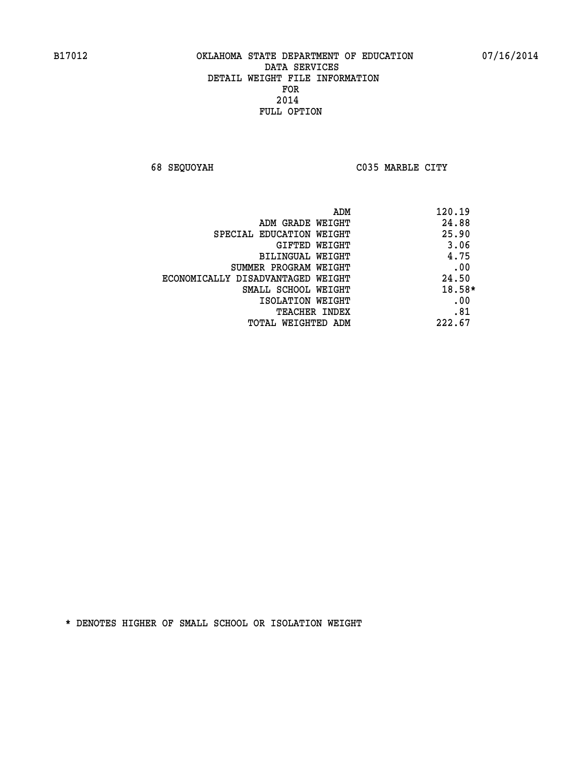**68 SEQUOYAH C035 MARBLE CITY** 

|                                   | 120.19<br>ADM |
|-----------------------------------|---------------|
| ADM GRADE WEIGHT                  | 24.88         |
| SPECIAL EDUCATION WEIGHT          | 25.90         |
| GIFTED WEIGHT                     | 3.06          |
| BILINGUAL WEIGHT                  | 4.75          |
| SUMMER PROGRAM WEIGHT             | .00           |
| ECONOMICALLY DISADVANTAGED WEIGHT | 24.50         |
| SMALL SCHOOL WEIGHT               | 18.58*        |
| ISOLATION WEIGHT                  | .00           |
| <b>TEACHER INDEX</b>              | .81           |
| TOTAL WEIGHTED ADM                | 222.67        |
|                                   |               |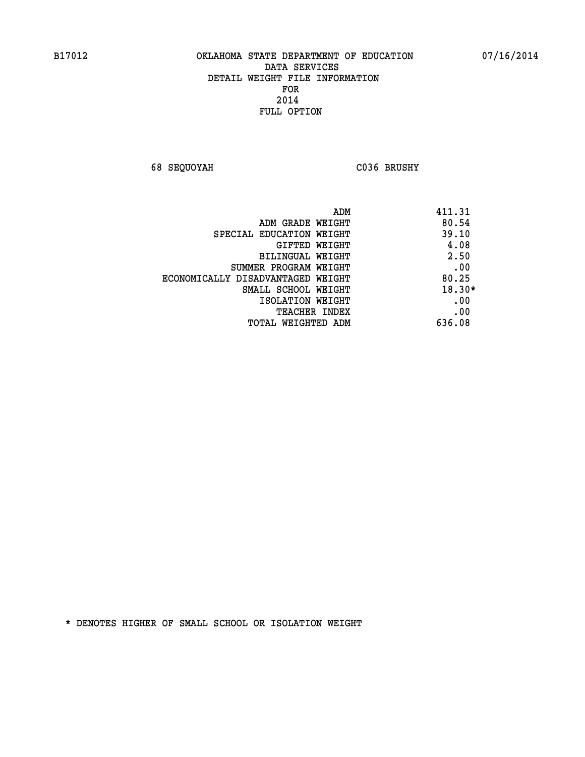**68 SEQUOYAH C036 BRUSHY** 

| ADM                               | 411.31   |
|-----------------------------------|----------|
| ADM GRADE WEIGHT                  | 80.54    |
| SPECIAL EDUCATION WEIGHT          | 39.10    |
| GIFTED WEIGHT                     | 4.08     |
| BILINGUAL WEIGHT                  | 2.50     |
| SUMMER PROGRAM WEIGHT             | .00      |
| ECONOMICALLY DISADVANTAGED WEIGHT | 80.25    |
| SMALL SCHOOL WEIGHT               | $18.30*$ |
| ISOLATION WEIGHT                  | .00      |
| <b>TEACHER INDEX</b>              | .00      |
| TOTAL WEIGHTED ADM                | 636.08   |
|                                   |          |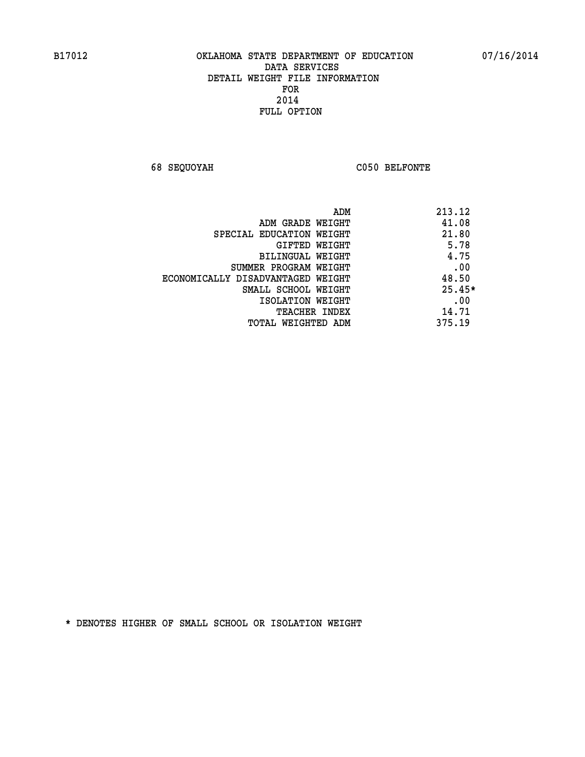**68 SEQUOYAH C050 BELFONTE** 

|                                   | 213.12<br>ADM |
|-----------------------------------|---------------|
| ADM GRADE WEIGHT                  | 41.08         |
| SPECIAL EDUCATION WEIGHT          | 21.80         |
| GIFTED WEIGHT                     | 5.78          |
| BILINGUAL WEIGHT                  | 4.75          |
| SUMMER PROGRAM WEIGHT             | .00           |
| ECONOMICALLY DISADVANTAGED WEIGHT | 48.50         |
| SMALL SCHOOL WEIGHT               | $25.45*$      |
| ISOLATION WEIGHT                  | .00           |
| <b>TEACHER INDEX</b>              | 14.71         |
| TOTAL WEIGHTED ADM                | 375.19        |
|                                   |               |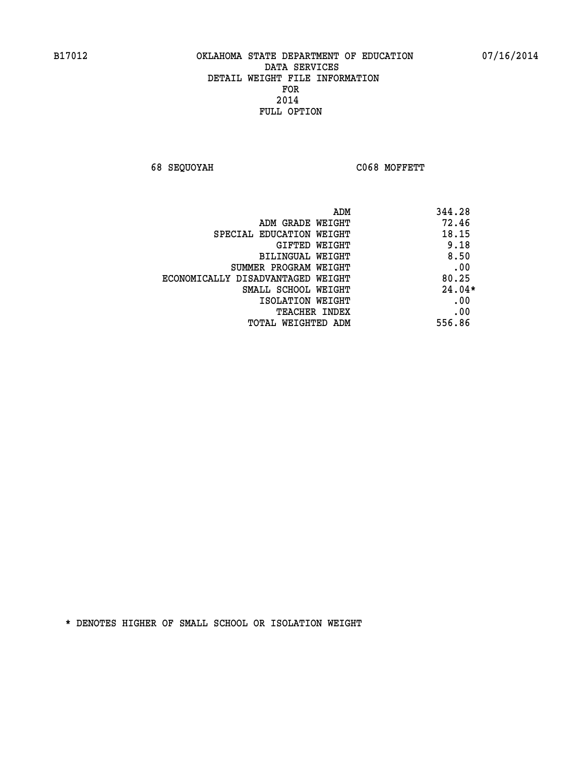**68 SEQUOYAH C068 MOFFETT** 

| ADM                               | 344.28   |
|-----------------------------------|----------|
| ADM GRADE WEIGHT                  | 72.46    |
| SPECIAL EDUCATION WEIGHT          | 18.15    |
| <b>GIFTED WEIGHT</b>              | 9.18     |
| BILINGUAL WEIGHT                  | 8.50     |
| SUMMER PROGRAM WEIGHT             | .00      |
| ECONOMICALLY DISADVANTAGED WEIGHT | 80.25    |
| SMALL SCHOOL WEIGHT               | $24.04*$ |
| ISOLATION WEIGHT                  | .00      |
| <b>TEACHER INDEX</b>              | .00      |
| TOTAL WEIGHTED ADM                | 556.86   |
|                                   |          |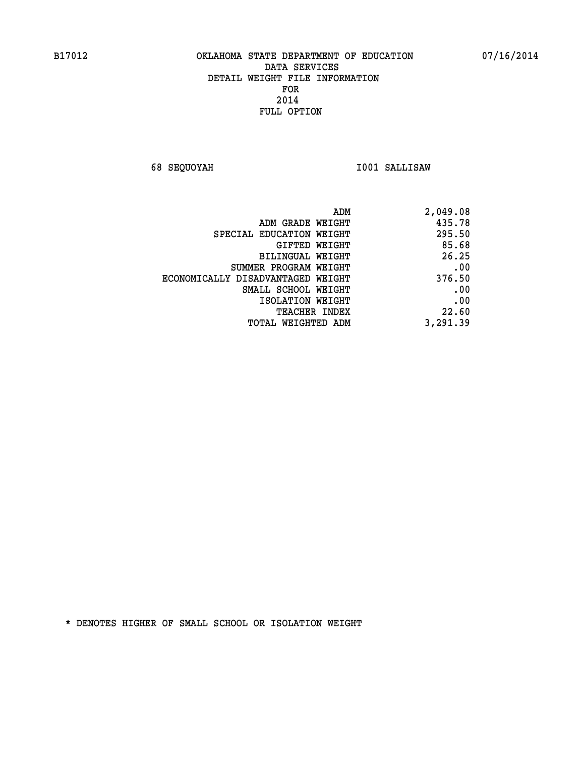**68 SEQUOYAH I001 SALLISAW** 

|                                   | 2,049.08<br>ADM |       |
|-----------------------------------|-----------------|-------|
| ADM GRADE WEIGHT                  | 435.78          |       |
| SPECIAL EDUCATION WEIGHT          | 295.50          |       |
| <b>GIFTED WEIGHT</b>              |                 | 85.68 |
| BILINGUAL WEIGHT                  |                 | 26.25 |
| SUMMER PROGRAM WEIGHT             |                 | .00   |
| ECONOMICALLY DISADVANTAGED WEIGHT | 376.50          |       |
| SMALL SCHOOL WEIGHT               |                 | .00   |
| ISOLATION WEIGHT                  |                 | .00   |
| <b>TEACHER INDEX</b>              |                 | 22.60 |
| TOTAL WEIGHTED ADM                | 3,291.39        |       |
|                                   |                 |       |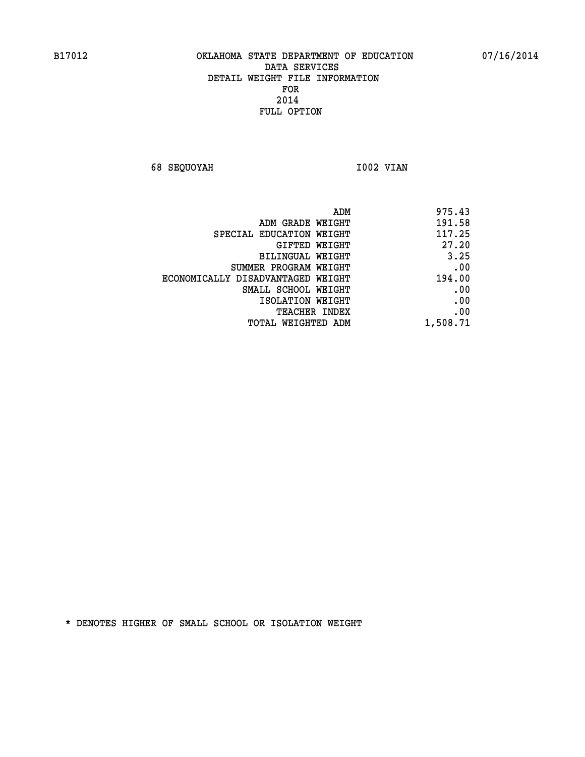**68 SEQUOYAH 1002 VIAN** 

| ADM                               | 975.43   |
|-----------------------------------|----------|
| ADM GRADE WEIGHT                  | 191.58   |
| SPECIAL EDUCATION WEIGHT          | 117.25   |
| GIFTED WEIGHT                     | 27.20    |
| <b>BILINGUAL WEIGHT</b>           | 3.25     |
| SUMMER PROGRAM WEIGHT             | .00      |
| ECONOMICALLY DISADVANTAGED WEIGHT | 194.00   |
| SMALL SCHOOL WEIGHT               | .00      |
| ISOLATION WEIGHT                  | .00      |
| TEACHER INDEX                     | .00      |
| TOTAL WEIGHTED ADM                | 1,508.71 |
|                                   |          |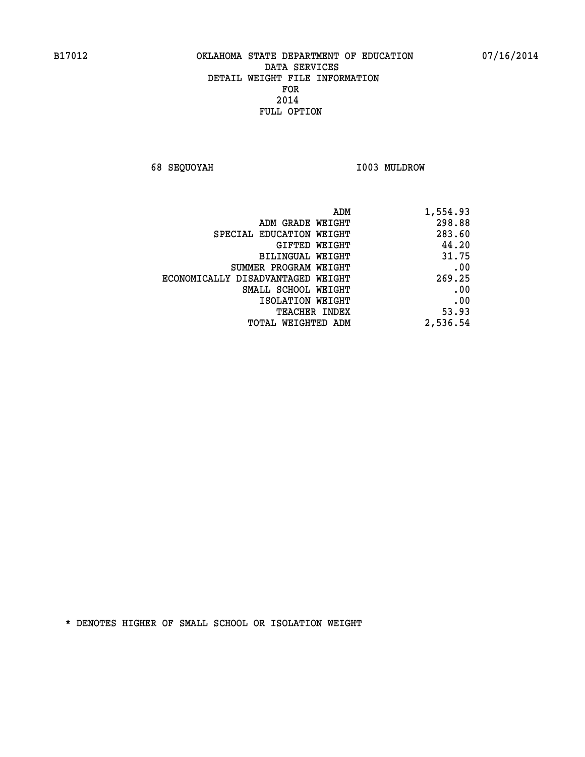**68 SEQUOYAH I003 MULDROW** 

| 1,554.93 |
|----------|
| 298.88   |
| 283.60   |
| 44.20    |
| 31.75    |
| .00      |
| 269.25   |
| .00      |
| .00      |
| 53.93    |
| 2,536.54 |
|          |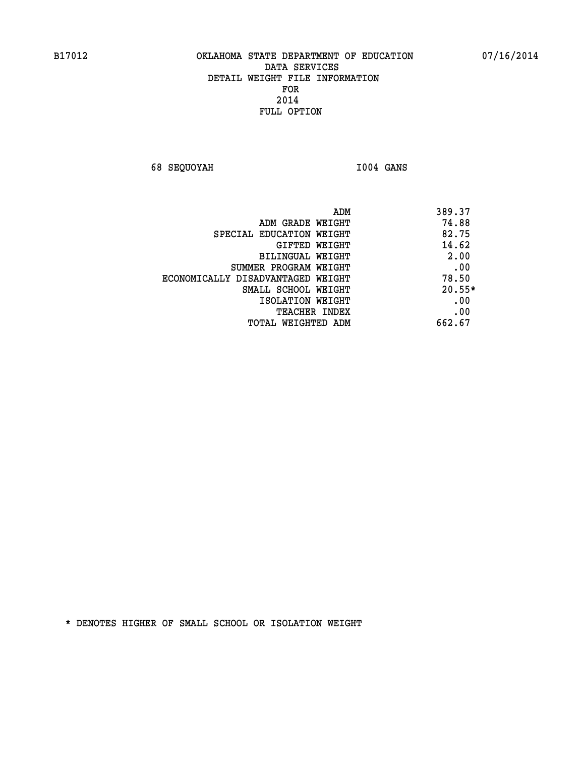**68 SEQUOYAH I004 GANS** 

| ADM                               | 389.37   |
|-----------------------------------|----------|
| ADM GRADE WEIGHT                  | 74.88    |
| SPECIAL EDUCATION WEIGHT          | 82.75    |
| GIFTED WEIGHT                     | 14.62    |
| BILINGUAL WEIGHT                  | 2.00     |
| SUMMER PROGRAM WEIGHT             | .00      |
| ECONOMICALLY DISADVANTAGED WEIGHT | 78.50    |
| SMALL SCHOOL WEIGHT               | $20.55*$ |
| ISOLATION WEIGHT                  | .00      |
| <b>TEACHER INDEX</b>              | .00      |
| TOTAL WEIGHTED ADM                | 662.67   |
|                                   |          |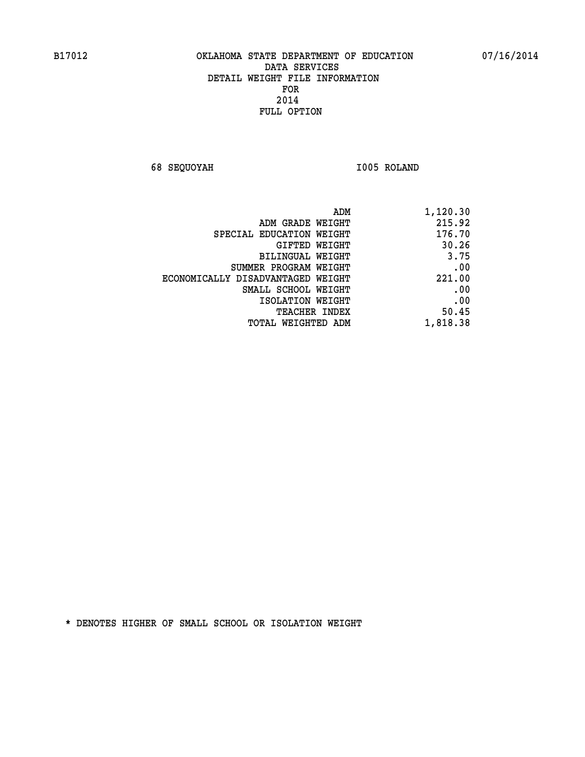**68 SEQUOYAH I005 ROLAND** 

| 1,120.30 |
|----------|
| 215.92   |
| 176.70   |
| 30.26    |
| 3.75     |
| .00      |
| 221.00   |
| .00      |
| .00      |
| 50.45    |
| 1,818.38 |
|          |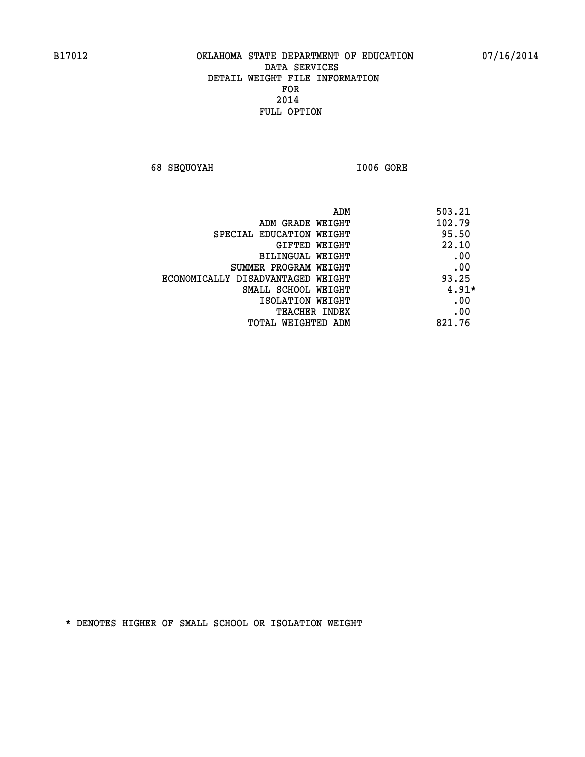**68 SEQUOYAH I006 GORE** 

|                                   | 503.21<br>ADM |
|-----------------------------------|---------------|
| ADM GRADE WEIGHT                  | 102.79        |
| SPECIAL EDUCATION WEIGHT          | 95.50         |
| GIFTED WEIGHT                     | 22.10         |
| BILINGUAL WEIGHT                  | .00           |
| SUMMER PROGRAM WEIGHT             | .00           |
| ECONOMICALLY DISADVANTAGED WEIGHT | 93.25         |
| SMALL SCHOOL WEIGHT               | $4.91*$       |
| ISOLATION WEIGHT                  | .00           |
| TEACHER INDEX                     | .00           |
| TOTAL WEIGHTED ADM                | 821.76        |
|                                   |               |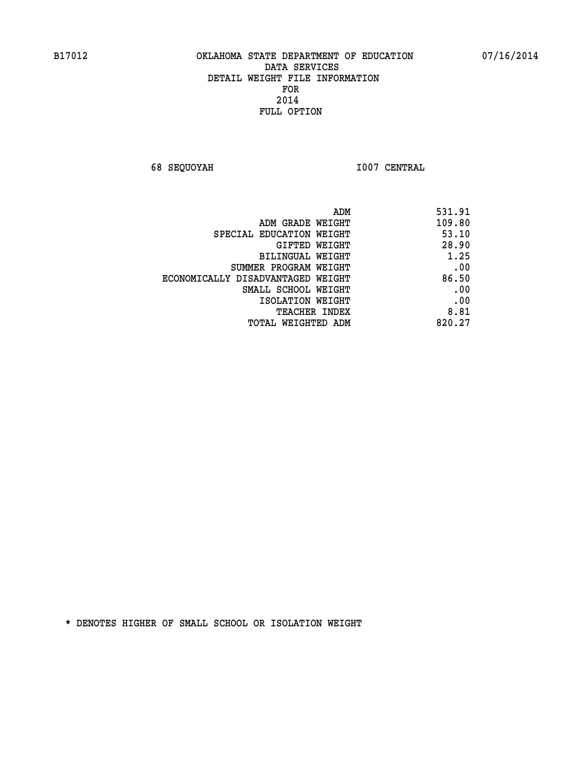**68 SEQUOYAH I007 CENTRAL** 

| ADM                               | 531.91 |
|-----------------------------------|--------|
| ADM GRADE WEIGHT                  | 109.80 |
| SPECIAL EDUCATION WEIGHT          | 53.10  |
| GIFTED WEIGHT                     | 28.90  |
| BILINGUAL WEIGHT                  | 1.25   |
| SUMMER PROGRAM WEIGHT             | .00    |
| ECONOMICALLY DISADVANTAGED WEIGHT | 86.50  |
| SMALL SCHOOL WEIGHT               | .00    |
| ISOLATION WEIGHT                  | .00    |
| <b>TEACHER INDEX</b>              | 8.81   |
| TOTAL WEIGHTED ADM                | 820.27 |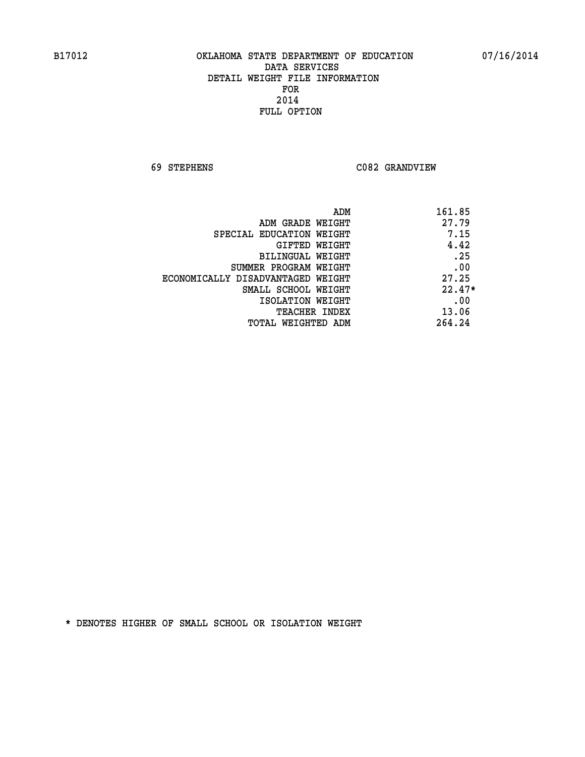**69 STEPHENS C082 GRANDVIEW** 

| ADM                               | 161.85   |
|-----------------------------------|----------|
| ADM GRADE WEIGHT                  | 27.79    |
| SPECIAL EDUCATION WEIGHT          | 7.15     |
| GIFTED WEIGHT                     | 4.42     |
| BILINGUAL WEIGHT                  | .25      |
| SUMMER PROGRAM WEIGHT             | .00      |
| ECONOMICALLY DISADVANTAGED WEIGHT | 27.25    |
| SMALL SCHOOL WEIGHT               | $22.47*$ |
| ISOLATION WEIGHT                  | .00      |
| <b>TEACHER INDEX</b>              | 13.06    |
| TOTAL WEIGHTED ADM                | 264.24   |
|                                   |          |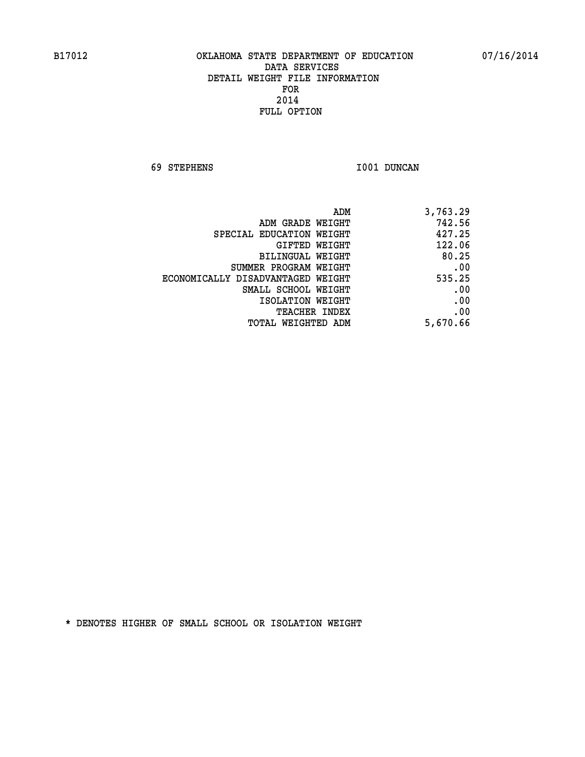**69 STEPHENS I001 DUNCAN** 

| 3,763.29 |
|----------|
| 742.56   |
| 427.25   |
| 122.06   |
| 80.25    |
| .00      |
| 535.25   |
| .00      |
| .00      |
| .00      |
| 5,670.66 |
|          |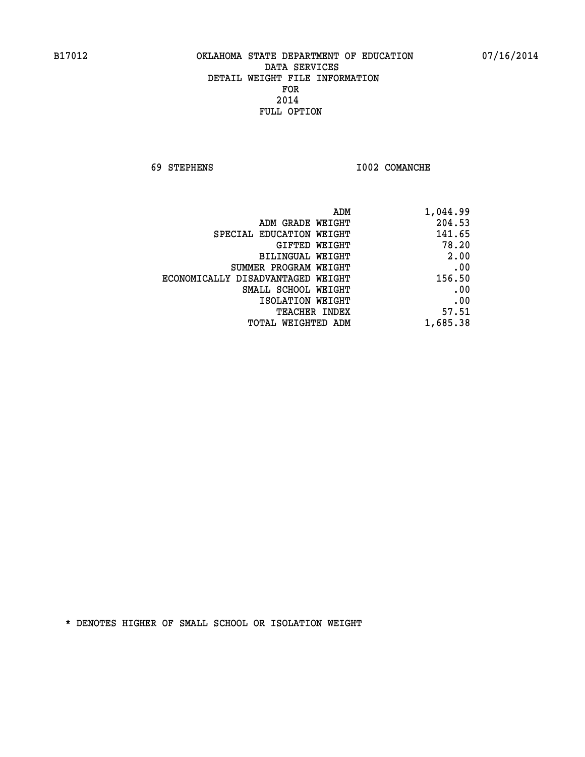**69 STEPHENS I002 COMANCHE** 

| ADM                               | 1,044.99 |
|-----------------------------------|----------|
| ADM GRADE WEIGHT                  | 204.53   |
| SPECIAL EDUCATION WEIGHT          | 141.65   |
| GIFTED WEIGHT                     | 78.20    |
| BILINGUAL WEIGHT                  | 2.00     |
| SUMMER PROGRAM WEIGHT             | .00      |
| ECONOMICALLY DISADVANTAGED WEIGHT | 156.50   |
| SMALL SCHOOL WEIGHT               | .00      |
| ISOLATION WEIGHT                  | .00      |
| <b>TEACHER INDEX</b>              | 57.51    |
| <b>TOTAL WEIGHTED ADM</b>         | 1,685.38 |
|                                   |          |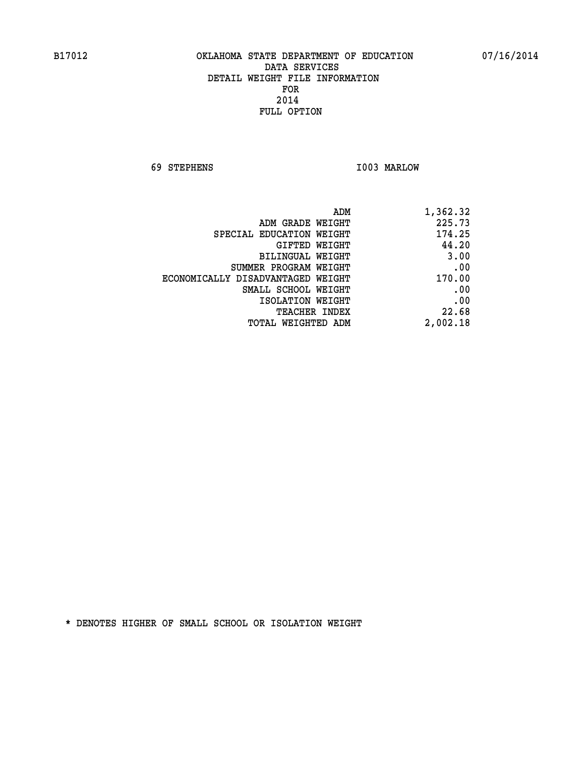**69 STEPHENS I003 MARLOW** 

| 1,362.32 |
|----------|
| 225.73   |
| 174.25   |
| 44.20    |
| 3.00     |
| .00      |
| 170.00   |
| .00      |
| .00      |
| 22.68    |
| 2,002.18 |
|          |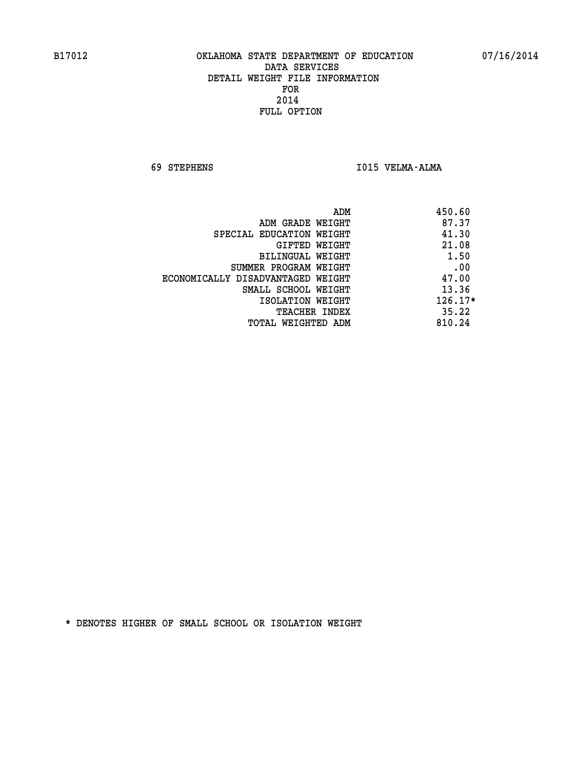**69 STEPHENS I015 VELMA-ALMA** 

| ADM                               | 450.60    |
|-----------------------------------|-----------|
| ADM GRADE WEIGHT                  | 87.37     |
| SPECIAL EDUCATION WEIGHT          | 41.30     |
| GIFTED WEIGHT                     | 21.08     |
| <b>BILINGUAL WEIGHT</b>           | 1.50      |
| SUMMER PROGRAM WEIGHT             | .00       |
| ECONOMICALLY DISADVANTAGED WEIGHT | 47.00     |
| SMALL SCHOOL WEIGHT               | 13.36     |
| ISOLATION WEIGHT                  | $126.17*$ |
| <b>TEACHER INDEX</b>              | 35.22     |
| TOTAL WEIGHTED ADM                | 810.24    |
|                                   |           |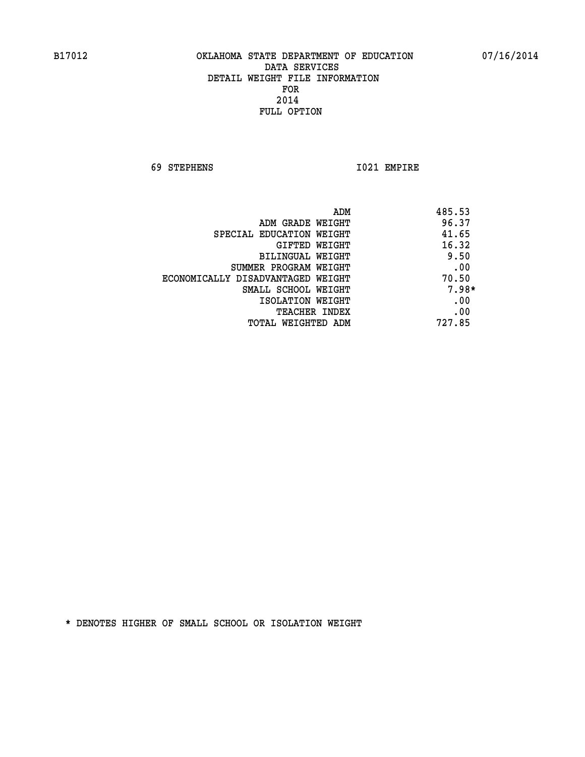**69 STEPHENS I021 EMPIRE** 

| ADM                               | 485.53  |
|-----------------------------------|---------|
| ADM GRADE WEIGHT                  | 96.37   |
| SPECIAL EDUCATION WEIGHT          | 41.65   |
| <b>GIFTED WEIGHT</b>              | 16.32   |
| BILINGUAL WEIGHT                  | 9.50    |
| SUMMER PROGRAM WEIGHT             | .00     |
| ECONOMICALLY DISADVANTAGED WEIGHT | 70.50   |
| SMALL SCHOOL WEIGHT               | $7.98*$ |
| ISOLATION WEIGHT                  | .00     |
| <b>TEACHER INDEX</b>              | .00     |
| TOTAL WEIGHTED ADM                | 727.85  |
|                                   |         |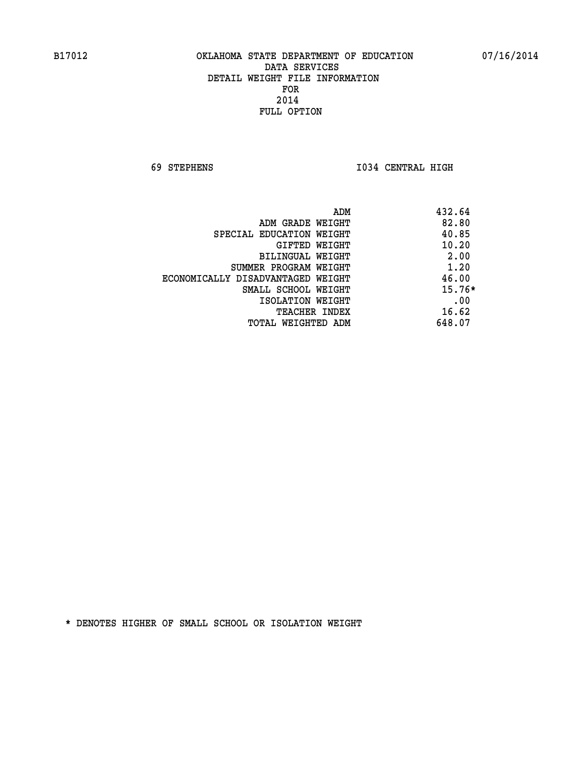**69 STEPHENS I034 CENTRAL HIGH** 

| ADM                               | 432.64   |
|-----------------------------------|----------|
| ADM GRADE WEIGHT                  | 82.80    |
| SPECIAL EDUCATION WEIGHT          | 40.85    |
| GIFTED WEIGHT                     | 10.20    |
| BILINGUAL WEIGHT                  | 2.00     |
| SUMMER PROGRAM WEIGHT             | 1.20     |
| ECONOMICALLY DISADVANTAGED WEIGHT | 46.00    |
| SMALL SCHOOL WEIGHT               | $15.76*$ |
| ISOLATION WEIGHT                  | .00      |
| <b>TEACHER INDEX</b>              | 16.62    |
| TOTAL WEIGHTED ADM                | 648.07   |
|                                   |          |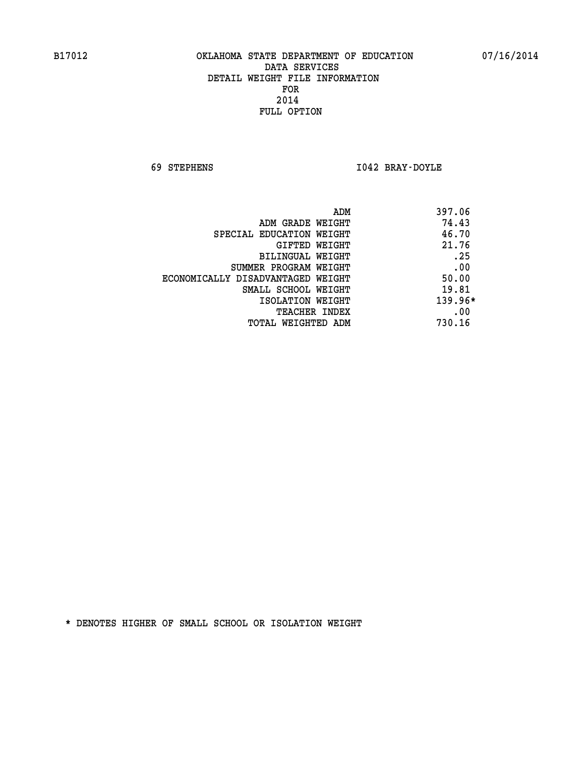**69 STEPHENS I042 BRAY-DOYLE** 

| ADM                               | 397.06  |
|-----------------------------------|---------|
| ADM GRADE WEIGHT                  | 74.43   |
| SPECIAL EDUCATION WEIGHT          | 46.70   |
| GIFTED WEIGHT                     | 21.76   |
| BILINGUAL WEIGHT                  | .25     |
| SUMMER PROGRAM WEIGHT             | .00     |
| ECONOMICALLY DISADVANTAGED WEIGHT | 50.00   |
| SMALL SCHOOL WEIGHT               | 19.81   |
| ISOLATION WEIGHT                  | 139.96* |
| <b>TEACHER INDEX</b>              | .00     |
| TOTAL WEIGHTED ADM                | 730.16  |
|                                   |         |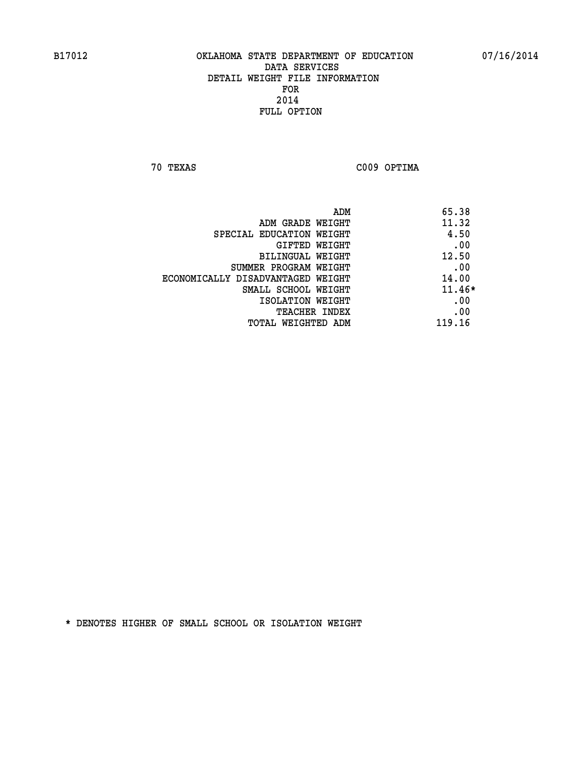**70 TEXAS C009 OPTIMA** 

|                                   | 65.38<br>ADM |          |
|-----------------------------------|--------------|----------|
| ADM GRADE WEIGHT                  | 11.32        |          |
| SPECIAL EDUCATION WEIGHT          |              | 4.50     |
| GIFTED WEIGHT                     |              | .00      |
| BILINGUAL WEIGHT                  | 12.50        |          |
| SUMMER PROGRAM WEIGHT             |              | .00      |
| ECONOMICALLY DISADVANTAGED WEIGHT | 14.00        |          |
| SMALL SCHOOL WEIGHT               |              | $11.46*$ |
| ISOLATION WEIGHT                  |              | .00      |
| <b>TEACHER INDEX</b>              |              | .00      |
| TOTAL WEIGHTED ADM                | 119.16       |          |
|                                   |              |          |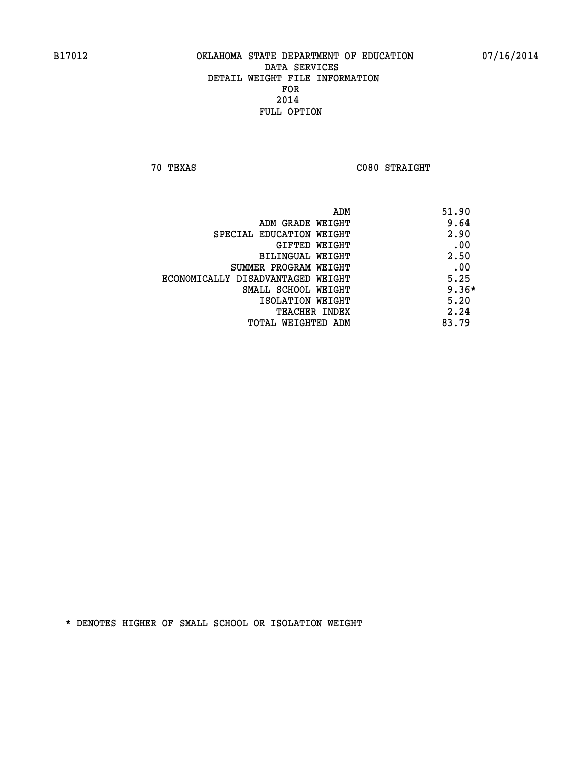**70 TEXAS C080 STRAIGHT** 

| ADM                               | 51.90   |
|-----------------------------------|---------|
| ADM GRADE WEIGHT                  | 9.64    |
| SPECIAL EDUCATION WEIGHT          | 2.90    |
| GIFTED WEIGHT                     | .00     |
| BILINGUAL WEIGHT                  | 2.50    |
| SUMMER PROGRAM WEIGHT             | .00     |
| ECONOMICALLY DISADVANTAGED WEIGHT | 5.25    |
| SMALL SCHOOL WEIGHT               | $9.36*$ |
| ISOLATION WEIGHT                  | 5.20    |
| TEACHER INDEX                     | 2.24    |
| TOTAL WEIGHTED ADM                | 83.79   |
|                                   |         |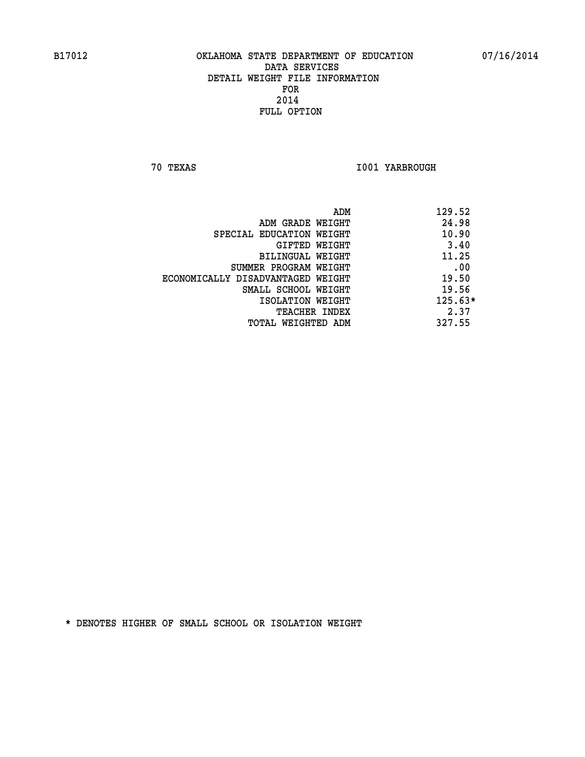**70 TEXAS I001 YARBROUGH** 

|                                   | 129.52<br>ADM |           |
|-----------------------------------|---------------|-----------|
| ADM GRADE WEIGHT                  |               | 24.98     |
| SPECIAL EDUCATION WEIGHT          |               | 10.90     |
| GIFTED WEIGHT                     |               | 3.40      |
| BILINGUAL WEIGHT                  |               | 11.25     |
| SUMMER PROGRAM WEIGHT             |               | .00       |
| ECONOMICALLY DISADVANTAGED WEIGHT |               | 19.50     |
| SMALL SCHOOL WEIGHT               |               | 19.56     |
| ISOLATION WEIGHT                  |               | $125.63*$ |
| <b>TEACHER INDEX</b>              |               | 2.37      |
| TOTAL WEIGHTED ADM                | 327.55        |           |
|                                   |               |           |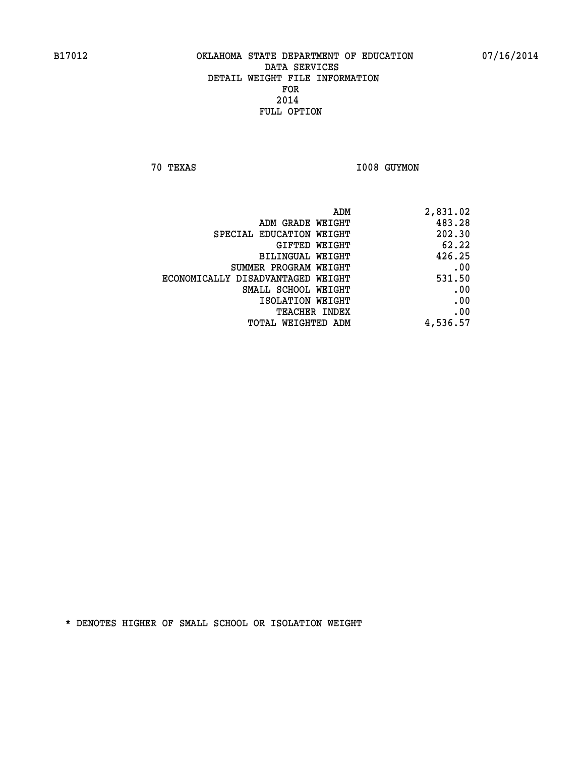**70 TEXAS I008 GUYMON** 

| ADM                               | 2,831.02 |
|-----------------------------------|----------|
| ADM GRADE WEIGHT                  | 483.28   |
| SPECIAL EDUCATION WEIGHT          | 202.30   |
| GIFTED WEIGHT                     | 62.22    |
| <b>BILINGUAL WEIGHT</b>           | 426.25   |
| SUMMER PROGRAM WEIGHT             | .00      |
| ECONOMICALLY DISADVANTAGED WEIGHT | 531.50   |
| SMALL SCHOOL WEIGHT               | .00      |
| ISOLATION WEIGHT                  | .00      |
| TEACHER INDEX                     | .00      |
| TOTAL WEIGHTED ADM                | 4,536.57 |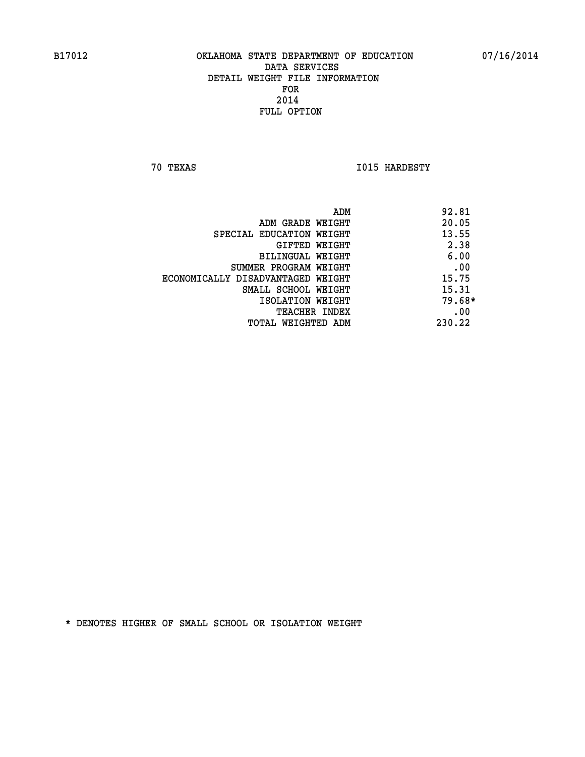**70 TEXAS I015 HARDESTY** 

|                                   | ADM | 92.81    |
|-----------------------------------|-----|----------|
| ADM GRADE WEIGHT                  |     | 20.05    |
| SPECIAL EDUCATION WEIGHT          |     | 13.55    |
| GIFTED WEIGHT                     |     | 2.38     |
| BILINGUAL WEIGHT                  |     | 6.00     |
| SUMMER PROGRAM WEIGHT             |     | .00      |
| ECONOMICALLY DISADVANTAGED WEIGHT |     | 15.75    |
| SMALL SCHOOL WEIGHT               |     | 15.31    |
| ISOLATION WEIGHT                  |     | $79.68*$ |
| TEACHER INDEX                     |     | .00      |
| TOTAL WEIGHTED ADM                |     | 230.22   |
|                                   |     |          |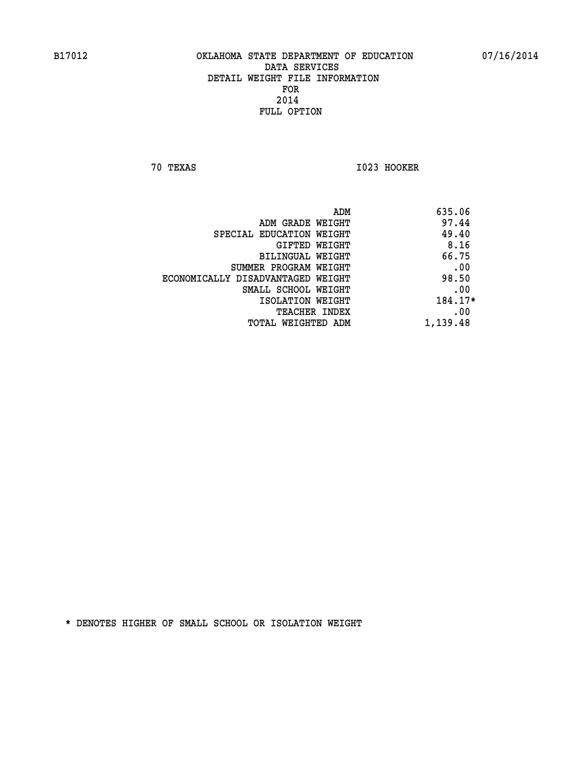**70 TEXAS I023 HOOKER** 

| 635.06<br>ADM |                                   |
|---------------|-----------------------------------|
| 97.44         | ADM GRADE WEIGHT                  |
| 49.40         | SPECIAL EDUCATION WEIGHT          |
| 8.16          | GIFTED WEIGHT                     |
| 66.75         | BILINGUAL WEIGHT                  |
| .00           | SUMMER PROGRAM WEIGHT             |
| 98.50         | ECONOMICALLY DISADVANTAGED WEIGHT |
| .00           | SMALL SCHOOL WEIGHT               |
| 184.17*       | ISOLATION WEIGHT                  |
| .00           | TEACHER INDEX                     |
| 1,139.48      | TOTAL WEIGHTED ADM                |
|               |                                   |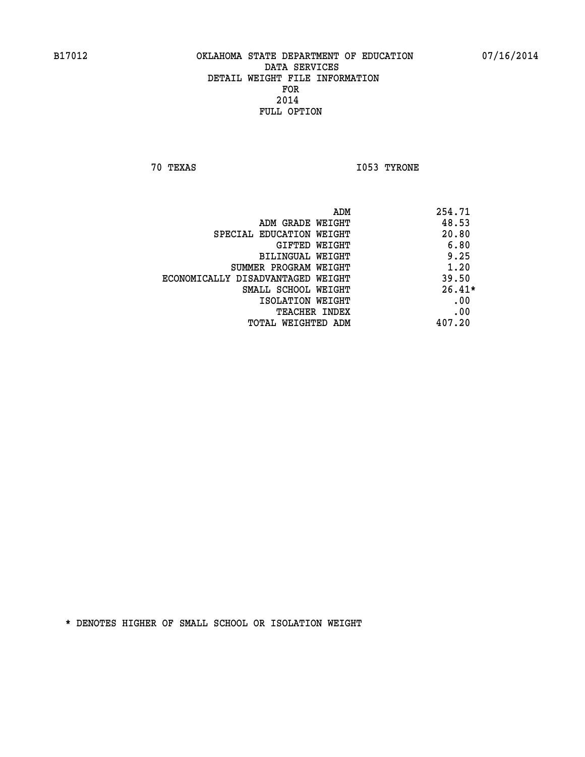**70 TEXAS I053 TYRONE** 

|                                   | ADM | 254.71   |
|-----------------------------------|-----|----------|
| ADM GRADE WEIGHT                  |     | 48.53    |
| SPECIAL EDUCATION WEIGHT          |     | 20.80    |
| GIFTED WEIGHT                     |     | 6.80     |
| BILINGUAL WEIGHT                  |     | 9.25     |
| SUMMER PROGRAM WEIGHT             |     | 1.20     |
| ECONOMICALLY DISADVANTAGED WEIGHT |     | 39.50    |
| SMALL SCHOOL WEIGHT               |     | $26.41*$ |
| ISOLATION WEIGHT                  |     | .00      |
| <b>TEACHER INDEX</b>              |     | .00      |
| TOTAL WEIGHTED ADM                |     | 407.20   |
|                                   |     |          |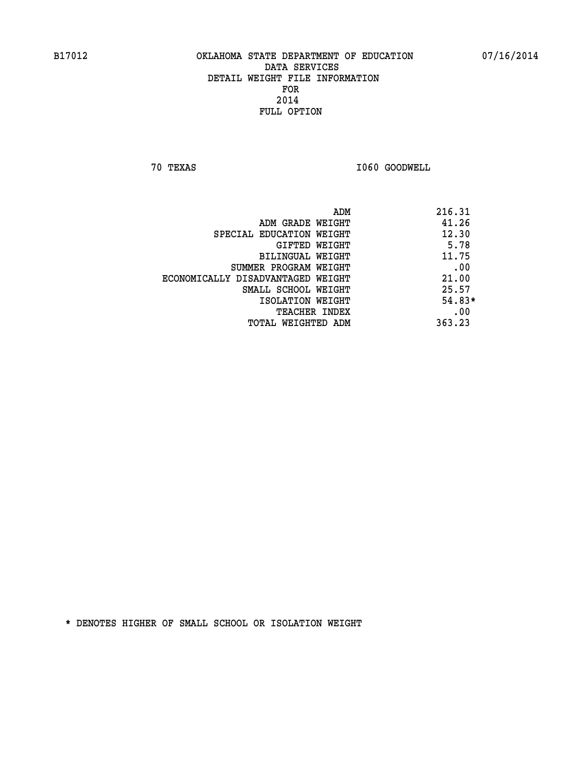**70 TEXAS I060 GOODWELL** 

|                                   | ADM | 216.31   |
|-----------------------------------|-----|----------|
| ADM GRADE WEIGHT                  |     | 41.26    |
| SPECIAL EDUCATION WEIGHT          |     | 12.30    |
| GIFTED WEIGHT                     |     | 5.78     |
| BILINGUAL WEIGHT                  |     | 11.75    |
| SUMMER PROGRAM WEIGHT             |     | .00      |
| ECONOMICALLY DISADVANTAGED WEIGHT |     | 21.00    |
| SMALL SCHOOL WEIGHT               |     | 25.57    |
| ISOLATION WEIGHT                  |     | $54.83*$ |
| TEACHER INDEX                     |     | .00      |
| TOTAL WEIGHTED ADM                |     | 363.23   |
|                                   |     |          |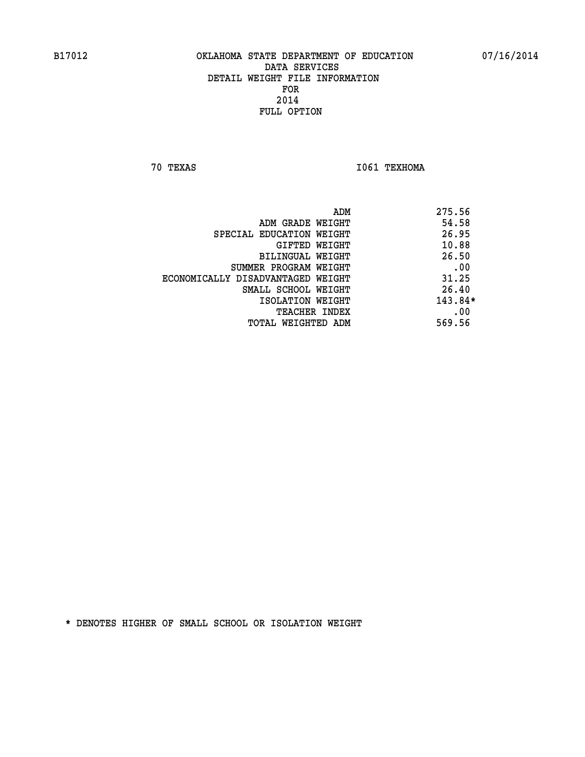**70 TEXAS I061 TEXHOMA** 

|                                   | ADM | 275.56    |
|-----------------------------------|-----|-----------|
| ADM GRADE WEIGHT                  |     | 54.58     |
| SPECIAL EDUCATION WEIGHT          |     | 26.95     |
| GIFTED WEIGHT                     |     | 10.88     |
| BILINGUAL WEIGHT                  |     | 26.50     |
| SUMMER PROGRAM WEIGHT             |     | .00       |
| ECONOMICALLY DISADVANTAGED WEIGHT |     | 31.25     |
| SMALL SCHOOL WEIGHT               |     | 26.40     |
| ISOLATION WEIGHT                  |     | $143.84*$ |
| TEACHER INDEX                     |     | .00       |
| TOTAL WEIGHTED ADM                |     | 569.56    |
|                                   |     |           |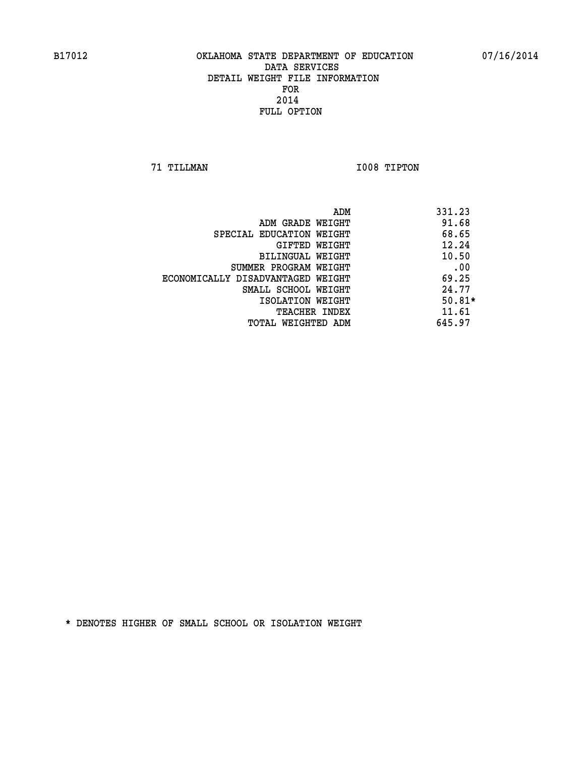**71 TILLMAN I008 TIPTON** 

| ADM                               | 331.23   |
|-----------------------------------|----------|
| ADM GRADE WEIGHT                  | 91.68    |
| SPECIAL EDUCATION WEIGHT          | 68.65    |
| GIFTED WEIGHT                     | 12.24    |
| BILINGUAL WEIGHT                  | 10.50    |
| SUMMER PROGRAM WEIGHT             | .00      |
| ECONOMICALLY DISADVANTAGED WEIGHT | 69.25    |
| SMALL SCHOOL WEIGHT               | 24.77    |
| ISOLATION WEIGHT                  | $50.81*$ |
| <b>TEACHER INDEX</b>              | 11.61    |
| TOTAL WEIGHTED ADM                | 645.97   |
|                                   |          |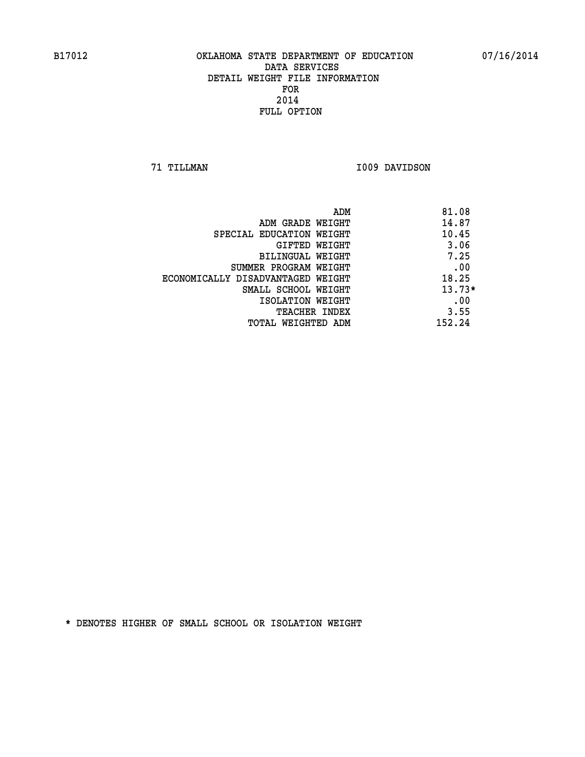**71 TILLMAN I009 DAVIDSON** 

|                                   | ADM | 81.08    |
|-----------------------------------|-----|----------|
| ADM GRADE WEIGHT                  |     | 14.87    |
| SPECIAL EDUCATION WEIGHT          |     | 10.45    |
| GIFTED WEIGHT                     |     | 3.06     |
| BILINGUAL WEIGHT                  |     | 7.25     |
| SUMMER PROGRAM WEIGHT             |     | .00      |
| ECONOMICALLY DISADVANTAGED WEIGHT |     | 18.25    |
| SMALL SCHOOL WEIGHT               |     | $13.73*$ |
| ISOLATION WEIGHT                  |     | .00      |
| TEACHER INDEX                     |     | 3.55     |
| TOTAL WEIGHTED ADM                |     | 152.24   |
|                                   |     |          |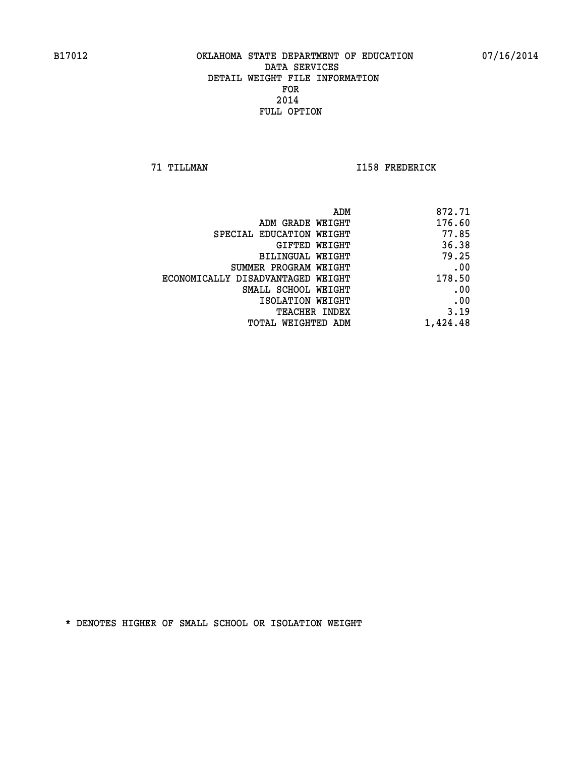**71 TILLMAN I158 FREDERICK** 

| ADM                               | 872.71   |
|-----------------------------------|----------|
| ADM GRADE WEIGHT                  | 176.60   |
| SPECIAL EDUCATION WEIGHT          | 77.85    |
| GIFTED WEIGHT                     | 36.38    |
| <b>BILINGUAL WEIGHT</b>           | 79.25    |
| SUMMER PROGRAM WEIGHT             | .00      |
| ECONOMICALLY DISADVANTAGED WEIGHT | 178.50   |
| SMALL SCHOOL WEIGHT               | .00      |
| ISOLATION WEIGHT                  | .00      |
| TEACHER INDEX                     | 3.19     |
| TOTAL WEIGHTED ADM                | 1,424.48 |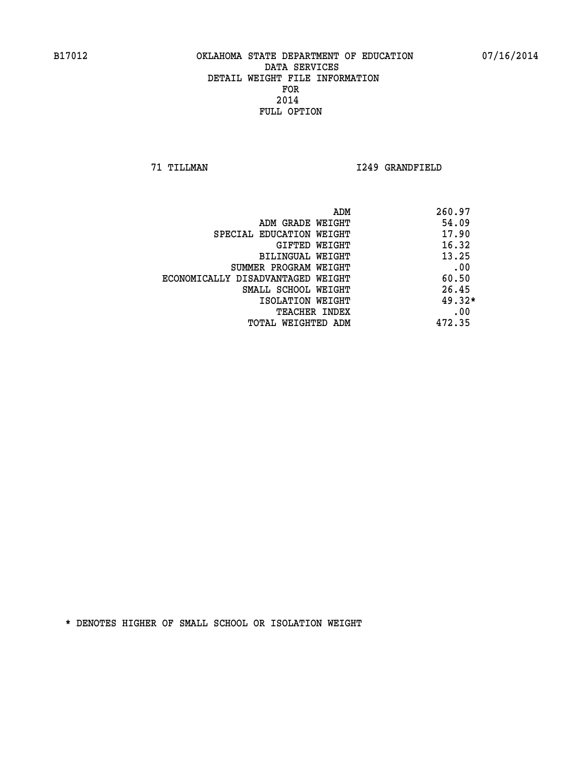**71 TILLMAN I249 GRANDFIELD** 

| ADM                               | 260.97   |
|-----------------------------------|----------|
| ADM GRADE WEIGHT                  | 54.09    |
| SPECIAL EDUCATION WEIGHT          | 17.90    |
| GIFTED WEIGHT                     | 16.32    |
| BILINGUAL WEIGHT                  | 13.25    |
| SUMMER PROGRAM WEIGHT             | .00      |
| ECONOMICALLY DISADVANTAGED WEIGHT | 60.50    |
| SMALL SCHOOL WEIGHT               | 26.45    |
| ISOLATION WEIGHT                  | $49.32*$ |
| <b>TEACHER INDEX</b>              | .00      |
| TOTAL WEIGHTED ADM                | 472.35   |
|                                   |          |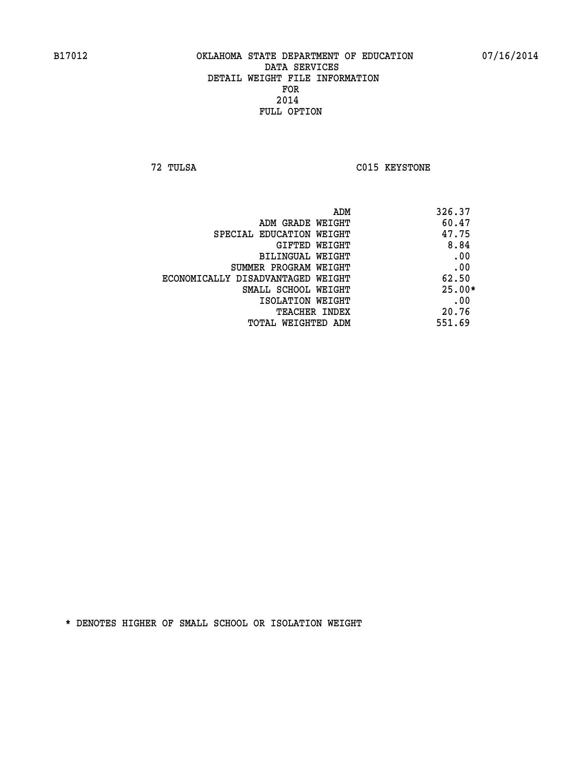**72 TULSA C015 KEYSTONE** 

| ADM                               | 326.37   |
|-----------------------------------|----------|
| ADM GRADE WEIGHT                  | 60.47    |
| SPECIAL EDUCATION WEIGHT          | 47.75    |
| GIFTED WEIGHT                     | 8.84     |
| BILINGUAL WEIGHT                  | .00      |
| SUMMER PROGRAM WEIGHT             | .00      |
| ECONOMICALLY DISADVANTAGED WEIGHT | 62.50    |
| SMALL SCHOOL WEIGHT               | $25.00*$ |
| ISOLATION WEIGHT                  | .00      |
| <b>TEACHER INDEX</b>              | 20.76    |
| TOTAL WEIGHTED ADM                | 551.69   |
|                                   |          |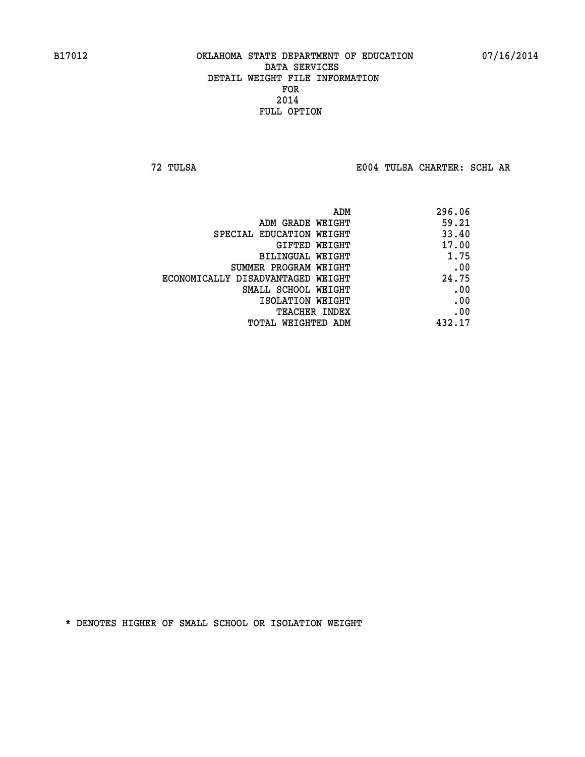**72 TULSA E004 TULSA CHARTER: SCHL AR**

| ADM                               | 296.06 |
|-----------------------------------|--------|
| ADM GRADE WEIGHT                  | 59.21  |
| SPECIAL EDUCATION WEIGHT          | 33.40  |
| GIFTED WEIGHT                     | 17.00  |
| BILINGUAL WEIGHT                  | 1.75   |
| SUMMER PROGRAM WEIGHT             | .00    |
| ECONOMICALLY DISADVANTAGED WEIGHT | 24.75  |
| SMALL SCHOOL WEIGHT               | .00    |
| ISOLATION WEIGHT                  | .00    |
| <b>TEACHER INDEX</b>              | .00    |
| TOTAL WEIGHTED ADM                | 432.17 |
|                                   |        |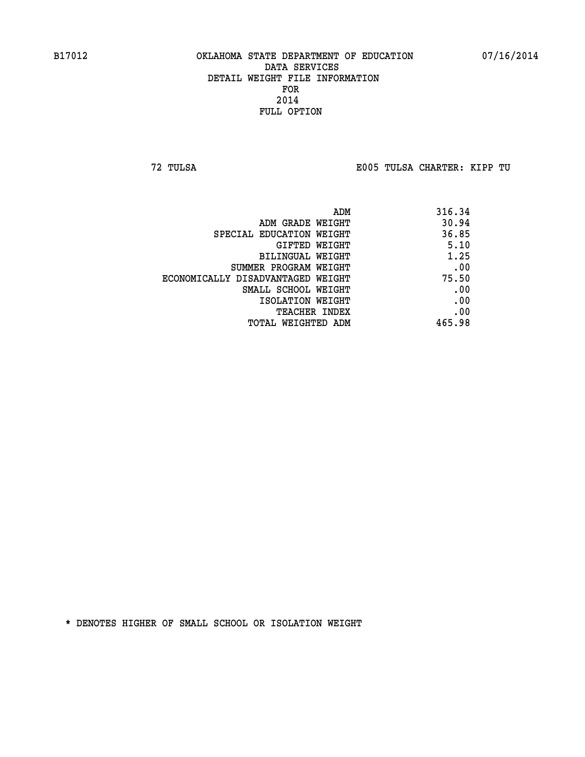**72 TULSA E005 TULSA CHARTER: KIPP TU**

| 316.34 |
|--------|
| 30.94  |
| 36.85  |
| 5.10   |
| 1.25   |
| .00    |
| 75.50  |
| .00    |
| .00    |
| .00    |
| 465.98 |
|        |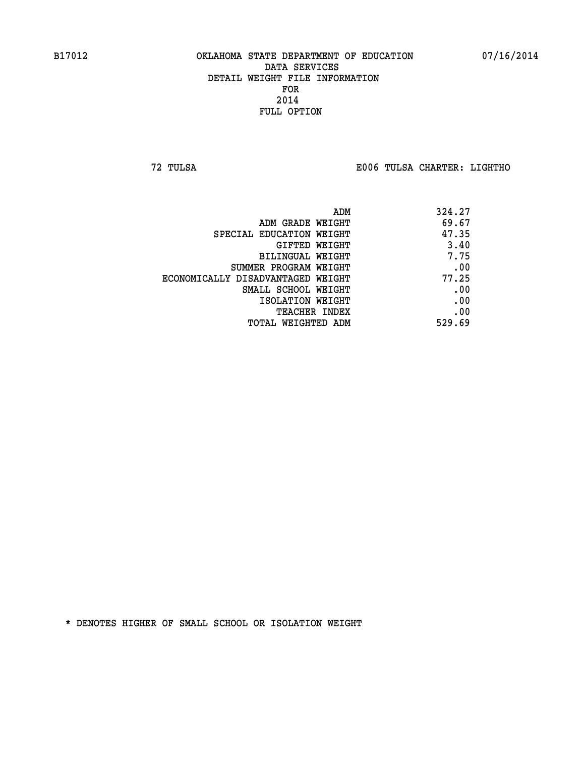**72 TULSA E006 TULSA CHARTER: LIGHTHO**

| 324.27 |
|--------|
| 69.67  |
| 47.35  |
| 3.40   |
| 7.75   |
| .00    |
| 77.25  |
| .00    |
| .00    |
| .00    |
| 529.69 |
|        |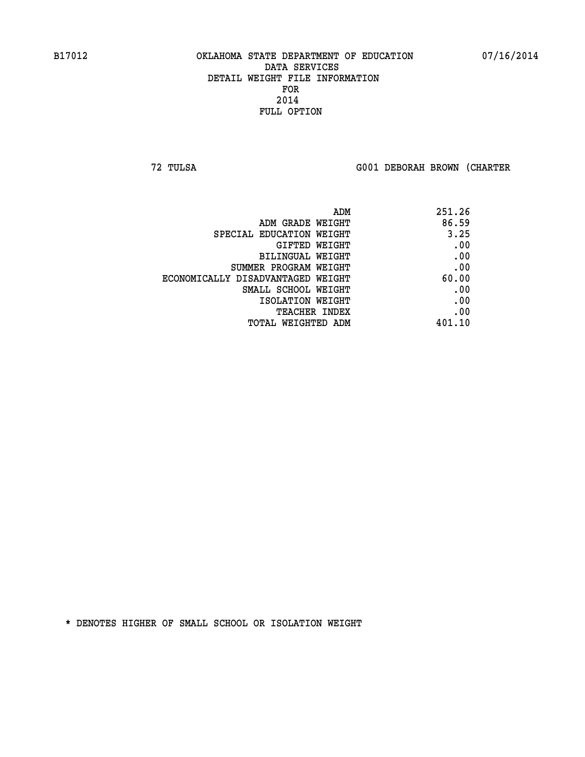**72 TULSA G001 DEBORAH BROWN (CHARTER**

| 251.26 |
|--------|
| 86.59  |
| 3.25   |
| .00    |
| .00    |
| .00    |
| 60.00  |
| .00    |
| .00    |
| .00    |
| 401.10 |
|        |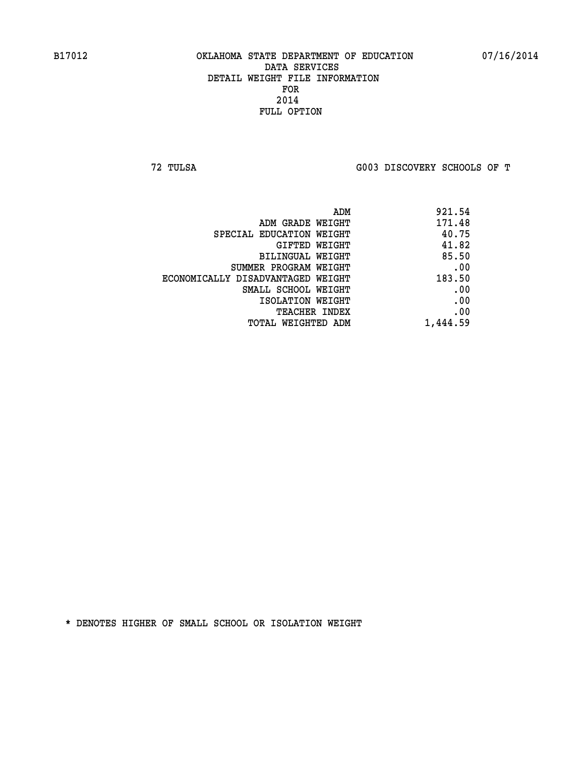**72 TULSA G003 DISCOVERY SCHOOLS OF T**

| ADM                               | 921.54   |
|-----------------------------------|----------|
| ADM GRADE WEIGHT                  | 171.48   |
| SPECIAL EDUCATION WEIGHT          | 40.75    |
| GIFTED WEIGHT                     | 41.82    |
| BILINGUAL WEIGHT                  | 85.50    |
| SUMMER PROGRAM WEIGHT             | .00      |
| ECONOMICALLY DISADVANTAGED WEIGHT | 183.50   |
| SMALL SCHOOL WEIGHT               | .00      |
| ISOLATION WEIGHT                  | .00      |
| <b>TEACHER INDEX</b>              | .00      |
| TOTAL WEIGHTED ADM                | 1,444.59 |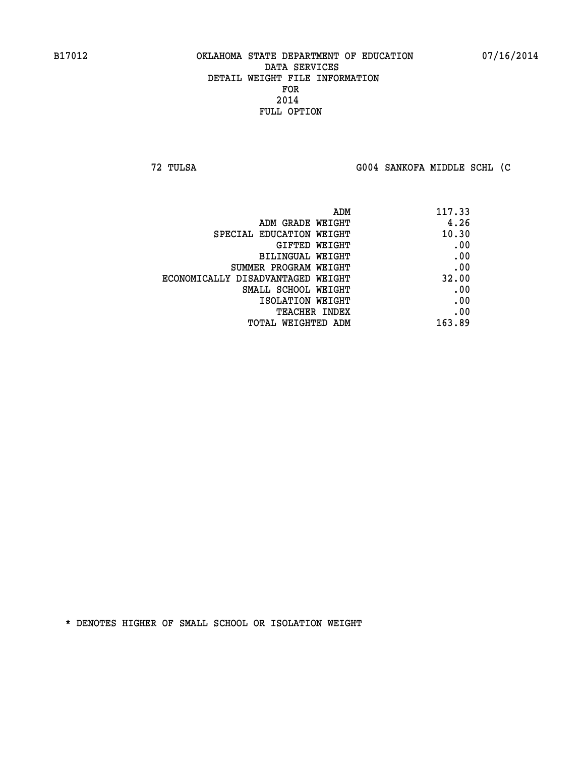**72 TULSA G004 SANKOFA MIDDLE SCHL (C**

| 117.33 |
|--------|
| 4.26   |
| 10.30  |
| .00    |
| .00    |
| .00    |
| 32.00  |
| .00    |
| .00    |
| .00    |
| 163.89 |
|        |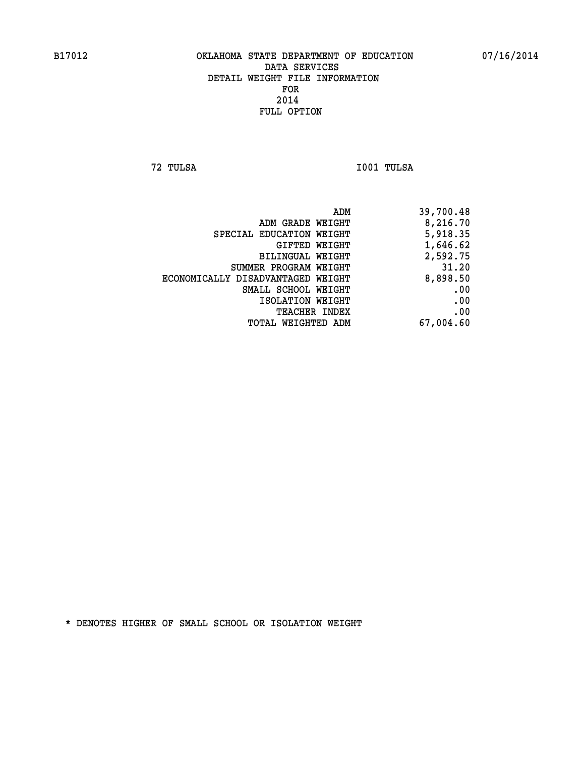**72 TULSA I001 TULSA** 

| ADM                               | 39,700.48 |
|-----------------------------------|-----------|
| ADM GRADE WEIGHT                  | 8,216.70  |
| SPECIAL EDUCATION WEIGHT          | 5,918.35  |
| GIFTED WEIGHT                     | 1,646.62  |
| BILINGUAL WEIGHT                  | 2,592.75  |
| SUMMER PROGRAM WEIGHT             | 31.20     |
| ECONOMICALLY DISADVANTAGED WEIGHT | 8,898.50  |
| SMALL SCHOOL WEIGHT               | .00       |
| ISOLATION WEIGHT                  | .00       |
| <b>TEACHER INDEX</b>              | .00       |
| TOTAL WEIGHTED ADM                | 67,004.60 |
|                                   |           |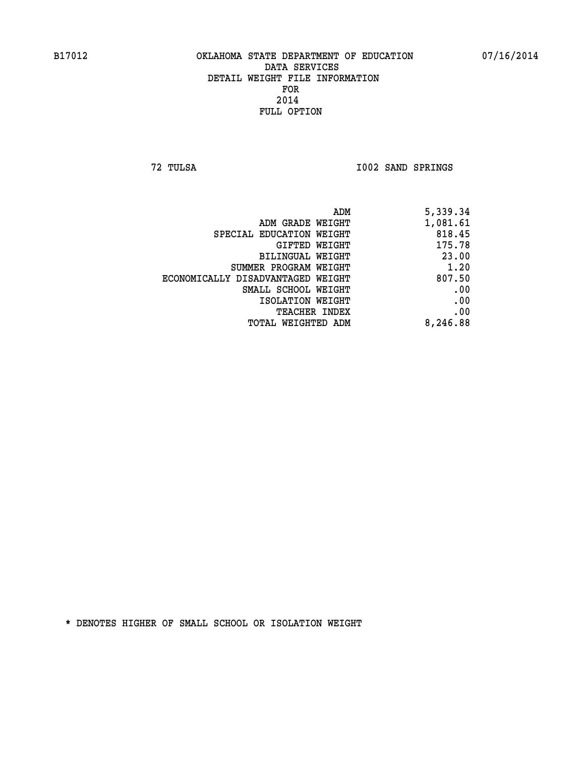**72 TULSA I002 SAND SPRINGS** 

|                                   | ADM<br>5,339.34 |
|-----------------------------------|-----------------|
| ADM GRADE WEIGHT                  | 1,081.61        |
| SPECIAL EDUCATION WEIGHT          | 818.45          |
| GIFTED WEIGHT                     | 175.78          |
| BILINGUAL WEIGHT                  | 23.00           |
| SUMMER PROGRAM WEIGHT             | 1.20            |
| ECONOMICALLY DISADVANTAGED WEIGHT | 807.50          |
| SMALL SCHOOL WEIGHT               | .00             |
| ISOLATION WEIGHT                  | .00             |
| TEACHER INDEX                     | .00             |
| TOTAL WEIGHTED ADM                | 8,246.88        |
|                                   |                 |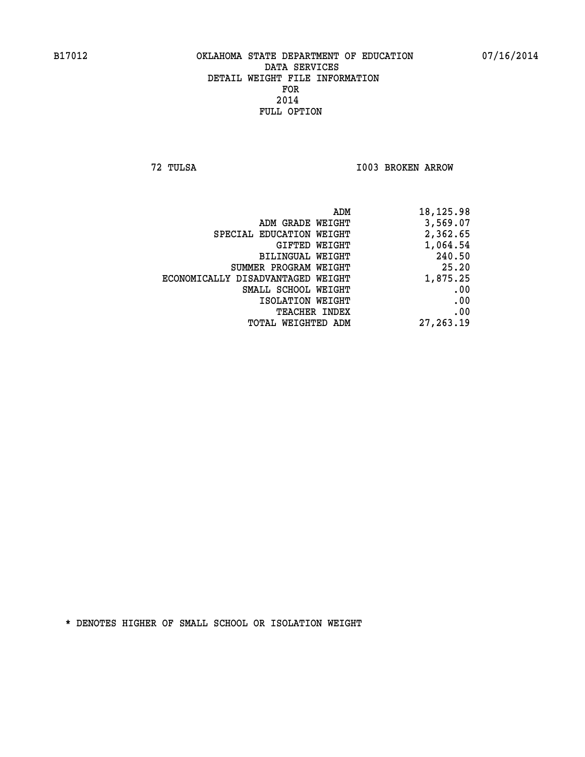**72 TULSA I003 BROKEN ARROW** 

|                                   | ADM<br>18,125.98 |
|-----------------------------------|------------------|
| ADM GRADE WEIGHT                  | 3,569.07         |
| SPECIAL EDUCATION WEIGHT          | 2,362.65         |
| GIFTED WEIGHT                     | 1,064.54         |
| BILINGUAL WEIGHT                  | 240.50           |
| SUMMER PROGRAM WEIGHT             | 25.20            |
| ECONOMICALLY DISADVANTAGED WEIGHT | 1,875.25         |
| SMALL SCHOOL WEIGHT               | .00              |
| ISOLATION WEIGHT                  | .00              |
| TEACHER INDEX                     | .00              |
| TOTAL WEIGHTED ADM                | 27, 263.19       |
|                                   |                  |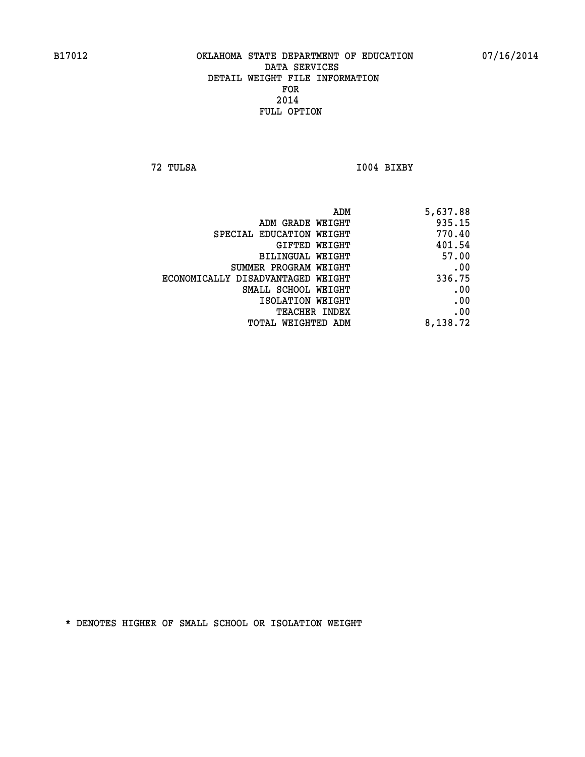**72 TULSA I004 BIXBY** 

| 5,637.88 |
|----------|
| 935.15   |
| 770.40   |
| 401.54   |
| 57.00    |
| .00      |
| 336.75   |
| .00      |
| .00      |
| .00      |
| 8,138.72 |
|          |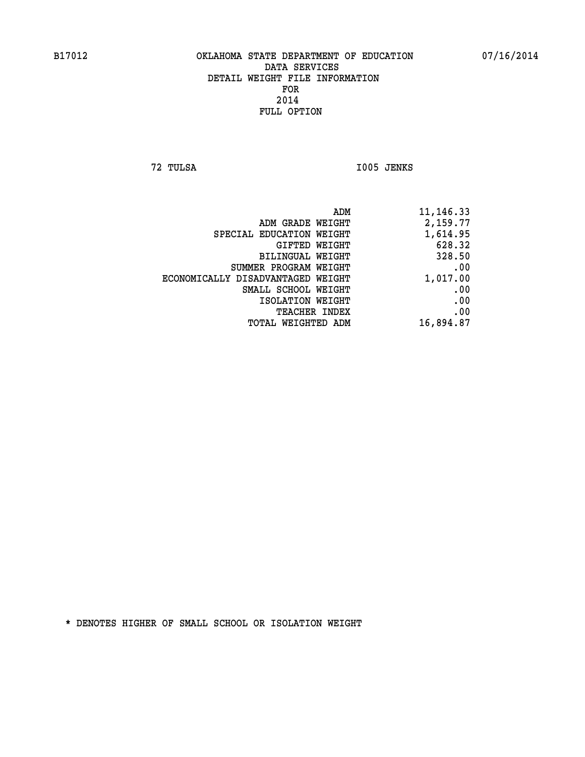**72 TULSA I005 JENKS** 

| 11,146.33 |
|-----------|
| 2,159.77  |
| 1,614.95  |
| 628.32    |
| 328.50    |
| .00       |
| 1,017.00  |
| .00       |
| .00       |
| .00       |
| 16,894.87 |
|           |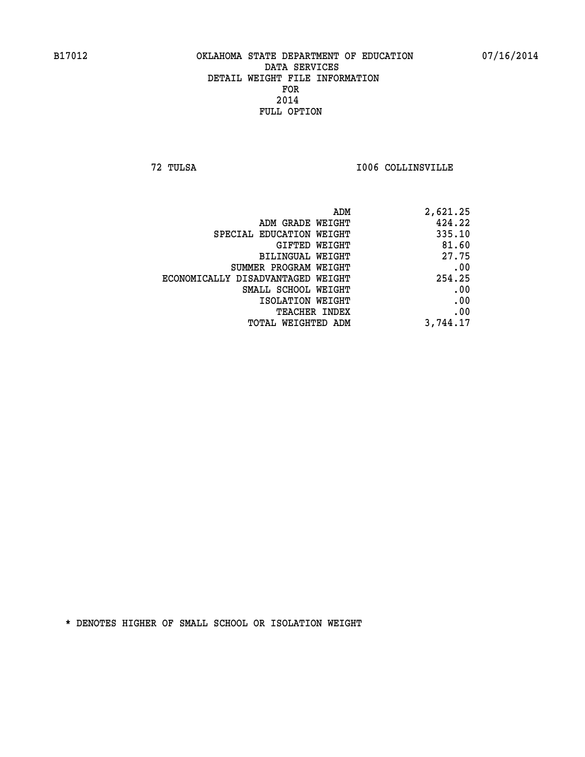**72 TULSA I006 COLLINSVILLE** 

| ADM                               | 2,621.25 |
|-----------------------------------|----------|
| ADM GRADE WEIGHT                  | 424.22   |
| SPECIAL EDUCATION WEIGHT          | 335.10   |
| GIFTED WEIGHT                     | 81.60    |
| <b>BILINGUAL WEIGHT</b>           | 27.75    |
| SUMMER PROGRAM WEIGHT             | .00      |
| ECONOMICALLY DISADVANTAGED WEIGHT | 254.25   |
| SMALL SCHOOL WEIGHT               | .00      |
| ISOLATION WEIGHT                  | .00      |
| TEACHER INDEX                     | .00      |
| TOTAL WEIGHTED ADM                | 3,744.17 |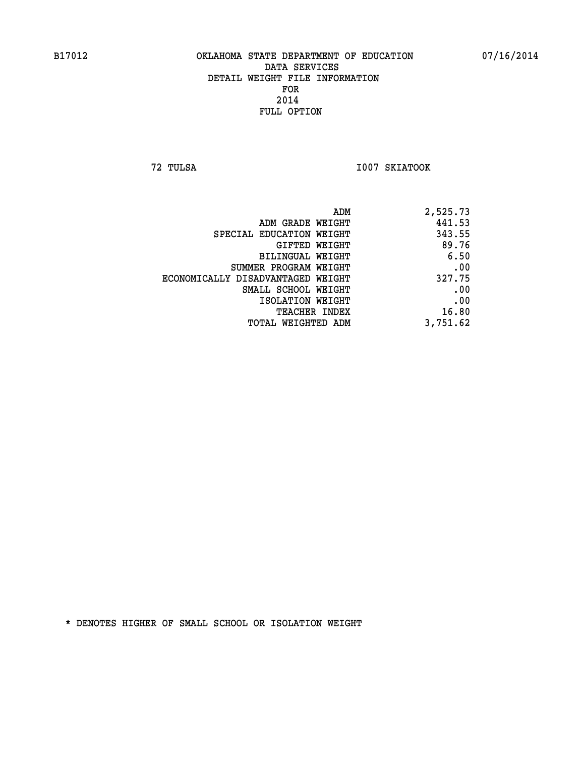**72 TULSA I007 SKIATOOK** 

|                                   | 441.53   |
|-----------------------------------|----------|
| ADM GRADE WEIGHT                  |          |
| SPECIAL EDUCATION WEIGHT          | 343.55   |
| <b>GIFTED WEIGHT</b>              | 89.76    |
| <b>BILINGUAL WEIGHT</b>           | 6.50     |
| SUMMER PROGRAM WEIGHT             | .00      |
| ECONOMICALLY DISADVANTAGED WEIGHT | 327.75   |
| SMALL SCHOOL WEIGHT               | .00      |
| ISOLATION WEIGHT                  | .00      |
| TEACHER INDEX                     | 16.80    |
| TOTAL WEIGHTED ADM                | 3,751.62 |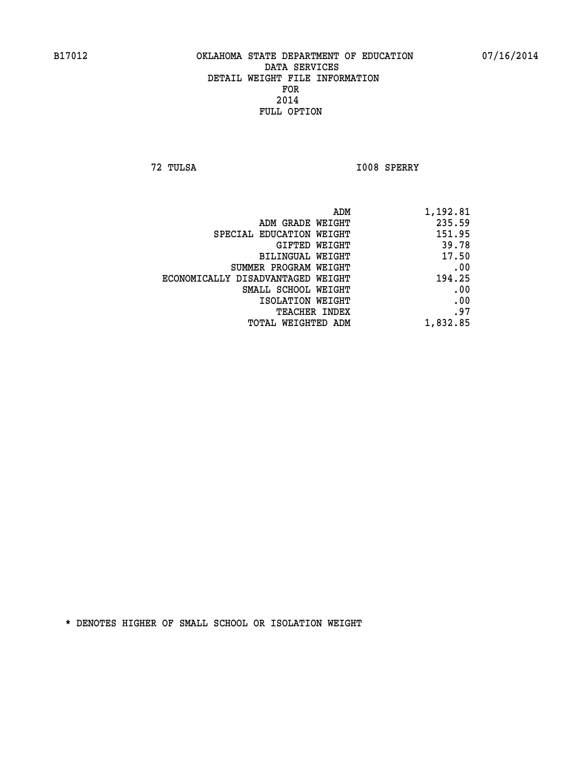**72 TULSA I008 SPERRY** 

|                                   | 1,192.81<br>ADM |
|-----------------------------------|-----------------|
| ADM GRADE WEIGHT                  | 235.59          |
| SPECIAL EDUCATION WEIGHT          | 151.95          |
| GIFTED WEIGHT                     | 39.78           |
| <b>BILINGUAL WEIGHT</b>           | 17.50           |
| SUMMER PROGRAM WEIGHT             | .00             |
| ECONOMICALLY DISADVANTAGED WEIGHT | 194.25          |
| SMALL SCHOOL WEIGHT               | .00             |
| ISOLATION WEIGHT                  | .00             |
| TEACHER INDEX                     | .97             |
| TOTAL WEIGHTED ADM                | 1,832.85        |
|                                   |                 |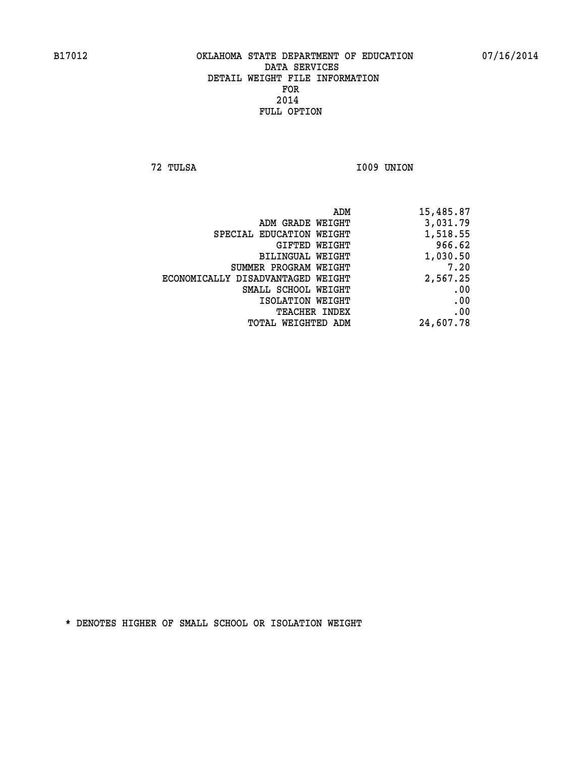**72 TULSA I009 UNION** 

| 15,485.87 |
|-----------|
| 3,031.79  |
| 1,518.55  |
| 966.62    |
| 1,030.50  |
| 7.20      |
| 2,567.25  |
| .00       |
| .00       |
| .00       |
| 24,607.78 |
|           |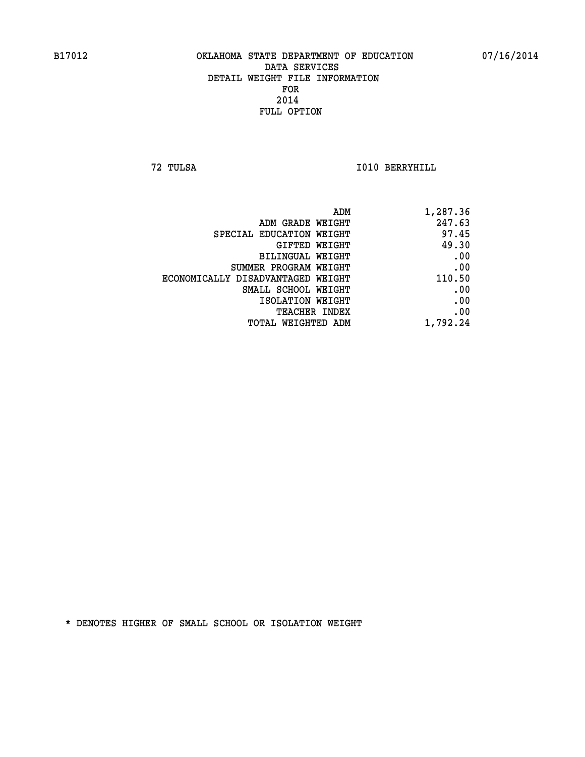**72 TULSA I010 BERRYHILL** 

| ADM<br>1,287.36                             |       |
|---------------------------------------------|-------|
| 247.63<br>ADM GRADE WEIGHT                  |       |
| SPECIAL EDUCATION WEIGHT                    | 97.45 |
| GIFTED WEIGHT                               | 49.30 |
| <b>BILINGUAL WEIGHT</b>                     | .00   |
| SUMMER PROGRAM WEIGHT                       | .00   |
| 110.50<br>ECONOMICALLY DISADVANTAGED WEIGHT |       |
| SMALL SCHOOL WEIGHT                         | .00   |
| ISOLATION WEIGHT                            | .00   |
| TEACHER INDEX                               | .00   |
| 1,792.24<br>TOTAL WEIGHTED ADM              |       |
|                                             |       |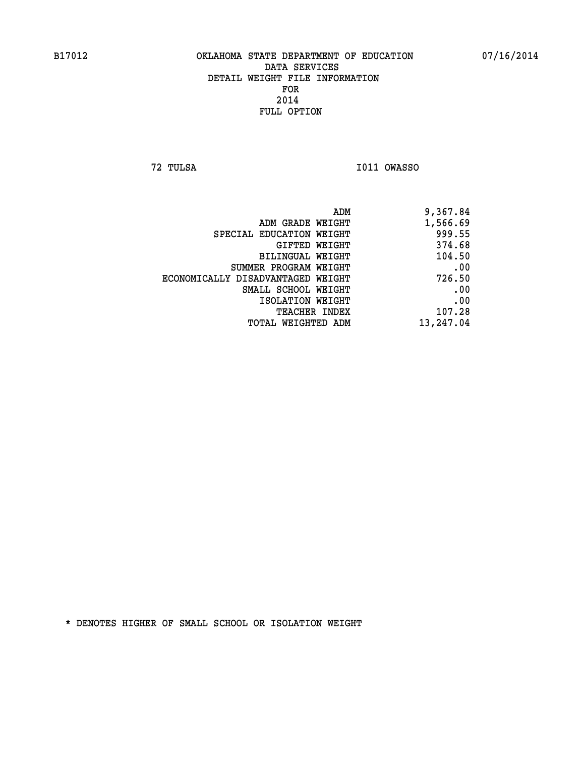**72 TULSA I011 OWASSO** 

| 9,367.84  |
|-----------|
| 1,566.69  |
| 999.55    |
| 374.68    |
| 104.50    |
| .00       |
| 726.50    |
| .00       |
| .00       |
| 107.28    |
| 13,247.04 |
|           |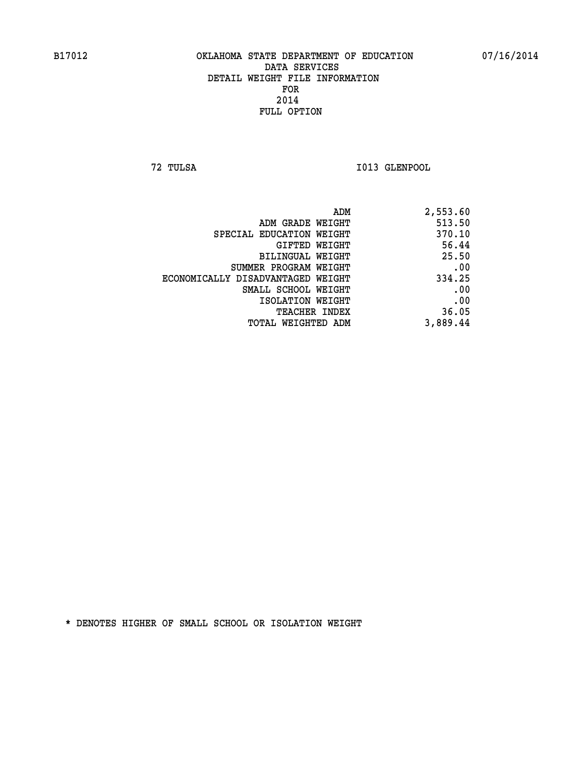**72 TULSA I013 GLENPOOL** 

| 2,553.60 |
|----------|
| 513.50   |
| 370.10   |
| 56.44    |
| 25.50    |
| .00      |
| 334.25   |
| .00      |
| .00      |
| 36.05    |
| 3,889.44 |
|          |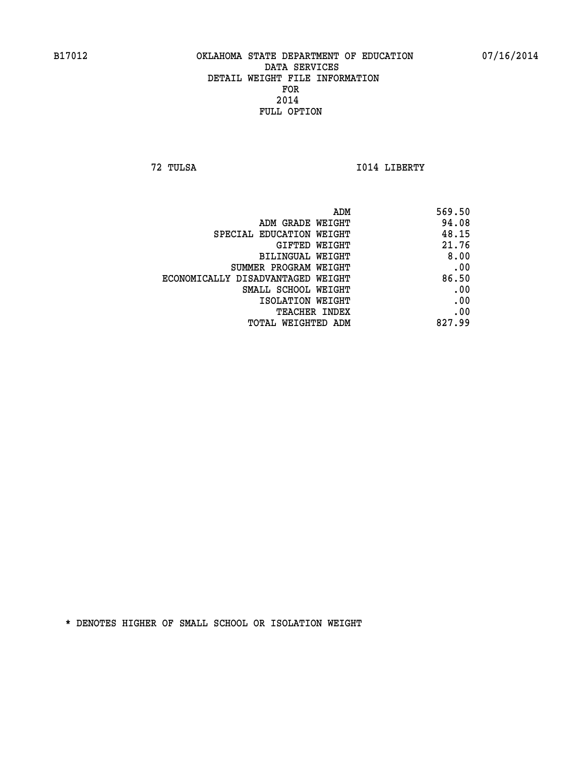**72 TULSA I014 LIBERTY** 

| 569.50 |
|--------|
| 94.08  |
| 48.15  |
| 21.76  |
| 8.00   |
| .00    |
| 86.50  |
| .00    |
| .00    |
| .00    |
| 827.99 |
|        |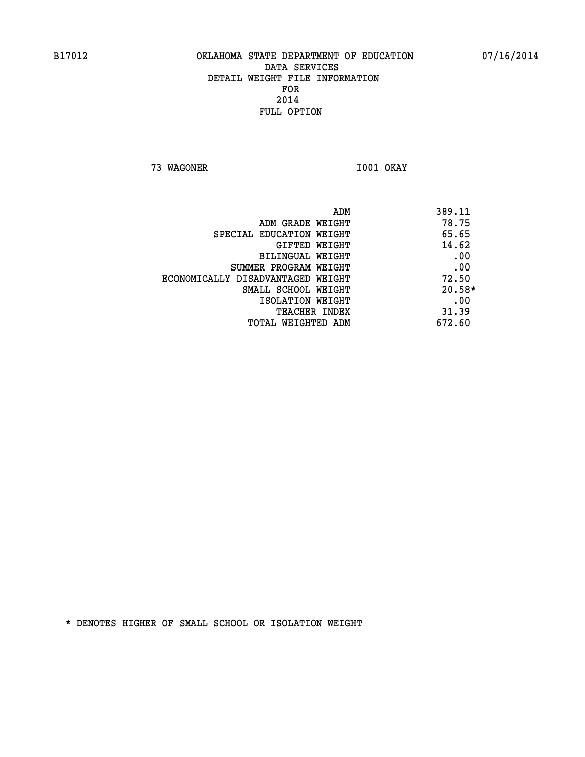**73 WAGONER I001 OKAY** 

| ADM                               | 389.11   |
|-----------------------------------|----------|
| ADM GRADE WEIGHT                  | 78.75    |
| SPECIAL EDUCATION WEIGHT          | 65.65    |
| GIFTED WEIGHT                     | 14.62    |
| BILINGUAL WEIGHT                  | .00      |
| SUMMER PROGRAM WEIGHT             | .00      |
| ECONOMICALLY DISADVANTAGED WEIGHT | 72.50    |
| SMALL SCHOOL WEIGHT               | $20.58*$ |
| ISOLATION WEIGHT                  | .00      |
| <b>TEACHER INDEX</b>              | 31.39    |
| TOTAL WEIGHTED ADM                | 672.60   |
|                                   |          |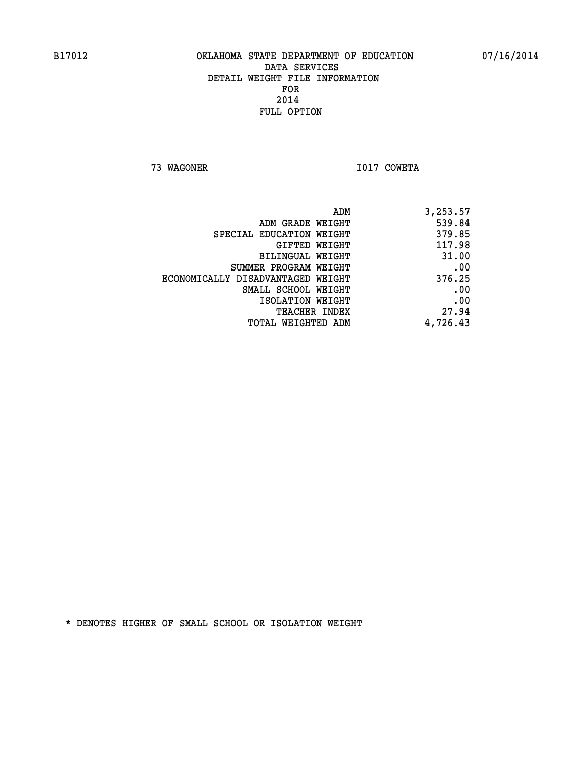**73 WAGONER I017 COWETA** 

| ADM                               | 3,253.57 |
|-----------------------------------|----------|
| ADM GRADE WEIGHT                  | 539.84   |
| SPECIAL EDUCATION WEIGHT          | 379.85   |
| GIFTED WEIGHT                     | 117.98   |
| <b>BILINGUAL WEIGHT</b>           | 31.00    |
| SUMMER PROGRAM WEIGHT             | .00      |
| ECONOMICALLY DISADVANTAGED WEIGHT | 376.25   |
| SMALL SCHOOL WEIGHT               | .00      |
| ISOLATION WEIGHT                  | .00      |
| TEACHER INDEX                     | 27.94    |
| TOTAL WEIGHTED ADM                | 4,726.43 |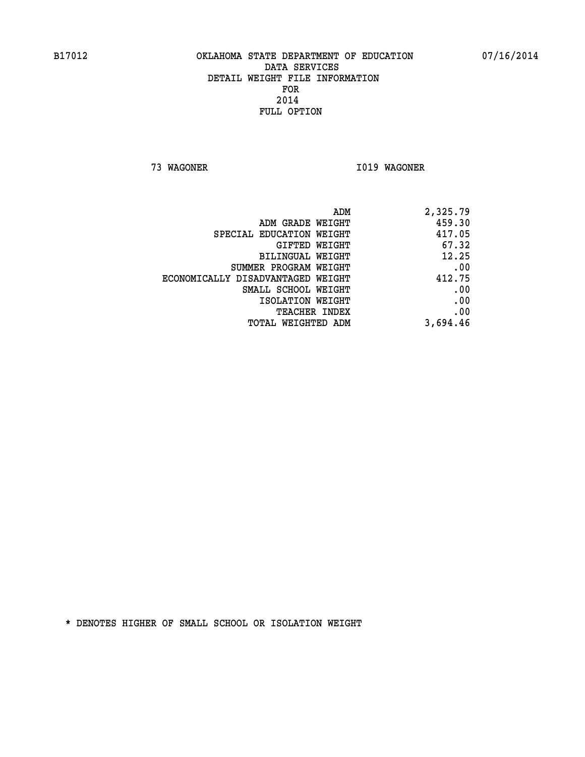**73 WAGONER I019 WAGONER** 

| ADM                               | 2,325.79 |
|-----------------------------------|----------|
| ADM GRADE WEIGHT                  | 459.30   |
| SPECIAL EDUCATION WEIGHT          | 417.05   |
| GIFTED WEIGHT                     | 67.32    |
| <b>BILINGUAL WEIGHT</b>           | 12.25    |
| SUMMER PROGRAM WEIGHT             | .00      |
| ECONOMICALLY DISADVANTAGED WEIGHT | 412.75   |
| SMALL SCHOOL WEIGHT               | .00      |
| ISOLATION WEIGHT                  | .00      |
| TEACHER INDEX                     | .00      |
| TOTAL WEIGHTED ADM                | 3,694.46 |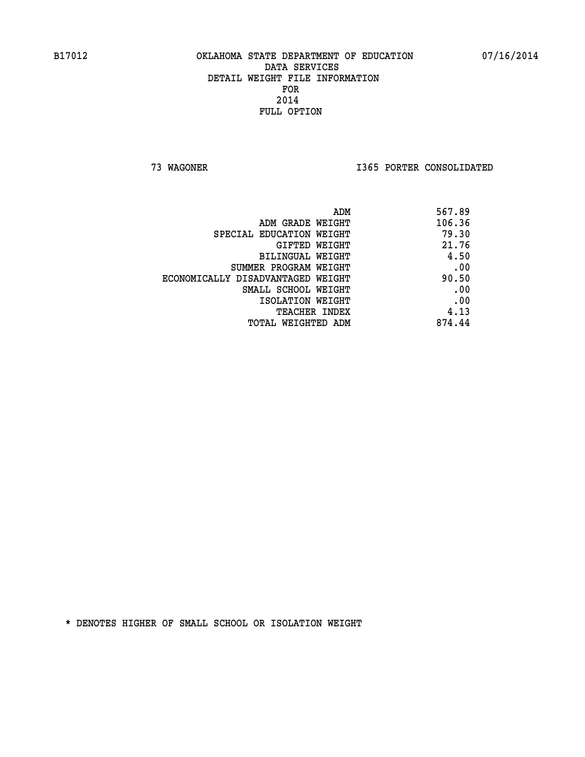**73 WAGONER I365 PORTER CONSOLIDATED** 

| 567.89<br>ADM                              |
|--------------------------------------------|
| 106.36<br>ADM GRADE WEIGHT                 |
| 79.30<br>SPECIAL EDUCATION WEIGHT          |
| 21.76<br>GIFTED WEIGHT                     |
| 4.50<br>BILINGUAL WEIGHT                   |
| .00<br>SUMMER PROGRAM WEIGHT               |
| 90.50<br>ECONOMICALLY DISADVANTAGED WEIGHT |
| .00<br>SMALL SCHOOL WEIGHT                 |
| .00<br>ISOLATION WEIGHT                    |
| 4.13<br><b>TEACHER INDEX</b>               |
| 874.44<br>TOTAL WEIGHTED ADM               |
|                                            |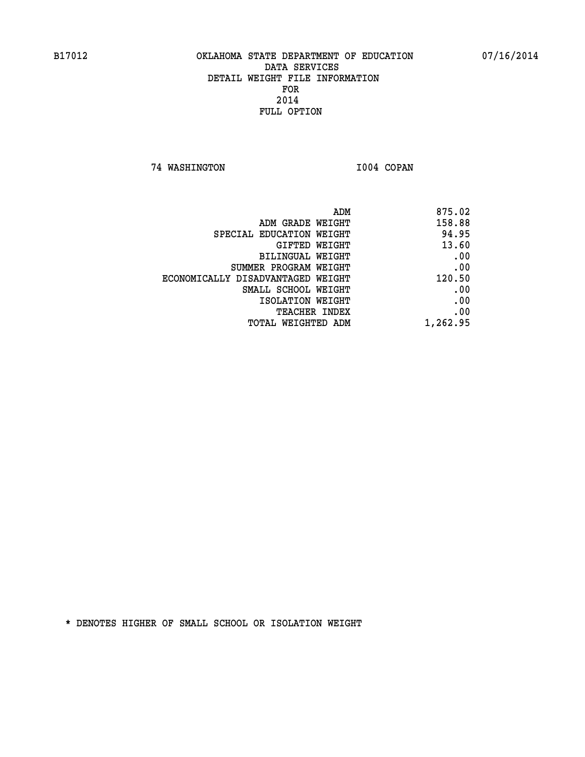**74 WASHINGTON I004 COPAN** 

|                                   | ADM<br>875.02 |
|-----------------------------------|---------------|
| ADM GRADE WEIGHT                  | 158.88        |
| SPECIAL EDUCATION WEIGHT          | 94.95         |
| <b>GIFTED WEIGHT</b>              | 13.60         |
| <b>BILINGUAL WEIGHT</b>           | .00           |
| SUMMER PROGRAM WEIGHT             | .00           |
| ECONOMICALLY DISADVANTAGED WEIGHT | 120.50        |
| SMALL SCHOOL WEIGHT               | .00           |
| ISOLATION WEIGHT                  | .00           |
| TEACHER INDEX                     | .00           |
| TOTAL WEIGHTED ADM                | 1,262.95      |
|                                   |               |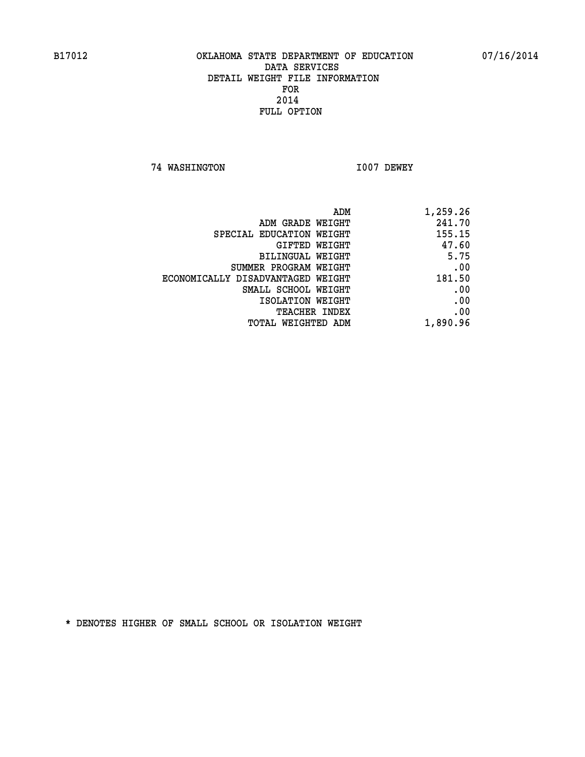**74 WASHINGTON I007 DEWEY** 

| ADM                               | 1,259.26 |
|-----------------------------------|----------|
| ADM GRADE WEIGHT                  | 241.70   |
| SPECIAL EDUCATION WEIGHT          | 155.15   |
| <b>GIFTED WEIGHT</b>              | 47.60    |
| BILINGUAL WEIGHT                  | 5.75     |
| SUMMER PROGRAM WEIGHT             | .00      |
| ECONOMICALLY DISADVANTAGED WEIGHT | 181.50   |
| SMALL SCHOOL WEIGHT               | .00      |
| ISOLATION WEIGHT                  | .00      |
| <b>TEACHER INDEX</b>              | .00      |
| <b>TOTAL WEIGHTED ADM</b>         | 1,890.96 |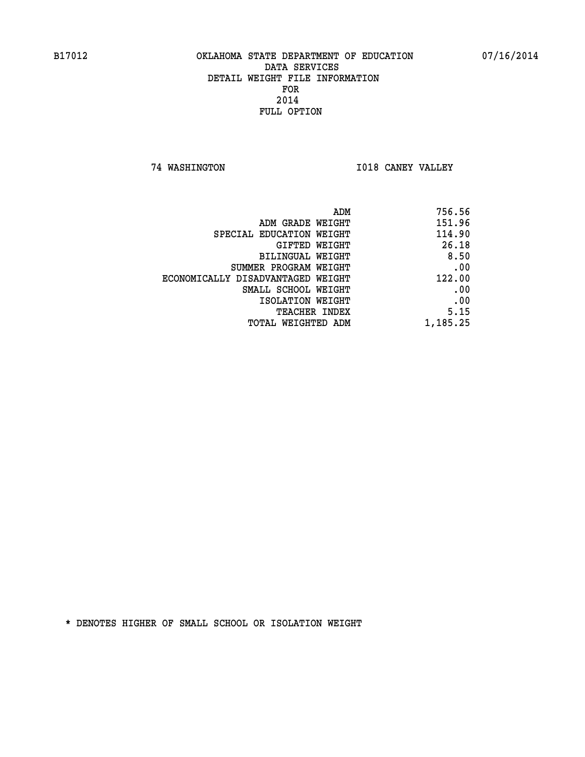**74 WASHINGTON I018 CANEY VALLEY** 

| ADM                               | 756.56   |
|-----------------------------------|----------|
| ADM GRADE WEIGHT                  | 151.96   |
| SPECIAL EDUCATION WEIGHT          | 114.90   |
| <b>GIFTED WEIGHT</b>              | 26.18    |
| BILINGUAL WEIGHT                  | 8.50     |
| SUMMER PROGRAM WEIGHT             | .00      |
| ECONOMICALLY DISADVANTAGED WEIGHT | 122.00   |
| SMALL SCHOOL WEIGHT               | .00      |
| ISOLATION WEIGHT                  | .00      |
| <b>TEACHER INDEX</b>              | 5.15     |
| <b>TOTAL WEIGHTED ADM</b>         | 1,185.25 |
|                                   |          |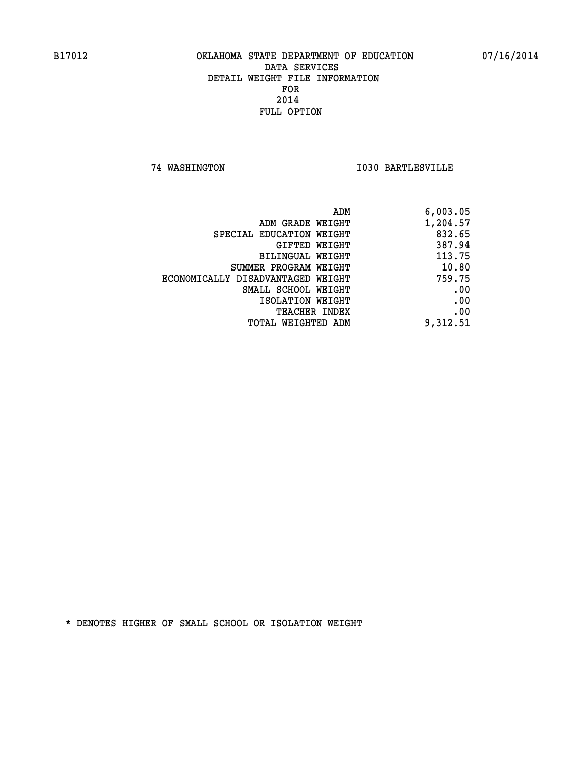**74 WASHINGTON I030 BARTLESVILLE** 

| 6,003.05 |
|----------|
| 1,204.57 |
| 832.65   |
| 387.94   |
| 113.75   |
| 10.80    |
| 759.75   |
| .00      |
| .00      |
| .00      |
| 9,312.51 |
|          |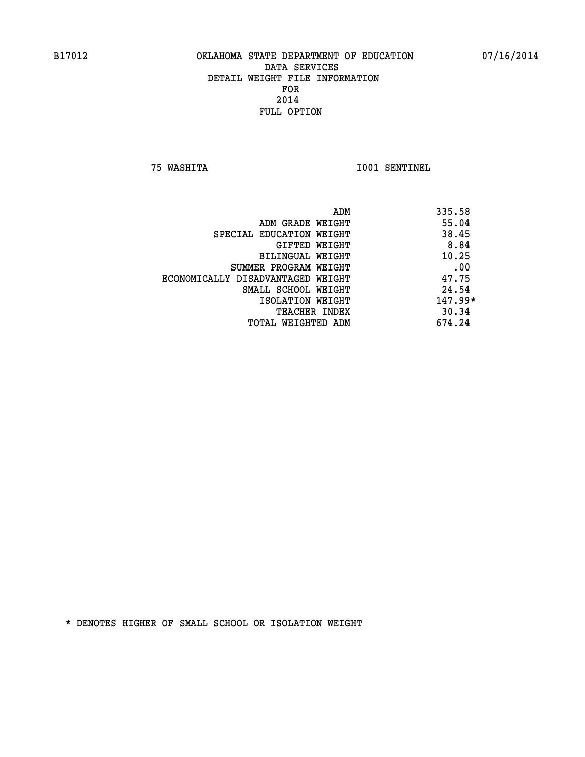**75 WASHITA I001 SENTINEL** 

|                                   | ADM | 335.58    |
|-----------------------------------|-----|-----------|
| ADM GRADE WEIGHT                  |     | 55.04     |
| SPECIAL EDUCATION WEIGHT          |     | 38.45     |
| GIFTED WEIGHT                     |     | 8.84      |
| BILINGUAL WEIGHT                  |     | 10.25     |
| SUMMER PROGRAM WEIGHT             |     | .00       |
| ECONOMICALLY DISADVANTAGED WEIGHT |     | 47.75     |
| SMALL SCHOOL WEIGHT               |     | 24.54     |
| ISOLATION WEIGHT                  |     | $147.99*$ |
| <b>TEACHER INDEX</b>              |     | 30.34     |
| TOTAL WEIGHTED ADM                |     | 674.24    |
|                                   |     |           |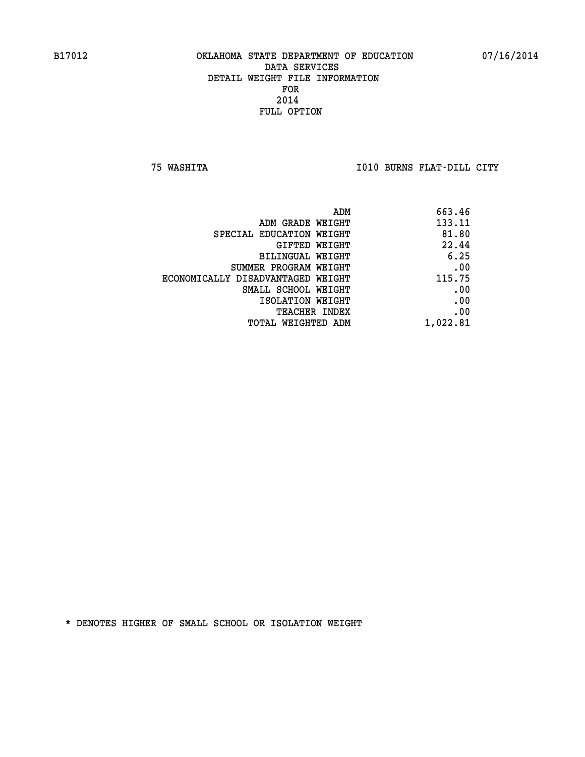**75 WASHITA I010 BURNS FLAT-DILL CITY** 

| ADM                               | 663.46   |
|-----------------------------------|----------|
| ADM GRADE WEIGHT                  | 133.11   |
| SPECIAL EDUCATION WEIGHT          | 81.80    |
| GIFTED WEIGHT                     | 22.44    |
| BILINGUAL WEIGHT                  | 6.25     |
| SUMMER PROGRAM WEIGHT             | .00      |
| ECONOMICALLY DISADVANTAGED WEIGHT | 115.75   |
| SMALL SCHOOL WEIGHT               | .00      |
| ISOLATION WEIGHT                  | .00      |
| <b>TEACHER INDEX</b>              | .00      |
| TOTAL WEIGHTED ADM                | 1,022.81 |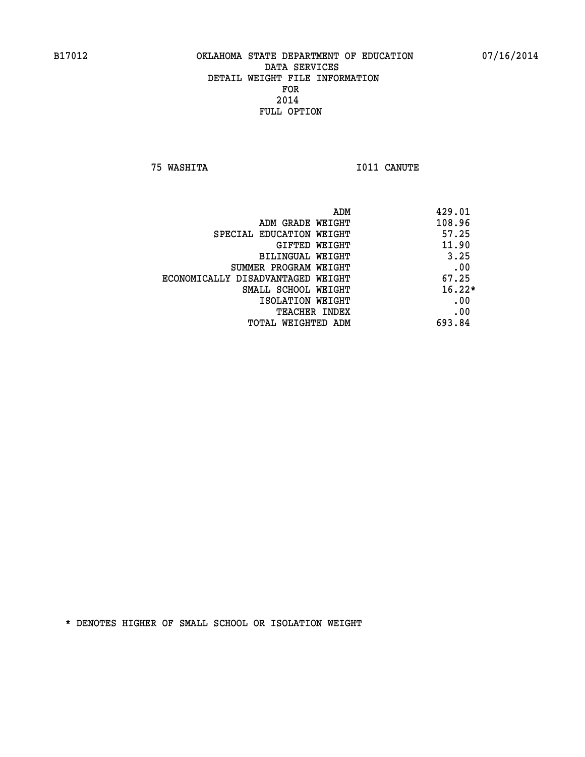**75 WASHITA I011 CANUTE** 

| ADM                               | 429.01   |
|-----------------------------------|----------|
| ADM GRADE WEIGHT                  | 108.96   |
| SPECIAL EDUCATION WEIGHT          | 57.25    |
| <b>GIFTED WEIGHT</b>              | 11.90    |
| BILINGUAL WEIGHT                  | 3.25     |
| SUMMER PROGRAM WEIGHT             | .00      |
| ECONOMICALLY DISADVANTAGED WEIGHT | 67.25    |
| SMALL SCHOOL WEIGHT               | $16.22*$ |
| ISOLATION WEIGHT                  | .00      |
| <b>TEACHER INDEX</b>              | .00      |
| TOTAL WEIGHTED ADM                | 693.84   |
|                                   |          |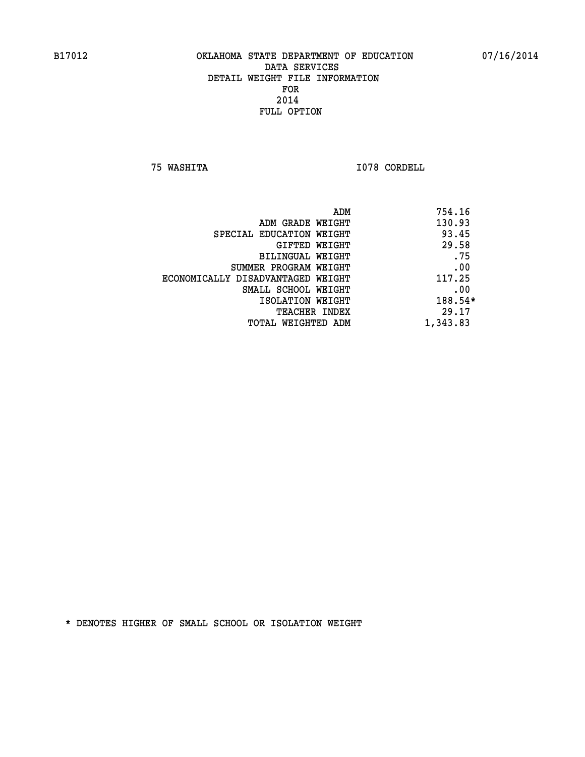**75 WASHITA I078 CORDELL** 

|                                   | ADM | 754.16   |
|-----------------------------------|-----|----------|
| ADM GRADE WEIGHT                  |     | 130.93   |
| SPECIAL EDUCATION WEIGHT          |     | 93.45    |
| GIFTED WEIGHT                     |     | 29.58    |
| BILINGUAL WEIGHT                  |     | .75      |
| SUMMER PROGRAM WEIGHT             |     | .00      |
| ECONOMICALLY DISADVANTAGED WEIGHT |     | 117.25   |
| SMALL SCHOOL WEIGHT               |     | .00      |
| ISOLATION WEIGHT                  |     | 188.54*  |
| TEACHER INDEX                     |     | 29.17    |
| TOTAL WEIGHTED ADM                |     | 1,343.83 |
|                                   |     |          |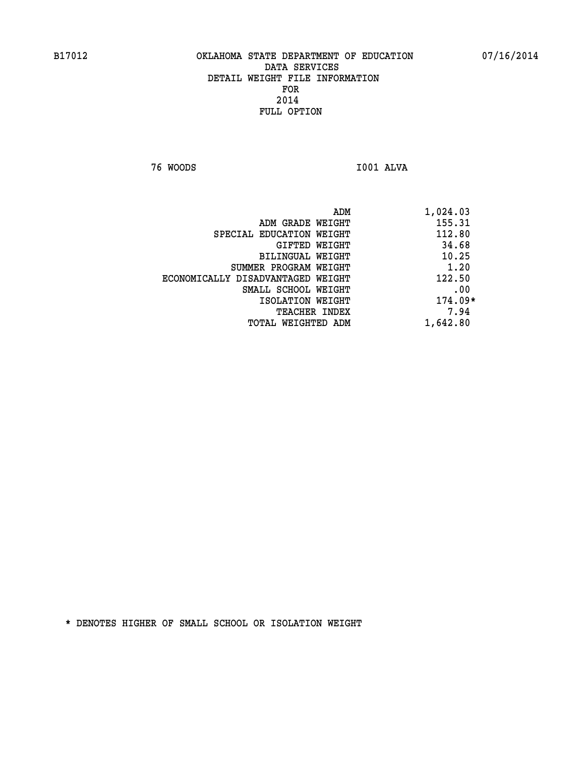**76 WOODS I001 ALVA** 

| ADM<br>1,024.03               |                                   |
|-------------------------------|-----------------------------------|
| 155.31<br>ADM GRADE WEIGHT    |                                   |
| 112.80                        | SPECIAL EDUCATION WEIGHT          |
| 34.68<br>GIFTED WEIGHT        |                                   |
| 10.25<br>BILINGUAL WEIGHT     |                                   |
| 1.20                          | SUMMER PROGRAM WEIGHT             |
| 122.50                        | ECONOMICALLY DISADVANTAGED WEIGHT |
| .00                           | SMALL SCHOOL WEIGHT               |
| $174.09*$<br>ISOLATION WEIGHT |                                   |
| 7.94<br><b>TEACHER INDEX</b>  |                                   |
| 1,642.80                      | TOTAL WEIGHTED ADM                |
|                               |                                   |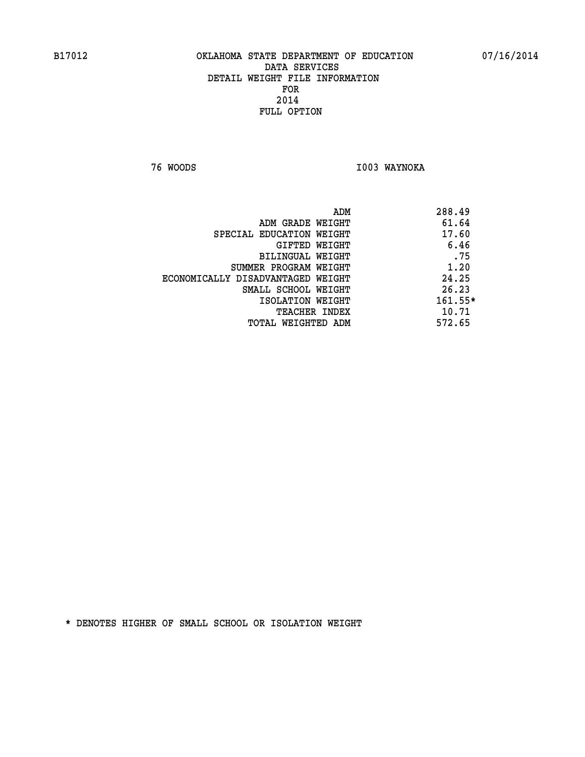**76 WOODS I003 WAYNOKA** 

|                                   | ADM | 288.49    |
|-----------------------------------|-----|-----------|
| ADM GRADE WEIGHT                  |     | 61.64     |
| SPECIAL EDUCATION WEIGHT          |     | 17.60     |
| GIFTED WEIGHT                     |     | 6.46      |
| BILINGUAL WEIGHT                  |     | .75       |
| SUMMER PROGRAM WEIGHT             |     | 1.20      |
| ECONOMICALLY DISADVANTAGED WEIGHT |     | 24.25     |
| SMALL SCHOOL WEIGHT               |     | 26.23     |
| ISOLATION WEIGHT                  |     | $161.55*$ |
| TEACHER INDEX                     |     | 10.71     |
| TOTAL WEIGHTED ADM                |     | 572.65    |
|                                   |     |           |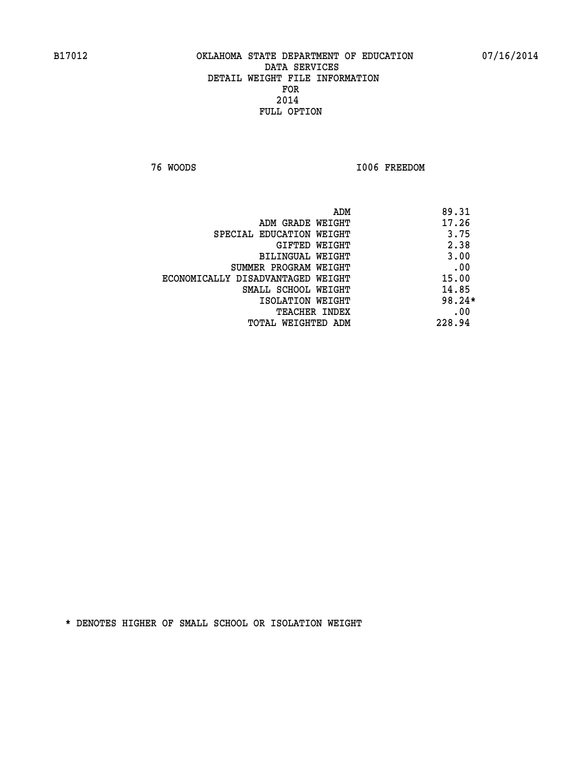**76 WOODS I006 FREEDOM** 

|                                   | ADM<br>89.31 |
|-----------------------------------|--------------|
| ADM GRADE WEIGHT                  | 17.26        |
| SPECIAL EDUCATION WEIGHT          | 3.75         |
| GIFTED WEIGHT                     | 2.38         |
| BILINGUAL WEIGHT                  | 3.00         |
| SUMMER PROGRAM WEIGHT             | .00          |
| ECONOMICALLY DISADVANTAGED WEIGHT | 15.00        |
| SMALL SCHOOL WEIGHT               | 14.85        |
| ISOLATION WEIGHT                  | $98.24*$     |
| TEACHER INDEX                     | .00          |
| TOTAL WEIGHTED ADM                | 228.94       |
|                                   |              |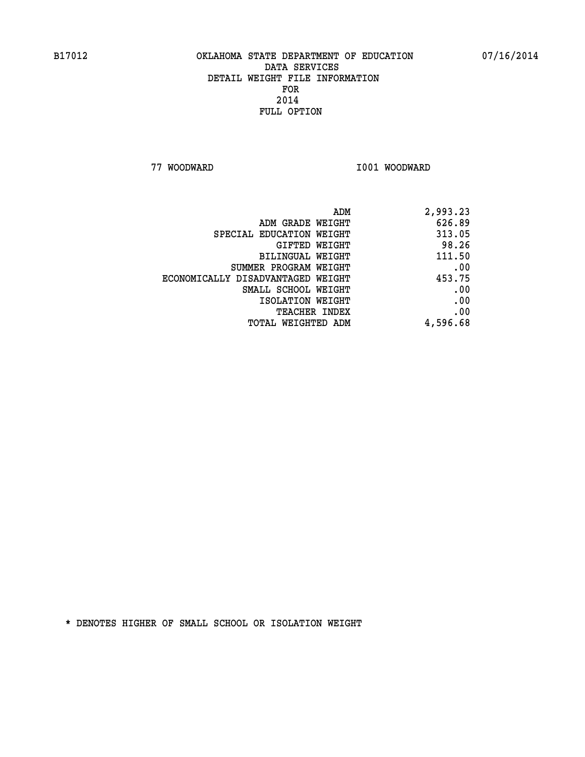**77 WOODWARD I001 WOODWARD** 

| 2,993.23 |
|----------|
| 626.89   |
| 313.05   |
| 98.26    |
| 111.50   |
| .00      |
| 453.75   |
| .00      |
| .00      |
| .00      |
| 4,596.68 |
|          |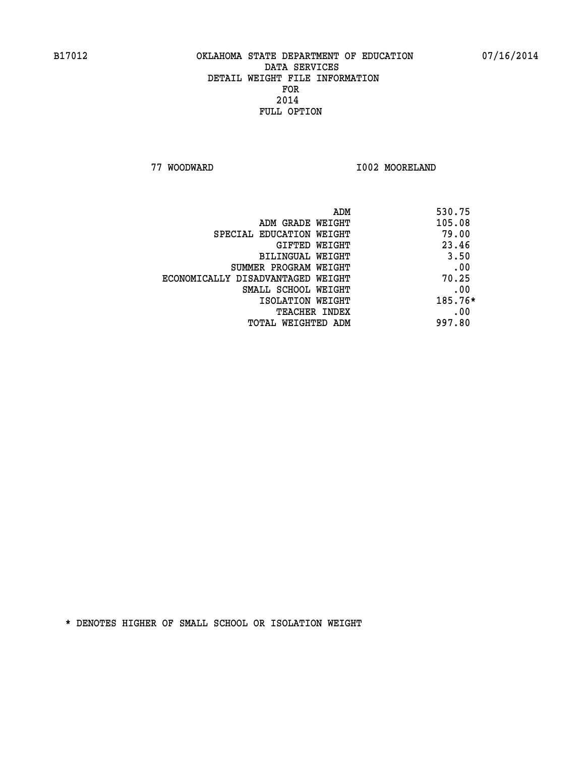**77 WOODWARD I002 MOORELAND** 

| 530.75<br>ADM |                                   |
|---------------|-----------------------------------|
| 105.08        | ADM GRADE WEIGHT                  |
| 79.00         | SPECIAL EDUCATION WEIGHT          |
| 23.46         | GIFTED WEIGHT                     |
| 3.50          | BILINGUAL WEIGHT                  |
| .00           | SUMMER PROGRAM WEIGHT             |
| 70.25         | ECONOMICALLY DISADVANTAGED WEIGHT |
| .00           | SMALL SCHOOL WEIGHT               |
| 185.76*       | ISOLATION WEIGHT                  |
| .00           | <b>TEACHER INDEX</b>              |
| 997.80        | TOTAL WEIGHTED ADM                |
|               |                                   |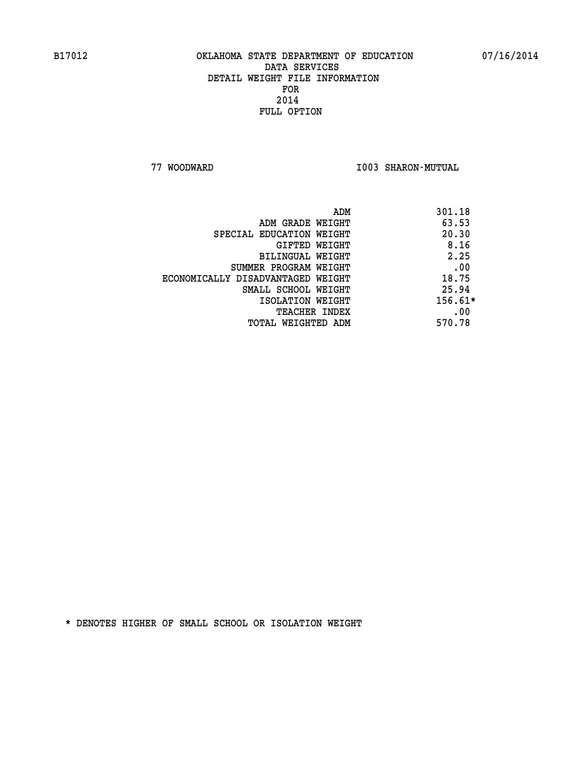**77 WOODWARD I003 SHARON-MUTUAL** 

|                                   | ADM | 301.18    |
|-----------------------------------|-----|-----------|
| ADM GRADE WEIGHT                  |     | 63.53     |
| SPECIAL EDUCATION WEIGHT          |     | 20.30     |
| GIFTED WEIGHT                     |     | 8.16      |
| BILINGUAL WEIGHT                  |     | 2.25      |
| SUMMER PROGRAM WEIGHT             |     | .00       |
| ECONOMICALLY DISADVANTAGED WEIGHT |     | 18.75     |
| SMALL SCHOOL WEIGHT               |     | 25.94     |
| ISOLATION WEIGHT                  |     | $156.61*$ |
| TEACHER INDEX                     |     | .00       |
| TOTAL WEIGHTED ADM                |     | 570.78    |
|                                   |     |           |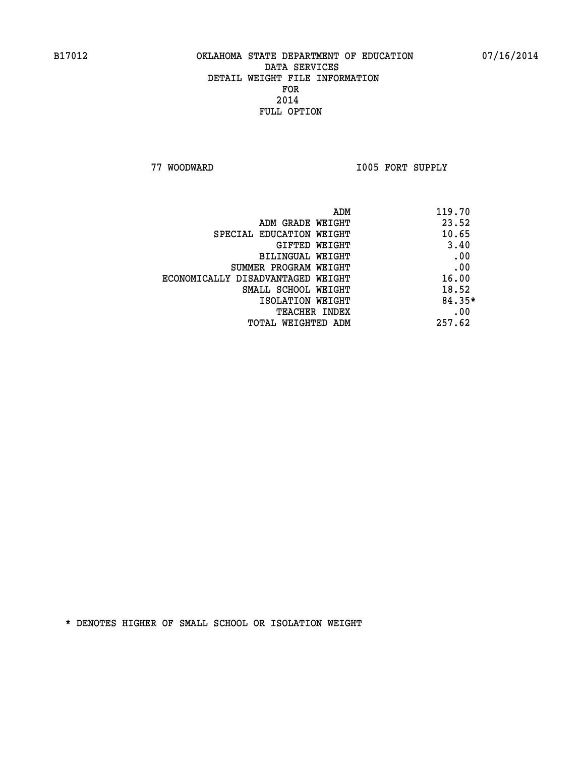**77 WOODWARD I005 FORT SUPPLY** 

| ADM                               | 119.70   |
|-----------------------------------|----------|
| ADM GRADE WEIGHT                  | 23.52    |
| SPECIAL EDUCATION WEIGHT          | 10.65    |
| GIFTED WEIGHT                     | 3.40     |
| BILINGUAL WEIGHT                  | .00      |
| SUMMER PROGRAM WEIGHT             | .00      |
| ECONOMICALLY DISADVANTAGED WEIGHT | 16.00    |
| SMALL SCHOOL WEIGHT               | 18.52    |
| ISOLATION WEIGHT                  | $84.35*$ |
| <b>TEACHER INDEX</b>              | .00      |
| TOTAL WEIGHTED ADM                | 257.62   |
|                                   |          |